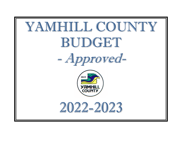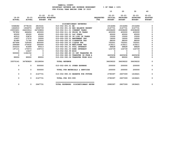| YAMHILL COUNTY                          |                       |
|-----------------------------------------|-----------------------|
| BUDGETARY REVENUE AND EXPENSE WORKSHEET | $8$ OF YEAR = 100 $8$ |
| FOR FISCAL YEAR ENDING JUNE 30 2023     |                       |

|                            |                            |                                |                           |                              |                                    |                                | 10                                           | 20                                            | 30                                            | 40                                           |
|----------------------------|----------------------------|--------------------------------|---------------------------|------------------------------|------------------------------------|--------------------------------|----------------------------------------------|-----------------------------------------------|-----------------------------------------------|----------------------------------------------|
| $19 - 20$<br><b>ACTUAL</b> | $20 - 21$<br><b>ACTUAL</b> | $21 - 22$<br><b>BUDGET FTE</b> | 21-22<br>ADOPTED BUDGETED |                              |                                    | <b>REQUESTED</b><br><b>FTE</b> | $22 - 23$<br><b>INITIAL</b><br><b>BUDGET</b> | $22 - 23$<br><b>PROPOSED</b><br><b>BUDGET</b> | $22 - 23$<br><b>APPROVED</b><br><b>BUDGET</b> | $22 - 23$<br><b>ADOPTED</b><br><b>BUDGET</b> |
|                            |                            |                                |                           |                              | DISCRETIONARY REVENUES             |                                |                                              |                                               |                                               |                                              |
| 5368282                    | 4778104                    | 2819161                        |                           | 010-002-301.01 BB            |                                    |                                | 2314284                                      | 2314284                                       | 2314284                                       | 0                                            |
| 1664910                    | 1936974                    | 2806739                        |                           |                              | 010-002-301.02 BEG BALANCE RESERV  |                                | 2147731                                      | 2147731                                       | 2147731                                       | $\mathbf 0$                                  |
| 23553601                   | 24633914                   | 24729806                       |                           | 010-002-311.01 CURRENT TAXES |                                    |                                | 25938490                                     | 25938490                                      | 25938490                                      | $\Omega$                                     |
| 787852                     | 666404                     | 400000                         |                           |                              | 010-002-311.02 PRIOR YR TAXES      |                                | 400000                                       | 400000                                        | 400000                                        | 0                                            |
| 65000                      | 65000                      | 65000                          |                           | 010-002-332.01 O&C FUNDS     |                                    |                                | 65000                                        | 65000                                         | 65000                                         | $\Omega$                                     |
| 42512                      | 53874                      | 15000                          |                           |                              | 010-002-332.05 IN LIEU OF TAXES    |                                | 15000                                        | 15000                                         | 15000                                         | $\Omega$                                     |
| 10457                      | 17570                      | 16000                          |                           | 010-002-335.01 AMUSEMENT TAX |                                    |                                | 16000                                        | 16000                                         | 16000                                         | $\Omega$                                     |
| 81080                      | 71792                      | 83000                          |                           | 010-002-335.02 CIGARETTE TAX |                                    |                                | 68000                                        | 68000                                         | 68000                                         | 0                                            |
| 657494                     | 729304                     | 600000                         |                           | 010-002-335.03 LIQUOR TAX    |                                    |                                | 752501                                       | 752501                                        | 752501                                        | $\mathbf 0$                                  |
| 299589                     | 270632                     | 300000                         |                           | 010-002-335.36 MARIJUANA TAX |                                    |                                | 219211                                       | 219211                                        | 219211                                        | $\mathbf 0$                                  |
| 253233                     | 91899                      | 95513                          |                           | 010-002-361.01 POOL INTEREST |                                    |                                | 68828                                        | 68828                                         | 68828                                         | $\Omega$                                     |
| 197131                     | 175573                     | 109715                         |                           | 010-002-361.03 BOND INTEREST |                                    |                                | 124739                                       | 124739                                        | 124739                                        | 0                                            |
| 0                          | 13637                      | $\Omega$                       |                           | 010-002-362.99 MISC          |                                    |                                | 0                                            | 0                                             | $\Omega$                                      | $\Omega$                                     |
| 500000                     | 1192152                    | $\mathbf 0$                    |                           |                              | 010-002-380.80 CO INT TRANSFER FR  |                                | 0                                            | 0                                             | $\Omega$                                      | $\mathbf 0$                                  |
| 0                          | 0                          | $\mathbf 0$                    |                           |                              | 010-002-380.93 TRANSFER IN FROM A  |                                | 4420438                                      | 4420438                                       | 4420438                                       | 0                                            |
| 89000                      | 89000                      | 89000                          |                           |                              | 010-002-390.06 TRANSFER FROM SOLI  |                                | 89000                                        | 89000                                         | 89000                                         | $\mathbf 0$                                  |
| 33570141                   | 34785829                   | 32128934                       |                           | <b>TOTAL REVENUE</b>         |                                    |                                | 36639222                                     | 36639222                                      | 36639222                                      | $\mathbf 0$                                  |
| 0                          | 0                          | 500000                         |                           | 010-002-699.01 OTHER EXPENSE |                                    |                                | 200000                                       | 200000                                        | 200000                                        | 0                                            |
| 0                          | $\mathbf{0}$               | 500000                         |                           |                              | TOTAL FOR MATERIALS & SERVICES     |                                | 200000                                       | 200000                                        | 200000                                        | 0                                            |
| 0                          | $^{\circ}$                 | 2147731                        |                           |                              | 010-002-990.03 RESERVE FOR FUTURE  |                                | 2790397                                      | 2607309                                       | 1618421                                       | 0                                            |
| 0                          | $\mathbf{0}$               | 2147731                        |                           | TOTAL FOR 900-999            |                                    |                                | 2790397                                      | 2607309                                       | 1618421                                       | 0                                            |
| 0                          | $^{\circ}$                 | 2647731                        |                           |                              | TOTAL EXPENSES DISCRETIONARY REVEN |                                | 2990397                                      | 2807309                                       | 1818421                                       | 0                                            |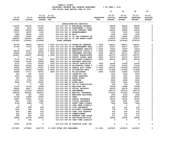|                |                          |                            |                                             |                                                                       |                                | 10                                           | 20                                            | 30                                            | 40                                           |
|----------------|--------------------------|----------------------------|---------------------------------------------|-----------------------------------------------------------------------|--------------------------------|----------------------------------------------|-----------------------------------------------|-----------------------------------------------|----------------------------------------------|
| $19 - 20$      | $20 - 21$                | $21 - 22$<br><b>BUDGET</b> | $21 - 22$<br><b>ADOPTED BUDGETED</b><br>FTE |                                                                       | <b>REQUESTED</b><br><b>FTE</b> | $22 - 23$<br><b>INITIAL</b><br><b>BUDGET</b> | $22 - 23$<br><b>PROPOSED</b><br><b>BUDGET</b> | $22 - 23$<br><b>APPROVED</b><br><b>BUDGET</b> | $22 - 23$<br><b>ADOPTED</b><br><b>BUDGET</b> |
| <b>ACTUAL</b>  | <b>ACTUAL</b>            |                            |                                             |                                                                       |                                |                                              |                                               |                                               |                                              |
|                |                          |                            |                                             | ADMINISTRATIVE SERVICES                                               |                                |                                              |                                               |                                               |                                              |
| 114218         | 102478                   | 131195                     |                                             | 010-010-301.01 BEGINNING BALANCE                                      |                                | 48636                                        | 48636                                         | 48636                                         | 0                                            |
| 6697           | 4515                     | 15000                      |                                             | 010-010-334.29 ASSESSMENT & TAXAT                                     |                                | 10000                                        | 10000                                         | 10000                                         | $\mathbf 0$                                  |
| 24000          | 24000                    | 24000                      |                                             | 010-010-341.49 YCOM CONTRACT SERV                                     |                                | 24000                                        | 24000                                         | 24000                                         | $\mathbf 0$                                  |
| 15537          | 28487                    | 1000                       |                                             | 010-010-362.12 REIMBURSEMENT                                          |                                | 1000                                         | 1000                                          | 1000                                          | 0                                            |
| 1688           | 18239                    | 1000                       | 010-010-362.99 MISC                         |                                                                       |                                | 1000                                         | 1000                                          | 1000                                          | 0                                            |
| 19220          | 19020                    | 19530                      |                                             | 010-010-380.01 CO INT CONTRACT SE                                     |                                | 19530                                        | 19530                                         | 19530                                         | 0                                            |
| 856563         | 955954                   | 938274                     |                                             | 010-010-380.10 CO INT ADMIN OVERH                                     |                                | 973979                                       | 973979                                        | 973979                                        | 0                                            |
| 1037923        | 1152693                  | 1129999                    | <b>TOTAL REVENUE</b>                        |                                                                       |                                | 1078145                                      | 1078145                                       | 1078145                                       | 0                                            |
|                |                          |                            | 1.0000 010-010-401.19 FINANCIAL MANAGER     |                                                                       |                                |                                              |                                               |                                               | 0                                            |
| 90765<br>67799 | 94900<br>71736           | 105079<br>80793            | 1.0000 010-010-401.30 SR MANAGEMENT ANAL    |                                                                       | 1.0000<br>1.0000               | 108231<br>83217                              | 108231<br>83217                               | 108231<br>83217                               | 0                                            |
| $\mathbf{0}$   | $\overline{\mathbf{0}}$  | 71818                      | 1.0000 010-010-401.32 MANAGEMENT ANALYST    |                                                                       | 1.0000                         | 73973                                        | 73973                                         | 73973                                         | 0                                            |
| 48100          | 52657                    | 55681                      | 1.0000 010-010-401.42 EXECUTIVE OFFICE S    |                                                                       | 1.0000                         | 59989                                        | 59989                                         | 59989                                         | 0                                            |
| 65480          | 41164                    | 45123                      | .5000 010-010-401.43 PERSONNEL OFFICER/     |                                                                       | .5000                          | 48171                                        | 48171                                         | 48171                                         | 0                                            |
| 136967         | 144247                   | 145189                     | 1.0000 010-010-401.53 COUNTY ADMINISTRAT    |                                                                       | .8000                          | 120797                                       | 120797                                        | 120797                                        | 0                                            |
| 0              | $\overline{\phantom{0}}$ | $\overline{\phantom{0}}$   |                                             | 010-010-401.54 DEPUTY COUNTY ADMI                                     | .5000                          | 60375                                        | 60375                                         | 60375                                         | 0                                            |
| 73174          | 78742                    | 79681                      |                                             | .9500 010-010-401.56 ASSISTANT FINANCIA                               | .9500                          | 82072                                        | 82072                                         | 82072                                         | 0                                            |
| 47389          | 51328                    | 56868                      | .5000 010-010-401.62 BUSINESS SERVICES      |                                                                       |                                | $\mathbf 0$                                  | $^{\circ}$                                    | 0                                             | 0                                            |
| 9772           | 2104                     | 31418                      | .7500 010-010-402.02 OFFICE SPECIALIST      |                                                                       | .7500                          | 16180                                        | 16180                                         | 16180                                         | 0                                            |
| 79855          | 42348                    | 44015                      | 1.0000 010-010-402.04 ACCOUNTING CLERK 2    |                                                                       | 1.0000                         | 47630                                        | 47630                                         | 47630                                         | $\mathbf 0$                                  |
| 30304          | 79430                    | 97087                      | 2.0000 010-010-402.14 SENIOR ACCT CLERK     |                                                                       | 2.0000                         | 102338                                       | 102338                                        | 102338                                        | 0                                            |
| 97596          | 105552                   | 114424                     | 2.0000 010-010-402.15 ACCOUNTING TECH       |                                                                       | 2.0000                         | 117844                                       | 117844                                        | 117844                                        | 0                                            |
| 24686          | 27111                    | 30510                      | .6000 010-010-402.21 HR ASSISTANT           |                                                                       | .6000                          | 31425                                        | 31425                                         | 31425                                         | 0                                            |
| 300            | 300                      | 2100                       |                                             | 010-010-475.00 LONGEVITY PAY                                          |                                | 1500                                         | 1500                                          | 1500                                          | 0                                            |
| 9394           | 36560                    | 6500                       |                                             | 010-010-479.00 OTHER EARNINGS                                         |                                | 7500                                         | 7500                                          | 7500                                          | 0                                            |
| 497            | 1707                     | 3000                       | 010-010-480.00 EXTRA HOURS                  |                                                                       |                                | 3000                                         | 3000                                          | 3000                                          | 0                                            |
| 1373           | 9720                     | 2500                       | 010-010-481.00 OVERTIME                     |                                                                       |                                | 2500                                         | 2500                                          | 2500                                          | 0                                            |
| 8996           | 17707                    | 20000                      | 010-010-482.00 EXTRA HELP                   |                                                                       |                                | 5000                                         | 5000                                          | 5000                                          | 0                                            |
| 0              | $\overline{\phantom{0}}$ | 500                        |                                             | 010-010-488.00 OUT OF CLASSIFICAT                                     |                                | 500                                          | 500                                           | 500                                           | 0                                            |
| 11704          | 12736                    | 14068                      |                                             | 010-010-490.00 MEDICARE TAX                                           |                                | 14098                                        | 14098                                         | 14098                                         | 0                                            |
| 49381          | 54217                    | 60152                      |                                             | 010-010-491.00 SOCIAL SECURITY                                        |                                | 60279                                        | 60279                                         | 60279                                         | 0                                            |
| 160030         | 175354                   | 220675                     | 010-010-492.00 RETIREMENT                   |                                                                       |                                | 209779                                       | 209779                                        | 209779                                        | 0                                            |
| 186556         | 200255                   | 260576                     |                                             | 010-010-493.10 MEDICAL INSURANCE<br>010-010-493.12 EMPLOYEE ASSISTANC |                                | 273553                                       | 273553                                        | 273553                                        | 0<br>0                                       |
| 288<br>13148   | 350<br>12838             | 1500<br>15060              | 010-010-493.15 VEBA                         |                                                                       |                                | 1500<br>18525                                | 1500<br>18525                                 | 1500<br>18525                                 | 0                                            |
| 16887          | 16005                    | 19151                      |                                             | 010-010-493.20 DENTAL INSURANCE                                       |                                | 18155                                        | 18155                                         | 18155                                         | 0                                            |
| 1697           | 1363                     | 1945                       |                                             | 010-010-493.25 VISION INSURANCE                                       |                                | 1951                                         | 1951                                          | 1951                                          | 0                                            |
| 4138           | 4389                     | 7781                       |                                             | 010-010-493.31 SHORT TERM DISABIL                                     |                                | 7444                                         | 7444                                          | 7444                                          | $\mathbf 0$                                  |
| $1 -$          | $4-$                     | $\overline{\phantom{0}}$   |                                             | 010-010-493.32 LONG TERM DISABILI                                     |                                | $\overline{\phantom{0}}$                     | $\mathbf 0$                                   | $\mathbf 0$                                   | $\mathbf 0$                                  |
| 154            | 488                      | 326                        |                                             | 010-010-493.40 LIFE INSURANCE                                         |                                | 331                                          | 331                                           | 331                                           | 0                                            |
| 1225           | 966                      | 970                        |                                             | 010-010-494.00 ACCIDENT INSURANCE                                     |                                | 778                                          | 778                                           | 778                                           | 0                                            |
| 832            | 883                      | 970                        |                                             | 010-010-494.80 TIME LOSS RESERVE                                      |                                | 972                                          | 972                                           | 972                                           | 0                                            |
| 815            | 883                      | 970                        |                                             | 010-010-495.00 UNEMPLOYMENT                                           |                                | 972                                          | 972                                           | 972                                           | 0                                            |
| 265            | 245                      | 346                        |                                             | 010-010-496.00 WORKERS COMP ASSES                                     |                                | 331                                          | 331                                           | 331                                           | $\Omega$                                     |
| 19993          | 25374                    | 25000                      |                                             | 010-010-499.00 FET/VACATION/SICK                                      |                                | 30000                                        | 30000                                         | 30000                                         | 0                                            |
| $\Omega$       | 142                      | $\mathbf 0$                |                                             | 010-010-499.98 COMP TIME LIABILIT                                     |                                | 0                                            | $\mathbf 0$                                   | 0                                             | 0                                            |
| 12332          | 15748                    | $\mathbf 0$                |                                             | 010-010-499.99 VACATION LIAB. ADJ                                     |                                | $\mathbf 0$                                  | $\mathbf 0$                                   | $\mathbf 0$                                   | $\mathbf 0$                                  |
| 1271891        | 1379545                  | 1621776                    | 13.3000 TOTAL FOR PERSONNEL                 |                                                                       | 13.1000                        | 1610910                                      | 1610910                                       | 1610910                                       | $\mathbf 0$                                  |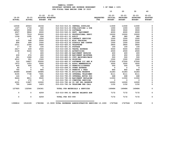|                            |                            |                          |                                                              | FOR FISCAL YEAR ENDING JUNE 30 2023                                    |                                |                                              |                                               |                                               |                                              |
|----------------------------|----------------------------|--------------------------|--------------------------------------------------------------|------------------------------------------------------------------------|--------------------------------|----------------------------------------------|-----------------------------------------------|-----------------------------------------------|----------------------------------------------|
|                            |                            |                          |                                                              |                                                                        |                                | 10                                           | 20                                            | 30                                            | 40                                           |
| $19 - 20$<br><b>ACTUAL</b> | $20 - 21$<br><b>ACTUAL</b> |                          | $21 - 22$ $21 - 22$<br>ADOPTED BUDGETED<br><b>BUDGET FTE</b> |                                                                        | <b>REQUESTED</b><br><b>FTE</b> | $22 - 23$<br><b>INITIAL</b><br><b>BUDGET</b> | $22 - 23$<br><b>PROPOSED</b><br><b>BUDGET</b> | $22 - 23$<br><b>APPROVED</b><br><b>BUDGET</b> | $22 - 23$<br><b>ADOPTED</b><br><b>BUDGET</b> |
|                            |                            |                          |                                                              |                                                                        |                                |                                              |                                               |                                               |                                              |
| 12536                      | 20023                      | 18154                    |                                                              | 010-010-510.01 CENTRAL SUPPLIES                                        |                                | 11930                                        | 11930                                         | 11930                                         | 0                                            |
| 1337                       | 1718                       | 500                      |                                                              | 010-010-513.03 PUBLICATIONS & DUE                                      |                                | 1000                                         | 1000                                          | 1000                                          | 0                                            |
| 26543                      | 3558                       | 1500                     | 010-010-513.06 SOFTWARE                                      |                                                                        |                                | 3500                                         | 3500                                          | 3500                                          | $\mathbf 0$                                  |
| 4507                       | 9864                       | 6000                     |                                                              | 010-010-543.01 DEPT. EQUIPMENT                                         |                                | 6000                                         | 6000                                          | 6000                                          | 0                                            |
| 7607                       | 7519                       | 20000                    |                                                              | 010-010-610.01 PROFESSIONAL SERVI                                      |                                | 10000                                        | 10000                                         | 10000                                         | 0                                            |
| 1339                       | 1295                       | 934                      | 010-010-611.01 AUDIT                                         |                                                                        |                                | 980                                          | 980                                           | 980                                           | $\mathsf{o}\xspace$                          |
| $\mathbf{o}$               | $\overline{\mathbf{0}}$    | 1500                     |                                                              | 010-010-611.02 CONTRACT SERVICES                                       |                                | 1500                                         | 1500                                          | 1500                                          | 0                                            |
| 633                        | 568                        | 2500                     |                                                              | 010-010-612.01 MISC TRAINING                                           |                                | 2500                                         | 2500                                          | 2500                                          | $\mathsf{o}\xspace$                          |
| 894                        | 499                        | 1500                     |                                                              | 010-010-612.02 SCHOOLS AND CONFER                                      |                                | 1500                                         | 1500                                          | 1500                                          | 0                                            |
| 2311                       | 2306                       | 2400                     |                                                              | 010-010-620.01 TELEPHONE                                               |                                | 2800                                         | 2800                                          | 2800                                          | 0                                            |
| 17                         | 50                         | 100                      | 010-010-621.01 POSTAGE                                       |                                                                        |                                | 100                                          | 100                                           | 100                                           | $\mathbf{o}$                                 |
| 2417                       | 439                        | 2500                     |                                                              | 010-010-630.01 TRAVEL EXPENSE                                          |                                | 5000                                         | 5000                                          | 5000                                          | 0                                            |
| 2139                       | 5224                       | 500                      |                                                              | 010-010-640.01 ADVERTISING                                             |                                | 2500                                         | 2500                                          | 2500                                          | 0                                            |
| $\mathbf{0}$               | $\mathbf{o}$               | 400                      |                                                              | 010-010-680.02 EQUIPMENT REPAIRS                                       |                                | 400                                          | 400                                           | 400                                           | 0                                            |
| 439                        | 474                        | 600                      |                                                              | 010-010-680.08 EQUIPMENT MAINTENA                                      |                                | 650                                          | 650                                           | 650                                           | 0                                            |
| 261                        | 1928                       | 500                      |                                                              | 010-010-683.01 COPY MACHINES/MAIN                                      |                                | 500                                          | 500                                           | 500                                           | 0                                            |
| 6512                       | 551                        | 1500                     | 010-010-683.04 PRINTING                                      |                                                                        |                                | 1500                                         | 1500                                          | 1500                                          | $\mathsf{o}\xspace$                          |
| 312                        | 14807                      | 25200                    |                                                              | 010-010-683.07 SOFTWARE LIC AND M                                      |                                | 27500                                        | 27500                                         | 27500                                         | 0                                            |
| 1973                       | 1253                       | 5000                     |                                                              | 010-010-691.01 ASSOC MEMBERSHIPS                                       |                                | 3500                                         | 3500                                          | 3500                                          | $\mathbf 0$                                  |
| 405                        | 405                        | 500                      |                                                              | 010-010-695.13 PERMITS/LICENSES                                        |                                | 500                                          | 500                                           | 500                                           | 0                                            |
| 65                         | $\Omega$                   | $\overline{\phantom{0}}$ |                                                              | 010-010-699.01 OTHER EXPENSE                                           |                                | $\mathbf{0}$                                 | $\mathbf 0$                                   | $\Omega$                                      | 0                                            |
| 760                        | 0                          | 860                      |                                                              | 010-010-730.10 PERMITS & FEES                                          |                                | 860                                          | 860                                           | 860                                           | $\mathbf 0$                                  |
| 30089                      | 30086                      | 30686                    |                                                              | 010-010-780.01 BUILDING RESERVE                                        |                                | 31283                                        | 31283                                         | 31283                                         | 0                                            |
| 9155                       | 7738                       | 7691                     |                                                              | 010-010-780.04 INTERNAL TELECOMMU                                      |                                | 8111                                         | 8111                                          | 8111                                          | 0                                            |
| 124                        | $\mathbf{o}$               | 668                      |                                                              | 010-010-780.05 INTERNAL MOTOR POO                                      |                                | 668                                          | 668                                           | 668                                           | $\mathsf{o}$                                 |
| 8424                       | 8811                       | 9045                     |                                                              | 010-010-780.06 EQUIPMENT REPLACEM                                      |                                | 11550                                        | 11550                                         | 11550                                         | 0                                            |
| 0                          | 172                        | $\mathbf 0$              |                                                              | 010-010-780.15 COMPUTER SERVICES                                       |                                | 0                                            | $\mathbf 0$                                   | $\Omega$                                      | 0                                            |
| 6331                       | 11827                      | 12000                    |                                                              | 010-010-780.44 CO INT PEL RESERVE                                      |                                | 12000                                        | 12000                                         | 12000                                         | 0                                            |
| 795                        | 1449                       | 1623                     |                                                              | 010-010-780.54 TELECOMM PER CALL                                       |                                | 1152                                         | 1152                                          | 1152                                          | 0                                            |
| 127925                     | 132564                     | 154361                   |                                                              | TOTAL FOR MATERIALS & SERVICES                                         |                                | 149484                                       | 149484                                        | 149484                                        | 0                                            |
| $\mathbf 0$                | $\Omega$                   | 4259                     |                                                              | 010-010-990.01 ENDING BALANCE ADM                                      |                                | 7172                                         | 7172                                          | 7172                                          | 0                                            |
| 0                          | $\mathbf{0}$               | 4259                     | TOTAL FOR 900-999                                            |                                                                        |                                | 7172                                         | 7172                                          | 7172                                          | $\mathbf 0$                                  |
| 1399816                    | 1512109                    |                          |                                                              | 1780396 13.3000 TOTAL EXPENSES ADMINISTRATIVE SERVICES 13.1000 1767566 |                                |                                              | 1767566                                       | 1767566                                       | 0                                            |

 **YAMHILL COUNTY BUDGETARY REVENUE AND EXPENSE WORKSHEET % OF YEAR = 100%**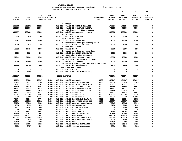|                 |                 |                 |                               |                                   |                                                                                   |                  | 10                   | 20                           | 30                           | 40                          |
|-----------------|-----------------|-----------------|-------------------------------|-----------------------------------|-----------------------------------------------------------------------------------|------------------|----------------------|------------------------------|------------------------------|-----------------------------|
| $19 - 20$       | $20 - 21$       | $21 - 22$       | $21 - 22$<br>ADOPTED BUDGETED |                                   |                                                                                   | <b>REQUESTED</b> | $22 - 23$<br>INITIAL | $22 - 23$<br><b>PROPOSED</b> | $22 - 23$<br><b>APPROVED</b> | $22 - 23$<br><b>ADOPTED</b> |
| <b>ACTUAL</b>   | <b>ACTUAL</b>   | <b>BUDGET</b>   | FTE                           |                                   |                                                                                   | <b>FTE</b>       | <b>BUDGET</b>        | <b>BUDGET</b>                | <b>BUDGET</b>                | <b>BUDGET</b>               |
|                 |                 |                 |                               |                                   |                                                                                   |                  |                      |                              |                              |                             |
| 452268          | 163103          | 113157          |                               | <b>ASSESSOR</b>                   | 010-012-301.01 BEGINNING BALANCE                                                  |                  | 171556               | 171556                       | 171556                       | 0                           |
| 435000          | 300000          | 200000          |                               |                                   | 010-012-301.02 BEG BALANCE RESERV                                                 |                  | 70000                | 70000                        | 70000                        | $\mathbf 0$                 |
|                 |                 |                 |                               |                                   | Aerial imagery - final payment                                                    |                  |                      |                              |                              |                             |
| 391737          | 400680          | 400000          |                               |                                   | 010-012-334.29 ASSESSMENT & TAXAT                                                 |                  | 400000               | 400000                       | 400000                       | 0                           |
|                 |                 |                 |                               | CAFA grant                        |                                                                                   |                  |                      |                              |                              |                             |
| 800             | 450             | 400             |                               | 010-012-341.02 FILING FEES        |                                                                                   |                  | 7500                 | 7500                         | 7500                         | 0                           |
|                 |                 |                 |                               | Application fees                  |                                                                                   |                  |                      |                              |                              |                             |
| 15487           | 15450           | 10000           |                               | 010-012-341.05 TRANSFER FEE       |                                                                                   |                  | 12000                | 12000                        | 12000                        | 0                           |
|                 |                 |                 |                               |                                   | Manufactured home processing fees                                                 |                  |                      |                              |                              |                             |
| 1035            | 875             | 600             |                               |                                   | 010-012-341.22 HANDLING CHARGE                                                    |                  | 1000                 | 1000                         | 1000                         | 0                           |
|                 |                 |                 |                               | Return check fees                 |                                                                                   |                  |                      |                              |                              |                             |
| 13933           | 14414           | 10000           |                               | 010-012-341.99 MISC               |                                                                                   |                  | 8500                 | 8500                         | 8500                         | $\mathbf 0$                 |
|                 |                 |                 |                               |                                   | Research and data request fees                                                    |                  | 2000                 |                              |                              | $\mathbf 0$                 |
| 2920            | 2020            | 2000            |                               |                                   | 010-012-345.15 ASSESSOR SURCHARGE<br>Revenue share with Planning                  |                  |                      | 2000                         | 2000                         |                             |
| 24249           | 21861           | 15000           |                               |                                   | 010-012-350.07 TAX PUBLICATIONS                                                   |                  | 18000                | 18000                        | 18000                        | 0                           |
|                 |                 |                 |                               |                                   | Foreclosure and redemption fees                                                   |                  |                      |                              |                              |                             |
| 18044           | 14464           | 15000           |                               | 010-012-350.13 TAX WARRANTS       |                                                                                   |                  | 14000                | 14000                        | 14000                        | 0                           |
|                 |                 |                 |                               |                                   | Personal property and manufactured homes                                          |                  |                      |                              |                              |                             |
| 28166           | 16780           | 4000            |                               |                                   | 010-012-362.12 REIMBURSEMENT                                                      |                  | 3800                 | 3800                         | 3800                         | 0                           |
|                 |                 |                 |                               | ODHCS Mfd home fees               |                                                                                   |                  |                      |                              |                              |                             |
| 28              | 19              | 25              |                               | 010-012-362.99 MISC               |                                                                                   |                  | 20                   | 20                           | 20                           | 0                           |
| 2000            | 1000            | $\Omega$        |                               |                                   | 010-012-380.65 CO INT TRNSFR FR S                                                 |                  | $\Omega$             | $\Omega$                     | $\Omega$                     | 0                           |
|                 |                 |                 |                               |                                   |                                                                                   |                  |                      |                              |                              |                             |
| 1385667         | 951116          | 770182          |                               | <b>TOTAL REVENUE</b>              |                                                                                   |                  | 708376               | 708376                       | 708376                       | 0                           |
|                 |                 |                 |                               |                                   |                                                                                   |                  |                      |                              |                              |                             |
| 94791           | 95000           | 103075<br>87082 |                               | 1.0000 010-012-400.02 ASSESSOR    |                                                                                   | 1.0000           | 106167<br>89694      | 106167<br>89694              | 106167<br>89694              | $\mathbf 0$<br>0            |
| 75185<br>61669  | 82579<br>67191  | 71818           |                               |                                   | 1.0000 010-012-401.04 ASSIST ASSESSOR<br>1.0000 010-012-401.46 SR OFFICE ADMINIST | 1.0000<br>1.0000 | 73973                | 73973                        | 73973                        | 0                           |
| 71934           | 78170           | 85478           |                               |                                   | 1.0000 010-012-401.47 CHIEF DEPUTY TAX C                                          | 1.0000           | 89694                | 89694                        | 89694                        | 0                           |
| 68411           | 74374           | 80793           |                               |                                   | 1.0000 010-012-401.49 SUPERVISING CHIEF                                           | 1.0000           | 83217                | 83217                        | 83217                        | 0                           |
| 77651           | 85545           | 94756           |                               |                                   | 2.0000 010-012-402.20 OFFICE SPECIALIST                                           | 2.0000           | 102338               | 102338                       | 102338                       | 0                           |
| 135622          | 98025           | 50747           |                               | 1.0000 010-012-403.01 APPRAISER 1 |                                                                                   | 1.0000           | 54672                | 54672                        | 54672                        | 0                           |
| 120063          | 178395          | 250878          |                               | 4.0000 010-012-403.02 APPRAISER 2 |                                                                                   | 4.0000           | 263782               | 263782                       | 263782                       | 0                           |
| 63896           | 68098           | 123163          |                               | 2.0000 010-012-403.03 APPRAISER 3 |                                                                                   | 2.0000           | 97332                | 97332                        | 139919                       | 0                           |
| 70474           | 71960           | 77703           |                               |                                   | 1.0000 010-012-403.08 ASSESSMENT DATA AN                                          | 1.0000           | 80034                | 80034                        | 80034                        | 0                           |
| 128176          | 140591          | 153928          |                               |                                   | 3.0000 010-012-403.71 SR OFFICE SPEC TEC                                          | 3.0000           | 163337               | 163337                       | 163337                       | 0                           |
| 65130           | 68098           | 71811           |                               |                                   | 1.0000 010-012-403.73 CARTOGRAPHER/ANALY                                          | 1.0000           | 73965                | 73965                        | 73965                        | 0                           |
| 1350            | 1950            | 2100            |                               |                                   | 010-012-475.00 LONGEVITY PAY                                                      |                  | 2100                 | 2100                         | 2100                         | $\mathbf 0$                 |
| 1739            | 24187           | 2000            |                               |                                   | 010-012-479.00 OTHER EARNINGS                                                     |                  | 2000                 | 2000                         | 2000                         | 0                           |
| 68              | 149             | 2000            |                               | 010-012-481.00 OVERTIME           |                                                                                   |                  | 500                  | 500                          | 500                          | 0                           |
| 15000           | 16519           | 18494           |                               | 010-012-490.00 MEDICARE TAX       |                                                                                   |                  | 18795                | 18795                        | 19427                        | 0                           |
| 64138<br>197894 | 70631<br>219314 | 79077<br>275814 |                               | 010-012-492.00 RETIREMENT         | 010-012-491.00 SOCIAL SECURITY                                                    |                  | 80366<br>274926      | 80366<br>274926              | 83069<br>283691              | 0<br>0                      |
| 309282          | 338682          | 394497          |                               |                                   | 010-012-493.10 MEDICAL INSURANCE                                                  |                  | 406010               | 406010                       | 420850                       | 0                           |
| 448             | 519             | 1000            |                               |                                   | 010-012-493.12 EMPLOYEE ASSISTANC                                                 |                  | 1000                 | 1000                         | 1000                         | 0                           |
| 20400           | 20300           | 22800           |                               | 010-012-493.15 VEBA               |                                                                                   |                  | 27495                | 27495                        | 28500                        | 0                           |
| 27743           | 27086           | 28994           |                               |                                   | 010-012-493.20 DENTAL INSURANCE                                                   |                  | 26945                | 26945                        | 27930                        | 0                           |
| 2789            | 2757            | 2945            |                               |                                   | 010-012-493.25 VISION INSURANCE                                                   |                  | 2896                 | 2896                         | 3002                         | 0                           |
|                 |                 |                 |                               |                                   |                                                                                   |                  |                      |                              |                              |                             |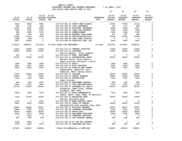|                            |                            |                                |                                                                   |                                | 10                                           | 20                                            | 30                                            | 40                                           |
|----------------------------|----------------------------|--------------------------------|-------------------------------------------------------------------|--------------------------------|----------------------------------------------|-----------------------------------------------|-----------------------------------------------|----------------------------------------------|
| $19 - 20$<br><b>ACTUAL</b> | $20 - 21$<br><b>ACTUAL</b> | $21 - 22$<br><b>BUDGET FTE</b> | $21 - 22$<br><b>ADOPTED BUDGETED</b>                              | <b>REQUESTED</b><br><b>FTE</b> | $22 - 23$<br><b>INITIAL</b><br><b>BUDGET</b> | $22 - 23$<br><b>PROPOSED</b><br><b>BUDGET</b> | $22 - 23$<br><b>APPROVED</b><br><b>BUDGET</b> | $22 - 23$<br><b>ADOPTED</b><br><b>BUDGET</b> |
|                            |                            |                                |                                                                   |                                |                                              |                                               |                                               |                                              |
| 6610                       | 6936                       | 9600                           | 010-012-493.31 SHORT TERM DISABIL                                 |                                | 10723                                        | 10723                                         | 11115                                         | 0                                            |
| 324                        | 750                        | 494                            | 010-012-493.40 LIFE INSURANCE                                     |                                | 477                                          | 477                                           | 494                                           | 0                                            |
| 11215                      | 9910                       | 8853                           | 010-012-494.00 ACCIDENT INSURANCE                                 |                                | 8094                                         | 8094                                          | 8517                                          | 0                                            |
| 1069                       | 1155                       | 1276                           | 010-012-494.80 TIME LOSS RESERVE                                  |                                | 1296                                         | 1296                                          | 1340                                          | 0                                            |
| 952                        | 1060                       | 1276                           | 010-012-495.00 UNEMPLOYMENT                                       |                                | 1296                                         | 1296                                          | 1340                                          | 0                                            |
| 368                        | 340                        | 494                            | 010-012-496.00 WORKERS COMP ASSES                                 |                                | 477                                          | 477                                           | 494                                           | 0                                            |
| 10602                      | 21149                      | 9000                           | 010-012-499.00 FET/VACATION/SICK                                  |                                | 15000                                        | 15000                                         | 15000                                         | 0                                            |
| $1480 -$                   | $596 -$                    | $\mathbf 0$                    | 010-012-499.98 COMP TIME LIABILIT                                 |                                | 0                                            | 0                                             | 0                                             | 0                                            |
| 8637                       | 18189                      | $\mathbf 0$                    | 010-012-499.99 VACATION LIAB. ADJ                                 |                                | 9000                                         | 9000                                          | 9000                                          | $\Omega$                                     |
| 1712150                    | 1889013                    | 2111946                        | 19.0000 TOTAL FOR PERSONNEL                                       | 19.0000                        | 2167601                                      | 2167601                                       | 2240161                                       | 0                                            |
| 11261                      | 19084                      | 17000                          | 010-012-510.01 CENTRAL SUPPLIES                                   |                                | 17000                                        | 17000                                         | 17000                                         | 0                                            |
| 62963                      | 70483                      | 67000                          | 010-012-513.06 SOFTWARE                                           |                                | 70400                                        | 70400                                         | 70400                                         | 0                                            |
|                            |                            |                                | Aerial imagery - final payment                                    |                                |                                              |                                               |                                               |                                              |
| 495                        | 0                          | 0                              | 010-012-543.01 DEPT. EQUIPMENT                                    |                                | 0                                            | 0                                             | 0                                             | 0                                            |
| 41353                      | 37294                      | 32000                          | 010-012-610.01 PROFESSIONAL SERVI                                 |                                | 22000                                        | 22000                                         | 20000                                         | 0                                            |
|                            |                            |                                | Masters Touch, Title reports,                                     |                                |                                              |                                               |                                               |                                              |
|                            |                            |                                | Legal services, Marshall & Swift                                  |                                |                                              |                                               |                                               |                                              |
| 1268                       | 1348                       | 1400                           | 010-012-611.01 AUDIT                                              |                                | 1442                                         | 1442                                          | 1442                                          | 0                                            |
| 8861<br>5810               | 1051<br>2329               | 2400<br>6500                   | 010-012-612.01 MISC TRAINING                                      |                                | 3000<br>7250                                 | 3000<br>7250                                  | 3000<br>7250                                  | 0<br>$\Omega$                                |
|                            |                            |                                | 010-012-612.02 SCHOOLS AND CONFER<br>OSACA/OACTC, Appraisal Inst, |                                |                                              |                                               |                                               |                                              |
|                            |                            |                                | Aumentum, ESRI, Spring School                                     |                                |                                              |                                               |                                               |                                              |
| 17102                      | 22888                      | 23000                          | 010-012-621.01 POSTAGE                                            |                                | 25000                                        | 25000                                         | 25000                                         | 0                                            |
| 10083                      | 674                        | 8000                           | 010-012-630.01 TRAVEL EXPENSE                                     |                                | 10000                                        | 10000                                         | 10000                                         | 0                                            |
| 1324                       | 1169                       | 1500                           | 010-012-640.01 ADVERTISING                                        |                                | 1500                                         | 1500                                          | 1500                                          | 0                                            |
|                            |                            |                                | Legal notices                                                     |                                |                                              |                                               |                                               |                                              |
| 424                        | 440                        | 1000                           | 010-012-680.02 EQUIPMENT REPAIRS                                  |                                | 500                                          | 500                                           | 500                                           | 0                                            |
| 2064                       | 1512                       | 3000                           | 010-012-683.01 COPY MACHINES/MAIN                                 |                                | 2700                                         | 2700                                          | 2700                                          | 0                                            |
| 81762                      | 81630                      | 80000                          | 010-012-683.07 SOFTWARE LIC AND M                                 |                                | 86333                                        | 86333                                         | 86333                                         | 0                                            |
|                            |                            |                                | Autmentum, CAMA Cloud, COSTAR,<br>DocuWare, AWS, ESRI             |                                |                                              |                                               |                                               |                                              |
| 5946                       | 7042                       | 7250                           | 010-012-691.01 ASSOC MEMBERSHIPS                                  |                                | 7600                                         | 7600                                          | 7600                                          | 0                                            |
|                            |                            |                                | OSACA, OACTC, IAAO, RLMS, YC Realtors                             |                                |                                              |                                               |                                               |                                              |
| 7184                       | 12784                      | 10000                          | 010-012-695.10 RECORDING FEES                                     |                                | 10000                                        | 10000                                         | 10000                                         | 0                                            |
|                            |                            |                                | Warrant recording fees                                            |                                |                                              |                                               |                                               |                                              |
| 1705                       | $\mathbf 0$                | 2000                           | 010-012-699.08 BANK SERVICE CHARG                                 |                                | $\mathbf 0$                                  | $\mathbf 0$                                   | $\Omega$                                      | 0                                            |
| 8640                       | 8805                       | 11000                          | 010-012-700.01 STATE OF OREGON                                    |                                | 12000                                        | 12000                                         | 12000                                         | 0                                            |
|                            |                            |                                | Manufactured home transfer fees (BCD)                             |                                |                                              |                                               |                                               |                                              |
| 25496                      | 25496<br>8783              | 26001<br>8793                  | 010-012-780.01 BUILDING RESERVE                                   |                                | 26507                                        | 26507<br>8783                                 | 26507<br>8783                                 | 0<br>0                                       |
| 10940<br>78503             | 14569                      | 18250                          | 010-012-780.04 INTERNAL TELECOMMU<br>010-012-780.05 MOTOR POOL    |                                | 8783<br>18250                                | 18250                                         | 18250                                         | 0                                            |
| 8022                       | 9372                       | 8209                           | 010-012-780.06 EQUIPMENT REPLACEM                                 |                                | 9090                                         | 9090                                          | 9090                                          | 0                                            |
| $\mathbf 0$                | 1034                       | $\mathbf 0$                    | 010-012-780.15 COMPUTER SERVICES                                  |                                | 0                                            | $\mathbf 0$                                   | 0                                             | 0                                            |
| 547                        | 605                        | 500                            | 010-012-780.17 INT POSTAGE CHARGE                                 |                                | 500                                          | 500                                           | 500                                           | 0                                            |
|                            |                            |                                |                                                                   |                                |                                              |                                               |                                               |                                              |
| 4138                       | 6484                       | $\mathbf 0$                    | 010-012-780.44 CO INT PEL RESERVE                                 |                                | $\mathbf 0$                                  | $\mathbf 0$                                   | $\mathbf 0$                                   | 0                                            |
| 1559                       | 1449                       | 1045                           | 010-012-780.54 TELECOMM PER CALL                                  |                                | 960                                          | 960                                           | 960                                           | 0                                            |
| 397450                     | 336325                     | 335848                         | TOTAL FOR MATERIALS & SERVICES                                    |                                | 340815                                       | 340815                                        | 338815                                        | $\mathbf 0$                                  |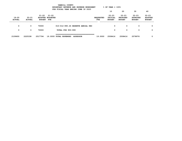|                        | YAMHILL COUNTY<br>$8$ OF YEAR = 100 $8$<br>BUDGETARY REVENUE AND EXPENSE WORKSHEET<br>FOR FISCAL YEAR ENDING JUNE 30 2023 |                        |                                  |                                   |                 |                         |                                       |                                               |                                               |                                              |  |  |  |
|------------------------|---------------------------------------------------------------------------------------------------------------------------|------------------------|----------------------------------|-----------------------------------|-----------------|-------------------------|---------------------------------------|-----------------------------------------------|-----------------------------------------------|----------------------------------------------|--|--|--|
|                        |                                                                                                                           |                        |                                  |                                   |                 |                         | 10                                    | 20                                            | 30                                            | 40                                           |  |  |  |
| 19-20<br><b>ACTUAL</b> | $20 - 21$<br><b>ACTUAL</b>                                                                                                | 21-22<br><b>BUDGET</b> | 21-22<br>ADOPTED BUDGETED<br>FTE |                                   |                 | <b>REQUESTED</b><br>FTE | $22 - 23$<br>INITIAL<br><b>BUDGET</b> | $22 - 23$<br><b>PROPOSED</b><br><b>BUDGET</b> | $22 - 23$<br><b>APPROVED</b><br><b>BUDGET</b> | $22 - 23$<br><b>ADOPTED</b><br><b>BUDGET</b> |  |  |  |
| 0                      | 0                                                                                                                         | 70000                  |                                  | 010-012-990.26 RESERVE AERIAL PHO |                 |                         | 0                                     | 0                                             | 0                                             | 0                                            |  |  |  |
| 0                      | 0                                                                                                                         | 70000                  |                                  | TOTAL FOR 900-999                 |                 |                         | 0                                     | 0                                             | 0                                             | 0                                            |  |  |  |
| 2109600                | 2225338                                                                                                                   | 2517794                |                                  | 19.0000 TOTAL EXPENSES            | <b>ASSESSOR</b> | 19,0000                 | 2508416                               | 2508416                                       | 2578976                                       | 0                                            |  |  |  |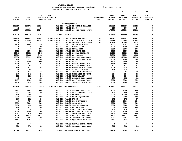|               | $\textdegree$ OF YEAR = 100 $\textdegree$<br>BUDGETARY REVENUE AND EXPENSE WORKSHEET |                   |                                     |                                          |                  |                |                 |                 |                |  |  |
|---------------|--------------------------------------------------------------------------------------|-------------------|-------------------------------------|------------------------------------------|------------------|----------------|-----------------|-----------------|----------------|--|--|
|               |                                                                                      |                   |                                     | FOR FISCAL YEAR ENDING JUNE 30 2023      |                  |                |                 |                 |                |  |  |
|               |                                                                                      |                   |                                     |                                          |                  | 10             | 20              | 30              | 40             |  |  |
|               |                                                                                      |                   |                                     |                                          |                  |                |                 |                 |                |  |  |
|               |                                                                                      | $21 - 22$         | $21 - 22$                           |                                          |                  | $22 - 23$      | $22 - 23$       | $22 - 23$       | $22 - 23$      |  |  |
| $19 - 20$     | $20 - 21$                                                                            |                   | ADOPTED BUDGETED                    |                                          | <b>REQUESTED</b> | <b>INITIAL</b> | <b>PROPOSED</b> | <b>APPROVED</b> | <b>ADOPTED</b> |  |  |
| <b>ACTUAL</b> | <b>ACTUAL</b>                                                                        | <b>BUDGET FTE</b> |                                     |                                          | <b>FTE</b>       | <b>BUDGET</b>  | <b>BUDGET</b>   | <b>BUDGET</b>   | <b>BUDGET</b>  |  |  |
|               |                                                                                      |                   |                                     | <b>COMMISSIONERS</b>                     |                  |                |                 |                 |                |  |  |
| 238210        | 257075                                                                               | 202965            |                                     | 010-013-301.01 BEGINNING BALANCE         |                  | 241238         | 241238          | 241238          | 0              |  |  |
| 43            | 60                                                                                   | 200               | 010-013-362.99 MISC                 |                                          |                  | 200            | 200             | 200             | 0              |  |  |
| 183297        | 155383                                                                               | 192467            |                                     | 010-013-380.10 CO INT ADMIN OVERH        |                  | 170030         | 170030          | 170030          | 0              |  |  |
|               |                                                                                      |                   |                                     |                                          |                  |                |                 |                 |                |  |  |
| 421550        | 412518                                                                               | 395632            | <b>TOTAL REVENUE</b>                |                                          |                  | 411468         | 411468          | 411468          | 0              |  |  |
|               |                                                                                      |                   |                                     |                                          |                  |                |                 |                 |                |  |  |
| 229608        | 229955                                                                               | 239831            | 3.0000 010-013-400.01 COMMISSIONERS |                                          | 3.0000           | 239493         | 239493          | 239493          | 0              |  |  |
| 98279         | 105086                                                                               | 113923            |                                     | 2.0000 010-013-401.42 EXECUTIVE OFFICE S | 2.0000           | 104984         | 104984          | 104984          | 0              |  |  |
| 0             | 0                                                                                    | $\mathbf 0$       |                                     | 010-013-401.53 COUNTY ADMINISTRAT        | .2000            | 30199          | 30199           | 30199           | 0              |  |  |
| 3170          | 5885                                                                                 | 3204              |                                     | 010-013-479.00 OTHER EARNINGS            |                  | 3203           | 3203            | 3203            | 0              |  |  |
| 0             | 0                                                                                    | 1000              |                                     | 010-013-480.00 EXTRA HOURS               |                  | 1000           | 1000            | 1000            | 0              |  |  |
| 0             | 0                                                                                    | 5000              |                                     | 010-013-482.00 EXTRA HELP                |                  | 5000           | 5000            | 5000            | 0              |  |  |
| 4759          | 4900                                                                                 | 5252              |                                     | 010-013-490.00 MEDICARE TAX              |                  | 5128           | 5128            | 5128            | 0              |  |  |
| 20349         | 20953                                                                                | 22457             |                                     | 010-013-491.00 SOCIAL SECURITY           |                  | 21928          | 21928           | 21928           | 0              |  |  |
| 44316         | 47685                                                                                | 54931             |                                     | 010-013-492.00 RETIREMENT                |                  | 61050          | 61050           | 61050           | 0              |  |  |
| 85578         | 93919                                                                                | 103815            |                                     | 010-013-493.10 MEDICAL INSURANCE         |                  | 115180         | 115180          | 115180          | 0              |  |  |
| 118           | 137                                                                                  | 1000              |                                     | 010-013-493.12 EMPLOYEE ASSISTANC        |                  | 1000           | 1000            | 1000            | 0              |  |  |
| 6000          | 6000                                                                                 | 6000              | 010-013-493.15 VEBA                 |                                          |                  | 7800           | 7800            | 7800            | 0              |  |  |
| 7706          | 7479                                                                                 | 7630              |                                     | 010-013-493.20 DENTAL INSURANCE          |                  | 7644           | 7644            | 7644            | 0              |  |  |
| 775           | 769                                                                                  | 775               |                                     | 010-013-493.25 VISION INSURANCE          |                  | 822            | 822             | 822             | 0              |  |  |
| 599           | 674                                                                                  | 2925              |                                     | 010-013-493.31 SHORT TERM DISABIL        |                  | 2925           | 2925            | 2925            | 0              |  |  |
| 90            | 208                                                                                  | 130               |                                     | 010-013-493.40 LIFE INSURANCE            |                  | 135            | 135             | 135             | 0              |  |  |
| 726           | 574                                                                                  | 362               |                                     | 010-013-494.00 ACCIDENT INSURANCE        |                  | 283            | 283             | 283             | 0              |  |  |
| 340           | 342                                                                                  | 362               |                                     | 010-013-494.80 TIME LOSS RESERVE         |                  | 354            | 354             | 354             | 0              |  |  |
| 103           | 113                                                                                  | 362               |                                     | 010-013-495.00 UNEMPLOYMENT              |                  | 354            | 354             | 354             | 0              |  |  |
| 45            | 42                                                                                   | 130               |                                     | 010-013-496.00 WORKERS COMP ASSES        |                  | 135            | 135             | 135             | 0              |  |  |
| 1477          | 1581                                                                                 | 1500              |                                     | 010-013-499.00 FET/VACATION/SICK         |                  | 3500           | 3500            | 3500            | 0              |  |  |
| 1798          | 5012                                                                                 | 1000              |                                     | 010-013-499.99 VACATION LIAB. ADJ        |                  | 1000           | 1000            | 1000            | 0              |  |  |
|               |                                                                                      |                   |                                     |                                          |                  |                |                 |                 |                |  |  |
| 505836        | 531314                                                                               | 571589            | 5.0000 TOTAL FOR PERSONNEL          |                                          | 5.2000           | 613117         | 613117          | 613117          | 0              |  |  |
| 4392          | 4657                                                                                 | 8000              |                                     | 010-013-510.01 CENTRAL SUPPLIES          |                  | 8000           | 8000            | 8000            | 0              |  |  |
| 801           | 302                                                                                  | 500               |                                     | 010-013-513.03 PUBLICATIONS & DUE        |                  | 500            | 500             | 500             | 0              |  |  |
| 180           | 180                                                                                  | 0                 | 010-013-513.06 SOFTWARE             |                                          |                  | 10000          | 10000           | 10000           | 0              |  |  |
| 3526          | 6219                                                                                 | 5000              |                                     | 010-013-543.01 DEPT. EQUIPMENT           |                  | 5000           | 5000            | 5000            | 0              |  |  |
| 360           | 352                                                                                  | 368               | 010-013-611.01 AUDIT                |                                          |                  | 371            | 371             | 371             | 0              |  |  |
| 0             | 750                                                                                  | 1500              |                                     | 010-013-612.01 MISC TRAINING             |                  | 1500           | 1500            | 1500            | 0              |  |  |
| 2831          | 3009                                                                                 | 3200              | 010-013-620.01 TELEPHONE            |                                          |                  | 3200           | 3200            | 3200            | 0              |  |  |
| 5676          | 432                                                                                  | 4000              |                                     | 010-013-630.01 TRAVEL EXPENSE            |                  | 5000           | 5000            | 5000            | 0              |  |  |
| 418           | 619                                                                                  | 1000              |                                     | 010-013-640.01 ADVERTISING               |                  | 2000           | 2000            | 2000            | 0              |  |  |
| 0             | $\mathbf 0$                                                                          | 250               |                                     | 010-013-683.01 COPY MACHINES/MAIN        |                  | 250            | 250             | 250             | $\Omega$       |  |  |
| 1000          | 1000                                                                                 | 1000              |                                     | 010-013-692.16 AMBASSADOR SCHOLAR        |                  | 1000           | 1000            | 1000            | 0              |  |  |
| 1793          | 870                                                                                  | 4500              |                                     | 010-013-699.00 COMMISSIONERS DISC        |                  | 4500           | 4500            | 4500            | 0              |  |  |
| 15075         | 15075                                                                                | 15373             |                                     | 010-013-780.01 BUILDING RESERVE          |                  | 15673          | 15673           | 15673           | 0              |  |  |
| 4996          | 3983                                                                                 | 3983              |                                     | 010-013-780.04 INTERNAL TELECOMMU        |                  | 3983           | 3983            | 3983            | 0              |  |  |
| 4444          | 4756                                                                                 | 3433              |                                     | 010-013-780.06 EQUIPMENT REPLACEM        |                  | 3417           | 3417            | 3417            | 0              |  |  |
|               |                                                                                      |                   |                                     |                                          |                  |                |                 |                 |                |  |  |
| 10            | 0                                                                                    | 0                 |                                     | 010-013-780.09 MANUAL CHECK CHARG        |                  | 0              | 0               | 0               | 0              |  |  |
| 520           | 373                                                                                  | 813               |                                     | 010-013-780.54 TELECOMM PER CALL         |                  | 312            | 312             | 312             | $\mathbf 0$    |  |  |
|               |                                                                                      |                   |                                     |                                          |                  |                |                 |                 |                |  |  |
| 46022         | 42577                                                                                | 52920             |                                     | TOTAL FOR MATERIALS & SERVICES           |                  | 64706          | 64706           | 64706           | $\mathbf 0$    |  |  |

 **YAMHILL COUNTY**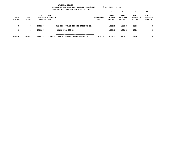|                        | YAMHILL COUNTY<br>$8$ OF YEAR = 100 $8$<br>BUDGETARY REVENUE AND EXPENSE WORKSHEET<br>FOR FISCAL YEAR ENDING JUNE 30 2023 |                                            |              |                                               |                         |                                       |                                               |                                               |                                              |  |  |  |  |
|------------------------|---------------------------------------------------------------------------------------------------------------------------|--------------------------------------------|--------------|-----------------------------------------------|-------------------------|---------------------------------------|-----------------------------------------------|-----------------------------------------------|----------------------------------------------|--|--|--|--|
|                        |                                                                                                                           |                                            |              |                                               |                         | 10                                    | 20                                            | 30                                            | 40                                           |  |  |  |  |
| 19-20<br><b>ACTUAL</b> | $20 - 21$<br><b>ACTUAL</b>                                                                                                | 21-22<br>ADOPTED BUDGETED<br><b>BUDGET</b> | 21-22<br>FTE |                                               | <b>REQUESTED</b><br>FTE | $22 - 23$<br>INITIAL<br><b>BUDGET</b> | $22 - 23$<br><b>PROPOSED</b><br><b>BUDGET</b> | $22 - 23$<br><b>APPROVED</b><br><b>BUDGET</b> | $22 - 23$<br><b>ADOPTED</b><br><b>BUDGET</b> |  |  |  |  |
| 0                      | $\mathbf{o}$                                                                                                              | 170126                                     |              | 010-013-990.01 ENDING BALANCE COM             |                         | 132648                                | 132648                                        | 132648                                        | 0                                            |  |  |  |  |
| 0                      | 0                                                                                                                         | 170126                                     |              | TOTAL FOR 900-999                             |                         | 132648                                | 132648                                        | 132648                                        | 0                                            |  |  |  |  |
| 551858                 | 573891                                                                                                                    | 794635                                     |              | 5.0000 TOTAL EXPENSES<br><b>COMMISSIONERS</b> | 5.2000                  | 810471                                | 810471                                        | 810471                                        | 0                                            |  |  |  |  |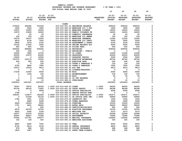|               |               |                   |                                                     | FUR FISCAL IEAR ENDING OUNE 30 ZUZJ |                  |               |                 |                 |                |
|---------------|---------------|-------------------|-----------------------------------------------------|-------------------------------------|------------------|---------------|-----------------|-----------------|----------------|
|               |               |                   |                                                     |                                     |                  | 10            | 20              | 30              | 40             |
|               |               | $21 - 22$         | $21 - 22$                                           |                                     |                  | $22 - 23$     | $22 - 23$       | $22 - 23$       | $22 - 23$      |
| $19 - 20$     | $20 - 21$     |                   | <b>ADOPTED BUDGETED</b>                             |                                     | <b>REQUESTED</b> | INITIAL       | <b>PROPOSED</b> | <b>APPROVED</b> | <b>ADOPTED</b> |
| <b>ACTUAL</b> | <b>ACTUAL</b> | <b>BUDGET FTE</b> |                                                     |                                     | FTE              | <b>BUDGET</b> | <b>BUDGET</b>   | <b>BUDGET</b>   | <b>BUDGET</b>  |
|               |               |                   |                                                     |                                     |                  |               |                 |                 |                |
|               |               |                   | <b>CLERK</b>                                        |                                     |                  |               |                 |                 |                |
| 279432        | 465660        | 510329            |                                                     | 010-015-301.01 BEGINNING BALANCE    |                  | 608543        | 608543          | 608543          | 0              |
| 1920          | 2560          | 1800              |                                                     | 010-015-322.20 MARRIAGE LIC 3 DAY   |                  | 1800          | 1800            | 1800            | 0              |
| 13975         | 15900         | 16000             |                                                     | 010-015-322.21 MARRIAGE LICENSE     |                  | 16000         | 16000           | 16000           | 0              |
| 13975         | 15925         | 16025             |                                                     | 010-015-322.22 FAMILY VIOLENCE FE   |                  | 16025         | 16025           | 16025           | 0              |
| 0             | 25            | 25                |                                                     | 010-015-322.23 DOMESTIC PARTNERSH   |                  | 25            | 25              | 25              | 0              |
| 100           | 150           | 150               |                                                     | 010-015-322.24 MARRIAGE LIC AMEND   |                  | 150           | 150             | 150             | 0              |
| 10079         | 14157         | 11000             |                                                     | 010-015-322.27 MARRIAGE CEREMONY    |                  | 11000         | 11000           | 11000           | 0              |
| 4676          | 4136          | 7000              |                                                     | 010-015-322.28 MARRIAGE LIC CERTI   |                  | 5000          | 5000            | 5000            | 0              |
| 2852          | 3276          | 2100              |                                                     | 010-015-334.29 ASSESSMENT & TAXAT   |                  | 2100          | 2100            | 2100            | 0              |
| 10125         | 11250         | 2500              |                                                     | 010-015-340.99 ONLINE RECORDS ACC   |                  | 5000          | 5000            | 5000            | 0              |
| 450           | 820           | 500               | 010-015-341.02 FILING FEES                          |                                     |                  | 500           | 500             | 500             | 0              |
| 645550        | 896685<br>406 | 504640            | 010-015-341.04 RECORDING                            |                                     |                  | 609000        | 609000          | 609000          | 0<br>0         |
| 536<br>12365  | 7860          | 5<br>13750        |                                                     | 010-015-341.06 RECORDING - OVER/S   |                  | 5<br>11290    | 5<br>11290      | 5<br>11290      | 0              |
| 52500         | 10570         | 45500             | 010-015-341.07 CO LIENS<br>010-015-341.08 PASSPORTS |                                     |                  | 45500         | 45500           | 45500           | 0              |
| 19430         | 0             | 10000             |                                                     | 010-015-341.17 PASSPORT PHOTOS      |                  | 5000          | 5000            | 5000            | 0              |
| 191375        | 120174        | 70000             |                                                     | 010-015-341.20 ELECTION REIMBURSE   |                  | 92742         | 92742           | 92742           | 0              |
| 262           | 585           | 200               |                                                     | 010-015-341.23 ELECTION DATA        |                  | 200           | 200             | 200             | 0              |
| 0             | 0             | 120               |                                                     | 010-015-341.24 VOTER'S PAMPHLET P   |                  | 120           | 120             | 120             | 0              |
| 6750          | 6800          | 7500              |                                                     | 010-015-341.42 VOTER'S PAMPHLET     |                  | 7500          | 7500            | 7500            | 0              |
| 10513         | 13223         | 9413              | 010-015-341.43 A&T FEE                              |                                     |                  | 9413          | 9413            | 9413            | 0              |
| 0             | 0             | 5                 |                                                     | 010-015-341.44 LICENSE/PASSPORT -   |                  | 5             | 5               | 5               | 0              |
| 17234         | 10300         | 6550              | 010-015-341.99 MISC                                 |                                     |                  | 6550          | 6550            | 6550            | 0              |
| 0             | 1036          | 100               |                                                     | 010-015-362.12 REIMBURSEMENT        |                  | 100           | 100             | 100             | 0              |
| 7             | з             | 25                | 010-015-362.99 MISC                                 |                                     |                  | 25            | 25              | 25              | 0              |
| $\mathbf 0$   | 0             | 112000            |                                                     | 010-015-380.01 CO INT REVENUE       |                  | 0             | 0               | $\mathbf 0$     | 0              |
| $192 -$       | 0             | 10                | 010-015-389.01 OVER/SHORT                           |                                     |                  | 10            | 10              | 10              | 0              |
| 1293914       | 1601501       | 1347247           | <b>TOTAL REVENUE</b>                                |                                     |                  | 1453603       | 1453603         | 1453603         | 0              |
| 79367         | 79575         | 82359             | 1.0000 010-015-400.03 CLERK                         |                                     | 1.0000           | 84005         | 84005           | 84005           | 0              |
| 65136         | 68105         | 71825             | 1.0000 010-015-401.06 CHIEF DEPUTY                  |                                     | 1.0000           | 68188         | 68188           | 68188           | 0              |
| 0             | 0             | 6046              |                                                     | 010-015-402.02 OFFICE SPECIALIST    |                  | 6046          | 6046            | 6046            | 0              |
| 1748          | 0             | 0                 |                                                     | 010-015-402.03 SENIOR OFFICE SPEC   |                  | 0             | 0               | $\mathbf 0$     | 0              |
| 158301        | 119877        | 142228            | 3.0000 010-015-402.20 OFFICE SPECIALIST             |                                     | 3.0000           | 145471        | 145471          | 145471          | $\mathbf 0$    |
| 0             | 51268         | 55134             | 1.0000 010-015-403.71 SR OFFICE SPEC TEC            |                                     | 1.0000           | 59995         | 59995           | 59995           | 0              |
| 1780          | 1941          | 2700              |                                                     | 010-015-475.00 LONGEVITY PAY        |                  | 1500          | 1500            | 1500            | 0              |
| 0             | 6660          | 2499              |                                                     | 010-015-479.00 OTHER EARNINGS       |                  | 2499          | 2499            | 2499            | 0              |
| 6659          | 14503         | 5000              | 010-015-481.00 OVERTIME                             |                                     |                  | 10000         | 10000           | 10000           | 0              |
| 1721          | 4401          | 38420             | 010-015-482.00 EXTRA HELP                           |                                     |                  | 38420         | 38420           | 38420           | 0              |
| 0             | 0             | 650               |                                                     | 010-015-485.00 CERTIFICATION/EDUC   |                  | 650           | 650             | 650             | 0              |
| 8976          | 25709         | 19700             |                                                     | 010-015-487.00 ELECTION PERSONNEL   |                  | 19700         | 19700           | 19700           | 0              |
| 4602          | 5065          | 5196              | 010-015-490.00 MEDICARE TAX                         |                                     |                  | 5273          | 5273            | 5273            | 0              |
| 19677         | 21670         | 22220             |                                                     | 010-015-491.00 SOCIAL SECURITY      |                  | 22548         | 22548           | 22548           | 0              |
| 55287         | 66627         | 72358             | 010-015-492.00 RETIREMENT                           |                                     |                  | 73385         | 73385           | 73385           | 0              |
| 97042         | 107791        | 124577            |                                                     | 010-015-493.10 MEDICAL INSURANCE    |                  | 132900        | 132900          | 132900          | 0              |
| 142           | 164           | 325               |                                                     | 010-015-493.12 EMPLOYEE ASSISTANC   |                  | 325           | 325             | 325             | 0              |
| 6800          | 6900          | 7200              | 010-015-493.15 VEBA                                 |                                     |                  | 9000          | 9000            | 9000            | 0              |
| 8734          | 8614          | 9156              |                                                     | 010-015-493.20 DENTAL INSURANCE     |                  | 8820          | 8820            | 8820            | 0              |
| 878           | 886           | 930               |                                                     | 010-015-493.25 VISION INSURANCE     |                  | 948           | 948             | 948             | 0              |
| 1843          | 1997          | 300               |                                                     | 010-015-493.31 SHORT TERM DISABIL   |                  | 300           | 300             | 300             | 0              |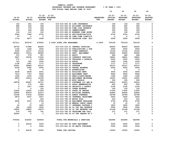|               |               |                   |                                                                       |                  | 10             | 20              | 30              | 40             |
|---------------|---------------|-------------------|-----------------------------------------------------------------------|------------------|----------------|-----------------|-----------------|----------------|
|               |               | $21 - 22$         | $21 - 22$                                                             |                  | $22 - 23$      | $22 - 23$       | $22 - 23$       | $22 - 23$      |
| $19 - 20$     | $20 - 21$     | ADOPTED BUDGETED  |                                                                       | <b>REQUESTED</b> | <b>INITIAL</b> | <b>PROPOSED</b> | <b>APPROVED</b> | <b>ADOPTED</b> |
| <b>ACTUAL</b> | <b>ACTUAL</b> | <b>BUDGET FTE</b> |                                                                       | <b>FTE</b>       | <b>BUDGET</b>  | <b>BUDGET</b>   | <b>BUDGET</b>   | <b>BUDGET</b>  |
| 102           | 241           | 156               | 010-015-493.40 LIFE INSURANCE                                         |                  | 156            | 156             | 156             | 0              |
| 488           | 418           | 348               | 010-015-494.00 ACCIDENT INSURANCE                                     |                  | 285            | 285             | 285             | 0              |
| 335           | 379           | 348               | 010-015-494.80 TIME LOSS RESERVE                                      |                  | 356            | 356             | 356             | 0              |
| 250           | 299           | 348               | 010-015-495.00 UNEMPLOYMENT                                           |                  | 356            | 356             | 356             | 0              |
| 118           | 123           | 152               | 010-015-496.00 WORKERS COMP ASSES                                     |                  | 156            | 156             | 156             | 0              |
| 5546          | 7284          | 6752              | 010-015-499.00 FET/VACATION/SICK                                      |                  | 6752           | 6752            | 6752            | 0              |
| $37 -$        | 0             | 0                 | 010-015-499.98 COMP TIME LIABILIT                                     |                  | $\mathbf 0$    | 0               | 0               | 0              |
| 1716          | 2877          | 2095              | 010-015-499.99 VACATION LIAB. ADJ                                     |                  | 2095           | 2095            | 2095            | 0              |
| 527211        | 603374        | 679022            | 6.0000 TOTAL FOR PERSONNEL                                            | 6.0000           | 700129         | 700129          | 700129          | $\mathbf 0$    |
| 66745         | 57688         | 84405             | 010-015-510.01 CENTRAL SUPPLIES                                       |                  | 84405          | 84405           | 84405           | 0              |
| 1194          | 1248          | 2650              | 010-015-513.03 PUBLICATIONS & DUE                                     |                  | 2650           | 2650            | 2650            | 0              |
| 5354          | 13137         | 10142             | 010-015-513.05 VOTER PAMPHLET                                         |                  | 10142          | 10142           | 10142           | 0              |
| 49383         | 72016         | 48905             | 010-015-543.01 DEPT. EQUIPMENT                                        |                  | 55905          | 55905           | 55905           | 0              |
| 570           | 579           | 587               | 010-015-611.01 AUDIT                                                  |                  | 686            | 686             | 686             | 0              |
| 9927          | 19339         | 17630             | 010-015-611.02 CONTRACT SERVICES                                      |                  | 18891          | 18891           | 18891           | 0              |
| 170           | $\mathbf 0$   | 2000              | 010-015-612.05 TRAINING & DEVELOP                                     |                  | 2000           | 2000            | 2000            | 0              |
| 723           | 350           | 1000              | 010-015-615.02 BOPTA                                                  |                  | 1000           | 1000            | 1000            | 0<br>0         |
| 1138          | 1091          | 1177              | 010-015-620.01 TELEPHONE                                              |                  | 1177           | 1177            | 1177            | 0              |
| 30341<br>4318 | 36969<br>2685 | 43147<br>5000     | 010-015-621.01 POSTAGE<br>010-015-630.01 TRAVEL EXPENSE               |                  | 43147<br>5000  | 43147<br>5000   | 43147<br>5000   | 0              |
| $\mathbf{0}$  | 70            | $\mathbf 0$       | 010-015-640.01 ADVERTISING                                            |                  | $\Omega$       | $\mathbf 0$     | $\mathbf 0$     | 0              |
| 2228          | 4638          | 2551              | 010-015-652.01 BUILDING RENT                                          |                  | 3000           | 3000            | 3000            | 0              |
| 7419          | 7723          | 9659              | 010-015-652.02 EQUIPMENT RENT                                         |                  | 9659           | 9659            | 9659            | 0              |
| 1296          | 1230          | 1380              | 010-015-670.02 HEAT/LIGHTS/WATER                                      |                  | 1380           | 1380            | 1380            | 0              |
| 4803          | 10619         | 14190             | 010-015-680.08 EQUIPMENT MAINTENA                                     |                  | 14591          | 14591           | 14591           | 0              |
| 0             | $\mathbf{o}$  | 500               | 010-015-680.99 MISC REPAIR                                            |                  | 500            | 500             | 500             | 0              |
| 58978         | 65567         | 60747             | 010-015-683.07 SOFTWARE LIC AND M                                     |                  | 63915          | 63915           | 63915           | 0              |
| 0             | 275           | 850               | 010-015-691.01 ASSOC MEMBERSHIPS                                      |                  | 850            | 850             | 850             | 0              |
| 0             | 1627          | 1995              | 010-015-692.04 SECURITY & SAFETY                                      |                  | 2195           | 2195            | 2195            | 0              |
| 0             | 0             | 100               | 010-015-699.01 OTHER EXPENSE                                          |                  | 100            | 100             | 100             | 0              |
| 13400         | 14925         | 17000             | 010-015-700.01 STATE OF OREGON                                        |                  | 17000          | 17000           | 17000           | 0              |
| 52490         | 60419         | 61613             | 010-015-780.01 BUILDING RESERVE                                       |                  | 62806          | 62806           | 62806           | 0              |
| 15338         | 17418         | 20244             | 010-015-780.03 ADMIN OVERHEAD                                         |                  | 24789          | 24789           | 24789           | 0              |
| 5879          | 5007          | 5027              | 010-015-780.04 INTERNAL TELECOMMU                                     |                  | 5400           | 5400            | 5400            | 0              |
| 0             | 0             | 250               | 010-015-780.05 MOTOR POOL                                             |                  | 250            | 250             | 250             | 0              |
| 4692          | 4337          | 4709              | 010-015-780.06 EQUIPMENT REPLACEM                                     |                  | 4709           | 4709            | 4709            | 0              |
| $\mathbf 0$   | $\mathbf{o}$  | 10                | 010-015-780.09 MANUAL CHECK CHARG                                     |                  | 10             | 10              | 10              | 0              |
| 54            | 70            | 1800              | 010-015-780.17 INTERNAL POSTAGE C                                     |                  | 1800           | 1800            | 1800            | 0              |
| 540           | 1928<br>16800 | 3500<br>15875     | 010-015-780.44 CO INT PEL RESERVE                                     |                  | 3500<br>21168  | 3500<br>21168   | 3500<br>21168   | 0<br>0         |
| 16800<br>574  | 545           | 761               | 010-015-780.46 CO INT NETWORK CHA<br>010-015-780.54 TELECOMM PER CALL |                  | 371            | 371             | 371             | 0              |
|               | 0             | 0                 |                                                                       |                  | 0              | 0               | 0               | 0              |
| 25000         |               |                   | 010-015-780.63 CO INT TRNSFR TO C                                     |                  |                |                 |                 |                |
| 379354        | 418300        | 439404            | TOTAL FOR MATERIALS & SERVICES                                        |                  | 462996         | 462996          | 462996          | 0              |
| 0             | 40218         | 5000              | 010-015-800.80 DEPT EQUIPMENT                                         |                  | 5000           | 5000            | 5000            | 0              |
| 0             | 0             | 5500              | 010-015-801.04 DP EQUIP PURCHASE                                      |                  | 5500           | 5500            | 5500            | 0              |
|               |               |                   |                                                                       |                  |                |                 |                 |                |
| 0             | 40218         | 10500             | TOTAL FOR CAPITAL                                                     |                  | 10500          | 10500           | 10500           | 0              |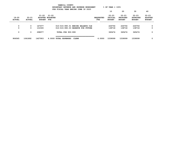|                            | YAMHILL COUNTY<br>$YEAR = 100\%$<br>BUDGETARY REVENUE AND EXPENSE WORKSHEET<br>% OF<br>FOR FISCAL YEAR ENDING JUNE 30 2023 |                            |                                  |                                       |                         |                                       |                                               |                                               |                                              |  |  |  |  |
|----------------------------|----------------------------------------------------------------------------------------------------------------------------|----------------------------|----------------------------------|---------------------------------------|-------------------------|---------------------------------------|-----------------------------------------------|-----------------------------------------------|----------------------------------------------|--|--|--|--|
|                            |                                                                                                                            |                            |                                  |                                       |                         | 10                                    | 20                                            | 30                                            | 40                                           |  |  |  |  |
| $19 - 20$<br><b>ACTUAL</b> | $20 - 21$<br><b>ACTUAL</b>                                                                                                 | $21 - 22$<br><b>BUDGET</b> | 21-22<br>ADOPTED BUDGETED<br>FTE |                                       | <b>REQUESTED</b><br>FTE | $22 - 23$<br>INITIAL<br><b>BUDGET</b> | $22 - 23$<br><b>PROPOSED</b><br><b>BUDGET</b> | $22 - 23$<br><b>APPROVED</b><br><b>BUDGET</b> | $22 - 23$<br><b>ADOPTED</b><br><b>BUDGET</b> |  |  |  |  |
| 0                          | 0                                                                                                                          | 167477                     |                                  | 010-015-990.01 ENDING BALANCE CLE     |                         | 226756                                | 226756                                        | 226756                                        | 0                                            |  |  |  |  |
| 0                          | 0                                                                                                                          | 131500                     |                                  | 010-015-990.03 RESERVE FOR FUTURE     |                         | 138718                                | 138718                                        | 138718                                        | 0                                            |  |  |  |  |
| 0                          | 0                                                                                                                          | 298977                     |                                  | TOTAL FOR 900-999                     |                         | 365474                                | 365474                                        | 365474                                        | 0                                            |  |  |  |  |
| 906565                     | 1061892                                                                                                                    | 1427903                    |                                  | 6.0000 TOTAL EXPENSES<br><b>CLERK</b> | 6.0000                  | 1539099                               | 1539099                                       | 1539099                                       | 0                                            |  |  |  |  |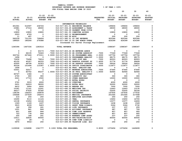| YAMHILL COUNTY                          |                       |
|-----------------------------------------|-----------------------|
| BUDGETARY REVENUE AND EXPENSE WORKSHEET | $8$ OF YEAR = 100 $8$ |
| FOR FISCAL YEAR ENDING JUNE 30 2023     |                       |

|               |               |                      |                                    |                                                                        |                  | 10              | 20              | 30              | 40               |
|---------------|---------------|----------------------|------------------------------------|------------------------------------------------------------------------|------------------|-----------------|-----------------|-----------------|------------------|
|               |               | $21 - 22$            | $21 - 22$                          |                                                                        |                  | $22 - 23$       | $22 - 23$       | $22 - 23$       | $22 - 23$        |
| $19 - 20$     | $20 - 21$     |                      | <b>ADOPTED BUDGETED</b>            |                                                                        | <b>REQUESTED</b> | INITIAL         | <b>PROPOSED</b> | <b>APPROVED</b> | <b>ADOPTED</b>   |
| <b>ACTUAL</b> | <b>ACTUAL</b> | <b>BUDGET</b>        | FTE                                |                                                                        | FTE              | <b>BUDGET</b>   | <b>BUDGET</b>   | <b>BUDGET</b>   | <b>BUDGET</b>    |
|               |               |                      |                                    |                                                                        |                  |                 |                 |                 |                  |
|               |               |                      |                                    | INFORMATION TECHNOLOGY                                                 |                  |                 |                 |                 |                  |
| 451061        | 512597        | 236724<br>28000      |                                    | 010-017-301.01 BEGINNING BALANCE                                       |                  | 199604<br>28000 | 199604<br>28000 | 199604<br>28000 | $\mathbf 0$<br>0 |
| 23981<br>774  | 27314<br>0    | 0                    |                                    | 010-017-334.29 ASSESSMENT & TAXAT<br>010-017-336.09 PAYMENT FROM CITIE |                  | 0               | 0               | 0               | 0                |
| 10800         | 10800         | 10800                |                                    | 010-017-341.55 COMPUTER ACCESS                                         |                  | 10800           | 10800           | 10800           | 0                |
| 2503          | 4729          | 0                    |                                    | 010-017-362.12 REIMBURSEMENT                                           |                  | 0               | 0               | 0               | 0                |
| 11            | 497           | 0                    | 010-017-362.99 MISC                |                                                                        |                  | 200             | 200             | 200             | 0                |
| 562239        | 731155        | 728604               |                                    | 010-017-380.01 CO INT REVENUE                                          |                  | 925344          | 925344          | 925344          | 0                |
| 189025        | 180244        | 279388               |                                    | 010-017-380.10 CO INT ADMIN OVERH                                      |                  | 424399          | 424399          | 424399          | 0                |
|               |               |                      |                                    | Increased for Server Storage Replacement                               |                  |                 |                 |                 |                  |
| 1240394       | 1467336       | 1283516              | <b>TOTAL REVENUE</b>               |                                                                        |                  | 1588347         | 1588347         | 1588347         | $\mathbf 0$      |
|               |               |                      |                                    |                                                                        |                  |                 |                 |                 |                  |
| 0             | $\mathbf 0$   | 63173                |                                    | .7000 010-017-403.24 SR NETWORK ADMIN                                  |                  | 0               | $\mathbf 0$     | $\mathbf 0$     | 0                |
| 0             | 64135         | 72443                |                                    | .7000 010-017-403.50 SR SYSTEM ADMINIST                                | .7000            | 77049           | 77049           | 77049           | 0                |
| 322724        | 227446        | 273311               |                                    | 3.0000 010-017-403.51 SR PROGRAMMER ANAL                               | 2.0000           | 197756          | 197756          | 197756          | 0                |
| 1658          | 0             | $\mathbf 0$          |                                    | 010-017-403.52 PROGRAMMER ANALYST                                      | 1.0000           | 68175           | 68175           | 68175           | 0                |
| 72432         | 75498         | 79614                | .7000 010-017-403.53 INFO SYST MGR |                                                                        | .7000            | 82003           | 82003           | 82003           | 0                |
| 42152         | 40357         | 46333                |                                    | .7000 010-017-403.62 DESKTOP SUPPORT SP                                | 1.4000           | 51776           | 51776           | 99499           | 0                |
| 43000         | 46708         | 52323                |                                    | .7000 010-017-403.63 SR DESKTOP SUPPORT                                | .7000            | 56024           | 56024           | 56024           | 0                |
| 95334         | 101494        | 110367               |                                    | 1.6000 010-017-403.64 OFFICE COORDINATOR                               | 1.6000           | 113677          | 113677          | 113677          | 0                |
| 1658          | 0             | 0                    |                                    | 010-017-403.66 PROG. ANALYST-DBA                                       |                  | 0               | 0               | 0               | 0                |
| 53501         | 52017         | 0                    |                                    | 010-017-403.67 NETWORK ADMINISTRA                                      | .7000            | 67440           | 67440           | 67440           | 0                |
| 0<br>60727    | 83752<br>1366 | 90237<br>$\mathbf 0$ |                                    | 1.0000 010-017-403.68 SR PROG. ANALYST-D                               | 1.0000           | 92944<br>0      | 92944<br>0      | 92944<br>0      | 0<br>0           |
| 2700          | 900           | 900                  |                                    | 010-017-403.69 SYSTEM ADMINISTRAT<br>010-017-475.00 LONGEVITY PAY      |                  | 300             | 300             | 300             | 0                |
| 2221          | 17710         | 2500                 |                                    | 010-017-479.00 OTHER EARNINGS                                          |                  | 10000           | 10000           | 10000           | 0                |
| 0             | 5             | 0                    |                                    | 010-017-480.00 EXTRA HOURS                                             |                  | 0               | 0               | 0               | 0                |
| 3791          | 3033          | 6000                 |                                    | 010-017-481.00 OVERTIME                                                |                  | 4000            | 4000            | 4000            | 0                |
| 2631          | 24919         | 38000                |                                    | 010-017-482.00 EXTRA HELP                                              |                  | 30000           | 30000           | 30000           | 0                |
| 6412          | 5904          | 9000                 |                                    | 010-017-484.00 BEEPER PAY                                              |                  | 7000            | 7000            | 7000            | 0                |
| 10341         | 11141         | 12241                |                                    | 010-017-490.00 MEDICARE TAX                                            |                  | 12443           | 12443           | 13135           | 0                |
| 44217         | 47635         | 52340                |                                    | 010-017-491.00 SOCIAL SECURITY                                         |                  | 53205           | 53205           | 56164           | 0                |
| 138196        | 144253        | 164878               |                                    | 010-017-492.00 RETIREMENT                                              |                  | 167935          | 167935          | 177532          | 0                |
| 156668        | 157439        | 192473               |                                    | 010-017-493.10 MEDICAL INSURANCE                                       |                  | 201565          | 201565          | 217068          | 0                |
| 214           | 254           | 250                  |                                    | 010-017-493.12 EMPLOYEE ASSISTANC                                      |                  | 250             | 250             | 250             | 0                |
| 10290         | 9110          | 11124                | 010-017-493.15 VEBA                |                                                                        |                  | 13650           | 13650           | 14700           | 0                |
| 12138         | 10454         | 14146                |                                    | 010-017-493.20 DENTAL INSURANCE                                        |                  | 13377           | 13377           | 14406           | 0                |
| 1329          | 1169          | 1437                 |                                    | 010-017-493.25 VISION INSURANCE                                        |                  | 1438            | 1438            | 1549            | 0                |
| 3915          | 4039          | 5423                 |                                    | 010-017-493.31 SHORT TERM DISABIL                                      |                  | 5324            | 5324            | 5732            | 0                |
| 162           | 358           | 241                  |                                    | 010-017-493.40 LIFE INSURANCE                                          |                  | 237             | 237             | 255             | 0                |
| 1251          | 841           | 844                  |                                    | 010-017-494.00 ACCIDENT INSURANCE                                      |                  | 687             | 687             | 726             | 0                |
| 651           | 690           | 844                  |                                    | 010-017-494.80 TIME LOSS RESERVE                                       |                  | 857             | 857             | 905             | 0                |
| 723           | 778           | 844                  |                                    | 010-017-495.00 UNEMPLOYMENT                                            |                  | 857             | 857             | 905             | 0                |
| 205           | 188           | 241                  |                                    | 010-017-496.00 WORKERS COMP ASSES                                      |                  | 237             | 237             | 255             | 0                |
| 12411         | 32835         | 40000                |                                    | 010-017-499.00 FET/VACATION/SICK                                       |                  | 40000           | 40000           | 40000           | 0                |
| $114 -$       | $28 -$        | 0                    |                                    | 010-017-499.98 COMP TIME LIABILIT                                      |                  | 0               | 0               | 0               | 0<br>$\Omega$    |
| 5970          | $9502 -$      | 250                  |                                    | 010-017-499.99 VACATION LIAB. ADJ                                      |                  | 250             | 250             | 250             |                  |
|               |               |                      |                                    |                                                                        |                  |                 |                 |                 |                  |
| 1109508       | 1156898       | 1341777              | 9.1000 TOTAL FOR PERSONNEL         |                                                                        | 9.8000           | 1370456         | 1370456         | 1449699         | 0                |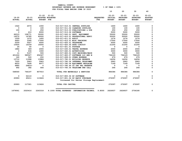|               |               |                          | FOR FISCAL YEAR ENDING JUNE 30 2023       |                  |                          |                          |                          |                |
|---------------|---------------|--------------------------|-------------------------------------------|------------------|--------------------------|--------------------------|--------------------------|----------------|
|               |               |                          |                                           |                  | 10                       | 20                       | 30                       | 40             |
|               |               |                          | $21 - 22$ $21 - 22$                       |                  | $22 - 23$                | $22 - 23$                | $22 - 23$                | $22 - 23$      |
| $19 - 20$     | $20 - 21$     |                          | ADOPTED BUDGETED                          | <b>REQUESTED</b> | <b>INITIAL</b>           | <b>PROPOSED</b>          | <b>APPROVED</b>          | <b>ADOPTED</b> |
| <b>ACTUAL</b> | <b>ACTUAL</b> | <b>BUDGET FTE</b>        |                                           | <b>FTE</b>       | <b>BUDGET</b>            | <b>BUDGET</b>            | <b>BUDGET</b>            | <b>BUDGET</b>  |
|               |               |                          |                                           |                  |                          |                          |                          |                |
| 1522          | 2574          | 1000                     | 010-017-510.01 CENTRAL SUPPLIES           |                  | 1600                     | 1600                     | 1600                     | 0              |
| $\mathbf{0}$  | $\mathbf{o}$  | 100                      | 010-017-511.02 CLEANING SUPPLIES          |                  | 100                      | 100                      | 100                      | $\mathbf 0$    |
| 100           | $^{\circ}$    | 250                      | 010-017-513.03 PUBLICATIONS & DUE         |                  | 250                      | 250                      | 250                      | 0              |
| $\mathbf 0$   | 410           | 8000                     | 010-017-513.06 SOFTWARE                   |                  | 5000                     | 5000                     | 5000                     | 0              |
| 66315         | 108771        | 30000                    | 010-017-543.01 DEPT. EQUIPMENT            |                  | 55000                    | 55000                    | 55000                    | 0              |
| 16572         | 16785         | 40000                    | 010-017-610.01 PROFESSIONAL SERVI         |                  | 50000                    | 50000                    | 50000                    | $\mathbf 0$    |
| 1059          | 1072          | 1400                     | 010-017-611.01 AUDIT                      |                  | 1274                     | 1274                     | 1274                     | 0              |
| 6693          | 3395          | 17000                    | 010-017-612.01 MISC TRAINING              |                  | 17000                    | 17000                    | 17000                    | $\mathbf 0$    |
| 5259          | 5527          | 6500                     | 010-017-620.01 TELEPHONE                  |                  | 5000                     | 5000                     | 5000                     | 0              |
| 10600         | 16339         | 16000                    | 010-017-620.05 DATA CIRCUIT               |                  | 21200                    | 21200                    | 21200                    | 0              |
| 26            | 40            | $\overline{\phantom{0}}$ | 010-017-621.01 POSTAGE                    |                  | $\overline{\phantom{0}}$ | $\overline{\phantom{0}}$ | $\overline{\mathbf{0}}$  | 0              |
| 1882          | 369           | 2000                     | 010-017-630.01 TRAVEL EXPENSE             |                  | 2000                     | 2000                     | 2000                     | 0              |
| $\mathbf{0}$  | 636           | 1000                     | 010-017-640.01 ADVERTISING                |                  | 3000                     | 3000                     | 3000                     | 0              |
| 11            | 5107          | 500                      | 010-017-683.01 COPY MACHINES/MAIN         |                  | 500                      | 500                      | 500                      | 0              |
| 401224        | 585527        | 654347                   | 010-017-683.07 SOFTWARE LIC AND M         |                  | 794129                   | 794129                   | 794129                   | 0              |
| 160           | 500           | 250                      | 010-017-699.01 OTHER EXPENSE              |                  | 679                      | 679                      | 679                      | 0              |
| 13712         | 11998         | 13984                    | 010-017-780.01 BUILDING RESERVE           |                  | 14256                    | 14256                    | 14256                    | 0              |
| 7220          | 5963          | 5963                     | 010-017-780.04 INTERNAL TELECOMMU         |                  | 5963                     | 5963                     | 5963                     | 0              |
| 8633          | 7608          | 8977                     | 010-017-780.06 EQUIPMENT REPLACEM         |                  | 7169                     | 7169                     | 7169                     | 0              |
| 6880          | 26816-        | $\overline{\mathbf{0}}$  | 010-017-780.44 CO INT PEL RESERVE         |                  | $\overline{\mathbf{0}}$  | $\overline{\phantom{0}}$ | $\overline{\phantom{0}}$ | 0              |
| 692           | 392           | 644                      | 010-017-780.54 TELECOMM PER CALL          |                  | 264                      | 264                      | 264                      | 0              |
| 548560        | 746197        | 807915                   | TOTAL FOR MATERIALS & SERVICES            |                  | 984384                   | 984384                   | 984384                   | 0              |
| 0             | 52110         | $^{\circ}$               | 010-017-800.06 DP SOFTWARE                |                  | 0                        | $\mathbf 0$              | 0                        | 0              |
| 20993         | 65211         | 113626                   | 010-017-801.04 DP EQUIP PURCHASE          |                  | 272097                   | 272097                   | 272097                   | $\mathbf 0$    |
|               |               |                          | Increased for Server Storage Replacement  |                  |                          |                          |                          |                |
| 20993         | 117321        | 113626                   | <b>TOTAL FOR CAPITAL</b>                  |                  | 272097                   | 272097                   | 272097                   | $\mathbf 0$    |
| 1679061       | 2020416       | 2263318                  | 9.1000 TOTAL EXPENSES INFORMATION TECHNOL | 9.8000           | 2626937                  | 2626937                  | 2706180                  | 0              |

 **YAMHILL COUNTY BUDGETARY REVENUE AND EXPENSE WORKSHEET % OF YEAR = 100%**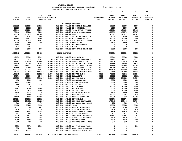|               |                          |                                                    |                                          |                                                                      |                         | 10             | 20              | 30              | 40                  |
|---------------|--------------------------|----------------------------------------------------|------------------------------------------|----------------------------------------------------------------------|-------------------------|----------------|-----------------|-----------------|---------------------|
|               |                          | $21 - 22$ $21 - 22$                                |                                          |                                                                      |                         | 22-23          | 22-23           | $22 - 23$       | $22 - 23$           |
| $19 - 20$     | $20 - 21$                |                                                    | ADOPTED BUDGETED                         |                                                                      | <b>REQUESTED</b>        | <b>INITIAL</b> | <b>PROPOSED</b> | <b>APPROVED</b> | <b>ADOPTED</b>      |
| <b>ACTUAL</b> | <b>ACTUAL</b>            | <b>BUDGET FTE</b>                                  |                                          |                                                                      | FTE                     | <b>BUDGET</b>  | <b>BUDGET</b>   | <b>BUDGET</b>   | <b>BUDGET</b>       |
|               |                          |                                                    |                                          |                                                                      |                         |                |                 |                 |                     |
|               |                          |                                                    |                                          | DISTRICT ATTORNEY                                                    |                         |                |                 |                 |                     |
| 456832        | 501810                   | 340991                                             |                                          | 010-018-301.01 BEGINNING BALANCE                                     |                         | 60000          | 60000           | 60000           | 0                   |
| 22928         | 21311                    | 19811                                              | 010-018-301.15 BB DONATIONS              |                                                                      |                         | 1500           | 1500            | 1500            | 0                   |
| 162446        | 161284                   | 200000                                             |                                          | 010-018-331.05 VOCA GRANT (VICTIM                                    |                         | 184616         | 184616          | 184616          | 0                   |
| 75646         | 99203                    | 70000                                              |                                          | 010-018-334.13 STATE ENHANCEMENT                                     |                         | 157079         | 157079          | 157079          | 0                   |
| 178838        | 108872                   | 145000                                             | 010-018-334.44 CAMI                      |                                                                      |                         | 145613         | 145613          | 145613          | 0                   |
| 1173          | 1707                     | 2000                                               |                                          | 010-018-335.05 CRIME PROSECUTION                                     |                         | 2000           | 2000            | 2000            | $\pmb{\mathsf{O}}$  |
| 83195         | 62471                    | 60000                                              |                                          | 010-018-341.15 DISCOVERY FEES                                        |                         | 75000          | 75000           | 75000           | $\pmb{0}$           |
| 60028         | 60028                    | 60028                                              |                                          | 010-018-350.03 CIC PENALTY ASSESS                                    |                         | 60028          | 60028           | 60028           | $\pmb{0}$           |
| 1290          | 500                      | 1500                                               | 010-018-362.03 DONATIONS                 |                                                                      |                         | 1500           | 1500            | 1500            | 0                   |
| 8444          | 8997                     | $\overline{\mathbf{0}}$<br>$\overline{\mathbf{0}}$ |                                          | 010-018-362.12 REIMBURSEMENT                                         |                         | $\mathbf 0$    | $\mathbf 0$     | $\mathbf 0$     | $\pmb{0}$           |
| 122           | 107                      |                                                    | 010-018-362.99 MISC                      |                                                                      |                         | 0              | $\mathbf 0$     | $\mathbf{o}$    | 0                   |
| 5000          | 5000                     | 5000                                               |                                          | 010-018-380.69 INT TRANS FROM YCI                                    |                         | 5000           | 5000            | 5000            | 0                   |
| 1055942       | 1031290                  | 904330                                             | <b>TOTAL REVENUE</b>                     |                                                                      |                         | 692336         | 692336          | 692336          | 0                   |
| 19694         | 25561                    | 25694                                              |                                          | 010-018-400.07 DISTRICT ATTY                                         |                         | 25964          | 25964           | 30000           | 0                   |
| 74379         | 80896                    | 79857                                              | .9000 010-018-401.28 PROGRAM MANAGER 2   |                                                                      | 1.0000                  | 77711          | 77711           | 77711           | 0                   |
| 91863         | 101150                   | 109007                                             | 2.0000 010-018-401.39 LEGAL ASSISTANT    |                                                                      | 2.0000                  | 104476         | 104476          | 104476          | 0                   |
| 57326         | 60206                    | 63483                                              | 1.0000 010-018-401.60 CRIME VICTIMS SUPE |                                                                      | 1,0000                  | 66196          | 66196           | 66196           | 0                   |
| 108333        | 113323                   | 125481                                             | 1.0000 010-018-401.61 CHIEF DEPUTY DISTR |                                                                      | 1.0000                  | 127849         | 127849          | 127849          | 0                   |
| 32589         | 49856                    | 39444                                              | 1.0000 010-018-402.02 OFFICE SPECIALIST  |                                                                      | 1.0000                  | 33035          | 33035           | 33035           | 0                   |
| 202222        | 207227                   | 250833                                             | 6.0000 010-018-402.03 SENIOR OFFICE SPEC |                                                                      | 7.0000                  | 236108         | 236108          | 314036          | 0                   |
| 104281        | 122616                   | 145469                                             | 3.0000 010-018-402.23 CRIME VICTIMS SPEC |                                                                      | 3.0000                  | 110465         | 110465          | 110465          | 0                   |
| 109345        | 129344                   | 135226                                             | 2.0000 010-018-403.40 DEPUTY D/A 1       |                                                                      | 2.0000                  | 73569          | 73569           | 141340          | 0                   |
| 57576         | 60200                    | 63483                                              | 1.0000 010-018-403.41 PARALEGAL          |                                                                      | 1.0000                  | 60932          | 60932           | 60932           | 0                   |
| 480783        | 525331                   | 579926                                             | 6.0000 010-018-403.49 DEPUTY D/A 2       |                                                                      | 7.0000                  | 554180         | 554180          | 643341          | $\pmb{0}$           |
| 450           | 1800                     | 4800                                               |                                          | 010-018-475.00 LONGEVITY PAY                                         |                         | 6000           | 6000            | 6000            | 0                   |
| 4115          | 29266                    | $\overline{\phantom{0}}$                           |                                          | 010-018-479.00 OTHER EARNINGS                                        |                         | 3000           | 3000            | 3000            | $\pmb{0}$           |
| 126           | 949                      | 1500                                               | 010-018-481.00 OVERTIME                  |                                                                      |                         | 5000           | 5000            | 5000            | 0                   |
| $\mathbf{o}$  | $\overline{\phantom{0}}$ | $\overline{\phantom{0}}$                           | 010-018-482.00 EXTRA HELP                |                                                                      |                         | 20000          | 20000           | 20000           | $\pmb{0}$           |
| 5967          | 6290                     | 10000                                              | 010-018-484.00 BEEPER PAY                |                                                                      |                         | 10000          | 10000           | 10000           | 0                   |
| 8002          | 7828                     | 10000                                              | 010-018-484.50 ON CALL PAY               |                                                                      |                         | 10000          | 10000           | 10000           | $\pmb{\mathsf{0}}$  |
| 4500          | 6135                     | 7300                                               |                                          | 010-018-485.00 CERTIFICATION/EDUC                                    |                         | 4500           | 4500            | 4500            | 0                   |
| 19673         | 21990                    | 23623                                              | 010-018-490.00 MEDICARE TAX              |                                                                      |                         | 22881          | 22881           | 25191           | $\pmb{\mathsf{0}}$  |
| 84118         | 94025                    | 101008                                             |                                          | 010-018-491.00 SOCIAL SECURITY                                       |                         | 97835          | 97835           | 107936          | 0                   |
| 247096        | 275895                   | 358523                                             | 010-018-492.00 RETIREMENT                |                                                                      |                         | 349576         | 349576          | 398583          | 0                   |
| 381722        | 404852                   | 496236                                             |                                          | 010-018-493.10 MEDICAL INSURANCE                                     |                         | 478440         | 478440          | 567040          | 0                   |
| 566           | 658                      | 700                                                |                                          | 010-018-493.12 EMPLOYEE ASSISTANC                                    |                         | 700            | 700             | 700             | $\mathsf{o}\xspace$ |
| 26600         | 28200                    | 31380                                              | 010-018-493.15 VEBA                      |                                                                      |                         | 33000          | 33000           | 39000           | 0                   |
| 31853<br>3434 | 30960                    | 36471                                              |                                          | 010-018-493.20 DENTAL INSURANCE                                      |                         | 32340<br>3476  | 32340<br>3476   | 38220<br>4108   | 0<br>0              |
| 7665          | 3321<br>8557             | 3704<br>13982                                      |                                          | 010-018-493.25 VISION INSURANCE<br>010-018-493.31 SHORT TERM DISABIL |                         | 12826          | 12826           | 15162           | $\mathbf 0$         |
| 417           | 984                      | 621                                                |                                          | 010-018-493.40 LIFE INSURANCE                                        |                         | 572            | 572             | 676             |                     |
| 2275          |                          |                                                    |                                          | 010-018-494.00 ACCIDENT INSURANCE                                    |                         |                |                 |                 | 0                   |
| 1509          | 1834<br>1533             | 1603<br>1628                                       |                                          | 010-018-494.80 TIME LOSS RESERVE                                     |                         | 22587<br>1578  | 22587<br>1578   | 22636<br>1737   | 0                   |
| 1348          | 1507                     | 1603                                               | 010-018-495.00 UNEMPLOYMENT              |                                                                      |                         | 1578           | 1578            | 1689            | 0                   |
| 518           | 497                      | 622                                                |                                          | 010-018-496.00 WORKERS COMP ASSES                                    |                         | 572            | 572             | 676             | 0                   |
|               |                          |                                                    |                                          |                                                                      |                         |                |                 |                 |                     |
| 5991          | 5378                     | 15000                                              |                                          | 010-018-499.00 FET/VACATION/SICK                                     |                         | 0              | $\mathbf 0$     | 2906            | 0                   |
| 398           | 282                      | $\mathbf{0}$                                       |                                          | 010-018-499.98 COMP TIME LIABILIT                                    |                         | 0              | 0               | 0               | 0                   |
| 15133         | 16391                    | 0                                                  |                                          | 010-018-499.99 VACATION LIAB. ADJ                                    |                         | 0              | $\mathbf 0$     | 0               | 0                   |
| 2191867       | 2424842                  |                                                    | 2738207 23.9000 TOTAL FOR PERSONNEL      |                                                                      | 26.0000 2586946 2586946 |                |                 | 2994141         | $\mathbf{0}$        |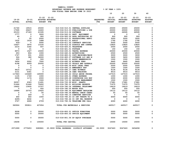| YAMHILL COUNTY                          |                       |    |    |    |
|-----------------------------------------|-----------------------|----|----|----|
| BUDGETARY REVENUE AND EXPENSE WORKSHEET | $8$ OF YEAR = $100\%$ |    |    |    |
| FOR FISCAL YEAR ENDING JUNE 30 2023     |                       |    |    |    |
|                                         | 1 ດ                   | 20 | 30 | 40 |

| $19 - 20$     | $20 - 21$     | $21 - 22$                | $21 - 22$                             |                                   |                                | $22 - 23$                       | $22 - 23$                        | $22 - 23$<br><b>APPROVED</b> | $22 - 23$<br><b>ADOPTED</b> |
|---------------|---------------|--------------------------|---------------------------------------|-----------------------------------|--------------------------------|---------------------------------|----------------------------------|------------------------------|-----------------------------|
| <b>ACTUAL</b> | <b>ACTUAL</b> |                          | ADOPTED BUDGETED<br><b>BUDGET FTE</b> |                                   | <b>REQUESTED</b><br><b>FTE</b> | <b>INITIAL</b><br><b>BUDGET</b> | <b>PROPOSED</b><br><b>BUDGET</b> | <b>BUDGET</b>                | <b>BUDGET</b>               |
|               |               |                          |                                       |                                   |                                |                                 |                                  |                              |                             |
|               |               |                          |                                       |                                   |                                |                                 |                                  |                              |                             |
| 21740         | 19515         | 25000                    |                                       | 010-018-510.01 CENTRAL SUPPLIES   |                                | 25000                           | 25000                            | 25000                        | 0                           |
| 17595         | 29437         | 12400                    |                                       | 010-018-513.03 PUBLICATIONS & DUE |                                | 20000                           | 20000                            | 20000                        | 0                           |
| 25153         | 27183         | 21595                    | 010-018-513.06 SOFTWARE               |                                   |                                | 26595                           | 26595                            | 26595                        | 0                           |
| 1777          | $\Omega$      | 3000                     |                                       | 010-018-543.01 DEPT. EQUIPMENT    |                                | $\mathbf 0$                     | $\Omega$                         | 0                            | $\mathbf 0$                 |
| 49            | 0             | 900                      |                                       | 010-018-583.02 DATA PROCESSING SU |                                | 900                             | 900                              | 900                          | 0                           |
| $\mathbf 0$   | 55            | 2000                     |                                       | 010-018-610.01 PROFESSIONAL SERVI |                                | 3000                            | 3000                             | 3000                         | 0                           |
| 1632          | 1618          | 1688                     | 010-018-611.01 AUDIT                  |                                   |                                | 1792                            | 1792                             | 1792                         | 0                           |
| $430 -$       | $\mathbf{0}$  | 5000                     |                                       | 010-018-611.02 CONTRACT SERVICES  |                                | 5000                            | 5000                             | 5000                         | 0                           |
| 15627         | 3976          | 13100                    |                                       | 010-018-612.02 SCHOOLS AND CONFER |                                | 13825                           | 13825                            | 13825                        | 0                           |
| 2216          | 3182          | 937                      | 010-018-620.01 TELEPHONE              |                                   |                                | 2000                            | 2000                             | 2000                         | 0                           |
| 0             | 21            | $\Omega$                 | 010-018-621.01 POSTAGE                |                                   |                                | 150                             | 150                              | 150                          | 0                           |
| 8973          | 1527          | 15000                    |                                       | 010-018-630.01 TRAVEL EXPENSE     |                                | 20000                           | 20000                            | 20000                        | 0                           |
| 653           | 804           | 1000                     | 010-018-640.01 ADVERTISING            |                                   |                                | 2500                            | 2500                             | 2500                         | 0                           |
| 1727          | 931           | 2000                     |                                       | 010-018-683.01 COPY MACHINES/MAIN |                                | 3000                            | 3000                             | 3000                         | 0                           |
| 524           | 382           | 34000                    |                                       | 010-018-683.07 SOFTWARE LIC AND M |                                | 3400                            | 3400                             | 3400                         | 0                           |
| 255           | 0             | 500                      |                                       | 010-018-691.01 ASSOC MEMBERSHIPS  |                                | 1500                            | 1500                             | 1500                         | 0                           |
| 3454          | 2002          | 7500                     | 010-018-695.02 WITNESS FEES           |                                   |                                | 9445                            | 9445                             | 9445                         | 0                           |
| 4198          | 4059          | 25000                    |                                       | 010-018-695.03 TRIALS AND APPEALS |                                | 25000                           | 25000                            | 25000                        | 0                           |
| 0             | $\Omega$      | 0                        |                                       | 010-018-695.09 MISC LEGAL FEES    |                                | 2000                            | 2000                             | 2000                         | 0                           |
| $\mathbf 0$   | 0             | $\mathbf 0$              |                                       | 010-018-695.15 EMERGENCY EXP      |                                | 1500                            | 1500                             | 1500                         | 0                           |
| 9415          | 10712         | 0                        | 010-018-695.17 CAMI WITNESS           |                                   |                                | 9134                            | 9134                             | 9134                         | 0                           |
| 3131          | 6361          | $\mathbf 0$              |                                       | 010-018-695.18 CAMI TRAINING      |                                | 9014                            | 9014                             | 9014                         | 0                           |
| 117943        | 133469        | 145000                   |                                       | 010-018-695.22 CHILD ABUSE PROGRA |                                | 127015                          | 127015                           | 127015                       | 0                           |
| 1135          | 1749          | 1000                     |                                       | 010-018-699.01 OTHER EXPENSE      |                                | 1000                            | 1000                             | 1000                         | 0                           |
| 2906          | 1174          | 2000                     |                                       | 010-018-699.28 COURTHOUSE DOG EXP |                                | 2000                            | 2000                             | 2000                         | 0                           |
| 0             | $\mathbf 0$   | 1500                     |                                       | 010-018-710.01 RECORDS MANAGEMENT |                                | 1500                            | 1500                             | 1500                         | 0                           |
| 36307         | 6363          | 11491                    | 010-018-720.99 MISC. GRANTS           |                                   |                                | 17681                           | 17681                            | 17681                        | 0                           |
| 51446         | 51446         | 70602                    |                                       | 010-018-780.01 BUILDING RESERVE   |                                | 71975                           | 71975                            | 71975                        | 0                           |
| 16622         | 13935         | 13707                    |                                       | 010-018-780.04 INTERNAL TELECOMMU |                                | 14619                           | 14619                            | 14619                        | 0                           |
| $\Omega$      | $\Omega$      | 550                      | 010-018-780.05 MOTOR POOL             |                                   |                                | 550                             | 550                              | 550                          | 0                           |
| 16994         | 20703         | 15425                    |                                       | 010-018-780.06 EQUIPMENT REPLACEM |                                | 14112                           | 14112                            | 14112                        | 0                           |
| 0             | 0             | 50                       |                                       | 010-018-780.09 MANUAL CHECK CHARG |                                | 50                              | 50                               | 50                           | 0                           |
| $\mathbf 0$   | 259           | $\overline{\phantom{0}}$ |                                       | 010-018-780.15 COMPUTER SERVICES  |                                | $\mathbf{o}$                    | $\mathbf 0$                      | $\mathbf 0$                  | 0                           |
| 450           | 650           | 1000                     |                                       | 010-018-780.43 CO INT TRNSFR TO S |                                | 6000                            | 6000                             | 6000                         | 0                           |
| 4295-         | 4632          | $\mathbf 0$              |                                       | 010-018-780.44 CO INT PEL RESERVE |                                | 0                               | 0                                | 0                            | 0                           |
| 3727          | 4666          | 4709                     |                                       | 010-018-780.54 TELECOMM PER CALL  |                                | 4260                            | 4260                             | 4260                         | 0                           |
|               |               |                          |                                       |                                   |                                |                                 |                                  |                              |                             |
| 360924        | 350811        | 437654                   |                                       | TOTAL FOR MATERIALS & SERVICES    |                                | 445517                          | 445517                           | 445517                       | $\mathbf 0$                 |
|               |               |                          |                                       |                                   |                                |                                 |                                  |                              |                             |
| 9208          | 0             | 35000                    |                                       | 010-018-800.01 OFFICE FURNITURE   |                                | 5000                            | 5000                             | 5000                         | 0                           |
| 5000          | $\Omega$      | 35000                    |                                       |                                   |                                | 5000                            | 5000                             |                              | $\mathbf 0$                 |
|               |               |                          |                                       | 010-018-800.02 OFFICE EQUIPMENT   |                                |                                 |                                  | 5000                         |                             |
| 5000          | 0             | 35000                    |                                       | 010-018-801.04 DP EQUIP PURCHASE  |                                | 5000                            | 5000                             | 5000                         | 0                           |
|               |               |                          |                                       |                                   |                                |                                 |                                  |                              |                             |
| 19208         | $\mathbf 0$   | 105000                   | TOTAL FOR CAPITAL                     |                                   |                                | 15000                           | 15000                            | 15000                        | $\mathbf 0$                 |
|               |               |                          |                                       |                                   |                                |                                 |                                  |                              |                             |
|               |               |                          |                                       |                                   |                                |                                 |                                  |                              |                             |
| 2571999       | 2775653       | 3280861                  | 23.9000 TOTAL EXPENSES                | DISTRICT ATTORNEY                 | 26.0000                        | 3047463                         | 3047463                          | 3454658                      | 0                           |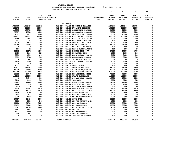|               |                          |                         |                          |                                   |                  | 10            | 20              | 30              | 40             |
|---------------|--------------------------|-------------------------|--------------------------|-----------------------------------|------------------|---------------|-----------------|-----------------|----------------|
|               |                          | $21 - 22$               | $21 - 22$                |                                   |                  | $22 - 23$     | $22 - 23$       | $22 - 23$       | $22 - 23$      |
| $19 - 20$     | $20 - 21$                |                         | ADOPTED BUDGETED         |                                   | <b>REQUESTED</b> | INITIAL       | <b>PROPOSED</b> | <b>APPROVED</b> | <b>ADOPTED</b> |
|               | <b>ACTUAL</b>            | <b>BUDGET</b>           | FTE                      |                                   | FTE              | <b>BUDGET</b> | <b>BUDGET</b>   | <b>BUDGET</b>   | <b>BUDGET</b>  |
| <b>ACTUAL</b> |                          |                         |                          |                                   |                  |               |                 |                 |                |
|               |                          |                         | PLANNING                 |                                   |                  |               |                 |                 |                |
| 1985768       | 1990490                  | 1832620                 |                          | 010-020-301.01 BEGINNING BALANCE  |                  | 1447846       | 1447846         | 1447846         | 0              |
| 454875        | 516880                   | 400000                  |                          | 010-020-322.10 BUILDING PERMITS   |                  | 400000        | 400000          | 400000          | 0              |
| 110935        | 135780                   | 100800                  |                          | 010-020-322.11 COMMERCIAL PLUMBIN |                  | 91000         | 91000           | 91000           | 0              |
| 70387         | 75581                    | 68000                   |                          | 010-020-322.12 MECHANICAL PERMITS |                  | 72000         | 72000           | 72000           | $\mathbf 0$    |
| 14305         | 9817                     | 10000                   |                          | 010-020-322.13 MOBILE HOME PERMIT |                  | 10000         | 10000           | 10000           | 0              |
| 294437        | 296152                   | 260000                  |                          | 010-020-322.14 ELECTRICAL PERMITS |                  | 350000        | 350000          | 350000          | $\Omega$       |
| 1466          | 5897                     | 5000                    |                          | 010-020-322.17 ELEC INDUSTRIAL IN |                  | 5000          | 5000            | 5000            | 0              |
| 513           | 52                       | 640                     |                          | 010-020-322.18 RE-INSPECTION FEE  |                  | 600           | 600             | 600             | 0              |
| 1770          | 5824                     | 3800                    |                          | 010-020-322.25 ZONING COMPLIANCE  |                  | 4000          | 4000            | 4000            | 0              |
| 98050         | 78092                    | 72000                   |                          | 010-020-322.26 SEPTIC PERMIT      |                  | 75000         | 75000           | 75000           | $\mathbf 0$    |
| $\mathbf 0$   | $\overline{\phantom{0}}$ | 500                     |                          | 010-020-335.23 BUILDING INSPECTIO |                  | 400           | 400             | 400             | 0              |
| 116           | 15                       | 100                     |                          | 010-020-341.03 MAP & PUBLICATIONS |                  | 100           | 100             | 100             | 0              |
| 52162         | 50975                    | 42000                   |                          | 010-020-341.16 AGENCY SIGN OFF    |                  | 47000         | 47000           | 47000           | 0              |
| 1420          | 1660                     | 1200                    |                          | 010-020-341.18 MICROFILM FEE      |                  | 1600          | 1600            | 1600            | 0              |
| 8051          | 6599                     | 6400                    |                          | 010-020-341.19 BLDG INSPECTION FE |                  | 8600          | 8600            | 8600            | 0              |
| 3081          | 2722                     | 3000                    |                          | 010-020-341.21 DEMOLITION PERMIT  |                  | 3000          | 3000            | 3000            | 0              |
| $\mathbf{o}$  | 241                      | 200                     |                          | 010-020-341.25 INVESTIGATION FEE  |                  | 500           | 500             | 500             | 0              |
| 3900          | 3100                     | 2000                    |                          | 010-020-341.51 OLCC WINERY PROCES |                  | 3000          | 3000            | 3000            | 0              |
| $\mathbf 0$   | $\overline{\mathbf{0}}$  | 1000                    | 010-020-341.99 MISC      |                                   |                  | 500           | 500             | 500             | 0              |
| 3027          | 3027                     | 1800                    |                          | 010-020-345.01 ZONE CHANGE        |                  | 500           | 500             | 500             | $\mathbf 0$    |
| 89173         | 114354                   | 90500                   |                          | 010-020-345.02 CONDITIONAL USE    |                  | 85000         | 85000           | 85000           | 0              |
| 45736         | 35466                    | 40000                   |                          | 010-020-345.03 PARTITIONS/SUB-DIV |                  | 40000         | 40000           | 40000           | 0              |
| 336748        | 369868                   | 345460                  |                          | 010-020-345.04 PLAN CHECKS-BUILDI |                  | 363800        | 363800          | 363800          | 0              |
| 63223         | 64747                    | 65000                   |                          | 010-020-345.05 APPLICATIONS MISC  |                  | 70000         | 70000           | 70000           | 0              |
| 114163        | 125108                   | 108000                  |                          | 010-020-345.06 STATE SURCHARGE    |                  | 110000        | 110000          | 110000          | 0              |
| $\mathbf{o}$  | 24540                    | 9000                    |                          | 010-020-345.07 C-PLAN/ZONE CHANGE |                  | 12000         | 12000           | 12000           | 0              |
| 3146          | 6444                     | 3000                    | 010-020-345.08 VARIANCE  |                                   |                  | 5200          | 5200            | 5200            | 0              |
| 10141         | 14280                    | 10000                   |                          | 010-020-345.13 PLAN CHECKS-ELECTR |                  | 14000         | 14000           | 14000           | 0              |
| 1440          | 990                      | 1080                    |                          | 010-020-345.14 STATE MB HM FEES   |                  | 1080          | 1080            | 1080            | 0              |
| $201 -$       | $\mathbf{0}$             | 400                     |                          | 010-020-345.15 ASSESSOR SURCHARGE |                  | 400           | 400             | 400             | 0              |
| 15220         | 22081                    | 15200                   |                          | 010-020-345.16 ADMIN SURCHARGE PL |                  | 15200         | 15200           | 15200           | 0              |
| 32147         | 31715                    | 19200                   |                          | 010-020-345.17 DWELLING CLASS APP |                  | 54000         | 54000           | 54000           | 0              |
| 2500          | 1750                     | 2500                    |                          | 010-020-345.18 APPEAL/HEARING     |                  | 2500          | 2500            | 2500            | 0              |
| 9412          | 9614                     | 9800                    |                          | 010-020-345.19 SYS DEV SURCHARGE  |                  | 7200          | 7200            | 7200            | 0              |
| 6300          | 4875                     | 6000                    |                          | 010-020-345.21 STATE INSPECTION F |                  | 2000          | 2000            | 2000            | 0              |
| 67757         | 48494                    | 50000                   | 010-020-346.62 SITE INSP |                                   |                  | 63000         | 63000           | 63000           | 0              |
| 3111          | 1390                     | 2480                    |                          | 010-020-346.63 SEPTIC REVIEW & IN |                  | 1000          | 1000            | 1000            | 0              |
| 37100         | 31700                    | 30560                   |                          | 010-020-346.65 DEQ SURCHARGE      |                  | 35000         | 35000           | 35000           | 0              |
| 32451         | 37601                    | 36400                   |                          | 010-020-346.66 AUTHORIZATION      |                  | 30000         | 30000           | 30000           | 0              |
| 12921         | 14322                    | 14000                   |                          | 010-020-346.68 EXISTING SEPTIC SY |                  | 4000          | 4000            | 4000            | 0              |
| 2121          | 1429                     | 1500                    | 010-020-362.11 COPIES    |                                   |                  | 3000          | 3000            | 3000            | 0              |
| 3577          | 3400                     | 500                     |                          | 010-020-362.12 REIMBURSEMENT      |                  | 400           | 400             | 400             | 0              |
| 215           | 407                      | $\overline{\mathbf{0}}$ |                          | 010-020-380.01 CO INT REVENUE     |                  | $\mathbf 0$   | $\mathbf 0$     | $\mathbf 0$     | 0              |
| $\mathbf 0$   | $\mathbf 0$              | 300                     |                          | 010-020-380.65 INT TFR FR SURVEYO |                  | 300           | 300             | 300             | $\Omega$       |
| 3992664       | 4147479                  | 3671940                 | <b>TOTAL REVENUE</b>     |                                   |                  | 3439726       | 3439726         | 3439726         | $\mathbf 0$    |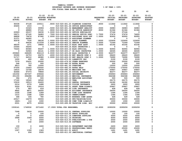|                  |                  |                  |                  |                                      |                                                                                     |                  | 10               | 20              | 30               | 40             |
|------------------|------------------|------------------|------------------|--------------------------------------|-------------------------------------------------------------------------------------|------------------|------------------|-----------------|------------------|----------------|
|                  |                  | $21 - 22$        | $21 - 22$        |                                      |                                                                                     |                  | $22 - 23$        | $22 - 23$       | $22 - 23$        | $22 - 23$      |
| $19 - 20$        | $20 - 21$        |                  | ADOPTED BUDGETED |                                      |                                                                                     | <b>REQUESTED</b> | <b>INITIAL</b>   | <b>PROPOSED</b> | <b>APPROVED</b>  | <b>ADOPTED</b> |
| <b>ACTUAL</b>    | <b>ACTUAL</b>    | <b>BUDGET</b>    | FTE              |                                      |                                                                                     | FTE              | <b>BUDGET</b>    | <b>BUDGET</b>   | <b>BUDGET</b>    | <b>BUDGET</b>  |
|                  |                  |                  |                  |                                      |                                                                                     |                  |                  |                 |                  |                |
| 90038            | 97128            | 105511           |                  |                                      | .9000 010-020-401.23 PLANNING DIRECTOR                                              | .9000            | 111842           | 111842          | 111842           | 0              |
| 45406            | 1010             | $\mathbf 0$      |                  |                                      | 010-020-401.26 OFFICE ADMINISTRAT                                                   |                  | 0                | $\mathbf 0$     | 0                | 0              |
| 0                | 33325            | 35906            |                  |                                      | .5000 010-020-401.32 MANAGEMENT ANALYST                                             | .5000            | 36983            | 36983           | 36983            | 0              |
| $\mathbf 0$      | 48880            | 57141            |                  |                                      | .9000 010-020-401.46 SR OFFICE ADMINIST                                             | .9000            | 61364            | 61364           | 61364            | 0              |
| 22929            | 29157            | 34230            |                  |                                      | 1.0000 010-020-402.02 OFFICE SPECIALIST                                             |                  | 37144            | 37144           | 0                | 0              |
| 59271<br>68858   | 67160            | 34683<br>87082   |                  |                                      | .7500 010-020-402.03 SENIOR OFFICE SPEC<br>1.0000 010-020-403.05 ASSISTANT BLDG OFF | 1.7500           | 37476<br>92955   | 37476<br>92955  | 74620<br>92955   | 0<br>0         |
| 31371            | 79476<br>44085   | $\mathbf 0$      |                  |                                      | 010-020-403.10 ASSISTANT PLANNER                                                    | 1.0000           | 0                | $\mathbf 0$     | 0                | 0              |
| 92678            | 7530             | 58236            |                  | 1.0000 010-020-403.11 ASSOC PLANNER  |                                                                                     | 2.0000           | 122604           | 122604          | 122604           | 0              |
| $\mathbf 0$      | 94636            | 111039           |                  |                                      | 1.6000 010-020-403.12 SENIOR PLANNER                                                | 1.0000           | 71049            | 71049           | 71049            | 0              |
| 48230            | 1071             | 39893            |                  | 1.0000 010-020-403.13 BLDG INSP ASST |                                                                                     | 1.0000           | 43192            | 43192           | 43192            | 0              |
| 23044            | 56205            | $\mathbf{o}$     |                  |                                      | 010-020-403.14 BLDG INSPECTOR 1                                                     |                  | 0                | $\mathbf 0$     | 0                | 0              |
| 75226            | 85580            | 90247            |                  | 1.0000 010-020-403.16 BLDG OFFICIAL  |                                                                                     | 1.0000           | 92955            | 92955           | 92955            | 0              |
| $\mathbf{o}$     | 52963            | 64141            |                  |                                      | 1.0000 010-020-403.17 SR BLDG INSPECTOR                                             | 1.0000           | 66065            | 66065           | 66065            | 0              |
| 250845           | 248495           | 304119           |                  |                                      | 5.0000 010-020-403.26 BLDG INSPECTOR 3                                              | 4.0000           | 322077           | 322077          | 322077           | 0              |
| 55090            | 24753            | 26476            |                  |                                      | .4000 010-020-406.02 ENV HEALTH SPEC 2                                              | .4000            | 28420            | 28420           | 28420            | 0              |
| 51717            | 64512            | 68980            |                  |                                      | 1.0000 010-020-406.03 ENV HEALTH SPEC 3                                             | 1.0000           | 76990            | 76990           | 76990            | 0              |
| 1200             | 600              | 450              |                  | 010-020-475.00 LONGEVITY PAY         |                                                                                     |                  | 2100             | 2100            | 2100             | 0              |
| 7379             | 30431            | 20000            |                  |                                      | 010-020-479.00 OTHER EARNINGS                                                       |                  | 20000            | 20000           | 20000            | 0              |
| 248              | 713              | 500              |                  | 010-020-480.00 EXTRA HOURS           |                                                                                     |                  | 500              | 500             | 500              | 0              |
| 9913             | 785              | 15000            |                  | 010-020-481.00 OVERTIME              |                                                                                     |                  | 15000            | 15000           | 15000            | 0              |
| 57256            | 15443            | 155000           |                  | 010-020-482.00 EXTRA HELP            |                                                                                     |                  | 175000           | 175000          | 175000           | 0              |
| 14610            | 15758            | 18678            |                  | 010-020-490.00 MEDICARE TAX          |                                                                                     |                  | 20867            | 20867           | 20867            | 0              |
| 62466            | 67373            | 79864            |                  | 010-020-492.00 RETIREMENT            | 010-020-491.00 SOCIAL SECURITY                                                      |                  | 86377            | 86377<br>256963 | 86377            | 0<br>0         |
| 161032<br>251155 | 207337<br>294288 | 239444<br>280169 |                  |                                      | 010-020-493.10 MEDICAL INSURANCE                                                    |                  | 256963<br>364368 | 364368          | 256963<br>364368 | 0              |
| 394              | 474              | 500              |                  |                                      | 010-020-493.12 EMPLOYEE ASSISTANC                                                   |                  | 500              | 500             | 500              | 0              |
| 17160            | 18540            | 18540            |                  | 010-020-493.15 VEBA                  |                                                                                     |                  | 26175            | 26175           | 26175            | 0              |
| 15618            | 18513            | 24493            |                  |                                      | 010-020-493.20 DENTAL INSURANCE                                                     |                  | 24182            | 24182           | 24182            | 0              |
| 2214             | 2376             | 2488             |                  |                                      | 010-020-493.25 VISION INSURANCE                                                     |                  | 2600             | 2600            | 2600             | 0              |
| 5029             | 6181             | 19316            |                  |                                      | 010-020-493.31 SHORT TERM DISABIL                                                   |                  | 20867            | 20867           | 20867            | $\mathbf 0$    |
| 275              | 683              | 418              |                  |                                      | 010-020-493.40 LIFE INSURANCE                                                       |                  | 428              | 428             | 428              | 0              |
| 9862             | 8871             | 24000            |                  |                                      | 010-020-494.00 ACCIDENT INSURANCE                                                   |                  | 24000            | 24000           | 24000            | 0              |
| 1036             | 1098             | 1289             |                  |                                      | 010-020-494.80 TIME LOSS RESERVE                                                    |                  | 1394             | 1394            | 1394             | 0              |
| 1015             | 1098             | 1289             |                  | 010-020-495.00 UNEMPLOYMENT          |                                                                                     |                  | 1394             | 1394            | 1394             | 0              |
| 348              | 334              | 780              |                  |                                      | 010-020-496.00 WORKERS COMP ASSES                                                   |                  | 428              | 428             | 428              | 0              |
| 25517            | 14279            | 30000            |                  |                                      | 010-020-499.00 FET/VACATION/SICK                                                    |                  | 30000            | 30000           | 30000            | 0              |
| $1820 -$         | 116              | 1000             |                  |                                      | 010-020-499.98 COMP TIME LIABILIT                                                   |                  | 1000             | 1000            | 1000             | 0              |
| 2531             | 8275             | 20500            |                  |                                      | 010-020-499.99 VACATION LIAB. ADJ                                                   |                  | 20000            | 20000           | 20000            | $\Omega$       |
| 1559141          | 1749532          | 2071402          |                  | 17.0500 TOTAL FOR PERSONNEL          |                                                                                     | 16.4500          | 2295259          | 2295259         | 2295259          | 0              |
| 7248             | 5618             | 10000            |                  |                                      | 010-020-510.01 CENTRAL SUPPLIES                                                     |                  | 10000            | 10000           | 10000            | $\mathbf 0$    |
| 0                | U                | 100              |                  |                                      | 010-020-510.02 PHOTO SUPPLIES                                                       |                  | 100              | 100             | 100              | 0              |
| 104              | 0                | 5000             |                  |                                      | 010-020-511.14 COMPUTER SUPPLIES                                                    |                  | 5000             | 5000            | 5000             | 0              |
| 3968             | 3349             | 5000             |                  | 010-020-511.16 PRINTING              |                                                                                     |                  | 6000             | 6000            | 6000             | 0              |
| 0                | 0                | 2000             |                  |                                      | 010-020-513.03 PUBLICATIONS & DUE                                                   |                  | 2000             | 2000            | 2000             | 0              |
| 0                | 132              | 2000             |                  | 010-020-513.06 SOFTWARE              |                                                                                     |                  | 2000             | 2000            | 2000             | 0              |
| 159              | 0                | 2400             |                  |                                      | 010-020-543.01 DEPARTMENT EQUIPME                                                   |                  | 2400             | 2400            | 2400             | 0              |
| 1177             | 0                | 0                |                  |                                      | 010-020-610.01 PROFESSIONAL SERVI                                                   |                  | 25000            | 25000           | 25000            | 0              |
| 1307             | 1306             | 1363             |                  | 010-020-611.01 AUDIT                 |                                                                                     |                  | 1491             | 1491            | 1491             | 0              |
| 0                | 206              | 5500             |                  |                                      | 010-020-611.03 JANITORIAL CONTRAC                                                   |                  | 500              | 500             | 500              | 0              |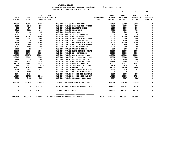|                            |                         |                          |                                                    | FOR FISCAL IEAR ENDING JONE 30 Z0Z3 |                                | 10                                    | 20                                            | 30                                            | 40                                           |
|----------------------------|-------------------------|--------------------------|----------------------------------------------------|-------------------------------------|--------------------------------|---------------------------------------|-----------------------------------------------|-----------------------------------------------|----------------------------------------------|
| $19 - 20$<br><b>ACTUAL</b> | 20-21<br><b>ACTUAL</b>  | $21 - 22$                | $21 - 22$<br>ADOPTED BUDGETED<br><b>BUDGET FTE</b> |                                     | <b>REOUESTED</b><br><b>FTE</b> | $22 - 23$<br>INITIAL<br><b>BUDGET</b> | $22 - 23$<br><b>PROPOSED</b><br><b>BUDGET</b> | $22 - 23$<br><b>APPROVED</b><br><b>BUDGET</b> | $22 - 23$<br><b>ADOPTED</b><br><b>BUDGET</b> |
| 41983                      | 48814                   | 47356                    |                                                    | 010-020-611.05 GIS SERVICES         |                                | 50198                                 | 50198                                         | 50198                                         | 0                                            |
| 4018                       | 3541                    | 9000                     |                                                    | 010-020-612.02 SCHOOLS AND CONFER   |                                | 9000                                  | 9000                                          | 9000                                          | 0                                            |
| 133                        | 170                     | 1000                     |                                                    | 010-020-615.03 PLANNING COMM        |                                | 1000                                  | 1000                                          | 1000                                          | 0                                            |
| 4068                       | 8083                    | 6400                     | 010-020-620.01 TELEPHONE                           |                                     |                                | 7000                                  | 7000                                          | 7000                                          | $\mathbf 0$                                  |
| 176                        | 93                      | 150                      | 010-020-621.01 POSTAGE                             |                                     |                                | 200                                   | 200                                           | 200                                           | $\mathbf 0$                                  |
| 1595                       | 50                      | 3300                     |                                                    | 010-020-630.01 TRAVEL EXPENSE       |                                | 3300                                  | 3300                                          | 3300                                          | $\mathsf{o}\xspace$                          |
| 17628                      | 15365                   | 20000                    |                                                    | 010-020-640.01 ADVERTISING          |                                | 20000                                 | 20000                                         | 20000                                         | 0                                            |
| 5186                       | 5399                    | 5000                     |                                                    | 010-020-683.01 COPY MACHINES/MAIN   |                                | 5000                                  | 5000                                          | 5000                                          | $\mathbf{o}$                                 |
| 449                        | $\overline{\mathbf{0}}$ | 1000                     |                                                    | 010-020-683.02 DP EQUIP MAINT       |                                | 1000                                  | 1000                                          | 1000                                          | $\mathbf 0$                                  |
| 6496                       | 7100                    | 12000                    |                                                    | 010-020-683.07 SOFTWARE LIC AND M   |                                | 12000                                 | 12000                                         | 12000                                         | $\pmb{0}$                                    |
| 500                        | 500                     | 500                      |                                                    | 010-020-683.08 SW LIC/SUP-OPERATI   |                                | 500                                   | 500                                           | 500                                           | 0                                            |
| 1753                       | 1882                    | 1500                     |                                                    | 010-020-691.01 ASSOC MEMBERSHIPS    |                                | 2000                                  | 2000                                          | 2000                                          | 0                                            |
| 2103                       | 51                      | 400                      |                                                    | 010-020-699.01 OTHER EXPENSE        |                                | 500                                   | 500                                           | 500                                           | $\mathbf 0$                                  |
| 32868                      | 50254                   | 48000                    |                                                    | 010-020-699.08 BANK SERVICE CHARG   |                                | 50000                                 | 50000                                         | 50000                                         | 0                                            |
| 37200                      | 31700                   | 30560                    |                                                    | 010-020-730.01 DEO SURCHARGE        |                                | 35000                                 | 35000                                         | 35000                                         | 0                                            |
| 114305                     | 125275                  | 108000                   |                                                    | 010-020-730.04 BLDG PERMIT FEES     |                                | 110000                                | 110000                                        | 110000                                        | 0                                            |
| 13265                      | 60139                   | 35000                    |                                                    | 010-020-730.05 CITY BLDG PMT FEES   |                                | 30000                                 | 30000                                         | 30000                                         | $\mathbf{o}$                                 |
| 1440                       | 990                     | 1080                     |                                                    | 010-020-730.13 MB HM FEE PAY-ST     |                                | 1080                                  | 1080                                          | 1080                                          | $\pmb{0}$                                    |
| 51153                      | 51153                   | 52148                    |                                                    | 010-020-780.01 BUILDING RESERVE     |                                | 53188                                 | 53188                                         | 53188                                         | 0                                            |
| 42070                      | 43957                   | 50245                    |                                                    | 010-020-780.03 ADMIN OVERHEAD       |                                | 60572                                 | 60572                                         | 60572                                         | 0                                            |
| 10564                      | 9037                    | 7929                     |                                                    | 010-020-780.04 INTERNAL TELECOMMU   |                                | 7676                                  | 7676                                          | 7676                                          | $\mathbf{o}$                                 |
| 47127                      | 50412                   | 85000                    | 010-020-780.05 MOTOR POOL                          |                                     |                                | 85000                                 | 85000                                         | 85000                                         | $\pmb{0}$                                    |
| 11869                      | 8924                    | 8376                     |                                                    | 010-020-780.06 EQUIPMENT REPLACEM   |                                | 7830                                  | 7830                                          | 7830                                          | 0                                            |
| 2000                       | 1000                    | $\overline{\phantom{0}}$ |                                                    | 010-020-780.07 CO INT TRNSFR TO G   |                                | $\overline{\phantom{0}}$              | $\overline{\mathbf{0}}$                       | $\overline{\mathbf{0}}$                       | $\pmb{0}$                                    |
| 4274                       | 1494                    | $\overline{\phantom{0}}$ |                                                    | 010-020-780.44 CO INT PEL RESERVE   |                                | 5000                                  | 5000                                          | 5000                                          | $\mathbf 0$                                  |
| 17600                      | 19721                   | 19492                    |                                                    | 010-020-780.46 CO INT NETWORK CHA   |                                | 17200                                 | 17200                                         | 17200                                         | 0                                            |
| 3228                       | 3495                    | 3854                     |                                                    | 010-020-780.54 TELECOMM PER CALL    |                                | 3227                                  | 3227                                          | 3227                                          | 0                                            |
| 489014                     | 559210                  | 590653                   |                                                    | TOTAL FOR MATERIALS & SERVICES      |                                | 631962                                | 631962                                        | 631962                                        | $\mathbf 0$                                  |
| 0                          | $^{\circ}$              | 1057241                  |                                                    | 010-020-990.01 ENDING BALANCE PLA   |                                | 562703                                | 562703                                        | 562703                                        | $\mathbf 0$                                  |
| $\mathbf 0$                | $\mathbf{o}$            | 1057241                  | TOTAL FOR 900-999                                  |                                     |                                | 562703                                | 562703                                        | 562703                                        | $\mathbf 0$                                  |
| 2048155                    | 2308742                 |                          | 3719296 17.0500 TOTAL EXPENSES PLANNING            |                                     | 16.4500                        | 3489924                               | 3489924                                       | 3489924                                       | $\mathbf 0$                                  |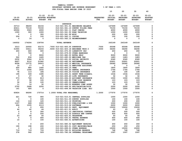|                         |                                             |                                | FOR FISCAL YEAR ENDING JUNE 30 2023                                   |                                |                                              |                                               |                                               |                                              |
|-------------------------|---------------------------------------------|--------------------------------|-----------------------------------------------------------------------|--------------------------------|----------------------------------------------|-----------------------------------------------|-----------------------------------------------|----------------------------------------------|
|                         |                                             |                                |                                                                       |                                | 10                                           | 20                                            | 30                                            | 40                                           |
| 19-20<br><b>ACTUAL</b>  | $20 - 21$<br><b>ACTUAL</b>                  | $21 - 22$<br><b>BUDGET FTE</b> | $21 - 22$<br>ADOPTED BUDGETED                                         | <b>REQUESTED</b><br><b>FTE</b> | $22 - 23$<br><b>INITIAL</b><br><b>BUDGET</b> | $22 - 23$<br><b>PROPOSED</b><br><b>BUDGET</b> | $22 - 23$<br><b>APPROVED</b><br><b>BUDGET</b> | $22 - 23$<br><b>ADOPTED</b><br><b>BUDGET</b> |
|                         |                                             |                                |                                                                       |                                |                                              |                                               |                                               |                                              |
| 33713                   | 98209                                       | 64154                          | <b>SURVEYOR</b><br>010-021-301.01 BEGINNING BALANCE                   |                                | 167699                                       | 167699                                        | 167699                                        | 0                                            |
| 40411                   | 70118                                       | 70150                          | 010-021-341.10 SURVEY FILING FEES                                     |                                | 70150                                        | 70150                                         | 70150                                         | 0                                            |
| 69304                   | 5563                                        | 4000                           | 010-021-341.11 PLAT CHECKS                                            |                                | 4000                                         | 4000                                          | 4000                                          | 0                                            |
| 1300                    | 300                                         | 1000                           | 010-021-341.50 ROAD VACATION                                          |                                | 1000                                         | 1000                                          | 1000                                          | 0                                            |
| $\overline{\mathbf{0}}$ | $\overline{\mathbf{0}}$                     | 300                            | 010-021-341.99 MISC                                                   |                                | 200                                          | 200                                           | 200                                           | 0                                            |
| 204                     | $\begin{matrix}0&&&100\ 14&&&0\end{matrix}$ |                                | 010-021-362.11 COPIES                                                 |                                | 100                                          | 100                                           | 100                                           | 0                                            |
| $\mathbf 0$             |                                             |                                | 010-021-362.12 REIMBURSEMENT                                          |                                | $\overline{\phantom{0}}$                     | $\overline{\mathbf{0}}$                       | $\overline{\phantom{a}}$                      | 0                                            |
| 144932                  | 174204                                      | 139704                         | <b>TOTAL REVENUE</b>                                                  |                                | 243149                                       | 243149                                        | 243149                                        | 0                                            |
| 3313                    | 20550                                       | 63173                          | .7000 010-021-400.05 SURVEYOR                                         | .7000                          | 65068                                        | 65068                                         | 65068                                         | 0                                            |
| 31955                   | 33411                                       |                                | 35233 .5000 010-021-403.18 ENGINEER TECH 2 .5000                      |                                | 36290                                        | 36290                                         | 36290                                         | 0                                            |
| 450                     | 600                                         | 600                            | 010-021-475.00 LONGEVITY PAY                                          |                                | 450                                          | 450                                           | 450                                           | 0                                            |
| $\overline{0}$          | 746                                         | $\overline{\phantom{0}}$       | 010-021-479.00 OTHER EARNINGS                                         |                                | $\overline{\phantom{0}}$                     | $\overline{\phantom{0}}$                      | $\overline{\phantom{0}}$                      | 0                                            |
| $\overline{\mathbf{0}}$ | $\overline{\phantom{0}}$                    | 9000                           | 010-021-482.00 EXTRA HELP                                             |                                | 9000                                         | 9000                                          | 9000                                          | 0                                            |
| 522                     | 834<br>3564                                 | 1445<br>6176                   | 010-021-490.00 MEDICARE TAX                                           |                                | 1483<br>6340                                 | 1483<br>6340                                  | 1483<br>6340                                  | 0<br>0                                       |
| 2232<br>8627            | 9112                                        | 21942                          | 010-021-491.00 SOCIAL SECURITY<br>010-021-492.00 RETIREMENT           |                                | 22601                                        | 22601                                         | 22601                                         | 0                                            |
| 8558                    | 13772                                       | 24915                          | 010-021-493.10 MEDICAL INSURANCE                                      |                                | 26580                                        | 26580                                         | 26580                                         | 0                                            |
| 14                      | 17                                          | $\overline{\phantom{a}}$ 0     | 010-021-493.12 EMPLOYEE ASSISTANC                                     |                                | $\overline{\phantom{0}}$                     | $\overline{\mathbf{0}}$                       | $\overline{\mathbf{0}}$                       | 0                                            |
| 600                     | 880                                         | 1440                           | 010-021-493.15 VEBA                                                   |                                | 1800                                         | 1800                                          | 1800                                          | 0                                            |
| 771                     | 1096                                        | 1832                           | 010-021-493.20 DENTAL INSURANCE                                       |                                | 1764                                         | 1764                                          | 1764                                          | 0                                            |
| 78                      | 113                                         | 186                            | 010-021-493.25 VISION INSURANCE                                       |                                | 190                                          | 190                                           | 190                                           | 0                                            |
| 195                     | 339                                         | 1495                           | 010-021-493.31 SHORT TERM DISABIL                                     |                                | 1534                                         | 1534                                          | 1534                                          | 0                                            |
| - 9                     | 27                                          | 32                             | 010-021-493.40 LIFE INSURANCE                                         |                                | 32                                           | 32<br>1000                                    | 32                                            | 0                                            |
| 573<br>37               | 722<br>58                                   | 813<br>100                     | 010-021-494.00 ACCIDENT INSURANCE<br>010-021-494.80 TIME LOSS RESERVE |                                | 1000<br>103                                  | 103                                           | 1000<br>103                                   | 0<br>0                                       |
| 36                      | 39                                          | 100                            | 010-021-495.00 UNEMPLOYMENT                                           |                                | 103                                          | 103                                           | 103                                           | 0                                            |
| 11                      | 16                                          | 32                             | 010-021-496.00 WORKERS COMP ASSES                                     |                                | 32                                           | 32                                            | 32                                            | 0                                            |
| 2702                    | 2468                                        | 2200                           | 010-021-499.00 FET/VACATION/SICK                                      |                                | 2200                                         | 2200                                          | 2200                                          | 0                                            |
| 141                     | 926                                         | $\overline{\phantom{0}}$       | 010-021-499.99 VACATION LIAB. ADJ                                     |                                | 1000                                         | 1000                                          | 1000                                          | 0                                            |
| 60824                   | 89290                                       | 170714                         | 1.2000 TOTAL FOR PERSONNEL                                            | $\overline{1.2000}$            | 177570                                       | 177570                                        | 177570                                        | 0                                            |
| 621                     | 730                                         | 900                            | 010-021-510.01 CENTRAL SUPPLIES                                       |                                | 1000                                         | 1000                                          | 1000                                          | 0                                            |
| $\mathbf 0$             | $\overline{\mathbf{0}}$                     | 100                            | 010-021-511.03 SURVEY SUPPLIES                                        |                                | 100                                          | 100                                           | 100                                           | 0                                            |
| 124                     | 118                                         | 120                            | 010-021-511.16 PRINTING                                               |                                | 200                                          | 200                                           | 200                                           | 0                                            |
| 1107                    | 628                                         | 1000                           | 010-021-513.03 PUBLICATIONS & DUE                                     |                                | 1000                                         | 1000                                          | 1000                                          | 0                                            |
| 604                     | 1535                                        | 2113                           | 010-021-513.06 SOFTWARE                                               |                                | 2200                                         | 2200                                          | 2200                                          | 0                                            |
| $\mathbf 0$<br>44       | $\overline{\mathbf{0}}$<br>42               | 200<br>44                      | 010-021-543.01 DEPT. EQUIPMENT<br>010-021-611.01 AUDIT                |                                | 15200<br>63                                  | 15200<br>63                                   | 15200<br>63                                   | 0<br>0                                       |
| 0                       | 8                                           | 300                            | 010-021-611.03 JANITORIAL CONTRAC                                     |                                | 200                                          | 200                                           | 200                                           | $\Omega$                                     |
| 0                       | 0                                           | 250                            | 010-021-612.02 SCHOOLS AND CONFER                                     |                                | 450                                          | 450                                           | 450                                           | 0                                            |
| 23                      | 46                                          | 50                             | 010-021-620.01 TELEPHONE                                              |                                | 50                                           | 50                                            | 50                                            | 0                                            |
| 0                       | 0                                           | 400                            | 010-021-630.01 TRAVEL EXPENSE                                         |                                | 400                                          | 400                                           | 400                                           | 0                                            |
| 10                      | 7                                           | 100                            | 010-021-640.01 ADVERTISING                                            |                                | 100                                          | 100                                           | 100                                           | 0                                            |
| 0                       | 0                                           | 200                            | 010-021-680.02 EQUIPMENT REPAIRS                                      |                                | 450                                          | 450                                           | 450                                           | 0                                            |
| 190                     | 198                                         | 200                            | 010-021-683.01 COPY MACHINES/MAIN                                     |                                | 250                                          | 250                                           | 250                                           | 0                                            |
| 0                       | 0                                           | 100                            | 010-021-699.01 OTHER EXPENSE                                          |                                | 15000                                        | 15000                                         | 15000                                         | 0                                            |
| 719                     | 719                                         | 733                            | 010-021-780.01 BUILDING RESERVE                                       |                                | 748                                          | 748                                           | 748                                           | 0                                            |
| 378                     | 562                                         | 529                            | 010-021-780.04 INTERNAL TELECOMMU                                     |                                | 1097                                         | 1097                                          | 1097                                          | 0                                            |

 **YAMHILL COUNTY BUDGETARY REVENUE AND EXPENSE WORKSHEET % OF YEAR = 100%**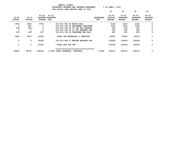|                            |                            |                                              |                                                    |                          | 10                                    | 20                                            | 30                                            | 40                                           |
|----------------------------|----------------------------|----------------------------------------------|----------------------------------------------------|--------------------------|---------------------------------------|-----------------------------------------------|-----------------------------------------------|----------------------------------------------|
| $19 - 20$<br><b>ACTUAL</b> | $20 - 21$<br><b>ACTUAL</b> | $21 - 22$<br><b>ADOPTED</b><br><b>BUDGET</b> | $21 - 22$<br><b>BUDGETED</b><br>FTE                | <b>REQUESTED</b><br>FTE. | $22 - 23$<br>INITIAL<br><b>BUDGET</b> | $22 - 23$<br><b>PROPOSED</b><br><b>BUDGET</b> | $22 - 23$<br><b>APPROVED</b><br><b>BUDGET</b> | $22 - 23$<br><b>ADOPTED</b><br><b>BUDGET</b> |
| 1944                       | 2052                       | 2750                                         | 010-021-780.05 MOTOR POOL                          |                          | 5100                                  | 5100                                          | 5100                                          | 0                                            |
| 0                          | 597                        | 0                                            | 010-021-780.06 EQUIPMENT REPLACEM                  |                          | 5000                                  | 5000                                          | 5000                                          | O                                            |
| $216 -$                    | $495 -$                    | 0                                            | 010-021-780.44 CO INT PEL RESERVE                  |                          | 500                                   | 500                                           | 500                                           | 0                                            |
| 0                          | 0                          | 0                                            | 010-021-780.46 CO INT NETWORK CHA                  |                          | 500                                   | 500                                           | 500                                           | 0                                            |
| 118                        | 128                        | 257                                          | 010-021-780.54 TELECOMM PER CALL                   |                          | 455                                   | 455                                           | 455                                           | 0                                            |
| 5666                       | 6875                       | 10346                                        | TOTAL FOR MATERIALS & SERVICES                     |                          | 50063                                 | 50063                                         | 50063                                         | 0                                            |
| 0                          | 0                          | 61402                                        | 010-021-990.01 ENDING BALANCE SUR                  |                          | 124439                                | 124439                                        | 124439                                        | 0                                            |
| 0                          | 0                          | 61402                                        | TOTAL FOR 900-999                                  |                          | 124439                                | 124439                                        | 124439                                        | 0                                            |
| 66490                      | 96165                      | 242462                                       | 1.2000<br><b>TOTAL EXPENSES</b><br><b>SURVEYOR</b> | 1.2000                   | 352072                                | 352072                                        | 352072                                        | 0                                            |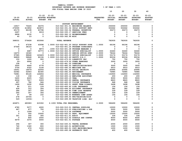|               |               |               | FOR FISCAL IEAR ENDING OUNE JU ZUZJ                     |                  |                |                 |                 |                |
|---------------|---------------|---------------|---------------------------------------------------------|------------------|----------------|-----------------|-----------------|----------------|
|               |               |               |                                                         |                  | 10             | 20              | 30              | 40             |
|               |               |               |                                                         |                  |                |                 |                 |                |
|               |               | $21 - 22$     | $21 - 22$                                               |                  | $22 - 23$      | $22 - 23$       | $22 - 23$       | $22 - 23$      |
| $19 - 20$     | $20 - 21$     |               | <b>ADOPTED BUDGETED</b>                                 | <b>REQUESTED</b> | <b>INITIAL</b> | <b>PROPOSED</b> | <b>APPROVED</b> | <b>ADOPTED</b> |
| <b>ACTUAL</b> | <b>ACTUAL</b> | <b>BUDGET</b> | $_{\rm FTE}$                                            | FTE              | <b>BUDGET</b>  | <b>BUDGET</b>   | <b>BUDGET</b>   | <b>BUDGET</b>  |
|               |               |               |                                                         |                  |                |                 |                 |                |
| 16917         | 70225         | 46376         | SUPPORT ENFORCEMENT<br>010-022-301.01 BEGINNING BALANCE |                  | 250000         | 250000          | 250000          |                |
| 276590        | 413852        | 463873        | 010-022-331.04 CHILD SUPPORT ENFO                       |                  | 502662         | 502662          | 502662          | 0<br>0         |
| 65179         | 86198         | 83798         | 010-022-332.04 FEDERAL INCENTIVE                        |                  | 30273          | 30273           | 30273           | 0              |
| 2497          | 0             | 9019          | 010-022-335.17 SERVICES FEES                            |                  | 0              | 0               | 0               | 0              |
| 6808          | 6130          | 0             | 010-022-362.12 REIMBURSEMENT                            |                  | 0              | 0               | 0               | 0              |
| 40            | 23            | 0             | 010-022-362.99 MISC                                     |                  | 0              | 0               | $\Omega$        | $\Omega$       |
|               |               |               |                                                         |                  |                |                 |                 |                |
| 368031        | 576428        | 603066        | TOTAL REVENUE                                           |                  | 782935         | 782935          | 782935          | 0              |
| 0             | 47238         | 63098         | 1.0000 010-022-401.20 CHILD SUPPORT SUPE                | 1.0000           | 66196          | 66196           | 66196           | 0              |
| 47566         | 38143         | 0             | 010-022-401.24 PROGRAM COORDINATO                       |                  | 0              | 0               | 0               | 0              |
| 0             | 0             | 8873          | .1000 010-022-401.28 PROGRAM MANAGER 2                  |                  | 0              | 0               | 0               | 0              |
| 0             | 6687          | 30773         | 1.0000 010-022-402.02 OFFICE SPECIALIST                 | 1.0000           | 32460          | 32460           | 32460           | 0              |
| 14270         | 18360         | $\mathbf 0$   | 010-022-402.03 SENIOR OFFICE SPEC                       | 2.0000           | 78244          | 78244           | 78244           | 0              |
| 97585         | 98848         | 163429        | 3.0000 010-022-402.20 OFFICE SPECIALIST                 | 1.0000           | 53176          | 53176           | 53176           | 0              |
| 96809         | 58848         | 82196         | 1.0000 010-022-403.49 DEPUTY D/A 2                      | 1.0000           | 90036          | 90036           | 90036           | 0              |
| 150           | 1200          | 900           | 010-022-475.00 LONGEVITY PAY                            |                  | 750            | 750             | 750             | 0              |
| $20 -$        | 6906          | $\mathbf 0$   | 010-022-479.00 OTHER EARNINGS                           |                  | 3000           | 3000            | 3000            | 0              |
| 108           | 0             | 0             | 010-022-481.00 OVERTIME                                 |                  | 0              | $\mathbf 0$     | 0               | 0              |
| 3000          | 4644          | 6778          | 010-022-485.00 CERTIFICATION/EDUC                       |                  | 3000           | 3000            | 3000            | 0              |
| 3754          | 4322          | 5158          | 010-022-490.00 MEDICARE TAX                             |                  | 4910           | 4910            | 4910            | 0              |
| 16051         | 18479         | 22056         | 010-022-491.00 SOCIAL SECURITY                          |                  | 20995          | 20995           | 20995           | $\mathbf 0$    |
| 52082         | 52943         | 82365         | 010-022-492.00 RETIREMENT                               |                  | 76985          | 76985           | 76985           | 0              |
| 76981         | 95145         | 126654        | 010-022-493.10 MEDICAL INSURANCE                        |                  | 132900         | 132900          | 132900          | 0              |
| 118           | 158           | 200           | 010-022-493.12 EMPLOYEE ASSISTANC                       |                  | 200            | 200             | 200             | 0              |
| 5400          | 6225          | 7620          | 010-022-493.15 VEBA                                     |                  | 9000           | 9000            | 9000            | $\mathbf 0$    |
| 6936          | 7617          | 9309          | 010-022-493.20 DENTAL INSURANCE                         |                  | 8820           | 8820            | 8820            | 0              |
| 697           | 782           | 946           | 010-022-493.25 VISION INSURANCE                         |                  | 948            | 948             | 948             | 0              |
| 1428          | 1632          | 3568          | 010-022-493.31 SHORT TERM DISABIL                       |                  | 3498           | 3498            | 3498            | 0              |
| 80            | 211           | 159           | 010-022-493.40 LIFE INSURANCE                           |                  | 156            | 156             | 156             | $\mathbf 0$    |
| 428           | 312           | 356           | 010-022-494.00 ACCIDENT INSURANCE                       |                  | 382            | 382             | 382             | 0              |
| 284           | 307           | 356           | 010-022-494.80 TIME LOSS RESERVE                        |                  | 339            | 339             | 339             | 0              |
| 260           | 307           | 356           | 010-022-495.00 UNEMPLOYMENT                             |                  | 339            | 339             | 339             | 0              |
| 97            | 99            | 152           | 010-022-496.00 WORKERS COMP ASSES                       |                  | 156            | 156             | 156             | 0              |
| 278           | 25704         | 0             | 010-022-499.00 FET/VACATION/SICK                        |                  | 0              | 0               | 0               | 0              |
| 529           | 12034-        | 0             | 010-022-499.99 VACATION LIAB. ADJ                       |                  | 0              | 0               | 0               | 0              |
| 424871        | 483083        | 615302        | 6.1000 TOTAL FOR PERSONNEL                              | 6.0000           | 586490         | 586490          | 586490          | $\mathbf 0$    |
| 4780          | 5077          | 4000          | 010-022-510.01 CENTRAL SUPPLIES                         |                  | 10000          | 10000           | 10000           | 0              |
| 667           | 877           | 750           | 010-022-513.03 PUBLICATIONS & DUE                       |                  | 5000           | 5000            | 5000            | 0              |
| 0             | 1099          | $\mathbf 0$   | 010-022-513.06 SOFTWARE                                 |                  | 5000           | 5000            | 5000            | 0              |
| 0             | 550           | 10000         | 010-022-543.01 DEPT. EQUIPMENT                          |                  | 15000          | 15000           | 15000           | 0              |
| 301           | 292           | 305           | 010-022-611.01 AUDIT                                    |                  | 336            | 336             | 336             | 0              |
| 0             | 800           | 2000          | 010-022-612.02 SCHOOLS AND CONFER                       |                  | 8000           | 8000            | 8000            | 0              |
| 4479          | 3370          | 4000          | 010-022-621.01 POSTAGE                                  |                  | 4500           | 4500            | 4500            | 0              |
| 296           | 307           | 300           | 010-022-630.01 TRAVEL EXPENSE                           |                  | 2000           | 2000            | 2000            | 0              |
| 740           | 1340          | 800           | 010-022-640.01 ADVERTISING                              |                  | 1500           | 1500            | 1500            | 0              |
| 320           | 676           | 1200          | 010-022-683.01 COPY MACHINES/MAIN                       |                  | 1200           | 1200            | 1200            | 0              |
| 211           | 93            | 400           | 010-022-695.08 PATERNITY TEST                           |                  | 400            | 400             | 400             | 0              |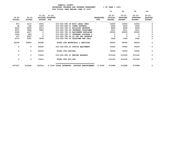|               |               |               | FOR FISCALL IEAR ENDING JONE JO ZOZJ      |                                   |                  | 10            | 20              | 30              | 40             |
|---------------|---------------|---------------|-------------------------------------------|-----------------------------------|------------------|---------------|-----------------|-----------------|----------------|
|               |               |               |                                           |                                   |                  |               |                 |                 |                |
|               |               | $21 - 22$     | $21 - 22$                                 |                                   |                  | $22 - 23$     | $22 - 23$       | $22 - 23$       | $22 - 23$      |
| $19 - 20$     | $20 - 21$     |               | ADOPTED BUDGETED                          |                                   | <b>REQUESTED</b> | INITIAL       | <b>PROPOSED</b> | <b>APPROVED</b> | <b>ADOPTED</b> |
| <b>ACTUAL</b> | <b>ACTUAL</b> | <b>BUDGET</b> | FTE                                       |                                   | <b>FTE</b>       | <b>BUDGET</b> | <b>BUDGET</b>   | <b>BUDGET</b>   | <b>BUDGET</b>  |
| 873           | 2110          | 3000          | 010-022-695.09 MISC LEGAL FEES            |                                   |                  | 10000         | 10000           | 10000           | O.             |
| 65            | 184           | 1000          | 010-022-699.01 OTHER EXPENSE              |                                   |                  | 2500          | 2500            | 2500            |                |
| 9230          | 9230          | 9413          | 010-022-780.01 BUILDING RESERVE           |                                   |                  | 9596          | 9596            | 9596            | 0              |
| 4570          | 3694          | 3922          |                                           | 010-022-780.04 INTERNAL TELECOMMU |                  | 3011          | 3011            | 3011            | 0              |
| 2283          | 4437          | 0             |                                           | 010-022-780.06 EOUIPMENT REPLACEM |                  | 20000         | 20000           | 20000           | 0              |
| 1024          | 883           | $\mathbf{o}$  |                                           | 010-022-780.17 INTERNAL POSTAGE C |                  | $\mathbf 0$   | 0               | 0               | 0              |
| 157           | 6427-         | $\mathbf 0$   |                                           | 010-022-780.44 CO INT PEL RESERVE |                  | 0             | 0               |                 | 0              |
| 2170          | 2291          | 3008          |                                           | 010-022-780.54 TELECOMM PER CALL  |                  | 1320          | 1320            | 1320            | $\mathbf 0$    |
| 32166         | 30883         | 44098         |                                           | TOTAL FOR MATERIALS & SERVICES    |                  | 99363         | 99363           | 99363           | 0              |
| 0             | 0             | 50000         | 010-022-800.02 OFFICE EQUIPMENT           |                                   |                  | 75000         | 75000           | 75000           | 0              |
| 0             | 0             | 50000         | TOTAL FOR CAPITAL                         |                                   |                  | 75000         | 75000           | 75000           | 0              |
| 0             | 0             | 73914         | 010-022-990.01 ENDING BALANCE             |                                   |                  | 213145        | 213145          | 213145          | 0              |
| 0             | 0             | 73914         | TOTAL FOR 900-999                         |                                   |                  | 213145        | 213145          | 213145          | 0              |
| 457037        | 513966        | 783314        | 6.1000 TOTAL EXPENSES SUPPORT ENFORCEMENT |                                   | 6.0000           | 973998        | 973998          | 973998          | 0              |
|               |               |               |                                           |                                   |                  |               |                 |                 |                |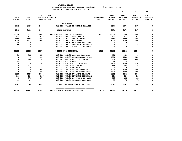|               |                         |                   |         |                                 | BUDGETARY REVENUE AND EXPENSE WORKSHEET    |             | $8$ OF YEAR = $100\%$   |                            |                         |                |
|---------------|-------------------------|-------------------|---------|---------------------------------|--------------------------------------------|-------------|-------------------------|----------------------------|-------------------------|----------------|
|               |                         |                   |         |                                 | FOR FISCAL YEAR ENDING JUNE 30 2023        |             | 10                      | 20                         | 30                      | 40             |
|               |                         | 21-22 21-22       |         |                                 |                                            |             |                         | 22-23 22-23                | $22 - 23$               | $22 - 23$      |
| $19 - 20$     | 20-21 ADOPTED BUDGETED  |                   |         |                                 |                                            |             |                         | REQUESTED INITIAL PROPOSED | APPROVED                | <b>ADOPTED</b> |
| <b>ACTUAL</b> | <b>ACTUAL</b>           | <b>BUDGET FTE</b> |         |                                 |                                            | FTE         | <b>BUDGET</b>           | <b>BUDGET</b>              | <b>BUDGET</b>           | <b>BUDGET</b>  |
|               |                         |                   |         | <b>TREASURER</b>                |                                            |             |                         |                            |                         |                |
| 1749          |                         |                   |         |                                 | 3698 1469 010-023-301.01 BEGINNING BALANCE |             | 2676 —                  | 2676 —                     | 2676                    | 0              |
| 1749          | 3698                    | 1469              |         | <b>TOTAL REVENUE</b>            |                                            |             | 2676                    | 2676                       | 2676                    | 0              |
| 30000         | 30133                   | 30000             |         |                                 | .4000 010-023-400.06 TREASURER .4000       |             | 30000                   | 30000                      | 30000                   | 0              |
| 435           | 437                     | 435               |         |                                 | 010-023-490.00 MEDICARE TAX                |             | 435                     | 435                        | 435                     | 0              |
| 1860          | 1868                    | 1860              |         |                                 | 010-023-491.00 SOCIAL SECURITY             |             | 1860                    | 1860                       | 1860                    | 0              |
| 3000          | 3013                    | 3000              |         | 010-023-492.00 RETIREMENT       |                                            |             | 3000                    | 3000                       | 3000                    | 0              |
| 10            | 10                      | 20                |         |                                 | 010-023-493.12 EMPLOYEE ASSISTANC          |             | 20                      | 20                         | 20                      | 0              |
| 45            | 30                      | 30                |         |                                 | 010-023-494.00 ACCIDENT INSURANCE          |             | 24                      | 24                         | 24                      | 0              |
| 31            | 30                      | 30                |         |                                 | 010-023-494.80 TIME LOSS RESERVE           |             | 30                      | 30                         | 30                      | 0              |
| 35381         | 35521                   |                   |         | 35375 .4000 TOTAL FOR PERSONNEL |                                            | $\sim 4000$ | 35369                   | 35369                      | 35369                   | 0              |
| 86            | 305                     | 350               |         |                                 | 010-023-510.01 CENTRAL SUPPLIES            |             | 400                     | 400                        | 400                     | 0              |
| 0             | $\overline{\mathbf{0}}$ | 600               |         |                                 | 010-023-513.03 PUBLICATIONS & DUE          |             | 1200                    | 1200                       | 1200                    | 0              |
| 0             | 828                     | 500               |         |                                 | 010-023-543.01 DEPT. EQUIPMENT             |             | 2200                    | 2200                       | 2200                    | 0              |
| 25            | 23                      | 24                |         |                                 | 010-023-611.01 AUDIT                       |             | 28                      | 28                         | 28                      | 0              |
| 0             | $^{\circ}$              | 701 —             |         |                                 | 010-023-612.01 MISC TRAINING               |             | 1200                    | 1200                       | 1200                    | 0              |
| $\Omega$      | 323                     | $\overline{0}$    |         | 010-023-620.01 TELEPHONE        |                                            |             | 158                     | 158                        | 158                     | 0              |
| $\Omega$      | $\Omega$                | 25                |         | 010-023-621.01 POSTAGE          |                                            |             | $\overline{\mathbf{0}}$ | $\overline{\mathbf{0}}$    | $\overline{\mathbf{0}}$ | 0              |
| 0             | $\mathbf 0$             | 2000              |         |                                 | 010-023-630.01 TRAVEL EXPENSE              |             | 1000                    | 1000                       | 1000                    | 0              |
| 0             | $\overline{\mathbf{0}}$ | 200               |         |                                 | 010-023-691.01 ASSOC MEMBERSHIPS           |             | 1500                    | 1500                       | 1500                    | 0              |
| 1028          | 1028                    | 1049              |         |                                 | 010-023-780.01 BUILDING RESERVE            |             | 1069                    | 1069                       | 1069                    | 0              |
| 446           | 396                     | 396               |         |                                 | 010-023-780.04 INTERNAL TELECOMMU          |             | 396                     | 396                        | 396                     | 0              |
| $\mathbf{0}$  | 371                     |                   | 371 — 1 |                                 | 010-023-780.06 EQUIPMENT REPLACEM          |             | 615                     | 615                        | 615                     | 0              |
| 44            | 66                      | $5^{\circ}$       |         |                                 | 010-023-780.54 TELECOMM PER CALL           |             | 75                      | 75                         | 75                      | 0              |
| 1629          | 3340                    | 6221              |         |                                 | TOTAL FOR MATERIALS & SERVICES             |             | 9841                    | 9841 —                     | 9841                    | 0              |
| 37010         | 38861                   | 41596             |         | .4000 TOTAL EXPENSES TREASURER  | ------------------------------------       | .4000       | 45210                   | 45210                      | 45210                   | 0              |

 **YAMHILL COUNTY**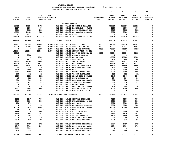| YAMHILL COUNTY                          |                       |
|-----------------------------------------|-----------------------|
| BUDGETARY REVENUE AND EXPENSE WORKSHEET | $8$ OF YEAR = 100 $8$ |
| FOR FISCAL YEAR ENDING JUNE 30 2023     |                       |

|               |               |                         |                  |                                                                       |                  | 10                  | 20              | 30              | 40                         |
|---------------|---------------|-------------------------|------------------|-----------------------------------------------------------------------|------------------|---------------------|-----------------|-----------------|----------------------------|
|               |               | $21 - 22$               | $21 - 22$        |                                                                       |                  | $22 - 23$           | $22 - 23$       | $22 - 23$       | $22 - 23$                  |
| $19 - 20$     | $20 - 21$     |                         | ADOPTED BUDGETED |                                                                       | <b>REQUESTED</b> | INITIAL             | <b>PROPOSED</b> | <b>APPROVED</b> | <b>ADOPTED</b>             |
| <b>ACTUAL</b> | <b>ACTUAL</b> | <b>BUDGET FTE</b>       |                  |                                                                       | FTE              | <b>BUDGET</b>       | <b>BUDGET</b>   | <b>BUDGET</b>   | <b>BUDGET</b>              |
|               |               |                         |                  | COUNTY COUNSEL                                                        |                  |                     |                 |                 |                            |
| 68792         | 47354         | 64757                   |                  | 010-025-301.01 BEGINNING BALANCE                                      |                  | 332290              | 332290          | 332290          | 0                          |
| 6827          | 6906          | 4000                    |                  | 010-025-334.29 ASSESSMENT & TAXAT                                     |                  | 4000                | 4000            | 4000            | 0                          |
| 2989          | 2988          | 2989                    |                  | 010-025-341.52 COSSD CONTRACT SER                                     |                  | 3015                | 3015            | 3015            | $\mathbf 0$                |
| 16083         | 14401         | 3227                    |                  | 010-025-351.01 CO COUNSEL COLLECT                                     |                  | 2500                | 2500            | 2500            | $\mathbf 0$                |
| 365           | 89157         | $\mathbf{o}$            |                  | 010-025-362.99 MISC                                                   |                  | 0                   | 0               | 0               | $\mathbf 0$                |
| 231854        | 236854        | 273199                  |                  | 010-025-380.54 INT LEGAL SERVICES                                     |                  | 263274              | 263274          | 263274          | 0                          |
| 326910        | 397660        | 348172                  |                  | <b>TOTAL REVENUE</b>                                                  |                  | 605079              | 605079          | 605079          | 0                          |
| 124607        | 130146        | 138864                  |                  | 1.0000 010-025-401.05 LEGAL COUNSEL                                   | 1.0000           | 143030              | 143030          | 143030          | 0                          |
| 29279         | 40986         | 46247                   |                  | 1.0000 010-025-401.39 LEGAL ASSISTANT                                 | 1.0000           | 49973               | 49973           | 49973           | 0                          |
| 0             | 0             | 83875                   |                  | 1.0000 010-025-403.42 ASST. CO COUNSEL                                | 1.0000           | 76997               | 76997           | 76997           | $\mathbf 0$                |
| 105464        | 113566        | 120648                  |                  | 1.0000 010-025-403.62 SENIOR ASST CO COU                              |                  | 0                   | 0               | 0               | $\mathbf 0$                |
| 82365         | 0             | $\mathbf{o}$            |                  | 010-025-403.72 ASST CO COUNSEL II                                     | 1.0000           | 92954               | 92954           | 92954           | $\mathbf 0$                |
| $\mathbf 0$   | 7302          | $\mathbf 0$             |                  | 010-025-479.00 OTHER EARNINGS                                         |                  | $\mathbf 0$         | $\mathbf 0$     | $\mathbf 0$     | $\mathbf 0$                |
| $\mathbf 0$   | $\mathbf{o}$  | 15000                   |                  | 010-025-482.00 EXTRA HELP                                             |                  | 15000               | 15000           | 15000           | $\mathbf 0$                |
| 5089          | 4291          | 5722                    |                  | 010-025-490.00 MEDICARE TAX                                           |                  | 5480                | 5480            | 5480            | $\mathbf 0$                |
| 21759         | 18348         | 24467                   |                  | 010-025-491.00 SOCIAL SECURITY                                        |                  | 23433               | 23433           | 23433           | $\mathbf 0$                |
| 74470         | 70919         | 94211                   |                  | 010-025-492.00 RETIREMENT                                             |                  | 81729               | 81729           | 81729           | $\mathbf 0$                |
| 62811         | 56351         | 83052                   |                  | 010-025-493.10 MEDICAL INSURANCE                                      |                  | 88600               | 88600           | 88600           | $\mathbf 0$                |
| 94            | 110           | 100                     |                  | 010-025-493.12 EMPLOYEE ASSISTANC                                     |                  | 100                 | 100             | 100             | $\mathbf 0$                |
| 4400          | 3600          | 4800                    |                  | 010-025-493.15 VEBA                                                   |                  | 6000                | 6000            | 6000            | $\mathbf 0$                |
| 5651          | 4488          | 6104                    |                  | 010-025-493.20 DENTAL INSURANCE                                       |                  | 5880                | 5880            | 5880            | $\mathbf 0$                |
| 568           | 462           | 620                     |                  | 010-025-493.25 VISION INSURANCE                                       |                  | 632                 | 632             | 632             | $\mathbf 0$                |
| 1520          | 1255          | 2332                    |                  | 010-025-493.31 SHORT TERM DISABIL                                     |                  | 2340                | 2340            | 2340            | $\mathbf 0$                |
| 65            | 125           | 104                     |                  | 010-025-493.40 LIFE INSURANCE                                         |                  | 104                 | 104             | 104             | $\Omega$                   |
| 586           | 361           | 395                     |                  | 010-025-494.00 ACCIDENT INSURANCE                                     |                  | 302                 | 302             | 302             | $\mathbf 0$                |
| 389           | 297           | 395                     |                  | 010-025-494.80 TIME LOSS RESERVE                                      |                  | 378                 | 378             | 378             | $\Omega$                   |
| 354           | 297           | 395                     |                  | 010-025-495.00 UNEMPLOYMENT                                           |                  | 378                 | 378             | 378             | $\mathbf 0$                |
| 79            | 61            | 104                     |                  | 010-025-496.00 WORKERS COMP ASSES                                     |                  | 104                 | 104             | 104             | $\Omega$                   |
| 12407<br>435  | 4985<br>4358  | 6000<br>$\mathbf 0$     |                  | 010-025-499.00 FET/VACATION/SICK<br>010-025-499.99 VACATION LIAB. ADJ |                  | 6000<br>$\mathbf 0$ | 6000<br>0       | 6000<br>0       | $\mathbf 0$<br>$\mathbf 0$ |
| 532392        | 462308        | 633435                  |                  | 4.0000 TOTAL FOR PERSONNEL                                            | 4.0000           | 599414              | 599414          | 599414          | 0                          |
|               |               |                         |                  |                                                                       |                  |                     |                 |                 |                            |
| 4502          | 1967          | 7000                    |                  | 010-025-510.01 CENTRAL SUPPLIES                                       |                  | 7000                | 7000            | 7000            | 0                          |
| 4860          | 5196          | 5000                    |                  | 010-025-513.03 PUBLICATIONS & DUE                                     |                  | 5000                | 5000            | 5000            | 0                          |
| 180           | 270           | $\overline{\mathbf{0}}$ |                  | 010-025-513.06 SOFTWARE                                               |                  | 2500                | 2500            | 2500            | $\mathbf 0$                |
| $\mathbf 0$   | $\mathbf{o}$  | 900                     |                  | 010-025-543.01 DEPARTMENT EQUIPME                                     |                  | 5000                | 5000            | 5000            | $\mathbf 0$                |
| 46390         | 86472         | 40000                   |                  | 010-025-610.01 PROFESSIONAL SERVI                                     |                  | 40000               | 40000           | 40000           | $\mathbf 0$                |
| 368           | 389           | 379                     |                  | 010-025-611.01 AUDIT                                                  |                  | 379                 | 379             | 379             | 0                          |
| 2896          | $\mathbf 0$   | 5000                    |                  | 010-025-612.01 MISC TRAINING                                          |                  | 7500                | 7500            | 7500            | $\mathbf 0$                |
| 1530          | 594           | 1830                    |                  | 010-025-620.01 TELEPHONE                                              |                  | 1830                | 1830            | 1830            | 0                          |
| 4025          | 102           | 3176                    |                  | 010-025-630.01 TRAVEL EXPENSE                                         |                  | 3500                | 3500            | 3500            | 0                          |
| 0<br>7670     | 0<br>7670     | 700<br>7822             |                  | 010-025-683.01 COPY MACHINES/MAIN<br>010-025-780.01 BUILDING RESERVE  |                  | 700<br>7975         | 700<br>7975     | 700<br>7975     | 0<br>0                     |
| 2095          | 1727          | 1727                    |                  | 010-025-780.04 INTERNAL TELECOMMU                                     |                  | 1727                | 1727            | 1727            | 0                          |
| 1947          | 3760          | 2644                    |                  | 010-025-780.06 EOUIPMENT REPLACEM                                     |                  | 1794                | 1794            | 1794            | 0                          |
| 3681          | 3549          | 0                       |                  | 010-025-780.44 CO INT PEL RESERVE                                     |                  | 0                   | 0               | 0               | 0                          |
| 454           | 592           | 715                     |                  | 010-025-780.54 TELECOMM PER CALL                                      |                  | 648                 | 648             | 648             | 0                          |
| 80598         | 112288        | 76893                   |                  | TOTAL FOR MATERIALS & SERVICES                                        |                  | 85553               | 85553           | 85553           | 0                          |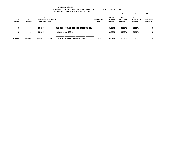|                            | YAMHILL COUNTY<br>$8$ OF YEAR = 100 $8$<br>BUDGETARY REVENUE AND EXPENSE WORKSHEET<br>FOR FISCAL YEAR ENDING JUNE 30 2023 |                                            |              |                                         |                         |                                       |                                               |                                               |                                              |  |  |  |
|----------------------------|---------------------------------------------------------------------------------------------------------------------------|--------------------------------------------|--------------|-----------------------------------------|-------------------------|---------------------------------------|-----------------------------------------------|-----------------------------------------------|----------------------------------------------|--|--|--|
|                            |                                                                                                                           |                                            |              |                                         |                         | 10                                    | 20                                            | 30                                            | 40                                           |  |  |  |
| $19 - 20$<br><b>ACTUAL</b> | $20 - 21$<br><b>ACTUAL</b>                                                                                                | 21-22<br>ADOPTED BUDGETED<br><b>BUDGET</b> | 21-22<br>FTE |                                         | <b>REQUESTED</b><br>FTE | $22 - 23$<br>INITIAL<br><b>BUDGET</b> | $22 - 23$<br><b>PROPOSED</b><br><b>BUDGET</b> | $22 - 23$<br><b>APPROVED</b><br><b>BUDGET</b> | $22 - 23$<br><b>ADOPTED</b><br><b>BUDGET</b> |  |  |  |
| 0                          | $\Omega$                                                                                                                  | 10636                                      |              | 010-025-990.01 ENDING BALANCE COU       |                         | 315272                                | 315272                                        | 315272                                        | 0                                            |  |  |  |
| 0                          | $\Omega$                                                                                                                  | 10636                                      |              | TOTAL FOR 900-999                       |                         | 315272                                | 315272                                        | 315272                                        | 0                                            |  |  |  |
| 612990                     | 574596                                                                                                                    | 720964                                     |              | 4.0000 TOTAL EXPENSES<br>COUNTY COUNSEL | 4.0000                  | 1000239                               | 1000239                                       | 1000239                                       | 0                                            |  |  |  |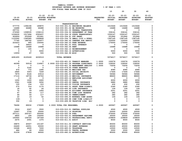|               |                         |                          |                                                 |                  | 10                       | 20                       | 30                       | 40                          |
|---------------|-------------------------|--------------------------|-------------------------------------------------|------------------|--------------------------|--------------------------|--------------------------|-----------------------------|
|               |                         |                          |                                                 |                  |                          |                          |                          |                             |
| $19 - 20$     | $20 - 21$               |                          | $21 - 22$ $21 - 22$<br>ADOPTED BUDGETED         | <b>REQUESTED</b> | 22-23<br><b>INITIAL</b>  | 22-23<br><b>PROPOSED</b> | 22-23<br><b>APPROVED</b> | $22 - 23$<br><b>ADOPTED</b> |
| <b>ACTUAL</b> | <b>ACTUAL</b>           | <b>BUDGET FTE</b>        |                                                 | <b>FTE</b>       | <b>BUDGET</b>            | <b>BUDGET</b>            | <b>BUDGET</b>            | <b>BUDGET</b>               |
|               |                         |                          |                                                 |                  |                          |                          |                          |                             |
|               |                         |                          | <b>TRANSPORTATION</b>                           |                  |                          |                          |                          |                             |
| 577770        | 1394196                 | 189870                   | 010-033-301.01 BEGINNING BALANCE                |                  | 1510446                  | 1510446                  | 1510446                  | 0                           |
| 16488         | 66488                   | 66488                    | 010-033-301.02 BB RESERVED                      |                  | 16488                    | 16488                    | 16488                    | 0                           |
| 297731        | $\mathbf{o}$            | $\overline{\mathbf{0}}$  | 010-033-331.33 FEDERAL TRANSPORTA               |                  | $^{\circ}$               | $\mathbf 0$              | $\mathbf 0$              | 0                           |
| 272060        | 1308535                 | 1336110                  | 010-033-334.02 DEPARTMENT OF TRAN               |                  | 336141                   | 336141                   | 336141                   | 0                           |
| 1236430       | 1517494                 | 2593437                  | 010-033-334.18 STATE TRANSPORTATI               |                  | 1550167                  | 1550167                  | 1550167                  | 0                           |
| 426924        | 253549                  | 251841                   | 010-033-334.41 STF GRANT                        |                  | 251842                   | 251842                   | 251842                   | 0                           |
| 1123542       | 1345585                 | 1499808                  | 010-033-334.76 SMALL CITY & RURAL               |                  | 1387145                  | 1387145                  | 1387145                  | 0                           |
| 77740         | 186762                  | 120977                   | 010-033-340.02 CHARGES FOR SERVIC               |                  | 125000                   | 125000                   | 125000                   | 0                           |
| 223223        | 995                     | 150000                   | 010-033-340.03 FARE REVENUE                     |                  | 175000                   | 175000                   | 175000                   | 0                           |
| $\mathbf 0$   | 34915                   | $\overline{\phantom{a}}$ | 010-033-361.01 POOL INTEREST                    |                  | $\overline{\phantom{0}}$ | $\overline{\mathbf{0}}$  | $\mathbf 0$              | $\pmb{0}$                   |
| 16488         | 16488                   | 16488                    | 010-033-362.04 RENT                             |                  | 16488                    | 16488                    | 16488                    | 0                           |
| $^{\circ}$    | 155                     | $\overline{\phantom{0}}$ | 010-033-362.12 REIMBURSEMENT                    |                  | $^{\circ}$               | $\mathbf 0$              | 0                        | 0                           |
| 0             | $\overline{\mathbf{0}}$ | 5000                     | 010-033-362.14 ADVERTISING                      |                  | 5000                     | 5000                     | 5000                     | 0                           |
| 13059         | 87                      | 500                      | 010-033-362.99 MISC                             |                  | 500                      | 500                      | 500                      | 0                           |
| 4281455       | 6125249                 | 6230519                  | <b>TOTAL REVENUE</b>                            |                  | 5374217                  | 5374217                  | 5374217                  | 0                           |
| 0             | $\mathbf 0$             | $\mathbf 0$              | 010-033-401.21 TRANSIT MANAGER                  | 1.0000           | 102076                   | 102076                   | 102076                   | 0                           |
| 46399         | 50518                   | 116927                   | 2.0000 010-033-401.24 PROGRAM COORDINATO 2.0000 |                  | 106052                   | 106052                   | 106052                   | 0                           |
| $\mathbf{o}$  | $\overline{\mathbf{0}}$ | $\mathbf 0$              | 010-033-401.32 MANAGEMENT ANALYST               | 1.0000           | 73254                    | 73254                    | 73254                    | 0                           |
| $\mathbf 0$   | 3140                    | $\overline{\mathbf{0}}$  | 010-033-479.00 OTHER EARNINGS                   |                  | $\overline{\phantom{0}}$ | $\mathbf 0$              | $\overline{\phantom{0}}$ | 0                           |
| 670           | 772                     | 1695                     | 010-033-490.00 MEDICARE TAX                     |                  | 4080                     | 4080                     | 4080                     | 0                           |
| 2865          | 3303                    | 7249                     | 010-033-491.00 SOCIAL SECURITY                  |                  | 17444                    | 17444                    | 17444                    | 0                           |
| 7879          | 9146                    | 23514                    | 010-033-492.00 RETIREMENT                       |                  | 56586                    | 56586                    | 56586                    | 0                           |
| 17116         | 18736                   | 20763                    | 010-033-493.10 MEDICAL INSURANCE                |                  | 88600                    | 88600                    | 88600                    | 0                           |
| 0             | 42                      | $\mathbf 0$              | 010-033-493.12 EMPLOYEE ASSISTANC               |                  | $\overline{\mathbf{0}}$  | $\mathbf 0$              | $\mathbf{o}$             | 0                           |
| 1200          | 1200                    | 2400                     | 010-033-493.15 VEBA                             |                  | 6000                     | 6000                     | 6000                     | 0                           |
| 1541          | 1498                    | 3052                     | 010-033-493.20 DENTAL INSURANCE                 |                  | 5880                     | 5880                     | 5880                     | 0                           |
| 155           | 154                     | 310                      | 010-033-493.25 VISION INSURANCE                 |                  | 632                      | 632                      | 632                      | 0                           |
| 275           | 314                     | 1170                     | 010-033-493.31 SHORT TERM DISABIL               |                  | 2340                     | 2340                     | 2340                     | 0                           |
| 18            | 42                      | 26                       | 010-033-493.40 LIFE INSURANCE                   |                  | 104                      | 104                      | 104                      | 0                           |
| 70            | 59                      | 1693                     | 010-033-494.00 ACCIDENT INSURANCE               |                  | 2251                     | 2251                     | 2251                     | 0                           |
| 47            | 54                      | 117                      | 010-033-494.80 TIME LOSS RESERVE                |                  | 282                      | 282                      | 282                      | 0                           |
| 46            | 54                      | 117                      | 010-033-495.00 UNEMPLOYMENT                     |                  | 282                      | 282                      | 282                      | 0                           |
| 22            | 19                      | 52                       | 010-033-496.00 WORKERS COMP ASSES               |                  | 104                      | 104                      | 104                      | 0                           |
| $139 -$       | $\overline{\mathbf{0}}$ | $\overline{\phantom{0}}$ | 010-033-499.98 COMP TIME LIABILIT               |                  | $\mathbf 0$              | $\mathbf 0$              | $\overline{\mathbf{0}}$  | 0                           |
| 332           | $19-$                   | 0                        | 010-033-499.99 VACATION LIAB. ADJ               |                  | 0                        | 0                        | 0                        | 0                           |
| 78496         | 89032                   | 179085                   | 2.0000 TOTAL FOR PERSONNEL                      | 4.0000           | 465967                   | 465967                   | 465967                   | 0                           |
| 3316          | 2267                    | 3500                     | 010-033-510.01 CENTRAL SUPPLIES                 |                  | 4500                     | 4500                     | 4500                     | 0                           |
| 12667         | 3706                    | 25000                    | 010-033-511.16 PRINTING                         |                  | 20000                    | 20000                    | 20000                    | 0                           |
| 207111        |                         | 205727 300000            | 010-033-520.04 FUEL                             |                  | 375000                   | 375000                   | 375000                   | 0                           |
| 6800          | 184                     | 150000                   | 010-033-543.01 DEPARTMENT EQUIPME               |                  | 35000                    | 35000                    | 35000                    | 0                           |
| 105900        | 106726                  | 187349                   | 010-033-610.01 PROFESSIONAL SERVI               |                  | 239809                   | 239809                   | 239809                   | 0                           |
| 2675          | 2091                    | 1375                     | 010-033-611.01 AUDIT                            |                  | 8500                     | 8500                     | 8500                     | 0                           |
| 39875         | 45507                   | 101187                   | 010-033-611.02 CONTRACT SERVICES                |                  | 85000                    | 85000                    | 85000                    | 0                           |
| 24469         | 24051                   | 55000                    | 010-033-611.30 GRANT EXPENSES                   |                  | 45000                    | 45000                    | 45000                    | 0                           |
| 10048         | 6935                    | 7200                     | 010-033-620.01 TELEPHONE                        |                  | 12500                    | 12500                    | 12500                    | 0                           |
| 484           | 44                      | 2000                     | 010-033-630.01 TRAVEL EXPENSE                   |                  | 2000                     | 2000                     | 2000                     | 0                           |
| 31239         | 27839                   | 46500                    | 010-033-640.01 ADVERTISING                      |                  | 85000                    | 85000                    | 85000                    | 0                           |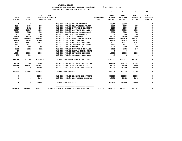|               |                          |                          |                     |                              |                                      |                  | 10            | 20              | 30              | 40                  |
|---------------|--------------------------|--------------------------|---------------------|------------------------------|--------------------------------------|------------------|---------------|-----------------|-----------------|---------------------|
|               |                          |                          | $21 - 22$ $21 - 22$ |                              |                                      |                  | $22 - 23$     | $22 - 23$       | $22 - 23$       | $22 - 23$           |
| $19 - 20$     | $20 - 21$                |                          | ADOPTED BUDGETED    |                              |                                      | <b>REQUESTED</b> | INITIAL       | <b>PROPOSED</b> | <b>APPROVED</b> | <b>ADOPTED</b>      |
| <b>ACTUAL</b> | <b>ACTUAL</b>            | <b>BUDGET FTE</b>        |                     |                              |                                      | <b>FTE</b>       | <b>BUDGET</b> | <b>BUDGET</b>   | <b>BUDGET</b>   | <b>BUDGET</b>       |
| $\mathbf{0}$  | $\overline{\mathbf{0}}$  | $\overline{\mathbf{0}}$  |                     | 010-033-652.03 LEASE PAYMENT |                                      |                  | 58860         | 58860           | $\Omega$        | 0                   |
| 4324          | 4400                     | 5000                     |                     |                              | 010-033-670.02 HEAT/LIGHTS/WATER     |                  | 6000          | 6000            | 6000            | $\mathbf 0$         |
| 9250          | 1482                     | 2000                     |                     |                              | 010-033-680.08 EOUIPMENT MAINTENA    |                  | 2000          | 2000            | 2000            | $\mathbf 0$         |
| 31027         | 16067                    | 40000                    |                     |                              | 010-033-683.07 SOFTWARE LIC AND M    |                  | 65000         | 65000           | 65000           | 0                   |
| 3125          | 3125                     | 3000                     |                     |                              | 010-033-691.01 ASSOC MEMBERSHIPS     |                  | 3000          | 3000            | 3000            | $\mathbf{o}$        |
| 479           | 805                      | 5000                     |                     | 010-033-699.01 OTHER EXPENSE |                                      |                  | 5000          | 5000            | 5000            | $\mathsf{o}$        |
| 31200         | 29550                    | 33000                    |                     |                              | 010-033-720.10 STF PAYMENTS          |                  | 32000         | 32000           | 32000           | $\mathbf 0$         |
| 1858842       | 2291858                  | 3260640                  |                     |                              | 010-033-720.17 PROVIDER PAYMENTS     |                  | 2937930       | 2937930         | 2937930         | $\mathbf 0$         |
| 21604         | 98388                    | 106000                   |                     | 010-033-740.04 BUS SHELTER   |                                      |                  | 137925        | 137925          | 137925          | $\mathbf 0$         |
| 16412         | 16412                    | 16742                    |                     |                              | 010-033-780.01 BUILDING RESERVE      |                  | 17072         | 17072           | 17072           | $\mathbf{o}$        |
| 1407          | 1331                     | 1331                     |                     |                              | 010-033-780.04 INTERNAL TELECOMMU    |                  | 1331          | 1331            | 1331            | $\mathbf{o}$        |
| 2076          | 468                      | 3000                     |                     | 010-033-780.05 MOTOR POOL    |                                      |                  | 3000          | 3000            | 3000            | $\mathsf{o}\xspace$ |
| 1259          | 2255                     | 1322                     |                     |                              | 010-033-780.06 EOUIPMENT REPLACEM    |                  | 2409          | 2409            | 2409            | $\mathbf{o}$        |
| 10            | $\overline{\phantom{0}}$ | $\overline{\phantom{0}}$ |                     |                              | 010-033-780.09 MANUAL CHECK CHARG    |                  | $^{\circ}$    | $\mathbf{0}$    | $^{\circ}$      | $\mathbf 0$         |
| 16054         | 12000                    | 15000                    |                     |                              | 010-033-780.18 INTERNAL EXPENSE      |                  | 12000         | 12000           | 12000           | $\mathbf 0$         |
| 173           | 110                      | 60                       |                     |                              | 010-033-780.54 TELECOMM PER CALL     |                  | 43            | 43              | 43              | $\mathbf 0$         |
| 2441826       | 2903328                  | 4371206                  |                     |                              | TOTAL FOR MATERIALS & SERVICES       |                  | 4195879       | 4195879         | 4137019         | $\mathbf 0$         |
| 96016         | 200                      | 10000                    |                     |                              | 010-033-800.33 TRANSIT CAPITAL EX    |                  | 543739        | 543739          | 602599          | $\Omega$            |
| 692486        | 1886393                  | 1526434                  |                     |                              | 010-033-802.03 OTHER VEHICLES        |                  | 55000         | 55000           | 55000           | 0                   |
| $\mathbf{0}$  | $\Omega$                 | 130000                   |                     |                              | 010-033-821.01 CAPITAL PROFESSION    |                  | 130000        | 130000          | 130000          | $\mathbf 0$         |
| 788502        | 1886593                  | 1666434                  |                     | TOTAL FOR CAPITAL            |                                      |                  | 728739        | 728739          | 787599          | 0                   |
| 0             | 0                        | 500000                   |                     |                              | 010-033-990.03 RESERVE FOR FUTURE    |                  | 500000        | 500000          | 500000          | 0                   |
| $\mathbf{0}$  | $^{\circ}$               | 16488                    |                     |                              | 010-033-990.04 RESTRICTED RESERVE    |                  | 16488         | 16488           | 16488           | $\Omega$            |
| 0             | $\mathbf{0}$             | 516488                   |                     | TOTAL FOR 900-999            |                                      |                  | 516488        | 516488          | 516488          | $\mathbf 0$         |
| 3308824       | 4878953                  | 6733213                  |                     |                              | 2.0000 TOTAL EXPENSES TRANSPORTATION | 4.0000           | 5907073       | 5907073         | 5907073         | $\Omega$            |
|               |                          |                          |                     |                              |                                      |                  |               |                 |                 |                     |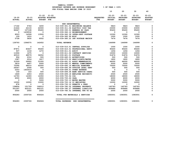| YAMHILL COUNTY                          |                       |
|-----------------------------------------|-----------------------|
| BUDGETARY REVENUE AND EXPENSE WORKSHEET | $8$ OF YEAR = 100 $8$ |
| FOR FISCAL YEAR ENDING JUNE 30 2023     |                       |

|                            |                                     |                            |                                             |                                | 10                                           | 20                                            | 30                                            | 40                                           |
|----------------------------|-------------------------------------|----------------------------|---------------------------------------------|--------------------------------|----------------------------------------------|-----------------------------------------------|-----------------------------------------------|----------------------------------------------|
| $19 - 20$<br><b>ACTUAL</b> | $20 - 21$<br><b>ACTUAL</b>          | $21 - 22$<br><b>BUDGET</b> | $21 - 22$<br>ADOPTED BUDGETED<br><b>FTE</b> | <b>REQUESTED</b><br><b>FTE</b> | $22 - 23$<br><b>INITIAL</b><br><b>BUDGET</b> | $22 - 23$<br><b>PROPOSED</b><br><b>BUDGET</b> | $22 - 23$<br><b>APPROVED</b><br><b>BUDGET</b> | $22 - 23$<br><b>ADOPTED</b><br><b>BUDGET</b> |
|                            |                                     |                            |                                             |                                |                                              |                                               |                                               |                                              |
|                            |                                     |                            | NON DEPARTMENTAL                            |                                |                                              |                                               |                                               |                                              |
| 17162                      | 5763                                | 3200                       | 010-039-301.01 BEGINNING BALANCE            |                                | 5823                                         | 5823                                          | 5823                                          | 0                                            |
| 21624                      | 22133                               | 22000                      | 010-039-311.06 ELECTRIC COOP TAX            |                                | 23000                                        | 23000                                         | 23000                                         | $\mathbf 0$                                  |
|                            | 86647<br>107108                     | 95400                      | 010-039-330.01 NEWBERG BY PASS              |                                | 95400                                        | 95400                                         | 95400                                         | 0                                            |
|                            | $\overline{\phantom{0}}$<br>1439532 | $\mathbf 0$                | 010-039-362.12 REIMBURSEMENT                |                                | $\Omega$                                     | $^{\circ}$                                    | $\mathbf 0$                                   | 0                                            |
|                            | 8523<br>14599                       | 13500                      | 010-039-362.39 INTER-DEPT POSTAGE           |                                | 12300                                        | 12300                                         | 12300                                         | $\mathbf 0$                                  |
|                            | 109<br>1610                         | $\Omega$                   | 010-039-362.99 MISC                         |                                | 1000                                         | 1000                                          | 1000                                          | 0                                            |
|                            | 5728<br>5830                        | 8552                       | 010-039-380.22 INT POSTAGE MACHIN           |                                | 7476                                         | 7476                                          | 7476                                          | 0                                            |
| 139793                     | 1596575                             | 142652                     | <b>TOTAL REVENUE</b>                        |                                | 144999                                       | 144999                                        | 144999                                        | 0                                            |
|                            | 0<br>0                              | $^{\circ}$                 | 010-039-510.01 CENTRAL SUPPLIES             |                                | 1000                                         | 1000                                          | 1000                                          | 0                                            |
| 87871                      | 83637                               | 95400                      | 010-039-610.01 PROFESSIONAL SERVI           |                                | 95400                                        | 95400                                         | 95400                                         | 0                                            |
|                            | 937<br>1218                         | 1272                       | 010-039-611.01 AUDIT                        |                                | 1456                                         | 1456                                          | 1456                                          | 0                                            |
| 11906                      | 1675                                | $\mathbf 0$                | 010-039-611.02 CONTRACT SERVICES            |                                | 10000                                        | 10000                                         | 10000                                         | 0                                            |
| 40510                      | 48579                               | 36052                      | 010-039-621.01 POSTAGE                      |                                | 51876                                        | 51876                                         | 51876                                         | $\mathbf 0$                                  |
|                            | 904<br>2312                         | 500                        | 010-039-640.01 ADVERTISING                  |                                | 500                                          | 500                                           | 500                                           | $\mathbf 0$                                  |
|                            | 1587<br>2014                        | 1817                       | 010-039-670.02 HEAT/LIGHTS/WATER            |                                | 1800                                         | 1800                                          | 1800                                          | 0                                            |
|                            | 31529<br>26920                      | 31000                      | 010-039-691.01 ASSOC MEMBERSHIPS            |                                | 44000                                        | 44000                                         | 44000                                         | 0                                            |
|                            | 3819<br>4407                        | 5000                       | 010-039-695.01 MENTAL COMMITMENTS           |                                | 5000                                         | 5000                                          | 5000                                          | 0                                            |
| 72590                      | 68510                               | 62000                      | 010-039-695.16 MEDICAL EXAMINER             |                                | 70000                                        | 70000                                         | 70000                                         | 0                                            |
| 26547                      | 2546                                | 500                        | 010-039-695.99 OUTSIDE LEGAL SERV           |                                | 500                                          | 500                                           | 500                                           | $\mathbf 0$                                  |
|                            | 2253<br>1453019                     | $\mathbf 0$                | 010-039-699.01 OTHER EXPENSE                |                                | $\Omega$                                     | $\mathbf{o}$                                  | 0                                             | 0                                            |
|                            | 159<br>163                          | 500                        | 010-039-699.08 BANK SERVICE CHARG           |                                | 500                                          | 500                                           | 500                                           | 0                                            |
|                            | 1849<br>2453                        | 2500                       | 010-039-699.18 EMPLOYEE RECOGNITI           |                                | 2500                                         | 2500                                          | 2500                                          | 0                                            |
| 12793                      | 14393                               | 16350                      | 010-039-700.04 COG                          |                                | 18000                                        | 18000                                         | 18000                                         | 0                                            |
|                            | 6000<br>6000                        | 6000                       | 010-039-700.26 CASA                         |                                | 6000                                         | 6000                                          | 6000                                          | $\mathbf 0$                                  |
|                            | $\Omega$<br>0                       | 5000                       | 010-039-720.13 WATER MASTER                 |                                | 5000                                         | 5000                                          | 5000                                          | 0                                            |
|                            | 12000<br>12000                      | 10000                      | 010-039-720.14 YC MEDIATORS                 |                                | 12000                                        | 12000                                         | 12000                                         | $\mathbf 0$                                  |
|                            | 878<br>0                            | $\mathbf 0$                | 010-039-730.10 PERMITS & FEES               |                                | $\Omega$                                     | $\mathbf{o}$                                  | 0                                             | $\mathbf 0$                                  |
| 138854                     | 151759                              | 166012                     | 010-039-780.02 INTERNAL PROPERTY            |                                | 145783                                       | 145783                                        | 145783                                        | 0                                            |
| 501297                     | 422121                              | 462121                     | 010-039-780.27 INTERNAL LIABILITY           |                                | 609686                                       | 609686                                        | 609686                                        | 0                                            |
|                            | 2000<br>2000                        | 2000                       | 010-039-780.52 INTERNAL TFR TO HH           |                                | 2000                                         | 2000                                          | 2000                                          | 0                                            |
| 956283                     | 2305726                             | 904024                     | TOTAL FOR MATERIALS & SERVICES              |                                | 1083001                                      | 1083001                                       | 1083001                                       | 0                                            |
| 956283                     | 2305726                             | 904024                     | TOTAL EXPENSES NON DEPARTMENTAL             |                                | 1083001                                      | 1083001                                       | 1083001                                       | 0                                            |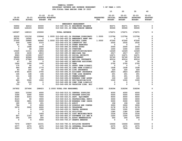**YAMHILL COUNTY BUDGETARY REVENUE AND EXPENSE WORKSHEET % OF YEAR = 100% FOR FISCAL YEAR ENDING JUNE 30 2023 10 20 30 40 21-22 21-22 22-23 22-23 22-23 22-23 19-20 20-21 ADOPTED BUDGETED REQUESTED INITIAL PROPOSED APPROVED ADOPTED ACTUAL ACTUAL BUDGET FTE FTE BUDGET BUDGET BUDGET BUDGET -------------------------------------------------------------------------------- ------------------------------------------------- EMERGENCY MANAGEMENT 56902 42212 60000 010-040-301.01 BEGINNING BALANCE 82271 82271 82271 0 92465 126103 90000 010-040-331.40 FEMA/OREGON EMERGE 90000 90000 90000 0 149367 168315 150000 TOTAL REVENUE 172271 172271 172271 0 93232 101156 109946 1.0000 010-040-401.24 PROGRAM COORDINATO 1.0000 113794 113794 113794 0 28791 16562 0 010-040-402.22 EMERGENCY MGMT PRO 0 0 0 0 27545 29886 64966 1.0000 010-040-404.05 RECORDS CLERK 1.0000 67240 67240 67240 0 509 1460 2123 010-040-475.00 LONGEVITY PAY 2532 2532 2532 0 41 748 0 010-040-479.00 OTHER EARNINGS 0 0 0 0 0 1468 2000 010-040-480.00 EXTRA HOURS 2000 2000 2000 0 0 68 1000 010-040-481.00 OVERTIME 1000 1000 1000 0 10425 11311 13854 010-040-485.00 CERTIFICATION/EDUC 14329 14329 14329 0 2330 2430 2815 010-040-490.00 MEDICARE TAX 2917 2917 2917 0 9963 10390 12037 010-040-491.00 SOCIAL SECURITY 12471 12471 12471 0 38289 40946 50903 010-040-492.00 RETIREMENT 52740 52740 52740 0 27499 27986 29936 010-040-493.10 MEDICAL INSURANCE 40014 40014 40014 0 47 54 0 010-040-493.12 EMPLOYEE ASSISTANC 50 50 50 0 1950 1950 1950 010-040-493.15 VEBA 2700 2700 2700 0 175 90 0 010-040-493.31 SHORT TERM DISABIL 0 0 0 0 484 485 1776 010-040-493.32 LONG TERM DISABILI 1938 1938 1938 0 83 165 60 010-040-493.40 LIFE INSURANCE 220 220 220 0 4765 4035 3755 010-040-494.00 ACCIDENT INSURANCE 2823 2823 2823 0 165 168 194 010-040-494.80 TIME LOSS RESERVE 201 201 201 0 161 168 194 010-040-495.00 UNEMPLOYMENT 201 201 201 0 44 35 114 010-040-496.00 WORKERS COMP ASSES 126 126 126 0 685 5560 1000 010-040-499.00 FET/VACATION/SICK 1000 1000 1000 0 56- 318 0 010-040-499.98 COMP TIME LIABILIT 0 0 0 0 725 57 0 010-040-499.99 VACATION LIAB. ADJ 0 0 0 0 247852 257496 298623 2.0000 TOTAL FOR PERSONNEL 2.0000 318296 318296 318296 0** 

 $\mathbf 0$ 

 $\mathbf 0$ 

 $\mathbf 0$ 

 $\Omega$ 

 $\mathbf 0$ 

0

 $\mathbf 0$ 

 $\mathbf 0$ 

 $\Omega$ 

 $\mathbf 0$ 

 $\mathbf 0$ 

 $\Omega$ 

 $\mathbf 0$ 

 $\mathbf 0$ 

 $\mathbf 0$ 

 $\mathbf 0$ 

0

0

0

0

 $\Omega$ 

 $\mathbf 0$ 

 $\mathbf 0$ 

 $\mathbf 0$ 

| 247852 | 257496 | 298623 | 2.0000 TOTAL FOR PERSONNEL        | 2.0000 | 318296 | 318296 | 318296 | 0           |
|--------|--------|--------|-----------------------------------|--------|--------|--------|--------|-------------|
| 1825   | 10356  | 4000   | 010-040-510.01 CENTRAL SUPPLIES   |        | 4000   | 4000   | 4000   | 0           |
| 3366   | 2090   | 5000   | 010-040-510.03 PROGRAM SUPPLIES   |        | 5000   | 5000   | 5000   | 0           |
| 9390   | 4303   | 7000   | 010-040-543.01 DEPT. EQUIPMENT    |        | 9000   | 9000   | 9000   | 0           |
| 8123   | 90     | 3000   | 010-040-610.01 PROFESSIONAL SERVI |        | 3000   | 3000   | 3000   | $\mathbf 0$ |
| 5026   | 3891   | 5000   | 010-040-610.08 WORKERS COMP INSUR |        | 5000   | 5000   | 5000   | 0           |
| 180    | 193    | 201    | 010-040-611.01 AUDIT              |        | 196    | 196    | 196    | 0           |
| 784    | 0      | 3000   | 010-040-612.02 SCHOOLS AND CONFER |        | 3000   | 3000   | 3000   | 0           |
| 2670   | 3000   | 4000   | 010-040-620.01 TELEPHONE          |        | 2178   | 2178   | 2178   | 0           |
| 0      | 0      | 1000   | 010-040-630.01 TRAVEL EXPENSE     |        | 1000   | 1000   | 1000   | 0           |
| 0      | 0      | 0      | 010-040-670.02 UTILITIES          |        | 1380   | 1380   | 1380   | 0           |
| 0      | 0      | 1693   | 010-040-683.01 COPY MACHINES/MAIN |        | 1534   | 1534   | 1534   | 0           |
| 807    | 1197   | 807    | 010-040-683.07 SOFTWARE LIC AND M |        | 1200   | 1200   | 1200   | 0           |
| 200    | 100    | 200    | 010-040-691.01 ASSOC MEMBERSHIPS  |        | 200    | 200    | 200    | 0           |
| 0      | 0      | 5000   | 010-040-700.27 GRANTS AWARDED     |        | 0      |        | 0      | 0           |
| 7070   | 15837  | 16151  | 010-040-780.01 BUILDING RESERVE   |        | 16466  | 16466  | 16466  | 0           |
| 2577   | 2075   | 2075   | 010-040-780.04 INTERNAL TELECOMMU |        | 2075   | 2075   | 2075   | 0           |
| 5903   | 6373   | 7650   | 010-040-780.05 MOTOR POOL         |        | 7650   | 7650   | 7650   | 0           |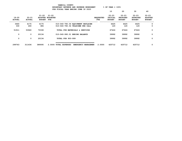|                        |                            |                                      |                         | YAMHILL COUNTY                | BUDGETARY REVENUE AND EXPENSE WORKSHEET |                          | % OF YEAR = 100%                      |                                               |                                               |                                              |
|------------------------|----------------------------|--------------------------------------|-------------------------|-------------------------------|-----------------------------------------|--------------------------|---------------------------------------|-----------------------------------------------|-----------------------------------------------|----------------------------------------------|
|                        |                            |                                      |                         |                               | FOR FISCAL YEAR ENDING JUNE 30 2023     |                          | 10                                    | 20                                            | 30                                            | 40                                           |
| 19-20<br><b>ACTUAL</b> | $20 - 21$<br><b>ACTUAL</b> | $21 - 22$ $21 - 22$<br><b>BUDGET</b> | ADOPTED BUDGETED<br>FTE |                               |                                         | <b>REQUESTED</b><br>FTE. | $22 - 23$<br>INITIAL<br><b>BUDGET</b> | $22 - 23$<br><b>PROPOSED</b><br><b>BUDGET</b> | $22 - 23$<br><b>APPROVED</b><br><b>BUDGET</b> | $22 - 23$<br><b>ADOPTED</b><br><b>BUDGET</b> |
| 3660                   | 4175                       | 4175                                 |                         |                               | 010-040-780.06 EQUIPMENT REPLACEM       |                          | 4425                                  | 4425                                          | 4425                                          | 0                                            |
| 330                    | 260                        | 386                                  |                         |                               | 010-040-780.54 TELECOMM PER CALL        |                          | 120                                   | 120                                           | 120                                           | 0                                            |
| 51911                  | 53940                      | 70338                                |                         |                               | TOTAL FOR MATERIALS & SERVICES          |                          | 67424                                 | 67424                                         | 67424                                         | 0                                            |
| 0                      | $\mathbf{o}$               | 20134                                |                         | 010-040-990.01 ENDING BALANCE |                                         |                          | 39992                                 | 39992                                         | 39992                                         | 0                                            |
| 0                      | 0                          | 20134                                |                         | TOTAL FOR 900-999             |                                         |                          | 39992                                 | 39992                                         | 39992                                         | 0                                            |
| 299763                 | 311436                     | 389095                               |                         | 2.0000 TOTAL EXPENSES         | EMERGENCY MANAGEMEN                     | 2.0000                   | 425712                                | 425712                                        | 425712                                        | 0                                            |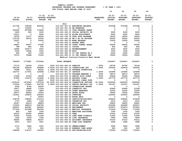|               |                |                |                                           | FOR FISCALL IEAR ENDING JONE 30 ZOZJ                               |                  |                |                 |                 |                |
|---------------|----------------|----------------|-------------------------------------------|--------------------------------------------------------------------|------------------|----------------|-----------------|-----------------|----------------|
|               |                |                |                                           |                                                                    |                  | 10             | 20              | 30              | 40             |
|               |                |                |                                           |                                                                    |                  |                |                 |                 |                |
|               |                | $21 - 22$      | $21 - 22$                                 |                                                                    |                  | $22 - 23$      | $22 - 23$       | $22 - 23$       | $22 - 23$      |
| $19 - 20$     | $20 - 21$      |                | <b>ADOPTED BUDGETED</b>                   |                                                                    | <b>REQUESTED</b> | INITIAL        | <b>PROPOSED</b> | <b>APPROVED</b> | <b>ADOPTED</b> |
| <b>ACTUAL</b> | <b>ACTUAL</b>  | <b>BUDGET</b>  | FTE                                       |                                                                    | FTE              | <b>BUDGET</b>  | <b>BUDGET</b>   | <b>BUDGET</b>   | <b>BUDGET</b>  |
|               |                |                | JAIL                                      |                                                                    |                  |                |                 |                 |                |
| 217746        | 725596         | 900000         |                                           | 010-041-301.01 BEGINNING BALANCE                                   |                  | 975398         | 975398          | 975398          | 0              |
| 0             | 135000         | $\Omega$       | 010-041-301.02 BB RESERVED                |                                                                    |                  | 0              | 0               | 0               | 0              |
| 250000        | 407898         | 173264         |                                           | 010-041-331.15 CFDA FEDERAL GRANT                                  |                  | 0              | 0               | 0               | 0              |
| 3600          | 800            | 5000           |                                           | 010-041-332.21 SOCIAL SECURITY IN                                  |                  | 5000           | 5000            | 5000            | 0              |
| 23211         | $\Omega$       | 9000           |                                           | 010-041-332.22 ALIEN ASSISTANCE                                    |                  | 9000           | 9000            | 9000            | 0              |
| 16755         | 11677          | 18000          |                                           | 010-041-334.78 USDA FOOD PROGRAM                                   |                  | 16000          | 16000           | 16000           | 0              |
| 115720        | 34476          | 31000          |                                           | 010-041-342.02 RM & BD OF PRISONE                                  |                  | 50000          | 50000           | 50000           | 0              |
| 16227         | 0              | 15000          |                                           | 010-041-342.03 WORK RELEASE                                        |                  | 15000          | 15000           | 15000           | 0              |
| 10            | 0              | 0              | 010-041-342.31 NOTARY FEES                |                                                                    |                  | 0              | 0               | 0               | 0              |
| 29821         | 39027          | 47280          |                                           | 010-041-350.06 COURT CORREC ASSES                                  |                  | 50000          | 50000           | 50000           | 0              |
| 798           | 846            | 500            | 010-041-362.11 COPIES                     |                                                                    |                  | 800            | 800             | 800             | 0              |
| 14986         | 333277         | 3000           |                                           | 010-041-362.12 REIMBURSEMENT                                       |                  | 3500           | 3500            | 3500            | 0              |
| 2245          | 10546          | 1000           | 010-041-362.99 MISC                       |                                                                    |                  | 1000           | 1000            | 1000            | 0              |
| 450           | 650            | 1000           |                                           | 010-041-380.12 CO INT TRNSFR FR D                                  |                  | 6000           | 6000            | 6000            | 0              |
| 75370         | 72688          | 71000          |                                           | 010-041-380.31 CO INT TRNSFR FRM                                   |                  | 72909          | 72909           | 72909           | 0              |
|               |                |                |                                           | Medical Contract/Juvenile Meal Reimb                               |                  |                |                 |                 |                |
| 766939        |                | 1275044        |                                           |                                                                    |                  | 1204607        | 1204607         | 1204607         | 0              |
|               | 1772481        |                | <b>TOTAL REVENUE</b>                      |                                                                    |                  |                |                 |                 |                |
| 57179         | 62039          | 67431          | .5000 010-041-400.04 SHERIFF              |                                                                    | .5000            | 69790          | 69790           | 72164           | 0              |
| 405192        | 459639         | 528848         | 5.0000 010-041-401.14 CORRECTIONS SGT     |                                                                    | 5.0000           | 524439         | 524439          | 524439          | 0              |
| 73098         | 79311          | 86202          | 1.0000 010-041-401.25 PROGRAM SUPERVISOR  |                                                                    |                  | 0              | 0               | 0               | 0              |
| 102707        | 117621         | 124668         | 1.0000 010-041-401.27 CAPTAIN             |                                                                    | 1.0000           | 125996         | 125996          | 125996          | 0              |
| 0             | 0              | 0              |                                           | 010-041-401.55 PROGRAM MANAGER 4                                   | .5000            | 49573          | 49573           | 49573           | $\mathbf 0$    |
| 27952         | 31554          | 34296          | .5000 010-041-402.14 SENIOR ACCT CLERK    |                                                                    | .5000            | 35496          | 35496           | 35496           | 0              |
| 97690         | 110373         | 116608         | 2.0000 010-041-404.05 RECORDS CLERK       |                                                                    | 3.5000           | 207770         | 207770          | 207770          | $\mathbf 0$    |
| 0             | 0              | 36421          |                                           | .5000 010-041-404.07 RECORDS CLERK SUPE                            |                  | 0              | 0               | 0               | 0              |
| 1318314       | 1474524        | 1797018        | 22.0000 010-041-404.09 CORRECTION OFFICER |                                                                    | 22.0000          | 1839393        | 1839393         | 1839393         | $\mathbf 0$    |
| 172918        | 172845         | 204795         | 3.0000 010-041-404.14 SENIOR RECORDS CLE  |                                                                    | 2.0000           | 141247         | 141247          | 141247          | 0              |
| 6302          | 8744           | 20000          |                                           | 010-041-404.19 CORRECTIONS RESERV                                  |                  | 0              | 0               | 0               | $\mathbf 0$    |
| 19477         | 18886          | 17309          |                                           | 010-041-475.00 LONGEVITY PAY                                       |                  | 20990          | 20990           | 21038           | 0              |
| 11231         | 13909          | 3854           |                                           | 010-041-479.00 OTHER EARNINGS                                      |                  | 12000          | 12000           | 12000           | $\mathbf 0$    |
| 56577         | 66566          | 70000          | 010-041-480.00 EXTRA HOURS                |                                                                    |                  | 70000          | 70000           | 70000           | 0              |
| 153361        | 139233         | 200000         | 010-041-481.00 OVERTIME                   |                                                                    |                  | 225000         | 225000          | 225000          | 0              |
| 0             | 0              | 20000          | 010-041-482.00 EXTRA HELP                 |                                                                    |                  | 0              | 0               | 0               | 0              |
| 138704        | 158940         | 210316         |                                           | 010-041-485.00 CERTIFICATION/EDUC                                  |                  | 209943         | 209943          | 210228          | $\mathbf 0$    |
| 1757          | 2456           | 1365           |                                           | 010-041-486.00 INCENTIVE PAY                                       |                  | 2012           | 2012            | 2012            | 0              |
| 40347         | 44019          | 48829          |                                           | 010-041-490.00 MEDICARE TAX                                        |                  | 52802          | 52802           | 52841           | 0              |
| 172520        | 188218         | 208785         |                                           | 010-041-491.00 SOCIAL SECURITY                                     |                  | 222289         | 222289          | 222457          | 0              |
| 590027        | 654581         | 826665         | 010-041-492.00 RETIREMENT                 |                                                                    |                  | 872873         | 872873          | 873583          | 0              |
| 577539<br>825 | 601688<br>936  | 662324<br>1000 |                                           | 010-041-493.10 MEDICAL INSURANCE                                   |                  | 713324<br>1000 | 713324<br>1000  | 713324<br>1000  | 0<br>0         |
| 45010         |                |                |                                           | 010-041-493.12 EMPLOYEE ASSISTANC                                  |                  |                |                 |                 | 0              |
| 10000         | 45950<br>10346 | 49900<br>11340 | 010-041-493.15 VEBA                       |                                                                    |                  | 51000<br>11464 | 51000           | 51000           | 0              |
| 1360          | 3049           | 1562           |                                           | 010-041-493.32 LONG TERM DISABILI<br>010-041-493.40 LIFE INSURANCE |                  | 3905           | 11464<br>3905   | 11464<br>3905   | 0              |
| 86465         | 78859          | 84187          |                                           | 010-041-494.00 ACCIDENT INSURANCE                                  |                  | 67154          | 67154           | 67212           | 0              |
| 2815          | 3037           | 3367           |                                           | 010-041-494.80 TIME LOSS RESERVE                                   |                  | 3585           | 3585            | 3588            | 0              |
|               |                |                |                                           |                                                                    |                  |                |                 |                 |                |
| 2715          | 2966           | 3367           |                                           | 010-041-495.00 UNEMPLOYMENT                                        |                  | 3585           | 3585            | 3588            | 0              |
| 715           | 672            | 923            |                                           | 010-041-496.00 WORKERS COMP ASSES                                  |                  | 923            | 923             | 923             | 0              |
| 138508        | 119157         | 130000         |                                           | 010-041-499.00 FET/VACATION/SICK                                   |                  | 175000         | 175000          | 175000          | 0              |
|               |                |                |                                           |                                                                    |                  |                |                 |                 |                |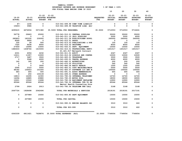|                            |                            |                          |                                               |                                | 10                                    | 20                                            | 30                                            | 40                                           |
|----------------------------|----------------------------|--------------------------|-----------------------------------------------|--------------------------------|---------------------------------------|-----------------------------------------------|-----------------------------------------------|----------------------------------------------|
| $19 - 20$<br><b>ACTUAL</b> | $20 - 21$<br><b>ACTUAL</b> | <b>BUDGET FTE</b>        | $21 - 22$ $21 - 22$<br>ADOPTED BUDGETED       | <b>REQUESTED</b><br><b>FTE</b> | $22 - 23$<br>INITIAL<br><b>BUDGET</b> | $22 - 23$<br><b>PROPOSED</b><br><b>BUDGET</b> | $22 - 23$<br><b>APPROVED</b><br><b>BUDGET</b> | $22 - 23$<br><b>ADOPTED</b><br><b>BUDGET</b> |
| $87 -$                     | 1230                       | $\mathbf{0}$             | 010-041-499.98 COMP TIME LIABILIT             |                                | $\mathbf 0$                           | $\mathbf{0}$                                  | 0                                             | 0                                            |
| 15603-                     | 3586                       | $\mathbf 0$              | 010-041-499.99 VACATION LIAB. ADJ             |                                | $\mathbf 0$                           | $\mathbf 0$                                   | $\mathbf 0$                                   | 0                                            |
| 4295615                    | 4674934                    | 5571380                  | 35.5000 TOTAL FOR PERSONNEL                   | 35.0000                        | 5712553                               | 5712553                                       | 5716241                                       | 0                                            |
| 56778                      | 29663                      | 25000                    | 010-041-510.01 CENTRAL SUPPLIES               |                                | 35000                                 | 35000                                         | 35000                                         | 0                                            |
| $^{\circ}$                 | $\mathbf 0$                | $\mathbf 0$              | 010-041-511.10 JAIL SUPPLIES                  |                                | 5000                                  | 5000                                          | 4000                                          | $\mathbf 0$                                  |
| 285803                     | 183332                     | 230000                   | 010-041-511.26 FOOD/KITCHEN SUPPL             |                                | 260000                                | 260000                                        | 260000                                        | 0                                            |
| 8569                       | 9906                       | $\overline{\mathbf{0}}$  | 010-041-512.01 DRUGS                          |                                | $\overline{\phantom{0}}$              | $\overline{\mathbf{0}}$                       | $\Omega$                                      | 0                                            |
| 330                        | 28                         | 500                      | 010-041-513.03 PUBLICATIONS & DUE             |                                | 100                                   | 100                                           | 100                                           | 0                                            |
| 7320                       | 8438                       | 8000                     | 010-041-516.02 UNIFORMS                       |                                | 8000                                  | 8000                                          | 8000                                          | 0                                            |
| 27459                      | 14996                      | 13000                    | 010-041-543.01 DEPT. EQUIPMENT                |                                | 10000                                 | 10000                                         | 10000                                         | 0                                            |
| 1482633                    | 1438746                    | 1415000                  | 010-041-610.01 PROFESSIONAL SERVI             |                                | 1451517                               | 1451517                                       | 1451517                                       | $\Omega$                                     |
|                            |                            |                          | \$1,421,517 Wellpath Contract                 |                                |                                       |                                               |                                               |                                              |
| 4331                       | 4054                       | 4232                     | 010-041-611.01 AUDIT                          |                                | 4347                                  | 4347                                          | 4347                                          | 0                                            |
| 13211                      | 11957                      | 10000                    | 010-041-612.02 SCHOOLS AND CONFER             |                                | 10000                                 | 10000                                         | 10000                                         | 0                                            |
| 2717                       | 3487                       | 3500                     | 010-041-620.01 TELEPHONE                      |                                | 3500                                  | 3500                                          | 3500                                          | 0                                            |
| $\mathbf 0$                | 3568                       | 6000                     | 010-041-630.01 TRAVEL EXPENSE                 |                                | 6000                                  | 6000                                          | 6000                                          | 0                                            |
| 142                        | 185                        | 200                      | 010-041-640.01 ADVERTISING                    |                                | 200                                   | 200                                           | 200                                           | 0                                            |
| $\mathbf 0$                | $\overline{\mathbf{0}}$    | $\overline{\phantom{0}}$ | 010-041-670.02 UTILITIES                      |                                | 540                                   | 540                                           | 540                                           | 0                                            |
| $\mathbf{o}$               | $\overline{\mathbf{0}}$    | 3000                     | 010-041-680.04 RADIO REPAIR                   |                                | 1000                                  | 1000                                          | 1000                                          | 0                                            |
| 2595                       | 2310                       | 5000                     | 010-041-683.01 COPY MACHINES/MAIN             |                                | 5500                                  | 5500                                          | 5500                                          | 0                                            |
| 48182                      | 104453                     | 101000                   | 010-041-683.07 SOFTWARE LIC AND M             |                                | 105000                                | 105000                                        | 105000                                        | 0                                            |
| 483                        | 655                        | 500                      | 010-041-691.01 ASSOC MEMBERSHIPS              |                                | 655                                   | 655                                           | 655                                           | 0                                            |
| $\mathbf 0$                | 250                        | 103139                   | 010-041-699.01 OTHER EXPENSE                  |                                | $\mathbf 0$                           | $\mathbf 0$                                   | $\overline{\mathbf{0}}$                       | 0                                            |
| 14813                      | 12295                      | 12300                    | 010-041-780.04 INTERNAL TELECOMMU             |                                | 12720                                 | 12720                                         | 12720                                         | 0                                            |
| 14294                      | 16885                      | 20880                    | 010-041-780.05 MOTOR POOL                     |                                | 18000                                 | 18000                                         | 18000                                         | 0                                            |
| 10221                      | 15522                      | 13288                    | 010-041-780.06 EQUIPMENT REPLACEM             |                                | 12900                                 | 12900                                         | 12900                                         | 0                                            |
| 65044                      | 65044                      | 65044                    | 010-041-780.52 INTERNAL TFR TO HH             |                                | 65044                                 | 65044                                         | 65044                                         | 0                                            |
|                            |                            |                          | Mental Health Counseling Svcs                 |                                |                                       |                                               |                                               |                                              |
| 2799                       | 2924                       | 2913                     | 010-041-780.54 TELECOMM PER CALL              |                                | 3168                                  | 3168                                          | 3168                                          | $\mathbf 0$                                  |
| 2047724                    | 1928698                    | 2042496                  | TOTAL FOR MATERIALS & SERVICES                |                                | 2018191                               | 2018191                                       | 2017191                                       | 0                                            |
| $\Omega$                   | 207989                     | 15000                    | 010-041-800.80 DEPT EQUIPMENT                 |                                | 15000                                 | 15000                                         | 15000                                         | $\mathbf 0$                                  |
| 0                          | 207989                     | 15000                    | TOTAL FOR CAPITAL                             |                                | 15000                                 | 15000                                         | 15000                                         | 0                                            |
| $\mathbf 0$                | $\mathbf{0}$               | $\mathbf{0}$             | 010-041-990.01 ENDING BALANCE JAI             |                                | 3310                                  | 3310                                          | 622                                           | $\mathbf 0$                                  |
| $\mathbf{o}$               | 0                          | $\mathbf 0$              | TOTAL FOR 900-999                             |                                | 3310                                  | 3310                                          | 622                                           | $\mathbf 0$                                  |
| 6343339                    | 6811621                    | 7628876                  | --------------<br>35.5000 TOTAL EXPENSES JAIL | 35,0000                        | 7749054                               | 7749054                                       | 7749054                                       | $\mathbf 0$                                  |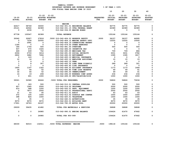|                            |                            |                                             | FOR FISCAL YEAR ENDING JUNE 30 2023                                   |                                |                                       |                                               |                                               |                                              |
|----------------------------|----------------------------|---------------------------------------------|-----------------------------------------------------------------------|--------------------------------|---------------------------------------|-----------------------------------------------|-----------------------------------------------|----------------------------------------------|
|                            |                            |                                             |                                                                       |                                | 10                                    | 20                                            | 30                                            | 40                                           |
| $19 - 20$<br><b>ACTUAL</b> | $20 - 21$<br><b>ACTUAL</b> | $21 - 22$<br>ADOPTED BUDGETED<br>BUDGET FTE | $21 - 22$                                                             | <b>REQUESTED</b><br><b>FTE</b> | $22 - 23$<br>INITIAL<br><b>BUDGET</b> | $22 - 23$<br><b>PROPOSED</b><br><b>BUDGET</b> | $22 - 23$<br><b>APPROVED</b><br><b>BUDGET</b> | $22 - 23$<br><b>ADOPTED</b><br><b>BUDGET</b> |
|                            |                            |                                             |                                                                       |                                |                                       |                                               |                                               |                                              |
| 62617                      |                            | 30000                                       | <b>MARINE</b>                                                         |                                | 92775                                 | 92775                                         | 92775                                         | 0                                            |
| 25121                      | 58749<br>44562             | 62389                                       | 010-042-301.01 BEGINNING BALANCE<br>010-042-331.15 CFDA FEDERAL GRANT |                                | 62389                                 | 62389                                         | 62389                                         | 0                                            |
| $\Omega$                   | 2236                       | $^{\circ}$                                  | 010-042-334.05 MARINE BOARD                                           |                                | $\mathbf{0}$                          | 0                                             | $\Omega$                                      | $\Omega$                                     |
|                            |                            |                                             |                                                                       |                                |                                       |                                               |                                               |                                              |
| 87738                      | 105547                     | 92389                                       | <b>TOTAL REVENUE</b>                                                  |                                | 155164                                | 155164                                        | 155164                                        | 0                                            |
| 30042                      | 30927                      | 27818                                       | .5000 010-042-404.03 RESERVE DEPUTY                                   | .5000                          | 36157                                 | 36157                                         | 44995                                         | 0                                            |
| $\mathbf{o}$               | 7234                       | 22500                                       | 010-042-404.12 MARINE SAFETY OFFI                                     |                                | 12225                                 | 12225                                         | 15500                                         | $\mathbf 0$                                  |
| $\mathbf{0}$               | 2991                       | $\Omega$                                    | 010-042-404.19 CORRECTIONS RESERV                                     |                                | $\Omega$                              | 0                                             | 0                                             | 0                                            |
| 1184                       | $^{\circ}$                 | $\overline{\mathbf{0}}$                     | 010-042-479.00 OTHER EARNINGS                                         |                                | $\mathbf{0}$                          | $\mathbf 0$                                   | $\mathbf{0}$                                  | 0                                            |
| 184                        | 1754                       | 500                                         | 010-042-481.00 OVERTIME                                               |                                | 500                                   | 500                                           | 500                                           | $\Omega$                                     |
| 937                        | 570                        | 1025                                        | 010-042-486.00 INCENTIVE PAY                                          |                                | $\mathbf 0$                           | 0                                             | $\mathbf 0$                                   | 0                                            |
| 469                        | 639                        | 752                                         | 010-042-490.00 MEDICARE TAX                                           |                                | 709                                   | 709                                           | 884                                           | 0                                            |
| 2006                       | 2733                       | 3214                                        | 010-042-491.00 SOCIAL SECURITY                                        |                                | 3031                                  | 3031                                          | 3782                                          | $\Omega$                                     |
| 2802                       | 3682                       | 7694                                        | 010-042-492.00 RETIREMENT                                             |                                | 1395                                  | 1395                                          | 1817                                          | 0                                            |
| $\mathbf 0$                | 143                        | $\mathbf 0$                                 | 010-042-493.10 MEDICAL INSURANCE                                      |                                | $\mathbf 0$                           | $\mathbf 0$                                   | $\mathbf 0$                                   | $\Omega$                                     |
| 12                         | 14                         | $\mathbf{o}$                                | 010-042-493.12 EMPLOYEE ASSISTANC                                     |                                | 15                                    | 15                                            | 15                                            | 0                                            |
| $\mathbf 0$                | 9                          | $\mathbf 0$                                 | 010-042-493.15 VEBA                                                   |                                | $\mathbf{0}$                          | 0                                             | $\mathbf 0$                                   | 0                                            |
| $\mathbf{1}$               | 8                          | 307                                         | 010-042-493.32 LONG TERM DISABILI                                     |                                | 289                                   | 289                                           | 321                                           | 0                                            |
| $\mathbf{0}$               | $\mathbf{1}$               | $\mathbf 0$                                 | 010-042-493.40 LIFE INSURANCE                                         |                                | $\mathbf{0}$                          | $\overline{\mathbf{0}}$                       | $\Omega$                                      | 0                                            |
| 1600<br>36                 | 1167<br>44                 | 1322<br>52                                  | 010-042-494.00 ACCIDENT INSURANCE<br>010-042-494.80 TIME LOSS RESERVE |                                | 1173<br>49                            | 1173<br>49                                    | 1464<br>61                                    | 0<br>0                                       |
| 32                         | 44                         | 52                                          | 010-042-495.00 UNEMPLOYMENT                                           |                                | 49                                    | 49                                            | 61                                            | 0                                            |
| 16                         | 19                         | 208                                         | 010-042-496.00 WORKERS COMP ASSES                                     |                                | 234                                   | 234                                           | 234                                           | 0                                            |
| $\mathbf{0}$               | 601                        | 1000                                        | 010-042-499.00 FET/VACATION/SICK                                      |                                | 1000                                  | 1000                                          | 1000                                          | $\Omega$                                     |
|                            |                            |                                             |                                                                       |                                |                                       |                                               |                                               |                                              |
| 39321                      | 52580                      | 66444                                       | .5000 TOTAL FOR PERSONNEL                                             | .5000                          | 56826                                 | 56826                                         | 70634                                         | $\mathbf 0$                                  |
| $\mathbf 0$                | 183                        | 500                                         | 010-042-510.01 CENTRAL SUPPLIES                                       |                                | 500                                   | 500                                           | 500                                           | $\mathbf 0$                                  |
| 627                        | 1945                       | 2500                                        | 010-042-516.02 UNIFORMS                                               |                                | 2000                                  | 2000                                          | 2000                                          | 0                                            |
| 610                        | 588                        | 1200                                        | 010-042-543.01 DEPT. EQUIPMENT                                        |                                | 1200                                  | 1200                                          | 1200                                          | 0                                            |
| $\mathbf 0$                | 7877                       | 2000                                        | 010-042-610.01 PROFESSIONAL SERVI                                     |                                | 2000                                  | 2000                                          | 2000                                          | 0                                            |
| 31                         | 43                         | 45                                          | 010-042-611.01 AUDIT                                                  |                                | 63                                    | 63                                            | 63                                            | 0                                            |
| 372                        | 105                        | 1000                                        | 010-042-612.02 SCHOOLS AND CONFER                                     |                                | 1000                                  | 1000                                          | 1000                                          | 0                                            |
| 398                        | 826                        | 1000                                        | 010-042-620.01 TELEPHONE                                              |                                | 1000                                  | 1000                                          | 1000                                          | 0                                            |
| 0                          | 35                         | $\overline{\phantom{0}}$                    | 010-042-640.01 ADVERTISING                                            |                                | 35                                    | 35                                            | 35                                            | 0                                            |
| 9070                       | 9070                       | 9070                                        | 010-042-652.01 BUILDING RENT                                          |                                | 9070                                  | 9070                                          | 9070                                          | 0                                            |
| 17901                      | 18763                      | 24167                                       | 010-042-780.05 MOTOR POOL                                             |                                | 20000                                 | 20000                                         | 20000                                         | 0                                            |
| 29009                      | 39435                      | 41482                                       | TOTAL FOR MATERIALS & SERVICES                                        |                                | 36868                                 | 36868                                         | 36868                                         | $\mathbf 0$                                  |
| 0                          | $\mathbf{o}$               | 24985                                       | 010-042-990.01 ENDING BALANCE                                         |                                | 104424                                | 61470                                         | 47662                                         | 0                                            |
| 0                          | $\Omega$                   | 24985                                       | TOTAL FOR 900-999                                                     |                                | 104424                                | 61470                                         | 47662                                         | $\mathbf 0$                                  |
| 68330                      | 92015                      | 132911                                      | ====================================<br>.5000 TOTAL EXPENSES MARINE   | 5000                           | 198118                                | 155164                                        | 155164                                        | $\Omega$                                     |

 **YAMHILL COUNTY BUDGETARY REVENUE AND EXPENSE WORKSHEET % OF YEAR = 100%**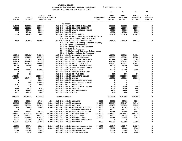|                  |                  |                   |                               |                                 |                                                                   |                  | 10                   | 20                           | 30                           | 40                          |
|------------------|------------------|-------------------|-------------------------------|---------------------------------|-------------------------------------------------------------------|------------------|----------------------|------------------------------|------------------------------|-----------------------------|
| $19 - 20$        | $20 - 21$        | $21 - 22$         | $21 - 22$<br>ADOPTED BUDGETED |                                 |                                                                   | <b>REQUESTED</b> | $22 - 23$<br>INITIAL | $22 - 23$<br><b>PROPOSED</b> | $22 - 23$<br><b>APPROVED</b> | $22 - 23$<br><b>ADOPTED</b> |
| <b>ACTUAL</b>    | <b>ACTUAL</b>    | <b>BUDGET FTE</b> |                               |                                 |                                                                   | FTE              | <b>BUDGET</b>        | <b>BUDGET</b>                | <b>BUDGET</b>                | <b>BUDGET</b>               |
|                  |                  |                   |                               | <b>SHERIFF</b>                  |                                                                   |                  |                      |                              |                              |                             |
| 414472           | 401051           | 250000            |                               |                                 | 010-043-301.01 BEGINNING BALANCE                                  |                  | 285551               | 285551                       | 285551                       | 0                           |
| 100813           | 126512           | 100000            |                               |                                 | 010-043-322.91 WEAPONS PERMITS                                    |                  | 110000               | 110000                       | 110000                       | 0                           |
| 9085             | 20095            | 20000             |                               |                                 | 010-043-322.92 STATE POLICE WEAPO                                 |                  | 20000                | 20000                        | 20000                        | 0                           |
| 0                | 10482            | 18000             |                               | 010-043-331.02 BLM              |                                                                   |                  | 15000                | 15000                        | 15000                        | 0                           |
| 10000            | 12989            | 4400              |                               | 010-043-331.99 MISC GRANTS      |                                                                   |                  | 100458               | 100458                       | 100458                       | 0                           |
|                  |                  |                   |                               |                                 | \$65,880 Illegal Marijuana Mrkt Enforce                           |                  |                      |                              |                              |                             |
|                  |                  |                   |                               |                                 | \$34,578 Off Highway Vehicle (OHV)                                |                  |                      |                              |                              |                             |
| 8310             | 10983            | 190000            |                               |                                 | 010-043-334.17 TRAFFIC SAFETY GRA                                 |                  | 169370               | 169370                       | 169370                       | 0                           |
|                  |                  |                   |                               |                                 | \$143,170 Traffic Safety Enforce Deputy                           |                  |                      |                              |                              |                             |
|                  |                  |                   |                               |                                 | \$7,000 Speed Enforcement                                         |                  |                      |                              |                              |                             |
|                  |                  |                   |                               |                                 | \$4,000 Safety Belt Enforcement                                   |                  |                      |                              |                              |                             |
|                  |                  |                   |                               |                                 | \$6,000 DUII Enforcement                                          |                  |                      |                              |                              |                             |
|                  |                  |                   |                               |                                 | \$8,000 Distracted Driving Enforcement                            |                  |                      |                              |                              |                             |
|                  |                  |                   |                               |                                 | \$1,200 Public Safety Enforcement                                 |                  |                      |                              |                              |                             |
| 289043           | 299655           | 342565            |                               |                                 | 010-043-341.34 WILLAMINA CONTRACT                                 |                  | 349580               | 349580                       | 349580                       | 0                           |
| 149995           | 161259           | 173750            |                               |                                 | 010-043-341.35 DAYTON CONTRACT                                    |                  | 183889               | 183889                       | 183889                       | 0                           |
| 301196           | 323786           | 348876            |                               |                                 | 010-043-341.36 LAFAYETTE CONTRACT                                 |                  | 353422               | 353422                       | 353422<br>508599             | 0                           |
| 454174<br>243711 | 448849<br>277825 | 521251<br>299008  |                               |                                 | 010-043-341.37 SHERIDAN CONTRACT<br>010-043-341.41 AMITY CONTRACT |                  | 508599               | 508599<br>304537             |                              | 0<br>0                      |
| 25000            | 25000            | 25000             |                               |                                 | 010-043-341.49 YCOM CONTRACT SERV                                 |                  | 304537<br>25000      | 25000                        | 304537<br>25000              | 0                           |
| 45               | 0                | 0                 |                               |                                 | 010-043-342.01 OUT OF STATE TRAVE                                 |                  | 0                    | 0                            | 0                            | 0                           |
| 71415            | 45806            | 100000            |                               | 010-043-342.04 CIVIL FEES       |                                                                   |                  | 80000                | 80000                        | 80000                        | 0                           |
| 0                | 75               | 0                 |                               |                                 | 010-043-342.17 TOWING ADMIN FEE                                   |                  | 0                    | 0                            | 0                            | 0                           |
| 30               | 35               | 0                 |                               | 010-043-342.32 ID TAG FEES      |                                                                   |                  | 100                  | 100                          | 100                          | 0                           |
| 1030756          | 0                | 1500000           |                               |                                 | 010-043-342.37 SHERIFF'S SALES                                    |                  | 5000000              | 5000000                      | 5000000                      | 0                           |
| 103177           | 104746           | 80000             |                               | 010-043-350.01 FINES            |                                                                   |                  | 100000               | 100000                       | 100000                       | 0                           |
| 0                | 0                | 10000             |                               |                                 | 010-043-350.05 NARCOTICS FORFEITU                                 |                  | 0                    | 0                            | 0                            | 0                           |
| 0                | 868              | 250000            |                               |                                 | 010-043-350.18 FED FORFEIT JUSTIC                                 |                  | 0                    | 0                            | 0                            | 0                           |
| 1349             | 5750             | 4000              |                               | 010-043-362.03 DONATIONS        |                                                                   |                  | 0                    | 0                            | 0                            | 0                           |
| 0                | 0                | 0                 |                               |                                 | 010-043-362.10 RESTITUTION PAYMEN                                 |                  | 2000                 | 2000                         | 2000                         | 0                           |
| 3564             | 5935             | 4300              |                               | 010-043-362.11 COPIES           |                                                                   |                  | 6000                 | 6000                         | 6000                         | 0                           |
| 15009            | 38402            | 10000             |                               |                                 | 010-043-362.12 REIMBURSEMENT                                      |                  | 3500                 | 3500                         | 3500                         | 0                           |
| 15377            | 14038            | 20000             |                               | 010-043-362.99 MISC             |                                                                   |                  | 500                  | 500                          | 500                          | 0                           |
| 3246521          | 2334141          | 4271150           |                               |                                 |                                                                   |                  | 7617506              | 7617506                      | 7617506                      | 0                           |
|                  |                  |                   |                               | <b>TOTAL REVENUE</b>            |                                                                   |                  |                      |                              |                              |                             |
| 57179            | 62039            | 67431             |                               | .5000 010-043-400.04 SHERIFF    |                                                                   | .5000            | 69790                | 69790                        | 72164                        | 0                           |
| 536915           | 610138           | 652320            |                               | 6.0000 010-043-401.08 SERGEANT  |                                                                   | 6.0000           | 667487               | 667487                       | 667487                       | 0                           |
| 191219           | 245930           | 267298            |                               | 2.0000 010-043-401.27 CAPTAIN   |                                                                   | 2.0000           | 268133               | 268133                       | 268133                       | 0                           |
| 56418            | 64402            | 68487             |                               |                                 | 1.0000 010-043-401.42 EXECUTIVE OFFICE S                          | 1.0000           | 73921                | 73921                        | 73921                        | 0                           |
| 0                | 0                | 0                 |                               |                                 | 010-043-401.55 PROGRAM MANAGER 4                                  | .5000            | 49573                | 49573                        | 49573                        | 0                           |
| 27952            | 31554            | 34296             |                               |                                 | .5000 010-043-402.14 SENIOR ACCT CLERK                            | .5000            | 35496                | 35496                        | 35496                        | 0                           |
| 1728403          | 2047335          | 2423666           |                               |                                 | 28.0000 010-043-404.02 DEPUTY SHERIFF                             | 30.0000          | 2428977              | 2606403                      | 2687782                      | 0                           |
| 127020           | 134721           | 150376            |                               |                                 | 2.0000 010-043-404.04 CIVIL DEPUTY                                | 1.0000           | 81772                | 81772                        | 81772                        | 0                           |
| 82634            | 131699           | 124247            |                               |                                 | 2.0000 010-043-404.05 RECORDS CLERK                               | 1.5000           | 83646                | 83646                        | 83646                        | 0                           |
| 28971            | 67258            | 36421             |                               |                                 | .5000 010-043-404.07 RECORDS CLERK SUPE                           |                  | 0                    | 0                            | 0                            | 0                           |
| 268904           | 355242           | 387892            |                               | 4.0000 010-043-404.08 DETECTIVE |                                                                   | 4.0000           | 383993               | 383993                       | 383993                       | 0                           |
| 101233           | 78378            | 68235             |                               |                                 | 1.0000 010-043-404.14 SENIOR RECORDS CLE                          | 2.0000           | 141247               | 141247                       | 141247                       | 0                           |
| 63577            | 68981            | 74975             |                               |                                 | 1.0000 010-043-404.16 PROPERTY EVIDENCE                           | 1.0000           | 77600                | 77600                        | 77600                        | 0                           |
| 23546            | 27708            | 31421             |                               |                                 | 010-043-475.00 LONGEVITY PAY                                      |                  | 35002                | 35002                        | 36757                        | 0                           |
| 9317             | 7838             | 10000             |                               |                                 | 010-043-479.00 OTHER EARNINGS                                     |                  | 10000                | 10000                        | 10000                        | 0                           |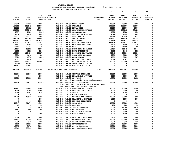|                                            |                 |                  |                                |                                         |                                | 10                              | 20                               | 30                               | 40                              |
|--------------------------------------------|-----------------|------------------|--------------------------------|-----------------------------------------|--------------------------------|---------------------------------|----------------------------------|----------------------------------|---------------------------------|
|                                            |                 |                  |                                |                                         |                                |                                 |                                  |                                  |                                 |
|                                            | $20 - 21$       | $21 - 22$        | $21 - 22$                      |                                         |                                | $22 - 23$                       | $22 - 23$                        | $22 - 23$                        | $22 - 23$                       |
| $19 - 20$<br><b>ACTUAL</b>                 | <b>ACTUAL</b>   | <b>BUDGET</b>    | ADOPTED BUDGETED<br><b>FTE</b> |                                         | <b>REQUESTED</b><br><b>FTE</b> | <b>INITIAL</b><br><b>BUDGET</b> | <b>PROPOSED</b><br><b>BUDGET</b> | <b>APPROVED</b><br><b>BUDGET</b> | <b>ADOPTED</b><br><b>BUDGET</b> |
|                                            |                 |                  |                                |                                         |                                |                                 |                                  |                                  |                                 |
| 62920                                      | 77230           | 70000            | 010-043-480.00 EXTRA HOURS     |                                         |                                | 70000                           | 70000                            | 70000                            | 0                               |
| 167019                                     | 213542          | 160000           | 010-043-481.00 OVERTIME        |                                         |                                | 200000                          | 200000                           | 200000                           | 0                               |
| 25621                                      | 17692           | 30000            | 010-043-482.00 EXTRA HELP      |                                         |                                | 30000                           | 30000                            | 30000                            | 0                               |
| 221888                                     | 259243          | 296362           |                                | 010-043-485.00 CERTIFICATION/EDUC       |                                | 325535                          | 338165                           | 336296                           | 0                               |
| 1357                                       | 1981            | 1186             |                                | 010-043-486.00 INCENTIVE PAY            |                                | 1508                            | 1508                             | 1508                             | 0                               |
| 4730                                       | 4290            | 4663             |                                | 010-043-488.00 CANINE OFFICER PRE       |                                | 4826                            | 4826                             | 4826                             | 0                               |
| 56371                                      | 67311           | 70082            | 010-043-490.00 MEDICARE TAX    |                                         |                                | 72368                           | 75124                            | 76535                            | 0                               |
| 241034                                     | 287764          | 299661           |                                | 010-043-491.00 SOCIAL SECURITY          |                                | 309437                          | 321220                           | 327255                           | 0                               |
| 824447                                     | 996728          | 1176352          | 010-043-492.00 RETIREMENT      |                                         |                                | 1219316                         | 1265823                          | 1291789                          | 0                               |
| 812231                                     | 907831          | 923522           |                                | 010-043-493.10 MEDICAL INSURANCE        |                                | 954308                          | 994622                           | 1014779                          | 0                               |
| 1183                                       | 1382            | 1200             |                                | 010-043-493.12 EMPLOYEE ASSISTANC       |                                | 1300                            | 1300                             | 1300                             | 0                               |
| 63552                                      | 69741           | 71100            | 010-043-493.15 VEBA            |                                         |                                | 68100                           | 71100                            | 72600                            | 0                               |
| 14126                                      | 15581           | 15807            |                                | 010-043-493.32 LONG TERM DISABILI       |                                | 15496                           | 16142                            | 16464                            | 0                               |
| 1905                                       | 4535            | 2244             |                                | 010-043-493.40 LIFE INSURANCE           |                                | 5225                            | 5445                             | 5555                             | 0                               |
| 120080                                     | 119416          | 121279           |                                | 010-043-494.00 ACCIDENT INSURANCE       |                                | 94048                           | 98096                            | 100168                           | 0                               |
| 3956                                       | 4643            | 4833             |                                | 010-043-494.80 TIME LOSS RESERVE        |                                | 4991                            | 5181                             | 5279                             | 0                               |
| 3824                                       | 4572            | 4833             | 010-043-495.00 UNEMPLOYMENT    |                                         |                                | 4991                            | 5181                             | 5279                             | 0                               |
| 1009                                       | 1014            | 1313             |                                | 010-043-496.00 WORKERS COMP ASSES       |                                | 1312                            | 1365                             | 1391                             | 0                               |
| 101825                                     | 136375          | 110000           |                                | 010-043-499.00 FET/VACATION/SICK        |                                | 160000                          | 150000                           | 150000                           | 0                               |
| $6420 -$                                   | 12248           | 0<br>$\mathbf 0$ |                                | 010-043-499.98 COMP TIME LIABILIT       |                                | 0                               | 0                                | 0                                | 0<br>0                          |
| 23953                                      | 47597           |                  |                                | 010-043-499.99 VACATION LIAB. ADJ       |                                | 0                               | $\mathbf 0$                      | $\mathbf 0$                      |                                 |
| 6049899                                    | 7183939         | 7761502          | 48.5000 TOTAL FOR PERSONNEL    |                                         | 50.0000                        | 7949398                         | 8239161                          | 8380595                          | $\mathbf 0$                     |
| 38366                                      | 22260           | 38000            |                                | 010-043-510.01 CENTRAL SUPPLIES         |                                | 30000                           | 30000                            | 30000                            | 0                               |
| 0                                          | $\mathbf 0$     | 1000             |                                | 010-043-511.10 DEPARTMENT SUPPLIE       |                                | 5000                            | 5000                             | 5000                             | 0                               |
| 24921                                      | 19111           | 19060            | 010-043-516.02 UNIFORMS        |                                         |                                | 16030                           | 16030                            | 16030                            | $\Omega$                        |
|                                            |                 |                  |                                | \$3,030 - 5 Ballistic Vest Replacements |                                |                                 |                                  |                                  |                                 |
| 91770                                      | 52277           | 23125            |                                | 010-043-543.01 DEPT. EQUIPMENT          |                                | 50000                           | 50000                            | 150000                           | 0                               |
| \$100,000 one-time increase for department |                 |                  |                                |                                         |                                |                                 |                                  |                                  |                                 |
|                                            |                 |                  |                                | equipment and associated training       |                                |                                 |                                  |                                  |                                 |
| 147841                                     | 44948           | 10000            |                                | 010-043-610.01 PROFESSIONAL SERVI       |                                | 50000                           | 50000                            | 50000                            | 0                               |
| 5916                                       | 4266            | 10000            |                                | 010-043-610.08 WORKERS COMP INSUR       |                                | 7000                            | 7000                             | 7000                             | 0                               |
| 4988                                       | 5167            | 5393             | 010-043-611.01 AUDIT           |                                         |                                | 5208                            | 5208                             | 5208                             | 0                               |
| 9                                          | 0               | 0                | 010-043-612.01 MISC TRAINING   |                                         |                                | 0                               | 0                                | $\mathbf 0$                      | 0                               |
| 24709                                      | 15945           | 12500            |                                | 010-043-612.02 SCHOOLS AND CONFER       |                                | 30000                           | 30000                            | 25000                            | 0                               |
| 0                                          | 0               | 2000             |                                | 010-043-612.05 TRAINING & DEVELOP       |                                | 1000                            | 1000                             | 1000                             | 0                               |
| 0                                          | 0               | 10000            |                                | 010-043-613.01 MEDICAL TREATMENT        |                                | 0                               | 0                                | 0                                | 0                               |
| 44247                                      | 51676           | 45000            | 010-043-620.01 TELEPHONE       |                                         |                                | 43000                           | 43000                            | 43000                            | 0                               |
| 63<br>$\mathbf 0$                          | $\Omega$<br>596 | 100              | 010-043-621.01 POSTAGE         |                                         |                                | 100                             | 100                              | 100                              | 0                               |
| 1229                                       | 260             | 12500<br>1000    |                                | 010-043-630.01 TRAVEL EXPENSE           |                                | 12500<br>1000                   | 12500<br>1000                    | 12500<br>1000                    | 0<br>0                          |
| 0                                          | $\mathbf 0$     | 0                | 010-043-640.01 ADVERTISING     | 010-043-670.02 HEAT/LIGHTS/WATER        |                                | 7000                            | 7000                             | 7000                             | 0                               |
| $\mathbf 0$                                | 221             | 1000             | 010-043-680.04 RADIO REPAIR    |                                         |                                | 1000                            | 1000                             | 1000                             | 0                               |
|                                            |                 |                  |                                |                                         |                                |                                 |                                  |                                  |                                 |
| 3219                                       | 2567            | 4000             |                                | 010-043-683.01 COPY MACHINES/MAIN       |                                | 9500                            | 9500                             | 9500                             | $\mathbf 0$                     |
| 81494                                      | 49729           | 101275           |                                | 010-043-683.07 SOFTWARE LIC AND M       |                                | 100000                          | 100000                           | 100000                           | 0                               |
| 2338                                       | 2340            | 2500             |                                | 010-043-691.01 ASSOC MEMBERSHIPS        |                                | 2370                            | 2370                             | 2370                             | 0                               |
| 1628                                       | 21139           | 10000            | 010-043-695.05 INVESTIGATION   |                                         |                                | 10000                           | 10000                            | 10000                            | 0                               |
| 10375                                      | 3173            | 30000            |                                | 010-043-695.12 CIVIL SERVICES           |                                | 20000                           | 20000                            | 20000                            | 0                               |
| 10561                                      | 23340           | 20000            |                                | 010-043-695.14 OSP-CONCEALED HAND       |                                | 20000                           | 20000                            | 20000                            | $\mathbf 0$                     |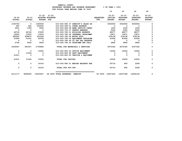|                            |                            |                                |                               |                                   |                                | 10                                           | 20                                            | 30                                            | 40                                           |
|----------------------------|----------------------------|--------------------------------|-------------------------------|-----------------------------------|--------------------------------|----------------------------------------------|-----------------------------------------------|-----------------------------------------------|----------------------------------------------|
| $19 - 20$<br><b>ACTUAL</b> | $20 - 21$<br><b>ACTUAL</b> | $21 - 22$<br><b>BUDGET FTE</b> | $21 - 22$<br>ADOPTED BUDGETED |                                   | <b>REQUESTED</b><br><b>FTE</b> | $22 - 23$<br><b>INITIAL</b><br><b>BUDGET</b> | $22 - 23$<br><b>PROPOSED</b><br><b>BUDGET</b> | $22 - 23$<br><b>APPROVED</b><br><b>BUDGET</b> | $22 - 23$<br><b>ADOPTED</b><br><b>BUDGET</b> |
| 1030756                    | $\mathbf{o}$               | 1500000                        |                               | 010-043-695.37 SHERIFF'S SALES EX |                                | 5000000                                      | 5000000                                       | 5000000                                       | Ω                                            |
| 953                        | 662                        | 250000                         |                               | 010-043-699.01 OTHER EXPENSE      |                                | 0                                            | 0                                             | 0                                             |                                              |
| 2421                       | 1396                       | 3000                           |                               | 010-043-699.08 BANK SERVICE CHARG |                                | 1500                                         | 1500                                          | 1500                                          |                                              |
| $\Omega$                   | $\Omega$                   | $\mathbf 0$                    |                               | 010-043-700.27 GRANTS AWARDED     |                                | 5000                                         | 5000                                          | 5000                                          |                                              |
| 46724                      | 46724                      | 47650                          |                               | 010-043-780.01 BUILDING RESERVE   |                                | 48577                                        | 48577                                         | 48577                                         | <sup>n</sup>                                 |
| 16593                      | 13933                      | 13919                          |                               | 010-043-780.04 INTERNAL TELECOMMU |                                | 13871                                        | 13871                                         | 13871                                         |                                              |
| 383520                     | 454872                     | 501638                         | 010-043-780.05 MOTOR POOL     |                                   |                                | 518138                                       | 518138                                        | 518138                                        |                                              |
| 51956                      | 51431                      | 52593                          |                               | 010-043-780.06 EQUIPMENT REPLACEM |                                | 61656                                        | 61656                                         | 61656                                         | 0                                            |
| 4                          | 5                          | $\mathbf 0$                    |                               | 010-043-780.44 CO INT PEL RESERVE |                                | $\mathbf{0}$                                 | $^{\circ}$                                    | 0                                             | $\Omega$                                     |
| 2766                       | 3009                       | 3629                           |                               | 010-043-780.54 TELECOMM PER CALL  |                                | 2892                                         | 2892                                          | 2892                                          | $\Omega$                                     |
| 2029367                    | 891047                     | 2730882                        |                               | TOTAL FOR MATERIALS & SERVICES    |                                | 6072342                                      | 6072342                                       | 6167342                                       | 0                                            |
| 0                          | 0                          | 15000                          |                               | 010-043-800.02 OFFICE EQUIPMENT   |                                | 15000                                        | 15000                                         | 15000                                         | 0                                            |
| $\mathbf 0$                | 11054                      | $\Omega$                       |                               | 010-043-800.80 DEPT EOUIPMENT     |                                | $\Omega$                                     | 0                                             | 0                                             | 0                                            |
| 31911                      | 0                          | $\Omega$                       |                               | 010-043-802.02 VEHICLE & EQUIPMEN |                                | 0                                            | 0                                             | 0                                             | 0                                            |
| 31911                      | 11054                      | 15000                          | TOTAL FOR CAPITAL             |                                   |                                | 15000                                        | 15000                                         | 15000                                         | 0                                            |
| 0                          | $\Omega$                   | 16143                          |                               | 010-043-990.01 ENDING BALANCE SHE |                                | 20714                                        | 895                                           | 2208                                          | 0                                            |
| 0                          | 0                          | 16143                          | TOTAL FOR 900-999             |                                   |                                | 20714                                        | 895                                           | 2208                                          | $\mathbf 0$                                  |
| 8111177                    | 8086040                    | 10523527                       | 48.5000 TOTAL EXPENSES        | <b>SHERIFF</b>                    | 50.0000                        | 14057454                                     | 14327398                                      | 14565145                                      | $\mathbf{o}$                                 |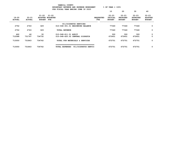|                        |                            |                                      |                         | YAMHILL COUNTY<br>BUDGETARY REVENUE AND EXPENSE WORKSHEET<br>FOR FISCAL YEAR ENDING JUNE 30 2023 |                     |                         | $8$ OF YEAR = 100 $8$                 |                                               |                                               |                                              |
|------------------------|----------------------------|--------------------------------------|-------------------------|--------------------------------------------------------------------------------------------------|---------------------|-------------------------|---------------------------------------|-----------------------------------------------|-----------------------------------------------|----------------------------------------------|
|                        |                            |                                      |                         |                                                                                                  |                     |                         | 10                                    | 20                                            | 30                                            | 40                                           |
| 19-20<br><b>ACTUAL</b> | $20 - 21$<br><b>ACTUAL</b> | $21 - 22$ $21 - 22$<br><b>BUDGET</b> | ADOPTED BUDGETED<br>FTE |                                                                                                  |                     | <b>REQUESTED</b><br>FTE | $22 - 23$<br>INITIAL<br><b>BUDGET</b> | $22 - 23$<br><b>PROPOSED</b><br><b>BUDGET</b> | $22 - 23$<br><b>APPROVED</b><br><b>BUDGET</b> | $22 - 23$<br><b>ADOPTED</b><br><b>BUDGET</b> |
|                        |                            |                                      |                         | 911/DISPATCH SERVICES                                                                            |                     |                         |                                       |                                               |                                               |                                              |
| 2752                   | 2743                       | 329                                  |                         | 010-048-301.01 BEGINNING BALANCE                                                                 |                     |                         | 77340                                 | 77340                                         | 77340                                         | 0                                            |
| 2752                   | 2743                       | 329                                  |                         | <b>TOTAL REVENUE</b>                                                                             |                     |                         | 77340                                 | 77340                                         | 77340                                         | 0                                            |
| 462                    | 46                         | 30                                   |                         | 010-048-611.01 AUDIT                                                                             |                     |                         | 300                                   | 300                                           | 300                                           | 0                                            |
| 712588                 | 731797                     | 734732                               |                         | 010-048-620.02 CENTRAL DISPATCH                                                                  |                     |                         | 672451                                | 672451                                        | 672451                                        | $\mathbf 0$                                  |
| 713050                 | 731843                     | 734762                               |                         | TOTAL FOR MATERIALS & SERVICES                                                                   |                     |                         | 672751                                | 672751                                        | 672751                                        | 0                                            |
| 713050                 | 731843                     | 734762                               |                         | TOTAL EXPENSES                                                                                   | 911/DISPATCH SERVIC |                         | 672751                                | 672751                                        | 672751                                        | 0                                            |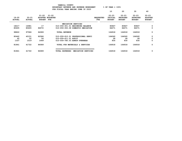|                        |                            |                                      | YAMHILL COUNTY<br>BUDGETARY REVENUE AND EXPENSE WORKSHEET                           |                         | $8$ OF YEAR = $100\%$                 |                                               |                                               |                                              |
|------------------------|----------------------------|--------------------------------------|-------------------------------------------------------------------------------------|-------------------------|---------------------------------------|-----------------------------------------------|-----------------------------------------------|----------------------------------------------|
|                        |                            |                                      | FOR FISCAL YEAR ENDING JUNE 30 2023                                                 |                         |                                       |                                               |                                               |                                              |
|                        |                            |                                      |                                                                                     |                         | 10                                    | 20                                            | 30                                            | 40                                           |
| 19-20<br><b>ACTUAL</b> | $20 - 21$<br><b>ACTUAL</b> | $21 - 22$ $21 - 22$<br><b>BUDGET</b> | ADOPTED BUDGETED<br>FTE                                                             | <b>REQUESTED</b><br>FTE | $22 - 23$<br>INITIAL<br><b>BUDGET</b> | $22 - 23$<br><b>PROPOSED</b><br><b>BUDGET</b> | $22 - 23$<br><b>APPROVED</b><br><b>BUDGET</b> | $22 - 23$<br><b>ADOPTED</b><br><b>BUDGET</b> |
|                        |                            |                                      | MEDIATION SERVICES                                                                  |                         |                                       |                                               |                                               |                                              |
| 18217                  | 16981                      | 17                                   | 010-059-301.01 BEGINNING BALANCE                                                    |                         | 80847                                 | 80847                                         | 80847                                         | 0                                            |
| 80605                  | 80605                      | 84072                                | 010-059-350.08 DOMESTIC MEDIATION                                                   |                         | 84071                                 | 84071                                         | 84071                                         | 0                                            |
| 98822                  | 97586                      | 84089                                | <b>TOTAL REVENUE</b>                                                                |                         | 164918                                | 164918                                        | 164918                                        | 0                                            |
| 80442                  | 40151                      | 82586                                | 010-059-610.01 PROFESSIONAL SERVI                                                   |                         | 164060                                | 164060                                        | 164060                                        | 0                                            |
| 62                     | 52                         | -54                                  | 010-059-611.01 AUDIT                                                                |                         | 28                                    | 28                                            | 28                                            | 0                                            |
| 1337                   | 1519                       | 1449                                 | 010-059-780.03 ADMIN OVERHEAD                                                       |                         | 830                                   | 830                                           | 830                                           | $\mathbf 0$                                  |
| 81841                  | 41722                      | 84089                                | TOTAL FOR MATERIALS & SERVICES                                                      |                         | 164918                                | 164918                                        | 164918                                        | 0                                            |
| 81841                  | 41722                      | 84089                                | ------------------------------------<br><b>TOTAL EXPENSES</b><br>MEDIATION SERVICES |                         | 164918                                | 164918                                        | 164918                                        | 0                                            |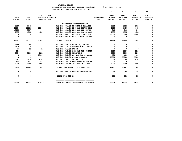|                            |                            |                                                              |                                    |                                | 10                                           | 20                                            | 30                                            | 40                                           |
|----------------------------|----------------------------|--------------------------------------------------------------|------------------------------------|--------------------------------|----------------------------------------------|-----------------------------------------------|-----------------------------------------------|----------------------------------------------|
| $19 - 20$<br><b>ACTUAL</b> | $20 - 21$<br><b>ACTUAL</b> | $21 - 22$ $21 - 22$<br>ADOPTED BUDGETED<br><b>BUDGET FTE</b> |                                    | <b>REQUESTED</b><br><b>FTE</b> | $22 - 23$<br><b>INITIAL</b><br><b>BUDGET</b> | $22 - 23$<br><b>PROPOSED</b><br><b>BUDGET</b> | $22 - 23$<br><b>APPROVED</b><br><b>BUDGET</b> | $22 - 23$<br><b>ADOPTED</b><br><b>BUDGET</b> |
|                            |                            |                                                              | NARCOTICS INVESTIGATION            |                                |                                              |                                               |                                               |                                              |
| 3310                       | 4641                       | 0                                                            | 010-069-301.01 BEGINNING BALANCE   |                                | 3095                                         | 3095                                          | 3095                                          | 0                                            |
| 40504                      | 30935                      | 23160                                                        | 010-069-301.04 BEG BAL STATE CIVI  |                                | 4458                                         | 4458                                          | 4458                                          | 0                                            |
| 17103                      | 5537                       | $\mathbf{0}$                                                 | 010-069-301.06 BEG BAL FED CIVIL   |                                | 868                                          | 868                                           | 868                                           | 0                                            |
| 4535                       | 4535                       | 4535                                                         | 010-069-301.07 BEG BAL STATE JUDG  |                                | 4535                                         | 4535                                          | 4535                                          | 0                                            |
| $\Omega$                   | 0                          | $\Omega$                                                     | 010-069-350.05 NARCOTICS FORFEITU  |                                | 60000                                        | 60000                                         | 60000                                         | 0                                            |
| $\mathbf 0$                | 73                         | $\Omega$                                                     | 010-069-362.10 RESTITUTION PAYMEN  |                                | $\mathbf{0}$                                 | $\Omega$                                      | $\overline{0}$                                | $\mathbf 0$                                  |
| 65452                      | 45721                      | 27695                                                        | <b>TOTAL REVENUE</b>               |                                | 72956                                        | 72956                                         | 72956                                         | $\mathbf 0$                                  |
| 2456                       | $280 -$                    | $\mathbf 0$                                                  | 010-069-543.01 DEPT. EQUIPMENT     |                                | 0                                            | 0                                             | 0                                             | 0                                            |
| 3120                       | $\overline{\mathbf{0}}$    | $\mathbf 0$                                                  | 010-069-610.01 PROFESSIONAL SERVI  |                                | $\mathbf 0$                                  | $\mathbf 0$                                   | $\mathbf 0$                                   | 0                                            |
| 46                         | 12                         | $12 \overline{ }$                                            | 010-069-611.01 AUDIT               |                                | 7                                            | $\overline{7}$                                | $\mathbf{7}$                                  | 0                                            |
| 116                        | $^{\circ}$                 | $\mathbf 0$                                                  | 010-069-612.02 SCHOOLS AND CONFER  |                                | 3290                                         | 3290                                          | 3290                                          | $\Omega$                                     |
| 2504                       | 3298                       | 2232                                                         | 010-069-620.01 TELEPHONE           |                                | 2200                                         | 2200                                          | 2200                                          | $\Omega$                                     |
| $^{\circ}$                 | $^{\circ}$                 | 13000                                                        | 010-069-683.08 SW LIC/SUP-OPERATI  |                                | 600                                          | 600                                           | 600                                           | $\Omega$                                     |
| $\mathbf 0$                | 0                          | 0                                                            | 010-069-699.01 OTHER EXPENSE       |                                | 55000                                        | 55000                                         | 55000                                         | 0                                            |
| 5647                       | 6018                       | 6500                                                         | 010-069-780.05 MOTOR POOL          |                                | 6500                                         | 6500                                          | 6500                                          | 0                                            |
| 915                        | 951                        | 951                                                          | 010-069-780.06 EQUIPMENT REPLACEM  |                                | $\mathbf 0$                                  | $\mathbf 0$                                   | $\mathbf 0$                                   | 0                                            |
| 5000                       | 5000                       | 5000                                                         | 010-069-780.18 INTERNAL EXPENSE    |                                | 5000                                         | 5000                                          | 5000                                          | 0                                            |
| 19804                      | 14999                      | 27695                                                        | TOTAL FOR MATERIALS & SERVICES     |                                | 72597                                        | 72597                                         | 72597                                         | 0                                            |
| 0                          | 0                          | $\Omega$                                                     | 010-069-990.01 ENDING BALANCE NAR  |                                | 359                                          | 359                                           | 359                                           | 0                                            |
| 0                          | 0                          | $\mathbf{0}$                                                 | TOTAL FOR 900-999                  |                                | 359                                          | 359                                           | 359                                           | 0                                            |
| 19804                      | 14999                      | 27695                                                        | TOTAL EXPENSES NARCOTICS INVESTIGA |                                | 72956                                        | 72956                                         | 72956                                         | 0                                            |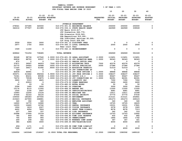|                            |                            |                                |                                                                                | BUDGETARY REVENUE AND EXPENSE WORKSHEET                                |                                | $\textdegree$ OF YEAR = 100 $\textdegree$    |                                               |                                               |                                              |
|----------------------------|----------------------------|--------------------------------|--------------------------------------------------------------------------------|------------------------------------------------------------------------|--------------------------------|----------------------------------------------|-----------------------------------------------|-----------------------------------------------|----------------------------------------------|
|                            |                            |                                | FOR FISCAL YEAR ENDING JUNE 30 2023                                            |                                                                        |                                | 10                                           | 20                                            | 30                                            | 40                                           |
| $19 - 20$<br><b>ACTUAL</b> | $20 - 21$<br><b>ACTUAL</b> | $21 - 22$<br><b>BUDGET FTE</b> | $21 - 22$<br>ADOPTED BUDGETED                                                  |                                                                        | <b>REQUESTED</b><br><b>FTE</b> | $22 - 23$<br><b>INITIAL</b><br><b>BUDGET</b> | $22 - 23$<br><b>PROPOSED</b><br><b>BUDGET</b> | $22 - 23$<br><b>APPROVED</b><br><b>BUDGET</b> | $22 - 23$<br><b>ADOPTED</b><br><b>BUDGET</b> |
|                            |                            |                                |                                                                                |                                                                        |                                |                                              |                                               |                                               |                                              |
|                            |                            |                                |                                                                                | JUVENILE DEPARTMENT                                                    |                                |                                              |                                               |                                               |                                              |
| 278541                     | 337285                     | 320000                         |                                                                                | 010-074-301.01 BEGINNING BALANCE                                       |                                | 250000                                       | 250000                                        | 250000                                        | 0<br>$\mathbf 0$                             |
| 342216                     | 377507                     | 411985                         | JCP Basic \$119,617;                                                           | 010-074-334.11 STATE HEALTH GRANT                                      |                                | 442969                                       | 442969                                        | 339049                                        |                                              |
|                            |                            |                                |                                                                                | JCP Prevention \$46,770;                                               |                                |                                              |                                               |                                               |                                              |
|                            |                            |                                |                                                                                | OYA Diversion \$129,563;                                               |                                |                                              |                                               |                                               |                                              |
|                            |                            |                                |                                                                                | OYA Expunctions \$10,000;                                              |                                |                                              |                                               |                                               |                                              |
|                            |                            |                                |                                                                                | OYA Individual Services \$5,000;                                       |                                |                                              |                                               |                                               |                                              |
| 3559                       | 3524                       | 3000                           | CJC Drug Court \$28,099<br>010-074-341.15 DISCOVERY FEES                       |                                                                        |                                | 0                                            | 0                                             | 0                                             | 0                                            |
| 2977                       | 1700                       | 3500                           | 010-074-346.13 LOCAL CONTRACTS                                                 |                                                                        |                                | 2000                                         | 2000                                          | 2000                                          | 0                                            |
|                            |                            |                                | Peer court fees                                                                |                                                                        |                                |                                              |                                               |                                               |                                              |
| 1549                       | 11240                      | 0                              | 010-074-362.12 REIMBURSEMENT                                                   |                                                                        |                                | 0                                            | 0                                             | 0                                             | 0                                            |
|                            | 731256                     |                                | <b>TOTAL REVENUE</b>                                                           |                                                                        |                                | 694969                                       |                                               |                                               | 0                                            |
| 628842                     |                            | 738485                         |                                                                                |                                                                        |                                |                                              | 694969                                        | 591049                                        |                                              |
| 92248                      | 98736                      | 107540                         | 2.0000 010-074-401.39 LEGAL ASSISTANT                                          |                                                                        | 2.0000                         | 113451                                       | 113451                                        | 113451                                        | 0                                            |
| 84834                      | 88700                      | 93537                          | 1.0000 010-074-401.59 JUV PROBATION MANA                                       |                                                                        | 1.0000                         | 96343                                        | 96343                                         | 96343                                         | 0                                            |
| 875                        | 0                          | $\mathbf 0$                    |                                                                                | 010-074-402.03 SENIOR OFFICE SPEC                                      |                                | 0                                            | 0                                             | 0                                             | 0                                            |
| 37871<br>22770             | 39597<br>24925             | 44053<br>26588                 | .7500 010-074-402.15 ACCOUNTING TECH<br>.5000 010-074-402.20 OFFICE SPECIALIST |                                                                        | .7500<br>.5000                 | 45374<br>27386                               | 45374<br>27386                                | 45374<br>27386                                | 0<br>0                                       |
| 11325                      | 34617                      | 41492                          | .8000 010-074-402.24 EDUCATION TRANSITI                                        |                                                                        |                                | 51019                                        | 51019                                         | 0                                             | 0                                            |
| $329 -$                    | 0                          | 0                              |                                                                                | 010-074-403.29 JUV CORRECTIONS SP                                      |                                | 0                                            | 0                                             | 0                                             | 0                                            |
| 42839                      | 46991                      | 0                              |                                                                                | 010-074-403.30 JUV PROB OFFICER 1                                      | 1.0000                         | 48848                                        | 48848                                         | 48848                                         | 0                                            |
| 305071                     | 313662                     | 392044                         | 5.9000 010-074-403.31 JUV PROB OFFICER 2                                       |                                                                        | 5.0000                         | 338237                                       | 338237                                        | 338237                                        | 0                                            |
| 72361<br>76072             | 80231<br>79538             | 89598<br>83875                 | 1.0000 010-074-403.49 DEPUTY D/A 2<br>1.0000 010-074-403.59 JUV CORRECTIONS SU |                                                                        | 1.0000<br>1.0000               | 95647<br>86391                               | 95647<br>86391                                | 95647<br>86391                                | 0<br>0                                       |
| 3900                       | 5315                       | 6825                           | 010-074-475.00 LONGEVITY PAY                                                   |                                                                        |                                | 7350                                         | 7350                                          | 7350                                          | 0                                            |
| 0                          | 20910                      | 0                              | 010-074-479.00 OTHER EARNINGS                                                  |                                                                        |                                | 2400                                         | 2400                                          | 2400                                          | 0                                            |
| 16                         | 29                         | 50                             | 010-074-480.00 EXTRA HOURS                                                     |                                                                        |                                | 50                                           | 50                                            | 50                                            | 0                                            |
| 2596                       | 1465                       | 3000                           | 010-074-481.00 OVERTIME                                                        |                                                                        |                                | 3000                                         | 3000                                          | 3000                                          | 0                                            |
| 10174<br>1500              | 8110<br>2190               | 11000<br>2647                  | 010-074-484.00 BEEPER PAY                                                      | 010-074-485.00 CERTIFICATION/EDUC                                      |                                | 11000<br>4681                                | 11000<br>4681                                 | 11000<br>4681                                 | 0<br>0                                       |
| 10993                      | 12200                      | 13126                          | 010-074-490.00 MEDICARE TAX                                                    |                                                                        |                                | 13511                                        | 13511                                         | 10348                                         | 0                                            |
| 47006                      | 52163                      | 56125                          | 010-074-491.00 SOCIAL SECURITY                                                 |                                                                        |                                | 57770                                        | 57770                                         | 57030                                         | 0                                            |
| 159550                     | 180283                     | 207045                         | 010-074-492.00 RETIREMENT                                                      |                                                                        |                                | 213121                                       | 213121                                        | 202861                                        | 0                                            |
| 215623                     | 227900                     | 268881                         |                                                                                | 010-074-493.10 MEDICAL INSURANCE                                       |                                | 291273                                       | 291273                                        | 269123                                        | 0                                            |
| 340                        | 392                        | 340<br>16080                   |                                                                                | 010-074-493.12 EMPLOYEE ASSISTANC                                      |                                | 340                                          | 340<br>19725                                  | 340                                           | 0<br>0                                       |
| 14900<br>16055             | 14770<br>16460             | 19762                          | 010-074-493.15 VEBA                                                            | 010-074-493.20 DENTAL INSURANCE                                        |                                | 19725<br>19331                               | 19331                                         | 18225<br>17861                                | 0                                            |
| 1924                       | 1819                       | 2007                           |                                                                                | 010-074-493.25 VISION INSURANCE                                        |                                | 2078                                         | 2078                                          | 1920                                          | 0                                            |
| 4422                       | 4954                       | 7804                           |                                                                                | 010-074-493.31 SHORT TERM DISABIL                                      |                                | 8078                                         | 8078                                          | 7313                                          | $\Omega$                                     |
| 227                        | 549                        | 337                            | 010-074-493.40 LIFE INSURANCE                                                  |                                                                        |                                | 342                                          | 342                                           | 316                                           | 0                                            |
| 20998                      | 17664                      | 15159                          |                                                                                | 010-074-494.00 ACCIDENT INSURANCE                                      |                                | 12703                                        | 12703                                         | 12662                                         | 0                                            |
| 785<br>765                 | 849<br>849                 | 905<br>905                     | 010-074-495.00 UNEMPLOYMENT                                                    | 010-074-494.80 TIME LOSS RESERVE                                       |                                | 932<br>1864                                  | 932<br>1864                                   | 882<br>1762                                   | 0<br>0                                       |
| 269                        | 258                        | 342                            |                                                                                | 010-074-496.00 WORKERS COMP ASSES                                      |                                | 347                                          | 347                                           | 321                                           | 0                                            |
| 384                        | 4284                       | 3000                           |                                                                                | 010-074-499.00 FET/VACATION/SICK                                       |                                | 4000                                         | 4000                                          | 4000                                          | 0                                            |
| $456 -$                    |                            | 0                              |                                                                                |                                                                        |                                | 0                                            | 0                                             | 0                                             |                                              |
| 7048                       | 1171<br>21467              | 4000                           |                                                                                | 010-074-499.98 COMP TIME LIABILIT<br>010-074-499.99 VACATION LIAB. ADJ |                                | 4000                                         | 4000                                          | 4000                                          | 0<br>0                                       |
|                            |                            |                                |                                                                                |                                                                        |                                |                                              |                                               |                                               |                                              |
| 1264956                    | 1403048                    | 1518067                        | 12.9500 TOTAL FOR PERSONNEL                                                    |                                                                        | 12.2500                        | 1580592                                      | 1580592                                       | 1489122                                       | 0                                            |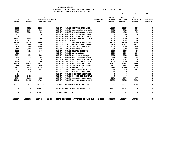|                            |                            |                         |                                                    |                                   |                                | 10                                    | 20                                            | 30                                            | 40                                           |
|----------------------------|----------------------------|-------------------------|----------------------------------------------------|-----------------------------------|--------------------------------|---------------------------------------|-----------------------------------------------|-----------------------------------------------|----------------------------------------------|
| $19 - 20$<br><b>ACTUAL</b> | $20 - 21$<br><b>ACTUAL</b> | $21 - 22$               | $21 - 22$<br>ADOPTED BUDGETED<br><b>BUDGET FTE</b> |                                   | <b>REQUESTED</b><br><b>FTE</b> | $22 - 23$<br>INITIAL<br><b>BUDGET</b> | $22 - 23$<br><b>PROPOSED</b><br><b>BUDGET</b> | $22 - 23$<br><b>APPROVED</b><br><b>BUDGET</b> | $22 - 23$<br><b>ADOPTED</b><br><b>BUDGET</b> |
|                            |                            |                         |                                                    |                                   |                                |                                       |                                               |                                               |                                              |
| 5381                       | 7282                       | 11350                   | 010-074-510.01 CENTRAL SUPPLIES                    |                                   |                                | 11350                                 | 11350                                         | 8500                                          | 0                                            |
| 2715                       | 1134                       | 5000                    | 010-074-512.04 LABORATORY EXPENSE                  |                                   |                                | 2500                                  | 2500                                          | 2500                                          | 0                                            |
| 3769                       | 3500                       | 4500                    | 010-074-513.03 PUBLICATIONS & DUE                  |                                   |                                | 4500                                  | 4500                                          | 4500                                          | 0                                            |
| 171                        | 151                        | 500                     | 010-074-543.01 DP EQUIP PURCHASE                   |                                   |                                | 500                                   | 500                                           | 500                                           | 0                                            |
| $\mathbf 0$                | 171                        | $\overline{\mathbf{0}}$ |                                                    | 010-074-583.02 DATA PROCESSING SU |                                | $\overline{\mathbf{0}}$               | $\overline{\phantom{0}}$                      | $\overline{\mathbf{0}}$                       | $\mathsf{o}\xspace$                          |
| 22437                      | 1504                       | 3000                    | 010-074-610.01 PROFESSIONAL SERVI                  |                                   |                                | 3000                                  | 3000                                          | 3000                                          | $\Omega$                                     |
| 1013                       | 931                        | 972                     | 010-074-611.01 AUDIT                               |                                   |                                | 1008                                  | 1008                                          | 1008                                          | 0                                            |
| 26268                      | 24120                      | 35000                   | 010-074-611.02 CONTRACT SERVICES                   |                                   |                                | 35000                                 | 35000                                         | 30000                                         | $\mathbf 0$                                  |
| 4192                       | 460                        | 7500                    | 010-074-612.02 SCHOOLS AND CONFER                  |                                   |                                | 17624                                 | 17624                                         | 15124                                         | $\mathsf{o}\xspace$                          |
| 400                        | 480                        | 10000                   | 010-074-613.05 JUV SUB-CONTRACT                    |                                   |                                | 5000                                  | 5000                                          | 5000                                          | 0                                            |
| 5661                       | 8160                       | 8500                    | 010-074-620.01 TELEPHONE                           |                                   |                                | 9500                                  | 9500                                          | 8500                                          | 0                                            |
| 4381                       | 699                        | 6600                    | 010-074-630.01 TRAVEL EXPENSE                      |                                   |                                | 5100                                  | 5100                                          | 4500                                          | $\mathbf 0$                                  |
| 319                        | $\overline{\mathbf{0}}$    | $\overline{\mathbf{0}}$ | 010-074-640.01 ADVERTISING                         |                                   |                                | 1000                                  | 1000                                          | 1000                                          | $\mathbf 0$                                  |
| 2154                       | 959                        | 2200                    | 010-074-650.01 EQUIPMENT LEASE                     |                                   |                                | 2000                                  | 2000                                          | 2000                                          | 0                                            |
| 249                        | 79                         | 500                     |                                                    | 010-074-683.01 COPY MACHINES/MAIN |                                | 500                                   | 500                                           | 500                                           | 0                                            |
| 792                        | 531                        | 500                     |                                                    | 010-074-683.07 SOFTWARE LIC AND M |                                | 7945                                  | 7945                                          | 7945                                          | 0                                            |
| 1450                       | 259                        | 2000                    | 010-074-700.02 CHILD CARE RESOURC                  |                                   |                                | 2000                                  | 2000                                          | 2000                                          | $\mathbf{o}$                                 |
| 33474                      | 33474                      | 34138                   | 010-074-780.01 BUILDING RESERVE                    |                                   |                                | 34802                                 | 34802                                         | 34802                                         | $\mathsf{o}\xspace$                          |
| 10859                      | 8507                       | 8507                    | 010-074-780.04 INTERNAL TELECOMMU                  |                                   |                                | 8507                                  | 8507                                          | 8507                                          | 0                                            |
| 8577                       | 8075                       | 12350                   | 010-074-780.05 MOTOR POOL                          |                                   |                                | 12350                                 | 12350                                         | 12350                                         | 0                                            |
| 9583                       | 8820                       | 9578                    |                                                    | 010-074-780.06 EQUIPMENT REPLACEM |                                | 9618                                  | 9618                                          | 9618                                          | $\mathbf 0$                                  |
| $\mathbf{0}$               | $^{\circ}$                 | 10                      | 010-074-780.09 MANUAL CHECK CHARG                  |                                   |                                | 10                                    | 10                                            | 10                                            | 0                                            |
| 24                         | $\mathbf{o}$               | $\mathbf 0$             | 010-074-780.15 COMPUTER SERVICES                   |                                   |                                | $\mathbf 0$                           | $\overline{\mathbf{0}}$                       | $\mathbf 0$                                   | $\mathsf{o}$                                 |
| 4428                       | 3455                       | $\mathbf 0$             |                                                    | 010-074-780.44 CO INT PEL RESERVE |                                | $\mathbf 0$                           | $\mathbf 0$                                   | $\mathbf 0$                                   | 0                                            |
| 1514                       | 1691                       | 1558                    | 010-074-780.54 TELECOMM PER CALL                   |                                   |                                | 1776                                  | 1776                                          | 1776                                          | 0                                            |
| 41140                      | 44415                      | 47290                   | 010-074-780.68 CO INT TRNSFR TO C                  |                                   |                                | 51381                                 | 51381                                         | 51381                                         | $\mathbf 0$                                  |
| 190951                     | 158857                     | 211553                  | TOTAL FOR MATERIALS & SERVICES                     |                                   |                                | 226971                                | 226971                                        | 215021                                        | 0                                            |
| 0                          | $\mathbf 0$                | 128017                  | 010-074-990.01 ENDING BALANCE JUV                  |                                   |                                | 73707                                 | 73707                                         | 73207                                         | 0                                            |
| 0                          | $\mathbf{0}$               | 128017                  | TOTAL FOR 900-999                                  |                                   |                                | 73707                                 | 73707                                         | 73207                                         | $\mathbf{o}$                                 |
| 1455907                    | 1561905                    | 1857637                 | 12.9500 TOTAL EXPENSES JUVENILE DEPARTMENT 12.2500 |                                   |                                | 1881270                               | 1881270                                       | 1777350                                       | 0                                            |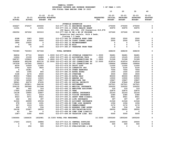|                            |                            |                                |                               |                         | BUDGETARY REVENUE AND EXPENSE WORKSHEET     |                         | $8$ OF YEAR = 100 $8$                        |                                               |                                               |                                              |
|----------------------------|----------------------------|--------------------------------|-------------------------------|-------------------------|---------------------------------------------|-------------------------|----------------------------------------------|-----------------------------------------------|-----------------------------------------------|----------------------------------------------|
|                            |                            |                                |                               |                         | FOR FISCAL YEAR ENDING JUNE 30 2023         |                         | 10                                           | 20                                            | 30                                            | 40                                           |
| $19 - 20$<br><b>ACTUAL</b> | $20 - 21$<br><b>ACTUAL</b> | $21 - 22$<br><b>BUDGET FTE</b> | $21 - 22$<br>ADOPTED BUDGETED |                         |                                             | <b>REQUESTED</b><br>FTE | $22 - 23$<br><b>INITIAL</b><br><b>BUDGET</b> | $22 - 23$<br><b>PROPOSED</b><br><b>BUDGET</b> | $22 - 23$<br><b>APPROVED</b><br><b>BUDGET</b> | $22 - 23$<br><b>ADOPTED</b><br><b>BUDGET</b> |
|                            |                            |                                |                               |                         | JUVENILE DETENTION                          |                         |                                              |                                               |                                               |                                              |
| 434627                     | 372537                     | 200000                         |                               |                         | 010-077-301.01 BEGINNING BALANCE            |                         | 275000                                       | 275000                                        | 275000                                        | 0                                            |
| 11031                      | 0                          | 11031                          |                               |                         | 010-077-334.11 STATE HEALTH GRANT           |                         | 50970                                        | 50970                                         | 50970                                         | 0                                            |
|                            |                            |                                |                               |                         | JCP Basic \$31,092, JCP Prevention \$19,878 |                         |                                              |                                               |                                               |                                              |
| 292056                     | 367202                     | 303315                         |                               |                         | 010-077-342.02 RM & BD OF PRISONE           |                         | 337260                                       | 337260                                        | 337260                                        | $\mathbf 0$                                  |
|                            |                            |                                |                               |                         | Detention bed rentals, Polk 4 beds,         |                         |                                              |                                               |                                               |                                              |
|                            |                            |                                |                               | Clatsop 1.5 beds        |                                             |                         |                                              |                                               |                                               |                                              |
| 6098                       | 3083                       | 5000                           |                               |                         | 010-077-342.24 JUVENILE WORK CREW           |                         | 2500                                         | 2500                                          | 2500                                          | 0                                            |
| 5659                       | 4316                       | 5000                           |                               |                         | 010-077-350.06 COURT CORREC ASSES           |                         | 2500                                         | 2500                                          | 2500                                          | $\mathbf 0$                                  |
| 1864                       | 15420                      | $\mathbf 0$                    |                               |                         | 010-077-362.12 REIMBURSEMENT                |                         | $\Omega$                                     | $\mathbf{0}$                                  | $\mathbf 0$                                   | 0                                            |
| 0                          | 745                        | $\mathbf 0$                    |                               | 010-077-362.99 MISC     |                                             |                         | $\mathbf 0$                                  | $\mathbf 0$                                   | $\mathbf 0$                                   | 0                                            |
| 4054                       | $\Omega$                   | 3000                           |                               |                         | 010-077-380.67 TRANSFER FROM TRAN           |                         | $\mathbf 0$                                  | $\mathbf 0$                                   | $\mathbf 0$                                   | 0                                            |
| 755389                     | 763303                     | 527346                         |                               | <b>TOTAL REVENUE</b>    |                                             |                         | 668230                                       | 668230                                        | 668230                                        | 0                                            |
| 84834                      | 87710                      | 92629                          |                               |                         | 1.0000 010-077-401.26 JUVENILE CORRECTIO    | 1,0000                  | 94481                                        | 94481                                         | 94481                                         | 0                                            |
| 12624                      | 13199                      | 14684                          |                               |                         | .2500 010-077-402.15 ACCOUNTING TECH        | .2500                   | 15125                                        | 15125                                         | 15125                                         | $\mathbf 0$                                  |
| 248797                     | 135829                     | 54394                          |                               |                         | 1.2800 010-077-403.28 JUV CORRECTIONS TE    | 1.2800                  | 51328                                        | 51328                                         | 51328                                         | 0                                            |
| 326858                     | 493198                     | 625130                         |                               |                         | 12.0000 010-077-403.29 JUV CORRECTIONS SP   | 12.0000                 | 616514                                       | 616514                                        | 616514                                        | 0                                            |
| 147539                     | 147545                     | 164913                         |                               |                         | 010-077-403.59 JUV CORRECTIONS SU           |                         | 169444                                       | 169444                                        | 169444                                        | 0                                            |
| 8539                       | 10509                      | 11000                          |                               |                         | 010-077-474.00 SHIFT DIFF                   |                         | 11000                                        | 11000                                         | 11000                                         | 0                                            |
| 2540                       | 3225                       | 3825                           |                               |                         | 010-077-475.00 LONGEVITY PAY                |                         | 5100                                         | 5100                                          | 5100                                          | 0                                            |
| 0                          | 16381                      | $\overline{\phantom{0}}$       |                               |                         | 010-077-479.00 OTHER EARNINGS               |                         | 7054                                         | 7054                                          | 7054                                          | 0                                            |
| 545                        | 1095                       | 800                            |                               |                         | 010-077-480.00 EXTRA HOURS                  |                         | 1500                                         | 1500                                          | 1500                                          | 0                                            |
| 3168                       | 2276                       | 6500                           |                               | 010-077-481.00 OVERTIME |                                             |                         | 3500                                         | 3500                                          | 3500                                          | 0                                            |
| 85933                      | 73866                      | 86000                          |                               |                         | 010-077-482.00 EXTRA HELP                   |                         | 85000                                        | 85000                                         | 85000                                         | 0                                            |
| 13053                      | 11612                      | 13500                          |                               |                         | 010-077-484.00 BEEPER PAY                   |                         | 13500                                        | 13500                                         | 13500                                         | 0                                            |
| 13785                      | 14565                      | 15817                          |                               |                         | 010-077-490.00 MEDICARE TAX                 |                         | 15867                                        | 15867                                         | 15867                                         | 0                                            |
| 58941                      | 62276                      | 67635                          |                               |                         | 010-077-491.00 SOCIAL SECURITY              |                         | 67846                                        | 67846                                         | 67846                                         | 0                                            |
| 179205                     | 203811                     | 246196                         |                               |                         | 010-077-492.00 RETIREMENT                   |                         | 247521                                       | 247521                                        | 247521                                        | 0                                            |
| 259135                     | 283566                     | 311548                         |                               |                         | 010-077-493.10 MEDICAL INSURANCE            |                         | 335052                                       | 335052                                        | 335052                                        | 0                                            |
| 383                        | 442                        | 316                            |                               |                         | 010-077-493.12 EMPLOYEE ASSISTANC           |                         | 316                                          | 316                                           | 316                                           | 0                                            |
| 17900                      | 21825                      | 21900                          |                               | 010-077-493.15 VEBA     |                                             |                         | 22875                                        | 22875                                         | 22875                                         | 0                                            |
| 19138                      | 19900                      | 22807                          |                               |                         | 010-077-493.20 DENTAL INSURANCE             |                         | 22193                                        | 22193                                         | 22193                                         | $\mathbf 0$                                  |
| 2311                       | 2311                       | 2319                           |                               |                         | 010-077-493.25 VISION INSURANCE             |                         | 2380                                         | 2380                                          | 2380                                          | 0                                            |
| 4523                       | 5071                       | 8921                           |                               |                         | 010-077-493.31 SHORT TERM DISABIL           |                         | 8921                                         | 8921                                          | 8921                                          | 0                                            |
| 262                        | 602                        | 397                            |                               |                         | 010-077-493.40 LIFE INSURANCE               |                         | 397                                          | 397                                           | 397                                           | 0                                            |
| 31026                      | 26999                      | 25034                          |                               |                         | 010-077-494.00 ACCIDENT INSURANCE           |                         | 21546                                        | 21546                                         | 21546                                         | 0                                            |
| 978                        | 1018                       | 1091                           |                               |                         | 010-077-494.80 TIME LOSS RESERVE            |                         | 1094                                         | 1094                                          | 1094                                          | $\mathbf 0$                                  |
| 957                        | 1019                       | 1091                           |                               |                         | 010-077-495.00 UNEMPLOYMENT                 |                         | 2172                                         | 2172                                          | 2172                                          | 0                                            |
| 406                        | 372                        | 534                            |                               |                         | 010-077-496.00 WORKERS COMP ASSES           |                         | 534                                          | 534                                           | 534                                           | 0                                            |
| 24108                      | 23287                      | 28000                          |                               |                         | 010-077-499.00 FET/VACATION/SICK            |                         | 28000                                        | 28000                                         | 28000                                         | 0                                            |
| 63                         | $54 -$                     | $\mathbf 0$                    |                               |                         | 010-077-499.98 COMP TIME LIABILIT           |                         | $\mathbf 0$                                  | 0                                             | 0                                             | 0                                            |
| $1087 -$                   | 3180                       | 6000                           |                               |                         | 010-077-499.99 VACATION LIAB. ADJ           |                         | 5000                                         | 5000                                          | 5000                                          | $\mathbf 0$                                  |
| 1546464                    | 1666635                    | 1832981                        | 16.5300 TOTAL FOR PERSONNEL   |                         |                                             | 16.5300                 | 1855260                                      | 1855260                                       | 1855260                                       | 0                                            |
| 17203                      | 15231                      | 26886                          |                               |                         | 010-077-510.01 CENTRAL SUPPLIES             |                         | 20000                                        | 20000                                         | 20000                                         | 0                                            |
| $\mathbf 0$                | $\mathbf 0$                | 500                            |                               |                         | 010-077-512.06 YOUTH'S CLOTHING             |                         | 500                                          | 500                                           | 500                                           | $\mathbf 0$                                  |
| $\Omega$                   | 250                        | 500                            |                               |                         | 010-077-513.03 PUBLICATIONS & DUE           |                         | $\Omega$                                     | $\mathbf 0$                                   | $\mathbf 0$                                   | $\Omega$                                     |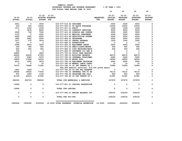|                        |                            |                          |                                                    |                                                 |                                | 10                                    | 20                                            | 30                                            | 40                                           |
|------------------------|----------------------------|--------------------------|----------------------------------------------------|-------------------------------------------------|--------------------------------|---------------------------------------|-----------------------------------------------|-----------------------------------------------|----------------------------------------------|
| 19-20<br><b>ACTUAL</b> | $20 - 21$<br><b>ACTUAL</b> | $21 - 22$                | $21 - 22$<br>ADOPTED BUDGETED<br><b>BUDGET FTE</b> |                                                 | <b>REQUESTED</b><br><b>FTE</b> | $22 - 23$<br>INITIAL<br><b>BUDGET</b> | $22 - 23$<br><b>PROPOSED</b><br><b>BUDGET</b> | $22 - 23$<br><b>APPROVED</b><br><b>BUDGET</b> | $22 - 23$<br><b>ADOPTED</b><br><b>BUDGET</b> |
| 4901                   | $\mathbf 0$                | 3000                     | 010-077-516.02 UNIFORMS                            |                                                 |                                | 3000                                  | 3000                                          | 3000                                          | 0                                            |
| 333                    | 454                        | 15000                    |                                                    | 010-077-543.01 DP EQUIP PURCHASE                |                                | 10000                                 | 10000                                         | 10000                                         | 0                                            |
| 1211                   | 1183                       | 1235                     | 010-077-611.01 AUDIT                               |                                                 |                                | 1246                                  | 1246                                          | 1246                                          | $\Omega$                                     |
| $\mathbf{0}$           | 3878                       | 9000                     |                                                    | 010-077-611.02 CONTRACT SERVICES                |                                | 5000                                  | 5000                                          | 5000                                          | 0                                            |
| 2458                   | 749                        | 7000                     |                                                    | 010-077-612.02 SCHOOLS AND CONFER               |                                | 3000                                  | 3000                                          | 3000                                          | $\Omega$                                     |
| 1153                   | $\mathbf 0$                | 5000                     |                                                    | 010-077-613.01 MEDICAL TREATMENT                |                                | 5000                                  | 5000                                          | 5000                                          | $\Omega$                                     |
| 4429                   | 1952                       | 5000                     |                                                    | 010-077-613.08 RESTITUTION PAYMEN               |                                | 2500                                  | 2500                                          | 2500                                          | 0                                            |
| 1965                   | 2062                       | 2500                     | 010-077-620.01 TELEPHONE                           |                                                 |                                | 2500                                  | 2500                                          | 2500                                          | 0                                            |
| 1471                   | 275                        | 3916                     |                                                    | 010-077-630.01 TRAVEL EXPENSE                   |                                | 1500                                  | 1500                                          | 1500                                          | $\Omega$                                     |
| 161                    | $\mathbf{o}$               | $\mathbf 0$              |                                                    | 010-077-640.01 ADVERTISING                      |                                | $\mathbf{0}$                          | $\mathbf{0}$                                  | $\mathbf 0$                                   | 0                                            |
| 2565                   | 2812                       | 3650                     |                                                    | 010-077-650.01 EQUIPMENT LEASE                  |                                | 2950                                  | 2950                                          | 2950                                          | $\mathbf 0$                                  |
| 329                    | 356                        | 500                      |                                                    | 010-077-670.02 HEAT/LIGHTS/WATER                |                                | 500                                   | 500                                           | 500                                           | $\Omega$                                     |
| 605                    | 525                        | 650                      |                                                    | 010-077-683.01 COPY MACHINES/MAIN               |                                | 650                                   | 650                                           | 650                                           | 0                                            |
| 336                    | $\Omega$                   | $\overline{\phantom{0}}$ |                                                    | 010-077-683.07 SOFTWARE LIC AND M               |                                | $\mathbf 0$                           | $\mathbf{0}$                                  | $\Omega$                                      | 0                                            |
| 14850                  | 0                          | 1802                     |                                                    | 010-077-700.02 CHILD CARE RESOURC               |                                | $\mathbf 0$                           | $\mathbf{0}$                                  | $\Omega$                                      | 0                                            |
| 46432                  | 46432                      | 47353                    |                                                    | 010-077-780.01 BUILDING RESERVE                 |                                | 48274                                 | 48274                                         | 48274                                         | 0                                            |
| 6372                   | 5582                       | 5279                     |                                                    | 010-077-780.04 INTERNAL TELECOMMU               |                                | 5495                                  | 5495                                          | 5495                                          | $\Omega$                                     |
| 16650                  | 17648                      | 19333                    |                                                    | 010-077-780.05 MOTOR POOL                       |                                | 18000                                 | 18000                                         | 18000                                         | 0                                            |
| 4210                   | 4290                       | 3919                     |                                                    | 010-077-780.06 EQUIPMENT REPLACEM               |                                | 4545                                  | 4545                                          | 4545                                          | 0                                            |
| $\mathbf{0}$           | $\Omega$                   | 10                       |                                                    | 010-077-780.09 MANUAL CHECK CHARG               |                                | 10                                    | 10                                            | 10                                            | $\Omega$                                     |
| 75370                  | 72688                      | 71000                    |                                                    | 010-077-780.10 CO INT TRNSFR TO J               |                                | 72909                                 | 72909                                         | 72909                                         | 0                                            |
|                        |                            |                          |                                                    | \$60,909 medical services; \$12,000 youth meals |                                |                                       |                                               |                                               |                                              |
| 1961                   | 1908                       | $\mathbf{0}$             |                                                    | 010-077-780.44 CO INT PEL RESERVE               |                                | $\Omega$                              | $\mathbf{0}$                                  | 0                                             | 0                                            |
| 39026                  | 39026                      | 77056                    |                                                    | 010-077-780.52 INTERNAL TFR TO HH               |                                | 78115                                 | 78115                                         | 78115                                         | 0                                            |
| 875                    | 1009                       | 1149                     |                                                    | 010-077-780.54 TELECOMM PER CALL                |                                | 804                                   | 804                                           | 804                                           | 0                                            |
| 41140                  | 44415                      | 47290                    |                                                    | 010-077-780.68 CO INT TRNSFR TO C               |                                | 51381                                 | 51381                                         | 51381                                         | 0                                            |
| 286006                 | 262725                     | 358528                   |                                                    | TOTAL FOR MATERIALS & SERVICES                  |                                | 337879                                | 337879                                        | 337879                                        | $\mathbf 0$                                  |
| 19996                  | $\mathbf 0$                | 0                        |                                                    | 010-077-821.01 CAPITAL PROFESSION               |                                | 0                                     | $\mathbf 0$                                   | 0                                             | 0                                            |
| 19996                  | $\mathbf{0}$               | $\Omega$                 | TOTAL FOR CAPITAL                                  |                                                 |                                | 0                                     | $\mathbf{0}$                                  | $\Omega$                                      | $\mathbf 0$                                  |
| 0                      | 0                          | $\mathbf 0$              |                                                    | 010-077-990.01 ENDING BALANCE JUV               |                                | 239104                                | 239104                                        | 239104                                        | 0                                            |
| 0                      | 0                          | $\Omega$                 | TOTAL FOR 900-999                                  |                                                 |                                | 239104                                | 239104                                        | 239104                                        | 0                                            |
| 1852466                | 1929360                    | 2191509                  |                                                    | 16.5300 TOTAL EXPENSES JUVENILE DETENTION       | 16.5300                        | 2432243                               | 2432243                                       | 2432243                                       | $\mathbf 0$                                  |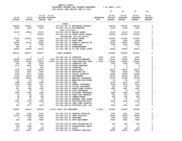|               |               |                   | FOR FISCAL IEAR ENDING OUNE JU ZUZJ                                    |                  |                |                 |                 |                |
|---------------|---------------|-------------------|------------------------------------------------------------------------|------------------|----------------|-----------------|-----------------|----------------|
|               |               |                   |                                                                        |                  | 10             | 20              | 30              | 40             |
|               |               |                   |                                                                        |                  |                |                 |                 |                |
|               |               | $21 - 22$         | $21 - 22$                                                              |                  | $22 - 23$      | $22 - 23$       | $22 - 23$       | $22 - 23$      |
| $19 - 20$     | $20 - 21$     |                   | ADOPTED BUDGETED                                                       | <b>REQUESTED</b> | <b>INITIAL</b> | <b>PROPOSED</b> | <b>APPROVED</b> | <b>ADOPTED</b> |
| <b>ACTUAL</b> | <b>ACTUAL</b> | <b>BUDGET FTE</b> |                                                                        | FTE              | <b>BUDGET</b>  | <b>BUDGET</b>   | <b>BUDGET</b>   | <b>BUDGET</b>  |
|               |               |                   | <b>PARKS</b>                                                           |                  |                |                 |                 |                |
| 228355        | 274651        | 213000            | 010-081-301.01 BEGINNING BALANCE                                       |                  | 168790         | 168790          | 168790          | 0              |
| 2000          | 2000          | 2000              | 010-081-301.02 BB RESERVED                                             |                  | 2000           | 2000            | 2000            | $\mathbf 0$    |
|               |               |                   | Wrex Cruz Park                                                         |                  |                |                 |                 |                |
| 15175         | 69534         | 15175             | 010-081-334.05 MARINE BOARD                                            |                  | 15175          | 15175           | 15175           | 0              |
| 0             | 0             | 100000            | 010-081-334.99 OTHER STATE GRANTS                                      |                  | 100000         | 100000          | 100000          | 0              |
|               |               |                   | Placeholder for new grants                                             |                  |                |                 |                 |                |
| 91110         | 104233        | 101000            | 010-081-335.08 STATE PARKS                                             |                  | 101000         | 101000          | 101000          | 0              |
| 350           | 0             | 1000              | 010-081-347.10 PARK FEES                                               |                  | 1000           | 1000            | 1000            | 0              |
| 22558         | 29164         | 22000             | 010-081-347.14 ROGER'S LANDING PA                                      |                  | 24000          | 24000           | 24000           | 0              |
| 3265          | 0             | 1500              | 010-081-362.03 DONATIONS                                               |                  | 1500           | 1500            | 1500            | 0              |
| 402           | 95            | $\mathbf 0$       | 010-081-362.12 REIMBURSEMENT                                           |                  | 0              | 0               | 0               | 0              |
| 20000         | 20000         | 20000             | 010-081-380.06 CO INT VIDEO LOTTE                                      |                  | 20000          | 20000           | 20000           | 0              |
|               |               |                   |                                                                        |                  |                |                 |                 |                |
| 383215        | 499677        | 475675            | <b>TOTAL REVENUE</b>                                                   |                  | 433465         | 433465          | 433465          | 0              |
|               |               |                   |                                                                        |                  |                |                 |                 |                |
| 0             | 0             | $\mathbf 0$       | 010-081-401.01 DIRECTOR                                                | .0500            | 6047           | 6047            | 6047            | 0              |
| 24499         | 18248         | 47517             | .7000 010-081-401.34 DIVISION MANAGER                                  | .8000            | 56126          | 56126           | 56126           | 0              |
| 50495         | 52796         | 86574             | 1.5000 010-081-403.25 COMM SERVICES SUPE                               | 2.0000           | 114690         | 114690          | 114690          | 0              |
| 600           | 900           | 1200              | 010-081-475.00 LONGEVITY PAY                                           |                  | 1500           | 1500            | 1500            | 0              |
| 2777          | 4291          | 3000              | 010-081-479.00 OTHER EARNINGS                                          |                  | $\mathbf 0$    | $\mathbf 0$     | $\mathbf 0$     | 0              |
| 0             | 0             | 300               | 010-081-481.00 OVERTIME                                                |                  | $\mathbf 0$    | $\mathbf 0$     | $\Omega$        | 0              |
| 3378          | 6475          | 26274             | 010-081-482.00 EXTRA HELP                                              |                  | 22675          | 22675           | 22675           | 0              |
| 1210          | 1267          | 2459              | 010-081-490.00 MEDICARE TAX                                            |                  | 2944           | 2944            | 2944            | 0              |
| 5175          | 5417          | 10501             | 010-081-491.00 SOCIAL SECURITY                                         |                  | 12589          | 12589           | 12589           | 0              |
| 17709         | 18078         | 44408             | 010-081-492.00 RETIREMENT                                              |                  | 36763          | 36763           | 36763           | 0              |
| 23962         | 24355         | 45679             | 010-081-493.10 MEDICAL INSURANCE                                       |                  | 63128          | 63128           | 63128           | 0              |
| 33            | 39            | 50                | 010-081-493.12 EMPLOYEE ASSISTANC                                      |                  | 51             | 51              | 51              | 0              |
| 1680          | 1560          | 2640              | 010-081-493.15 VEBA                                                    |                  | 4275           | 4275            | 4275            | 0<br>0         |
| 2158          | 1948<br>200   | 3357<br>341       | 010-081-493.20 DENTAL INSURANCE                                        |                  | 4189<br>450    | 4189<br>450     | 4189<br>450     | 0              |
| 217<br>457    | 448           | 1287              | 010-081-493.25 VISION INSURANCE<br>010-081-493.31 SHORT TERM DISABIL   |                  | 1667           | 1667            | 1667            | 0              |
| 25            | 50            | 57                | 010-081-493.40 LIFE INSURANCE                                          |                  | 75             | 75              | 75              | 0              |
| 2289          | 1962          | 2996              | 010-081-494.00 ACCIDENT INSURANCE                                      |                  | 4629           | 4629            | 4629            | 0              |
| 85            | 88            | 169               | 010-081-494.80 TIME LOSS RESERVE                                       |                  | 203            | 203             | 203             | 0              |
| 84            | 88            | 169               | 010-081-495.00 UNEMPLOYMENT                                            |                  | 406            | 406             | 406             | 0              |
| 34            | 33            | 82                | 010-081-496.00 WORKERS COMP ASSES                                      |                  | 78             | 78              | 78              | 0              |
| 1981          | 5153          | 4500              | 010-081-499.00 FET/VACATION/SICK                                       |                  | 2000           | 2000            | 2000            | 0              |
| 0             | 26            | $\mathbf 0$       | 010-081-499.98 COMP TIME LIABILIT                                      |                  | 0              | $\mathbf 0$     | 0               | 0              |
| 655           | 1071          | 1000              | 010-081-499.99 VACATION LIAB. ADJ                                      |                  | 1000           | 1000            | 1000            | 0              |
|               |               |                   |                                                                        |                  |                |                 |                 |                |
| 139503        | 144493        | 284560            | 2.2000 TOTAL FOR PERSONNEL                                             | 2.8500           | 335485         | 335485          | 335485          | 0              |
|               |               |                   |                                                                        |                  |                |                 |                 |                |
| 544           | 1294          | 1415              | 010-081-510.01 CENTRAL SUPPLIES                                        |                  | 1001           | 1001            | 1001            | 0              |
| 31610         | 11838         | 30000             | 010-081-511.07 PARK SUPPLIES                                           |                  | 20000          | 20000           | 20000           | 0              |
| 0             | 742           | 1500              | 010-081-516.02 UNIFORMS                                                |                  | 1500           | 1500            | 1500            | 0              |
| 618           | 1408          | 9000              | 010-081-543.01 DEPT EQUIPMENT                                          |                  | 4000           | 4000            | 4000            | 0              |
|               |               |                   |                                                                        |                  |                |                 |                 | 0              |
| 1064          | 42            | 500<br>0          | 010-081-583.02 DATA PROCESSING SU<br>010-081-610.01 PROFESSIONAL SERVI |                  | 500            | 500             | 500<br>0        | 0              |
| 120<br>177    | 1090<br>152   | 158               | 010-081-611.01 AUDIT                                                   |                  | 0<br>203       | 0<br>203        | 203             | 0              |
| 11079         | 15837         | 18000             | 010-081-611.02 CONTRACT SERVICES                                       |                  | 18000          | 18000           | 18000           | 0              |
|               |               |                   |                                                                        |                  |                |                 |                 |                |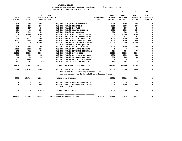|                            |                            |                                |                               |                                                                           |                                | 10                                    | 20                                            | 30                                            | 40                                           |
|----------------------------|----------------------------|--------------------------------|-------------------------------|---------------------------------------------------------------------------|--------------------------------|---------------------------------------|-----------------------------------------------|-----------------------------------------------|----------------------------------------------|
| $19 - 20$<br><b>ACTUAL</b> | $20 - 21$<br><b>ACTUAL</b> | $21 - 22$<br><b>BUDGET FTE</b> | $21 - 22$<br>ADOPTED BUDGETED |                                                                           | <b>REQUESTED</b><br><b>FTE</b> | $22 - 23$<br>INITIAL<br><b>BUDGET</b> | $22 - 23$<br><b>PROPOSED</b><br><b>BUDGET</b> | $22 - 23$<br><b>APPROVED</b><br><b>BUDGET</b> | $22 - 23$<br><b>ADOPTED</b><br><b>BUDGET</b> |
| 675                        | 398                        | 1200                           |                               | 010-081-612.01 MISC TRAINING                                              |                                | 1200                                  | 1200                                          | 1200                                          | 0                                            |
| 755                        | 898                        | 1000                           |                               | 010-081-620.01 TELEPHONE                                                  |                                | 2000                                  | 2000                                          | 2000                                          | $\mathbf 0$                                  |
| 301                        | 217                        | 300                            |                               | 010-081-621.01 POSTAGE                                                    |                                | 300                                   | 300                                           | 300                                           | 0                                            |
| 620                        | 91                         | 1500                           |                               | 010-081-630.01 TRAVEL EXPENSE                                             |                                | 1500                                  | 1500                                          | 1500                                          | 0                                            |
| 170                        | 390                        | 500                            |                               | 010-081-640.01 ADVERTISING                                                |                                | 500                                   | 500                                           | 500                                           | 0                                            |
| 18854                      | 17268                      | 25000                          |                               | 010-081-670.02 HEAT/LIGHTS/WATER                                          |                                | 25000                                 | 25000                                         | 25000                                         | 0                                            |
| 675                        | $\Omega$                   | 675                            |                               | 010-081-691.01 ASSOC MEMBERSHIPS                                          |                                | 675                                   | 675                                           | 675                                           | 0                                            |
| 730                        | 1115                       | 2000                           |                               | 010-081-692.10 SPECIAL PROJECTS                                           |                                | 2000                                  | 2000                                          | 2000                                          | $\mathbf 0$                                  |
| 3412                       | 4556                       | 6000                           |                               | 010-081-699.08 BANK SERVICE CHARG                                         |                                | 6000                                  | 6000                                          | 6000                                          | 0                                            |
| $\mathbf{0}$               | $\Omega$                   | 100000                         |                               | 010-081-699.13 OTHER STATE GRANTS                                         |                                | 100000                                | 100000                                        | 100000                                        | 0                                            |
|                            |                            |                                |                               | Placeholder for new grants                                                |                                |                                       |                                               |                                               |                                              |
| 525                        | 402                        | 1000                           |                               | 010-081-730.10 PERMITS & FEES                                             |                                | 1000                                  | 1000                                          | 1000                                          | 0                                            |
| 2151                       | 2151                       | 2193                           |                               | 010-081-780.01 BUILDING RESERVE                                           |                                | $\mathbf{0}$                          | $\mathbf 0$                                   | $\Omega$                                      | 0                                            |
| 972                        | 792                        | 785                            |                               | 010-081-780.04 INTERNAL TELECOMMU                                         |                                | 786                                   | 786                                           | 786                                           | 0                                            |
| 21932                      | 27308                      | 33000                          |                               | 010-081-780.05 MOTOR POOL                                                 |                                | 35000                                 | 35000                                         | 35000                                         | 0                                            |
| 915                        | 951                        | 951                            |                               | 010-081-780.06 EQUIPMENT REPLACEM                                         |                                | 1230                                  | 1230                                          | 1230                                          | 0                                            |
| 46                         | 53                         | 150                            |                               | 010-081-780.17 INTERNAL POSTAGE C                                         |                                | 280                                   | 280                                           | 280                                           | $\pmb{\mathsf{0}}$                           |
| 757                        | 1400                       | $\overline{\phantom{0}}$       |                               | 010-081-780.44 CO INT PEL RESERVE                                         |                                | $^{\circ}$                            | $\mathbf 0$                                   | $\mathbf 0$                                   | 0                                            |
| 123                        | 149                        | 349                            |                               | 010-081-780.54 TELECOMM PER CALL                                          |                                | 285                                   | 285                                           | 285                                           | 0                                            |
| 98825                      | 90542                      | 237176                         |                               | TOTAL FOR MATERIALS & SERVICES                                            |                                | 222960                                | 222960                                        | 222960                                        | $\mathbf 0$                                  |
| 2855                       | 104766                     | 60000                          |                               | 010-081-830.10 PARK IMPROVEMENTS<br>Lafayette Locks Park improvements and |                                | 20000                                 | 20000                                         | 55000                                         | $\mathbf 0$                                  |
|                            |                            |                                |                               | bridge repairs at Ed Grenfell and Metzger Parks                           |                                |                                       |                                               |                                               |                                              |
| 2855                       | 104766                     | 60000                          |                               | TOTAL FOR CAPITAL                                                         |                                | 20000                                 | 20000                                         | 55000                                         | 0                                            |
| 0                          | 0                          | 30599                          |                               | 010-081-990.01 ENDING BALANCE PAR                                         |                                | $\mathbf 0$                           | $\mathbf 0$                                   | 0                                             | 0                                            |
| $\Omega$                   | $\Omega$                   | 2000                           |                               | 010-081-990.03 RESERVE FOR FUTURE<br>Wrex Cruz Park                       |                                | 2000                                  | 2000                                          | 2000                                          | $\mathbf 0$                                  |
| 0                          | 0                          | 32599                          |                               | TOTAL FOR 900-999                                                         |                                | 2000                                  | 2000                                          | 2000                                          | $\mathbf 0$                                  |
| 241183                     | 339801                     | 614335                         |                               | 2.2000 TOTAL EXPENSES PARKS                                               | 2.8500                         | 580445                                | 580445                                        | 615445                                        | 0                                            |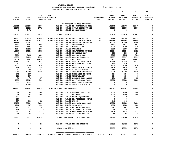|                          |                          |                          |                  | FOR FISCAL YEAR ENDING JUNE 30 2023            |                  |                          |                         |                          |                    |
|--------------------------|--------------------------|--------------------------|------------------|------------------------------------------------|------------------|--------------------------|-------------------------|--------------------------|--------------------|
|                          |                          |                          |                  |                                                |                  | 10                       | 20                      | 30                       | 40                 |
|                          |                          |                          |                  |                                                |                  |                          |                         |                          |                    |
|                          |                          | $21 - 22$                | $21 - 22$        |                                                |                  | $22 - 23$                | $22 - 23$               | $22 - 23$                | $22 - 23$          |
| $19 - 20$                | $20 - 21$                |                          | ADOPTED BUDGETED |                                                | <b>REQUESTED</b> | <b>INITIAL</b>           | <b>PROPOSED</b>         | <b>APPROVED</b>          | <b>ADOPTED</b>     |
| <b>ACTUAL</b>            | <b>ACTUAL</b>            | <b>BUDGET FTE</b>        |                  |                                                | <b>FTE</b>       | <b>BUDGET</b>            | <b>BUDGET</b>           | <b>BUDGET</b>            | <b>BUDGET</b>      |
|                          |                          |                          |                  | COURTHOUSE CAMPUS SECURITY                     |                  |                          |                         |                          |                    |
| 155415                   | 127188                   | 41000                    |                  | 010-086-301.16 BB COURTHOUSE SECU              |                  | 106478                   | 106478                  | 106478                   | 0                  |
| 65978                    | 40315                    | 27720                    |                  | 010-086-350.09 COURT SECURITY ASS              |                  | 30000                    | 30000                   | 30000                    | 0                  |
| $\overline{\phantom{0}}$ | 2472                     | $\overline{\phantom{0}}$ |                  | 010-086-362.12 REIMBURSEMENT                   |                  | $\overline{\phantom{0}}$ | $\mathbf{0}$            | $\mathbf 0$              | 0                  |
|                          |                          |                          |                  |                                                |                  |                          |                         |                          |                    |
| 221393                   | 169975                   | 68720                    |                  | <b>TOTAL REVENUE</b>                           |                  | 136478                   | 136478                  | 136478                   | 0                  |
|                          |                          |                          |                  |                                                |                  |                          |                         |                          |                    |
| 91701                    | 102324                   | 109946                   |                  | 1.0000 010-086-401.14 CORRECTIONS SGT 1.0000   |                  | 113794                   | 113794                  | 113794                   | 0                  |
| 79081                    | 168246                   | 279777                   |                  | 3.0000 010-086-404.09 CORRECTION DEPUTY 3.0000 |                  | 289569                   | 289569                  | 289569                   | 0                  |
| 55860                    | 27187                    | $\overline{\phantom{0}}$ |                  | 010-086-404.18 COURT SEC CORRECTI              |                  | 30000                    | 30000                   | 30000                    | 0                  |
| 3412                     | 5094                     | 6862                     |                  | 010-086-475.00 LONGEVITY PAY                   |                  | 6533                     | 6533                    | 6533                     | 0                  |
| 1562                     | 1693                     | 1500                     |                  | 010-086-480.00 EXTRA HOURS                     |                  | 1700                     | 1700                    | 1700                     | 0                  |
| 4014                     | 12953                    | 5000                     |                  | 010-086-481.00 OVERTIME                        |                  | 8000                     | 8000                    | 8000                     | $\pmb{\mathsf{0}}$ |
| 18660                    | 27519                    | 40838                    |                  | 010-086-485.00 CERTIFICATION/EDUC              |                  | 26224                    | 26224                   | 26224                    | 0                  |
| $\mathbf 0$              | $\overline{\phantom{0}}$ |                          |                  | 010-086-486.00 INCENTIVE PAY                   |                  | 200                      | 200                     | 200                      | $\pmb{\mathsf{0}}$ |
| 3759                     | 5615                     | 6807                     |                  | 010-086-490.00 MEDICARE TAX                    |                  | 7015                     | 7015                    | 7015                     | 0                  |
| 16073                    | 24010                    | 29104                    |                  | 010-086-491.00 SOCIAL SECURITY                 |                  | 29997                    | 29997                   | 29997                    | 0                  |
| 51332                    | 92061                    | 116107                   |                  | 010-086-492.00 RETIREMENT                      |                  | 112477                   | 112477                  | 112477                   | 0                  |
| 36993                    | 55971                    | 74274                    |                  | 010-086-493.10 MEDICAL INSURANCE               |                  | 80328                    | 80328                   | 80328                    | $\pmb{\mathsf{0}}$ |
| 47                       | 75                       | 50                       |                  | 010-086-493.12 EMPLOYEE ASSISTANC              |                  | 110                      | 110                     | 110                      | 0                  |
| 2727                     | 4200                     | 5700                     |                  | 010-086-493.15 VEBA                            |                  | 5700                     | 5700                    | 5700                     | 0                  |
| 639                      | 928                      | 1292                     |                  | 010-086-493.32 LONG TERM DISABILI              |                  | 1576                     | 1576                    | 1576                     | $\pmb{0}$          |
| 87                       | 300                      | 242                      |                  | 010-086-493.40 LIFE INSURANCE                  |                  | 440                      | 440                     | 440                      | 0                  |
| 9352                     | 10298                    | 12184                    |                  | 010-086-494.00 ACCIDENT INSURANCE              |                  | 10305                    | 10305                   | 10305                    | $\pmb{0}$          |
| 273                      | 387                      | 469                      |                  | 010-086-494.80 TIME LOSS RESERVE               |                  | 484                      | 484                     | 484                      | 0                  |
| 259                      | 387                      | 469                      |                  | 010-086-495.00 UNEMPLOYMENT                    |                  | 484                      | 484                     | 484                      | $\pmb{\mathsf{O}}$ |
| 70                       | 73                       | 175                      |                  | 010-086-496.00 WORKERS COMP ASSES              |                  | 156                      | 156                     | 156                      | $\pmb{0}$          |
| 4953                     | 42929                    | 5000                     |                  | 010-086-499.00 FET/VACATION/SICK               |                  | 20000                    | 20000                   | 20000                    | 0                  |
| 599                      | 2951                     | $\overline{\phantom{0}}$ |                  | 010-086-499.98 COMP TIME LIABILIT              |                  | $^{\circ}$               | $^{\circ}$              | $\mathbf{0}$             | 0                  |
| 6079                     | 10886                    | $\mathbf 0$              |                  | 010-086-499.99 VACATION LIAB. ADJ              |                  | $\mathbf{0}$             | $\mathbf 0$             | $\Omega$                 | 0                  |
|                          |                          |                          |                  |                                                |                  |                          |                         |                          |                    |
| 387532                   | 596087                   | 695796                   |                  | 4.0000<br>4.0000 TOTAL FOR PERSONNEL           |                  | 745092                   | 745092                  | 745092                   | $\mathbf 0$        |
| 710                      | 759                      | 1000                     |                  | 010-086-510.01 CENTRAL SUPPLIES                |                  | 1000                     | 1000                    | 1000                     | 0                  |
| 90                       | 287                      | 1000                     |                  | 010-086-516.02 UNIFORMS                        |                  | 1000                     | 1000                    | 1000                     | 0                  |
| 624                      | 624                      | $\overline{\mathbf{0}}$  |                  | 010-086-543.01 DEPT. EQUIPMENT                 |                  | $\overline{\phantom{0}}$ | $\overline{\mathbf{0}}$ | $\overline{\mathbf{0}}$  | $\mathsf{o}$       |
| 200                      | $\overline{\mathbf{0}}$  | $\overline{\mathbf{0}}$  |                  | 010-086-610.01 PROFESSIONAL SERVI              |                  | $\overline{\mathbf{0}}$  | $\mathbf 0$             | $\overline{\phantom{a}}$ | 0                  |
| 257                      | 308                      | 321                      |                  | 010-086-611.01 AUDIT                           |                  | 448                      | 448                     | 448                      | $\pmb{0}$          |
| 86155                    | 88804                    | 96000                    |                  | 010-086-611.02 CONTRACT SERVICES               |                  | 96000                    | 96000                   | 96000                    | 0                  |
| 1218                     | 987                      | 1300                     |                  | 010-086-620.01 TELEPHONE                       |                  | 1000                     | 1000                    | 1000                     | 0                  |
| 3119                     | 3119                     | 3181                     |                  | 010-086-780.01 BUILDING RESERVE                |                  | 3243                     | 3243                    | 3243                     | 0                  |
| 486                      | 396                      | 396                      |                  | 010-086-780.04 INTERNAL TELECOMMU              |                  | 396                      | 396                     | 396                      | 0                  |
| 713                      | 742                      | 1113                     |                  | 010-086-780.06 EQUIPMENT REPLACEM              |                  | 1179                     | 1179                    | 1179                     | $\mathbf{0}$       |
| 35                       | 85                       | - 9                      |                  | 010-086-780.54 TELECOMM PER CALL               |                  | 84                       | 84                      | 84                       | $\mathbf 0$        |
|                          |                          |                          |                  |                                                |                  |                          |                         |                          |                    |
| 93607                    | 96111                    | 104320                   |                  | TOTAL FOR MATERIALS & SERVICES                 |                  | 104350                   | 104350                  | 104350                   | 0                  |
| 0                        | 0                        | 299                      |                  | 010-086-990.01 ENDING BALANCE                  |                  | 62633                    | 18731                   | 18731                    | 0                  |
| 0                        | 0                        | 299                      |                  | TOTAL FOR 900-999                              |                  | 62633                    | 18731                   | 18731                    | 0                  |
|                          |                          |                          |                  | =================                              |                  |                          |                         |                          |                    |

 **YAMHILL COUNTY BUDGETARY REVENUE AND EXPENSE WORKSHEET % OF YEAR = 100%**

 **481139 692198 800415 4.0000 TOTAL EXPENSES COURTHOUSE CAMPUS S 4.0000 912075 868173 868173 0**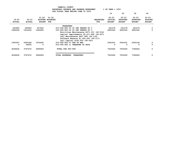|                        |                            |                            | FOR FISCAL IEAR ENDING JONE 30 ZOZ3       |                         |                                              |                                               |                                               |                                              |
|------------------------|----------------------------|----------------------------|-------------------------------------------|-------------------------|----------------------------------------------|-----------------------------------------------|-----------------------------------------------|----------------------------------------------|
|                        |                            |                            |                                           |                         | 10                                           | 20                                            | 30                                            | 40                                           |
| 19-20<br><b>ACTUAL</b> | $20 - 21$<br><b>ACTUAL</b> | $21 - 22$<br><b>BUDGET</b> | $21 - 22$<br>ADOPTED BUDGETED<br>FTE      | <b>REQUESTED</b><br>FTE | $22 - 23$<br><b>INITIAL</b><br><b>BUDGET</b> | $22 - 23$<br><b>PROPOSED</b><br><b>BUDGET</b> | $22 - 23$<br><b>APPROVED</b><br><b>BUDGET</b> | $22 - 23$<br><b>ADOPTED</b><br><b>BUDGET</b> |
|                        |                            |                            | TRANSFERS                                 |                         |                                              |                                               |                                               |                                              |
| 220993                 | 220993                     | 227622                     | 010-090-900.03 CO INT TRNSFR TO C         |                         | 241279                                       | 241279                                        | 241279                                        | $\Omega$                                     |
| 1862294                | 1412293                    | 1265662                    | 010-090-900.04 CO INT TRNSFR TO C         |                         | 4691040                                      | 4691040                                       | 4691040                                       | 0                                            |
|                        |                            |                            | Facilities Maintenance \$471,151 (40-016) |                         |                                              |                                               |                                               |                                              |
|                        |                            |                            | Capital Improvements \$2,211,894 (40-027) |                         |                                              |                                               |                                               |                                              |
|                        |                            |                            | Jail Maintenance \$407,995 (40-116)       |                         |                                              |                                               |                                               |                                              |
|                        |                            |                            | Software Reserve \$1,500,000 (40-117)     |                         |                                              |                                               |                                               |                                              |
|                        |                            |                            | Jail Capital \$100,000 (40-041)           |                         |                                              |                                               |                                               |                                              |
| 1953347                | 2050186                    | 1972642                    | 010-090-900.07 TRF TO HHS                 |                         | 2091001                                      | 2091001                                       | 2250144                                       | 0                                            |
| 0                      | 64000                      | 0                          | 010-090-900.11 TRANSFER TO FAIR           |                         | 0                                            | 0                                             | 0                                             | 0                                            |
| 4036634                | 3747472                    | 3465926                    | TOTAL FOR 900-999                         |                         | 7023320                                      | 7023320                                       | 7182463                                       | 0                                            |
|                        |                            |                            |                                           |                         |                                              |                                               |                                               |                                              |
|                        |                            |                            |                                           |                         |                                              |                                               |                                               |                                              |
| 4036634                | 3747472                    | 3465926                    | <b>TOTAL EXPENSES</b><br><b>TRANSFERS</b> |                         | 7023320                                      | 7023320                                       | 7182463                                       | 0                                            |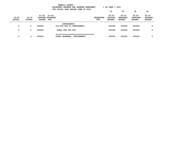|                            | YAMHILL COUNTY<br>$8$ OF YEAR = 100 $8$<br>BUDGETARY REVENUE AND EXPENSE WORKSHEET<br>FOR FISCAL YEAR ENDING JUNE 30 2023 |                        |                                      |             |                          |                                       |                                               |                                               |                                              |  |  |
|----------------------------|---------------------------------------------------------------------------------------------------------------------------|------------------------|--------------------------------------|-------------|--------------------------|---------------------------------------|-----------------------------------------------|-----------------------------------------------|----------------------------------------------|--|--|
|                            |                                                                                                                           |                        |                                      |             |                          | 10                                    | 20                                            | 30                                            | 40                                           |  |  |
| $19 - 20$<br><b>ACTUAL</b> | $20 - 21$<br><b>ACTUAL</b>                                                                                                | 21-22<br><b>BUDGET</b> | $21 - 22$<br>ADOPTED BUDGETED<br>FTE |             | <b>REQUESTED</b><br>FTE. | $22 - 23$<br>INITIAL<br><b>BUDGET</b> | $22 - 23$<br><b>PROPOSED</b><br><b>BUDGET</b> | $22 - 23$<br><b>APPROVED</b><br><b>BUDGET</b> | $22 - 23$<br><b>ADOPTED</b><br><b>BUDGET</b> |  |  |
|                            |                                                                                                                           |                        | CONTINGENCY                          |             |                          |                                       |                                               |                                               |                                              |  |  |
| 0                          | 0                                                                                                                         | 500000                 | 010-092-950.01 CONTINGENCY           |             |                          | 250000                                | 250000                                        | 250000                                        | 0                                            |  |  |
| 0                          | 0                                                                                                                         | 500000                 | TOTAL FOR 900-999                    |             |                          | 250000                                | 250000                                        | 250000                                        | $\Omega$                                     |  |  |
| 0                          | 0                                                                                                                         | 500000                 | <b>TOTAL EXPENSES</b>                | CONTINGENCY |                          | 250000                                | 250000                                        | 250000                                        | 0                                            |  |  |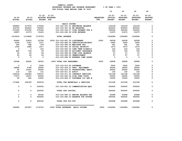|               | $8$ OF YEAR = 100 $8$<br>BUDGETARY REVENUE AND EXPENSE WORKSHEET<br>FOR FISCAL YEAR ENDING JUNE 30 2023 |                            |                                 |                         |                                   |                  |                |                 |                 |                |  |  |
|---------------|---------------------------------------------------------------------------------------------------------|----------------------------|---------------------------------|-------------------------|-----------------------------------|------------------|----------------|-----------------|-----------------|----------------|--|--|
|               |                                                                                                         |                            |                                 |                         |                                   |                  | 10             | 20              | 30              | 40             |  |  |
|               |                                                                                                         | $21 - 22$                  | $21 - 22$                       |                         |                                   |                  | $22 - 23$      | $22 - 23$       | $22 - 23$       | $22 - 23$      |  |  |
| $19 - 20$     | 20-21                                                                                                   |                            | ADOPTED BUDGETED                |                         |                                   | <b>REOUESTED</b> | <b>INITIAL</b> | <b>PROPOSED</b> | <b>APPROVED</b> | <b>ADOPTED</b> |  |  |
| <b>ACTUAL</b> | <b>ACTUAL</b>                                                                                           | <b>BUDGET FTE</b>          |                                 |                         |                                   | <b>FTE</b>       | <b>BUDGET</b>  | <b>BUDGET</b>   | <b>BUDGET</b>   | <b>BUDGET</b>  |  |  |
|               |                                                                                                         |                            |                                 | RADIO SYSTEM            |                                   |                  |                |                 |                 |                |  |  |
| 394856        | 317975                                                                                                  | 175000                     |                                 |                         | 010-163-301.01 BEGINNING BALANCE  |                  | 143109         | 143109          | 143109          | 0              |  |  |
| 316763        | 500000                                                                                                  | 700000                     |                                 |                         | 010-163-301.02 BB RESERVED        |                  | 850000         | 850000          | 850000          | 0              |  |  |
| 270300        | 270300                                                                                                  | 270300                     |                                 |                         | 010-163-336.07 YCOM PAYMENT FOR R |                  | 300000         | 300000          | 300000          | 0              |  |  |
| 32997         | 31373                                                                                                   | 31423                      |                                 |                         | 010-163-362.09 SITE REVENUE       |                  | 31475          | 31475           | 31475           | 0              |  |  |
| 1014916       | 1119648                                                                                                 | 1176723                    |                                 | <b>TOTAL REVENUE</b>    |                                   |                  | 1324584        | 1324584         | 1324584         | 0              |  |  |
|               |                                                                                                         |                            |                                 |                         |                                   |                  |                |                 |                 |                |  |  |
| 20440         | 21816                                                                                                   | 23708                      | .2000 010-163-401.09 LIEUTENANT |                         |                                   | .2000            | 24538          | 24538           | 24538           | 0              |  |  |
| 2039          | 2181                                                                                                    | 2371                       |                                 |                         | 010-163-485.00 CERTIFICATION/EDUC |                  | 2454           | 2454            | 2454            | 0              |  |  |
| 326           | 348                                                                                                     | 378                        |                                 |                         | 010-163-490.00 MEDICARE TAX       |                  | 391            | 391             | 391             | 0              |  |  |
| 1394          | 1488                                                                                                    | 1617                       |                                 |                         | 010-163-491.00 SOCIAL SECURITY    |                  | 1673           | 1673            | 1673            | 0              |  |  |
| $\mathbf 0$   | $\overline{\mathbf{0}}$                                                                                 | 143                        |                                 |                         | 010-163-493.32 LONG TERM DISABILI |                  | 143            | 143             | 143             | 0              |  |  |
| 800           | 706                                                                                                     | 29                         |                                 |                         | 010-163-494.00 ACCIDENT INSURANCE |                  | 700            | 700             | 700             | 0              |  |  |
| $22 \,$       | 24                                                                                                      | 26                         |                                 |                         | 010-163-494.80 TIME LOSS RESERVE  |                  | 27             | 27              | 27              | 0              |  |  |
| $22 \,$       | 24                                                                                                      | 26                         |                                 |                         | 010-163-495.00 UNEMPLOYMENT       |                  | 27             | 27              | 27              | 0              |  |  |
| 5             | $\overline{\phantom{0}}$                                                                                | $\overline{\phantom{0}}$ 5 |                                 |                         | 010-163-496.00 WORKERS COMP ASSES |                  | 5              | 5               | $-5$            | $\Omega$       |  |  |
| 25048         | 26592                                                                                                   | 28303                      | .2000 TOTAL FOR PERSONNEL       |                         |                                   | .2000            | 29958          | 29958           | 29958           | 0              |  |  |
| $\Omega$      | $\Omega$                                                                                                | 5000                       |                                 | 010-163-513.06 SOFTWARE |                                   |                  | 5000           | 5000            | 5000            | 0              |  |  |
| 24896         | 5786                                                                                                    | 30000                      |                                 |                         | 010-163-543.01 DEPT. EQUIPMENT    |                  | 30000          | 30000           | 30000           | 0              |  |  |
| 95            | 31541                                                                                                   | 25000                      |                                 |                         | 010-163-610.01 PROFESSIONAL SERVI |                  | 25000          | 25000           | 25000           | 0              |  |  |
| 114           | 126                                                                                                     | 131                        |                                 | 010-163-611.01 AUDIT    |                                   |                  | 140            | 140             | 140             | $\mathsf{o}$   |  |  |
| 129234        | 144365                                                                                                  | 139147                     |                                 |                         | 010-163-611.02 CONTRACT SERVICES  |                  | 141198         | 141198          | 141198          | 0              |  |  |
| 17473         | 14307                                                                                                   | 20000                      |                                 |                         | 010-163-652.04 SITE OPER COSTS    |                  | 20000          | 20000           | 20000           | 0              |  |  |
| 80            | 640                                                                                                     | 10000                      |                                 |                         | 010-163-683.07 SOFTWARE LIC AND M |                  | 10000          | 10000           | 10000           | 0              |  |  |
| 171892        | 196765                                                                                                  | 229278                     |                                 |                         | TOTAL FOR MATERIALS & SERVICES    |                  | 231338         | 231338          | 231338          | $\mathbf 0$    |  |  |
| 0             | $\mathbf 0$                                                                                             | 250000                     |                                 |                         | 010-163-801.23 COMMUNICATION EOUI |                  | 500000         | 500000          | 500000          | 0              |  |  |
| 0             | $\mathbf 0$                                                                                             | 250000                     |                                 | TOTAL FOR CAPITAL       |                                   |                  | 500000         | 500000          | 500000          | 0              |  |  |
| 0             | $\mathbf{0}$                                                                                            | 69142                      |                                 |                         | 010-163-990.01 ENDING BALANCE RAD |                  | 63288          | 63288           | 63288           | 0              |  |  |
| $\mathbf 0$   | $\mathbf 0$                                                                                             | 600000                     |                                 |                         | 010-163-990.03 RESERVE FOR FUTURE |                  | 500000         | 500000          | 500000          | 0              |  |  |
| 0             | $\mathbf{0}$                                                                                            | 669142                     |                                 | TOTAL FOR 900-999       |                                   |                  | 563288         | 563288          | 563288          | 0              |  |  |
| 196940        | 223357                                                                                                  | 1176723                    |                                 |                         | .2000 TOTAL EXPENSES RADIO SYSTEM | .2000            | 1324584        | 1324584         | 1324584         | 0              |  |  |
|               |                                                                                                         |                            |                                 |                         |                                   |                  |                |                 |                 |                |  |  |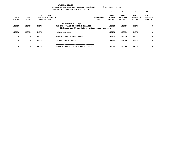|                        | $8$ OF YEAR = $100\%$<br>BUDGETARY REVENUE AND EXPENSE WORKSHEET<br>FOR FISCAL YEAR ENDING JUNE 30 2023 |                            |                                             |                                                                                                                |                                |                                       |                                               |                                               |                                              |  |  |
|------------------------|---------------------------------------------------------------------------------------------------------|----------------------------|---------------------------------------------|----------------------------------------------------------------------------------------------------------------|--------------------------------|---------------------------------------|-----------------------------------------------|-----------------------------------------------|----------------------------------------------|--|--|
|                        |                                                                                                         |                            |                                             |                                                                                                                |                                | 10                                    | 20                                            | 30                                            | 40                                           |  |  |
| 19-20<br><b>ACTUAL</b> | $20 - 21$<br><b>ACTUAL</b>                                                                              | $21 - 22$<br><b>BUDGET</b> | $21 - 22$<br>ADOPTED BUDGETED<br><b>FTE</b> |                                                                                                                | <b>REQUESTED</b><br><b>FTE</b> | $22 - 23$<br>INITIAL<br><b>BUDGET</b> | $22 - 23$<br><b>PROPOSED</b><br><b>BUDGET</b> | $22 - 23$<br><b>APPROVED</b><br><b>BUDGET</b> | $22 - 23$<br><b>ADOPTED</b><br><b>BUDGET</b> |  |  |
| 143750                 | 143750                                                                                                  | 143750                     |                                             | <b>BEGINNING BALANCE</b><br>011-001-301.01 BEGINNING BALANCE<br>Chehalem and North Valley intersection reserve |                                | 143750                                | 143750                                        | 143750                                        | 0                                            |  |  |
| 143750                 | 143750                                                                                                  | 143750                     | <b>TOTAL REVENUE</b>                        |                                                                                                                |                                | 143750                                | 143750                                        | 143750                                        | 0                                            |  |  |
| 0                      | 0                                                                                                       | 143750                     | 011-001-950.01 CONTINGENCY                  |                                                                                                                |                                | 143750                                | 143750                                        | 143750                                        | 0                                            |  |  |
| 0                      | $\mathbf{o}$                                                                                            | 143750                     | TOTAL FOR 900-999                           |                                                                                                                |                                | 143750                                | 143750                                        | 143750                                        | 0                                            |  |  |
| 0                      | 0                                                                                                       | 143750                     | <b>TOTAL EXPENSES</b>                       | <b>BEGINNING BALANCE</b>                                                                                       |                                | 143750                                | 143750                                        | 143750                                        | 0                                            |  |  |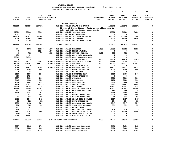|               |               |               |                  |                                    | BUDGETARY REVENUE AND EXPENSE WORKSHEET           |                  | $8$ OF YEAR = 100% |                 |                 |                |
|---------------|---------------|---------------|------------------|------------------------------------|---------------------------------------------------|------------------|--------------------|-----------------|-----------------|----------------|
|               |               |               |                  |                                    | FOR FISCAL YEAR ENDING JUNE 30 2023               |                  |                    |                 |                 |                |
|               |               |               |                  |                                    |                                                   |                  | 10                 | 20              | 30              | 40             |
|               |               |               |                  |                                    |                                                   |                  |                    |                 |                 |                |
|               |               | $21 - 22$     | $21 - 22$        |                                    |                                                   |                  | $22 - 23$          | $22 - 23$       | $22 - 23$       | $22 - 23$      |
| $19 - 20$     | $20 - 21$     |               | ADOPTED BUDGETED |                                    |                                                   | <b>REQUESTED</b> | INITIAL            | <b>PROPOSED</b> | <b>APPROVED</b> | <b>ADOPTED</b> |
| <b>ACTUAL</b> | <b>ACTUAL</b> | <b>BUDGET</b> | FTE              |                                    |                                                   | FTE              | <b>BUDGET</b>      | <b>BUDGET</b>   | <b>BUDGET</b>   | <b>BUDGET</b>  |
|               |               |               |                  | MOTOR VEHICLE                      |                                                   |                  |                    |                 |                 |                |
| 880508        | 967810        | 1077982       |                  |                                    | 011-029-335.07 STATE HWY FUNDS                    |                  | 1152972            | 1152972         | 1152972         | 0              |
|               |               |               |                  |                                    | 12.52% of State Highway funds after allocation to |                  |                    |                 |                 |                |
|               |               |               |                  |                                    | Bike and Habitat Conservation funds               |                  |                    |                 |                 |                |
| 29309         | 29168         | 35000         |                  | 011-029-349.11 VEHICLE MAIN        |                                                   |                  | 36000              | 36000           | 36000           | 0              |
| 1017          | 5523          | $\mathbf 0$   |                  | 011-029-362.12 REIMBURSEMENT       |                                                   |                  | 0                  | 0               | 0               | 0              |
| 448670        | 515832        | 485000        |                  |                                    | 011-029-380.11 INT VEHICLE MAINT                  |                  | 505000             | 505000          | 505000          | 0              |
| 17056         | 17683         | 16000         |                  | 011-029-380.18 INT UST-MP          |                                                   |                  | 16500              | 16500           | 16500           | 0              |
| 0             | 40746         | 0             |                  |                                    | 011-029-380.80 CO INT TRANFER FRO                 |                  | 0                  | 0               | 0               | 0              |
|               |               |               |                  |                                    |                                                   |                  |                    |                 |                 |                |
| 1376560       | 1576762       | 1613982       |                  | <b>TOTAL REVENUE</b>               |                                                   |                  | 1710472            | 1710472         | 1710472         | 0              |
| 774           | 1071          | 11296         |                  | .1000 011-029-401.01 DIRECTOR      |                                                   | .1000            | 12251              | 12251           | 12251           | 0              |
| 0             | 0             | 68249         |                  | .8000 011-029-401.17 FLEET MANAGER |                                                   |                  | 0                  | 0               | 0               | 0              |
| $\mathbf 0$   | 715           | 774           |                  |                                    | .0100 011-029-401.33 OFFICE MANAGER               | .0100            | 753                | 753             | 753             | 0              |
| 651           | 14            | 0             |                  |                                    | 011-029-401.46 SR OFFICE ADMINIST                 |                  | 0                  | 0               | 0               | 0              |
| 55561         | 64391         | 0             |                  |                                    | 011-029-401.50 SHOP DIVISION SUPE                 |                  | 0                  | 0               | 0               | 0              |
| 0             | 0             | 0             |                  | 011-029-401.66 FLEET MANAGER       |                                                   | .8000            | 71234              | 71234           | 71234           | 0              |
| 31475         | 39719         | 50493         |                  |                                    | 1.0000 011-029-402.14 SENIOR ACCT CLERK           | 1.0000           | 53796              | 53796           | 53796           | 0              |
| 131030        | 159167        | 166328        |                  | 3.0000 011-029-405.05 MECHANIC     |                                                   | 3.0000           | 175021             | 175021          | 175021          | 0              |
| 12030         | 0             | 0             |                  |                                    | 011-029-405.06 SERVICE WRITER                     |                  | $\mathbf 0$        | 0               | 0               | 0              |
| 13288         | 38571         | 41556         |                  |                                    | 1.0000 011-029-405.16 MECHANIC ASSIST             | 1.0000           | 46127              | 46127           | 46127           | 0              |
| 8750          | 1195          | 4000          |                  |                                    | 011-029-405.23 SHOP LEADWORKER                    |                  | 4000               | 4000            | 4000            | 0              |
| 0             | 26            | 0             |                  | 011-029-474.00 SHIFT DIFF          |                                                   |                  | 0                  | 0               | 0               | 0              |
| 3120          | 1800          | 3360          |                  | 011-029-475.00 LONGEVITY PAY       |                                                   |                  | 2400               | 2400            | 2400            | 0              |
| 400           | 6736          | 0             |                  |                                    | 011-029-479.00 OTHER EARNINGS                     |                  | 0                  | 0               | 0               | 0              |
| 2937          | 2930          | 2000          |                  | 011-029-481.00 OVERTIME            |                                                   |                  | 3000               | 3000            | 3000            | 0              |
| 5465          | 6108          | 5500          |                  | 011-029-484.00 BEEPER PAY          |                                                   |                  | 9100               | 9100            | 9100            | 0              |
| 4000          | 4681          | 4911          |                  | 011-029-490.00 MEDICARE TAX        |                                                   |                  | 5208               | 5208            | 5208            | 0              |
| 17106         | 20017         | 20999         |                  |                                    | 011-029-491.00 SOCIAL SECURITY                    |                  | 22269              | 22269           | 22269           | 0              |
| 56424         | 69758         | 71380         |                  | 011-029-492.00 RETIREMENT          |                                                   |                  | 75257              | 75257           | 75257           | 0              |
| 79994         | 99006         | 121671        |                  |                                    | 011-029-493.10 MEDICAL INSURANCE                  |                  | 130907             | 130907          | 130907          | 0              |
| 137           | 159           | 250           |                  |                                    | 011-029-493.12 EMPLOYEE ASSISTANC                 |                  | 150                | 150             | 150             | 0              |
| 5496          | 6344          | 7032          |                  | 011-029-493.15 VEBA                |                                                   |                  | 8865               | 8865            | 8865            | 0              |
| 6931          | 7914          | 8942          |                  |                                    | 011-029-493.20 DENTAL INSURANCE                   |                  | 8688               | 8688            | 8688            | 0              |
| 717           | 813           | 908           |                  |                                    | 011-029-493.25 VISION INSURANCE                   |                  | 916                | 916             | 916             | 0              |
| 1439          | 1840          | 3428          |                  |                                    | 011-029-493.31 SHORT TERM DISABIL                 |                  | 3457               | 3457            | 3457            | 0              |
| 88            | 225           | 152           |                  |                                    | 011-029-493.40 LIFE INSURANCE                     |                  | 154                | 154             | 154             | 0              |
| 7833          | 6412          | 5269          |                  |                                    | 011-029-494.00 ACCIDENT INSURANCE                 |                  | 5547               | 5547            | 5547            | 0              |
| 288           | 325           | 339           |                  |                                    | 011-029-494.80 TIME LOSS RESERVE                  |                  | 359                | 359             | 359             | 0              |
| 281           | 325           | 339           |                  | 011-029-495.00 UNEMPLOYMENT        |                                                   |                  | 359                | 359             | 359             | 0              |
| 110           | 119           | 154           |                  |                                    | 011-029-496.00 WORKERS COMP ASSES                 |                  | 154                | 154             | 154             | $\Omega$       |
| 15891         | 2783          | 5000          |                  |                                    | 011-029-499.00 FET/VACATION/SICK                  |                  | 15000              | 15000           | 15000           | 0              |
| $139 -$       | 163           | 0             |                  |                                    | 011-029-499.98 COMP TIME LIABILIT                 |                  | 0                  | 0               | 0               | 0              |
| 7960-         | 14991         | 0             |                  |                                    | 011-029-499.99 VACATION LIAB. ADJ                 |                  | 0                  | 0               | 0               | 0              |
| 454117        | 558318        | 604330        |                  | 5.9100 TOTAL FOR PERSONNEL         |                                                   | 5.9100           | 654972             | 654972          | 654972          | 0              |
|               |               |               |                  |                                    |                                                   |                  |                    |                 |                 |                |
| 2727          | 1065          | 2700          |                  |                                    | 011-029-510.01 CENTRAL SUPPLIES                   |                  | 2650               | 2650            | 2650            | 0              |
| 3350          | 7088          | 8000          |                  |                                    | 011-029-510.03 PROGRAM SUPPLIES                   |                  | 8600               | 8600            | 8600            | 0<br>0         |
| 19597         | 27315         | 27700         |                  | 011-029-511.08 SHOP SUPPLIES       |                                                   |                  | 27850              | 27850           | 27850           |                |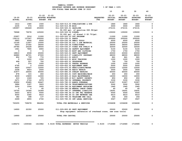|                |                          |                               |                               |                                                              |                  | 10                          | 20                           | 30                           | 40                          |
|----------------|--------------------------|-------------------------------|-------------------------------|--------------------------------------------------------------|------------------|-----------------------------|------------------------------|------------------------------|-----------------------------|
| $19 - 20$      | $20 - 21$                | $21 - 22$<br>ADOPTED BUDGETED | $21 - 22$                     |                                                              | <b>REQUESTED</b> | $22 - 23$<br><b>INITIAL</b> | $22 - 23$<br><b>PROPOSED</b> | $22 - 23$<br><b>APPROVED</b> | $22 - 23$<br><b>ADOPTED</b> |
| <b>ACTUAL</b>  | <b>ACTUAL</b>            | <b>BUDGET FTE</b>             |                               |                                                              | <b>FTE</b>       | <b>BUDGET</b>               | <b>BUDGET</b>                | <b>BUDGET</b>                | <b>BUDGET</b>               |
| 1612           | 1580                     | 1500                          |                               | 011-029-513.03 PUBLICATIONS & DUE                            |                  | 1860                        | 1860                         | 1860                         | 0                           |
| 2235           | 574                      | 3000                          | 011-029-515.99 MISC           |                                                              |                  | 3000                        | 3000                         | 3000                         | 0                           |
| 190957         | 192449                   | 253000                        | 011-029-520.01 GASOLINE       |                                                              |                  | 272131                      | 272131                       | 272131                       | 0                           |
|                |                          |                               |                               | 92,000 gal. of gasoline @\$2.96/gal                          |                  |                             |                              |                              |                             |
| 78968          | 79078                    | 125000                        | 011-029-520.02 DIESEL         |                                                              |                  | 135000                      | 135000                       | 135000                       | 0                           |
|                |                          |                               |                               | 50,000 gal. of diesel @ \$2.70/gal.                          |                  |                             |                              |                              |                             |
| 23957          | 3016                     | 11000                         | 011-029-520.03 UST PROGRAM    |                                                              |                  | 11000                       | 11000                        | 11000                        | 0                           |
| 136112         | 137547                   | 200000                        | 011-029-530.01 PARTS          |                                                              |                  | 200000                      | 200000                       | 200000                       | 0                           |
| 5863           | 9264                     | 6500                          | 011-029-530.04 SMALL TOOLS    |                                                              |                  | 6500                        | 6500                         | 6500                         | $\mathsf{o}\xspace$         |
| 10146          | 11607                    | 15000                         |                               | 011-029-530.05 OIL & LUB MATERIAL                            |                  | 25000                       | 25000                        | 25000                        | $\mathbf 0$                 |
| 5453           | 37302                    | 36000                         | 011-029-530.06 TIRES/TUBES    |                                                              |                  | 36000                       | 36000                        | 36000                        | $\mathsf{o}\xspace$         |
| 29784          | 25228                    | 28500                         |                               |                                                              |                  | 32500                       | 32500                        | 32500                        | $\mathsf{o}\xspace$         |
|                |                          |                               |                               | 011-029-530.07 TIRES FOR PUBLIC W                            |                  |                             |                              |                              | $\mathbf 0$                 |
| 1961           | 7890                     | 6900                          |                               | 011-029-542.02 SAFETY EQUIPMENT                              |                  | 5100                        | 5100                         | 5100                         |                             |
| $\mathbf 0$    | $\overline{\phantom{0}}$ | $\overline{\phantom{0}}$      |                               | 011-029-542.03 BOOT AND CLOTHING                             |                  | 1750                        | 1750                         | 1750                         | $\pmb{0}$                   |
| 18810          | 4508                     | 25000                         | 011-029-543.01 DEPT EQUIPMENT |                                                              |                  | 20000                       | 20000                        | 20000                        | $\mathsf{o}\xspace$         |
| 66880          | 62721                    | 67000                         |                               | 011-029-610.07 LIABILITY INSURANC                            |                  | 68000                       | 68000                        | 68000                        | 0                           |
| 852            | 739                      | 772                           | 011-029-611.01 AUDIT          |                                                              |                  | 861                         | 861                          | 861                          | $\mathsf{o}\xspace$         |
| $\overline{0}$ | 1200                     | 1000                          | 011-029-612.01 MISC TRAINING  |                                                              |                  | 1000                        | 1000                         | 1000                         | 0                           |
| 468            | 557                      | 750                           | 011-029-620.01 TELEPHONE      |                                                              |                  | 750                         | 750                          | 750                          | 0                           |
| $\mathbf 0$    | 374                      | 1000                          | 011-029-630.01 TRAVEL EXPENSE |                                                              |                  | 1000                        | 1000                         | 1000                         | 0                           |
| 6795           | $\mathbf{0}$             | 10000                         | 011-029-652.02 EQUIPMENT RENT |                                                              |                  | 5000                        | 5000                         | 5000                         | $\mathsf{o}$                |
| 9420           | 10507                    | 12000                         |                               | 011-029-670.02 HEAT/LIGHTS/WATER                             |                  | 12000                       | 12000                        | 12000                        | 0                           |
| 2208           | 4623                     | 2500                          | 011-029-680.04 RADIO REPAIR   |                                                              |                  | 3500                        | 3500                         | 3500                         | $\mathsf{o}\xspace$         |
| 31877          | 26504                    | 65000                         | 011-029-680.05 SUBLET REPAIRS |                                                              |                  | 65000                       | 65000                        | 65000                        | $\mathbf 0$                 |
| 878            | 315                      | 650                           |                               | 011-029-683.01 COPY MACHINES/MAIN                            |                  | 650                         | 650                          | 650                          | $\pmb{0}$                   |
| 6639           | 15809                    | 12000                         |                               | 011-029-683.10 BLDG MAINTENANCE                              |                  | 16000                       | 16000                        | 16000                        | $\mathsf{o}\xspace$         |
| 610            | 1069                     | 725                           |                               | 011-029-699.19 W/C SAFETY INCENTI                            |                  | 850                         | 850                          | 850                          | $\pmb{0}$                   |
| 2671           | 2724                     | 2979                          |                               | 011-029-780.02 INTERNAL PROPERTY                             |                  | 3330                        | 3330                         | 3330                         | $\mathsf{o}\xspace$         |
| 25902          | 25685                    | 26647                         | 011-029-780.03 ADMIN OVERHEAD |                                                              |                  | 31907                       | 31907                        | 31907                        | 0                           |
| 3884           | 3187                     | 3263                          |                               | 011-029-780.04 TELECOMMUNICATIONS                            |                  | 3262                        | 3262                         | 3262                         | 0                           |
| 3250           | 1504                     | 1855                          |                               | 011-029-780.06 EQUIPMENT REPLACEM                            |                  | 1965                        | 1965                         | 1965                         | $\mathsf{o}\xspace$         |
| 0              | 0                        | 60                            |                               | 011-029-780.09 MANUAL CHECK CHARG                            |                  | 60                          | 60                           | 60                           | 0                           |
| 16705          | 14364                    | 14364                         |                               | 011-029-780.27 INTERNAL LIABILITY                            |                  | 19291                       | 19291                        | 19291                        | 0                           |
| 2603           | 4672                     | 5000                          |                               | 011-029-780.44 CO INT PEL RESERVE                            |                  | 5000                        | 5000                         | 5000                         | $\mathsf{o}\xspace$         |
| 4000           | 3360                     | 4410                          |                               | 011-029-780.46 CO INT NETWORK CHA                            |                  | 4410                        | 4410                         | 4410                         | 0                           |
| 382            | 398                      | 137                           |                               | 011-029-780.54 TELECOMM PER CALL                             |                  | 264                         | 264                          | 264                          | 0                           |
| 2699           | 2855                     | 2740                          |                               | 011-029-780.55 INT LEGAL SERVICES                            |                  | 3567                        | 3567                         | 3567                         | 0                           |
| 720255         | 728678                   | 984652                        |                               | TOTAL FOR MATERIALS & SERVICES                               |                  | 1036608                     | 1036608                      | 1036608                      | $\mathbf 0$                 |
| 14900          | 22350                    | 25000                         | 011-029-800.80 DEPT EQUIPMENT | Shop equipment (extension of overhead crane, new scan tools) |                  | 25000                       | 25000                        | 25000                        | $\mathbf 0$                 |
| 14900          | 22350                    | 25000                         | TOTAL FOR CAPITAL             |                                                              |                  | 25000                       | 25000                        | 25000                        | $\mathbf 0$                 |
| 1189272        | 1309346                  | 1613982                       | 5.9100 TOTAL EXPENSES         | MOTOR VEHICLE                                                |                  |                             | 5.9100 1716580 1716580       | 1716580                      | 0                           |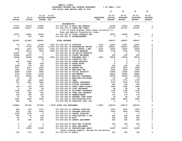|                         |                         |                                               | BUDGETARY REVENUE AND EXPENSE WORKSHEET                                                                                                        |                            | $8$ OF YEAR = $100\%$   |                                                                            |                                      |                             |
|-------------------------|-------------------------|-----------------------------------------------|------------------------------------------------------------------------------------------------------------------------------------------------|----------------------------|-------------------------|----------------------------------------------------------------------------|--------------------------------------|-----------------------------|
|                         |                         |                                               | FOR FISCAL YEAR ENDING JUNE 30 2023                                                                                                            |                            |                         |                                                                            | 10 20 30                             | 40                          |
| $19 - 20$               | $20 - 21$               | 21-22 21-22<br>ADOPTED BUDGETED               |                                                                                                                                                | REQUESTED INITIAL PROPOSED |                         |                                                                            | 22-23 22-23 22-23<br><b>APPROVED</b> | $22 - 23$<br><b>ADOPTED</b> |
| <b>ACTUAL</b>           | <b>ACTUAL</b>           | <b>BUDGET FTE</b>                             |                                                                                                                                                | FTE                        | <b>BUDGET</b>           | <b>BUDGET</b>                                                              | <b>BUDGET</b>                        | <b>BUDGET</b>               |
|                         |                         |                                               | <b>ENGINEERING</b>                                                                                                                             |                            |                         |                                                                            |                                      |                             |
|                         | 57101 56738 53060       |                                               | 011-055-322.16 ROAD USE PERMITS                                                                                                                |                            | 53060                   | 53060                                                                      | 53060                                | 0                           |
| 123929                  | 136217 197502           |                                               | 011-055-335.07 STATE HWY FUNDS                                                                                                                 |                            | 237197                  | 237197                                                                     | 237197                               | $\mathbf 0$                 |
|                         |                         |                                               | 2.57% of State Highway funds after allocation to                                                                                               |                            |                         |                                                                            |                                      |                             |
|                         |                         |                                               | Bike and Habitat Conservation funds                                                                                                            |                            |                         |                                                                            |                                      |                             |
| 20317                   |                         | 18526 18000                                   | 011-055-341.52 COSSD CONTRACT SER                                                                                                              |                            |                         | 18000 18000 18000                                                          |                                      | 0                           |
| $\overline{\mathbf{0}}$ | 500                     | 500                                           | 011-055-362.12 REIMBURSEMENT                                                                                                                   |                            | $\overline{\mathbf{0}}$ | $^{\circ}$                                                                 | $\overline{\mathbf{0}}$              | $\mathbf 0$                 |
| 201347                  |                         |                                               | 211981 269062 TOTAL REVENUE                                                                                                                    |                            | 308257                  | 308257                                                                     | 308257                               | 0                           |
| 774                     | 1071                    | 11296                                         | .1000 011-055-401.01 DIRECTOR                                                                                                                  |                            | .1000 12251             | 12251                                                                      | 12251                                | 0                           |
| $\overline{\mathbf{0}}$ |                         |                                               | 77749  103194  1.0000  011-055-401.16 ENGINEERING PROJEC  1.0000                                                                               |                            | 108421                  | 108421                                                                     | 108421                               | $\mathbf 0$                 |
| 6524                    | 6575                    |                                               |                                                                                                                                                |                            |                         | 12000                                                                      | 12000                                | $\mathsf{o}$                |
| $\overline{\mathbf{0}}$ | 35013                   |                                               | 12000        .2000  011-055-401.31  SOLID WASTE  & ENV          .2000<br>3872        .0500  011-055-401.33  OFFICE MANAGER               .0500 |                            | 12000<br>3764           | 3764                                                                       | 3764                                 | 0                           |
| 31917                   | 710                     | $\overline{\mathbf{0}}$                       | 011-055-401.46 SR OFFICE ADMINIST<br>011-055-401.46 SR OFFICE ADMINIST                                                                         |                            |                         |                                                                            |                                      | $\mathsf{o}$                |
| 43598                   | 24976                   | $\begin{array}{c} 0 \\ 0 \end{array}$         |                                                                                                                                                |                            |                         | $\begin{array}{cccc} & 0 & & 0 & & 0 \\ 500 & & & 500 & & 500 \end{array}$ |                                      | 0                           |
| 36439                   | 34696                   |                                               | 18000 .5000 011-055-403.17 ENGINEER TECH 1 .5000                                                                                               |                            | 35000                   | 35000                                                                      | 35000                                | $\mathsf{o}$                |
| $\overline{\mathbf{0}}$ | $\overline{\mathbf{0}}$ | $\begin{array}{c} 55 \\ 0 \\ 500 \end{array}$ | 011-055-475.00 LONGEVITY PAY                                                                                                                   |                            | $\overline{\mathbf{0}}$ | $\overline{\mathbf{0}}$                                                    | $\overline{\phantom{0}}$             | 0                           |
| 480                     | 2500                    |                                               | 011-055-479.00 OTHER EARNINGS                                                                                                                  |                            | $\overline{\mathbf{0}}$ | $\overline{0}$                                                             | $\mathbf{0}$                         | $\mathsf{o}\xspace$         |
| $\overline{\mathbf{0}}$ | 280                     |                                               | 011-055-480.00 EXTRA HOURS                                                                                                                     |                            | $\bullet$ 0             | $\overline{\mathbf{0}}$                                                    | $\overline{\mathbf{0}}$              | 0                           |
| 2026                    | 276<br>6107             | $\begin{array}{c} 400 \\ 6000 \end{array}$    | 011-055-481.00 OVERTIME                                                                                                                        |                            | 600                     | 600                                                                        | 600                                  | $\mathsf{o}$                |
| 6107                    | 6107                    |                                               | 011-055-484.00 BEEPER PAY                                                                                                                      |                            | 6000                    | 6000                                                                       | 6000                                 | $\pmb{0}$                   |
| 1962                    | 2729                    | 2260                                          | 011-055-490.00 MEDICARE TAX                                                                                                                    |                            | 2493                    | 2493                                                                       | 2493                                 | $\mathsf{o}$                |
| 8388                    | 11669                   | 9663                                          | 011-055-491.00 SOCIAL SECURITY                                                                                                                 |                            | 10660                   | 10660                                                                      | 10660                                | 0                           |
| 9744                    | 14395                   | 11302                                         | 011-055-492.00 RETIREMENT                                                                                                                      |                            | 24950                   | 24950                                                                      | 24950                                | $\pmb{0}$                   |
| 8516                    | 25249                   | 38412                                         | 011-055-493.10 MEDICAL INSURANCE                                                                                                               |                            | 40978                   | 40978                                                                      | 40978                                | 0                           |
| 40                      | 56                      | $\overline{\mathbf{0}}$                       | 011-055-493.12 EMPLOYEE ASSISTANC                                                                                                              |                            | 50                      | 50                                                                         | 50                                   | $\pmb{0}$                   |
| 597                     | 600                     | 2220                                          | 011-055-493.15 VEBA                                                                                                                            |                            | 2775                    | 2775                                                                       | 2775                                 | 0                           |
| 767                     | 1991                    | 2823                                          | 011-055-493.20 DENTAL INSURANCE                                                                                                                |                            | 2720                    | $\frac{212}{292}$                                                          | 2720                                 | $\pmb{0}$                   |
| 77                      | 77                      | 287                                           | 011-055-493.25 VISION INSURANCE                                                                                                                |                            | 292                     |                                                                            | 292                                  | 0                           |
| 198                     | 652<br>60               | 1082<br>48                                    | 011-055-493.31 SHORT TERM DISABIL                                                                                                              |                            | 1082<br>48              | 1082<br>48                                                                 | 1082<br>48                           | $\pmb{0}$<br>0              |
| 9                       | 1911                    |                                               | 011-055-493.40 LIFE INSURANCE<br>011-055-494.00 ACCIDENT INSURANCE                                                                             |                            |                         |                                                                            |                                      | $\pmb{\mathsf{o}}$          |
| 1595<br>140             | 192                     | 1271<br>156                                   | 011-055-494.80 TIME LOSS RESERVE                                                                                                               |                            | 172                     | 1196 1196<br>172                                                           | 1196<br>172                          | 0                           |
| 129                     |                         |                                               | 011-055-495.00 UNEMPLOYMENT                                                                                                                    |                            | 172                     | 172                                                                        | 172                                  | $\pmb{\mathsf{o}}$          |
| 47                      |                         |                                               | 011-055-496.00 WORKERS COMP ASSES                                                                                                              |                            | 48                      | 48                                                                         | 48                                   | 0                           |
| 3230                    |                         |                                               | 011-055-499.00 FET/VACATION/SICK                                                                                                               |                            |                         | 3000                                                                       | 3000                                 | 0                           |
| 583                     | $1854$ 2000<br>65- 0    |                                               | 011-055-499.99 VACATION LIAB. ADJ                                                                                                              |                            | $\frac{300}{0}$         | $\overline{\mathbf{0}}$                                                    | $\overline{\phantom{0}}$             | 0                           |
| 163887                  | 251566                  | 227045                                        | 1.8500 TOTAL FOR PERSONNEL                                                                                                                     | 1.8500                     | 269172                  | 269172                                                                     | 269172                               | 0                           |
|                         |                         |                                               |                                                                                                                                                |                            |                         |                                                                            |                                      |                             |
| 666                     | 920                     | 2100                                          | 011-055-510.01 CENTRAL SUPPLIES                                                                                                                |                            | 2300                    | 2300                                                                       | 2300                                 | $\mathbf 0$                 |
| 550                     | 621                     | 2000                                          | 011-055-510.03 PROGRAM SUPPLIES                                                                                                                |                            | 3500                    | 3500                                                                       | 3500                                 | 0                           |
| 2768                    | 1276                    | 0                                             | 011-055-511.03 SURVEY SUPPLIES                                                                                                                 |                            | 0                       | $\mathbf 0$                                                                | 0                                    | 0                           |
| 872                     | 80                      | 100                                           | 011-055-513.03 PUBLICATIONS & DUE                                                                                                              |                            | 500                     | 500                                                                        | 500                                  | 0                           |
| 20                      | 0                       | 100                                           | 011-055-515.99 MISC                                                                                                                            |                            | 300                     | 300                                                                        | 300                                  | 0<br>0                      |
| 36                      | 635                     | 500                                           | 011-055-542.02 SAFETY EQUIPMENT                                                                                                                |                            | 300                     | 300                                                                        | 300                                  |                             |
| 0                       | 0                       | 0                                             | 011-055-542.03 BOOT AND CLOTHING                                                                                                               |                            | 350                     | 350                                                                        | 350                                  | 0                           |
| 0                       | 463                     | 0                                             | 011-055-543.01 DEPT EQUIPMENT                                                                                                                  |                            | 0                       | 0                                                                          | 0                                    | 0                           |
| 0                       | 10000                   | 15500                                         | 011-055-610.01 PROFESSIONAL SERVI                                                                                                              |                            | 10000                   | 10000                                                                      | 10000                                | 0                           |
|                         |                         |                                               | Intern program support, George Fox University                                                                                                  |                            |                         |                                                                            |                                      |                             |
| 130                     | 123                     | 129                                           | 011-055-611.01 AUDIT                                                                                                                           |                            | 182                     | 182                                                                        | 182                                  | 0                           |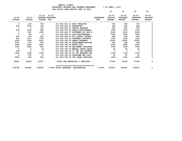|  | $8$ OF YEAR = 1008 |  |
|--|--------------------|--|
|  |                    |  |

|                            |                            |                            | LOR LISCAL IEAR ENDING OUNE JU ZUZJ  |                                |                                              |                                               |                                               |                                              |
|----------------------------|----------------------------|----------------------------|--------------------------------------|--------------------------------|----------------------------------------------|-----------------------------------------------|-----------------------------------------------|----------------------------------------------|
|                            |                            |                            |                                      |                                | 10                                           | 20                                            | 30                                            | 40                                           |
| $19 - 20$<br><b>ACTUAL</b> | $20 - 21$<br><b>ACTUAL</b> | $21 - 22$<br><b>BUDGET</b> | $21 - 22$<br>ADOPTED BUDGETED<br>FTE | <b>REQUESTED</b><br><b>FTE</b> | $22 - 23$<br><b>INITIAL</b><br><b>BUDGET</b> | $22 - 23$<br><b>PROPOSED</b><br><b>BUDGET</b> | $22 - 23$<br><b>APPROVED</b><br><b>BUDGET</b> | $22 - 23$<br><b>ADOPTED</b><br><b>BUDGET</b> |
|                            |                            |                            |                                      |                                |                                              |                                               |                                               |                                              |
| 0                          | 174                        | 750                        | 011-055-612.01 MISC TRAINING         |                                | 750                                          | 750                                           | 750                                           |                                              |
| 873                        | 1040                       | 700                        | 011-055-620.01 TELEPHONE             |                                | 850                                          | 850                                           | 850                                           | 0                                            |
| $\Omega$                   | $^{\circ}$                 | 750                        | 011-055-630.01 TRAVEL EXPENSE        |                                | 500                                          | 500                                           | 500                                           | 0                                            |
| 956                        | 1024                       | 850                        | 011-055-670.02 HEAT/LIGHTS/WATER     |                                | 1100                                         | 1100                                          | 1100                                          | 0                                            |
| 0                          | 821                        | 1500                       | 011-055-683.07 SOFTWARE LIC AND M    |                                | 2140                                         | 2140                                          | 2140                                          | 0                                            |
| $\Omega$                   | 720                        | $\Omega$                   | 011-055-683.10 BLDG MAINTENANCE      |                                | 2000                                         | 2000                                          | 2000                                          | $\Omega$                                     |
| 256                        | 378                        | 250                        | 011-055-699.19 W/C SAFETY INCENTI    |                                | 260                                          | 260                                           | 260                                           | 0                                            |
| 991                        | 1011                       | 1105                       | 011-055-780.02 INTERNAL PROPERTY     |                                | 1236                                         | 1236                                          | 1236                                          | 0                                            |
| 6180                       | 6728                       | 6910                       | 011-055-780.03 ADMIN OVERHEAD        |                                | 10091                                        | 10091                                         | 10091                                         | 0                                            |
| 3741                       | 797                        | 392                        | 011-055-780.04 TELECOMMUNICATIONS    |                                | 392                                          | 392                                           | 392                                           | 0                                            |
| 3900                       | 4420                       | 4850                       | 011-055-780.05 MOTOR POOL            |                                | 6000                                         | 6000                                          | 6000                                          | 0                                            |
| 1032                       | 1609                       | 951                        | 011-055-780.06 EQUIPMENT REPLACEM    |                                | 1008                                         | 1008                                          | 1008                                          | 0                                            |
| $^{\circ}$                 | 0                          | 50                         | 011-055-780.09 MANUAL CHECK CHARG    |                                | 50                                           | 50                                            | 50                                            | 0                                            |
| $190 -$                    | $\mathbf{0}$               | $\Omega$                   | 011-055-780.44 CO INT PEL RESERVE    |                                | 0                                            | $^{\circ}$                                    | $\Omega$                                      | 0                                            |
| 1600                       | 1680                       | 1764                       | 011-055-780.46 CO INT NETWORK CHA    |                                | 1764                                         | 1764                                          | 1764                                          | 0                                            |
| 0                          | 100                        | 71                         | 011-055-780.54 TELECOMM PER CALL     |                                | 61                                           | 61                                            | 61                                            | 0                                            |
| 4500                       | 400                        | 695                        | 011-055-780.55 INT LEGAL SERVICES    |                                | 1435                                         | 1435                                          | 1435                                          | 0                                            |
| 28881                      | 35020                      | 42017                      | TOTAL FOR MATERIALS & SERVICES       |                                | 47069                                        | 47069                                         | 47069                                         | $\Omega$                                     |
| 192768                     | 286586                     | 269062                     | 1.8500 TOTAL EXPENSES ENGINEERING    | 1.8500                         | 316241                                       | 316241                                        | 316241                                        | $\mathbf{0}$                                 |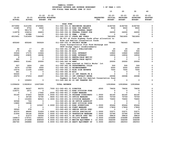|               |               |                   |                  |                               | FOR FISCALL IEAR ENDING OUNE JU ZUZJ               |                                |               |                 |                 |                |
|---------------|---------------|-------------------|------------------|-------------------------------|----------------------------------------------------|--------------------------------|---------------|-----------------|-----------------|----------------|
|               |               |                   |                  |                               |                                                    |                                | 10            | 20              | 30              | 40             |
|               |               |                   |                  |                               |                                                    |                                |               |                 |                 |                |
|               |               | $21 - 22$         | $21 - 22$        |                               |                                                    |                                | $22 - 23$     | $22 - 23$       | $22 - 23$       | $22 - 23$      |
| $19 - 20$     | $20 - 21$     |                   | ADOPTED BUDGETED |                               |                                                    | <b>REQUESTED</b><br><b>FTE</b> | INITIAL       | <b>PROPOSED</b> | <b>APPROVED</b> | <b>ADOPTED</b> |
| <b>ACTUAL</b> | <b>ACTUAL</b> | <b>BUDGET FTE</b> |                  |                               |                                                    |                                | <b>BUDGET</b> | <b>BUDGET</b>   | <b>BUDGET</b>   | <b>BUDGET</b>  |
|               |               |                   |                  | <b>ROAD FUND</b>              |                                                    |                                |               |                 |                 |                |
| 3573992       | 3121294       | 4729481           |                  |                               | 011-060-301.01 BEGINNING BALANCE                   |                                | 4192764       | 4192764         | 4192764         | 0              |
| 10385         | 9754          | 9000              |                  |                               | 011-060-322.16 ROAD USE PERMITS                    |                                | 9000          | 9000            | 9000            | 0              |
| 0             | 581178        | $\mathbf 0$       |                  |                               | 011-060-331.15 CFDA FEDERAL GRANT                  |                                | 0             | 0               | 0               | 0              |
| 116578        | 104214        | 24603             |                  |                               | 011-060-332.02 FEDERAL FOREST FUN                  |                                | 24000         | 24000           | 24000           | 0              |
| 0             | 61988         | 0                 |                  | 011-060-332.35 FEMA - STORM   |                                                    |                                | 0             | 0               | 0               | 0              |
| 6515451       | 7161459       | 7184949           |                  |                               | 011-060-335.07 STATE HWY FUNDS                     |                                | 7821855       | 7821855         | 7821855         | 0              |
|               |               |                   |                  |                               | 84.91% of State Highway funds after allocation to  |                                |               |                 |                 |                |
|               |               |                   |                  |                               | Bike and Habitat Conservation funds                |                                |               |                 |                 |                |
| 655260        | 655260        | 593029            |                  |                               | 011-060-335.16 PROJECT REIMB                       |                                | 782443        | 782443          | 782443          | $\mathbf 0$    |
|               |               |                   |                  |                               | State Transportation Plan Fund Exchange and        |                                |               |                 |                 |                |
|               |               |                   |                  |                               | ODOT bridge repair reimbursements                  |                                |               |                 |                 |                |
| 92            | 17            | 20                |                  |                               | 011-060-341.03 MAP & PUBLICATIONS                  |                                | 20            | 20              | 20              | 0              |
| 275           | 341           | 500               |                  | 011-060-341.99 MISC           |                                                    |                                | 500           | 500             | 500             | 0              |
| 33046         | 17170         | 12464             |                  |                               | 011-060-361.01 POOL INTEREST                       |                                | 12860         | 12860           | 12860           | 0              |
| 26954         | 23835         | 18096             |                  |                               | 011-060-361.03 BOND INTEREST                       |                                | 16934         | 16934           | 16934           | 0              |
| 8             | 0             | $\mathbf 0$       |                  |                               | 011-060-362.01 RENTAL/SALE MAT/SU                  |                                | $\mathbf 0$   | $\mathbf 0$     | 0               | 0              |
| 460           | 0             | 0                 |                  |                               | 011-060-362.02 RENTAL/SALE EQUIP/                  |                                | $\mathbf 0$   | $\mathbf 0$     | $\mathbf 0$     | 0              |
| 28893         | 31461         | 20000             |                  | 011-060-362.04 RENT           |                                                    |                                | 20000         | 20000           | 20000           | 0              |
|               |               |                   |                  |                               | Cell tower erected on Public Works' lot            |                                |               |                 |                 |                |
| 557           | 1824          | 200               |                  |                               | 011-060-362.08 DEPARTMENTAL COLLE                  |                                | 500           | 500             | 500             | 0              |
| 5670          | 13780         | 5000              |                  |                               | 011-060-362.12 REIMBURSEMENT                       |                                | 5000          | 5000            | 5000            | 0              |
| 15074         | 11335         | 13660             |                  |                               | 011-060-362.13 BLUE SIGN REVENUE                   |                                | 7000          | 7000            | 7000            | 0              |
| 641           | 0             | 0                 |                  | 011-060-362.99 MISC           |                                                    |                                | 0             | 0               | 0               | 0              |
| 50000         | $\mathbf 0$   | $\Omega$          |                  |                               | 011-060-380.12 CO INT TRNSFR FR B                  |                                | $\Omega$      | $\Omega$        | $\Omega$        | 0              |
| 25070         | 27253         | 26287             |                  |                               | 011-060-380.13 INT CONTRACT REVEN                  |                                | 26068         | 26068           | 26068           | 0              |
|               |               |                   |                  |                               | Payment to Road fund for Habitat Conservation fund |                                |               |                 |                 |                |
| 0             | 100653        | 0                 |                  |                               | 011-060-380.80 CO INT TRANFER FRO                  |                                | 0             | 0               | $\mathbf 0$     | $\mathbf 0$    |
|               |               |                   |                  |                               |                                                    |                                |               |                 |                 |                |
| 11058406      | 11922816      | 12637289          |                  | <b>TOTAL REVENUE</b>          |                                                    |                                | 12918944      | 12918944        | 12918944        | $\mathbf 0$    |
| 68150         | 94267         | 90370             |                  | .7000 011-060-401.01 DIRECTOR |                                                    | .6500                          | 79630         | 79630           | 79630           | 0              |
| 118371        | 2671          | $\mathbf 0$       |                  |                               | 011-060-401.13 ROAD DIVISION FORE                  |                                | 0             | 0               | 0               | 0              |
| 0             | 0             | 17062             |                  |                               | .2000 011-060-401.17 FLEET MANAGER                 |                                | 0             | 0               | 0               | 0              |
| 55140         | 57653         | 59028             |                  |                               | 1.0000 011-060-401.24 PROGRAM COORDINATO           | 1.0000                         | 62160         | 62160           | 62160           | 0              |
| 0             | 35728         | 72790             |                  |                               | .9400 011-060-401.33 OFFICE MANAGER                | .9400                          | 70759         | 70759           | 70759           | 0              |
| $\mathbf 0$   | 131606        | 86523             |                  |                               | 1.3000 011-060-401.34 DIVISION MANAGER             | 1.0000                         | 70650         | 70650           | 70650           | 0              |
| 32568         | 724           | $\mathbf 0$       |                  |                               | 011-060-401.46 SR OFFICE ADMINIST                  |                                | $\mathbf 0$   | $\mathbf 0$     | 0               | $\Omega$       |
| 13890         | 16098         | 0                 |                  |                               | 011-060-401.50 SHOP DIVISION SUPE                  |                                | $\mathbf 0$   | $\mathbf 0$     | $\mathbf 0$     | 0              |
| 0             | 0             | 123267            |                  |                               | 2.0000 011-060-401.63 ROAD SUPERVISOR              | 1.0000                         | 65444         | 65444           | 65444           | 0              |
| 0             | 0             | 0                 |                  |                               | 011-060-401.66 FLEET MANAGER                       | .2000                          | 17809         | 17809           | 17809           | 0              |
| 39540         | 978           | $\mathbf 0$       |                  |                               | 011-060-402.03 SENIOR OFFICE SPEC                  |                                | 0             | 0               | 0               | 0              |
| 45375         | 48495         | 51624             |                  |                               | 1.0000 011-060-402.20 OFFICE SPECIALIST            | 1.0000                         | 53571         | 53571           | 53571           | 0              |
| 21654         | 54146         | 59028             |                  |                               | 1.0000 011-060-403.25 VEGETATION MANAGEM           | 1.0000                         | 53786         | 53786           | 53786           | 0              |
| 0             | 51673         | 56544             |                  |                               | 1.0000 011-060-403.71 SR OFFICE SPEC TEC           | 1.0000                         | 58818         | 58818           | 58818           | 0              |
| 146813        | 179721        | 195051            |                  |                               | 5.0000 011-060-405.14 UTILITY WORKER               | 4.0000                         | 234488        | 234488          | 234488          | 0              |
| 229148        | 271848        | 408569            |                  |                               | 9.0000 011-060-405.15 MEDIUM EQUIPMENT O           | 12.0000                        | 566099        | 566099          | 566099          | 0              |
| 282740        | 266886        | 333060            |                  |                               | 6.0000 011-060-405.24 HEAVY EQUIPMENT OP           | 6.0000                         | 282553        | 282553          | 282553          | $\Omega$       |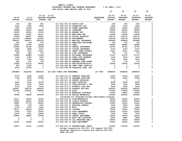**10 20 30 40** 

| $19 - 20$<br><b>ACTUAL</b> | $20 - 21$<br><b>ACTUAL</b> | $21 - 22$<br><b>BUDGET FTE</b> | $21 - 22$<br>ADOPTED BUDGETED                                      | <b>REQUESTED</b><br><b>FTE</b> | $22 - 23$<br><b>INITIAL</b><br><b>BUDGET</b> | $22 - 23$<br><b>PROPOSED</b><br><b>BUDGET</b> | $22 - 23$<br><b>APPROVED</b><br><b>BUDGET</b> | $22 - 23$<br><b>ADOPTED</b><br><b>BUDGET</b> |
|----------------------------|----------------------------|--------------------------------|--------------------------------------------------------------------|--------------------------------|----------------------------------------------|-----------------------------------------------|-----------------------------------------------|----------------------------------------------|
| 105                        | 252                        | 500                            | 011-060-474.00 SHIFT DIFF                                          |                                | 500                                          | 500                                           | 500                                           | 0                                            |
| 5130                       | 3780                       | 6600                           | 011-060-475.00 LONGEVITY PAY                                       |                                | 2400                                         | 2400                                          | 2400                                          | 0                                            |
| 7687                       | 27909                      | $\mathbf 0$                    | 011-060-479.00 OTHER EARNINGS                                      |                                | 10000                                        | 10000                                         | 10000                                         | 0                                            |
| 30688                      | 30605                      | 50000                          | 011-060-481.00 OVERTIME                                            |                                | 20000                                        | 20000                                         | 20000                                         | 0                                            |
| 32443                      | 34552                      | 30000                          | 011-060-484.00 BEEPER PAY                                          |                                | 25000                                        | 25000                                         | 25000                                         | 0                                            |
| 16419                      | 19381                      | 22517                          | 011-060-490.00 MEDICARE TAX                                        |                                | 23429                                        | 23429                                         | 23429                                         | 0                                            |
| 70205                      | 82871                      | 96281                          | 011-060-491.00 SOCIAL SECURITY                                     |                                | 100178                                       | 100178                                        | 100178                                        | 0                                            |
| 221169                     | 268991                     | 312544                         | 011-060-492.00 RETIREMENT                                          |                                | 336196                                       | 336196                                        | 336196                                        | 0                                            |
| 384911                     | 445670                     | 605034                         | 011-060-493.10 MEDICAL INSURANCE                                   |                                | 659849                                       | 659849                                        | 659849                                        | 0                                            |
| 556                        | 709                        | 700                            | 011-060-493.12 EMPLOYEE ASSISTANC                                  |                                | 700                                          | 700                                           | 700                                           | 0                                            |
| 25432                      | 27096                      | 34968                          | 011-060-493.15 VEBA                                                |                                | 44685                                        | 44685                                         | 44685                                         | 0                                            |
| 29582                      | 32188                      | 44468                          | 011-060-493.20 DENTAL INSURANCE                                    |                                | 43791                                        | 43791                                         | 43791                                         | 0                                            |
| 3283                       | 3466                       | 4517                           | 011-060-493.25 VISION INSURANCE                                    |                                | 4707                                         | 4707                                          | 4707                                          | 0                                            |
| 6318                       | 7614                       | 17047                          | 011-060-493.31 SHORT TERM DISABIL                                  |                                | 17427                                        | 17427                                         | 17427                                         | 0                                            |
| 399                        | 966                        | 758                            | 011-060-493.40 LIFE INSURANCE                                      |                                | 775                                          | 775                                           | 775                                           | 0                                            |
| 72802                      | 49989                      | 47546                          | 011-060-494.00 ACCIDENT INSURANCE                                  |                                | 47147                                        | 47147                                         | 47147                                         | 0                                            |
| 1163                       | 1342                       | 1553                           | 011-060-494.80 TIME LOSS RESERVE                                   |                                | 1616                                         | 1616                                          | 1616                                          | 0                                            |
| 1144                       | 1342                       | 1553                           | 011-060-495.00 UNEMPLOYMENT                                        |                                | 1616                                         | 1616                                          | 1616                                          | 0                                            |
| 486                        | 475                        | 758                            | 011-060-496.00 WORKERS COMP ASSES                                  |                                | 775                                          | 775                                           | 775                                           | 0                                            |
| 14645                      | 33110                      | 64000                          | 011-060-499.00 FET/VACATION/SICK                                   |                                | 32000                                        | 32000                                         | 32000                                         | 0                                            |
| 607                        | 1583                       | $\mathbf 0$                    | 011-060-499.98 COMP TIME LIABILIT                                  |                                | 0                                            | $\mathbf 0$                                   | 0                                             | 0                                            |
| 8323                       | 35700                      | $\mathbf 0$                    | 011-060-499.99 VACATION LIAB. ADJ                                  |                                | 0                                            | $\mathbf 0$                                   | $\Omega$                                      | 0                                            |
| 1986886                    | 2322085                    | 2894260                        | 29.1400 TOTAL FOR PERSONNEL                                        | 29.7900                        | 2988558                                      | 2988558                                       | 2988558                                       | 0                                            |
| 9754                       | 4048                       | 11500                          | 011-060-510.01 CENTRAL SUPPLIES                                    |                                | 11500                                        | 11500                                         | 11500                                         | 0                                            |
| 7334                       | 8200                       | 10000                          | 011-060-510.03 PROGRAM SUPPLIES                                    |                                | 8000                                         | 8000                                          | 8000                                          | 0                                            |
| 0                          | 1134                       | 0                              | 011-060-511.03 SURVEY SUPPLIES                                     |                                | 0                                            | 0                                             | 0                                             | 0                                            |
| 6941                       | 8134                       | 10100                          | 011-060-511.08 SHOP SUPPLIES                                       |                                | 8500                                         | 8500                                          | 8500                                          | 0                                            |
| 3593                       | 3790                       | 4000                           | 011-060-513.03 PUBLICATIONS & DUE                                  |                                | 3000                                         | 3000                                          | 3000                                          | 0                                            |
| 4123                       | 3552                       | 5000                           | 011-060-515.01 ASPHALT COLD MIX                                    |                                | 5000                                         | 5000                                          | 5000                                          | 0                                            |
| 304847                     | 290134                     | 400000                         | 011-060-515.02 ASPHALT HOT MIX                                     |                                | 300000                                       | 300000                                        | 300000                                        | 0                                            |
| 720322                     | 618041                     | 794845                         | 011-060-515.03 ROCK                                                |                                | 776943                                       | 776943                                        | 776943                                        | 0                                            |
| 0                          | 0                          | 0                              | 011-060-515.04 MATERIAL DISPOSAL                                   |                                | 10000                                        | 10000                                         | 10000                                         | 0                                            |
| 72599                      | 66855                      | 150000                         | 011-060-515.05 BRIDGE MATERIALS                                    |                                | 150000                                       | 150000                                        | 150000                                        | 0                                            |
|                            |                            |                                | Increased for expanded bridge improvement program                  |                                |                                              |                                               |                                               |                                              |
| 35217                      | 20593                      | 35000                          | 011-060-515.06 SIGN MATERIALS                                      |                                | 40000                                        | 40000                                         | 40000                                         | 0                                            |
| 19291                      | 23202                      | 30000                          | 011-060-515.08 LIQUID ASPHALT                                      |                                | 25000                                        | 25000                                         | 25000                                         | 0                                            |
| 15887                      | 27713                      | 25000                          | 011-060-515.09 VEGETATION CONTROL                                  |                                | 15000                                        | 15000                                         | 15000                                         | 0                                            |
| 2931                       | 539                        | 7500                           | 011-060-515.11 EROSION CONTROL                                     |                                | 5000                                         | 5000                                          | 5000                                          | 0                                            |
| 3730                       | 9732                       | 5000                           | 011-060-515.99 MISC                                                |                                | 5000                                         | 5000                                          | 5000                                          | 0                                            |
| 24271                      | 30569                      | 50000                          | 011-060-530.02 CULVERT                                             |                                | 75000                                        | 75000                                         | 75000                                         | 0                                            |
| 2003                       | 9107                       | 10000                          | 011-060-530.03 DUST ABATEMENT                                      |                                | 10000                                        | 10000                                         | 10000                                         | 0                                            |
| 11510                      | 7927                       | 10000                          | 011-060-530.04 SMALL TOOLS                                         |                                | 7500                                         | 7500                                          | 7500                                          | $\Omega$                                     |
| 29897                      | 28883                      | 25500                          | 011-060-542.02 SAFETY EQUIPMENT                                    |                                | 25200                                        | 25200                                         | 25200                                         | 0                                            |
| 0                          | 0                          | 0                              | 011-060-542.03 BOOT AND CLOTHING                                   |                                | 9800                                         | 9800                                          | 9800                                          | 0                                            |
| 0                          | 0                          | 0                              | 011-060-542.04 CDL TRAINING AND P                                  |                                | 25000                                        | 25000                                         | 25000                                         | 0                                            |
| 10351                      | 21869                      | 20000                          | 011-060-543.01 DEPT EQUIPMENT                                      |                                | 15000                                        | 15000                                         | 15000                                         | 0                                            |
| 50873                      | 72123                      | 110000                         | 011-060-610.01 PROFESSIONAL SERVI                                  |                                | 115000                                       | 115000                                        | 115000                                        | 0                                            |
|                            |                            |                                | Bridge inspections \$30,000; GIS support \$10,000;                 |                                |                                              |                                               |                                               |                                              |
|                            |                            |                                | Roadside vegetation interns and vehicle \$25,000;<br>TMDL \$50,000 |                                |                                              |                                               |                                               |                                              |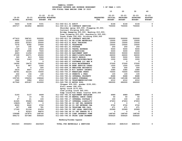| YAMHILL COUNTY                          |                       |  |  |  |  |  |  |
|-----------------------------------------|-----------------------|--|--|--|--|--|--|
| BUDGETARY REVENUE AND EXPENSE WORKSHEET | $8$ OF YEAR = 100 $8$ |  |  |  |  |  |  |
| FOR FISCAL YEAR ENDING JUNE 30 2023     |                       |  |  |  |  |  |  |

|               |               |                             |                                                                        |                  | 10                  | 20              | 30              | 40             |
|---------------|---------------|-----------------------------|------------------------------------------------------------------------|------------------|---------------------|-----------------|-----------------|----------------|
|               |               | $21 - 22$                   | $21 - 22$                                                              |                  | $22 - 23$           | $22 - 23$       | $22 - 23$       | $22 - 23$      |
| $19 - 20$     | $20 - 21$     | <b>ADOPTED BUDGETED</b>     |                                                                        | <b>REQUESTED</b> | INITIAL             | <b>PROPOSED</b> | <b>APPROVED</b> | <b>ADOPTED</b> |
| <b>ACTUAL</b> | <b>ACTUAL</b> | <b>BUDGET</b><br><b>FTE</b> |                                                                        | <b>FTE</b>       | <b>BUDGET</b>       | <b>BUDGET</b>   | <b>BUDGET</b>   | <b>BUDGET</b>  |
| 5424          | 5108          | 5331                        | 011-060-611.01 AUDIT                                                   |                  | 4144                | 4144            | 4144            | 0              |
| 255717        | 321852        | 380000                      | 011-060-611.02 CONTRACT SERVICES                                       |                  | 700000              | 700000          | 700000          | 0              |
|               |               |                             | Shoulder spray $$25,000$ ; Flagging $$5,000$ ;                         |                  |                     |                 |                 |                |
|               |               |                             | Contract Striping \$250,000;                                           |                  |                     |                 |                 |                |
|               |               |                             | Bridge Sweeping \$30,000; Washing \$10,000;                            |                  |                     |                 |                 |                |
|               |               |                             | Tree Trimming \$15,000; Guardrails \$35,000;                           |                  |                     |                 |                 |                |
|               |               |                             | Track Slabs \$30,000; Ditching \$300,000                               |                  |                     |                 |                 |                |
| 477410        | 398741        | 500000                      | 011-060-611.04 CONTRACT HAULING                                        |                  | 500000              | 500000          | 500000          | 0              |
| 4800          | 12150         | 15000                       | 011-060-611.06 DE-ICING MATERIALS                                      |                  | 15000               | 15000           | 15000           | 0              |
| 2202          | 22323         | 25000                       | 011-060-612.01 MISC TRAINING                                           |                  | 15000               | 15000           | 15000           | 0              |
| 7076          | 8392          | 10000                       | 011-060-620.01 TELEPHONE                                               |                  | 10000               | 10000           | 10000           | 0              |
| 127           | 192           | 250                         | 011-060-621.01 POSTAGE                                                 |                  | 250                 | 250             | 250             | 0              |
| 1728          | 134           | 8000                        | 011-060-630.01 TRAVEL EXPENSE                                          |                  | 5000                | 5000            | 5000            | 0              |
| 4627          | 2990          | 7500                        | 011-060-640.01 ADVERTISING                                             |                  | 5000                | 5000            | 5000            | 0              |
| 4663          | 11256         | 15000                       | 011-060-652.02 EQUIPMENT RENT                                          |                  | 50000               | 50000           | 50000           | 0              |
| 27199         | 26371         | 25000                       | 011-060-670.02 HEAT/LIGHTS/WATER                                       |                  | 26000               | 26000           | 26000           | 0              |
| 320           | 813<br>1063   | 5000<br>1500                | 011-060-680.04 RADIO REPAIR                                            |                  | 5000                | 5000<br>1000    | 5000            | 0<br>0         |
| 1166<br>706   | $\mathbf 0$   | $\mathbf 0$                 | 011-060-683.01 COPY MACHINES/MAIN<br>011-060-683.07 SOFTWARE LIC AND M |                  | 1000<br>$\mathbf 0$ | $\mathbf 0$     | 1000<br>0       | 0              |
| 14290         | 18470         | 32000                       | 011-060-683.10 BLDG MAINTENANCE                                        |                  | 37000               | 37000           | 37000           | 0              |
| 813           | 887           | 1500                        | 011-060-699.08 BANK SERVICE CHARG                                      |                  | 1500                | 1500            | 1500            | 0              |
| 50            | 0             | 500                         | 011-060-699.18 EMPLOYEE RECOGNITI                                      |                  | 500                 | 500             | 500             | 0              |
| 2616          | 4607          | 2714                        | 011-060-699.19 W/C SAFETY INCENTI                                      |                  | 3380                | 3380            | 3380            | 0              |
| 56791         | 52124         | 70000                       | 011-060-700.07 WHEATLAND FERRY                                         |                  | 70000               | 70000           | 70000           | 0              |
| 222           | 156           | 160                         | 011-060-730.10 PERMITS & FEES                                          |                  | 100                 | 100             | 100             | 0              |
| 6970          | 7106          | 7773                        | 011-060-780.02 INTERNAL PROPERTY                                       |                  | 8688                | 8688            | 8688            | 0              |
| 159745        | 156254        | 158646                      | 011-060-780.03 ADMIN OVERHEAD                                          |                  | 145188              | 145188          | 145188          | 0              |
| 1942          | 3984          | 4312                        | 011-060-780.04 TELECOMMUNICATIONS                                      |                  | 4312                | 4312            | 4312            | 0              |
| 417562        | 435187        | 610000                      | 011-060-780.05 MOTOR POOL                                              |                  | 690000              | 690000          | 690000          | $\Omega$       |
|               |               |                             | Chipper \$35,000; grader \$150,000;                                    |                  |                     |                 |                 |                |
|               |               |                             | Flail mower $$90,000;$                                                 |                  |                     |                 |                 |                |
|               |               |                             | Spray truck \$175,000;                                                 |                  |                     |                 |                 |                |
|               |               |                             | Crew pickup truck \$40,000;                                            |                  |                     |                 |                 |                |
|               |               |                             | Dump truck/5th wheel tractor \$200,000                                 |                  |                     |                 |                 |                |
| 5193          | 5137          | 4499                        | 011-060-780.06 EQUIPMENT REPLACEM                                      |                  | 4989                | 4989            | 4989            | $\mathbf 0$    |
| 0             | 10            | 50                          | 011-060-780.09 MANUAL CHECK CHARG                                      |                  | 50                  | 50              | 50              | 0              |
| 27            | 21            | 100                         | 011-060-780.17 INTERNAL POSTAGE C                                      |                  | 100                 | 100             | 100             | 0              |
| 41265         | 35482         | 35482                       | 011-060-780.27 INTERNAL LIABILITY                                      |                  | 47653               | 47653           | 47653           | 0              |
| 15829-        | $9927 -$      | $\mathbf 0$                 | 011-060-780.44 CO INT PEL RESERVE                                      |                  | 0                   | 0               | 0               | 0              |
| 8000          | 9240          | 9702                        | 011-060-780.46 CO INT NETWORK CHA                                      |                  | 9702                | 9702            | 9702            | 0              |
| 307           | 498           | 781                         | 011-060-780.54 TELECOMM PER CALL                                       |                  | 671                 | 671             | 671             | 0              |
| 17160         | 21104         | 21654                       | 011-060-780.55 INT LEGAL SERVICES                                      |                  | 20589               | 20589           | 20589           | 0              |
| 0             | 93323         | 96870                       | 011-060-780.68 CO INT TRNSFR TO C                                      |                  | 0                   | 0               | $\mathbf 0$     | 0              |
| 159088        | 147874        | 148740                      | 011-060-795.00 LOAN INTEREST PYMN                                      |                  | 148740              | 148740          | 148740          | 0              |
| 496172        | 507386        | 506520                      | 011-060-796.00 PRINC LOAN PAYMENT                                      |                  | 506520              | 506520          | 506520          | 0              |
|               |               |                             | Newberg/Dundee bypass                                                  |                  |                     |                 |                 |                |
| 3501023       | 3556453       | 4423029                     | TOTAL FOR MATERIALS & SERVICES                                         |                  | 4681519             | 4681519         | 4681519         | $\mathbf 0$    |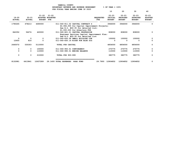|                            |                            |                                              |                                     | YAMHILL COUNTY<br>BUDGETARY REVENUE AND EXPENSE WORKSHEET                                                                                                                                                                                     |                                | $8$ OF YEAR = 100 $8$                        |                                               |                                               |                                              |
|----------------------------|----------------------------|----------------------------------------------|-------------------------------------|-----------------------------------------------------------------------------------------------------------------------------------------------------------------------------------------------------------------------------------------------|--------------------------------|----------------------------------------------|-----------------------------------------------|-----------------------------------------------|----------------------------------------------|
|                            |                            |                                              |                                     | FOR FISCAL YEAR ENDING JUNE 30 2023                                                                                                                                                                                                           |                                | 10                                           | 20                                            | 30                                            | 40                                           |
| $19 - 20$<br><b>ACTUAL</b> | $20 - 21$<br><b>ACTUAL</b> | $21 - 22$<br><b>ADOPTED</b><br><b>BUDGET</b> | $21 - 22$<br><b>BUDGETED</b><br>FTE |                                                                                                                                                                                                                                               | <b>REQUESTED</b><br><b>FTE</b> | $22 - 23$<br><b>INITIAL</b><br><b>BUDGET</b> | $22 - 23$<br><b>PROPOSED</b><br><b>BUDGET</b> | $22 - 23$<br><b>APPROVED</b><br><b>BUDGET</b> | $22 - 23$<br><b>ADOPTED</b><br><b>BUDGET</b> |
| 1790265                    | 478213                     | 4690000                                      |                                     | 011-060-811.02 CAPITAL CONTRACT S                                                                                                                                                                                                             |                                | 3946000                                      | 3946000                                       | 3946000                                       | 0                                            |
| 842352                     | 56274                      | 420000                                       |                                     | \$2,946,000 for Capital Improvement Projects;<br>See B.O. #22-35 for detailed list;<br>\$1,000,000 for Albertson FDR<br>011-060-821.01 CAPITAL PROFESSION<br>Engineer Services Capital Improvement Plan;<br>See B.O. #22-35 for detailed list |                                | 808000                                       | 808000                                        | 808000                                        | 0                                            |
| 0                          | $\mathbf 0$                | $\Omega$                                     |                                     | 011-060-830.08 SMALL BUILDING CON                                                                                                                                                                                                             |                                | 100000                                       | 100000                                        | 100000                                        | 0                                            |
| 12455                      | 816                        | $\Omega$                                     |                                     | 011-060-830.19 KIOSK FOR BLUE SIG                                                                                                                                                                                                             |                                | 0                                            | 0                                             | $\Omega$                                      | 0                                            |
| 2645072                    | 535303                     | 5110000                                      |                                     | TOTAL FOR CAPITAL                                                                                                                                                                                                                             |                                | 4854000                                      | 4854000                                       | 4854000                                       | 0                                            |
| 0                          | 0                          | 100000                                       |                                     | 011-060-950.01 CONTINGENCY                                                                                                                                                                                                                    |                                | 270775                                       | 270775                                        | 270775                                        | 0                                            |
| 0                          | 0                          | 110000                                       |                                     | 011-060-990.01 ENDING BALANCE                                                                                                                                                                                                                 |                                | 110000                                       | 110000                                        | 110000                                        | 0                                            |
| 0                          | 0                          | 210000                                       |                                     | TOTAL FOR 900-999                                                                                                                                                                                                                             |                                | 380775                                       | 380775                                        | 380775                                        | $\mathbf 0$                                  |
| 8132981                    | 6413841                    | 12637289                                     |                                     | 29.1400 TOTAL EXPENSES<br><b>ROAD FUND</b>                                                                                                                                                                                                    | 29.7900                        | 12904852                                     | 12904852                                      | 12904852                                      | 0                                            |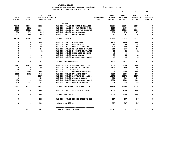| YAMHILL COUNTY                          |                       |  |  |  |  |  |  |  |
|-----------------------------------------|-----------------------|--|--|--|--|--|--|--|
| BUDGETARY REVENUE AND EXPENSE WORKSHEET | $8$ OF YEAR = 100 $8$ |  |  |  |  |  |  |  |
| FOR FISCAL YEAR ENDING JUNE 30 2023     |                       |  |  |  |  |  |  |  |

|                            |                            |                                |                                   |                         | 10                                           | 20                                            | 30                                            | 40                                           |
|----------------------------|----------------------------|--------------------------------|-----------------------------------|-------------------------|----------------------------------------------|-----------------------------------------------|-----------------------------------------------|----------------------------------------------|
| $19 - 20$<br><b>ACTUAL</b> | $20 - 21$<br><b>ACTUAL</b> | $21 - 22$<br><b>BUDGET FTE</b> | $21 - 22$<br>ADOPTED BUDGETED     | <b>REQUESTED</b><br>FTE | $22 - 23$<br><b>INITIAL</b><br><b>BUDGET</b> | $22 - 23$<br><b>PROPOSED</b><br><b>BUDGET</b> | $22 - 23$<br><b>APPROVED</b><br><b>BUDGET</b> | $22 - 23$<br><b>ADOPTED</b><br><b>BUDGET</b> |
|                            |                            |                                | <b>CLERK</b>                      |                         |                                              |                                               |                                               |                                              |
| 75242                      | 76666                      | 43327                          | 012-015-301.01 BEGINNING BALANCE  |                         | 35306                                        | 35306                                         | 35306                                         | $\mathbf 0$                                  |
| 4738                       | 6302                       | 4400                           | 012-015-341.45 CO CLK RECORDS FUN |                         | 4400                                         | 4400                                          | 4400                                          | $\mathbf 0$                                  |
| 10513                      | 13223                      | 10000                          | 012-015-341.46 CO CLK A&T RECORDS |                         | 10000                                        | 10000                                         | 10000                                         | $\mathbf 0$                                  |
| 838                        | 371                        | 316                            | 012-015-361.01 POOL INTEREST      |                         | 278                                          | 278                                           | 278                                           | $\mathbf 0$                                  |
| 675                        | 480                        | 449                            | 012-015-361.03 BOND INTEREST      |                         | 341                                          | 341                                           | 341                                           | 0                                            |
| 92006                      | 97042                      | 58492                          | <b>TOTAL REVENUE</b>              |                         | 50325                                        | 50325                                         | 50325                                         | 0                                            |
| 0                          | 0                          | 6500                           | 012-015-482.00 EXTRA HELP         |                         | 6500                                         | 6500                                          | 6500                                          | 0                                            |
| 0                          | 0                          | 250                            | 012-015-490.00 MEDICARE TAX       |                         | 250                                          | 250                                           | 250                                           | $\mathbf 0$                                  |
| 0                          | 0                          | 500                            | 012-015-491.00 SOCIAL SECURITY    |                         | 500                                          | 500                                           | 500                                           | 0                                            |
| 0                          | 0                          | 260                            | 012-015-493.31 SHORT TERM DISABIL |                         | 260                                          | 260                                           | 260                                           | 0                                            |
| 0                          | 0                          | 52                             | 012-015-494.00 ACCIDENT INSURANCE |                         | 52                                           | 52                                            | 52                                            | 0                                            |
| 0                          | 0                          | 40                             | 012-015-494.80 TIME LOSS RESERVE  |                         | 40                                           | 40                                            | 40                                            | 0                                            |
| 0                          | 0                          | 25                             | 012-015-495.00 UNEMPLOYMENT       |                         | 25                                           | 25                                            | 25                                            | $\mathbf 0$                                  |
| 0                          | 0                          | 45                             | 012-015-496.00 WORKERS COMP ASSES |                         | 45                                           | 45                                            | 45                                            | 0                                            |
| $\mathbf 0$                | 0                          | 7672                           | TOTAL FOR PERSONNEL               |                         | 7672                                         | 7672                                          | 7672                                          | $\mathbf 0$                                  |
| 4581                       | 14818                      | 5000                           | 012-015-510.01 CENTRAL SUPPLIES   |                         | 4000                                         | 4000                                          | 4000                                          | 0                                            |
| $\mathbf 0$                | $\mathbf 0$                | 2500                           | 012-015-543.01 DEPT. EQUIPMENT    |                         | 2500                                         | 2500                                          | 2500                                          | 0                                            |
| 15                         | 10                         | 15                             | 012-015-611.01 AUDIT              |                         | 21                                           | 21                                            | 21                                            | 0                                            |
| 3333                       | 5852                       | 6000                           | 012-015-611.02 CONTRACT SERVICES  |                         | 6000                                         | 6000                                          | 6000                                          | 0                                            |
| 6682                       | 6682                       | 7650                           | 012-015-652.01 BUILDING RENT      |                         | 9000                                         | 9000                                          | 9000                                          | $\mathbf 0$                                  |
| $\mathbf 0$                | 0                          | 13573                          | 012-015-683.07 SOFTWARE LIC AND M |                         | 13573                                        | 13573                                         | 13573                                         | 0                                            |
| $\mathbf 0$                | 0                          | 500                            | 012-015-699.01 OTHER EXPENSE      |                         | 500                                          | 500                                           | 500                                           | 0                                            |
| 430                        | 0                          | 1000                           | 012-015-699.08 BANK SERVICE CHARG |                         | 1000                                         | 1000                                          | 1000                                          | 0                                            |
| 296                        | 357                        | 272                            | 012-015-780.03 ADMIN OVERHEAD     |                         | 552                                          | 552                                           | 552                                           | 0                                            |
| 15337                      | 27719                      | 36510                          | TOTAL FOR MATERIALS & SERVICES    |                         | 37146                                        | 37146                                         | 37146                                         | 0                                            |
| $\mathbf 0$                | 0                          | 5000                           | 012-015-800.02 OFFICE EQUIPMENT   |                         | 5000                                         | 5000                                          | 5000                                          | 0                                            |
| 0                          | 0                          | 5000                           | TOTAL FOR CAPITAL                 |                         | 5000                                         | 5000                                          | 5000                                          | 0                                            |
| 0                          | 0                          | 9310                           | 012-015-990.01 ENDING BALANCE CLE |                         | 507                                          | 507                                           | 507                                           | 0                                            |
| 0                          | 0                          | 9310                           | TOTAL FOR 900-999                 |                         | 507                                          | 507                                           | 507                                           | 0                                            |
| 15337                      | 27719                      | 58492                          | TOTAL EXPENSES CLERK              |                         | 50325                                        | 50325                                         | 50325                                         | 0                                            |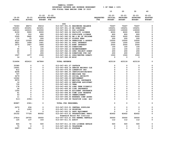**YAMHILL COUNTY BUDGETARY REVENUE AND EXPENSE WORKSHEET % OF YEAR = 100% FOR FISCAL YEAR ENDING JUNE 30 2023 10 20 30 40 21-22 21-22 22-23 22-23 22-23 22-23 19-20 20-21 ADOPTED BUDGETED REQUESTED INITIAL PROPOSED APPROVED ADOPTED ACTUAL ACTUAL BUDGET FTE FTE BUDGET BUDGET BUDGET BUDGET -------------------------------------------------------------------------------- ------------------------------------------------- DOG 74343 48673 69216 013-047-301.01 BEGINNING BALANCE 70267 70267 70267 0** 0  **253251 253251 223251 013-047-301.15 BB DONATIONS 193251 193251 193251 0**  $\Omega$  **160121 122615 130000 013-047-322.31 DOG LICENSE 130000 130000 130000 0**  $\Omega$  **8150 5900 8000 013-047-322.32 FACILITY LICENSE 8000 8000 8000 0**  $\Omega$  **372 310 800 013-047-322.33 DUPLICATE LICENSE 800 800 800 0**  $\Omega$  **5305 5845 5000 013-047-342.02 RM & BD OF PRISONE 5000 5000 5000 0**  $\mathbf 0$  **175 75 200 013-047-342.07 PICKUP FEES 200 200 200 0**  $\mathbf 0$  **6120 10329 6000 013-047-350.04 PENALTIES & ASSESS 10000 10000 10000 0**  $\Omega$  **3821 1499 1441 013-047-361.01 POOL INTEREST 1500 1500 1500 0**  $\Omega$  **3075 1927 1856 013-047-361.03 BOND INTEREST 2000 2000 2000 0** 0  **0 0 100 013-047-362.03 DONATIONS 100 100 100 0**  $\mathbf 0$  **35 0 100 013-047-362.12 REIMBURSEMENT 100 100 100 0**  $\mathbf 0$  **40 0 200 013-047-362.33 SPEC PROJECT DONAT 200 200 200 0**  $\Omega$  **75 0 200 013-047-362.34 DONATIONS FOR CAT 200 200 200 0**  $\mathbf 0$  **1597 1977 1500 013-047-362.41 SPAY/NEUTER DONATI 1500 1500 1500 0**  $\mathbf 0$  **14 9 0 013-047-362.99 MISC 0 0 0 0 516494 452410 447864 TOTAL REVENUE 423118 423118 423118 0 33380 0 0 013-047-401.27 CAPTAIN 0 0 0 0**  $\Omega$  **14491 0 0 013-047-404.14 SENIOR RECORDS CLE 0 0 0 0** 0  **812 0 0 013-047-475.00 LONGEVITY PAY 0 0 0 0**  $\mathbf 0$  **4208 0 0 013-047-485.00 CERTIFICATION/EDUC 0 0 0 0** 0  **767 0 0 013-047-490.00 MEDICARE TAX 0 0 0 0**  $\mathbf 0$  **3279 0 0 013-047-491.00 SOCIAL SECURITY 0 0 0 0**  $\Omega$  **12062 0 0 013-047-492.00 RETIREMENT 0 0 0 0**  $\Omega$  **9970 0 0 013-047-493.10 MEDICAL INSURANCE 0 0 0 0**  $\mathbf 0$  **14 0 0 013-047-493.12 EMPLOYEE ASSISTANC 0 0 0 0**  $\mathbf 0$  **735 0 0 013-047-493.15 VEBA 0 0 0 0**  $\Omega$  **178 0 0 013-047-493.32 LONG TERM DISABILI 0 0 0 0**  $\Omega$  **24 5- 0 013-047-493.40 LIFE INSURANCE 0 0 0 0**  $\mathbf 0$  **1355 0 0 013-047-494.00 ACCIDENT INSURANCE 0 0 0 0**  $\Omega$  **61 0 0 013-047-494.80 TIME LOSS RESERVE 0 0 0 0**  $\mathbf 0$  **53 0 0 013-047-495.00 UNEMPLOYMENT 0 0 0 0**  $\mathbf 0$  **11 0 0 013-047-496.00 WORKERS COMP ASSES 0 0 0 0** 0  **513- 2356- 0 013-047-499.99 VACATION LIAB. ADJ 0 0 0 0 80887 2361- 0 TOTAL FOR PERSONNEL 0 0 0 0 2470 634 0 013-047-510.01 CENTRAL SUPPLIES 0 0 0 0**  $\mathbf 0$  **0 1093 0 013-047-511.16 PRINTING 0 0 0 0**  $\Omega$  **833 0 0 013-047-543.01 DEPT EQUIPMENT 0 0 0 0**  $\mathbf 0$  **25152 77724 80052 013-047-610.01 PROFESSIONAL SERVI 82452 82452 82452 0 Homeward Bound Pet Clerical** 013-047-610.21 DOG KENNEL RENTALS  **27814 29755 30000 013-047-610.21 DOG KENNEL RENTALS 30000 30000 30000 0**  $\mathbf 0$  **125 137 143 013-047-611.01 AUDIT 112 112 112 0 926 72 500 013-047-611.14 DOG LICENSE RETAIN 500 500 500 0** 

 **75 0 0 013-047-620.01 TELEPHONE 0 0 0 0** 

 **2687 241 0 013-047-621.01 POSTAGE 0 0 0 0** 

 $\Omega$ 

 $\Omega$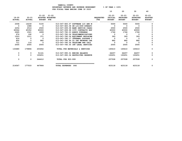|                            |                            |                                          |                                   |                                | 10                                           | 20                                            | 30                                            | 40                                           |
|----------------------------|----------------------------|------------------------------------------|-----------------------------------|--------------------------------|----------------------------------------------|-----------------------------------------------|-----------------------------------------------|----------------------------------------------|
| $19 - 20$<br><b>ACTUAL</b> | $20 - 21$<br><b>ACTUAL</b> | $21 - 22$ $21 - 22$<br><b>BUDGET FTE</b> | ADOPTED BUDGETED                  | <b>REQUESTED</b><br><b>FTE</b> | $22 - 23$<br><b>INITIAL</b><br><b>BUDGET</b> | $22 - 23$<br><b>PROPOSED</b><br><b>BUDGET</b> | $22 - 23$<br><b>APPROVED</b><br><b>BUDGET</b> | $22 - 23$<br><b>ADOPTED</b><br><b>BUDGET</b> |
| 2008                       | 16239                      | 5100                                     | 013-047-683.07 SOFTWARE LIC AND M |                                | 5000                                         | 5000                                          | 5000                                          | <sup>0</sup>                                 |
| $\overline{\mathbf{0}}$    | 1088                       | $\overline{0}$                           | 013-047-683.08 SW LIC/SUP-OPERATI |                                | $\overline{\mathbf{0}}$                      | $\overline{\mathbf{0}}$                       | $\Omega$                                      | 0                                            |
| 2254                       | 2514                       | 2500                                     | 013-047-699.08 BANK SERVICE CHARG |                                | 2500                                         | 2500                                          | 2500                                          | 0                                            |
| 60064                      | 45352                      | 80000                                    | 013-047-699.98 CITY CONTRACTS EXP |                                | 40000                                        | 40000                                         | 40000                                         | 0                                            |
| 2665                       | 1521                       | 1899                                     | 013-047-780.03 ADMIN OVERHEAD     |                                | 1766                                         | 1766                                          | 1766                                          | 0                                            |
| 974                        | 192                        | $\Omega$                                 | 013-047-780.04 TELECOMMUNICATIONS |                                | $\mathbf 0$                                  | $^{\circ}$                                    | 0                                             | 0                                            |
| 1503                       | 1211                       | 371                                      | 013-047-780.06 EOUIPMENT REPLACEM |                                | 393                                          | 393                                           | 393                                           | 0                                            |
| 614                        | $\mathbf{o}$               | $\Omega$                                 | 013-047-780.17 INTERNAL POSTAGE C |                                | $^{\circ}$                                   | $^{\circ}$                                    | $\mathbf 0$                                   | 0                                            |
| 800                        | $\Omega$                   | 882                                      | 013-047-780.46 CO INT NETWORK CHA |                                | 882                                          | 882                                           | 882                                           | 0                                            |
| 711                        | 116                        | $\Omega$                                 | 013-047-780.54 TELECOMM PER CALL  |                                | $\mathbf 0$                                  | $\Omega$                                      | $\Omega$                                      | $\mathbf 0$                                  |
| 2005                       | 2005                       | 2005                                     | 013-047-780.55 INT LEGAL SERVICES |                                | 2005                                         | 2005                                          | 2005                                          | 0                                            |
| 133680                     | 179894                     | 203452                                   | TOTAL FOR MATERIALS & SERVICES    |                                | 165610                                       | 165610                                        | 165610                                        | 0                                            |
| 0                          | 0                          | 51161                                    | 013-047-990.01 ENDING BALANCE     |                                | 64257                                        | 64257                                         | 64257                                         | 0                                            |
| 0                          | $\mathbf{0}$               | 193251                                   | 013-047-990.04 RESTRICTED RESERVE |                                | 193251                                       | 193251                                        | 193251                                        | 0                                            |
| 0                          | $\mathbf 0$                | 244412                                   | TOTAL FOR 900-999                 |                                | 257508                                       | 257508                                        | 257508                                        | 0                                            |
| 214567                     | 177533                     | 447864                                   | <b>TOTAL EXPENSES</b><br>DOG      |                                | 423118                                       | 423118                                        | 423118                                        | 0                                            |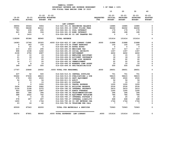| YAMHILL COUNTY                          |                       |
|-----------------------------------------|-----------------------|
| BUDGETARY REVENUE AND EXPENSE WORKSHEET | $8$ OF YEAR = $100\%$ |
| FOR FISCAL VEAR FULLER TINE 30 2023     |                       |

|               |                         |                          | FOR FISCAL YEAR ENDING JUNE 30 2023    |                  |                 |                 |                 |                |
|---------------|-------------------------|--------------------------|----------------------------------------|------------------|-----------------|-----------------|-----------------|----------------|
|               |                         |                          |                                        |                  | 10              | 20              | 30              | 40             |
|               |                         | $21 - 22$                | $21 - 22$                              |                  | $22 - 23$       | $22 - 23$       | $22 - 23$       | $22 - 23$      |
| $19 - 20$     | $20 - 21$               |                          | ADOPTED BUDGETED                       | <b>REQUESTED</b> | INITIAL         | <b>PROPOSED</b> | <b>APPROVED</b> | <b>ADOPTED</b> |
| <b>ACTUAL</b> | <b>ACTUAL</b>           | <b>BUDGET FTE</b>        |                                        | <b>FTE</b>       | <b>BUDGET</b>   | <b>BUDGET</b>   | <b>BUDGET</b>   | <b>BUDGET</b>  |
|               |                         |                          |                                        |                  |                 |                 |                 |                |
|               |                         |                          | <b>LAW LIBRARY</b>                     |                  |                 |                 |                 |                |
| 38904         | 35024                   | 5904                     | 014-026-301.01 BEGINNING BALANCE       |                  | 16985           | 16985           | 16985           | 0              |
| 77991         | 58448                   | 82412                    | 014-026-350.10 COURT FILING FEES       |                  | 84262           | 84262           | 84262           | 0              |
| 783           | 239                     | 295                      | 014-026-361.01 POOL INTEREST           |                  | 179             | 179             | 179             | 0              |
| 621           | 265                     | 334                      | 014-026-361.03 BOND INTEREST           |                  | 188             | 188             | 188             | 0              |
| $\Omega$      | 1410                    | $\overline{0}$           | 014-026-380.80 CO INT TRANFER FRO      |                  | $\mathbf{0}$    | $\Omega$        | $\Omega$        | $\Omega$       |
| 118299        | 95386                   | 88945                    | <b>TOTAL REVENUE</b>                   |                  | 101614          | 101614          | 101614          | 0              |
| 14083         | 15766                   | 20325                    | .4000 014-026-402.07 LAW LIBRARY CLERK | .4000            | 21888           | 21888           | 21888           | $\mathbf 0$    |
| 0             | 363                     | 100                      | 014-026-479.00 OTHER EARNINGS          |                  | 100             | 100             | 100             | 0              |
| 0             | 25                      | $\overline{\phantom{0}}$ | 014-026-480.00 EXTRA HOURS             |                  | $\mathbf 0$     | $\mathbf 0$     | $\mathbf 0$     | 0              |
| 210           | 243                     | 295                      | 014-026-490.00 MEDICARE TAX            |                  | 317             | 317             | 317             | 0              |
| 898           | 1038                    | 1260                     | 014-026-491.00 SOCIAL SECURITY         |                  | 1357            | 1357            | 1357            | 0              |
| 2108          | 2756                    | 4087                     | 014-026-492.00 RETIREMENT              |                  | 4402            | 4402            | 4402            | 0              |
| 10            | 10                      | 15                       | 014-026-493.12 EMPLOYEE ASSISTANC      |                  | 15              | 15              | 15              | 0              |
| 21            | 18                      | 20                       | 014-026-494.00 ACCIDENT INSURANCE      |                  | 18              | 18              | 18              | 0              |
| 15            | 17                      | 20                       | 014-026-494.80 TIME LOSS RESERVE       |                  | 22              | 22              | 22              | 0              |
| 14            | 17                      | 20                       | 014-026-495.00 UNEMPLOYMENT            |                  | 22              | 22              | 22              | 0              |
| - 9           | $_{\rm 8}$              | 10                       | 014-026-496.00 WORKERS COMP ASSES      |                  | 10              | 10              | 10              | 0              |
| 399           | 587                     | 500                      | 014-026-499.00 FET/VACATION/SICK       |                  | 500             | 500             | 500             | $\mathbf 0$    |
| 17767         | 20848                   | 26652                    | .4000 TOTAL FOR PERSONNEL              | .4000            | 28651           | 28651           | 28651           | $\mathbf 0$    |
| 437           | 52                      | 500                      | 014-026-510.01 CENTRAL SUPPLIES        |                  | 751             | 751             | 751             | 0              |
| 55662         | 57636                   | 48615                    | 014-026-513.03 PUBLICATIONS & DUE      |                  | 58615           | 58615           | 58615           | 0              |
| 578           | 359                     | 2500                     | 014-026-543.01 DEPT EQUIPMENT          |                  | 2500            | 2500            | 2500            | 0              |
| 54            | 53                      | 56                       | 014-026-611.01 AUDIT                   |                  | 56              | 56              | 56              | 0              |
| $\mathbf 0$   | $\overline{\mathbf{0}}$ | 15                       | 014-026-621.01 POSTAGE                 |                  | 15              | 15              | 15              | 0              |
| $\mathbf 0$   | $\mathbf{0}$            | 1200                     | 014-026-630.01 TRAVEL EXPENSE          |                  | 1200            | 1200            | 1200            | 0              |
| 2434          | 2434                    | 2482                     | 014-026-780.01 BUILDING RESERVE        |                  | 2530            | 2530            | 2530            | 0              |
| 2126          | 2168                    | 2372                     | 014-026-780.02 INTERNAL PROPERTY       |                  | 2410            | 2410            | 2410            | 0              |
| 843           | 1008                    | 1087                     | 014-026-780.03 ADMIN OVERHEAD          |                  | 1240            | 1240            | 1240            | 0              |
| 486           | 396                     | 396                      | 014-026-780.04 TELECOMMUNICATIONS      |                  | 396             | 396             | 396             | 0              |
| 688           | 2422                    | 742                      | 014-026-780.06 EQUIPMENT REPLACEM      |                  | 786             | 786             | 786             | 0              |
| $\mathbf{0}$  | $\mathbf{0}$            | 25                       | 014-026-780.17 INTERNAL POSTAGE C      |                  | 25              | 25              | 25              | 0              |
| 578           | 497                     | 497                      | 014-026-780.27 INTERNAL LIABILITY      |                  | 668             | 668             | 668             | 0              |
| 1600          | $\overline{\mathbf{0}}$ | 1764                     | 014-026-780.46 CO INT NETWORK CHA      |                  | 1764            | 1764            | 1764            | 0              |
| 23            | 18                      | 42                       | 014-026-780.54 TELECOMM PER CALL       |                  | $7\phantom{.0}$ | $7\phantom{.0}$ | $7\phantom{.0}$ | 0              |
| 65509         | 67043                   | 62293                    | TOTAL FOR MATERIALS & SERVICES         |                  | 72963           | 72963           | 72963           | 0              |
| 83276         | 87891                   | 88945                    | .4000 TOTAL EXPENSES LAW LIBRARY       | .4000            | 101614          | 101614          | 101614          | $\mathbf 0$    |
|               |                         |                          |                                        |                  |                 |                 |                 |                |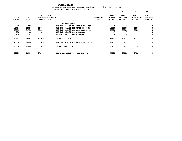**YAMHILL COUNTY BUDGETARY REVENUE AND EXPENSE WORKSHEET % OF YEAR = 100% FOR FISCAL YEAR ENDING JUNE 30 2023 10 20 30 40 21-22 21-22 22-23 22-23 22-23 22-23 ADOPTED 19-20 20-21 ADOPTED BUDGETED REQUESTED INITIAL PROPOSED APPROVED ADOPTED ACTUAL ACTUAL BUDGET FTE FTE BUDGET BUDGET BUDGET BUDGET -------------------------------------------------------------------------------- ------------------------------------------------- COUNTY SCHOOL 48 133 0 015-085-301.01 BEGINNING BALANCE 0 0 0 0**  $\mathbf{o}$  **10796 11050 12000 015-085-311.06 ELECTRIC COOP TAX 12000 12000 12000 0**  $\mathbf{o}$  **38859 34738 85000 015-085-332.02 FEDERAL FOREST FUN 85000 85000 85000 0**  $\mathbf 0$  **230 63 87 015-085-361.01 POOL INTEREST 47 47 47 0**  $\mathbf{o}$  **200 107 22 015-085-361.03 BOND INTEREST 76 76 76 0 50133 46091 97109 TOTAL REVENUE 97123 97123 97123 0 50000 46000 97109 015-085-940.01 DISTRIBUTIONS TO S 97123 97123 97123 0 50000 46000 97109 TOTAL FOR 900-999 97123 97123 97123 0 =================================== 50000 46000 97109 TOTAL EXPENSES COUNTY SCHOOL 97123 97123 97123 0**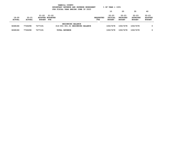|                            | YAMHILL COUNTY<br>$8$ OF YEAR = 100 $8$<br>BUDGETARY REVENUE AND EXPENSE WORKSHEET<br>FOR FISCAL YEAR ENDING JUNE 30 2023 |                                                |                          |                                  |                          |                                       |                                               |                                               |                                              |  |
|----------------------------|---------------------------------------------------------------------------------------------------------------------------|------------------------------------------------|--------------------------|----------------------------------|--------------------------|---------------------------------------|-----------------------------------------------|-----------------------------------------------|----------------------------------------------|--|
|                            |                                                                                                                           |                                                |                          |                                  |                          | 10                                    | 20                                            | 30                                            | 40                                           |  |
| $19 - 20$<br><b>ACTUAL</b> | $20 - 21$<br><b>ACTUAL</b>                                                                                                | $21 - 22$<br>ADOPTED BUDGETED<br><b>BUDGET</b> | 21-22<br>FTE             |                                  | <b>REOUESTED</b><br>FTE. | $22 - 23$<br>INITIAL<br><b>BUDGET</b> | $22 - 23$<br><b>PROPOSED</b><br><b>BUDGET</b> | $22 - 23$<br><b>APPROVED</b><br><b>BUDGET</b> | $22 - 23$<br><b>ADOPTED</b><br><b>BUDGET</b> |  |
| 8268186                    | 7726298                                                                                                                   | 7277191                                        | <b>BEGINNING BALANCE</b> | 016-001-301.01 BEGINNING BALANCE |                          | 10617478                              | 10617478                                      | 10617478                                      | 0                                            |  |
| 8268186                    | 7726298                                                                                                                   | 7277191                                        | <b>TOTAL REVENUE</b>     |                                  |                          | 10617478                              | 10617478                                      | 10617478                                      | 0                                            |  |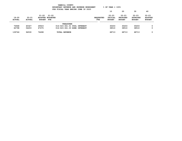|                     |                            |                            |                                  | YAMHILL COUNTY<br>BUDGETARY REVENUE AND EXPENSE WORKSHEET<br>FOR FISCAL YEAR ENDING JUNE 30 2023 |                          | $8$ OF YEAR = 100 $8$                 |                                               |                                               |                                              |
|---------------------|----------------------------|----------------------------|----------------------------------|--------------------------------------------------------------------------------------------------|--------------------------|---------------------------------------|-----------------------------------------------|-----------------------------------------------|----------------------------------------------|
|                     |                            |                            |                                  |                                                                                                  |                          | 10                                    | 20                                            | 30                                            | 40                                           |
| $19 - 20$<br>ACTUAL | $20 - 21$<br><b>ACTUAL</b> | $21 - 22$<br><b>BUDGET</b> | 21-22<br>ADOPTED BUDGETED<br>FTE |                                                                                                  | <b>REOUESTED</b><br>FTE. | $22 - 23$<br>INITIAL<br><b>BUDGET</b> | $22 - 23$<br><b>PROPOSED</b><br><b>BUDGET</b> | $22 - 23$<br><b>APPROVED</b><br><b>BUDGET</b> | $22 - 23$<br><b>ADOPTED</b><br><b>BUDGET</b> |
|                     |                            |                            |                                  | TREASURER                                                                                        |                          |                                       |                                               |                                               |                                              |
| 76948               | 40327                      | 29023                      |                                  | 016-023-361.01 POOL INTEREST                                                                     |                          | 30203                                 | 30203                                         | 30203                                         | 0                                            |
| 62798               | 54203                      | 47475                      |                                  | 016-023-361.03 BOND INTEREST                                                                     |                          | 38510                                 | 38510                                         | 38510                                         | 0                                            |
| 139746              | 94530                      | 76498                      |                                  | <b>TOTAL REVENUE</b>                                                                             |                          | 68713                                 | 68713                                         | 68713                                         | 0                                            |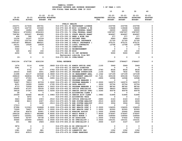|                 |                          |                          |                                         |               |                                                                               |                  | 10                   | 20                           | 30                           | 40                          |
|-----------------|--------------------------|--------------------------|-----------------------------------------|---------------|-------------------------------------------------------------------------------|------------------|----------------------|------------------------------|------------------------------|-----------------------------|
| $19 - 20$       | $20 - 21$                |                          | $21 - 22$ $21 - 22$<br>ADOPTED BUDGETED |               |                                                                               | <b>REQUESTED</b> | $22 - 23$<br>INITIAL | $22 - 23$<br><b>PROPOSED</b> | $22 - 23$<br><b>APPROVED</b> | $22 - 23$<br><b>ADOPTED</b> |
| <b>ACTUAL</b>   | <b>ACTUAL</b>            | BUDGET FTE               |                                         |               |                                                                               | FTE              | <b>BUDGET</b>        | <b>BUDGET</b>                | <b>BUDGET</b>                | <b>BUDGET</b>               |
|                 |                          |                          |                                         |               |                                                                               |                  |                      |                              |                              |                             |
|                 |                          |                          |                                         | PUBLIC HEALTH |                                                                               |                  |                      |                              |                              |                             |
| 232371          | 217636                   | 285761                   |                                         |               | 016-070-321.01 RESTAURANT LICENSE                                             |                  | 233796               | 233796                       | 233796                       | 0                           |
| 118075          | 122730                   | 103340                   |                                         |               | 016-070-322.99 MISC LICENSES & PE                                             |                  | 118448               | 118448                       | 118448                       | 0<br>0                      |
| 39530<br>798414 | 16284<br>4730953         | 24000<br>2004303         |                                         |               | 016-070-331.15 CFDA FEDERAL GRANT<br>016-070-331.72 CFAA FEDERAL GRANT        |                  | 24000<br>1587097     | 24000<br>1587097             | 24000<br>1587097             | 0                           |
| 728780          | 525297                   | 804995                   |                                         |               | 016-070-334.11 STATE HEALTH GRANT                                             |                  | 804997               | 804997                       | 804997                       | 0                           |
| 404             | 390                      | 377                      |                                         |               | 016-070-335.12 BEER & WINE TAX                                                |                  | 377                  | 377                          | 377                          | 0                           |
| 12106           | 10197                    | 12159                    |                                         |               | 016-070-346.10 PATIENT FEES                                                   |                  | 6993                 | 6993                         | 6993                         | 0                           |
| 33703           | 122730                   | 18291                    |                                         |               | 016-070-346.11 PRIVATE INSURANCE                                              |                  | 21720                | 21720                        | 21720                        | 0                           |
| 1043187         | 986241                   | 986221                   |                                         |               | 016-070-346.12 PUBLIC INSURANCE (                                             |                  | 970131               | 970131                       | 970131                       | 0                           |
| 24151           | 15028                    | 16639                    |                                         |               | 016-070-346.13 LOCAL CONTRACTS                                                |                  | 13768                | 13768                        | 13768                        | 0                           |
| 2445            | 0                        | $\mathbf 0$              |                                         |               | 016-070-362.03 DONATIONS                                                      |                  | 0                    | $\mathbf 0$                  | 0                            | 0                           |
| 5342            | $\mathbf{o}$             | 0                        |                                         |               | 016-070-362.12 REIMBURSEMENT                                                  |                  | 0                    | $\mathbf 0$                  | 0                            | 0                           |
| 365             | 202                      | 150                      | 016-070-362.99 MISC                     |               |                                                                               |                  | 100                  | 100                          | 100                          | 0                           |
| 2250            | 50                       | 5000                     |                                         |               | 016-070-380.01 CO INT REVENUE                                                 |                  | 5000                 | 5000                         | 5000                         | 0                           |
|                 |                          |                          |                                         |               | Restaurant subsidy from BOC                                                   |                  |                      |                              |                              |                             |
| $19 -$          | $\mathbf 0$              | 0                        |                                         |               | 016-070-389.01 OVER/SHORT                                                     |                  | 0                    | 0                            | 0                            | 0                           |
|                 |                          |                          |                                         |               |                                                                               |                  |                      |                              |                              |                             |
| 3041104         | 6747738                  | 4261236                  | <b>TOTAL REVENUE</b>                    |               |                                                                               |                  | 3786427              | 3786427                      | 3786427                      | 0                           |
| 1674            | 3116                     | 4358                     |                                         |               | .0869 016-070-401.02 ADMIN OFFICE SPEC                                        | .1100            | 5949                 | 5949                         | 5949                         | 0                           |
| 5081            | $\overline{\phantom{0}}$ | $\overline{\phantom{0}}$ |                                         |               | 016-070-401.16 ASSIST DIRECTOR                                                |                  | $\mathbf 0$          | $\mathbf 0$                  | $\mathbf{o}$                 | 0                           |
| 0               | 5731                     | 7977                     |                                         |               | .0783 016-070-401.18 HHS ADMIN SERVICES                                       | .0783            | 8536                 | 8536                         | 8536                         | 0                           |
| 29333           | 5065                     | 6001                     |                                         |               | .0869  016-070-401.25  PROGRAM SUPERVISOR                                     | .1100            | 7832                 | 7832                         | 7832                         | 0                           |
| 21698           | 32137                    | 143048                   |                                         |               | 2.0869 016-070-401.30 SR MANAGEMENT ANAL                                      | 2.1042           | 147199               | 147199                       | 147199                       | 0                           |
| 268418          | 346834                   | 507848                   |                                         |               | 8.1739 016-070-401.32 MANAGEMENT ANALYST                                      | 10.7141          | 655108               | 655108                       | 716323                       | 0                           |
| 15237           | 37350                    | 11882                    | .0955 016-070-401.33 HHS DIRECTOR       |               |                                                                               | .0955            | 12598                | 12598                        | 12598                        | 0                           |
| 84836           | 1886                     | $\mathbf 0$              |                                         |               | 016-070-401.35 PROGRAM MANAGER 3                                              |                  | 0                    | $\mathbf 0$                  | 0                            | 0                           |
| 70667           | 79213                    | 83709                    |                                         |               | 1.0000 016-070-401.37 PROGRAM MANAGER 1                                       | 2.0000           | 160570               | 160570                       | 160570                       | 0                           |
| 8231            | 16289                    | 16699                    | .2765 016-070-401.48 DATA ANALYST       |               |                                                                               | .3226            | 20704                | 20704                        | 20704                        | 0                           |
| 4713            | 70939                    | 82963                    |                                         |               | 1.0003 016-070-401.55 PROGRAM MANAGER 4                                       | 1.0003           | 88740                | 88740                        | 88740                        | 0                           |
| 59695           | 47197                    | 35034                    |                                         |               | 1.0000 016-070-402.02 OFFICE SPECIALIST                                       | .9999            | 38003                | 38003                        | 38003                        | 0                           |
| 34018<br>28     | 37347<br>$\mathbf{o}$    | 42443<br>0               |                                         |               | 1.0256 016-070-402.03 SENIOR OFFICE SPEC<br>016-070-402.04 ACCOUNTING CLERK 2 | 1.0240           | 40078<br>0           | 40078<br>0                   | 40078<br>0                   | 0<br>0                      |
| 25549           | 42486                    | 48196                    |                                         |               | 1.0983 016-070-402.14 SENIOR ACCT CLERK                                       | 1.0983           | 51894                | 51894                        | 51894                        | 0                           |
| $\mathbf{o}$    | 3072                     | $\mathbf 0$              |                                         |               | 016-070-402.15 ACCOUNTING TECH                                                |                  | 0                    | 0                            | 0                            | 0                           |
| 3643            | 3908                     | 2303                     |                                         |               | .0510  016-070-402.20 OFFICE SPECIALIST                                       | .0483            | 2143                 | 2143                         | 2143                         | 0                           |
| 6968            | 8613                     | 4307                     |                                         |               | .0513 016-070-403.70 EHR SYSTEM ANALYST                                       | .0513            | 4439                 | 4439                         | 4439                         | 0                           |
| 0               | 0                        | 3400                     |                                         |               | .0513 016-070-403.74 EHR SYSTEM ANALYST                                       | .0513            | 3504                 | 3504                         | 3504                         | 0                           |
| 17013           | 0                        | $\mathbf{o}$             |                                         |               | 016-070-406.01 ENV HEALTH SPEC 1                                              |                  | 0                    | $\mathbf 0$                  | 0                            | 0                           |
| 87996           | 113323                   | 124868                   |                                         |               | 2.0000 016-070-406.02 ENV HEALTH SPEC 2                                       | 2.0000           | 134205               | 134205                       | 134205                       | 0                           |
| 73269           | 76607                    | 80875                    |                                         |               | 1.0000 016-070-406.03 ENV HEALTH SPEC 3                                       | 1.0000           | 83320                | 83320                        | 83320                        | 0                           |
| 60724           | 85679                    | 50901                    | 1.0000 016-070-406.05 NURSING ASSIST    |               |                                                                               | 1.0000           | 52440                | 52440                        | 52440                        | 0                           |
| 294318          | 363517                   | 482888                   | 6.8000 016-070-406.07 REGIS NURSE 2     |               |                                                                               | 7.8000           | 574597               | 574597                       | 574597                       | 0                           |
| 106972          | 122051                   | 109061                   | .8000 016-070-406.08 REGIS NURSE 3      |               |                                                                               | .8000            | 109060               | 109060                       | 109060                       | 0                           |
| 50495           | 52797                    | 55738                    | 1.0000 016-070-406.20 HS ASSOCIATE      |               |                                                                               | 1.0000           | 57422                | 57422                        | 57422                        | 0                           |
| 35640           | 153000                   | 109261                   |                                         |               | 2.0500 016-070-406.22 HS SPECIALIST 1                                         | 3.0500           | 163141               | 163141                       | 163141                       | 0                           |
| 221             | 582                      | 2926                     |                                         |               | .0500 016-070-406.23 HS SPECIALIST 2                                          | .0500            | 3147                 | 3147                         | 3147                         | 0                           |
| 3874            | 0                        | 0                        |                                         |               | 016-070-406.24 HS SPECIALIST 3                                                |                  | 0                    | 0                            | 0                            | 0                           |
| 16              | 0                        | 0                        |                                         |               | 016-070-474.00 SHIFT DIFF                                                     |                  | 0                    | 0                            | 0                            | 0                           |
| 1381            | 2505                     | 881                      |                                         |               | 016-070-475.00 LONGEVITY PAY                                                  |                  | 1352                 | 1352                         | 1352                         | 0                           |
| 2612            | 43513                    | 3694                     |                                         |               | 016-070-479.00 OTHER EARNINGS                                                 |                  | 18562                | 18562                        | 18562                        | 0                           |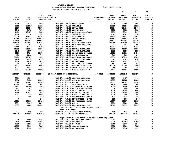|               |               |                   |                               |                                                                                       |                  | 10                          | 20                           | 30                           | 40                          |
|---------------|---------------|-------------------|-------------------------------|---------------------------------------------------------------------------------------|------------------|-----------------------------|------------------------------|------------------------------|-----------------------------|
|               |               |                   |                               |                                                                                       |                  |                             |                              |                              |                             |
| $19 - 20$     | $20 - 21$     | $21 - 22$         | $21 - 22$<br>ADOPTED BUDGETED |                                                                                       | <b>REQUESTED</b> | $22 - 23$<br><b>INITIAL</b> | $22 - 23$<br><b>PROPOSED</b> | $22 - 23$<br><b>APPROVED</b> | $22 - 23$<br><b>ADOPTED</b> |
| <b>ACTUAL</b> | <b>ACTUAL</b> | <b>BUDGET FTE</b> |                               |                                                                                       | <b>FTE</b>       | <b>BUDGET</b>               | <b>BUDGET</b>                | <b>BUDGET</b>                | <b>BUDGET</b>               |
|               |               |                   |                               |                                                                                       |                  |                             |                              |                              |                             |
| 1989          | 2546          | 3000              | 016-070-480.00 EXTRA HOURS    |                                                                                       |                  | 3000                        | 3000                         | 3000                         | 0                           |
| 1903          | 22885         | 26950             | 016-070-481.00 OVERTIME       |                                                                                       |                  | 21950                       | 21950                        | 21950                        | 0                           |
| 3650          | 49336         | 75970             | 016-070-482.00 EXTRA HELP     |                                                                                       |                  | 29484                       | 29484                        | 29484                        | 0                           |
| 9242          | 9175          | 7875              | 016-070-484.00 BEEPER PAY     |                                                                                       |                  | 3938                        | 3938                         | 3938                         | 0                           |
| 7421          | 10457         | 5057              |                               | 016-070-485.00 CERTIFICATION/EDUC                                                     |                  | 2999                        | 2999                         | 2999                         | $\mathbf 0$                 |
| 1614          | 3734          | 1260              | 016-070-486.00 INCENTIVE PAY  |                                                                                       |                  | 1341                        | 1341                         | 1341                         | 0                           |
| 20058         | 26691         | 29148             | 016-070-490.00 MEDICARE TAX   |                                                                                       |                  | 32452                       | 32452                        | 32452                        | 0                           |
| 85768         | 114134        | 124632            |                               | 016-070-491.00 SOCIAL SECURITY                                                        |                  | 141893                      | 141893                       | 141893                       | 0                           |
| 215614        | 295141        | 389046            | 016-070-492.00 RETIREMENT     |                                                                                       |                  | 457307                      | 457307                       | 457307                       | 0                           |
| 393479        | 490507        | 608758            |                               | 016-070-493.10 MEDICAL INSURANCE                                                      |                  | 741756                      | 741756                       | 741756                       | 0                           |
| 614           | 707           | 810               |                               | 016-070-493.12 EMPLOYEE ASSISTANC                                                     |                  | 901                         | 901                          | 901                          | 0                           |
| 27449         | 31233         | 35184             | 016-070-493.15 VEBA           |                                                                                       |                  | 43217                       | 43217                        | 43217                        | 0                           |
| 34085         | 36254         | 42387             |                               | 016-070-493.20 DENTAL INSURANCE                                                       |                  | 46058                       | 46058                        | 46058                        | 0                           |
| 3545          | 4007          | 4496              |                               | 016-070-493.25 VISION INSURANCE                                                       |                  | 5238                        | 5238                         | 5238                         | 0                           |
| 8020          | 9720          | 12970             |                               | 016-070-493.31 SHORT TERM DISABIL                                                     |                  | 14309                       | 14309                        | 14309                        | 0                           |
| 436<br>20403  | 1095          | 762<br>9509       |                               | 016-070-493.40 LIFE INSURANCE                                                         |                  | 869                         | 869<br>13094                 | 869                          | 0<br>0                      |
| 1488          | 17729<br>1872 | 2160              |                               | 016-070-494.00 ACCIDENT INSURANCE<br>016-070-494.80 TIME LOSS RESERVE                 |                  | 13094<br>2549               | 2549                         | 13094<br>2549                | 0                           |
| 1404          | 1870          | 2033              | 016-070-495.00 UNEMPLOYMENT   |                                                                                       |                  | 2397                        | 2397                         | 2397                         | 0                           |
| 519           | 616           | 765               |                               | 016-070-496.00 WORKERS COMP ASSES                                                     |                  | 897                         | 897                          | 897                          | 0                           |
| 5972          | 15061         | 4600              |                               | 016-070-499.00 FET/VACATION/SICK                                                      |                  | 20006                       | 20006                        | 20006                        | 0                           |
| 1972          | 1929          | 250               |                               | 016-070-499.98 COMP TIME LIABILIT                                                     |                  | 256                         | 256                          | 256                          | 0                           |
| 6792          | 42768         | 14501             |                               | 016-070-499.99 VACATION LIAB. ADJ                                                     |                  | 14507                       | 14507                        | 14507                        | $\Omega$                    |
|               |               |                   |                               |                                                                                       |                  |                             |                              |                              |                             |
| 2227757       | 2944224       | 3423384           | 30.8627 TOTAL FOR PERSONNEL   |                                                                                       | 36.5081          | 4044961                     | 4044961                      | 4106176                      | 0                           |
| 3316          | 4504          | 4400              |                               | 016-070-510.01 CENTRAL SUPPLIES                                                       |                  | 4407                        | 4407                         | 4407                         | 0                           |
| 9950          | 9158          | 11002             |                               | 016-070-511.99 MISC OP SUPPLIES                                                       |                  | 11005                       | 11005                        | 11005                        | 0                           |
| 85924         | 46009         | 48387             | 016-070-512.01 DRUGS          |                                                                                       |                  | 71387                       | 71387                        | 71387                        | 0                           |
| 40962         | 6844          | 7400              | 016-070-512.03 LAB MATERIALS  |                                                                                       |                  | 7400                        | 7400                         | 7400                         | 0                           |
| 14612         | 11280         | 7500              |                               | 016-070-512.04 LABORATORY EXPENSE                                                     |                  | 9500                        | 9500                         | 9500                         | 0                           |
| 311           | 241           | 398               |                               | 016-070-513.01 EDUCATIONAL MATERI                                                     |                  | 406                         | 406                          | 406                          | 0                           |
| 6914          | 7357          | 4999              |                               | 016-070-513.03 PUBLICATIONS & DUE                                                     |                  | 5009                        | 5009                         | 5009                         | 0                           |
| 1869          | 17427         | 999               |                               | 016-070-543.01 DEPT. EQUIPMENT                                                        |                  | 1006                        | 1006                         | 1006                         | 0                           |
| 4787          | 6326          | 6999              |                               | 016-070-583.02 DATA PROCESSING SU                                                     |                  | 7008                        | 7008                         | 7008                         | 0                           |
| 734           | 162           | 146               |                               | 016-070-610.01 PROFESSIONAL SERVI                                                     |                  | 171                         | 171                          | 171                          | 0                           |
| 0             | 0             | 200               |                               | 016-070-610.24 INTERPRETER SERVIC                                                     |                  | 200                         | 200                          | 200                          | 0                           |
| 12001         | 12001         | 12628             |                               | 016-070-610.25 PROFESSIONAL CONTR                                                     |                  | 12057                       | 12057                        | 12057                        | 0                           |
| 2334<br>2595  | 2166<br>4603  | 2260              | 016-070-611.01 AUDIT          |                                                                                       |                  | 2281<br>24511               | 2281                         | 2281                         | 0<br>0                      |
|               |               | 314508            |                               | 016-070-611.02 CONTRACT SERVICES<br>Contract for Relias and digital health            |                  |                             | 24511                        | 24511                        |                             |
|               |               |                   | record storage                |                                                                                       |                  |                             |                              |                              |                             |
| 521           | 450           | 562               |                               | 016-070-611.03 JANITORIAL CONTRAC                                                     |                  | 619                         | 619                          | 619                          | 0                           |
| 236929        | 328986        | 304300            |                               | 016-070-611.30 GRANT EXPENSES                                                         |                  | 282025                      | 282025                       | 282025                       | 0                           |
|               |               |                   |                               |                                                                                       |                  |                             |                              |                              |                             |
| 6089          | 1550          | 8756              |                               | Population health activities and direct expenses<br>016-070-612.02 SCHOOLS AND CONFER |                  | 8762                        | 8762                         | 8762                         | 0                           |
| 17482         | 14001         | 12998             | 016-070-620.01 TELEPHONE      |                                                                                       |                  | 13006                       | 13006                        | 13006                        | 0                           |
| 1958          | 2993          | 3962              | 016-070-621.01 POSTAGE        |                                                                                       |                  | 3968                        | 3968                         | 3968                         | 0                           |
| 11085         | 5598          | 7320              |                               | 016-070-630.01 TRAVEL EXPENSE                                                         |                  | 7320                        | 7320                         | 7320                         | 0                           |
| 1926          | 1993          | 4990              | 016-070-640.01 ADVERTISING    |                                                                                       |                  | 4998                        | 4998                         | 4998                         | $\Omega$                    |
|               |               |                   |                               |                                                                                       |                  |                             |                              |                              |                             |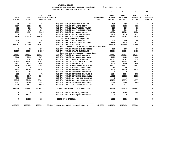|               |               |                   |                  |                                      | FOR FISCAL IEAR ENDING OUNE JU ZUZJ         |                  |               |                 |                 |                |
|---------------|---------------|-------------------|------------------|--------------------------------------|---------------------------------------------|------------------|---------------|-----------------|-----------------|----------------|
|               |               |                   |                  |                                      |                                             |                  | 10            | 20              | 30              | 40             |
|               |               | $21 - 22$         | $21 - 22$        |                                      |                                             |                  | $22 - 23$     | $22 - 23$       | $22 - 23$       | $22 - 23$      |
| $19 - 20$     | $20 - 21$     |                   | ADOPTED BUDGETED |                                      |                                             | <b>REQUESTED</b> | INITIAL       | <b>PROPOSED</b> | <b>APPROVED</b> | <b>ADOPTED</b> |
| <b>ACTUAL</b> | <b>ACTUAL</b> | <b>BUDGET FTE</b> |                  |                                      |                                             | <b>FTE</b>       | <b>BUDGET</b> | <b>BUDGET</b>   | <b>BUDGET</b>   | <b>BUDGET</b>  |
|               |               |                   |                  |                                      |                                             |                  |               |                 |                 |                |
| 89            | 69            | 451               |                  |                                      | 016-070-650.01 EQUIPMENT LEASE              |                  | 495           | 495             | 495             | 0              |
| 9527          | 9129          | 9345              |                  | 016-070-652.01 BUILDING RENT         |                                             |                  | 6313          | 6313            | 6313            | 0              |
| 423           | 399           | 735               |                  |                                      | 016-070-670.02 HEAT/LIGHTS/WATER            |                  | 530           | 530             | 530             | $\mathbf 0$    |
| 555           | 673           | 398               |                  |                                      | 016-070-683.01 COPY MACHINES/MAIN           |                  | 506           | 506             | 506             | 0              |
| 7083          | 4356          | 5186              |                  |                                      | 016-070-683.02 DP EQUIP MAINT               |                  | 11526         | 11526           | 11526           | $\mathbf 0$    |
| $\mathbf{0}$  | 350           | 3708              |                  |                                      | 016-070-695.13 PERMITS/LICENSES             |                  | 2770          | 2770            | 2770            | 0              |
| 4906          | 106114        | 124247            |                  | 016-070-699.01 OTHER EXPENSE         |                                             |                  | 84369         | 84369           | 84369           | 0              |
|               |               |                   |                  |                                      | COVID-19 pandemic expenses                  |                  |               |                 |                 |                |
| 220           | 11            | 200               |                  | 016-070-699.07 WRAP SERVICES         |                                             |                  | 400           | 400             | 400             | 0              |
| $\mathbf{0}$  | 7095          | 6431              |                  |                                      | 016-070-699.08 BANK SERVICE CHARG           |                  | 6339          | 6339            | 6339            | 0              |
| 256241        | 207180        | 241036            |                  | 016-070-699.09 PAYBACK               |                                             |                  | 228609        | 228609          | 228609          | $\Omega$       |
|               |               |                   |                  |                                      | Local match sent to State for federal funds |                  |               |                 |                 |                |
| $\mathbf{1}$  | 55            | 100               |                  |                                      | 016-070-699.14 OTHER OHP EXPENSES           |                  | 100           | 100             | 100             | 0              |
| 21580         | 26554         | 24236             |                  |                                      | 016-070-730.02 STATE SURCHARGE              |                  | 24236         | 24236           | 24236           | $\mathbf 0$    |
|               |               |                   |                  |                                      | Tourist and restaurant state fees           |                  |               |                 |                 |                |
| 103720        | 100202        | 113387            |                  |                                      | 016-070-780.01 BUILDING RESERVE             |                  | 126006        | 126006          | 126006          | 0              |
| 2760          | 2814          | 3079              |                  |                                      | 016-070-780.02 INTERNAL PROPERTY            |                  | 4421          | 4421            | 4421            | 0              |
| 56651         | 57927         | 66784             |                  | 016-070-780.03 ADMIN OVERHEAD        |                                             |                  | 91967         | 91967           | 91967           | 0              |
| 20155         | 16507         | 17827             |                  |                                      | 016-070-780.04 TELECOMMUNICATIONS           |                  | 16395         | 16395           | 16395           | 0              |
| 5602          | 6035          | 6500              |                  | 016-070-780.05 MOTOR POOL            |                                             |                  | 6500          | 6500            | 6500            | 0              |
| 15606         | 20488         | 21986             |                  |                                      | 016-070-780.06 EQUIPMENT REPLACEM           |                  | 25977         | 25977           | 25977           | $\mathbf 0$    |
| $\mathbf{0}$  | $\mathbf{0}$  | 40                |                  |                                      | 016-070-780.09 MANUAL CHECK CHARG           |                  | 40            | 40              | 40              | $\pmb{0}$      |
| 11404         | 11282         | 14303             |                  |                                      | 016-070-780.15 COMPUTER SERVICES            |                  | 14320         | 14320           | 14320           | 0              |
| 122           | 53            | $\mathbf{o}$      |                  |                                      | 016-070-780.16 INTERNAL CONTRACT            |                  | $\Omega$      | $\mathbf 0$     | 0               | 0              |
| 353           | 496           | 472               |                  |                                      | 016-070-780.17 INTERNAL POSTAGE C           |                  | 1014          | 1014            | 1014            | 0              |
| 9966          | 8567          | 8568              |                  |                                      | 016-070-780.27 INTERNAL LIABILITY           |                  | 11515         | 11515           | 11515           | $\mathbf 0$    |
| $903 -$       | 5015          | $\mathbf 0$       |                  |                                      | 016-070-780.44 CO INT PEL RESERVE           |                  | $\mathbf{0}$  | $\mathbf{0}$    | $\mathbf 0$     | 0              |
| 25545         | 32438         | 37069             |                  |                                      | 016-070-780.46 CO INT NETWORK CHA           |                  | 43779         | 43779           | 43779           | 0              |
| 9307          | 31504         | 5351              |                  |                                      | 016-070-780.54 TELECOMM PER CALL            |                  | 6064          | 6064            | 6064            | 0              |
| 2504          | 2439          | 2823              |                  |                                      | 016-070-780.55 INT LEGAL SERVICES           |                  | 3177          | 3177            | 3177            | 0              |
| 1025716       | 1141401       | 1478976           |                  |                                      | TOTAL FOR MATERIALS & SERVICES              |                  | 1194414       | 1194414         | 1194414         | 0              |
| 0             | $\Omega$      | 955               |                  | 016-070-800.80 DEPT EQUIPMENT        |                                             |                  | 1059          | 1059            | 1059            | 0              |
| $\mathbf{0}$  | 14231         | $\mathbf{0}$      |                  |                                      | 016-070-801.04 DP EQUIP PURCHASE            |                  | $^{\circ}$    | $\mathbf{0}$    | $\Omega$        | 0              |
| $\mathbf{0}$  | 14231         | 955               |                  | TOTAL FOR CAPITAL                    |                                             |                  | 1059          | 1059            | 1059            | 0              |
| 3253473       | 4099856       | 4903315           |                  | 30.8627 TOTAL EXPENSES PUBLIC HEALTH |                                             | 36.5081          | 5240434       | 5240434         | 5301649         | 0              |
|               |               |                   |                  |                                      |                                             |                  |               |                 |                 |                |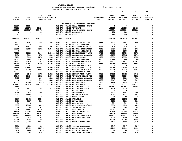|                        |                          |                          |                     |                                    |                                            |                  | 10                      | 20                       | 30                       | 40                  |
|------------------------|--------------------------|--------------------------|---------------------|------------------------------------|--------------------------------------------|------------------|-------------------------|--------------------------|--------------------------|---------------------|
|                        |                          |                          | $21 - 22$ $21 - 22$ |                                    |                                            |                  | 22-23                   | 22-23                    | $22 - 23$                | $22 - 23$           |
| $19 - 20$              | $20 - 21$                |                          | ADOPTED BUDGETED    |                                    |                                            | <b>REQUESTED</b> | <b>INITIAL</b>          | <b>PROPOSED</b>          | <b>APPROVED</b>          | <b>ADOPTED</b>      |
| <b>ACTUAL</b>          | <b>ACTUAL</b>            | <b>BUDGET FTE</b>        |                     |                                    |                                            | FTE              | <b>BUDGET</b>           | <b>BUDGET</b>            | <b>BUDGET</b>            | <b>BUDGET</b>       |
|                        |                          |                          |                     |                                    |                                            |                  |                         |                          |                          |                     |
|                        |                          |                          |                     |                                    | VETERANS & DISABILITY SERVICES             |                  |                         |                          |                          |                     |
| 30380                  | 16216                    | $\mathbf 0$              |                     |                                    | 016-071-331.72 CFAA FEDERAL GRANT          |                  | 0                       | $\mathbf 0$              | 0                        | 0                   |
| 97689                  | 118973                   | 116245                   |                     | 016-071-334.09 VETERANS            |                                            |                  | 124958                  | 124958                   | 124958                   | 0<br>0              |
| 3249291<br>$\mathbf 0$ | 3040327<br>$\mathbf{0}$  | 3374713<br>100           |                     | 016-071-362.03 DONATIONS           | 016-071-334.11 STATE HEALTH GRANT          |                  | 4282836<br>100          | 4282836<br>100           | 4282836<br>100           | 0                   |
| 65                     | 57                       | 120                      |                     | 016-071-362.99 MISC                |                                            |                  | 120                     | 120                      | 120                      | 0                   |
|                        |                          |                          |                     |                                    |                                            |                  |                         |                          |                          |                     |
| 3377425                | 3175573                  | 3491178                  |                     | <b>TOTAL REVENUE</b>               |                                            |                  | 4408014                 | 4408014                  | 4408014                  | $\mathbf 0$         |
| 1422                   | 3192                     | 3466                     |                     |                                    | .0692  016-071-401.02  ADMIN OFFICE SPEC   | .0815            | 4403                    | 4403                     | 4403                     | 0                   |
| 1617                   | $\mathbf 0$              | $\overline{\mathbf{0}}$  |                     |                                    | 016-071-401.16 ASSIST DIRECTOR             |                  | $\overline{\mathbf{0}}$ | $\mathbf 0$              | $\mathbf 0$              | 0                   |
| $^{\circ}$             | 15514                    | 8582                     |                     |                                    | .0841 016-071-401.18 HHS ADMIN SERVICES    | .0841            | 9179                    | 9179                     | 9179                     | 0                   |
| 65518                  | 70028                    | 73832                    |                     |                                    | 1.0692 016-071-401.25 PROGRAM SUPERVISOR   | .0815            | 5796                    | 5796                     | 5796                     | 0                   |
| $\mathbf{o}$           | $\mathbf 0$              | $\overline{\phantom{0}}$ |                     |                                    | 016-071-401.28 PROGRAM MANAGER 2           | .1000            | 9308                    | 9308                     | 9308                     | 0                   |
| 75083                  | 81921                    | 86468                    |                     |                                    | 1.0692 016-071-401.30 SR MANAGEMENT ANAL   | 1.0772           | 89750                   | 89750                    | 89750                    | $\mathsf{o}\xspace$ |
| 4470                   | 8111                     | 8758                     |                     |                                    | .1383  016-071-401.32  MANAGEMENT  ANALYST | .1587            | 10795                   | 10795                    | 10795                    | 0                   |
| 8189                   | 9193                     | 12787                    |                     | .1027 016-071-401.33 HHS DIRECTOR  |                                            | .1027            | 13554                   | 13554                    | 13554                    | 0                   |
| 81309                  | 32442                    | 79852                    |                     |                                    | 1.0000 016-071-401.35 PROGRAM MANAGER 3    | 1.0000           | 85444                   | 85444                    | 85444                    | 0                   |
| 52711                  | 67810                    | 71896                    |                     |                                    | 1.0000 016-071-401.37 PROGRAM MANAGER 1    | 2.0000           | 151673                  | 151673                   | 151673                   | 0                   |
| 62745                  | 70992                    | 81900                    |                     | 1.3043 016-071-401.48 DATA ANALYST |                                            | 1.3289           | 86484                   | 86484                    | 86484                    | 0                   |
| 11358                  | 252                      | $\overline{\phantom{0}}$ |                     |                                    | 016-071-401.55 PROGRAM MANAGER 4           |                  | 0                       | $\mathbf 0$              | 0                        | 0                   |
| 96168                  | 105892                   | 116642                   |                     |                                    | 3.0000 016-071-402.02 OFFICE SPECIALIST    | 5.0000           | 191046                  | 191046                   | 191046                   | 0                   |
| 12143                  | 42360                    | 48567                    |                     |                                    | 1.0000 016-071-402.03 SENIOR OFFICE SPEC   | 1.0000           | 50035                   | 50035                    | 50035                    | 0                   |
| 33374                  | $\overline{\mathbf{0}}$  | $\overline{\phantom{0}}$ |                     |                                    | 016-071-402.04 ACCOUNTING CLERK 2          |                  | $\mathbf 0$             | $\overline{\phantom{0}}$ | $\overline{\phantom{0}}$ | 0                   |
| 2727                   | 2941                     | 46714                    |                     |                                    | 1.0930 016-071-402.14 SENIOR ACCT CLERK    | 1.0930           | 47425                   | 47425                    | 47425                    | 0                   |
| 57640                  | 62610                    | 68824                    |                     |                                    | 1.0000 016-071-403.20 VETERANS CLAIM REP   | 1.0000           | 73820                   | 73820                    | 73820                    | 0                   |
| 8405                   | 11874                    | 6969                     |                     |                                    | .0830 016-071-403.70 EHR SYSTEM ANALYST    | .0830            | 7180                    | 7180                     | 7180                     | 0                   |
| $\mathbf{o}$           | $\overline{\phantom{0}}$ | 5499                     |                     |                                    | .0830 016-071-403.74 EHR SYSTEM ANALYST    | .0830            | 5667                    | 5667                     | 5667                     | 0                   |
| 43593                  | 45108                    | 4116                     |                     | .1000 016-071-406.20 HS ASSOCIATE  |                                            | .1000            | 4116                    | 4116                     | 4116                     | 0                   |
| 821447                 | 1013858                  | 1245132                  |                     |                                    | 20.9000 016-071-406.22 HS SPECIALIST 1     | 20.0000          | 1225595                 | 1225595                  | 1225595                  | 0                   |
| 1895                   | 713                      | $\overline{\phantom{0}}$ |                     |                                    | 016-071-406.23 HS SPECIALIST 2             | 5.9000           | 395887                  | 395887                   | 395887                   | 0                   |
| $\mathbf 0$            | 1533                     | 2540                     |                     |                                    | .0375 016-071-406.24 HS SPECIALIST 3       | .0375            | 2726                    | 2726                     | 2726                     | 0                   |
| 13                     | 0                        | $\overline{\phantom{0}}$ |                     | 016-071-474.00 SHIFT DIFF          |                                            |                  | $\mathbf 0$             | $\mathbf 0$              | 0                        | 0                   |
| 1988                   | 2626                     | 1800                     |                     |                                    | 016-071-475.00 LONGEVITY PAY               |                  | 1801                    | 1801                     | 1801                     | 0                   |
| 3887                   | 41692                    | 3738                     |                     |                                    | 016-071-479.00 OTHER EARNINGS              |                  | 4011                    | 4011                     | 4011                     | 0                   |
| 24                     | $\overline{7}$           | 50                       |                     | 016-071-480.00 EXTRA HOURS         |                                            |                  | 50                      | 50                       | 50                       | 0                   |
| 9260                   | 12483                    | 10101                    |                     | 016-071-481.00 OVERTIME            |                                            |                  | 10101                   | 10101                    | 10101                    | 0                   |
| 2488                   | 3117                     | 3198                     |                     | 016-071-482.00 EXTRA HELP          |                                            |                  | 3199                    | 3199                     | 3199                     | 0                   |
| 71                     | 45                       | $\overline{\phantom{0}}$ |                     | 016-071-484.00 BEEPER PAY          |                                            |                  | 394                     | 394                      | - 394                    | 0                   |
| 6095                   | 10162                    | 6093                     |                     |                                    | 016-071-485.00 CERTIFICATION/EDUC          |                  | 6094                    | 6094                     | 6094                     | 0                   |
| 918                    | 920                      | 812                      |                     | 016-071-486.00 INCENTIVE PAY       |                                            |                  | 862                     | 862                      | 862                      | 0                   |
| 20654                  | 24407                    | 27141                    |                     | 016-071-490.00 MEDICARE TAX        |                                            |                  | 32097                   | 32097                    | 32097                    | 0                   |
| 88314                  | 104364                   | 116053                   |                     |                                    | 016-071-491.00 SOCIAL SECURITY             |                  | 140354                  | 140354                   | 140354                   | $\mathbf 0$         |
| 253935                 | 304513 381032            |                          |                     | 016-071-492.00 RETIREMENT          |                                            |                  | 466406                  | 466406                   | 466406                   | 0                   |
| 487111                 | 555849                   | 651578                   |                     |                                    | 016-071-493.10 MEDICAL INSURANCE           |                  | 828327                  | 828327                   | 828327                   | 0                   |
| 654                    | 875                      | 871                      |                     |                                    | 016-071-493.12 EMPLOYEE ASSISTANC          |                  | 1000                    | 1000                     | 1000                     | 0                   |
| 29355                  | 31325                    | 37658                    |                     | 016-071-493.15 VEBA                |                                            |                  | 48255                   | 48255                    | 48255                    | 0                   |
| 37706                  | 37760                    | 45367                    |                     |                                    | 016-071-493.20 DENTAL INSURANCE            |                  | 51427                   | 51427                    | 51427                    | 0                   |
| 3790                   | 4018                     | 4814                     |                     |                                    | 016-071-493.25 VISION INSURANCE            |                  | 5847                    | 5847                     | 5847                     | 0                   |
| 8681                   | 10431                    | 12076                    |                     |                                    | 016-071-493.31 SHORT TERM DISABIL          |                  | 14149                   | 14149                    | 14149                    | 0                   |
| 438                    | 1244                     | 816                      |                     |                                    | 016-071-493.40 LIFE INSURANCE              |                  | 964                     | 964                      | 964                      | 0                   |
| 3616                   | 3966                     | 2108                     |                     |                                    | 016-071-494.00 ACCIDENT INSURANCE          |                  | 2141                    | 2141                     | 2141                     | 0                   |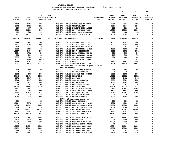| IAMAILLE COONII |                                         |                       |  |  |
|-----------------|-----------------------------------------|-----------------------|--|--|
|                 | BUDGETARY REVENUE AND EXPENSE WORKSHEET | $8$ OF YEAR = $100\%$ |  |  |
|                 | FOR FISCAL YEAR ENDING JUNE 30 2023     |                       |  |  |

 **10 20 30 40** 

| $19 - 20$<br><b>ACTUAL</b> | $20 - 21$<br><b>ACTUAL</b> | $21 - 22$<br><b>BUDGET FTE</b> | $21 - 22$<br>ADOPTED BUDGETED                                         | <b>REQUESTED</b><br>FTE. | $22 - 23$<br><b>INITIAL</b><br><b>BUDGET</b> | $22 - 23$<br><b>PROPOSED</b><br><b>BUDGET</b> | $22 - 23$<br><b>APPROVED</b><br><b>BUDGET</b> | $22 - 23$<br><b>ADOPTED</b><br><b>BUDGET</b> |
|----------------------------|----------------------------|--------------------------------|-----------------------------------------------------------------------|--------------------------|----------------------------------------------|-----------------------------------------------|-----------------------------------------------|----------------------------------------------|
| 1455                       | 1709                       | 2013                           | 016-071-494.80 TIME LOSS RESERVE                                      |                          | 2516                                         | 2516                                          | 2516                                          | 0                                            |
| 1472                       | 1753                       | 1892                           | 016-071-495.00 UNEMPLOYMENT                                           |                          | 2366                                         | 2366                                          | 2366                                          | 0                                            |
| 620                        | 607                        | 820                            | 016-071-496.00 WORKERS COMP ASSES                                     |                          | 999                                          | 999                                           | 999                                           | 0                                            |
| 5819                       | 46201                      | 5600                           | 016-071-499.00 FET/VACATION/SICK                                      |                          | 10001                                        | 10001                                         | 10001                                         | 0                                            |
| 411                        | $582 -$                    | 400                            | 016-071-499.98 COMP TIME LIABILIT                                     |                          | 402                                          | 402                                           | 402                                           | 0                                            |
| 15987                      | 22311                      | 7500                           | 016-071-499.99 VACATION LIAB. ADJ                                     |                          | 7502                                         | 7502                                          | 7502                                          | 0                                            |
| 2426576                    | 2868147                    | 3296075                        | 33.1335 TOTAL FOR PERSONNEL                                           | 40.3111                  | 4111148                                      | 4111148                                       | 4111148                                       | 0                                            |
| 4148                       | 2801                       | 3000                           | 016-071-510.01 CENTRAL SUPPLIES                                       |                          | 3002                                         | 3002                                          | 3002                                          | 0                                            |
| 4302                       | 3759                       | 4000                           | 016-071-511.99 MISC OP SUPPLIES                                       |                          | 6002                                         | 6002                                          | 6002                                          | 0                                            |
| 106                        | 171                        | 300                            | 016-071-513.01 EDUCATIONAL MATERI                                     |                          | 301                                          | 301                                           | 301                                           | 0                                            |
| 1002                       | 2025                       | 650                            | 016-071-513.03 PUBLICATIONS & DUE                                     |                          | 4501                                         | 4501                                          | 4501                                          | $\pmb{0}$                                    |
| 16557                      | 6400                       | 3000                           | 016-071-543.01 DEPT. EQUIPMENT                                        |                          | 3002                                         | 3002                                          | 3002                                          | $\mathsf{o}\xspace$                          |
| 4856                       | 4782                       | 500                            | 016-071-583.02 DATA PROCESSING SU                                     |                          | 501                                          | 501                                           | 501                                           | $\pmb{\mathsf{O}}$                           |
| 782                        | 211                        | 684                            | 016-071-610.01 PROFESSIONAL SERVI                                     |                          | 713                                          | 713                                           | 713                                           | $\pmb{0}$                                    |
| 3075                       | 720                        | 600                            | 016-071-610.24 INTERPRETER SERVIC                                     |                          | 600                                          | 600                                           | 600                                           | $\pmb{\mathsf{O}}$                           |
| 4393                       | 1868                       | 4026                           | 016-071-610.25 PROFESSIONAL CONTR                                     |                          | 3835                                         | 3835                                          | 3835                                          | 0                                            |
| 2486                       | 2789                       | 2913                           | 016-071-611.01 AUDIT                                                  |                          | 2941                                         | 2941                                          | 2941                                          | 0                                            |
| 4022                       | 6436                       | 17139                          | 016-071-611.02 CONTRACT SERVICES                                      |                          | 19476                                        | 19476                                         | 19476                                         | $\Omega$                                     |
|                            |                            |                                | Contract for Relias and digital health                                |                          |                                              |                                               |                                               |                                              |
|                            |                            |                                | record storage                                                        |                          |                                              |                                               |                                               |                                              |
| 509                        | 580                        | 602                            | 016-071-611.03 JANITORIAL CONTRAC                                     |                          | 686                                          | 686                                           | 686                                           | 0                                            |
| 0                          | 726                        | $\mathbf 0$                    | 016-071-611.30 GRANT EXPENSES                                         |                          | $\mathbf 0$                                  | $\mathbf 0$                                   | $\mathbf 0$                                   | 0                                            |
| 2865                       | 101                        | 1000                           | 016-071-612.02 SCHOOLS AND CONFER                                     |                          | 1001                                         | 1001                                          | 1001                                          | 0                                            |
| 27443                      | 22409                      | 19850                          | 016-071-620.01 TELEPHONE                                              |                          | 19852                                        | 19852                                         | 19852                                         | 0                                            |
| 1172                       | 1567                       | 1400                           | 016-071-621.01 POSTAGE                                                |                          | 1402                                         | 1402                                          | 1402                                          | $\mathsf{o}$                                 |
| 9968                       | 1947                       | 2586                           | 016-071-630.01 TRAVEL EXPENSE                                         |                          | 2589                                         | 2589                                          | 2589                                          | 0                                            |
| 2328                       | 3676                       | 4000                           | 016-071-640.01 ADVERTISING                                            |                          | 4001                                         | 4001                                          | 4001                                          | 0                                            |
| 380                        | 85                         | 481                            | 016-071-650.01 EQUIPMENT LEASE                                        |                          | 549                                          | 549                                           | 549                                           | 0                                            |
| 69059                      | 78448                      | 27206                          | 016-071-652.01 BUILDING RENT                                          |                          | 75778                                        | 75778                                         | 75778                                         | 0                                            |
| 7133                       | 7407                       | 2738                           | 016-071-670.02 HEAT/LIGHTS/WATER                                      |                          | 10651                                        | 10651                                         | 10651                                         | 0                                            |
| 7621                       | 7169                       | 6000                           | 016-071-683.01 COPY MACHINES/MAIN                                     |                          | 5501                                         | 5501                                          | 5501                                          | $\pmb{0}$                                    |
| 13884                      | 10679                      | 8778                           | 016-071-683.02 DP EQUIP MAINT                                         |                          | 17951                                        | 17951                                         | 17951                                         | 0                                            |
| 0                          | 0                          | 3456                           | 016-071-695.13 PERMITS/LICENSES                                       |                          | $\mathbf{0}$                                 | $\mathbf 0$                                   | $\mathbf 0$                                   | 0                                            |
| 4842                       | 7347                       | 6000                           | 016-071-699.01 OTHER EXPENSE<br>COVID-19 pandemic expenses            |                          | 1001                                         | 1001                                          | 1001                                          | 0                                            |
| $500 -$                    | 0                          | 950                            | 016-071-699.07 WRAP SERVICES                                          |                          | 950                                          | 950                                           | 950                                           | 0                                            |
| 12164                      | 2375                       | 4000                           | 016-071-699.10 LONG TERM SUPPORTS                                     |                          | 4000                                         | 4000                                          | 4000                                          | 0                                            |
| 11388                      | 14341                      | 10000                          | 016-071-699.12 FAMILY FINANC ASSI                                     |                          | 10000                                        | 10000                                         | 10000                                         | 0                                            |
| 6206                       | 6545                       | 7500                           | 016-071-699.25 DD IN HOME SUPPORT                                     |                          | 7500                                         | 7500                                          | 7500                                          | 0                                            |
| 110596                     | 129113                     | 121565                         | 016-071-780.01 BUILDING RESERVE                                       |                          | 140881                                       | 140881                                        | 140881                                        | 0                                            |
| 2347                       | 2393                       | 2617                           | 016-071-780.02 INTERNAL PROPERTY                                      |                          | 3753                                         | 3753                                          | 3753                                          | 0                                            |
| 46220                      | 55110                      | 75416                          | 016-071-780.03 ADMIN OVERHEAD                                         |                          | 76967                                        | 76967                                         | 76967                                         | $\Omega$                                     |
| 22139                      | 20593                      | 14961                          | 016-071-780.04 TELECOMMUNICATIONS                                     |                          | 14591                                        | 14591                                         | 14591                                         | 0                                            |
| 5122                       | 5472                       | 6000                           | 016-071-780.05 MOTOR POOL                                             |                          |                                              | 6000                                          | 6000                                          | 0                                            |
| 20893                      | 27062                      | 23571                          | 016-071-780.06 EQUIPMENT REPLACEM                                     |                          | 6000<br>29038                                | 29038                                         | 29038                                         | 0                                            |
| 0                          | 0                          | 40                             | 016-071-780.09 MANUAL CHECK CHARG                                     |                          | 40                                           | 40                                            |                                               | 0                                            |
|                            | 14556                      |                                |                                                                       |                          |                                              |                                               | 40                                            | 0                                            |
| 12155                      | 10066                      | 15335                          | 016-071-780.15 COMPUTER SERVICES                                      |                          | 16004                                        | 16004                                         | 16004<br>10000                                | 0                                            |
| 10131<br>240               | 361                        | 10000<br>349                   | 016-071-780.16 INTERNAL CONTRACT<br>016-071-780.17 INTERNAL POSTAGE C |                          | 10000<br>349                                 | 10000<br>349                                  | 349                                           | 0                                            |
|                            |                            |                                |                                                                       |                          |                                              |                                               |                                               | 0                                            |
| 8469                       | 7281                       | 7282                           | 016-071-780.27 INTERNAL LIABILITY                                     |                          | 9780                                         | 9780                                          | 9780                                          |                                              |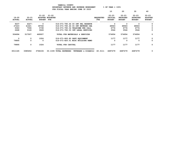| YAMHILL COUNTY                                 |                       |  |  |  |  |  |
|------------------------------------------------|-----------------------|--|--|--|--|--|
| <b>BUDGETARY REVENUE AND EXPENSE WORKSHEET</b> | $8$ OF YEAR = $100\%$ |  |  |  |  |  |
| FOR FISCAL YEAR ENDING JUNE 30 2023            |                       |  |  |  |  |  |

 **10 20 30 40** 

| $19 - 20$<br><b>ACTUAL</b> | $20 - 21$<br><b>ACTUAL</b> | $21 - 22$<br><b>BUDGET</b> | 21-22<br>ADOPTED BUDGETED<br>FTE |                                   | <b>REQUESTED</b><br>FTE. | $22 - 23$<br>INITIAL<br><b>BUDGET</b> | $22 - 23$<br><b>PROPOSED</b><br><b>BUDGET</b> | $22 - 23$<br><b>APPROVED</b><br><b>BUDGET</b> | $22 - 23$<br><b>ADOPTED</b><br><b>BUDGET</b> |
|----------------------------|----------------------------|----------------------------|----------------------------------|-----------------------------------|--------------------------|---------------------------------------|-----------------------------------------------|-----------------------------------------------|----------------------------------------------|
| 9237                       | $4227 -$                   | $\Omega$                   |                                  | 016-071-780.44 CO INT PEL RESERVE |                          | 0                                     | 0                                             | 0                                             | 0                                            |
| 27223                      | 41621                      | 39746                      |                                  | 016-071-780.46 CO INT NETWORK CHA |                          | 48943                                 | 48943                                         | 48943                                         | 0                                            |
| 5063                       | 7596                       | 5738                       |                                  | 016-071-780.54 TELECOMM PER CALL  |                          | 6776                                  | 6776                                          | 6776                                          | 0                                            |
| 2668                       | 3146                       | 3028                       |                                  | 016-071-780.55 INT LEGAL SERVICES |                          | 3546                                  | 3546                                          | 3546                                          | 0                                            |
| 504694                     | 517507                     | 469007                     |                                  | TOTAL FOR MATERIALS & SERVICES    |                          | 574954                                | 574954                                        | 574954                                        | 0                                            |
| 0                          | 0                          | 1024                       | 016-071-800.80 DEPT EQUIPMENT    |                                   |                          | 1177                                  | 1177                                          | 1177                                          | 0                                            |
| 79895                      | 0                          | $\Omega$                   |                                  | 016-071-820.01 MISC BUILDING REMO |                          | 0                                     | 0                                             | 0                                             | $\Omega$                                     |
| 79895                      | 0                          | 1024                       | <b>TOTAL FOR CAPITAL</b>         |                                   |                          | 1177                                  | 1177                                          | 1177                                          | 0                                            |
| 3011165                    | 3385654                    | 3766106                    | 33.1335<br>TOTAL EXPENSES        | <b>VETERANS</b><br>& DISABILI     | 40.3111                  | 4687279                               | 4687279                                       | 4687279                                       | 0                                            |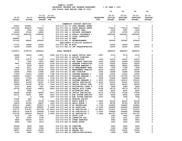|                            |                            |                            |                               |                                    |                                          |                         | 10                                    | 20                                            | 30                                            | 40                                           |
|----------------------------|----------------------------|----------------------------|-------------------------------|------------------------------------|------------------------------------------|-------------------------|---------------------------------------|-----------------------------------------------|-----------------------------------------------|----------------------------------------------|
| $19 - 20$<br><b>ACTUAL</b> | $20 - 21$<br><b>ACTUAL</b> | 21-22<br><b>BUDGET FTE</b> | $21 - 22$<br>ADOPTED BUDGETED |                                    |                                          | <b>REQUESTED</b><br>FTE | $22 - 23$<br>INITIAL<br><b>BUDGET</b> | $22 - 23$<br><b>PROPOSED</b><br><b>BUDGET</b> | $22 - 23$<br><b>APPROVED</b><br><b>BUDGET</b> | $22 - 23$<br><b>ADOPTED</b><br><b>BUDGET</b> |
|                            |                            |                            |                               |                                    |                                          |                         |                                       |                                               |                                               |                                              |
|                            |                            |                            |                               |                                    | COMMUNITY SUPPORT SERVICES               |                         |                                       |                                               |                                               |                                              |
| 43407                      | 154941                     | 0                          |                               |                                    | 016-073-331.72 CFAA FEDERAL GRANT        |                         | 0                                     | 0                                             | 0                                             | 0                                            |
| 1611185                    | 804443                     | 774512                     |                               |                                    | 016-073-334.11 STATE HEALTH GRANT        |                         | 774514                                | 774514                                        | 774514                                        | 0                                            |
| 5224                       | 5224                       | 6300                       |                               | 016-073-346.10 PATIENT FEES        |                                          |                         | 5300                                  | 5300                                          | 5300                                          | 0                                            |
| 24349                      | 15126                      | 12850                      |                               |                                    | 016-073-346.11 PRIVATE INSURANCE         |                         | 14700                                 | 14700                                         | 14700                                         | 0                                            |
| 2115634                    | 2681083                    | 2748380                    |                               |                                    | 016-073-346.12 PUBLIC INSURANCE (        |                         | 2963583                               | 2963583                                       | 2963583                                       | 0                                            |
| $17 -$                     | 0                          | 0                          |                               |                                    | 016-073-346.13 LOCAL CONTRACTS           |                         | 0                                     | 0                                             | 0                                             | 0                                            |
| 228856                     | 0                          | 0                          |                               | 016-073-362.04 RENT                |                                          |                         | 0                                     | 0                                             | 0                                             | 0                                            |
| 101100                     | 84065                      | 105000                     |                               |                                    | 016-073-362.12 REIMBURSEMENT             |                         | 105000                                | 105000                                        | 105000                                        | 0                                            |
|                            |                            |                            |                               |                                    | Employment milestone payments            |                         |                                       |                                               |                                               |                                              |
| 17737                      | 12848                      | 10000                      |                               | 016-073-362.99 MISC                |                                          |                         | 10000                                 | 10000                                         | 10000                                         | 0                                            |
| 12000                      | 12000                      | 12000                      |                               |                                    | 016-073-380.16 INT TRANSPORTATION        |                         | 12000                                 | 12000                                         | 12000                                         | 0                                            |
| 4159475                    | 3769730                    | 3669042                    |                               | <b>TOTAL REVENUE</b>               |                                          |                         | 3885097                               | 3885097                                       | 3885097                                       | 0                                            |
|                            |                            |                            |                               |                                    |                                          |                         |                                       |                                               |                                               |                                              |
| 19492                      | 14026                      | 13901                      |                               |                                    | .2690 016-073-401.02 ADMIN OFFICE SPEC   | .0957                   | 5176                                  | 5176                                          | 5176                                          | 0                                            |
| 3239                       | 0                          | 0                          |                               |                                    | 016-073-401.16 ASSIST DIRECTOR           |                         | 0                                     | $\mathbf 0$                                   | 0                                             | 0                                            |
| 5191                       | 10573                      | 11262                      |                               | .1113 016-073-401.17 BH DIRECTOR   |                                          | .1330                   | 14310                                 | 14310                                         | 14310                                         | 0                                            |
| 0                          | 7360                       | 9047                       |                               |                                    | .0887 016-073-401.18 HHS ADMIN SERVICES  | .1000                   | 10909                                 | 10909                                         | 10909                                         | 0                                            |
| 9947                       | 13241                      | 14578                      |                               |                                    | .2194 016-073-401.25 PROGRAM SUPERVISOR  | .3720                   | 25293                                 | 25293                                         | 25293                                         | 0                                            |
| 0                          | 2238                       | 6654                       |                               |                                    | .0910  016-073-401.28  PROGRAM MANAGER 2 | .2173                   | 18994                                 | 18994                                         | 18994                                         | 0                                            |
| 7905                       | 6011                       | 6572                       |                               |                                    | .0812 016-073-401.30 SR MANAGEMENT ANAL  | .0907                   | 7558                                  | 7558                                          | 7558                                          | 0                                            |
| 10030                      | 9153                       | 10294                      |                               |                                    | .1626 016-073-401.32 MANAGEMENT ANALYST  | .4524                   | 29367                                 | 29367                                         | 29367                                         | 0                                            |
| 15582                      | 9465                       | 13480                      |                               | .1082 016-073-401.33 HHS DIRECTOR  |                                          | .1082                   | 14288                                 | 14288                                         | 14288                                         | 0                                            |
| 17963                      | 12416                      | 12949                      |                               |                                    | .1382 016-073-401.35 PROGRAM MANAGER 3   | .1382                   | 13343                                 | 13343                                         | 13343                                         | 0                                            |
| 129939                     | 114837                     | 155859                     |                               |                                    | 2.0000 016-073-401.37 PROGRAM MANAGER 1  | 2.0000                  | 167704                                | 167704                                        | 167704                                        | 0                                            |
| 20818                      | 13799                      | 22655                      |                               | .3759 016-073-401.48 DATA ANALYST  |                                          | .4048                   | 25844                                 | 25844                                         | 25844                                         | 0                                            |
| 98523                      | 95072                      | 100183                     |                               |                                    | 1.0000 016-073-401.55 PROGRAM MANAGER 4  | 1.0000                  | 103212                                | 103212                                        | 103212                                        | 0                                            |
| 69653                      | 46766                      | 64397                      |                               |                                    | 1.9704 016-073-402.02 OFFICE SPECIALIST  | 1.9021                  | 65331                                 | 65331                                         | 65331                                         | 0                                            |
| 26608                      | 21934                      | 28706                      |                               |                                    | .7004 016-073-402.03 SENIOR OFFICE SPEC  | .6772                   | 28393                                 | 28393                                         | 28393                                         | 0                                            |
| 9135                       | 6050                       | 7061                       |                               |                                    | .1843 016-073-402.04 ACCOUNTING CLERK 2  | .1785                   | 6984                                  | 6984                                          | 6984                                          | 0                                            |
| 55739                      | 32392                      | 39824                      |                               |                                    | .8422 016-073-402.14 SENIOR ACCT CLERK   | .8189                   | 39779                                 | 39779                                         | 39779                                         | 0                                            |
| 0                          | 3992                       | 0                          |                               |                                    | 016-073-402.15 ACCOUNTING TECH           | .1330                   | 6450                                  | 6450                                          | 6450                                          | 0                                            |
| 49466                      | 33082                      | 39455                      |                               |                                    | .8377 016-073-402.20 OFFICE SPECIALIST   | .8110                   | 37546                                 | 37546                                         | 37546                                         | 0                                            |
| 22131                      | 15201                      | 8957                       |                               |                                    | .1067 016-073-403.70 EHR SYSTEM ANALYST  | .1067                   | 9228                                  | 9228                                          | 9228                                          | 0                                            |
| $\mathbf{o}$               | $\mathbf{o}$               | 7068                       |                               |                                    | .1067 016-073-403.74 EHR SYSTEM ANALYST  | .1067                   | 7284                                  | 7284                                          | 7284                                          | 0                                            |
| 37220                      | 846                        | 0                          |                               |                                    | 016-073-406.05 NURSING ASSIST            |                         | 0                                     | 0                                             | 0                                             | 0                                            |
| 17182                      | 17557                      | 75078                      |                               |                                    | 1.0000 016-073-406.07 REGIS NURSE 2      | 1.0000                  | 80142                                 | 80142                                         | 80142                                         | 0                                            |
| 50819                      | 29190                      | 39407                      |                               |                                    | .1625 016-073-406.08 REGIS NURSE 3       | .1625                   | 38765                                 | 38765                                         | 38765                                         | 0                                            |
| 159107                     | 83851                      | 100837                     |                               |                                    | 2.1750 016-073-406.19 HS TECHNICIAN      | 2.1750                  | 104852                                | 104852                                        | 104852<br>309962                              | 0<br>0                                       |
| 513508                     | 223144                     | 299661<br>657138           |                               | 6.0000 016-073-406.20 HS ASSOCIATE | 10.8000 016-073-406.22 HS SPECIALIST 1   | 6.0000                  | 309962                                | 309962                                        |                                               | 0                                            |
| 743772<br>228715           | 572153<br>163678           | 196644                     |                               |                                    | 3.0000 016-073-406.23 HS SPECIALIST 2    | 10.8000<br>3.0000       | 701631<br>195684                      | 701631<br>195684                              | 701631<br>195684                              | 0                                            |
| 103734                     | 190539                     | 224270                     |                               |                                    | 3.0000 016-073-406.24 HS SPECIALIST 3    | 3.2660                  | 241787                                | 241787                                        | 241787                                        | 0                                            |
| 6130                       | 169                        | 1650                       |                               | 016-073-474.00 SHIFT DIFF          |                                          |                         | 1650                                  | 1650                                          | 1650                                          | 0                                            |
| 827                        | 2004                       | 1199                       |                               |                                    | 016-073-475.00 LONGEVITY PAY             |                         | 1201                                  | 1201                                          | 1201                                          | 0                                            |
| 5828                       | 45209                      | 4273                       |                               |                                    | 016-073-479.00 OTHER EARNINGS            |                         | 3963                                  | 3963                                          | 3963                                          | 0                                            |
| 6844                       | 1059                       | 1223                       |                               | 016-073-480.00 EXTRA HOURS         |                                          |                         | 1223                                  | 1223                                          | 1223                                          | 0                                            |
|                            |                            |                            |                               |                                    |                                          |                         |                                       |                                               |                                               |                                              |
| 36308                      | 4248                       | 2491                       |                               | 016-073-481.00 OVERTIME            |                                          |                         | 2493                                  | 2493                                          | 2493                                          | 0                                            |
| 16634                      | 4069                       | 3386                       |                               | 016-073-482.00 EXTRA HELP          |                                          |                         | 3386                                  | 3386                                          | 3386                                          | 0                                            |
| 28547                      | 14026                      | 22050                      |                               | 016-073-484.00 BEEPER PAY          |                                          |                         | 15224                                 | 15224                                         | 15224                                         | 0                                            |
| 5122                       | 4860                       | 3532                       |                               |                                    | 016-073-485.00 CERTIFICATION/EDUC        |                         | 1999                                  | 1999                                          | 1999                                          | 0                                            |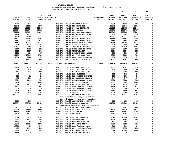|               |               | $21 - 22$         | $21 - 22$                           |                  | $22 - 23$      | $22 - 23$     | $22 - 23$       | $22 - 23$      |
|---------------|---------------|-------------------|-------------------------------------|------------------|----------------|---------------|-----------------|----------------|
| $19 - 20$     | $20 - 21$     |                   | ADOPTED BUDGETED                    | <b>REQUESTED</b> | <b>INITIAL</b> | PROPOSED      | <b>APPROVED</b> | <b>ADOPTED</b> |
| <b>ACTUAL</b> | <b>ACTUAL</b> | <b>BUDGET FTE</b> |                                     | FTE              | <b>BUDGET</b>  | <b>BUDGET</b> | <b>BUDGET</b>   | <b>BUDGET</b>  |
|               |               |                   |                                     |                  |                |               |                 |                |
| 1747          | 945           | 1447              | 016-073-486.00 INCENTIVE PAY        |                  | 1535           | 1535          | 1535            | 0              |
| 36343         | 26115         | 30079             | 016-073-490.00 MEDICARE TAX         |                  | 30049          | 30049         | 30049           | $\mathbf 0$    |
| 154869        | 111318        | 128611            | 016-073-491.00 SOCIAL SECURITY      |                  | 131405         | 131405        | 131405          | 0              |
| 435784        | 306376        | 409117            | 016-073-492.00 RETIREMENT           |                  | 427079         | 427079        | 427079          | $\mathbf 0$    |
| 789188        | 548830        | 646670            | 016-073-493.10 MEDICAL INSURANCE    |                  | 692063         | 692063        | 692063          | 0              |
| 1296          | 1056          | 934               | 016-073-493.12 EMPLOYEE ASSISTANC   |                  | 902            | 902           | 902             | 0              |
| 51636         | 34164         | 37374             | 016-073-493.15 VEBA                 |                  | 40317          | 40317         | 40317           | 0              |
| 52607         | 32547         | 45027             | 016-073-493.20 DENTAL INSURANCE     |                  | 42969          | 42969         | 42969           | 0              |
| 6667          | 4393          | 4777              | 016-073-493.25 VISION INSURANCE     |                  | 4885           | 4885          | 4885            | 0              |
| 13581         | 10117         | 13383             | 016-073-493.31 SHORT TERM DISABIL   |                  | 13248          | 13248         | 13248           | 0              |
| 806           | 1218          | 810               | 016-073-493.40 LIFE INSURANCE       |                  | 805            | 805           | 805             | 0              |
| 56402         | 22969         | 21019             | 016-073-494.00 ACCIDENT INSURANCE   |                  | 19610          | 19610         | 19610           | 0              |
| 2668          | 1792          | 2231              | 016-073-494.80 TIME LOSS RESERVE    |                  | 2357           | 2357          | 2357            | 0              |
| 2552          | 1837          | 2097              | 016-073-495.00 UNEMPLOYMENT         |                  | 2216           | 2216          | 2216            | 0              |
| 1108          | 629           | 879               | 016-073-496.00 WORKERS COMP ASSES   |                  | 899            | 899           | 899             | 0              |
| 17133         | 13161         | 17813             | 016-073-499.00 FET/VACATION/SICK    |                  | 7001           | 7001          | 7001            | 0              |
| $1530 -$      | $2828 -$      | 575               | 016-073-499.98 COMP TIME LIABILIT   |                  | 578            | 578           | 578             | 0              |
| 10337         | 12076-        | 4000              | 016-073-499.99 VACATION LIAB. ADJ   |                  | 4003           | 4003          | 4003            | 0              |
|               |               |                   |                                     |                  |                |               |                 |                |
| 4164852       | 2926773       | 3572584           | 35.5314 TOTAL FOR PERSONNEL         | 36.2499          | 3762876        | 3762876       | 3762876         | 0              |
| 2300          | 1270          | 1198              | 016-073-510.01 CENTRAL SUPPLIES     |                  | 1201           | 1201          | 1201            | 0              |
| 9098          | 870           | 500               | 016-073-511.06 TRAINING SUPPLIES    |                  | 500            | 500           | 500             | 0              |
| 16144         | 3417          | 5000              | 016-073-511.99 MISC OP SUPPLIES     |                  | 6002           | 6002          | 6002            | 0              |
| 0             | $\mathbf{o}$  | 165               | 016-073-512.03 LAB MATERIALS        |                  | 165            | 165           | 165             | 0              |
| 298           | 12            | 200               | 016-073-512.04 LABORATORY EXPENSE   |                  | 200            | 200           | 200             | 0              |
| 435           | 238           | 345               | 016-073-513.01 EDUCATIONAL MATERI   |                  | 347            | 347           | 347             | 0              |
| 5024          | 1644          | 3000              | 016-073-513.03 PUBLICATIONS & DUE   |                  | 5002           | 5002          | 5002            | 0              |
| 5492          | 8936          | 20000             | 016-073-543.01 DEPT. EQUIPMENT      |                  | 20003          | 20003         | 20003           | 0              |
| 3368          | 1497          | 1014              | 016-073-583.02 DATA PROCESSING SU   |                  | 1016           | 1016          | 1016            | 0              |
| 3601          | 214           | 9414              | 016-073-610.01 PROFESSIONAL SERVI   |                  | 9116           | 9116          | 9116            | 0              |
| 0             | 0             | 200               | 016-073-610.24 INTERPRETER SERVIC   |                  | 200            | 200           | 200             | 0              |
| 10879         | 2576          | 5079              | 016-073-610.25 PROFESSIONAL CONTR   |                  | 4840           | 4840          | 4840            | 0              |
| 4930          | 2838          | 2963              | 016-073-611.01 AUDIT                |                  | 2999           | 2999          | 2999            | 0              |
| 239223        | 6713          | 18871             | 016-073-611.02 CONTRACT SERVICES    |                  | 17914          | 17914         | 17914           | 0              |
|               |               |                   | Contract for Relias, digital health |                  |                |               |                 |                |
|               |               |                   | record storage, and peer services   |                  |                |               |                 |                |
| 5659          | 591           | 646               | 016-073-611.03 JANITORIAL CONTRAC   |                  | 618            | 618           | 618             | $\mathbf 0$    |
| 582354        | 239703        | 184800            | 016-073-611.30 GRANT EXPENSES       |                  | 184800         | 184800        | 184800          | 0              |
|               |               |                   | Community-based non-profit contract |                  |                |               |                 |                |
| 20159         | 7334          | 5000              | 016-073-612.02 SCHOOLS AND CONFER   |                  | 2003           | 2003          | 2003            | 0              |
| 33600         | 22400         | 24480             | 016-073-613.04 OHP SUBCONTRACTED    |                  | 24970          | 24970         | 24970           | 0              |
| 42655         | 25841         | 22960             | 016-073-620.01 TELEPHONE            |                  | 22962          | 22962         | 22962           | 0              |
| 2174          | 1432          | 1280              | 016-073-621.01 POSTAGE              |                  | 1282           | 1282          | 1282            | 0              |
| 17268         | 9919          | 13940             | 016-073-630.01 TRAVEL EXPENSE       |                  | 13940          | 13940         | 13940           | 0              |
| 7511          | 4813          | 4593              | 016-073-640.01 ADVERTISING          |                  | 4596           | 4596          | 4596            | 0              |
| 1103          | 91            | 516               | 016-073-650.01 EQUIPMENT LEASE      |                  | 494            | 494           | 494             | 0              |
| 15041         | 11259         | 15700             | 016-073-652.01 BUILDING RENT        |                  | 7991           | 7991          | 7991            | 0              |
| 16803         | 451           | 1471              | 016-073-670.02 HEAT/LIGHTS/WATER    |                  | 860            | 860           | 860             | 0              |
| 605           | 1999          | 2353              | 016-073-683.01 COPY MACHINES/MAIN   |                  | 2355           | 2355          | 2355            | 0              |
| 29214         | 10831         | 8636              | 016-073-683.02 DP EQUIP MAINT       |                  | 16042          | 16042         | 16042           | 0              |
| 4440          | 0             | $\mathbf 0$       | 016-073-683.10 BLDG MAINTENANCE     |                  | 0              | $\mathbf 0$   | 0               | $\Omega$       |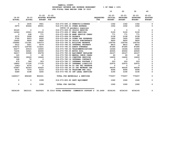|                            |                            |                          |                                         |                        |                                                    |                                | 10                                           | 20                                            | 30                                            | 40                                           |
|----------------------------|----------------------------|--------------------------|-----------------------------------------|------------------------|----------------------------------------------------|--------------------------------|----------------------------------------------|-----------------------------------------------|-----------------------------------------------|----------------------------------------------|
| $19 - 20$<br><b>ACTUAL</b> | $20 - 21$<br><b>ACTUAL</b> | <b>BUDGET FTE</b>        | $21 - 22$ $21 - 22$<br>ADOPTED BUDGETED |                        |                                                    | <b>REQUESTED</b><br><b>FTE</b> | $22 - 23$<br><b>INITIAL</b><br><b>BUDGET</b> | $22 - 23$<br><b>PROPOSED</b><br><b>BUDGET</b> | $22 - 23$<br><b>APPROVED</b><br><b>BUDGET</b> | $22 - 23$<br><b>ADOPTED</b><br><b>BUDGET</b> |
| $\mathbf{o}$               | 2435                       | 3921                     |                                         |                        | 016-073-695.13 PERMITS/LICENSES                    |                                | 1342                                         | 1342                                          | 1342                                          | 0                                            |
| 2675                       | 40444                      | 40001                    |                                         |                        | 016-073-699.01 OTHER EXPENSE                       |                                | 1002                                         | 1002                                          | 1002                                          | 0                                            |
|                            |                            |                          |                                         |                        | COVID-19 pandemic expenses                         |                                |                                              |                                               |                                               |                                              |
| 30120                      | $\mathbf 0$                | $\mathbf 0$              |                                         |                        | 016-073-699.06 CRISIS RESPITE                      |                                | $\overline{\mathbf{0}}$                      | $\mathbf 0$                                   | $\mathbf 0$                                   | $\mathbf 0$                                  |
| 14324                      | 15501                      | 20100                    |                                         |                        | 016-073-699.07 WRAP SERVICES                       |                                | 5100                                         | 5100                                          | 5100                                          | 0                                            |
| $\mathbf 0$                | 638                        | 771                      |                                         |                        | 016-073-699.08 BANK SERVICE CHARG                  |                                | 771                                          | 771                                           | 771                                           | 0                                            |
| 2572                       | 3008                       | 4006                     |                                         | 016-073-699.09 PAYBACK |                                                    |                                | 2158                                         | 2158                                          | 2158                                          | 0                                            |
| 3702                       | 9203                       | 2600                     |                                         |                        | 016-073-699.14 OTHER OHP EXPENSES                  |                                | 1600                                         | 1600                                          | 1600                                          | 0                                            |
| 14400                      | 9600                       | 9600                     |                                         |                        | 016-073-700.24 CRISIS SUBCONTRACT                  |                                | 9600                                         | 9600                                          | 9600                                          | 0                                            |
| 159992                     | 131391                     | 130373                   |                                         |                        | 016-073-780.01 BUILDING RESERVE                    |                                | 126754                                       | 126754                                        | 126754                                        | 0                                            |
| 5512                       | 5621                       | 5579                     |                                         |                        | 016-073-780.02 INTERNAL PROPERTY                   |                                | 8815                                         | 8815                                          | 8815                                          | 0                                            |
| 109272                     | 129746                     | 113221                   |                                         |                        | 016-073-780.03 ADMIN OVERHEAD                      |                                | 87285                                        | 87285                                         | 87285                                         | 0                                            |
| 30277                      | 20516                      | 16500                    |                                         |                        | 016-073-780.04 TELECOMMUNICATIONS                  |                                | 16346                                        | 16346                                         | 16346                                         | $\mathbf 0$                                  |
| 73235                      | 34921                      | 40000                    |                                         |                        | 016-073-780.05 MOTOR POOL                          |                                | 40000                                        | 40000                                         | 40000                                         | $\Omega$                                     |
| 34217                      | 33598                      | 25278                    |                                         |                        | 016-073-780.06 EQUIPMENT REPLACEM                  |                                | 26127                                        | 26127                                         | 26127                                         | 0                                            |
| 120                        | $\Omega$                   | 40                       |                                         |                        | 016-073-780.09 MANUAL CHECK CHARG                  |                                | 40                                           | 40                                            | 40                                            | $\Omega$                                     |
| 24093                      | 18026                      | 16446                    |                                         |                        | 016-073-780.15 COMPUTER SERVICES                   |                                | 14400                                        | 14400                                         | 14400                                         | 0                                            |
| 168                        | 70                         | $\overline{\phantom{0}}$ |                                         |                        | 016-073-780.16 INTERNAL CONTRACT                   |                                | $\overline{\phantom{0}}$                     | $\mathbf 0$                                   | $\mathbf 0$                                   | 0                                            |
| 475                        | 366                        | 353                      |                                         |                        | 016-073-780.17 INTERNAL POSTAGE C                  |                                | 203                                          | 203                                           | 203                                           | 0                                            |
| 19893                      | 17106                      | 17105                    |                                         |                        | 016-073-780.27 INTERNAL LIABILITY                  |                                | 22975                                        | 22975                                         | 22975                                         | 0                                            |
| $1043 -$                   | 4374                       | $\mathbf{0}$             |                                         |                        | 016-073-780.44 CO INT PEL RESERVE                  |                                | $\mathbf 0$                                  | $\mathbf 0$                                   | $\Omega$                                      | 0                                            |
| 53967                      | 42303                      | 42625                    |                                         |                        | 016-073-780.46 CO INT NETWORK CHA                  |                                | 44035                                        | 44035                                         | 44035                                         | $\mathbf 0$                                  |
| 6679                       | 7374                       | 6153                     |                                         |                        | 016-073-780.54 TELECOMM PER CALL                   |                                | 6096                                         | 6096                                          | 6096                                          | 0                                            |
| 5289                       | 3198                       | 3245                     |                                         |                        | 016-073-780.55 INT LEGAL SERVICES                  |                                | 3190                                         | 3190                                          | 3190                                          | $\Omega$                                     |
| 1669317                    | 896328                     | 852241                   |                                         |                        | TOTAL FOR MATERIALS & SERVICES                     |                                | 770257                                       | 770257                                        | 770257                                        | 0                                            |
| 0                          | 0                          | 1099                     |                                         |                        | 016-073-800.80 DEPT EQUIPMENT                      |                                | 1060                                         | 1060                                          | 1060                                          | 0                                            |
| 0                          | 0                          | 1099                     |                                         | TOTAL FOR CAPITAL      |                                                    |                                | 1060                                         | 1060                                          | 1060                                          | 0                                            |
| 5834169                    | 3823101                    | 4425924                  |                                         |                        | 35.5314 TOTAL EXPENSES COMMUNITY SUPPORT S 36.2499 |                                | 4534193                                      | 4534193                                       | 4534193                                       | 0                                            |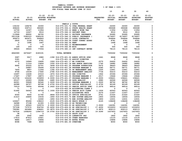|                         |                            |                          |                                        |                                                                                   |                                | 10                              | 20                        | 30                               | 40                              |
|-------------------------|----------------------------|--------------------------|----------------------------------------|-----------------------------------------------------------------------------------|--------------------------------|---------------------------------|---------------------------|----------------------------------|---------------------------------|
|                         |                            |                          |                                        |                                                                                   |                                |                                 |                           |                                  |                                 |
|                         |                            | $21 - 22$                | $21 - 22$                              |                                                                                   |                                | $22 - 23$                       | $22 - 23$                 | $22 - 23$                        | $22 - 23$                       |
| 19-20                   | $20 - 21$<br><b>ACTUAL</b> | <b>BUDGET</b>            | ADOPTED BUDGETED<br>$_{\rm FTE}$       |                                                                                   | <b>REQUESTED</b><br><b>FTE</b> | <b>INITIAL</b><br><b>BUDGET</b> | PROPOSED<br><b>BUDGET</b> | <b>APPROVED</b><br><b>BUDGET</b> | <b>ADOPTED</b><br><b>BUDGET</b> |
| <b>ACTUAL</b>           |                            |                          |                                        |                                                                                   |                                |                                 |                           |                                  |                                 |
|                         |                            |                          |                                        | FAMILY & YOUTH                                                                    |                                |                                 |                           |                                  |                                 |
| 134152                  | 169278                     | 24300                    |                                        | 016-075-331.72 CFAA FEDERAL GRANT                                                 |                                | 24300                           | 24300                     | 24300                            | 0                               |
| 308224                  | 339713                     | 390665                   |                                        | 016-075-334.11 STATE HEALTH GRANT                                                 |                                | 390668                          | 390668                    | 390668                           | $\mathbf 0$                     |
| 12739                   | 12307                      | 11954                    |                                        | 016-075-335.12 BEER & WINE TAX                                                    |                                | 11954                           | 11954                     | 11954                            | 0                               |
| 12719                   | 12227                      | 9510                     |                                        | 016-075-346.10 PATIENT FEES                                                       |                                | 9510                            | 9510                      | 9510                             | 0                               |
| 113948                  | 89002                      | 66700                    |                                        | 016-075-346.11 PRIVATE INSURANCE                                                  |                                | 93285                           | 93285                     | 93285                            | 0                               |
| 3911538                 | 5390310                    | 5085235                  |                                        | 016-075-346.12 PUBLIC INSURANCE (                                                 |                                | 6174657                         | 6174657                   | 6174657                          | $\mathbf 0$                     |
| 306673                  | 420471                     | 506843                   |                                        | 016-075-346.13 LOCAL CONTRACTS                                                    |                                | 506844                          | 506844                    | 506844                           | 0                               |
| 2830                    | 2158                       | 8781                     |                                        | 016-075-350.06 COURT CORREC ASSES                                                 |                                | 8781                            | 8781                      | 8781                             | 0                               |
| $\overline{\mathbf{0}}$ | 1696                       | 1647                     | 016-075-362.04 RENT                    |                                                                                   |                                | 1648                            | 1648                      | 1648                             | 0                               |
| 71                      | $\overline{\phantom{0}}$   | $\overline{\phantom{0}}$ |                                        | 016-075-362.12 REIMBURSEMENT                                                      |                                | $\overline{\mathbf{0}}$         | $\overline{\mathbf{0}}$   | $\overline{\phantom{0}}$         | 0                               |
| 169                     | 259                        | 500                      | 016-075-362.99 MISC                    |                                                                                   |                                | 500                             | 500                       | 500                              | 0                               |
| 39026                   | 39026                      | 77056                    |                                        | 016-075-380.13 INT CONTRACT REVEN                                                 |                                | 78115                           | 78115                     | 78115                            | 0                               |
| 4842089                 | 6476447                    | 6183191                  | <b>TOTAL REVENUE</b>                   |                                                                                   |                                | 7300262                         | 7300262                   | 7300262                          | 0                               |
| 3087                    | 5917                       | 6980                     |                                        | .1392 016-075-401.02 ADMIN OFFICE SPEC                                            | .1641                          | 8868                            | 8868                      | 8868                             | 0                               |
| 3181                    | $\overline{\phantom{0}}$   | $\overline{\phantom{0}}$ |                                        | 016-075-401.16 ASSIST DIRECTOR                                                    |                                | $\overline{\phantom{0}}$        | $\overline{\phantom{a}}$  | $\overline{\phantom{0}}$         | 0                               |
| 4372                    | 16949                      | 19495                    | .1926 016-075-401.17 BH DIRECTOR       |                                                                                   | .2270                          | 24422                           | 24422                     | 24422                            | 0                               |
| $\mathbf{o}$            | 11314                      | 15806                    |                                        | .1550 016-075-401.18 HHS ADMIN SERVICES                                           | .1740                          | 18982                           | 18982                     | 18982                            | 0                               |
| 9692                    | 20225                      | 22701                    |                                        | .3408 016-075-401.25 PROGRAM SUPERVISOR                                           | .5672                          | 38643                           | 38643                     | 38643                            | 0                               |
| $\mathbf{o}$            | 26887                      | 35694                    |                                        | .4149 016-075-401.28 PROGRAM MANAGER 2                                            | .6385                          | 58771                           | 58771                     | 58771                            | 0                               |
| 7654                    | 9857                       | 11264                    |                                        | .1392 016-075-401.30 SR MANAGEMENT ANAL                                           | .1555                          | 12951                           | 12951                     | 12951                            | 0                               |
| 9708                    | 15039                      | 17640                    |                                        | .2785 016-075-401.32 MANAGEMENT ANALYST                                           | .7734                          | 50210                           | 50210                     | 50210                            | 0                               |
| 15497                   | 13228                      | 23315                    | .1872 016-075-401.33 HHS DIRECTOR      |                                                                                   | .1922                          | 25366                           | 25366                     | 25366                            | 0                               |
| 17467                   | 17897                      | 18873                    |                                        | .2017 016-075-401.35 PROGRAM MANAGER 3                                            | .2017                          | 19446                           | 19446                     | 19446                            | 0                               |
| 113736                  | 102432                     | 155859                   |                                        | 2.0000 016-075-401.37 PROGRAM MANAGER 1                                           | 2.0000                         | 158621                          | 158621                    | 158621                           | 0                               |
| 20127                   | 22663                      | 39088                    | .6485 016-075-401.48 DATA ANALYST      |                                                                                   | .6980                          | 44566                           | 44566                     | 44566                            | 0                               |
| 64321                   | 59928                      | 92540                    |                                        | 1.0000 016-075-401.55 PROGRAM MANAGER 4                                           | 1.0000                         | 98702                           | 98702                     | 98702                            | 0                               |
| 66388                   | 66727                      | 89748                    |                                        | 2.4750 016-075-402.02 OFFICE SPECIALIST                                           | 2.4750                         | 90169                           | 90169                     | 90169                            | 0                               |
| 70019                   | 76506                      | 95094                    |                                        | 2.2422 016-075-402.03 SENIOR OFFICE SPEC                                          | 2.2376                         | 99516                           | 99516                     | 99516                            | 0                               |
| 71                      | $\overline{\phantom{0}}$   | $\overline{\phantom{0}}$ |                                        | 016-075-402.04 ACCOUNTING CLERK 2                                                 |                                | $\mathbf 0$                     | $\mathbf 0$               | $\mathbf{o}$                     | 0                               |
| 51492                   | 54063                      | 60726                    |                                        | 1.1930 016-075-402.14 SENIOR ACCT CLERK                                           | 1.1930                         | 62563                           | 62563                     | 62563                            | 0                               |
| $\mathbf 0$             | $\overline{\phantom{0}}$   | $\overline{\phantom{0}}$ |                                        | 016-075-402.15 ACCOUNTING TECH                                                    | .2270                          | 11007                           | 11007                     | 11007                            | 0                               |
| 8354<br>21410           | 9056<br>24894              | 21792<br>15534           |                                        | .4844 016-075-402.20 OFFICE SPECIALIST<br>.1850 016-075-403.70 EHR SYSTEM ANALYST | .4751<br>.1850                 | 21022<br>16004                  | 21022<br>16004            | 21022<br>16004                   | 0<br>0                          |
| $\mathbf{o}$            | $\overline{\phantom{0}}$   | 12260                    |                                        | .1850 016-075-403.74 EHR SYSTEM ANALYST                                           | .1850                          | 12631                           | 12631                     | 12631                            | 0                               |
| 124627                  | 85266                      | 138410                   | .6125 016-075-406.08 REGIS NURSE 3     |                                                                                   | .6125                          | 138408                          | 138408                    | 138408                           | 0                               |
| 34588                   | 37198                      | 41300                    | 1.0000 016-075-406.19 HS TECHNICIAN    |                                                                                   |                                | 0                               | $\overline{\phantom{0}}$  | 0                                | 0                               |
| 11555                   | 45543                      | 100574                   | 2.0000 016-075-406.20 HS ASSOCIATE     |                                                                                   | 3.0000                         | 144391                          | 144391                    | 144391                           | 0                               |
| 727338                  | 737572                     | 934700                   | 15.4250 016-075-406.22 HS SPECIALIST 1 |                                                                                   | 17.4250                        | 1033253                         | 1033253                   | 1033253                          | 0                               |
| 799382                  | 643484                     | 638601                   | 10.0870 016-075-406.23 HS SPECIALIST 2 |                                                                                   | 9.0870                         | 606113                          | 606113                    | 606113                           | 0                               |
| 747534                  | 1058293                    | 1394719                  | 19.0750 016-075-406.24 HS SPECIALIST 3 |                                                                                   | 19.0290                        | 1437403                         | 1437403                   | 1437403                          | 0                               |
| 38                      | $\overline{\phantom{a}}$ 1 | $\overline{\phantom{0}}$ |                                        | 016-075-474.00 SHIFT DIFF                                                         |                                | $\overline{\phantom{0}}$        | $\mathbf 0$               | $\mathbf 0$                      | 0                               |
| 246                     | 3592                       | 1800                     |                                        | 016-075-475.00 LONGEVITY PAY                                                      |                                | 1802                            | 1802                      | 1802                             | $\mathbf 0$                     |
| 17914                   | 87912                      | 15921                    |                                        | 016-075-479.00 OTHER EARNINGS                                                     |                                | 13133                           | 13133                     | 13133                            | 0                               |
| 8886                    | 14517                      | 15894                    |                                        | 016-075-480.00 EXTRA HOURS                                                        |                                | 15894                           | 15894                     | 15894                            | 0                               |
| 8098                    | 7948                       | 8000                     | 016-075-481.00 OVERTIME                |                                                                                   |                                | 8000                            | 8000                      | 8000                             | 0                               |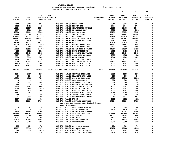| EVENUE AND EXPENSE WORKSHEET | $8$ OF YEAR = 100 $8$ |  |  |
|------------------------------|-----------------------|--|--|
| YEAR ENDING JUNE 30 2023     |                       |  |  |
|                              |                       |  |  |

| $19 - 20$<br><b>ACTUAL</b> | $20 - 21$<br><b>ACTUAL</b> | $21 - 22$<br><b>BUDGET FTE</b> | $21 - 22$<br>ADOPTED BUDGETED |                                                                        | <b>REQUESTED</b><br><b>FTE</b> | $22 - 23$<br>INITIAL<br><b>BUDGET</b> | $22 - 23$<br><b>PROPOSED</b><br><b>BUDGET</b> | $22 - 23$<br><b>APPROVED</b><br><b>BUDGET</b> | $22 - 23$<br><b>ADOPTED</b><br><b>BUDGET</b> |
|----------------------------|----------------------------|--------------------------------|-------------------------------|------------------------------------------------------------------------|--------------------------------|---------------------------------------|-----------------------------------------------|-----------------------------------------------|----------------------------------------------|
| 7665                       | 8121                       | 5865                           | 016-075-482.00 EXTRA HELP     |                                                                        |                                | 5866                                  | 5866                                          | 5866                                          | 0                                            |
| 1193                       | 1425                       | 20                             | 016-075-484.00 BEEPER PAY     |                                                                        |                                | 8744                                  | 8744                                          | 8744                                          | 0                                            |
| 12086                      | 13557                      | 10144                          |                               | 016-075-485.00 CERTIFICATION/EDUC                                      |                                | 10408                                 | 10408                                         | 10408                                         | 0                                            |
| 1737                       | 1323                       | 1885                           | 016-075-486.00 INCENTIVE PAY  |                                                                        |                                | 2002                                  | 2002                                          | 2002                                          | 0                                            |
| 42910                      | 47130                      | 55012                          | 016-075-490.00 MEDICARE TAX   |                                                                        |                                | 55159                                 | 55159                                         | 55159                                         | 0                                            |
| 182444                     | 200360                     | 235220                         |                               | 016-075-491.00 SOCIAL SECURITY                                         |                                | 241205                                | 241205                                        | 241205                                        | 0                                            |
| 512189                     | 573723                     | 753715                         | 016-075-492.00 RETIREMENT     |                                                                        |                                | 783218                                | 783218                                        | 783218                                        | 0                                            |
| 847281                     | 931294                     | 1112915                        |                               | 016-075-493.10 MEDICAL INSURANCE                                       |                                | 1215842                               | 1215842                                       | 1215842                                       | $\pmb{\mathsf{O}}$                           |
| 1291                       | 1520                       | 1593                           |                               | 016-075-493.12 EMPLOYEE ASSISTANC                                      |                                | 1562                                  | 1562                                          | 1562                                          | 0                                            |
| 55249                      | 54274                      | 64321                          | 016-075-493.15 VEBA           |                                                                        |                                | 70829                                 | 70829                                         | 70829                                         | $\pmb{0}$                                    |
| 52008                      | 50836                      | 77489                          |                               | 016-075-493.20 DENTAL INSURANCE                                        |                                | 75487                                 | 75487                                         | 75487                                         | 0                                            |
| 7133                       | 7099                       | 8220                           |                               | 016-075-493.25 VISION INSURANCE                                        |                                | 8582                                  | 8582                                          | 8582                                          | $\pmb{\mathsf{O}}$                           |
| 16655                      | 18995                      | 24476                          |                               | 016-075-493.31 SHORT TERM DISABIL                                      |                                | 24317                                 | 24317                                         | 24317                                         | 0                                            |
| 855                        | 2132                       | 1393                           |                               | 016-075-493.40 LIFE INSURANCE                                          |                                | 1415                                  | 1415                                          | 1415                                          | $\pmb{\mathsf{O}}$                           |
| 17029                      | 13458                      | 12657                          |                               | 016-075-494.00 ACCIDENT INSURANCE                                      |                                | 12454                                 | 12454                                         | 12454                                         | $\pmb{0}$                                    |
| 3127                       | 3314                       | 4079                           |                               | 016-075-494.80 TIME LOSS RESERVE                                       |                                | 4325                                  | 4325                                          | 4325                                          | $\mathsf{o}\xspace$                          |
| 3006                       | 3314                       | 3835                           | 016-075-495.00 UNEMPLOYMENT   |                                                                        |                                | 4066                                  | 4066                                          | 4066                                          | 0                                            |
| 1106                       | 1036                       | 1501                           |                               | 016-075-496.00 WORKERS COMP ASSES                                      |                                | 1559                                  | 1559                                          | 1559                                          | 0                                            |
| 16546                      | 15052                      | 13593                          |                               | 016-075-499.00 FET/VACATION/SICK                                       |                                | 21253                                 | 21253                                         | 21253                                         | 0                                            |
| $2642 -$                   | 2132                       | 1000                           |                               | 016-075-499.98 VACATION LIAB. ADJ                                      |                                | 1003                                  | 1003                                          | 1003                                          | 0                                            |
| 3304                       | 39474                      | 1000                           |                               | 016-075-499.99 VACATION LIAB. ADJ                                      |                                | 1003                                  | 1003                                          | 1003                                          | 0                                            |
| 4748954                    | 5264477                    | 6434261                        | 60.6617 TOTAL FOR PERSONNEL   |                                                                        | 62.9228                        | 6821156                               | 6821156                                       | 6821156                                       | 0                                            |
| 4004                       | 2657                       | 1984                           |                               | 016-075-510.01 CENTRAL SUPPLIES                                        |                                | 1988                                  | 1988                                          | 1988                                          | 0                                            |
| 20                         | 316                        | 500                            |                               | 016-075-511.06 TRAINING SUPPLIES                                       |                                | 500                                   | 500                                           | 500                                           | 0                                            |
| 15950                      | 6525                       | 7501                           |                               | 016-075-511.99 MISC OP SUPPLIES                                        |                                | 10002                                 | 10002                                         | 10002                                         | 0                                            |
| 0                          | 0                          | 40                             | 016-075-512.03 LAB MATERIALS  |                                                                        |                                | 500                                   | 500                                           | 500                                           | $\mathsf{o}$                                 |
| 986                        | 557                        | 1000                           |                               | 016-075-512.04 LABORATORY EXPENSE                                      |                                | 500                                   | 500                                           | 500                                           | 0                                            |
| 248                        | 0                          | 500                            |                               | 016-075-513.01 EDUCATIONAL MATERI                                      |                                | 504                                   | 504                                           | 504                                           | $\pmb{0}$                                    |
| 4359                       | 2045                       | 4000                           |                               | 016-075-513.03 PUBLICATIONS & DUE                                      |                                | 7002                                  | 7002                                          | 7002                                          | 0<br>$\pmb{0}$                               |
| 5758                       | 856                        | 1999                           |                               | 016-075-543.01 DEPT. EQUIPMENT                                         |                                | 2003                                  | 2003                                          | 2003                                          |                                              |
| 3112                       | 929<br>354                 | 1000<br>3774                   |                               | 016-075-583.02 DATA PROCESSING SU<br>016-075-610.01 PROFESSIONAL SERVI |                                | 1003<br>3758                          | 1003<br>3758                                  | 1003<br>3758                                  | 0<br>$\pmb{0}$                               |
| 1543<br>645                | 213                        | 200                            |                               | 016-075-610.24 INTERPRETER SERVIC                                      |                                | 200                                   | 200                                           | 200                                           | 0                                            |
| 6804                       | 3111                       | 7289                           |                               | 016-075-610.25 PROFESSIONAL CONTR                                      |                                | 6944                                  | 6944                                          | 6944                                          | 0                                            |
| 4907                       | 4692                       | 4899                           | 016-075-611.01 AUDIT          |                                                                        |                                | 4952                                  | 4952                                          | 4952                                          | 0                                            |
| 9338                       | 11114                      | 27963                          |                               | 016-075-611.02 CONTRACT SERVICES                                       |                                | 27114                                 | 27114                                         | 27114                                         | $\Omega$                                     |
|                            |                            |                                |                               | Contract for Relias and digital health                                 |                                |                                       |                                               |                                               |                                              |
|                            |                            |                                | record storage                |                                                                        |                                |                                       |                                               |                                               |                                              |
| 878                        | 781                        | 900                            |                               | 016-075-611.03 JANITORIAL CONTRAC                                      |                                | 882                                   | 882                                           | 882                                           | 0                                            |
| 19039                      | 38598                      | 1250                           |                               | 016-075-611.30 GRANT EXPENSES                                          |                                | 1250                                  | 1250                                          | 1250                                          | 0                                            |
| 16610                      | 11564                      | 12001                          |                               | 016-075-612.02 SCHOOLS AND CONFER                                      |                                | 10002                                 | 10002                                         | 10002                                         | 0                                            |
| 274144                     | 263267                     | 335658                         |                               | 016-075-613.04 OHP SUBCONTRACTED                                       |                                | 317856                                | 317856                                        | 317856                                        | $\mathbf 0$                                  |
| 36540                      | 27760                      | 25000                          | 016-075-620.01 TELEPHONE      |                                                                        |                                | 25002                                 | 25002                                         | 25002                                         | 0                                            |
| 1083                       | 1233                       | 1098                           | 016-075-621.01 POSTAGE        |                                                                        |                                | 1103                                  | 1103                                          | 1103                                          | 0                                            |
| 20472                      | 10463                      | 14977                          |                               | 016-075-630.01 TRAVEL EXPENSE                                          |                                | 14977                                 | 14977                                         | 14977                                         | 0                                            |
| 4871                       | 3705                       | 3299                           | 016-075-640.01 ADVERTISING    |                                                                        |                                | 3302                                  | 3302                                          | 3302                                          | 0                                            |
| 185                        | 150                        | 720                            |                               | 016-075-650.01 EQUIPMENT LEASE                                         |                                | 706                                   | 706                                           | 706                                           | 0                                            |
| 49787                      | 53713                      | 47672                          | 016-075-652.01 BUILDING RENT  |                                                                        |                                | 42102                                 | 42102                                         | 42102                                         | 0                                            |
| 624                        | 590                        | 1436                           |                               | 016-075-670.02 HEAT/LIGHTS/WATER                                       |                                | 1087                                  | 1087                                          | 1087                                          | 0                                            |
| 4727                       | 3539                       | 1947                           |                               | 016-075-683.01 COPY MACHINES/MAIN                                      |                                | 2702                                  | 2702                                          | 2702                                          | 0                                            |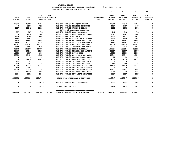|                            |                            |                          |                                         |                                       |                                | 10                                           | 20                                     | 30                                     | 40                                           |
|----------------------------|----------------------------|--------------------------|-----------------------------------------|---------------------------------------|--------------------------------|----------------------------------------------|----------------------------------------|----------------------------------------|----------------------------------------------|
| $19 - 20$<br><b>ACTUAL</b> | $20 - 21$<br><b>ACTUAL</b> | <b>BUDGET FTE</b>        | $21 - 22$ $21 - 22$<br>ADOPTED BUDGETED |                                       | <b>REQUESTED</b><br><b>FTE</b> | $22 - 23$<br><b>INITIAL</b><br><b>BUDGET</b> | $22 - 23$<br>PROPOSED<br><b>BUDGET</b> | $22 - 23$<br>APPROVED<br><b>BUDGET</b> | $22 - 23$<br><b>ADOPTED</b><br><b>BUDGET</b> |
| 29071                      | 18001                      | 14741                    |                                         | 016-075-683.02 DP EQUIP MAINT         |                                | 27840                                        | 27840                                  | 27840                                  | 0                                            |
| $\mathbf{0}$               | 2908                       | 7231                     |                                         | 016-075-695.13 PERMITS/LICENSES       |                                | 4487                                         | 4487                                   | 4487                                   | 0                                            |
| 4087                       | 19942                      | 19999                    |                                         | 016-075-699.01 OTHER EXPENSE          |                                | 2003                                         | 2003                                   | 2003                                   | $\mathbf 0$                                  |
|                            |                            |                          |                                         | COVID-19 pandemic expenses            |                                |                                              |                                        |                                        |                                              |
| 857                        | 387                        | 742                      |                                         | 016-075-699.07 WRAP SERVICES          |                                | 742                                          | 742                                    | 742                                    | 0                                            |
| $\mathbf{0}$               | 2054                       | 1844                     |                                         | 016-075-699.08 BANK SERVICE CHARG     |                                | 1847                                         | 1847                                   | 1847                                   | $\mathbf 0$                                  |
| 2606                       | 2388                       | 4884                     |                                         | 016-075-699.09 PAYBACK                |                                | 2632                                         | 2632                                   | 2632                                   | $\mathbf 0$                                  |
| 2965                       | 1962                       | 3350                     |                                         | 016-075-699.14 OTHER OHP EXPENSES     |                                | 1450                                         | 1450                                   | 1450                                   | $\mathsf{o}\xspace$                          |
| 16605                      | 16957                      | 16581                    |                                         | 016-075-700.18 NW HUMAN SERVICES      |                                | 16582                                        | 16582                                  | 16582                                  | $\pmb{0}$                                    |
| 11595                      | 10273                      | 13182                    |                                         | 016-075-700.24 CRISIS SUBCONTRACT     |                                | 13183                                        | 13183                                  | 13183                                  | 0                                            |
| 174067                     | 173767                     | 181733                   |                                         | 016-075-780.01 BUILDING RESERVE       |                                | 181079                                       | 181079                                 | 181079                                 | 0                                            |
| 5549                       | 5657                       | 6188                     |                                         | 016-075-780.02 INTERNAL PROPERTY      |                                | 8872                                         | 8872                                   | 8872                                   | 0                                            |
| 95678                      | 112978                     | 117070                   |                                         | 016-075-780.03 ADMIN OVERHEAD         |                                | 139954                                       | 139954                                 | 139954                                 | $\ddot{\mathbf{0}}$                          |
| 33460                      | 27364                      | 28988                    |                                         | 016-075-780.04 TELECOMMUNICATIONS     |                                | 28007                                        | 28007                                  | 28007                                  | $\mathbf 0$                                  |
| 11009                      | 6097                       | 6000                     |                                         | 016-075-780.05 MOTOR POOL             |                                | 12000                                        | 12000                                  | 12000                                  | $\mathbf 0$                                  |
| 38381                      | 45434                      | 43154                    |                                         | 016-075-780.06 EQUIPMENT REPLACEM     |                                | 45344                                        | 45344                                  | 45344                                  | 0                                            |
| $\mathbf 0$                | $\mathbf 0$                | 10                       |                                         | 016-075-780.09 MANUAL CHECK CHARG     |                                | 10                                           | 10                                     | 10                                     | $\mathsf{o}\xspace$                          |
| 23976                      | 24470                      | 28075                    |                                         | 016-075-780.15 COMPUTER SERVICES      |                                | 24990                                        | 24990                                  | 24990                                  | 0                                            |
| 205                        | 92                         | $\overline{\phantom{0}}$ |                                         | 016-075-780.16 INTERNAL CONTRACT      |                                | $\mathbf 0$                                  | $\mathbf 0$                            | $\overline{\phantom{0}}$               | 0                                            |
| 226                        | 307                        | 288                      |                                         | 016-075-780.17 INTERNAL POSTAGE C     |                                | 290                                          | 290                                    | 290                                    | 0                                            |
| 20019                      | 17214                      | 17212                    |                                         | 016-075-780.27 INTERNAL LIABILITY     |                                | 23120                                        | 23120                                  | 23120                                  |                                              |
| $599 -$                    | 2057                       | $\overline{\phantom{0}}$ |                                         | 016-075-780.44 CO INT PEL RESERVE     |                                | $\mathbf 0$                                  | $\mathbf 0$                            | $\overline{\mathbf{0}}$                | $\begin{matrix} 0 \\ 0 \\ 0 \end{matrix}$    |
| 53706                      | 70318                      | 72766                    |                                         | 016-075-780.46 CO INT NETWORK CHA     |                                | 76427                                        | 76427                                  | 76427                                  |                                              |
| 9371                       | 11238                      | 8576                     |                                         | 016-075-780.54 TELECOMM PER CALL      |                                | 8710                                         | 8710                                   | 8710                                   | $\mathbf{o}$                                 |
| 5264                       | 5289                       | 5543                     |                                         | 016-075-780.55 INT LEGAL SERVICES     |                                | 5537                                         | 5537                                   | 5537                                   | 0                                            |
| 1024732                    | 1025886                    | 1106764                  |                                         | TOTAL FOR MATERIALS & SERVICES        |                                | 1113047                                      | 1113047                                | 1113047                                | 0                                            |
| 0                          | $\mathbf 0$                | 1876                     |                                         | 016-075-800.80 DEPT EQUIPMENT         |                                | 1839                                         | 1839                                   | 1839                                   | 0                                            |
| 0                          | $\mathbf{0}$               | 1876                     |                                         | TOTAL FOR CAPITAL                     |                                | 1839                                         | 1839                                   | 1839                                   | $\mathbf{o}$                                 |
| 5773686                    | 6290363                    | 7542901                  |                                         | 60.6617 TOTAL EXPENSES FAMILY & YOUTH | 62.9228                        | 7936042                                      | 7936042                                | 7936042                                | 0                                            |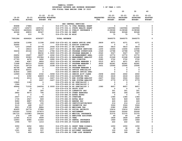| YAMHILL COUNTY                          |                       |  |  |  |  |  |  |  |  |
|-----------------------------------------|-----------------------|--|--|--|--|--|--|--|--|
| BUDGETARY REVENUE AND EXPENSE WORKSHEET | $8$ OF YEAR = 100 $8$ |  |  |  |  |  |  |  |  |
| FOR FISCAL YEAR ENDING JUNE 30 2023     |                       |  |  |  |  |  |  |  |  |

|                            |                            |                   |                  | המחס במדחמים שמים השי                                  |                                          |                                | 10                       | 20                               | 30                               | 40                              |
|----------------------------|----------------------------|-------------------|------------------|--------------------------------------------------------|------------------------------------------|--------------------------------|--------------------------|----------------------------------|----------------------------------|---------------------------------|
|                            |                            |                   |                  |                                                        |                                          |                                |                          |                                  |                                  |                                 |
|                            |                            | $21 - 22$         | $21 - 22$        |                                                        |                                          |                                | $22 - 23$                | 22-23                            | $22 - 23$                        | $22 - 23$                       |
| $19 - 20$<br><b>ACTUAL</b> | $20 - 21$<br><b>ACTUAL</b> | <b>BUDGET FTE</b> | ADOPTED BUDGETED |                                                        |                                          | <b>REQUESTED</b><br><b>FTE</b> | INITIAL<br><b>BUDGET</b> | <b>PROPOSED</b><br><b>BUDGET</b> | <b>APPROVED</b><br><b>BUDGET</b> | <b>ADOPTED</b><br><b>BUDGET</b> |
|                            |                            |                   |                  |                                                        | HHS CENTRAL SERVICES                     |                                |                          |                                  |                                  |                                 |
| 85898                      | 17884                      | 0                 |                  |                                                        | 016-079-331.72 CFAA FEDERAL GRANT        |                                | 0                        | 0                                | 0                                | 0                               |
| 149473                     | 149473                     | 1405152           |                  |                                                        | 016-079-334.11 STATE HEALTH GRANT        |                                | 1420584                  | 1420584                          | 1420584                          | $\mathbf 0$                     |
| 7413839                    | 4429224                    | 2808753           |                  |                                                        | 016-079-346.12 PUBLIC INSURANCE (        |                                | 2138368                  | 2138368                          | 2138368                          | 0                               |
| 42046                      | 49833                      | 90347             |                  | 016-079-362.04 RENT                                    |                                          |                                | 90348                    | 90348                            | 90348                            | 0                               |
| 30                         | 210                        | 75                |                  | 016-079-362.99 MISC                                    |                                          |                                | 75                       | 75                               | 75                               | $\mathbf 0$                     |
| 7691286                    | 4646624                    | 4304327           |                  | <b>TOTAL REVENUE</b>                                   |                                          |                                | 3649375                  | 3649375                          | 3649375                          | 0                               |
| 24058                      | 11958                      | 11338             |                  |                                                        | .2262 016-079-401.02 ADMIN OFFICE SPEC   | .0809                          | 4371                     | 4371                             | 4371                             | 0                               |
| 30492                      | 0                          | 0                 |                  |                                                        | 016-079-401.16 ASSIST DIRECTOR           |                                | 0                        | 0                                | 0                                | 0                               |
| 7103                       | 19545                      | 20706             |                  | .2046 016-079-401.17 BH DIRECTOR                       |                                          | .0540                          | 5810                     | 5810                             | 5810                             | 0                               |
| 0                          | 18614                      | 20774             |                  |                                                        | .2037 016-079-401.18 HHS ADMIN SERVICES  | .1200                          | 13090                    | 13090                            | 13090                            | 0                               |
| 36434                      | 20164                      | 19023             |                  |                                                        | .2786 016-079-401.25 PROGRAM SUPERVISOR  | .1549                          | 10788                    | 10788                            | 10788                            | 0                               |
| 0                          | 0                          | 88232             |                  |                                                        | 1.0000 016-079-401.28 PROGRAM MANAGER 2  | .0540                          | 5027                     | 5027                             | 5027                             | 0                               |
| 26652                      | 19497                      | 18297             |                  |                                                        | .2262 016-079-401.30 SR MANAGEMENT ANAL  | .1293                          | 10772                    | 10772                            | 10772                            | 0                               |
| 50992<br>27793             | 30083                      | 150384<br>3492    |                  |                                                        | 2.4524 016-079-401.32 MANAGEMENT ANALYST | .3181                          | 21048                    | 21048                            | 21048<br>3702                    | 0<br>0                          |
| 5380                       | 4478<br>4587               | 4824              |                  | .0280 016-079-401.33 HHS DIRECTOR                      | .0515 016-079-401.35 PROGRAM MANAGER 3   | .0280<br>.0515                 | 3702<br>4971             | 3702<br>4971                     | 4971                             | 0                               |
| 71468                      | 84312                      | 70645             |                  |                                                        | .4500 016-079-401.37 PROGRAM MANAGER 1   | .4000                          | 62281                    | 62281                            | 62281                            | 0                               |
| 70161                      | 29719                      | 32331             |                  | .5338 016-079-401.48 DATA ANALYST                      |                                          | .2431                          | 15595                    | 15595                            | 15595                            | 0                               |
| 92796                      | 3696                       | 0                 |                  |                                                        | 016-079-401.55 PROGRAM MANAGER 4         |                                | 0                        | 0                                | 0                                | 0                               |
| 29279                      | 32031                      | 0                 |                  |                                                        | 016-079-402.02 OFFICE SPECIALIST         |                                | 0                        | 0                                | 0                                | 0                               |
| 81856                      | 1865                       | 0                 |                  |                                                        | 016-079-402.03 SENIOR OFFICE SPEC        |                                | 0                        | 0                                | 0                                | 0                               |
| 12969                      | 13982                      | 2332              |                  |                                                        | .0458 016-079-402.14 SENIOR ACCT CLERK   | .0458                          | 2402                     | 2402                             | 2402                             | 0                               |
| 0                          | 4392                       | 44809             |                  |                                                        | 1.0000 016-079-402.15 ACCOUNTING TECH    | .0540                          | 2618                     | 2618                             | 2618                             | 0                               |
| 21632                      | 6014                       | 3418              |                  |                                                        | .0407 016-079-403.70 EHR SYSTEM ANALYST  | .0407                          | 3522                     | 3522                             | 3522                             | 0                               |
| 0                          | 0                          | 2697              |                  |                                                        | .0407 016-079-403.74 EHR SYSTEM ANALYST  | .0407                          | 2779                     | 2779                             | 2779                             | 0                               |
| 13845                      | 1189                       | 0                 |                  |                                                        | 016-079-406.22 HS SPECIALIST 1           |                                | 0                        | 0                                | 0                                | 0                               |
| 1364                       | 0                          | 0                 |                  |                                                        | 016-079-406.23 HS SPECIALIST 2           |                                | 0                        | 0                                | 0                                | 0                               |
| 49646                      | 71535                      | 144056            |                  |                                                        | 2.0000 016-079-406.24 HS SPECIALIST 3    | .1080                          | 8657                     | 8657                             | 8657                             | 0                               |
| 7                          | 0                          | 0                 |                  | 016-079-474.00 SHIFT DIFF                              |                                          |                                | 0                        | 0                                | 0                                | $\mathbf 0$                     |
| 97                         | 98                         | 300               |                  | 016-079-475.00 LONGEVITY PAY                           |                                          |                                | 301                      | 301                              | 301                              | 0                               |
| 2862                       | 9573                       | 794               |                  |                                                        | 016-079-479.00 OTHER EARNINGS            |                                | 306                      | 306                              | 306                              | 0                               |
| $\overline{\mathbf{2}}$    | 0                          | 0                 |                  | 016-079-480.00 EXTRA HOURS                             |                                          |                                | 0                        | 0                                | 0                                | $\mathbf 0$                     |
| 2937                       | 2711                       | 1384              |                  | 016-079-481.00 OVERTIME                                |                                          |                                | 1384                     | 1384                             | 1384                             | $\mathbf 0$<br>$\mathbf 0$      |
| 1730<br>9282               | 2527<br>8887               | 849<br>7876       |                  | 016-079-482.00 EXTRA HELP<br>016-079-484.00 BEEPER PAY |                                          |                                | 849<br>426               | 849<br>426                       | 849<br>426                       | $\mathbf 0$                     |
| 3148                       | 1852                       | 150               |                  |                                                        | 016-079-485.00 CERTIFICATION/EDUC        |                                | 214                      | 214                              | 214                              | 0                               |
| 3115                       | 448                        | 3137              |                  | 016-079-486.00 INCENTIVE PAY                           |                                          |                                | 3326                     | 3326                             | 3326                             | 0                               |
| 9921                       | 5795                       | 8884              |                  | 016-079-490.00 MEDICARE TAX                            |                                          |                                | 2382                     | 2382                             | 2382                             | 0                               |
| 42420                      | 24779                      | 37986             |                  |                                                        | 016-079-491.00 SOCIAL SECURITY           |                                | 10414                    | 10414                            | 10414                            | 0                               |
| 105320                     | 73332                      | 107873            |                  | 016-079-492.00 RETIREMENT                              |                                          |                                | 22240                    | 22240                            | 22240                            | $\mathbf 0$                     |
| 181715                     | 112983                     | 164354            |                  |                                                        | 016-079-493.10 MEDICAL INSURANCE         |                                | 31375                    | 31375                            | 31375                            | $\mathsf{o}\,$                  |
| 276                        | 199                        | 230               |                  |                                                        | 016-079-493.12 EMPLOYEE ASSISTANC        |                                | 49                       | 49                               | 49                               | $\mathsf{o}\,$                  |
| 12345                      | 6116                       | 9499              |                  | 016-079-493.15 VEBA                                    |                                          |                                | 1828                     | 1828                             | 1828                             | 0                               |
| 12953                      | 6085                       | 11444             |                  |                                                        | 016-079-493.20 DENTAL INSURANCE          |                                | 1949                     | 1949                             | 1949                             | 0                               |
| 1594                       | 757                        | 1214              |                  |                                                        | 016-079-493.25 VISION INSURANCE          |                                | 222                      | 222                              | 222                              | 0                               |
| 3350                       | 2252                       | 3953              |                  |                                                        | 016-079-493.31 SHORT TERM DISABIL        |                                | 1050                     | 1050                             | 1050                             | $\mathbf 0$                     |
| 167                        | 246                        | 206               |                  |                                                        | 016-079-493.40 LIFE INSURANCE            |                                | 38                       | 38                               | 38                               | $\mathbf 0$                     |
| 1301                       | 697                        | 537               |                  |                                                        | 016-079-494.00 ACCIDENT INSURANCE        |                                | 129                      | 129                              | 129                              | 0                               |
| 713                        | 409                        | 659               |                  |                                                        | 016-079-494.80 TIME LOSS RESERVE         |                                | 188                      | 188                              | 188                              | 0                               |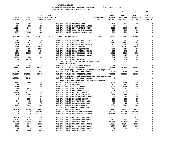|               |               |                     |                                                |                                | 10             | 20              | 30              | 40             |
|---------------|---------------|---------------------|------------------------------------------------|--------------------------------|----------------|-----------------|-----------------|----------------|
|               |               | $21 - 22$ $21 - 22$ |                                                |                                | $22 - 23$      | $22 - 23$       | $22 - 23$       | $22 - 23$      |
| $19 - 20$     | $20 - 21$     |                     | ADOPTED BUDGETED                               |                                | <b>INITIAL</b> | <b>PROPOSED</b> | <b>APPROVED</b> | <b>ADOPTED</b> |
| <b>ACTUAL</b> | <b>ACTUAL</b> | <b>BUDGET FTE</b>   |                                                | <b>REQUESTED</b><br><b>FTE</b> | <b>BUDGET</b>  | <b>BUDGET</b>   | <b>BUDGET</b>   | <b>BUDGET</b>  |
|               |               |                     |                                                |                                |                |                 |                 |                |
| 690           | 409           | 619                 | 016-079-495.00 UNEMPLOYMENT                    |                                | 176            | 176             | 176             | 0              |
| 204           | 121           | 217                 | 016-079-496.00 WORKERS COMP ASSES              |                                | 49             | 49              | 49              | 0              |
| 13106         | 5449          | 6383                | 016-079-499.00 FET/VACATION/SICK               |                                | 2001           | 2001            | 2001            | 0              |
| $504 -$       | - 9           | 100                 | 016-079-499.98 COMP TIME LIABILIT              |                                | 101            | 101             | 101             | 0              |
| $4077 -$      | 4983-         | 250                 | 016-079-499.99 VACATION LIAB. ADJ              |                                | 251            | 251             | 251             | 0              |
| 1058594       | 638412        | 1006256             | 8.7822 TOTAL FOR PERSONNEL                     | 1.9230                         | 258681         | 258681          | 258681          | 0              |
| 281           | 68            | 100                 | 016-079-510.01 CENTRAL SUPPLIES                |                                | 101            | 101             | 101             | 0              |
| 1946          | 617           | 1850                | 016-079-511.99 MISC OP SUPPLIES                |                                | 1851           | 1851            | 1851            | 0              |
| 105           | 194           | 100                 | 016-079-513.01 EDUCATIONAL MATERI              |                                | 101            | 101             | 101             | 0              |
| 15646         | 15938         | 16251               | 016-079-513.03 PUBLICATIONS & DUE              |                                | 16251          | 16251           | 16251           | 0              |
| 947           | 926           | 60500               | 016-079-543.01 DEPT. EQUIPMENT                 |                                | 500            | 500             | 500             | $\mathsf{o}$   |
| 306           | 323           | 200                 | 016-079-583.02 DATA PROCESSING SU              |                                | 201            | 201             | 201             | 0              |
| 6279          | 18011         | 1849                | 016-079-610.01 PROFESSIONAL SERVI              |                                | 1811           | 1811            | 1811            | $\mathsf{o}$   |
| 4482          | $\mathbf{o}$  | 441                 | 016-079-610.25 PROFESSIONAL CONTR              |                                | 420            | 420             | 420             | 0              |
| 1049          | 505           | 527                 | 016-079-611.01 AUDIT                           |                                | 540            | 540             | 540             | 0              |
| 235000        | 11974         | 3355                | 016-079-611.02 CONTRACT SERVICES               |                                | 694            | 694             | 694             | 0              |
|               |               |                     | Contract for Relias and digital health         |                                |                |                 |                 |                |
|               |               |                     | record storage                                 |                                |                |                 |                 |                |
| 235           | 104           | 160                 | 016-079-611.03 JANITORIAL CONTRAC              |                                | 34             | 34              | 34              | 0              |
| 136587        | 31369         | 151447              | 016-079-611.30 GRANT EXPENSES                  |                                | 169848         | 169848          | 169848          | $\mathbf 0$    |
|               |               |                     | Indigent psychiatric hospitalization payments  |                                |                |                 |                 |                |
| 12919         | 3735          | 5246                | 016-079-612.02 SCHOOLS AND CONFER              |                                | 1808           | 1808            | 1808            | 0              |
| 2316327       | 2736399       | 737617              | 016-079-613.04 OHP SUBCONTRACTED               |                                | 956915         | 956915          | 956915          | 0              |
|               |               |                     | Local and regional community partner contracts |                                |                |                 |                 |                |
| 2867826       | 11429         | 0                   | 016-079-613.06 OUT OF PLAN SERVIC              |                                | $\mathbf 0$    | $\mathbf{0}$    | 0               | 0              |
|               |               |                     | Local and regional fee-for-service payments    |                                |                |                 |                 |                |
| 7145          | 9208          | 7987                | 016-079-620.01 TELEPHONE                       |                                | 7988           | 7988            | 7988            | 0              |
| 524           | 312           | 400                 | 016-079-621.01 POSTAGE                         |                                | 401            | 401             | 401             | 0              |
| 1466          | 221           | 1500                | 016-079-630.01 TRAVEL EXPENSE                  |                                | 1500           | 1500            | 1500            | 0              |
| 259           | 1435          | 750                 | 016-079-640.01 ADVERTISING                     |                                | 751            | 751             | 751             | 0              |
| 142           | 20            | 128                 | 016-079-650.01 EQUIPMENT LEASE                 |                                | 28             | 28              | 28              | 0              |
| 24899         | 10724         | 21102               | 016-079-652.01 BUILDING RENT                   |                                | 3272           | 3272            | 3272            | 0              |
| 2478          | 992           | 2235                | 016-079-670.02 HEAT/LIGHTS/WATER               |                                | 459            | 459             | 459             | 0              |
| 231           | 38            | 200                 | 016-079-683.01 COPY MACHINES/MAIN              |                                | 201            | 201             | 201             | 0              |
| 0             | 2130          | 362                 | 016-079-683.02 DP EQUIP MAINT                  |                                | 111            | 111             | 111             | 0              |
| 544           | 431           | 535                 | 016-079-683.07 SOFTWARE LIC AND M              |                                | 535            | 535             | 535             | 0              |
| 0             | 335           | 750                 | 016-079-695.13 PERMITS/LICENSES                |                                | - 25           | 25              | 25              | 0              |
| 1405          | 9616          | 5000                | 016-079-699.01 OTHER EXPENSE                   |                                | 5001           | 5001            | 5001            | 0              |
|               |               |                     | COVID-19 pandemic expenses                     |                                |                |                 |                 |                |
| 48278         | 26108         | 46016               | 016-079-699.09 PAYBACK                         |                                | 24727          | 24727           | 24727           | 0              |
| 0             | 0             | 1250000             | 016-079-720.11 NEW STATE PROGRAMS              |                                | 1250000        | 1250000         | 1250000         | 0              |
| 0             | $\mathbf{0}$  | 1002286             | 016-079-720.21 NEW PUBLIC INSURAN              |                                | 1002286        | 1002286         | 1002286         | 0              |
|               |               |                     |                                                |                                |                |                 |                 |                |
| 46629         | 23367         | 32206               | 016-079-780.01 BUILDING RESERVE                |                                | 6777           | 6777            | 6777            | 0              |
| 1344          | 1370          | 1498                | 016-079-780.02 INTERNAL PROPERTY               |                                | 2127           | 2127            | 2127            | 0              |
| 236315        | 239878        | 229798              | 016-079-780.03 ADMIN OVERHEAD                  |                                | 225615         | 225615          | 225615          | 0              |
| 9382          | 3648          | 11924               | 016-079-780.04 TELECOMMUNICATIONS              |                                | 12304          | 12304           | 12304           | 0              |
| 7819          | 7244          | 6245                | 016-079-780.06 EOUIPMENT REPLACEM              |                                | 1397           | 1397            | 1397            | 0              |
| 10            | 0             | 30                  | 016-079-780.09 MANUAL CHECK CHARG              |                                | 30             | 30              | 30              | 0              |
| 5123          | 2628          | 4066                | 016-079-780.15 COMPUTER SERVICES               |                                | 771            | 771             | 771             | 0              |
|               |               |                     |                                                |                                |                |                 |                 |                |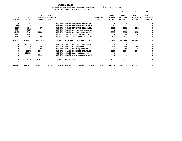|                            |                            |                                          |                                   |                                | 10                                           | 20                                            | 30                                            | 40                                           |
|----------------------------|----------------------------|------------------------------------------|-----------------------------------|--------------------------------|----------------------------------------------|-----------------------------------------------|-----------------------------------------------|----------------------------------------------|
| $19 - 20$<br><b>ACTUAL</b> | $20 - 21$<br><b>ACTUAL</b> | $21 - 22$ $21 - 22$<br><b>BUDGET FTE</b> | ADOPTED BUDGETED                  | <b>REQUESTED</b><br><b>FTE</b> | $22 - 23$<br><b>INITIAL</b><br><b>BUDGET</b> | $22 - 23$<br><b>PROPOSED</b><br><b>BUDGET</b> | $22 - 23$<br><b>APPROVED</b><br><b>BUDGET</b> | $22 - 23$<br><b>ADOPTED</b><br><b>BUDGET</b> |
| 55                         | 16                         | $\overline{\mathbf{0}}$                  | 016-079-780.16 INTERNAL CONTRACT  |                                | 0                                            | 0                                             |                                               |                                              |
| 101                        | 65                         | 63                                       | 016-079-780.17 INTERNAL POSTAGE C |                                | 64                                           | 64                                            | 64                                            |                                              |
| 4850                       | 4349                       | 4171                                     | 016-079-780.27 INTERNAL LIABILITY |                                | 5582                                         | 5582                                          | 5582                                          |                                              |
| $3724 -$                   | $3027 -$                   | $\Omega$                                 | 016-079-780.44 CO INT PEL RESERVE |                                | $\mathbf{0}$                                 | $\Omega$                                      | $\mathbf 0$                                   |                                              |
| 11475                      | 8464                       | 10530                                    | 016-079-780.46 CO INT NETWORK CHA |                                | 2355                                         | 2355                                          | 2355                                          |                                              |
| 1947                       | 1289                       | 1520                                     | 016-079-780.54 TELECOMM PER CALL  |                                | 306                                          | 306                                           | 306                                           | $\Omega$                                     |
| 1125                       | 569                        | 804                                      | 016-079-780.55 INT LEGAL SERVICES |                                | 152                                          | 152                                           | 152                                           | 0                                            |
| 6009757                    | 3183022                    | 3621749                                  | TOTAL FOR MATERIALS & SERVICES    |                                | 3705840                                      | 3705840                                       | 3705840                                       | 0                                            |
| 0                          | 1270116                    | 0                                        | 016-079-800.02 BUILDING PURCHASE  |                                | $\mathbf{0}$                                 | 0                                             | 0                                             | <sup>0</sup>                                 |
| 0                          | 0                          | 7500                                     | 016-079-800.06 DP SOFTWARE        |                                | 2500                                         | 2500                                          | 2500                                          |                                              |
| 0                          | $\Omega$                   | 271                                      | 016-079-800.80 DEPT EQUIPMENT     |                                | 57                                           | 57                                            | 57                                            |                                              |
| 0                          | 20173                      | 10000                                    | 016-079-801.04 DP EQUIP PURCHASE  |                                | 5000                                         | 5000                                          | 5000                                          |                                              |
| 0                          | 401089                     | $\sim$ 0                                 | 016-079-810.01 LAND ACQUISITION   |                                | $\mathbf{0}$                                 | $\Omega$                                      | $\Omega$                                      |                                              |
| 0                          | $\Omega$                   | 85000                                    | 016-079-820.01 MISC BUILDING REMO |                                | 0                                            | 0                                             | 0                                             | 0                                            |
| $\Omega$                   | 1691378                    | 102771                                   | TOTAL FOR CAPITAL                 |                                | 7557                                         | 7557                                          | 7557                                          | 0                                            |
|                            |                            |                                          |                                   |                                |                                              |                                               |                                               |                                              |

 **7068351 5512812 4730776 8.7822 TOTAL EXPENSES HHS CENTRAL SERVICE 1.9230 3972078 3972078 3972078 0**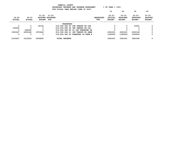|                            | $8$ OF YEAR = 100 $8$<br>BUDGETARY REVENUE AND EXPENSE WORKSHEET |                            |                                  |                      |                                     |                         |                                       |                                               |                                               |                                              |  |  |
|----------------------------|------------------------------------------------------------------|----------------------------|----------------------------------|----------------------|-------------------------------------|-------------------------|---------------------------------------|-----------------------------------------------|-----------------------------------------------|----------------------------------------------|--|--|
|                            |                                                                  |                            |                                  |                      | FOR FISCAL YEAR ENDING JUNE 30 2023 |                         |                                       |                                               |                                               |                                              |  |  |
|                            |                                                                  |                            |                                  |                      |                                     |                         | 10                                    | 20                                            | 30                                            | 40                                           |  |  |
| $19 - 20$<br><b>ACTUAL</b> | $20 - 21$<br>ACTUAL                                              | $21 - 22$<br><b>BUDGET</b> | 21-22<br>ADOPTED BUDGETED<br>FTE |                      |                                     | <b>REOUESTED</b><br>FTE | $22 - 23$<br>INITIAL<br><b>BUDGET</b> | $22 - 23$<br><b>PROPOSED</b><br><b>BUDGET</b> | $22 - 23$<br><b>APPROVED</b><br><b>BUDGET</b> | $22 - 23$<br><b>ADOPTED</b><br><b>BUDGET</b> |  |  |
|                            |                                                                  |                            |                                  | TRANSFERS            |                                     |                         |                                       |                                               |                                               |                                              |  |  |
| 0                          | 0                                                                | 32193                      |                                  |                      | 016-090-380.55 INT TRNSFR FR CAP    |                         | 0                                     | $\Omega$                                      | 31451                                         | O.                                           |  |  |
| 150000                     |                                                                  |                            |                                  |                      | 016-090-380.64 INT TRNSFR FR O&C    |                         |                                       |                                               |                                               | O                                            |  |  |
| 0                          | 262040                                                           |                            |                                  |                      | 016-090-380.80 CO INT TRANSFER FR   |                         |                                       |                                               |                                               | 0                                            |  |  |
| 1953347                    | 2050186                                                          | 1972642                    |                                  |                      | 016-090-380.91 INT TRNSFR FR GENE   |                         | 2091001                               | 2091001                                       | 2250144                                       | 0                                            |  |  |
| 0                          | 0                                                                | 0                          |                                  |                      | 016-090-380.93 TRANSFER IN FROM A   |                         | 1300000                               | 1300000                                       | 1300000                                       | 0                                            |  |  |
| 2103347                    | 2312226                                                          | 2004835                    |                                  | <b>TOTAL REVENUE</b> |                                     |                         | 3391001                               | 3391001                                       | 3581595                                       | 0                                            |  |  |

 **YAMHILL COUNTY**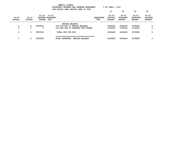|                            |                            |                            | YAMHILL COUNTY<br>BUDGETARY REVENUE AND EXPENSE WORKSHEET<br>FOR FISCAL YEAR ENDING JUNE 30 2023 |                          | $8$ OF YEAR = 100 $8$                 |                                               |                                               |                                              |
|----------------------------|----------------------------|----------------------------|--------------------------------------------------------------------------------------------------|--------------------------|---------------------------------------|-----------------------------------------------|-----------------------------------------------|----------------------------------------------|
|                            |                            |                            |                                                                                                  |                          | 10                                    | 20                                            | 30                                            | 40                                           |
| $19 - 20$<br><b>ACTUAL</b> | $20 - 21$<br><b>ACTUAL</b> | $21 - 22$<br><b>BUDGET</b> | 21-22<br>ADOPTED BUDGETED<br>FTE                                                                 | <b>REQUESTED</b><br>FTE. | $22 - 23$<br>INITIAL<br><b>BUDGET</b> | $22 - 23$<br><b>PROPOSED</b><br><b>BUDGET</b> | $22 - 23$<br><b>APPROVED</b><br><b>BUDGET</b> | $22 - 23$<br><b>ADOPTED</b><br><b>BUDGET</b> |
|                            |                            |                            | <b>ENDING BALANCE</b>                                                                            |                          |                                       |                                               |                                               |                                              |
| 0                          | 0                          | 2953554                    | 016-093-990.01 ENDING BALANCE                                                                    |                          | 4949469                               | 4949469                                       | 5078848                                       | 0                                            |
| 0                          | 0                          | 0                          | 016-093-990.03 RESERVE FOR FUTURE                                                                |                          | 1300000                               | 1300000                                       | 1300000                                       | 0                                            |
| 0                          | 0                          | 2953554                    | TOTAL FOR 900-999                                                                                |                          | 6249469                               | 6249469                                       | 6378848                                       | 0                                            |
| 0                          | 0                          | 2953554                    | <b>TOTAL EXPENSES</b><br><b>ENDING BALANCE</b>                                                   |                          | 6249469                               | 6249469                                       | 6378848                                       | 0                                            |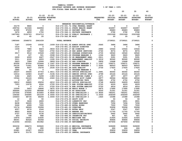|                      |                          |                                   |                  |                                   |                                                                                    |                  | 10                      | 20                       | 30                       | 40                          |
|----------------------|--------------------------|-----------------------------------|------------------|-----------------------------------|------------------------------------------------------------------------------------|------------------|-------------------------|--------------------------|--------------------------|-----------------------------|
|                      |                          |                                   |                  |                                   |                                                                                    |                  |                         |                          |                          |                             |
| $19 - 20$            | 20-21                    | $21 - 22$ $21 - 22$               | ADOPTED BUDGETED |                                   |                                                                                    | <b>REQUESTED</b> | 22-23<br><b>INITIAL</b> | 22-23<br><b>PROPOSED</b> | 22-23<br><b>APPROVED</b> | $22 - 23$<br><b>ADOPTED</b> |
| <b>ACTUAL</b>        | <b>ACTUAL</b>            | <b>BUDGET FTE</b>                 |                  |                                   |                                                                                    | FTE              | <b>BUDGET</b>           | <b>BUDGET</b>            | <b>BUDGET</b>            | <b>BUDGET</b>               |
|                      |                          |                                   |                  |                                   |                                                                                    |                  |                         |                          |                          |                             |
|                      |                          |                                   |                  |                                   | ENHANCED RESIDENTIAL/OUTREACH                                                      |                  |                         |                          |                          |                             |
| 33179                | 9860                     | $\mathbf 0$                       |                  |                                   | 016-172-331.72 CFAA FEDERAL GRANT                                                  |                  | 0                       | $\mathbf 0$              | 0                        | 0                           |
| 299754               | 313326                   | 324956                            |                  |                                   | 016-172-334.11 STATE HEALTH GRANT                                                  |                  | 324957                  | 324957                   | 324957                   | 0                           |
| 41595                | 97259                    | 200                               |                  | 016-172-346.10 PATIENT FEES       |                                                                                    |                  | 89683                   | 89683                    | 89683                    | 0                           |
| 3476                 | 4859                     | 1750                              |                  |                                   | 016-172-346.11 PRIVATE INSURANCE                                                   |                  | 3792                    | 3792                     | 3792                     | 0                           |
| 1607593              | 2122723                  | 2314713                           |                  |                                   | 016-172-346.12 PUBLIC INSURANCE (                                                  |                  | 2321069                 | 2321069                  | 2321069                  | 0                           |
| 49                   | 45                       | 20                                |                  | 016-172-362.99 MISC               |                                                                                    |                  | -20                     | 20                       | 20                       | $\mathbf 0$                 |
| 1985646              | 2548072                  | 2641639                           |                  | <b>TOTAL REVENUE</b>              |                                                                                    |                  | 2739521                 | 2739521                  | 2739521                  | $\mathbf 0$                 |
|                      |                          |                                   |                  |                                   |                                                                                    |                  |                         |                          |                          |                             |
| 7187                 | 10249                    | 10032                             |                  |                                   | .1939 016-172-401.02 ADMIN OFFICE SPEC                                             | .0645            | 3486                    | 3486                     | 3486                     | 0                           |
| 1214                 | $\mathbf 0$              | $\overline{\phantom{0}}$          |                  |                                   | 016-172-401.16 ASSIST DIRECTOR                                                     |                  | $\mathbf 0$             | $\mathbf 0$              | $\mathbf 0$              | 0                           |
| 1639                 | 7886                     | 8423                              |                  | .0833 016-172-401.17 BH DIRECTOR  |                                                                                    | .0980            | 10544                   | 10544                    | 10544                    | 0                           |
| $\mathbf 0$          | 5607                     | 7649                              |                  |                                   | .0750 016-172-401.18 HHS ADMIN SERVICES                                            | .0740            | 8074                    | 8074                     | 8074                     | 0                           |
| 3517                 | 9516                     | 10549                             |                  |                                   | .1589 016-172-401.25 PROGRAM SUPERVISOR                                            | .2730            | 18540                   | 18540                    | 18540                    | $\mathsf{o}$                |
| $\mathbf{o}$         | 167                      | 501                               |                  |                                   | .0068  016-172-401.28  PROGRAM MANAGER 2                                           | .1044            | 9620                    | 9620                     | 9620                     | 0                           |
| 2609                 | 4009                     | 4427                              |                  |                                   | .0547 016-172-401.30 SR MANAGEMENT ANAL                                            | .0611            | 5091                    | 5091                     | 5091                     | 0                           |
| 3311                 | 6120                     | 6933                              |                  |                                   | .1095  016-172-401.32  MANAGEMENT ANALYST                                          | 1.3216           | 90060                   | 90060                    | 90060                    | 0                           |
| 5823                 | 7089                     | 10064                             |                  | .0809 016-172-401.33 HHS DIRECTOR |                                                                                    | .0809            | 10668                   | 10668                    | 10668                    | 0<br>0                      |
| 83056                | 97054                    | 103444                            |                  |                                   | 1.1047 016-172-401.35 PROGRAM MANAGER 3                                            | 1.1047           | 106571                  | 106571                   | 106571                   |                             |
| 24126                | 71641                    | 83966                             |                  |                                   | 1.0000 016-172-401.37 PROGRAM MANAGER 1                                            | 1.0000           | 86503                   | 86503                    | 86503                    | 0                           |
| 6899                 | 9207                     | 15278                             |                  | .2535 016-172-401.48 DATA ANALYST |                                                                                    | .2730            | 17425                   | 17425                    | 17425                    | 0                           |
| 2880                 | 64                       | $\mathbf{0}$                      |                  |                                   | 016-172-401.55 PROGRAM MANAGER 4                                                   |                  | $^{\circ}$              | $\mathbf 0$              | $\overline{\mathbf{0}}$  | $\mathsf{o}$<br>$\pmb{0}$   |
| 26237                | 35026                    | 47753                             |                  |                                   | 1.4611 016-172-402.02 OFFICE SPECIALIST                                            | 1.3481           | 46302                   | 46302                    | 46302                    | $\mathsf{o}$                |
| 10014                | 16583                    | 21287<br>5299                     |                  |                                   | .5194 016-172-402.03 SENIOR OFFICE SPEC                                            | .4799            | 20124                   | 20124                    | 20124                    | $\pmb{0}$                   |
| 3184                 | 4625                     |                                   |                  |                                   | .1383  016-172-402.04  ACCOUNTING CLERK 2                                          | .1271            | 4977                    | 4977                     | 4977                     | $\pmb{0}$                   |
| 19344<br>$\mathbf 0$ | 24124<br>3077            | 29894<br>$\overline{\phantom{0}}$ |                  |                                   | .6322 016-172-402.14 SENIOR ACCT CLERK                                             | .5877<br>.0980   | 28564<br>4752           | 28564<br>4752            | 28564<br>4752            | 0                           |
|                      |                          | 29256                             |                  |                                   | 016-172-402.15 ACCOUNTING TECH                                                     |                  |                         | 26609                    | 26609                    | $\pmb{0}$                   |
| 18612<br>7303        | 24865<br>10078           | 6044                              |                  |                                   | .6212 016-172-402.20 OFFICE SPECIALIST                                             | .5748            | 26609<br>6229           | 6229                     | 6229                     | 0                           |
| $\mathbf{o}$         | $\overline{\phantom{0}}$ | 4771                              |                  |                                   | .0720 016-172-403.70 EHR SYSTEM ANALYST<br>.0720 016-172-403.74 EHR SYSTEM ANALYST | .0720<br>.0720   | 4916                    | 4916                     | 4916                     | $\pmb{0}$                   |
| 12509                | 5453                     | 18894                             |                  |                                   | .0875  016-172-406.08 REGIS NURSE 3                                                | .0875            | 17995                   | 17995                    | 17995                    | 0                           |
| 364644               | 312202                   | 380668                            |                  |                                   | 7.6250 016-172-406.20 HS ASSOCIATE                                                 | .6250            | 31351                   | 31351                    | 31351                    | $\pmb{\mathsf{0}}$          |
| 237056               | 274592                   | 415955                            |                  |                                   | 6.9000 016-172-406.22 HS SPECIALIST 1                                              | 13.9000          | 792251                  | 792251                   | 792251                   | 0                           |
| 108364               | 204994                   | 241539                            |                  |                                   | 4.0000 016-172-406.23 HS SPECIALIST 2                                              | 4.0000           | 254069                  | 254069                   | 254069                   | $\pmb{\mathsf{0}}$          |
| 106403               | 68734                    | 66264                             |                  |                                   | 1.0000 016-172-406.24 HS SPECIALIST 3                                              | .1920            | 15388                   | 15388                    | 15388                    | 0                           |
| 12                   | 26                       | 50                                |                  | 016-172-474.00 SHIFT DIFF         |                                                                                    |                  | 50                      | 50                       | 50                       | $\pmb{\mathsf{0}}$          |
| 3137                 | 3628                     | 2800                              |                  |                                   | 016-172-475.00 LONGEVITY PAY                                                       |                  | 2801                    | 2801                     | 2801                     | 0                           |
| 8438                 | 36265                    | 7491                              |                  |                                   | 016-172-479.00 OTHER EARNINGS                                                      |                  | 7294                    | 7294                     | 7294                     | $\mathsf{o}\xspace$         |
| 5246                 | 4999                     | 7000                              |                  | 016-172-480.00 EXTRA HOURS        |                                                                                    |                  | 7000                    | 7000                     | 7000                     | $\mathsf{o}\xspace$         |
| 15174                | 28069                    | 35958                             |                  | 016-172-481.00 OVERTIME           |                                                                                    |                  | 35958                   | 35958                    | 35958                    | $\mathsf{o}\xspace$         |
| 4057                 | 6576                     | 2546                              |                  | 016-172-482.00 EXTRA HELP         |                                                                                    |                  | 2547                    | 2547                     | 2547                     | 0                           |
| 8823                 | 8429                     | 8116                              |                  | 016-172-484.00 BEEPER PAY         |                                                                                    |                  | 11755                   | 11755                    | 11755                    | $\mathbf 0$                 |
| 2737                 | 5735                     | 4136                              |                  |                                   | 016-172-485.00 CERTIFICATION/EDUC                                                  |                  | 2642                    | 2642                     | 2642                     | 0                           |
| 653                  | 708                      | 868                               |                  | 016-172-486.00 INCENTIVE PAY      |                                                                                    |                  | 921                     | 921                      | 921                      | 0                           |
| 15974                | 19301                    | 21835                             |                  | 016-172-490.00 MEDICARE TAX       |                                                                                    |                  | 21924                   | 21924                    | 21924                    | 0                           |
| 68301                | 82524                    | 93358                             |                  |                                   | 016-172-491.00 SOCIAL SECURITY                                                     |                  | 95866                   | 95866                    | 95866                    | 0                           |
| 214354               | 243321                   | 301962                            |                  | 016-172-492.00 RETIREMENT         |                                                                                    |                  | 307656                  | 307656                   | 307656                   | 0                           |
| 300236               | 398473                   | 505845                            |                  |                                   | 016-172-493.10 MEDICAL INSURANCE                                                   |                  | 529699                  | 529699                   | 529699                   | 0                           |
| 485                  | 672                      | 692                               |                  |                                   | 016-172-493.12 EMPLOYEE ASSISTANC                                                  |                  | 664                     | 664                      | 664                      | 0                           |
| 20981                | 25327                    | 29235                             |                  | 016-172-493.15 VEBA               |                                                                                    |                  | 30859                   | 30859                    | 30859                    | 0                           |
| 26476                | 31170                    | 35221                             |                  |                                   | 016-172-493.20 DENTAL INSURANCE                                                    |                  | 32888                   | 32888                    | 32888                    | 0                           |
|                      |                          |                                   |                  |                                   |                                                                                    |                  |                         |                          |                          |                             |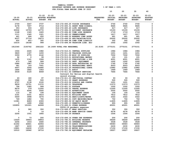|                            |                            |                         |                                                                    |                                | 10                                    | 20                                            | 30                                            | 40                                           |
|----------------------------|----------------------------|-------------------------|--------------------------------------------------------------------|--------------------------------|---------------------------------------|-----------------------------------------------|-----------------------------------------------|----------------------------------------------|
| $19 - 20$<br><b>ACTUAL</b> | $20 - 21$<br><b>ACTUAL</b> | $21 - 22$<br>BUDGET FTE | $21 - 22$<br>ADOPTED BUDGETED                                      | <b>REQUESTED</b><br><b>FTE</b> | $22 - 23$<br>INITIAL<br><b>BUDGET</b> | $22 - 23$<br><b>PROPOSED</b><br><b>BUDGET</b> | $22 - 23$<br><b>APPROVED</b><br><b>BUDGET</b> | $22 - 23$<br><b>ADOPTED</b><br><b>BUDGET</b> |
|                            |                            |                         |                                                                    |                                |                                       |                                               |                                               |                                              |
| 2709                       | 3247                       | 3737<br>9714            | 016-172-493.25 VISION INSURANCE                                    |                                | 3740<br>9665                          | 3740                                          | 3740                                          | 0<br>0                                       |
| 6178                       | 7457<br>353<br>933         | 633                     | 016-172-493.31 SHORT TERM DISABIL<br>016-172-493.40 LIFE INSURANCE |                                | 617                                   | 9665<br>617                                   | 9665<br>617                                   | 0                                            |
| 30532                      | 15703                      | 16772                   | 016-172-494.00 ACCIDENT INSURANCE                                  |                                | 15193                                 | 15193                                         | 15193                                         | $\pmb{0}$                                    |
| 1148                       | 1345                       | 1620                    | 016-172-494.80 TIME LOSS RESERVE                                   |                                | 1719                                  | 1719                                          | 1719                                          | $\mathsf{o}$                                 |
| 1111                       | 1345                       | 1521                    | 016-172-495.00 UNEMPLOYMENT                                        |                                | 1617                                  | 1617                                          | 1617                                          | $\mathbf 0$                                  |
|                            | 441<br>464                 | 650                     | 016-172-496.00 WORKERS COMP ASSES                                  |                                | 661                                   | 661                                           | 661                                           | $\mathbf 0$                                  |
|                            | 8237<br>37716              | 19273                   | 016-172-499.00 FET/VACATION/SICK                                   |                                | 25002                                 | 25002                                         | 25002                                         | $\pmb{0}$                                    |
|                            | 402<br>$801 -$             | 300                     | 016-172-499.98 COMP TIME LIABILIT                                  |                                | 302                                   | 302                                           | 302                                           | 0                                            |
| 10214                      | 18168                      | 999                     | 016-172-499.99 VACATION LIAB. ADJ                                  |                                | 1002                                  | 1002                                          | 1002                                          | $\mathbf 0$                                  |
| 1812340                    | 2193762                    | 2641222                 | 26.2499 TOTAL FOR PERSONNEL                                        | 26.6193                        | 2770151                               | 2770151                                       | 2770151                                       | $\mathbf 0$                                  |
|                            |                            |                         |                                                                    |                                |                                       |                                               |                                               |                                              |
| 1504                       | 2245                       | 1982                    | 016-172-510.01 CENTRAL SUPPLIES                                    |                                | 1984                                  | 1984                                          | 1984                                          | 0                                            |
|                            | 3829<br>1187               | 1200                    | 016-172-511.06 TRAINING SUPPLIES                                   |                                | 1201                                  | 1201                                          | 1201                                          | $\mathsf{o}\xspace$                          |
|                            | 4770<br>3359               | 4142                    | 016-172-511.99 MISC OP SUPPLIES                                    |                                | 7002                                  | 7002                                          | 7002                                          | $\mathsf{o}$                                 |
|                            | 92<br>$\mathbf{o}$         | 99                      | 016-172-513.01 EDUCATIONAL MATERI                                  |                                | 101                                   | 101                                           | 101                                           | $\mathsf{o}$                                 |
| 1435                       | 1141                       | 3364                    | 016-172-513.03 PUBLICATIONS & DUE                                  |                                | 4001                                  | 4001                                          | 4001                                          | $\pmb{\mathsf{0}}$                           |
|                            | 673<br>148                 | 999                     | 016-172-543.01 DEPT. EQUIPMENT                                     |                                | 1002                                  | 1002                                          | 1002                                          | $\begin{smallmatrix}0\0\0\end{smallmatrix}$  |
| 2984                       | 1987                       | 1759                    | 016-172-583.02 DATA PROCESSING SU                                  |                                | 1760                                  | 1760                                          | 1760                                          |                                              |
|                            | 581<br>163                 | 7061                    | 016-172-610.01 PROFESSIONAL SERVI                                  |                                | 6503                                  | 6503                                          | 6503                                          | $\mathsf{o}$                                 |
|                            | 4407<br>3244               | 14680                   | 016-172-610.25 PROFESSIONAL CONTR                                  |                                | 13982                                 | 13982                                         | 13982                                         | 0                                            |
| 1846                       | 1862                       | 1943                    | 016-172-611.01 AUDIT                                               |                                | 1969                                  | 1969                                          | 1969                                          | 0                                            |
| 3539                       | 5120                       | 8069                    | 016-172-611.02 CONTRACT SERVICES                                   |                                | 7664                                  | 7664                                          | 7664                                          | 0                                            |
|                            |                            |                         | Contract for Relias and digital health                             |                                |                                       |                                               |                                               |                                              |
|                            |                            |                         | record storage                                                     |                                |                                       |                                               |                                               |                                              |
|                            | 180<br>63                  | 97                      | 016-172-611.03 JANITORIAL CONTRAC                                  |                                | 93                                    | 93                                            | 93                                            | 0                                            |
| 1988                       | 392                        | 500                     | 016-172-611.30 GRANT EXPENSES                                      |                                | 500                                   | 500                                           | 500                                           | $\mathbf 0$                                  |
| 2737                       | 2138                       | 2100                    | 016-172-612.02 SCHOOLS AND CONFER                                  |                                | 1201                                  | 1201                                          | 1201                                          | $\pmb{0}$                                    |
|                            | 9839<br>12751              | 11572                   | 016-172-620.01 TELEPHONE                                           |                                | 11573                                 | 11573                                         | 11573                                         | $\mathsf{o}$                                 |
|                            | 796<br>1085<br>379         | 999                     | 016-172-621.01 POSTAGE                                             |                                | 1002                                  | 1002                                          | 1002                                          | $\mathbf 0$<br>0                             |
| 8679                       | 4295                       | 11000<br>2500           | 016-172-630.01 TRAVEL EXPENSE                                      |                                | 11000                                 | 11000                                         | 11000                                         | $\mathsf{o}$                                 |
| 1711                       | 114<br>66                  | 158                     | 016-172-640.01 ADVERTISING<br>016-172-650.01 EQUIPMENT LEASE       |                                | 2502<br>154                           | 2502<br>154                                   | 2502<br>154                                   | $\mathbf 0$                                  |
| 3191                       | 5331                       | 9416                    | 016-172-652.01 BUILDING RENT                                       |                                | 7812                                  | 7812                                          | 7812                                          | $\mathbf 0$                                  |
| 5609                       | 3998                       | 3276                    | 016-172-670.02 HEAT/LIGHTS/WATER                                   |                                | 3322                                  | 3322                                          | 3322                                          | $\mathbf 0$                                  |
|                            | 749<br>1482                | 700                     | 016-172-683.01 COPY MACHINES/MAIN                                  |                                | 702                                   | 702                                           | 702                                           | 0                                            |
| 11081                      | 8283                       | 6393                    | 016-172-683.02 DP EQUIP MAINT                                      |                                | 11805                                 | 11805                                         | 11805                                         | $\mathbf 0$                                  |
|                            | 1690<br>0                  | 2942                    | 016-172-695.13 PERMITS/LICENSES                                    |                                | 955                                   | 955                                           | 955                                           | $\pmb{0}$                                    |
| 102855                     | 101021                     | 44999                   | 016-172-699.01 OTHER EXPENSE                                       |                                | 45001                                 | 45001                                         | 45001                                         | 0                                            |
|                            |                            |                         | COVID-19 pandemic expenses                                         |                                |                                       |                                               |                                               |                                              |
|                            |                            |                         |                                                                    |                                |                                       |                                               |                                               |                                              |

| 8679   | 379    | TTOOO | 016-172-630.01 TRAVEL EXPENSE     | TTOOD | TTOOO | TTOOD | υ. |
|--------|--------|-------|-----------------------------------|-------|-------|-------|----|
| 1711   | 4295   | 2500  | 016-172-640.01 ADVERTISING        | 2502  | 2502  | 2502  | 0  |
| 114    | 66     | 158   | 016-172-650.01 EQUIPMENT LEASE    | 154   | 154   | 154   | 0  |
| 3191   | 5331   | 9416  | 016-172-652.01 BUILDING RENT      | 7812  | 7812  | 7812  | 0  |
| 5609   | 3998   | 3276  | 016-172-670.02 HEAT/LIGHTS/WATER  | 3322  | 3322  | 3322  | 0  |
| 749    | 1482   | 700   | 016-172-683.01 COPY MACHINES/MAIN | 702   | 702   | 702   | 0  |
| 11081  | 8283   | 6393  | 016-172-683.02 DP EQUIP MAINT     | 11805 | 11805 | 11805 | 0  |
| 0      | 1690   | 2942  | 016-172-695.13 PERMITS/LICENSES   | 955   | 955   | 955   | 0  |
| 102855 | 101021 | 44999 | 016-172-699.01 OTHER EXPENSE      | 45001 | 45001 | 45001 | 0  |
|        |        |       | COVID-19 pandemic expenses        |       |       |       |    |
| 0      | 585    | 350   | 016-172-699.07 WRAP SERVICES      | 350   | 350   | 350   | 0  |
| 0      | 0      | 14    | 016-172-699.08 BANK SERVICE CHARG | 6278  | 6278  | 6278  | 0  |
| 2256   | 1551   | 1865  | 016-172-699.09 PAYBACK            | 1004  | 1004  | 1004  | 0  |

 **0 73 200 016-172-699.14 OTHER OHP EXPENSES 200 200 200 0** 

 **13029 39903 39853 016-172-780.01 BUILDING RESERVE 39269 39269 39269 0** 

 **2206 1916 2460 016-172-780.02 INTERNAL PROPERTY 3528 3528 3528 0** 

 **41262 44841 44956 016-172-780.03 ADMIN OVERHEAD 59083 59083 59083 0** 

 **1867 6200 2628 016-172-780.04 TELECOMMUNICATIONS 2630 2630 2630 0** 

 **13891 16630 17150 016-172-780.05 MOTOR POOL 17150 17150 17150 0** 

 **12510 18942 18716 016-172-780.06 EQUIPMENT REPLACEM 19227 19227 19227 0** 

 $\mathbf 0$ 

 $\pmb{0}$ 

0

 $\pmb{\mathsf{0}}$ 

 $\pmb{\mathsf{0}}$ 

 $\mathbf 0$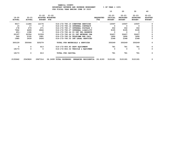|                        |                            |                                              |                                     |                                   |                                | 10                                    | 20                                            | 30                                            | 40                                           |
|------------------------|----------------------------|----------------------------------------------|-------------------------------------|-----------------------------------|--------------------------------|---------------------------------------|-----------------------------------------------|-----------------------------------------------|----------------------------------------------|
| 19-20<br><b>ACTUAL</b> | $20 - 21$<br><b>ACTUAL</b> | $21 - 22$<br><b>ADOPTED</b><br><b>BUDGET</b> | $21 - 22$<br><b>BUDGETED</b><br>FTE |                                   | <b>REQUESTED</b><br><b>FTE</b> | $22 - 23$<br>INITIAL<br><b>BUDGET</b> | $22 - 23$<br><b>PROPOSED</b><br><b>BUDGET</b> | $22 - 23$<br><b>APPROVED</b><br><b>BUDGET</b> | $22 - 23$<br><b>ADOPTED</b><br><b>BUDGET</b> |
| 9017                   | 11284                      | 12176                                        |                                     | 016-172-780.15 COMPUTER SERVICES  |                                | 10597                                 | 10597                                         | 10597                                         | O                                            |
| 15                     | 17                         | 0                                            |                                     | 016-172-780.16 INTERNAL CONTRACT  |                                | 0                                     | $\Omega$                                      | 0                                             |                                              |
| 178                    | 279                        | 271                                          |                                     | 016-172-780.17 INTERNAL POSTAGE C |                                | 302                                   | 302                                           | 302                                           |                                              |
| 7962                   | 4499                       | 6846                                         |                                     | 016-172-780.27 INTERNAL LIABILITY |                                | 9195                                  | 9195                                          | 9195                                          |                                              |
| $451 -$                | 1398                       | 0                                            |                                     | 016-172-780.44 CO INT PEL RESERVE |                                | 0                                     | 0                                             | 0                                             | 0                                            |
| 20197                  | 32354                      | 31559                                        |                                     | 016-172-780.46 CO INT NETWORK CHA |                                | 32407                                 | 32407                                         | 32407                                         |                                              |
| 549                    | 2195                       | 1881                                         |                                     | 016-172-780.54 TELECOMM PER CALL  |                                | 1890                                  | 1890                                          | 1890                                          | 0                                            |
| 1980                   | 2439                       | 2404                                         |                                     | 016-172-780.55 INT LEGAL SERVICES |                                | 2348                                  | 2348                                          | 2348                                          | 0                                            |
| 300129                 | 350064                     | 325279                                       |                                     | TOTAL FOR MATERIALS & SERVICES    |                                | 350249                                | 350249                                        | 350249                                        | 0                                            |
| 0                      | 0                          | 813                                          |                                     | 016-172-800.80 DEPT EQUIPMENT     |                                | 781                                   | 781                                           | 781                                           | 0                                            |
| 18173                  | $\mathbf 0$                | $\mathbf 0$                                  |                                     | 016-172-802.02 VEHICLE & EQUIPMEN |                                | 0                                     | $\Omega$                                      | 0                                             | 0                                            |
| 18173                  | 0                          | 813                                          | TOTAL FOR CAPITAL                   |                                   |                                | 781                                   | 781                                           | 781                                           | 0                                            |
| 2130642                | 2543826                    | 2967314                                      | 26.2499 TOTAL EXPENSES              | ENHANCED RESIDENTIA               | 26.6193                        | 3121181                               | 3121181                                       | 3121181                                       | 0                                            |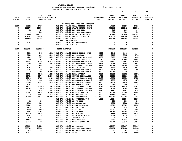**10 20 30 40** 

|                         |               | 21-22             | $21 - 22$                               |                                         |                  | $22 - 23$     | $22 - 23$       | $22 - 23$       | $22 - 23$      |
|-------------------------|---------------|-------------------|-----------------------------------------|-----------------------------------------|------------------|---------------|-----------------|-----------------|----------------|
| $19 - 20$               | $20 - 21$     |                   | ADOPTED BUDGETED                        |                                         | <b>REQUESTED</b> | INITIAL       | <b>PROPOSED</b> | <b>APPROVED</b> | <b>ADOPTED</b> |
| <b>ACTUAL</b>           | <b>ACTUAL</b> | <b>BUDGET FTE</b> |                                         |                                         | <b>FTE</b>       | <b>BUDGET</b> | <b>BUDGET</b>   | <b>BUDGET</b>   | <b>BUDGET</b>  |
|                         |               |                   |                                         | HOUSING AND RECOVERY SUPPORTS           |                  |               |                 |                 |                |
| 2260                    | 22315         | 17989             |                                         | 016-173-331.72 CFAA FEDERAL GRANT       |                  | 17990         | 17990           | 17990           | 0              |
| $\mathbf 0$             | 680178        | 650861            |                                         | 016-173-334.11 STATE HEALTH GRANT       |                  | 650862        | 650862          | 650862          | 0              |
| 0                       | 413           | 200               |                                         | 016-173-346.10 PATIENT FEES             |                  | 660           | 660             | 660             | 0              |
| 0                       | 0             | 2000              |                                         | 016-173-346.11 PRIVATE INSURANCE        |                  | 500           | 500             | 500             | 0              |
| $\mathbf 0$             | 1204600       | 1245198           |                                         | 016-173-346.12 PUBLIC INSURANCE         |                  | 1245220       | 1245220         | 1245220         | 0              |
| 0                       | 452103        | 312500            |                                         | 016-173-346.13 LOCAL CONTRACTS          |                  | 312500        | 312500          | 312500          | 0              |
| $\mathbf 0$             | 219694        | 621588            | 016-173-362.04 RENT                     |                                         |                  | 621588        | 621588          | 621588          | 0              |
|                         |               |                   | Housing subsidy                         |                                         |                  |               |                 |                 |                |
| 0                       | 4287          | 0                 |                                         | 016-173-362.12 REIMBURSEMENT            |                  | $\mathbf 0$   | 0               | $\mathbf 0$     | 0              |
| $\Omega$                | 34            | $\mathbf 0$       | 016-173-362.99 MISC                     |                                         |                  | 0             | 0               | $\mathbf 0$     | $\mathbf 0$    |
| 2260                    | 2583624       | 2850336           | <b>TOTAL REVENUE</b>                    |                                         |                  | 2849320       | 2849320         | 2849320         | $\mathbf 0$    |
| 0                       | 8989          | 9410              | .1827 016-173-401.02 ADMIN OFFICE SPEC  |                                         | .0822            | 4449          | 4449            | 4449            | 0              |
| $\mathbf 0$             | 5821          | 6943              | .0686 016-173-401.17 BH DIRECTOR        |                                         | .0810            | 8715          | 8715            | 8715            | 0              |
| 0                       | 4269          | 5579              |                                         | .0547 016-173-401.18 HHS ADMIN SERVICES | .0587            | 6403          | 6403            | 6403            | 0              |
| $\mathbf 0$             | 9128          | 9874              |                                         | .1477 016-173-401.25 PROGRAM SUPERVISOR | .2379            | 16266         | 16266           | 16266           | 0              |
| $\mathbf 0$             | 78592         | 91563             | 1.0783 016-173-401.28 PROGRAM MANAGER 2 |                                         | 1.1536           | 104943        | 104943          | 104943          | 0              |
| $\mathbf 0$             | 5366          | 5650              |                                         | .0699 016-173-401.30 SR MANAGEMENT ANAL | .0779            | 6498          | 6498            | 6498            | 0              |
| $\Omega$                | 8213          | 8850              |                                         | .1397 016-173-401.32 MANAGEMENT ANALYST | .3223            | 21066         | 21066           | 21066           | 0              |
| $\mathbf 0$             | 5297          | 8310              | .0667 016-173-401.33 HHS DIRECTOR       |                                         | .0667            | 8810          | 8810            | 8810            | 0              |
| $\mathbf 0$             | 6753          | 7285              | .0778 016-173-401.35 PROGRAM MANAGER 3  |                                         | .0778            | 7506          | 7506            | 7506            | 0              |
| $\mathbf 0$             | 0             | 71897             | 1.0000 016-173-401.37 PROGRAM MANAGER 1 |                                         | 1.0000           | 73340         | 73340           | 73340           | 0              |
| 0                       | 11726         | 19632             | .3257 016-173-401.48 DATA ANALYST       |                                         | .3506            | 22382         | 22382           | 22382           | 0              |
| $\Omega$                | 25729         | 38708             | 1.1843 016-173-402.02 OFFICE SPECIALIST |                                         | 1.1762           | 40399         | 40399           | 40399           | 0              |
| $\mathbf 0$             | 12248         | 17255             |                                         | .4210 016-173-402.03 SENIOR OFFICE SPEC | .4188            | 17558         | 17558           | 17558           | 0              |
| $\mathbf 0$             | 3473          | 4180              |                                         | .1092 016-173-402.04 ACCOUNTING CLERK 2 | .1093            | 4275          | 4275            | 4275            | 0              |
| $\mathbf 0$             | 20122         | 23570             | .4985 016-173-402.14 SENIOR ACCT CLERK  |                                         | .4989            | 24230         | 24230           | 24230           | 0              |
| $\mathbf 0$             | 2363          | $\mathbf 0$       |                                         | 016-173-402.15 ACCOUNTING TECH          | .0810            | 3928          | 3928            | 3928            | 0              |
| $\Omega$                | 18232         | 21909             | .5036 016-173-402.20 OFFICE SPECIALIST  |                                         | .5014            | 21436         | 21436           | 21436           | 0              |
| $\mathbf 0$             | 11764         | 7809              |                                         | .0930 016-173-403.70 EHR SYSTEM ANALYST | .0930            | 8045          | 8045            | 8045            | 0              |
| $\mathbf 0$             | 0             | 6162              |                                         | .0930 016-173-403.74 EHR SYSTEM ANALYST | .0930            | 6351          | 6351            | 6351            | 0              |
| $\mathbf 0$             | 40054         | 45366             | 1.0000 016-173-406.05 NURSING ASSIST    |                                         | 1.0000           | 49059         | 49059           | 49059           | 0              |
| $\mathbf 0$             | 0             | 18970             | .4750 016-173-406.19 HS TECHNICIAN      |                                         | 1.0000           | 41144         | 41144           | 41144           | 0              |
| 0                       | 642428        | 819449            | 14.0000 016-173-406.22 HS SPECIALIST 1  |                                         | 14.0000          | 833261        | 833261          | 833261          | $\mathbf 0$    |
| $\mathbf 0$             | $\mathbf 0$   | $\mathbf 0$       |                                         | 016-173-406.24 HS SPECIALIST 3          | .1620            | 12984         | 12984           | 12984           | 0              |
| $\mathbf 0$             | 13            | 100               | 016-173-474.00 SHIFT DIFF               |                                         |                  | 100           | 100             | 100             | 0              |
| $\mathbf 0$             | 1508          | 1201              |                                         | 016-173-475.00 LONGEVITY PAY            |                  | 1202          | 1202            | 1202            | 0              |
| $\Omega$                | 27209         | 4065              |                                         | 016-173-479.00 OTHER EARNINGS           |                  | 10321         | 10321           | 10321           | 0              |
| $\mathbf 0$             | 1252          | 652               | 016-173-480.00 EXTRA HOURS              |                                         |                  | 652           | 652             | 652             | 0              |
| $\mathbf 0$             | 34020         | 38065             | 016-173-481.00 OVERTIME                 |                                         |                  | 38065         | 38065           | 38065           | 0              |
| $\Omega$                | 1565          | 22084             | 016-173-482.00 EXTRA HELP               |                                         |                  | 22085         | 22085           | 22085           | 0              |
| $\mathbf 0$             | 39130         | 15750             | 016-173-484.00 BEEPER PAY               |                                         |                  | 16389         | 16389           | 16389           | 0              |
| $\mathbf 0$             | 1354          | 1388              |                                         | 016-173-485.00 CERTIFICATION/EDUC       |                  | 1216          | 1216            | 1216            | 0              |
| $\Omega$                | 530           | 0                 |                                         | 016-173-486.00 INCENTIVE PAY            |                  | 0             | 0               | 0               | 0              |
| $\mathbf 0$<br>$\Omega$ | 14674         | 18160             |                                         | 016-173-490.00 MEDICARE TAX             |                  | 18511         | 18511           | 18511           | 0<br>0         |
|                         | 62749         | 77651             |                                         | 016-173-491.00 SOCIAL SECURITY          |                  | 80945         | 80945           | 80945           |                |
| $\mathbf 0$             | 187136        | 242518            | 016-173-492.00 RETIREMENT               |                                         |                  | 259697        | 259697          | 259697          | 0              |
| 0                       | 328721        | 175381            |                                         | 016-173-493.10 MEDICAL INSURANCE        |                  | 461482        | 461482          | 461482          | 0              |
| $\Omega$                | 413           | 568               |                                         | 016-173-493.12 EMPLOYEE ASSISTANC       |                  | 563           | 563             | 563             | 0              |
| ∩                       | 18057         | $\Omega$          | 016-173-493.15 VEBA                     |                                         |                  | 26884         | 26884           | 26884           | 0              |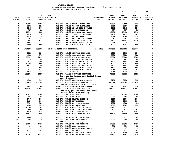|               |               |                     |                                        |                         | 10                       | 20                               | 30                               | 40                          |
|---------------|---------------|---------------------|----------------------------------------|-------------------------|--------------------------|----------------------------------|----------------------------------|-----------------------------|
|               |               |                     |                                        |                         |                          |                                  |                                  |                             |
| $19 - 20$     | $20 - 21$     | $21 - 22$ $21 - 22$ |                                        |                         | 22-23                    | $22 - 23$                        | $22 - 23$                        | $22 - 23$<br><b>ADOPTED</b> |
| <b>ACTUAL</b> | <b>ACTUAL</b> | <b>BUDGET FTE</b>   | ADOPTED BUDGETED                       | <b>REQUESTED</b><br>FTE | INITIAL<br><b>BUDGET</b> | <b>PROPOSED</b><br><b>BUDGET</b> | <b>APPROVED</b><br><b>BUDGET</b> | <b>BUDGET</b>               |
|               |               |                     |                                        |                         |                          |                                  |                                  |                             |
| 0             | 18553         | 12211               | 016-173-493.20 DENTAL INSURANCE        |                         | 28652                    | 28652                            | 28652                            | 0                           |
| 0             | 2303          | 1296                | 016-173-493.25 VISION INSURANCE        |                         | 3258                     | 3258                             | 3258                             | 0                           |
| 0             | 5961          | 8080                | 016-173-493.31 SHORT TERM DISABIL      |                         | 8161                     | 8161                             | 8161                             | 0                           |
| 0             | 727           | 220                 | 016-173-493.40 LIFE INSURANCE          |                         | 537                      | 537                              | 537                              | 0                           |
| $\mathbf 0$   | 17340         | 8359                | 016-173-494.00 ACCIDENT INSURANCE      |                         | 15438                    | 15438                            | 15438                            | 0                           |
| 0             | 1034          | 1347                | 016-173-494.80 TIME LOSS RESERVE       |                         | 1452                     | 1452                             | 1452                             | 0                           |
| $\mathbf 0$   | 1034          | 1265                | 016-173-495.00 UNEMPLOYMENT            |                         | 1366                     | 1366                             | 1366                             | 0                           |
| 0             | 342           | 535                 | 016-173-496.00 WORKERS COMP ASSES      |                         | 562                      | 562                              | 562                              | 0                           |
| 0             | 7488          | 8737                | 016-173-499.00 FET/VACATION/SICK       |                         | 11301                    | 11301                            | 11301                            | 0                           |
| 0             | 1508          | 713                 | 016-173-499.98 COMP TIME LIABILIT      |                         | 715                      | 715                              | 715                              | 0                           |
| 0             | 26400         | 5000                | 016-173-499.99 VACATION LIAB. ADJ      |                         | 5001                     | 5001                             | 5001                             | 0                           |
| 0             | 1721588       | 1893717             | 21.5894 TOTAL FOR PERSONNEL            | 22.6423                 | 2357603                  | 2357603                          | 2357603                          | 0                           |
| 0             | 1825          | 1300                | 016-173-510.01 CENTRAL SUPPLIES        |                         | 1301                     | 1301                             | 1301                             | 0                           |
| $\mathbf 0$   | 4903          | 5716                | 016-173-511.06 TRAINING SUPPLIES       |                         | 3228                     | 3228                             | 3228                             | 0                           |
| 0             | 28946         | 22999               | 016-173-511.99 MISC OP SUPPLIES        |                         | 23000                    | 23000                            | 23000                            | 0                           |
| $\mathbf 0$   | $\mathbf{0}$  | 200                 | 016-173-513.01 EDUCATIONAL MATERI      |                         | 201                      | 201                              | 201                              | 0                           |
| 0             | 919           | 2600                | 016-173-513.03 PUBLICATIONS & DUE      |                         | 2602                     | 2602                             | 2602                             | 0                           |
| 0             | 10386         | 8000                | 016-173-543.01 DEPT. EQUIPMENT         |                         | 8002                     | 8002                             | 8002                             | 0                           |
| $\mathbf 0$   | 3571          | 1500                | 016-173-583.02 DATA PROCESSING SU      |                         | 1501                     | 1501                             | 1501                             | 0                           |
| $\mathbf 0$   | 123           | 5587                | 016-173-610.01 PROFESSIONAL SERVI      |                         | 5593                     | 5593                             | 5593                             | 0                           |
| 0             | 2837          | 4144                | 016-173-610.25 PROFESSIONAL CONTR      |                         | 3948                     | 3948                             | 3948                             | 0                           |
| $\mathbf 0$   | 1645          | 1717                | 016-173-611.01 AUDIT                   |                         | 1745                     | 1745                             | 1745                             | 0                           |
| $\mathbf 0$   | 108904        | 90176               | 016-173-611.02 CONTRACT SERVICES       |                         | 90233                    | 90233                            | 90233                            | 0                           |
|               |               |                     | Contract for Relias and digital health |                         |                          |                                  |                                  |                             |
|               |               |                     | record storage                         |                         |                          |                                  |                                  |                             |
| 0             | 6563          | 3149                | 016-173-611.03 JANITORIAL CONTRAC      |                         | 3158                     | 3158                             | 3158                             | 0                           |
| 0             | 591272        | 1089207             | 016-173-611.30 GRANT EXPENSES          |                         | 1092326                  | 1092326                          | 1092326                          | 0                           |
|               |               |                     | Community-based non-profit contract    |                         |                          |                                  |                                  |                             |
| 0             | 3957          | 2000                | 016-173-612.02 SCHOOLS AND CONFER      |                         | 1202                     | 1202                             | 1202                             | 0                           |
| $\mathbf 0$   | 279383        | 276473              | 016-173-613.04 OHP SUBCONTRACTED       |                         | 276473                   | 276473                           | 276473                           | 0                           |
|               |               |                     | Community partner contracts using      |                         |                          |                                  |                                  |                             |
|               |               |                     | Oregon Health Plan funding             |                         |                          |                                  |                                  |                             |
| 0             | 12571         | 12000               | 016-173-620.01 TELEPHONE               |                         | 12002                    | 12002                            | 12002                            | 0                           |
| 0             | 826           | 950                 | 016-173-621.01 POSTAGE                 |                         | 951                      | 951                              | 951                              | 0                           |
| 0             | 1747          | 3000                | 016-173-630.01 TRAVEL EXPENSE          |                         | 3000                     | 3000                             | 3000                             | 0                           |
| 0             | 1624          | 1000                | 016-173-640.01 ADVERTISING             |                         | 1001                     | 1001                             | 1001                             | 0                           |
| $\mathbf 0$   | 3736          | 3201                | 016-173-650.01 EQUIPMENT LEASE         |                         | 4302                     | 4302                             | 4302                             | 0                           |
| $\mathbf 0$   | 4185          | 1516                | 016-173-652.01 BUILDING RENT           |                         | 1501                     | 1501                             | 1501                             | 0                           |
| $\mathbf 0$   | 48900         | 59095               | 016-173-670.02 HEAT/LIGHTS/WATER       |                         | 59117                    | 59117                            | 59117                            | 0                           |
| 0             | 468           | 400                 | 016-173-683.01 COPY MACHINES/MAIN      |                         | 451                      | 451                              | 451                              | 0                           |
| 0             | 6530          | 5248                | 016-173-683.02 DP EQUIP MAINT          |                         | 10022                    | 10022                            | 10022                            | 0                           |
| 0             | 11814         | 5500                | 016-173-683.10 BLDG MAINTENANCE        |                         | 25500                    | 25500                            | 25500                            | 0                           |
| $\mathbf 0$   | 1680          | 2321                | 016-173-695.13 PERMITS/LICENSES        |                         | 821                      | 821                              | 821                              | 0                           |
| 551           | 20405         | 400                 | 016-173-699.01 OTHER EXPENSE           |                         | 2002                     | 2002                             | 2002                             | 0                           |
|               |               |                     | COVID-19 pandemic expenses             |                         |                          |                                  |                                  |                             |
| 0             | 67084         | 67381               | 016-173-699.06 CRISIS RESPITE          |                         | 67383                    | 67383                            | 67383                            | 0                           |
| 0             | 466           | 800                 | 016-173-699.07 WRAP SERVICES           |                         | 350                      | 350                              | 350                              | 0                           |
| 0             | 0             | 14                  | 016-173-699.08 BANK SERVICE CHARG      |                         | 47                       | 47                               | 47                               | 0                           |
| 0             | 1779          | 1297                | 016-173-699.09 PAYBACK                 |                         | 699                      | 699                              | 699                              | 0                           |
| 0             | 396           | 950                 | 016-173-699.14 OTHER OHP EXPENSES      |                         | 1800                     | 1800                             | 1800                             | 0                           |
| 0             | 23763         | 29919               | 016-173-780.01 BUILDING RESERVE        |                         | 32187                    | 32187                            | 32187                            | 0                           |
|               |               |                     |                                        |                         |                          |                                  |                                  |                             |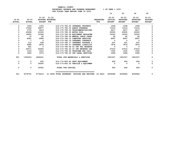|                            |                        |                         |                                            |                                   |                                | 10                                           | 20                                            | 30                                            | 40                                           |
|----------------------------|------------------------|-------------------------|--------------------------------------------|-----------------------------------|--------------------------------|----------------------------------------------|-----------------------------------------------|-----------------------------------------------|----------------------------------------------|
| $19 - 20$<br><b>ACTUAL</b> | 20-21<br><b>ACTUAL</b> | <b>BUDGET FTE</b>       | $21 - 22$ $21 - 22$<br>ADOPTED BUDGETED    |                                   | <b>REOUESTED</b><br><b>FTE</b> | $22 - 23$<br><b>INITIAL</b><br><b>BUDGET</b> | $22 - 23$<br><b>PROPOSED</b><br><b>BUDGET</b> | $22 - 23$<br><b>APPROVED</b><br><b>BUDGET</b> | $22 - 23$<br><b>ADOPTED</b><br><b>BUDGET</b> |
| 0                          | 1093                   | 1353                    |                                            | 016-173-780.02 INTERNAL PROPERTY  |                                | 1938                                         | 1938                                          | 1938                                          |                                              |
| 0                          | 17262                  | 45877                   | 016-173-780.03 ADMIN OVERHEAD              |                                   |                                | 71014                                        | 71014                                         | 71014                                         |                                              |
| 0                          | 3710                   | 6416                    |                                            | 016-173-780.04 TELECOMMUNICATIONS |                                | 6417                                         | 6417                                          | 6417                                          |                                              |
| 0                          | 22258                  | 21000                   | 016-173-780.05 MOTOR POOL                  |                                   |                                | 20000                                        | 20000                                         | 20000                                         |                                              |
| 0                          | 14800                  | 15364                   |                                            | 016-173-780.06 EOUIPMENT REPLACEM |                                | 16323                                        | 16323                                         | 16323                                         |                                              |
| 0                          | 10                     | 60                      |                                            | 016-173-780.09 MANUAL CHECK CHARG |                                | 60                                           | 60                                            | 60                                            | 0                                            |
| 0                          | 8581                   | 9996                    |                                            | 016-173-780.15 COMPUTER SERVICES  |                                | 8997                                         | 8997 — 100                                    | 8997                                          | 0                                            |
| 0                          | $\overline{7}$         | $\overline{\mathbf{0}}$ |                                            | 016-173-780.16 INTERNAL CONTRACT  |                                | $\overline{\mathbf{0}}$                      | $\overline{\mathbf{0}}$                       | $\Omega$                                      |                                              |
| 0                          | 212                    | 248                     |                                            | 016-173-780.17 INTERNAL POSTAGE C |                                | 201                                          | 201                                           | 201                                           |                                              |
| 0                          | 4680                   | 5876                    |                                            | 016-173-780.27 INTERNAL LIABILITY |                                | 7874                                         | 7874                                          | 7874                                          |                                              |
| 0                          | 641                    | $\Omega$                |                                            | 016-173-780.44 CO INT PEL RESERVE |                                | $\mathbf{0}$                                 | $\mathbf{0}$                                  | - 0                                           | $\Omega$                                     |
| 0                          | 25571                  | 25906                   |                                            | 016-173-780.46 CO INT NETWORK CHA |                                | 27510                                        | 27510                                         | 27510                                         |                                              |
| 0                          | 1315                   | 1412                    |                                            | 016-173-780.54 TELECOMM PER CALL  |                                | 1550                                         | 1550                                          | 1550                                          |                                              |
| $\Omega$                   | 1855                   | 1973                    |                                            | 016-173-780.55 INT LEGAL SERVICES |                                | 1994                                         | 1994                                          | 1994                                          | 0                                            |
| 551                        | 1355203                | 1845241                 |                                            | TOTAL FOR MATERIALS & SERVICES    |                                | 1901527                                      | 1901527                                       | 1901527                                       | 0                                            |
| 0                          | 0                      | 452                     | 016-173-800.80 DEPT EQUIPMENT              |                                   |                                | 454                                          | 454                                           | 454                                           | 0                                            |
| 0                          | $\Omega$               | 35000                   |                                            | 016-173-802.02 VEHICLE & EOUIPMEN |                                | $\Omega$                                     | $\Omega$                                      | $\Omega$                                      | 0                                            |
| 0                          | $\Omega$               | 35452                   | TOTAL FOR CAPITAL                          |                                   |                                | 454                                          | 454                                           | 454                                           | 0                                            |
| 551                        | 3076791                | 3774410                 | 21.5894 TOTAL EXPENSES HOUSING AND RECOVER |                                   | 22.6423                        | 4259584                                      | 4259584                                       | 4259584                                       | 0                                            |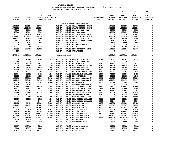**YAMHILL COUNTY BUDGETARY REVENUE AND EXPENSE WORKSHEET % OF YEAR = 100%**

|               |               |                   |                  | BUDGETARI REVENUE AND EXPENSE WORNSHEET |                  | ิธิUF ILAR = IUUธ |                 |                 |                |
|---------------|---------------|-------------------|------------------|-----------------------------------------|------------------|-------------------|-----------------|-----------------|----------------|
|               |               |                   |                  | FOR FISCAL YEAR ENDING JUNE 30 2023     |                  |                   |                 |                 |                |
|               |               |                   |                  |                                         |                  | 10                | 20              | 30              | 40             |
|               |               |                   |                  |                                         |                  |                   |                 |                 |                |
|               |               | $21 - 22$         | 21-22            |                                         |                  | $22 - 23$         | $22 - 23$       | $22 - 23$       | $22 - 23$      |
| 19-20         | $20 - 21$     |                   | ADOPTED BUDGETED |                                         | <b>REQUESTED</b> | INITIAL           | <b>PROPOSED</b> | <b>APPROVED</b> | <b>ADOPTED</b> |
| <b>ACTUAL</b> | <b>ACTUAL</b> | <b>BUDGET FTE</b> |                  |                                         | FTE.             | <b>BUDGET</b>     | <b>BUDGET</b>   | <b>BUDGET</b>   | <b>BUDGET</b>  |
|               |               |                   |                  |                                         |                  |                   |                 |                 |                |
|               |               |                   |                  | ADULT BEHAVIORAL HEALTH                 |                  |                   |                 |                 |                |
| 1429628       | 492550        | 407058            |                  | 016-174-331.72 CFAA FEDERAL GRANT       |                  | 407058            | 407058          | 407058          | 0              |
| 1098629       | 1481681       | 1368391           |                  | 016-174-334.11 STATE HEALTH GRANT       |                  | 1368393           | 1368393         | 1368393         | 0              |
| 78568         | 75908         | 59330             |                  | 016-174-335.12 BEER & WINE TAX          |                  | 59330             | 59330           | 59330           | 0              |
| 96066         | 78116         | 93000             |                  | 016-174-346.10 PATIENT FEES             |                  | 102656            | 102656          | 102656          | 0              |
| 170855        | 176614        | 166938            |                  | 016-174-346.11 PRIVATE INSURANCE        |                  | 156838            | 156838          | 156838          | 0              |
| 8234947       | 9004291       | 10763943          |                  | 016-174-346.12 PUBLIC INSURANCE (       |                  | 11568876          | 11568876        | 11568876        | 0              |
| 342757        | 24838         | 22000             |                  | 016-174-346.13 LOCAL CONTRACTS          |                  | 22000             | 22000           | 22000           | 0              |
| 19807         | 15107         | 8781              |                  | 016-174-350.06 COURT CORREC ASSES       |                  | 8781              | 8781            | 8781            | 0              |

| 342757   | 24838    | 22000       |                                        | 016-174-346.13 LOCAL CONTRACTS            |         | 22000       | 22000    | 22000       | 0                   |
|----------|----------|-------------|----------------------------------------|-------------------------------------------|---------|-------------|----------|-------------|---------------------|
| 19807    | 15107    | 8781        |                                        | 016-174-350.06 COURT CORREC ASSES         |         | 8781        | 8781     | 8781        | 0                   |
| 0        | 6784     | 6590        | 016-174-362.04 RENT                    |                                           |         | 6590        | 6590     | 6590        | $\mathsf{o}\xspace$ |
| 0        | 869      | $\mathbf 0$ |                                        | 016-174-362.12 REIMBURSEMENT              |         | $\mathbf 0$ | 0        | $\mathbf 0$ | $\mathbf 0$         |
| 22033    | 83360    | 13755       | 016-174-362.99 MISC                    |                                           |         | 13755       | 13755    | 13755       | 0                   |
| 182551   | 172795   | 150513      |                                        | 016-174-380.13 INT CONTRACT REVEN         |         | 154686      | 154686   | 154686      | 0                   |
| $100 -$  | 0        | 0           |                                        | 016-174-389.01 OVER/SHORT                 |         | 0           | 0        | 0           | 0                   |
| 11675741 | 11612913 | 13060299    | <b>TOTAL REVENUE</b>                   |                                           |         | 13868963    | 13868963 | 13868963    | 0                   |
|          |          |             |                                        |                                           |         |             |          |             |                     |
| 36990    | 43060    | 43022       |                                        | .8329 016-174-401.02 ADMIN OFFICE SPEC    | .3211   | 17363       | 17363    | 17363       | 0                   |
| 5768     | 0        | 0           |                                        | 016-174-401.16 ASSIST DIRECTOR            |         | 0           | 0        | 0           | 0                   |
| 9015     | 32270    | 34390       | .3400 016-174-401.17 BH DIRECTOR       |                                           | .4110   | 44217       | 44217    | 44217       | 0                   |
| 0        | 23607    | 26572       |                                        | .2606 016-174-401.18 HHS ADMIN SERVICES   | .3110   | 33925       | 33925    | 33925       | $\mathsf{o}\xspace$ |
| 20059    | 41789    | 46488       |                                        | .6988 016-174-401.25 PROGRAM SUPERVISOR   | 1.2034  | 81786       | 81786    | 81786       | $\mathsf{o}\xspace$ |
| 88666    | 68915    | 112254      |                                        | 1.4089 016-174-401.28 PROGRAM MANAGER 2   | 1.7362  | 149945      | 149945   | 149945      | 0                   |
| 16367    | 19743    | 22052       |                                        | .2726 016-174-401.30 SR MANAGEMENT ANAL   | .3042   | 25357       | 25357    | 25357       | 0                   |
| 20764    | 30122    | 34539       |                                        | .5455 016-174-401.32 MANAGEMENT ANALYST   | 1.4477  | 94110       | 94110    | 94110       | $\mathsf{o}\xspace$ |
| 28915    | 28653    | 41150       | .3307 016-174-401.33 HHS DIRECTOR      |                                           | .3307   | 43615       | 43615    | 43615       | 0                   |
| 122158   | 203313   | 220966      |                                        | 2.4261 016-174-401.35 PROGRAM MANAGER 3   | 2.4261  | 231205      | 231205   | 231205      | $\mathsf{o}\xspace$ |
| 207743   | 240481   | 267136      |                                        | 3.2000 016-174-401.37 PROGRAM MANAGER 1   | 4.2000  | 354474      | 354474   | 354474      | $\mathsf{o}\xspace$ |
| 43050    | 45907    | 77265       | 1.2821 016-174-401.48 DATA ANALYST     |                                           | 1.3790  | 88026       | 88026    | 88026       | 0                   |
| 79174    | 1702     | 0           |                                        | 016-174-401.55 PROGRAM MANAGER 4          |         | 0           | 0        | 0           | $\mathbf 0$         |
| 130395   | 139874   | 192304      |                                        | 5.8841  016-174-402.02  OFFICE SPECIALIST | 6.0737  | 208603      | 208603   | 208603      | $\mathsf{o}\xspace$ |
| 49571    | 65921    | 85724       |                                        | 2.0916 016-174-402.03 SENIOR OFFICE SPEC  | 2.1623  | 90660       | 90660    | 90660       | 0                   |
| 15476    | 20261    | 21761       |                                        | .5682 016-174-402.04 ACCOUNTING CLERK 2   | .5849   | 22883       | 22883    | 22883       | $\mathsf{o}\xspace$ |
| 97345    | 108666   | 122761      |                                        | 2.5964 016-174-402.14 SENIOR ACCT CLERK   | 2.6632  | 129295      | 129295   | 129295      | $\mathsf{o}\xspace$ |
| 0        | 13223    | $\mathbf 0$ |                                        | 016-174-402.15 ACCOUNTING TECH            | .4110   | 19926       | 19926    | 19926       | 0                   |
| 92257    | 98985    | 117822      |                                        | 2.5018 016-174-402.20 OFFICE SPECIALIST   | 2.5893  | 119882      | 119882   | 119882      | $\mathsf{o}\xspace$ |
| 45790    | 51293    | 30924       |                                        | .3683 016-174-403.70 EHR SYSTEM ANALYST   | .3683   | 31859       | 31859    | 31859       | $\mathsf{o}\xspace$ |
| 0        | 0        | 24405       |                                        | .3683 016-174-403.74 EHR SYSTEM ANALYST   | .3683   | 25144       | 25144    | 25144       | 0                   |
| 47628    | 57459    | 101804      | 2.0000 016-174-406.05 NURSING ASSIST   |                                           | 2.0000  | 104880      | 104880   | 104880      | 0                   |
| 134423   | 141957   | 152869      | 2.0000 016-174-406.07 REGIS NURSE 2    |                                           | 3.0000  | 228547      | 228547   | 228547      | $\mathsf{o}\xspace$ |
| 829813   | 739571   | 1134850     | 5.9125 016-174-406.08 REGIS NURSE 3    |                                           | 5.9125  | 1096255     | 1096255  | 1096255     | 0                   |
| 750      | 83654    | 107498      | 2.6500 016-174-406.19 HS TECHNICIAN    |                                           | 2.6500  | 108384      | 108384   | 108384      | 0                   |
| 137305   | 277889   | 151448      | 3.0000 016-174-406.20 HS ASSOCIATE     |                                           | 5.0000  | 248603      | 248603   | 248603      | 0                   |
| 1112305  | 860344   | 1168128     | 20.0500 016-174-406.22 HS SPECIALIST 1 |                                           | 24.9500 | 1499361     | 1499361  | 1499361     | $\mathsf{o}\xspace$ |
| 1319866  | 1298764  | 1252835     | 20.0000 016-174-406.23 HS SPECIALIST 2 |                                           | 16.1000 | 1049393     | 1049393  | 1049393     | $\mathsf{o}\xspace$ |
| 926822   | 1114190  | 1768444     | 24.9625 016-174-406.24 HS SPECIALIST 3 |                                           | 27.0345 | 2024338     | 2024338  | 2024338     | 0                   |
| 1099     | 10818    | 7631        |                                        | 016-174-474.00 SHIFT DIFF                 |         | 7631        | 7631     | 7631        | 0                   |
| 2404     | 6079     | 1600        |                                        | 016-174-475.00 LONGEVITY PAY              |         | 1602        | 1602     | 1602        | 0                   |
| 34787    | 160702   | 22125       |                                        | 016-174-479.00 OTHER EARNINGS             |         | 39922       | 39922    | 39922       | 0                   |
| 3760     | 13371    | 10834       |                                        | 016-174-480.00 EXTRA HOURS                |         | 10835       | 10835    | 10835       | 0                   |
| 95473    | 108998   | 121715      | 016-174-481.00 OVERTIME                |                                           |         | 121715      | 121715   | 121715      | 0                   |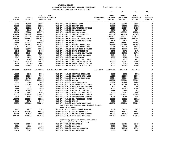|                |                |                   |                                                                      |                                | 10                   | 20                           | 30                           | 40                          |
|----------------|----------------|-------------------|----------------------------------------------------------------------|--------------------------------|----------------------|------------------------------|------------------------------|-----------------------------|
|                |                |                   |                                                                      |                                |                      |                              |                              |                             |
| $19 - 20$      | $20 - 21$      | $21 - 22$         | $21 - 22$<br>ADOPTED BUDGETED                                        |                                | $22 - 23$<br>INITIAL | $22 - 23$<br><b>PROPOSED</b> | $22 - 23$<br><b>APPROVED</b> | $22 - 23$<br><b>ADOPTED</b> |
| <b>ACTUAL</b>  | <b>ACTUAL</b>  | <b>BUDGET FTE</b> |                                                                      | <b>REQUESTED</b><br><b>FTE</b> | <b>BUDGET</b>        | <b>BUDGET</b>                | <b>BUDGET</b>                | <b>BUDGET</b>               |
|                |                |                   |                                                                      |                                |                      |                              |                              |                             |
| 13243          | 48172          | 35303             | 016-174-482.00 EXTRA HELP                                            |                                | 35305                | 35305                        | 35305                        | 0                           |
| 38202          | 32832          | 29531             | 016-174-484.00 BEEPER PAY                                            |                                | 31982                | 31982                        | 31982                        | 0                           |
| 17044          | 22592          | 14161             | 016-174-485.00 CERTIFICATION/EDUC                                    |                                | 14550                | 14550                        | 14550                        | 0                           |
| 3241           | 2865           | 2147              | 016-174-486.00 INCENTIVE PAY                                         |                                | 2278                 | 2278                         | 2278                         | 0                           |
| 84450          | 89802          | 103476            | 016-174-490.00 MEDICARE TAX                                          |                                | 108356               | 108356                       | 108356                       | 0                           |
| 357410         | 376920         | 442444            | 016-174-491.00 SOCIAL SECURITY                                       |                                | 473838               | 473838                       | 473838                       | 0                           |
| 953368         | 1085314        | 1411886           | 016-174-492.00 RETIREMENT                                            |                                | 1536777              | 1536777                      | 1536777                      | 0                           |
| 1528954        | 1671663        | 1981094           | 016-174-493.10 MEDICAL INSURANCE                                     |                                | 2297943              | 2297943                      | 2297943                      | 0                           |
| 2419           | 2818           | 2800              | 016-174-493.12 EMPLOYEE ASSISTANC                                    |                                | 2879                 | 2879                         | 2879                         | 0                           |
| 101366         | 102333         | 114498            | 016-174-493.15 VEBA                                                  |                                | 133867               | 133867                       | 133867                       | 0                           |
| 116671         | 119993         | 137940            | 016-174-493.20 DENTAL INSURANCE                                      |                                | 142669               | 142669                       | 142669                       | 0<br>0                      |
| 13241<br>29861 | 13274<br>33878 | 14633<br>46041    | 016-174-493.25 VISION INSURANCE<br>016-174-493.31 SHORT TERM DISABIL |                                | 16219<br>47768       | 16219<br>47768               | 16219<br>47768               | 0                           |
| 1945           | 3955           | 2481              | 016-174-493.40 LIFE INSURANCE                                        |                                | 2672                 | 2672                         | 2672                         | 0                           |
| 38849          | 30636          | 23320             | 016-174-494.00 ACCIDENT INSURANCE                                    |                                | 26705                | 26705                        | 26705                        | 0                           |
| 6139           | 6238           | 7671              | 016-174-494.80 TIME LOSS RESERVE                                     |                                | 8494                 | 8494                         | 8494                         | 0                           |
| 5947           | 6299           | 7213              | 016-174-495.00 UNEMPLOYMENT                                          |                                | 7985                 | 7985                         | 7985                         | 0                           |
| 2078           | 1942           | 2638              | 016-174-496.00 WORKERS COMP ASSES                                    |                                | 2873                 | 2873                         | 2873                         | 0                           |
| 117503         | 40074          | 50072             | 016-174-499.00 FET/VACATION/SICK                                     |                                | 35003                | 35003                        | 35003                        | 0                           |
| 2529           | $2210 -$       | 4000              | 016-174-499.98 COMP TIME LIABILIT                                    |                                | 4003                 | 4003                         | 4003                         | 0                           |
| 15150          | 72449          | 12000             | 016-174-499.99 VACATION LIAB. ADJ                                    |                                | 12003                | 12003                        | 12003                        | $\Omega$                    |
|                |                |                   |                                                                      |                                |                      |                              |                              |                             |
| 9205548        | 9913420        | 11968665          | 106.5519 TOTAL FOR PERSONNEL                                         | 115.9384                       | 13297910             | 13297910                     | 13297910                     | 0                           |
| 10235          | 5961           | 5000              | 016-174-510.01 CENTRAL SUPPLIES                                      |                                | 5002                 | 5002                         | 5002                         | 0                           |
| 16532          | 12990          | 7000              | 016-174-511.06 TRAINING SUPPLIES                                     |                                | 11000                | 11000                        | 11000                        | 0                           |
| 49810          | 14723          | 15000             | 016-174-511.99 MISC OP SUPPLIES                                      |                                | 22004                | 22004                        | 22004                        | 0                           |
| 83257          | 186496         | 125000            | 016-174-512.01 DRUGS                                                 |                                | 209000               | 209000                       | 209000                       | 0                           |
| 5895           | 6524           | 7200              | 016-174-512.03 LAB MATERIALS                                         |                                | 16200                | 16200                        | 16200                        | 0                           |
| 35877          | 37742          | 23000             | 016-174-512.04 LABORATORY EXPENSE                                    |                                | 46500                | 46500                        | 46500                        | 0                           |
| 2348           | 714            | 800               | 016-174-513.01 EDUCATIONAL MATERI                                    |                                | 803                  | 803                          | 803                          | 0                           |
| 9668           | 7131           | 7999              | 016-174-513.03 PUBLICATIONS & DUE                                    |                                | 12003                | 12003                        | 12003                        | 0                           |
| 13735          | 12987          | 7841              | 016-174-543.01 DEPT. EQUIPMENT                                       |                                | 7845                 | 7845                         | 7845                         | 0                           |
| 12236          | 6484           | 6101              | 016-174-583.02 DATA PROCESSING SU                                    |                                | 8003                 | 8003                         | 8003                         | 0                           |
| 26934          | 131918         | 334576            | 016-174-610.01 PROFESSIONAL SERVI                                    |                                | 501823               | 501823                       | 501823                       | 0                           |
| 5636<br>180775 | 4456<br>243530 | 4300<br>23194     | 016-174-610.24 INTERPRETER SERVIC                                    |                                | 4300<br>22092        | 4300<br>22092                | 4300                         | 0<br>0                      |
| 9208           | 9072           | 9467              | 016-174-610.25 PROFESSIONAL CONTR<br>016-174-611.01 AUDIT            |                                | 9550                 | 9550                         | 22092<br>9550                | 0                           |
| 24753          | 159188         | 200242            | 016-174-611.02 CONTRACT SERVICES                                     |                                | 201298               | 201298                       | 201298                       | $\Omega$                    |
|                |                |                   | Contract for Relias and digital health                               |                                |                      |                              |                              |                             |
|                |                |                   | record storage                                                       |                                |                      |                              |                              |                             |
| 1907           | 1657           | 1788              | 016-174-611.03 JANITORIAL CONTRAC                                    |                                | 1832                 | 1832                         | 1832                         | 0                           |
| 515774         | 242361         | 89970             | 016-174-611.30 GRANT EXPENSES                                        |                                | 89971                | 89971                        | 89971                        | 0                           |
| 54296          | 30836          | 18001             | 016-174-612.02 SCHOOLS AND CONFER                                    |                                | 35003                | 35003                        | 35003                        | $\mathbf{0}$                |
| 885088         | 621813         | 647911            | 016-174-613.04 OHP SUBCONTRACTED                                     |                                | 693937               | 693937                       | 693937                       | 0                           |
|                |                |                   | Community partner contracts using                                    |                                |                      |                              |                              |                             |
|                |                |                   | Oregon Health Plan funding                                           |                                |                      |                              |                              |                             |
| 75718          | 64584          | 53457             | 016-174-620.01 TELEPHONE                                             |                                | 53459                | 53459                        | 53459                        | 0                           |
| 4200           | 4815           | 4417              | 016-174-621.01 POSTAGE                                               |                                | 3503                 | 3503                         | 3503                         | 0                           |
| 29304          | 17411          | 17747             | 016-174-630.01 TRAVEL EXPENSE                                        |                                | 17748                | 17748                        | 17748                        | 0                           |
| 10478          | 8521           | 7999              | 016-174-640.01 ADVERTISING                                           |                                | 8003                 | 8003                         | 8003                         | 0                           |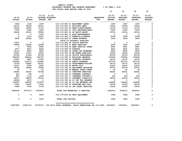|                            |                            |                          |                                                                                                   |                                   |                          | 10                                           | 20                                            | 30                                            | 40                                           |
|----------------------------|----------------------------|--------------------------|---------------------------------------------------------------------------------------------------|-----------------------------------|--------------------------|----------------------------------------------|-----------------------------------------------|-----------------------------------------------|----------------------------------------------|
| $19 - 20$<br><b>ACTUAL</b> | $20 - 21$<br><b>ACTUAL</b> |                          | $21 - 22$ $21 - 22$<br>ADOPTED BUDGETED<br><b>BUDGET FTE</b>                                      |                                   | <b>REQUESTED</b><br>FTE. | $22 - 23$<br><b>INITIAL</b><br><b>BUDGET</b> | $22 - 23$<br><b>PROPOSED</b><br><b>BUDGET</b> | $22 - 23$<br><b>APPROVED</b><br><b>BUDGET</b> | $22 - 23$<br><b>ADOPTED</b><br><b>BUDGET</b> |
|                            |                            |                          |                                                                                                   |                                   |                          |                                              |                                               |                                               |                                              |
| 3525                       | 1144                       | 1429                     |                                                                                                   | 016-174-650.01 EQUIPMENT LEASE    |                          | 1467                                         | 1467                                          | 1467                                          | 0                                            |
| 35179                      | 34509                      | 29131                    |                                                                                                   | 016-174-652.01 BUILDING RENT      |                          | 19369                                        | 19369                                         | 19369                                         | 0                                            |
| 50004                      | 16530                      | 11712                    |                                                                                                   | 016-174-670.02 HEAT/LIGHTS/WATER  |                          | 11118<br>2253                                | 11118                                         | 11118                                         | 0<br>$\mathbf 0$                             |
| 5479                       | 2622                       | 2287                     |                                                                                                   | 016-174-683.01 COPY MACHINES/MAIN |                          |                                              | 2253                                          | 2253                                          |                                              |
| 54438                      | 33141                      | 25906                    |                                                                                                   | 016-174-683.02 DP EQUIP MAINT     |                          | 51314                                        | 51314<br>$\mathbf 0$                          | 51314<br>$\mathbf 0$                          | $\pmb{0}$<br>0                               |
| $\mathbf 0$<br>$\mathbf 0$ | $\mathbf 0$                | 1500                     |                                                                                                   | 016-174-683.10 BLDG MAINTENANCE   |                          | $\mathbf 0$<br>8789                          |                                               |                                               | 0                                            |
|                            | 5110                       | 12087                    |                                                                                                   | 016-174-695.13 PERMITS/LICENSES   |                          |                                              | 8789                                          | 8789                                          | 0                                            |
| 6930                       | 44539                      | 2287                     |                                                                                                   | 016-174-699.01 OTHER EXPENSE      |                          | 3004                                         | 3004                                          | 3004                                          |                                              |
|                            |                            |                          |                                                                                                   | COVID-19 pandemic expenses        |                          |                                              |                                               |                                               |                                              |
| 37661                      | $\mathbf 0$                | $\mathbf 0$              |                                                                                                   | 016-174-699.06 CRISIS RESPITE     |                          | $\overline{\phantom{0}}$                     | $\mathbf 0$                                   | $\mathbf 0$                                   | 0                                            |
| 18824                      | 22242                      | 22468                    |                                                                                                   | 016-174-699.07 WRAP SERVICES      |                          | 5320                                         | 5320                                          | 5320                                          | 0                                            |
| $\mathbf{0}$               | 9045                       | 8690                     |                                                                                                   | 016-174-699.08 BANK SERVICE CHARG |                          | 8691                                         | 8691                                          | 8691                                          | $\mathbf 0$                                  |
| 4477                       | 6251                       | 8528                     | 016-174-699.09 PAYBACK                                                                            |                                   |                          | 4591                                         | 4591                                          | 4591                                          | $\pmb{0}$                                    |
| 20134                      | 6830                       | 9800                     |                                                                                                   | 016-174-699.14 OTHER OHP EXPENSES |                          | 6800                                         | 6800                                          | 6800                                          | 0                                            |
| 14441                      | 17611                      | 14233                    |                                                                                                   | 016-174-700.18 NW HUMAN SERVICES  |                          | 14234                                        | 14234                                         | 14234                                         | $\mathbf 0$                                  |
| 43782                      | 41094                      | 52728                    |                                                                                                   | 016-174-700.24 CRISIS SUBCONTRACT |                          | 52729                                        | 52729                                         | 52729                                         | 0                                            |
| 382093                     | 368624                     | 360765                   |                                                                                                   | 016-174-780.01 BUILDING RESERVE   |                          | 376544                                       | 376544                                        | 376544                                        | 0                                            |
| 10052                      | 9487                       | 10429                    |                                                                                                   | 016-174-780.02 INTERNAL PROPERTY  |                          | 14135                                        | 14135                                         | 14135                                         | 0                                            |
| 200962                     | 212070                     | 216964                   |                                                                                                   | 016-174-780.03 ADMIN OVERHEAD     |                          | 297743                                       | 297743                                        | 297743                                        | 0                                            |
| 72706                      | 59282                      | 60321                    |                                                                                                   | 016-174-780.04 TELECOMMUNICATIONS |                          | 59773                                        | 59773                                         | 59773                                         | 0                                            |
| 10231                      | 8505                       | 8000                     |                                                                                                   | 016-174-780.05 MOTOR POOL         |                          | 10500                                        | 10500                                         | 10500                                         | 0                                            |
| 78190                      | 93484                      | 75838                    |                                                                                                   | 016-174-780.06 EQUIPMENT REPLACEM |                          | 83576                                        | 83576                                         | 83576                                         | 0                                            |
| 50                         | $\mathbf 0$                | 20                       |                                                                                                   | 016-174-780.09 MANUAL CHECK CHARG |                          | 20                                           | 20                                            | 20                                            | $\mathsf{o}\xspace$                          |
| 44950                      | 45181                      | 49338                    |                                                                                                   | 016-174-780.15 COMPUTER SERVICES  |                          | 46061                                        | 46061                                         | 46061                                         | 0                                            |
| 453                        | 198                        | $\overline{\phantom{0}}$ |                                                                                                   | 016-174-780.16 INTERNAL CONTRACT  |                          | $^{\circ}$                                   | $\mathbf 0$                                   | $\overline{\mathbf{0}}$                       | 0                                            |
| 887                        | 1116                       | 1083                     |                                                                                                   | 016-174-780.17 INTERNAL POSTAGE C |                          | 503                                          | 503                                           | 503                                           | $\mathbf{o}$                                 |
| 36274                      | 28678                      | 25314                    |                                                                                                   | 016-174-780.27 INTERNAL LIABILITY |                          | 34019                                        | 34019                                         | 34019                                         | $\pmb{\mathsf{O}}$                           |
| $40956 -$                  | 4675                       | $\mathbf 0$              |                                                                                                   | 016-174-780.44 CO INT PEL RESERVE |                          | $\mathbf 0$                                  | $\mathbf 0$                                   | $\mathbf{0}$                                  | 0                                            |
| 100687                     | 129455                     | 127879                   |                                                                                                   | 016-174-780.46 CO INT NETWORK CHA |                          | 140869                                       | 140869                                        | 140869                                        | 0                                            |
| 17450                      | 30610                      | 17026                    |                                                                                                   | 016-174-780.54 TELECOMM PER CALL  |                          | 18108                                        | 18108                                         | 18108                                         | 0                                            |
| 9868                       | 9766                       | 9739                     |                                                                                                   | 016-174-780.55 INT LEGAL SERVICES |                          | 10206                                        | 10206                                         | 10206                                         | 0                                            |
| 3282435                    | 3073713                    | 2783512                  |                                                                                                   | TOTAL FOR MATERIALS & SERVICES    |                          | 3262615                                      | 3262615                                       | 3262615                                       | 0                                            |
| 0                          | $\mathbf 0$                | 3295                     |                                                                                                   | 016-174-800.80 DEPT EQUIPMENT     |                          | 3386                                         | 3386                                          | 3386                                          | 0                                            |
| 0                          | 0                          | 3295                     | TOTAL FOR CAPITAL                                                                                 |                                   |                          | 3386                                         | 3386                                          | 3386                                          | $\mathbf 0$                                  |
| 12487983                   |                            |                          | 12987133 14755472 106.5519 TOTAL EXPENSES ADULT BEHAVIORAL HE 115.9384 16563911 16563911 16563911 |                                   |                          |                                              |                                               |                                               | 0                                            |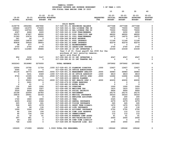| YAMHILL COUNTY                          |                       |
|-----------------------------------------|-----------------------|
| BUDGETARY REVENUE AND EXPENSE WORKSHEET | $8$ OF YEAR = 100 $8$ |
| FOR FISCAL YEAR ENDING JUNE 30 2023     |                       |

|                    |               |               |                                                                         |                  | 10            | 20              | 30                  | 40               |
|--------------------|---------------|---------------|-------------------------------------------------------------------------|------------------|---------------|-----------------|---------------------|------------------|
|                    |               | $21 - 22$     | $21 - 22$                                                               |                  | $22 - 23$     | $22 - 23$       | $22 - 23$           | $22 - 23$        |
| $19 - 20$          | $20 - 21$     |               | ADOPTED BUDGETED                                                        | <b>REQUESTED</b> | INITIAL       | <b>PROPOSED</b> | <b>APPROVED</b>     | <b>ADOPTED</b>   |
| <b>ACTUAL</b>      | <b>ACTUAL</b> | <b>BUDGET</b> | FTE                                                                     | FTE              | <b>BUDGET</b> | <b>BUDGET</b>   | <b>BUDGET</b>       | <b>BUDGET</b>    |
|                    |               |               |                                                                         |                  |               |                 |                     |                  |
|                    |               |               | <b>SOLID WASTE</b>                                                      |                  |               |                 |                     |                  |
| 3108778            | 2952084       | 2867892       | 017-028-301.01 BEGINNING BALANCE                                        |                  | 2677368       | 2677368         | 2677368             | 0                |
| 148664             | 141979        | 170400        | 017-028-343.11 RBL-LICENSE FEE IN                                       |                  | 75000         | 75000           | 75000               | 0                |
| 104311             | 129763        | 69600         | 017-028-343.12 RBL-LICENSE FEE OU                                       |                  | 75000         | 75000           | 75000               | 0                |
| 4367               | 4464          | 2220          | 017-028-343.21 DISP FRAN/NEWBERG                                        |                  | 2250          | 2250            | 2250                | 0                |
| 39375              | 47907         | 48000         | 017-028-343.30 COLL FRAN/CITY SAN                                       |                  | 48000         | 48000           | 48000               | 0                |
| 21393              | 23074         | 13000         | 017-028-343.31 COLL FRAN/NEWBERG                                        |                  | 14275         | 14275           | 14275               | 0                |
| 241                | 56            | $\Omega$      | 017-028-346.99 MISC REVENUE                                             |                  | 0             | 0               | $\mathbf 0$         | 0                |
| 33955              | 14879         | 12807         | 017-028-361.01 POOL INTEREST                                            |                  | 11144         | 11144           | 11144               | 0                |
| 80836              | 59509         | 38603         | 017-028-361.03 BOND INTEREST                                            |                  | 42279         | 42279           | 42279               | 0                |
| 98                 | 477           | 0             | 017-028-362.12 REIMBURSEMENT                                            |                  | 0             | 0               | 0                   | 0                |
| 2700               | 2700          | 2700          | 017-028-362.22 LEASE/LOAN PROCEED                                       |                  | 2700          | 2700            | 2700                | 0                |
| 86573              | 112080        | 39686         | 017-028-380.19 CO INT INTERFUND L                                       |                  | 23339         | 23339           | 23339               | 0                |
|                    |               |               | Year 3 of 10, final payoff Jan 2030 for the                             |                  |               |                 |                     |                  |
|                    |               |               | purchase of jail security cameras,                                      |                  |               |                 |                     |                  |
|                    |               |               | split with Fund 45                                                      |                  |               |                 |                     |                  |
| 952<br>$\mathbf 0$ | 3332          | 5147<br>0     | 017-028-380.20 CO INT INTERFUND L                                       |                  | 4547<br>0     | 4547<br>0       | 4547<br>$\mathbf 0$ | 0<br>$\mathbf 0$ |
|                    | 26676         |               | 017-028-380.80 CO INT TRANFER FRO                                       |                  |               |                 |                     |                  |
| 3632243            | 3518980       | 3270055       | <b>TOTAL REVENUE</b>                                                    |                  | 2975902       | 2975902         | 2975902             | $\mathbf 0$      |
|                    |               |               |                                                                         |                  |               |                 |                     |                  |
| 10004              | 10792         | 11724         | .1000 017-028-401.23 PLANNING DIRECTOR                                  | .1000            | 12427         | 12427           | 12427               | 0                |
| 5045               | 112           | $\mathbf 0$   | 017-028-401.26 OFFICE ADMINISTRAT                                       |                  | 0             | 0               | 0                   | 0                |
| 65130              | 34773         | 35906         | .5000 017-028-401.32 MANAGEMENT ANALYST                                 | .5000            | 36983         | 36983           | 36983               | 0                |
| 0                  | 5431          | 6349          | .1000 017-028-401.46 SR OFFICE ADMINIST                                 | .1000            | 6819          | 6819            | 6819                | 0<br>0           |
| 8726<br>0          | 10395<br>3980 | 11561<br>0    | .2500 017-028-402.03 SENIOR OFFICE SPEC                                 | .2500            | 12492<br>0    | 12492<br>0      | 12492<br>0          | 0                |
| $\mathbf 0$        | 35291         | 39714         | 017-028-403.12 SENIOR PLANNER<br>.6000 017-028-406.02 ENV HEALTH SPEC 2 | .6000            | 42630         | 42630           | 42630               | 0                |
| $\mathbf 0$        | 2461          | $\mathbf 0$   | 017-028-479.00 OTHER EARNINGS                                           |                  | 0             | 0               | $\mathbf 0$         | 0                |
| $\overline{2}$     | 61            | $\mathbf 0$   | 017-028-480.00 EXTRA HOURS                                              |                  | $\mathbf 0$   | $\mathbf 0$     | $\mathbf 0$         | 0                |
| 132                | 565           | 1000          | 017-028-481.00 OVERTIME                                                 |                  | 1000          | 1000            | 1000                | $\mathbf 0$      |
| 1292               | 1504          | 1527          | 017-028-490.00 MEDICARE TAX                                             |                  | 1615          | 1615            | 1615                | $\mathbf 0$      |
| 5524               | 6429          | 6526          | 017-028-491.00 SOCIAL SECURITY                                          |                  | 6904          | 6904            | 6904                | 0                |
| 22168              | 22509         | 24783         | 017-028-492.00 RETIREMENT                                               |                  | 26175         | 26175           | 26175               | 0                |
| 24818              | 29041         | 32183         | 017-028-493.10 MEDICAL INSURANCE                                        |                  | 34333         | 34333           | 34333               | 0                |
| 42                 | 50            | 0             | 017-028-493.12 EMPLOYEE ASSISTANC                                       |                  | 200           | 200             | 200                 | 0                |
| 1740               | 1860          | 1860          | 017-028-493.15 VEBA                                                     |                  | 2325          | 2325            | 2325                | 0                |
| 2235               | 2322          | 2366          | 017-028-493.20 DENTAL INSURANCE                                         |                  | 2279          | 2279            | 2279                | $\mathbf 0$      |
| 225                | 239           | 241           | 017-028-493.25 VISION INSURANCE                                         |                  | 245           | 245             | 245                 | 0                |
| 528                | 625           | 1579          | 017-028-493.31 SHORT TERM DISABIL                                       |                  | 1670          | 1670            | 1670                | 0                |
| 26                 | 66            | 130           | 017-028-493.40 LIFE INSURANCE                                           |                  | 130           | 130             | 130                 | 0                |
| 1099               | 1006          | 2750          | 017-028-494.00 ACCIDENT INSURANCE                                       |                  | 2750          | 2750            | 2750                | 0                |
| 92                 | 104           | 106           | 017-028-494.80 TIME LOSS RESERVE                                        |                  | 112           | 112             | 112                 | 0                |
| 90                 | 104           | 106           | 017-028-495.00 UNEMPLOYMENT                                             |                  | 112           | 112             | 112                 | 0                |
| 31                 | 32            | 41            | 017-028-496.00 WORKERS COMP ASSES                                       |                  | 41            | 41              | 41                  | $\mathbf 0$      |
| 597                | 681           | 0             | 017-028-499.00 FET/VACATION/SICK                                        |                  | 2000          | 2000            | 2000                | 0                |
| $45 -$             | 232           | 0             | 017-028-499.98 COMP TIME LIABILIT                                       |                  | 0             | 0               | 0                   | 0                |
| 728                | 1244          | $\mathbf 0$   | 017-028-499.99 VACATION LIAB. ADJ                                       |                  | 2000          | 2000            | 2000                | 0                |
|                    |               |               |                                                                         |                  |               |                 |                     |                  |
| 150229             | 171909        | 180452        | 1.5500 TOTAL FOR PERSONNEL                                              | 1.5500           | 195242        | 195242          | 195242              | 0                |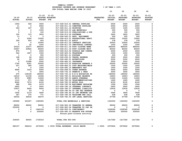**10 20 30 40** 

| $19 - 20$<br><b>ACTUAL</b> | $20 - 21$<br><b>ACTUAL</b> | 21-22<br><b>BUDGET</b> | $21 - 22$<br>ADOPTED BUDGETED<br>$_{\rm FTE}$ |                                   | <b>REQUESTED</b><br><b>FTE</b> | $22 - 23$<br><b>INITIAL</b><br><b>BUDGET</b> | $22 - 23$<br>PROPOSED<br><b>BUDGET</b> | $22 - 23$<br><b>APPROVED</b><br><b>BUDGET</b> | $22 - 23$<br><b>ADOPTED</b><br><b>BUDGET</b> |
|----------------------------|----------------------------|------------------------|-----------------------------------------------|-----------------------------------|--------------------------------|----------------------------------------------|----------------------------------------|-----------------------------------------------|----------------------------------------------|
| 1954                       | 569                        | 3000                   | 017-028-510.01 CENTRAL SUPPLIES               |                                   |                                | 2500                                         | 2500                                   | 2500                                          | 0                                            |
| 11                         | $\mathbf 0$                | 2000                   | 017-028-511.14 COMPUTER SUPPLIES              |                                   |                                | 2000                                         | 2000                                   | 2000                                          | 0                                            |
| 363                        | 347                        | 500                    | 017-028-511.16 PRINTING                       |                                   |                                | 1000                                         | 1000                                   | 1000                                          | 0                                            |
| $\mathbf 0$                | $\mathbf 0$                | 1000                   | 017-028-512.03 LAB MATERIALS                  |                                   |                                | 500                                          | 500                                    | 500                                           | $\Omega$                                     |
| $\mathbf 0$                | 0                          | 100                    |                                               | 017-028-513.03 PUBLICATIONS & DUE |                                | 100                                          | 100                                    | 100                                           | 0                                            |
| 332                        | 123                        | 3625                   | 017-028-513.06 SOFTWARE                       |                                   |                                | 3625                                         | 3625                                   | 3625                                          | 0                                            |
| 13                         | 0                          | $\mathbf 0$            | 017-028-543.01 DEPT. EQUIPMENT                |                                   |                                | 500                                          | 500                                    | 500                                           | 0                                            |
| $\mathbf 0$                | 2000                       | 10000                  |                                               | 017-028-610.01 PROFESSIONAL SERVI |                                | 10000                                        | 10000                                  | 10000                                         | 0                                            |
| 356                        | 424                        | 443                    | 017-028-611.01 AUDIT                          |                                   |                                | 378                                          | 378                                    | 378                                           | 0                                            |
| $\mathbf 0$                | $\Omega$                   | 20000                  | 017-028-611.02 CONTRACT SERVICES              |                                   |                                | 20000                                        | 20000                                  | 20000                                         | 0                                            |
| $\mathbf 0$                | 22                         | 1000                   |                                               | 017-028-611.03 JANITORIAL CONTRAC |                                | 1000                                         | 1000                                   | 1000                                          | 0                                            |
| 30323                      | 31677                      | 885000                 | 017-028-611.18 POST CLOSURE NEWB              |                                   |                                | 885000                                       | 885000                                 | 885000                                        | 0                                            |
| 33647                      | 20825                      | 80000                  | 017-028-611.19 POST CLOSURE WHIT              |                                   |                                | 80000                                        | 80000                                  | 80000                                         | 0                                            |
| 879                        | $\mathbf 0$                | 2000                   |                                               | 017-028-612.02 SCHOOLS AND CONFER |                                | 2000                                         | 2000                                   | 2000                                          | 0                                            |
| 542                        | 1807                       | 1500                   | 017-028-620.01 TELEPHONE                      |                                   |                                | 1500                                         | 1500                                   | 1500                                          | 0                                            |
| $\mathbf{1}$               | $\mathbf 0$                | 500                    | 017-028-621.01 POSTAGE                        |                                   |                                | 500                                          | 500                                    | 500                                           | 0                                            |
| 168                        | 64                         | 3000                   | 017-028-630.01 TRAVEL EXPENSE                 |                                   |                                | 3000                                         | 3000                                   | 3000                                          | 0                                            |
| 28                         | 59                         | 2000                   | 017-028-640.01 ADVERTISING                    |                                   |                                | 2000                                         | 2000                                   | 2000                                          | 0                                            |
| $\Omega$                   | 31988                      | 5500                   | 017-028-660.01 INSURANCE                      |                                   |                                | 5500                                         | 5500                                   | 5500                                          | 0                                            |
| 1740                       | 6341                       | 25000                  |                                               | 017-028-670.03 ROADSIDE GARBAGE P |                                | 25000                                        | 25000                                  | 25000                                         | 0                                            |
| 557                        | 580                        | 1000                   |                                               | 017-028-683.01 COPY MACHINES/MAIN |                                | 1000                                         | 1000                                   | 1000                                          | 0                                            |
| $\mathbf 0$                | $\mathbf 0$                | 1500                   | 017-028-695.15 EMERGENCY EXP                  |                                   |                                | 1500                                         | 1500                                   | 1500                                          | 0                                            |
| 4895                       | 1443                       | 5000                   | 017-028-699.01 OTHER EXPENSE                  |                                   |                                | 5000                                         | 5000                                   | 5000                                          | 0                                            |
| $\Omega$                   | $\mathbf 0$                | 3000                   | 017-028-730.10 PERMITS & FEES                 |                                   |                                | 3000                                         | 3000                                   | 3000                                          | 0                                            |
| 675                        | 109199                     | 180000                 |                                               | 017-028-730.12 R-R-R EDUCATION PR |                                | 180000                                       | 180000                                 | 180000                                        | 0                                            |
| 16016                      | 21158                      | 16328                  | 017-028-780.01 BUILDING RESERVE               |                                   |                                | 16653                                        | 16653                                  | 16653                                         | 0                                            |
| 8572                       | 8985                       | 13439                  | 017-028-780.03 ADMIN OVERHEAD                 |                                   |                                | 11626                                        | 11626                                  | 11626                                         | 0                                            |
| 1110                       | 971                        | 1586                   |                                               | 017-028-780.04 TELECOMMUNICATIONS |                                | 1645                                         | 1645                                   | 1645                                          | 0                                            |
| 8040                       | 7274                       | 8100                   | 017-028-780.05 MOTOR POOL                     |                                   |                                | 8100                                         | 8100                                   | 8100                                          | 0                                            |
| 688                        | 956                        | 1479                   |                                               | 017-028-780.06 EQUIPMENT REPLACEM |                                | 1566                                         | 1566                                   | 1566                                          | 0                                            |
| 2600                       | 0                          | 2600                   | 017-028-780.16 INTERNAL CONTRACT              |                                   |                                | 2600                                         | 2600                                   | 2600                                          | 0                                            |
| 10937                      | 9404                       | 9404                   |                                               | 017-028-780.27 INTERNAL LIABILITY |                                | 12630                                        | 12630                                  | 12630                                         | 0                                            |
| 0                          | 63                         | $\mathbf 0$            |                                               | 017-028-780.44 CO INT PEL RESERVE |                                | $\Omega$                                     | 0                                      | 0                                             | 0                                            |
| 1600                       | 2119                       | 3440                   |                                               | 017-028-780.46 CO INT NETWORK CHA |                                | 3440                                         | 3440                                   | 3440                                          | $\Omega$                                     |
| 347                        | 375                        | 771                    | 017-028-780.54 TELECOMM PER CALL              |                                   |                                | 638                                          | 638                                    | 638                                           | 0                                            |
| 64534                      | 64534                      | 66470                  |                                               | 017-028-780.55 INT LEGAL SERVICES |                                | 67799                                        | 67799                                  | 67799                                         | $\Omega$                                     |
| 190928                     | 323307                     | 1360285                | TOTAL FOR MATERIALS & SERVICES                |                                   |                                | 1363300                                      | 1363300                                | 1363300                                       | 0                                            |
| 89000                      | 89000                      | 89000                  |                                               | 017-028-900.00 TRANSFER TO GENERA |                                | 89000                                        | 89000                                  | 89000                                         | 0                                            |
| 250000                     | 0                          | $\mathbf 0$            |                                               | 017-028-900.04 TRANSFER TO CAP IM |                                | 0                                            | 0                                      | 0                                             | 0                                            |
| 0                          | 0                          | 1440318                | 017-028-950.01 CONTINGENCY                    |                                   |                                | 1028360                                      | 1028360                                | 1028360                                       | 0                                            |
| $\mathbf 0$                | $\Omega$                   | 200000                 |                                               | 017-028-990.03 RESERVE FOR FUTURE |                                | 300000                                       | 300000                                 | 300000                                        | 0                                            |
|                            |                            |                        |                                               | Future post-closure activity      |                                |                                              |                                        |                                               |                                              |
| 339000                     | 89000                      | 1729318                | TOTAL FOR 900-999                             |                                   |                                | 1417360                                      | 1417360                                | 1417360                                       | $\mathbf 0$                                  |

 **680157 584216 3270055 1.5500 TOTAL EXPENSES SOLID WASTE 1.5500 2975902 2975902 2975902 0**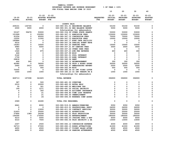|                |               |                   | FOR FISCAL IEAR ENDING JUNE 30 ZUZ3                                    |                  |                |                 |                 |                |
|----------------|---------------|-------------------|------------------------------------------------------------------------|------------------|----------------|-----------------|-----------------|----------------|
|                |               |                   |                                                                        |                  | 10             | 20              | 30              | 40             |
|                |               |                   |                                                                        |                  |                |                 |                 |                |
|                |               | $21 - 22$         | $21 - 22$                                                              |                  | $22 - 23$      | $22 - 23$       | $22 - 23$       | $22 - 23$      |
| $19 - 20$      | $20 - 21$     | ADOPTED BUDGETED  |                                                                        | <b>REQUESTED</b> | <b>INITIAL</b> | <b>PROPOSED</b> | <b>APPROVED</b> | <b>ADOPTED</b> |
| <b>ACTUAL</b>  | <b>ACTUAL</b> | <b>BUDGET FTE</b> |                                                                        | FTE              | <b>BUDGET</b>  | <b>BUDGET</b>   | <b>BUDGET</b>   | <b>BUDGET</b>  |
|                |               |                   | <b>COUNTY FAIR</b>                                                     |                  |                |                 |                 |                |
| 209101         | 130745        | 0                 | 020-080-301.01 BEGINNING BALANCE                                       |                  | 53150          | 53150           | 53150           | 0              |
| 2000           | 3000          | 4000              | 020-080-301.02 BEG BALANCE RESERV                                      |                  | 5000           | 5000            | 5000            | 0              |
|                |               |                   | Scholarships for ambassadors                                           |                  |                |                 |                 |                |
| 53167          | 59478         | 53000             | 020-080-334.99 OTHER STATE GRANTS                                      |                  | 53000          | 53000           | 53000           | 0              |
| 151999         | 0             | 152950            | 020-080-347.11 ADMISSION FEES                                          |                  | 153000         | 153000          | 153000          | 0              |
| 61254          | 0             | 60000             | 020-080-347.12 CONCESSION FEES                                         |                  | 70000          | 70000           | 70000           | 0              |
| 12250          | 0             | 11500             | 020-080-347.13 EXHIBITOR FEES                                          |                  | 10000          | 10000           | 10000           | 0              |
| 160884         | 0             | $\mathbf 0$       | 020-080-347.17 EVNT CNTR FACILITY                                      |                  | 0              | 0               | 0               | 0              |
| 6014           | 0             | $\mathbf 0$       | 020-080-347.18 SPECIAL EVENT REVE                                      |                  | 0              | $\mathbf 0$     | 0               | 0              |
| 14283          | 0             | 14500             | 020-080-347.20 PARKING FEES                                            |                  | 15000          | 15000           | 15000           | 0              |
| 4980           | 0             | 5000              | 020-080-347.21 RV CAMPING FEES                                         |                  | 3000           | 3000            | 3000            | 0              |
| 925            | $\mathbf 0$   | $\mathbf 0$       | 020-080-347.22 OTHER USER FEES                                         |                  | 0              | 0               | 0               | 0              |
| 1540           | 0             | 875               | 020-080-347.23 ATM FEE REVENUE                                         |                  | 400            | 400             | 400             | 0              |
| 446            | 0             | $\mathbf 0$       | 020-080-347.99 MISC                                                    |                  | 0              | 0               | 0               | $\mathbf 0$    |
| 2142           | 0             | 0                 | 020-080-361.01 POOL INTEREST                                           |                  | 0              | 0               | 0               | 0              |
| 1706           | 0             | 0                 | 020-080-361.03 BOND INTEREST                                           |                  | 0              | 0               | 0               | $\mathbf 0$    |
| 29818          | 0             | 0                 | 020-080-362.04 RENT                                                    |                  | 0              | 0               | 0               | 0              |
| 464            | 265           | 0                 | 020-080-362.12 REIMBURSEMENT                                           |                  | 350            | 350             | 350             | 0              |
| 42080          | 0             | 36000             | 020-080-362.36 FAIR & RODEO SPONS                                      |                  | 30000          | 30000           | 30000           | 0              |
| 2660           | 2610          | 2500              | 020-080-362.47 AMBASSADORS REVENU                                      |                  | 2500           | 2500            | 2500            | 0              |
| 0              | 0             | 500               | 020-080-362.99 MISC                                                    |                  | 500            | 500             | 500             | 0              |
| 70000<br>1000  | 0<br>1000     | 0<br>1000         | 020-080-380.06 CO INT VIDEO LOTTE<br>020-080-380.23 CO INT TRNSFR FR B |                  | 0<br>1000      | 0<br>1000       | 0<br>1000       | 0<br>0         |
|                |               |                   | Scholarships for ambassadors                                           |                  |                |                 |                 |                |
|                |               |                   |                                                                        |                  |                |                 |                 |                |
| 828713         | 197098        | 341825            | <b>TOTAL REVENUE</b>                                                   |                  | 396900         | 396900          | 396900          | 0              |
|                |               |                   |                                                                        |                  |                |                 |                 |                |
| 387            | 0             | 500               | 020-080-481.00 OVERTIME                                                |                  | 0              | 0               | 0               | 0              |
| 2010           | 0             | 20000             | 020-080-482.00 EXTRA HELP                                              |                  | 0              | 0               | $\mathbf 0$     | 0              |
| 35             | 0             | 301               | 020-080-490.00 MEDICARE TAX                                            |                  | 0              | 0               | $\mathbf 0$     | 0              |
| 149            | 0             | 1271              | 020-080-491.00 SOCIAL SECURITY                                         |                  | 0              | 0               | $\mathbf 0$     | 0              |
| 4              | 0             | 350               | 020-080-494.00 ACCIDENT INSURANCE                                      |                  | 0              | 0               | $\mathbf 0$     | 0              |
| $\mathbf 0$    | $\Omega$      | 21                | 020-080-494.80 TIME LOSS RESERVE                                       |                  | $\Omega$       | 0               | $\mathbf 0$     | 0              |
| $\mathbf{2}$   | 0             | 21                | 020-080-495.00 UNEMPLOYMENT                                            |                  | $\mathbf 0$    | 0               | 0               | 0              |
| $\overline{2}$ | $\mathbf 0$   | 26                | 020-080-496.00 WORKERS COMP ASSES                                      |                  | $\mathbf 0$    | 0               | $\Omega$        | $\Omega$       |
|                |               |                   |                                                                        |                  |                |                 |                 |                |
| 2589           | 0             | 22490             | TOTAL FOR PERSONNEL                                                    |                  | $\mathbf 0$    | 0               | $\Omega$        | 0              |
|                |               |                   |                                                                        |                  |                |                 |                 |                |
| 6641           | 0             | 8000              | 020-080-519.01 AWARDS/PREMIUMS                                         |                  | 9350           | 9350            | 9350            | 0              |
| 0              | 0             | 0                 | 020-080-610.01 PROFESSIONAL SERVI                                      |                  | 24000          | 24000           | 24000           | 0              |
| 0              | 0             | 13000             | 020-080-611.02 CONTRACT SERVICES                                       |                  | 30000          | 30000           | 30000           | 0              |
| 21623          | 0             | 25000             | 020-080-640.01 ADVERTISING                                             |                  | 25000          | 25000           | 25000           | 0              |
| 27864          | 1389          | 24258             | 020-080-692.01 FAIR PRODUCTION                                         |                  | 30000          | 30000           | 30000           | 0              |
| 144590         | 0             | 170000            | 020-080-692.02 ENTERTAINMENT                                           |                  | 180000         | 180000          | 180000          | 0              |
| 4210           | 0             | 5000              | 020-080-692.03 JUDGING FEES & EXP                                      |                  | 6000           | 6000            | 6000            | 0              |
| 4310           | 0             | 7500              | 020-080-692.04 FAIR SECURITY & SA                                      |                  | 13000          | 13000           | 13000           | 0              |
| 2307           | 0             | 2500              | 020-080-692.12 CONCESSION EXPENSE                                      |                  | 4000           | 4000            | 4000            | 0              |
| 34713          | 0             | 37000             | 020-080-692.15 RODEO ATTRACTIONS                                       |                  | 41000          | 41000           | 41000           | 0              |
| 4650           | 0             | 4500              | 020-080-692.17 TICKET SALES ATTEN                                      |                  | 4500           | 4500            | 4500            | 0              |
| 4650           | 0             | 4500              | 020-080-692.18 PARKING ATTENDENTS                                      |                  | 4500           | 4500            | 4500            | 0              |
|                |               |                   |                                                                        |                  |                |                 |                 |                |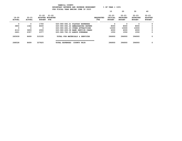| YAMHILL COUNTY                          |                       |
|-----------------------------------------|-----------------------|
| BUDGETARY REVENUE AND EXPENSE WORKSHEET | $8$ OF YEAR = $100\%$ |
| FOR FISCAL YEAR ENDING JUNE 30 2023     |                       |

|                            |                            |                                                |                       |                                   |                          | 10                                    | 20                                            | 30                                            | 40                                           |
|----------------------------|----------------------------|------------------------------------------------|-----------------------|-----------------------------------|--------------------------|---------------------------------------|-----------------------------------------------|-----------------------------------------------|----------------------------------------------|
| $19 - 20$<br><b>ACTUAL</b> | $20 - 21$<br><b>ACTUAL</b> | $21 - 22$<br>ADOPTED BUDGETED<br><b>BUDGET</b> | $21 - 22$<br>FTE      |                                   | <b>REOUESTED</b><br>FTE. | $22 - 23$<br>INITIAL<br><b>BUDGET</b> | $22 - 23$<br><b>PROPOSED</b><br><b>BUDGET</b> | $22 - 23$<br><b>APPROVED</b><br><b>BUDGET</b> | $22 - 23$<br><b>ADOPTED</b><br><b>BUDGET</b> |
| 0                          | 0                          | 1700                                           |                       | 020-080-692.21 PLAYDAY EXPENSES   |                          | 0                                     | 0                                             | 0                                             | 0                                            |
| 3850                       | 1344                       | 8000                                           |                       | 020-080-692.22 AMBASSADORS EXPENS |                          | 8000                                  | 8000                                          | 8000                                          | 0                                            |
| 0                          | 0                          | 0                                              |                       | 020-080-692.23 OTHER ATTRACTIONS  |                          | 10000                                 | 10000                                         | 10000                                         | 0                                            |
| 4110                       | 3609                       | 2000                                           |                       | 020-080-699.08 BANK SERVICE CHARG |                          | 6000                                  | 6000                                          | 6000                                          | 0                                            |
| 2421                       | 2357                       | 2377                                           |                       | 020-080-780.03 ADMIN OVERHEAD     |                          | 1550                                  | 1550                                          | 1550                                          | 0                                            |
| 265939                     | 8699                       | 315335                                         |                       | TOTAL FOR MATERIALS & SERVICES    |                          | 396900                                | 396900                                        | 396900                                        | 0                                            |
|                            |                            |                                                |                       |                                   |                          |                                       |                                               |                                               |                                              |
| 268528                     | 8699                       | 337825                                         | <b>TOTAL EXPENSES</b> | <b>COUNTY FAIR</b>                |                          | 396900                                | 396900                                        | 396900                                        | 0                                            |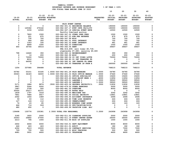**10 20 30 40** 

| $19 - 20$<br><b>ACTUAL</b> | $20 - 21$<br><b>ACTUAL</b> | $21 - 22$<br><b>BUDGET</b> | $21 - 22$<br>ADOPTED BUDGETED<br>FTE                                      | <b>REQUESTED</b><br>FTE | $22 - 23$<br>INITIAL<br><b>BUDGET</b> | $22 - 23$<br><b>PROPOSED</b><br><b>BUDGET</b> | $22 - 23$<br><b>APPROVED</b><br><b>BUDGET</b> | $22 - 23$<br><b>ADOPTED</b><br><b>BUDGET</b> |
|----------------------------|----------------------------|----------------------------|---------------------------------------------------------------------------|-------------------------|---------------------------------------|-----------------------------------------------|-----------------------------------------------|----------------------------------------------|
|                            |                            |                            |                                                                           |                         |                                       |                                               |                                               |                                              |
| 0                          | $\mathbf 0$                | $\mathbf 0$                | FAIR EVENT CENTER                                                         |                         |                                       | 190000                                        | 190000                                        |                                              |
| $\mathbf 0$                | 125362                     | 270162                     | 020-082-301.01 BEGINNING BALANCE                                          |                         | 190000                                | 190000                                        |                                               | 0<br>0                                       |
| $\mathbf 0$                |                            |                            | 020-082-347.17 EVNT CNTR FACILITY                                         |                         | 190000                                |                                               | 190000                                        | $\mathbf 0$                                  |
|                            | 3156                       | 12500                      | 020-082-347.18 SPECIAL EVENT REVE                                         |                         | 12500                                 | 12500                                         | 12500                                         |                                              |
| 0                          | 7820                       | 1500                       | Pacific Overland auction<br>020-082-347.22 OTHER USER FEES                |                         | 1500                                  | 1500                                          | 1500                                          | 0                                            |
| 0                          | 221                        | 875                        |                                                                           |                         | 875                                   | 875                                           | 875                                           | 0                                            |
| 0                          | 730                        | 700                        | 020-082-347.23 ATM FEE REVENUE<br>020-082-347.99 MISC                     |                         | 700                                   | 700                                           | 700                                           | 0                                            |
| $\Omega$                   | 964                        | 350                        | 020-082-361.01 POOL INTEREST                                              |                         | 722                                   | 722                                           | 722                                           | 0                                            |
| $\Omega$                   | 1353                       | 335                        | 020-082-361.03 BOND INTEREST                                              |                         | 961                                   | 961                                           | 961                                           | 0                                            |
| 0                          | 4869                       | 1000                       | 020-082-362.03 DONATIONS                                                  |                         | 1000                                  | 1000                                          | 1000                                          | 0                                            |
| 450                        | 35744                      | 36516                      | 020-082-362.04 RENT                                                       |                         | 39407                                 | 39407                                         | 39407                                         | 0                                            |
|                            |                            |                            |                                                                           |                         |                                       |                                               |                                               |                                              |
|                            |                            |                            | PKA \$16,409; cell tower \$5,718;<br>steelworks \$7,680; security \$9,600 |                         |                                       |                                               |                                               |                                              |
| 798                        | 14640                      | 350                        | 020-082-362.12 REIMBURSEMENT                                              |                         | 350                                   | 350                                           | 350                                           | $\mathbf{o}$                                 |
| 6                          | 14                         | 200                        | 020-082-362.99 MISC                                                       |                         | 200                                   | 200                                           | 200                                           | 0                                            |
| 0                          | 70000                      | 70000                      | 020-082-380.06 CO INT VIDEO LOTTE                                         |                         | 70000                                 | 70000                                         | 70000                                         | 0                                            |
| 0                          | 8212                       | $\mathbf 0$                | 020-082-380.80 CO INT TRANSFER FR                                         |                         | $\Omega$                              | $\mathbf 0$                                   | $\mathbf 0$                                   | 0                                            |
| 0                          | 64000                      | 0                          | 020-082-380.91 INT TRNSFR FR GENE                                         |                         | 0                                     | 0                                             | 0                                             | 0                                            |
| $\mathbf 0$                | $\mathbf 0$                | $\mathbf 0$                | 020-082-380.93 TRANSFER IN FROM A                                         |                         | 260000                                | 260000                                        | 260000                                        | $\Omega$                                     |
|                            |                            |                            |                                                                           |                         |                                       |                                               |                                               |                                              |
| 1254                       | 337085                     | 394488                     | <b>TOTAL REVENUE</b>                                                      |                         | 768215                                | 768215                                        | 768215                                        | 0                                            |
| 50782                      | 53151                      | 53185                      | 1.0000 020-082-401.29 FAIR MANAGER                                        | 1.0000                  | 54780                                 | 54780                                         | 54780                                         | 0                                            |
| 35063                      | 34183                      | 34000                      | 1.0000 020-082-401.33 FAIR OFFICE MANAGE                                  | 1.0000                  | 37440                                 | 37440                                         | 37440                                         | 0                                            |
| 0                          | 0                          | 0                          | 020-082-402.01 OFFICE SPECIALIST                                          | .5000                   | 15600                                 | 15600                                         | 15600                                         | 0                                            |
| $\mathbf 0$                | $\mathbf 0$                | $\mathbf 0$                | 020-082-403.43 BLDG MAINT WRKR 1                                          | .4000                   | 11856                                 | 11856                                         | 11856                                         | 0                                            |
| $\mathbf 0$                | 0                          | $\mathbf 0$                | 020-082-405.01 LABORER 1                                                  | 1.0000                  | 39520                                 | 39520                                         | 39520                                         | 0                                            |
| 0                          | 0                          | $\mathbf 0$                | 020-082-405.02 LABORER 2                                                  | 1.0000                  | 39520                                 | 39520                                         | 39520                                         | 0                                            |
| 5171                       | 1884                       | 8874                       | .3500 020-082-405.04 GROUNDS SECURITY/L                                   | .3500                   | 11832                                 | 11832                                         | 11832                                         | 0                                            |
| 3847                       | 5064                       | 5000                       | 020-082-479.00 OTHER EARNINGS                                             |                         | 5000                                  | 5000                                          | 5000                                          | 0                                            |
| 1487                       | 3728                       | 500                        | 020-082-481.00 OVERTIME                                                   |                         | 8000                                  | 8000                                          | 8000                                          | 0                                            |
| 30000                      | 25217                      | 42371                      | 020-082-482.00 EXTRA HELP                                                 |                         | $\mathbf{o}$                          | $\mathbf 0$                                   | 0                                             | 0                                            |
| 1839                       | 1797                       | 1618                       | 020-082-490.00 MEDICARE TAX                                               |                         | 3242                                  | 3242                                          | 3242                                          | $\mathbf 0$                                  |
| 7861                       | 7684                       | 6917                       | 020-082-491.00 SOCIAL SECURITY                                            |                         | 13861                                 | 13861                                         | 13861                                         | 0                                            |
| 2062                       | 1454                       | 1689                       | 020-082-494.00 ACCIDENT INSURANCE                                         |                         | 2696                                  | 2696                                          | 2696                                          | 0                                            |
| 59                         | 63                         | 112                        | 020-082-494.80 TIME LOSS RESERVE                                          |                         | 224                                   | 224                                           | 224                                           | 0                                            |
| 127                        | 124                        | 112                        | 020-082-495.00 UNEMPLOYMENT                                               |                         | 224                                   | 224                                           | 224                                           | 0                                            |
| 74                         | - 63                       | 85                         | 020-082-496.00 WORKERS COMP ASSES                                         |                         | 163                                   | 163                                           | 163                                           | 0                                            |
| 446                        | 714                        | 918                        | 020-082-499.00 FET/VACATION/SICK                                          |                         | $\mathbf{o}$                          | $\mathbf 0$                                   | 0                                             | 0                                            |
| 680                        | 650                        | $\Omega$                   | 020-082-499.99 VACATION LIAB. ADJ                                         |                         | $\mathbf 0$                           | $\mathbf{0}$                                  | $\mathbf 0$                                   | 0                                            |
| 139498                     | 135776                     | 155381                     | 2.3500 TOTAL FOR PERSONNEL                                                | 5.2500                  | 243958                                | 243958                                        | 243958                                        | $\mathbf 0$                                  |
| 3185                       | 1820                       | 2000                       | 020-082-511.02 CLEANING SUPPLIES                                          |                         | 2000                                  | 2000                                          | 2000                                          | 0                                            |
| 33043                      | 26862                      | 27000                      | 020-082-511.19 EVENT CENTER EXPEN                                         |                         | 26000                                 | 26000                                         | 26000                                         | 0                                            |
| 2213                       | 794                        | 1000                       | 020-082-511.99 MISC OP SUPPLIES                                           |                         | 1000                                  | 1000                                          | 1000                                          | 0                                            |
| 2602                       | 4606                       | 6000                       | 020-082-543.01 DEPT EQUIPMENT                                             |                         | 8000                                  | 8000                                          | 8000                                          | 0                                            |
| 446                        | 443                        | 463                        | 020-082-611.01 AUDIT                                                      |                         | 182                                   | 182                                           | 182                                           | 0                                            |
| 4352                       | 2213                       | 10000                      | 020-082-611.02 CONTRACT SERVICES                                          |                         | 7000                                  | 7000                                          | 7000                                          | 0                                            |
| 729                        | 750                        | 500                        | 020-082-612.01 MISC TRAINING                                              |                         | 500                                   | 500                                           | 500                                           | 0                                            |
| 4681                       | 3931                       | 4600                       | 020-082-620.01 TELEPHONE                                                  |                         | 4600                                  | 4600                                          | 4600                                          | 0                                            |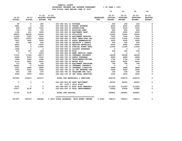|                            |                            |                          |                                                        |                                 | 10                         | 20                                            | 30                                            | 40                                           |
|----------------------------|----------------------------|--------------------------|--------------------------------------------------------|---------------------------------|----------------------------|-----------------------------------------------|-----------------------------------------------|----------------------------------------------|
| $19 - 20$<br><b>ACTUAL</b> | $20 - 21$<br><b>ACTUAL</b> | <b>BUDGET FTE</b>        | $21 - 22$ $21 - 22$<br>ADOPTED BUDGETED                | REQUESTED INITIAL<br><b>FTE</b> | $22 - 23$<br><b>BUDGET</b> | $22 - 23$<br><b>PROPOSED</b><br><b>BUDGET</b> | $22 - 23$<br><b>APPROVED</b><br><b>BUDGET</b> | $22 - 23$<br><b>ADOPTED</b><br><b>BUDGET</b> |
| 60                         | 0                          | 200                      | 020-082-621.01 POSTAGE                                 |                                 | 200                        | 200                                           | 200                                           | 0                                            |
| 3881                       | $\overline{\mathbf{0}}$    | 500                      | 020-082-630.01 TRAVEL EXPENSE                          |                                 | 6000                       | 6000                                          | 6000                                          | $\mathbf 0$                                  |
| 499                        | 250                        | 1000                     | 020-082-640.01 ADVERTISING                             |                                 | 5000                       | 5000                                          | 5000                                          | 0                                            |
| 745                        | 745                        | 750                      | 020-082-652.01 BUILDING RENT                           |                                 | 820                        | 820                                           | 820                                           | 0                                            |
| 1194                       | 211                        | 3000                     | 020-082-652.02 EQUIPMENT RENT                          |                                 | 4000                       | 4000                                          | 4000                                          | 0                                            |
| 48953                      | 54408                      | 53000                    | 020-082-670.02 UTILITIES                               |                                 | 72650                      | 72650                                         | 72650                                         | $\mathbf 0$                                  |
| 11208                      | 3450                       | 5000                     | 020-082-680.02 EQUIPMENT REPAIRS                       |                                 | 7000                       | 7000                                          | 7000                                          | 0                                            |
| 18975                      | 10553                      | 14000                    | 020-082-683.12 FAIR IMPRV-NON CAP                      |                                 | 17000                      | 17000                                         | 17000                                         | $\Omega$                                     |
| 1651                       | 3450                       | 3500                     | 020-082-691.01 ASSOC MEMBERSHIPS                       |                                 | 3500                       | 3500                                          | 3500                                          | $\Omega$                                     |
| 547                        | 989                        | 500                      | 020-082-692.04 SECURITY & SAFETY                       |                                 | 500                        | 500                                           | 500                                           | 0                                            |
| 4950                       | $\overline{\mathbf{0}}$    | 4000                     | 020-082-692.05 BEDDING MATERIALS                       |                                 | 4000                       | 4000                                          | 4000                                          | 0                                            |
| 3583                       | $\overline{0}$             | 11000                    | 020-082-692.20 SPECIAL EVENT EXPE                      |                                 | 11000                      | 11000                                         | 11000                                         | 0                                            |
| 1494                       | $\overline{\mathbf{0}}$    | $\overline{\phantom{0}}$ | 020-082-692.21 PLAYDAY EXPENSES                        |                                 | $\overline{\mathbf{0}}$    | $\overline{\phantom{0}}$                      | $\overline{\phantom{0}}$                      | 0                                            |
| 257                        | 367                        | 350                      | 020-082-692.99 MISC                                    |                                 | 350                        | 350                                           | 350                                           | 0                                            |
| $\overline{\mathbf{0}}$    | $\overline{\phantom{0}}$   | 2000                     | 020-082-699.08 BANK SERVICE CHARG                      |                                 | $\overline{\mathbf{0}}$    | $\overline{\mathbf{0}}$                       | $\overline{\mathbf{0}}$                       | 0                                            |
| 17012                      | 17344                      | 18973                    | 020-082-780.02 INTERNAL PROPERTY                       |                                 | 24096                      | 24096                                         | 24096                                         | $\mathbf 0$                                  |
| 4246                       | 5203                       | 5535                     | 020-082-780.03 ADMIN OVERHEAD                          |                                 | 4086                       | 4086                                          | 4086                                          | $\Omega$                                     |
| 1944                       | 1584                       | 1584                     | 020-082-780.04 TELECOMMUNICATIONS                      |                                 | 1764                       | 1764                                          | 1764                                          | 0                                            |
| 6119                       | 5822                       | 6250                     | 020-082-780.05 MOTOR POOL                              |                                 | 6250                       | 6250                                          | 6250                                          | 0                                            |
| 713                        | 742                        | 742                      | 020-082-780.06 EQUIPMENT REPLACEM                      |                                 | 786                        | 786                                           | 786                                           | 0                                            |
| 69281                      | $\overline{\mathbf{0}}$    | 50546                    | 020-082-780.16 INTERNAL CONTRACT                       |                                 | $\overline{\mathbf{0}}$    | $\overline{\mathbf{0}}$                       | $\overline{\phantom{0}}$                      | $\mathbf 0$                                  |
| 3367                       | 2895                       | 2895                     | 020-082-780.27 INTERNAL LIABILITY                      |                                 | 3888                       | 3888                                          | 3888                                          | 0                                            |
| 1600                       | 2520                       | 2646                     | 020-082-780.46 CO INT NETWORK CHA                      |                                 | 2646                       | 2646                                          | 2646                                          | 0                                            |
| 345                        | 265                        | 367                      | 020-082-780.54 TELECOMM PER CALL                       |                                 | 336                        | 336                                           | 336                                           | 0                                            |
| 3206                       | 3206                       | 3206                     | 020-082-780.55 INT LEGAL SERVICES                      |                                 | 3222                       | 3222                                          | 3222                                          | 0                                            |
| 257081                     | 155423                     | 243107                   | TOTAL FOR MATERIALS & SERVICES                         |                                 | 228376                     | 228376                                        | 228376                                        | $\mathbf 0$                                  |
| $\mathbf 0$                | $\mathbf 0$                | $\mathbf 0$              | 020-082-800.80 DEPT EQUIPMENT<br>40' Lift + skid steer |                                 | 60000                      | 60000                                         | 60000                                         | 0                                            |
| 8101                       | $\overline{\phantom{0}}$   | $\mathbf 0$              | 020-082-820.01 MISC BLDG REMODELI                      |                                 | 211923                     | 211923                                        | 211923                                        | $\mathbf{o}$                                 |
| 23017                      | 9130                       | $\Omega$                 | 020-082-830.10 FAIR IMPROVEMENTS                       |                                 | 23958                      | 23958                                         | 23958                                         | $\mathbf 0$                                  |
| 31118                      | 9130                       | $\Omega$                 | <b>TOTAL FOR CAPITAL</b>                               |                                 | 295881                     | 295881                                        | 295881                                        | $\mathbf 0$                                  |
| 427697                     | 300329                     | 398488                   | 2.3500 TOTAL EXPENSES FAIR EVENT CENTER                | 5.2500                          | 768215                     | 768215                                        | 768215                                        | 0                                            |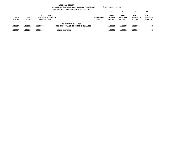|                            |                            |                                                | YAMHILL COUNTY<br>BUDGETARY REVENUE AND EXPENSE WORKSHEET<br>FOR FISCAL YEAR ENDING JUNE 30 2023 |                         | $8$ OF YEAR = 100 $8$                 |                                               |                                               |                                              |
|----------------------------|----------------------------|------------------------------------------------|--------------------------------------------------------------------------------------------------|-------------------------|---------------------------------------|-----------------------------------------------|-----------------------------------------------|----------------------------------------------|
|                            |                            |                                                |                                                                                                  |                         | 10                                    | 20                                            | 30                                            | 40                                           |
| $19 - 20$<br><b>ACTUAL</b> | $20 - 21$<br><b>ACTUAL</b> | $21 - 22$<br>ADOPTED BUDGETED<br><b>BUDGET</b> | 21-22<br>FTE                                                                                     | <b>REOUESTED</b><br>FTE | $22 - 23$<br>INITIAL<br><b>BUDGET</b> | $22 - 23$<br><b>PROPOSED</b><br><b>BUDGET</b> | $22 - 23$<br><b>APPROVED</b><br><b>BUDGET</b> | $22 - 23$<br><b>ADOPTED</b><br><b>BUDGET</b> |
| 1543817                    | 1491299                    | 1380000                                        | <b>BEGINNING BALANCE</b><br>021-001-301.01 BEGINNING BALANCE                                     |                         | 1185000                               | 1185000                                       | 1185000                                       | 0                                            |
| 1543817                    | 1491299                    | 1380000                                        | <b>TOTAL REVENUE</b>                                                                             |                         | 1185000                               | 1185000                                       | 1185000                                       | 0                                            |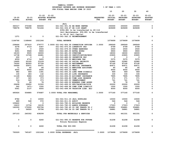|                 |               |                   |                  | YAMHILL COUNTY                               |                  |                       |                 |                 |                |
|-----------------|---------------|-------------------|------------------|----------------------------------------------|------------------|-----------------------|-----------------|-----------------|----------------|
|                 |               |                   |                  | BUDGETARY REVENUE AND EXPENSE WORKSHEET      |                  | $8$ OF YEAR = 100 $8$ |                 |                 |                |
|                 |               |                   |                  | FOR FISCAL YEAR ENDING JUNE 30 2023          |                  |                       |                 |                 |                |
|                 |               |                   |                  |                                              |                  | 10                    | 20              | 30              | 40             |
|                 |               |                   |                  |                                              |                  |                       |                 |                 |                |
|                 |               | $21 - 22$         | $21 - 22$        |                                              |                  | $22 - 23$             | $22 - 23$       | $22 - 23$       | $22 - 23$      |
| $19 - 20$       | $20 - 21$     |                   | ADOPTED BUDGETED |                                              | <b>REQUESTED</b> | INITIAL               | <b>PROPOSED</b> | <b>APPROVED</b> | <b>ADOPTED</b> |
| <b>ACTUAL</b>   | <b>ACTUAL</b> | <b>BUDGET FTE</b> |                  |                                              | FTE              | <b>BUDGET</b>         | <b>BUDGET</b>   | <b>BUDGET</b>   | <b>BUDGET</b>  |
|                 |               |                   |                  |                                              |                  |                       |                 |                 |                |
|                 |               |                   |                  | JAIL                                         |                  |                       |                 |                 |                |
| 365317          | 370368        | 300000            |                  | 021-041-301.54 BB WORK CENTER                |                  | 250000                | 250000          | 250000          | 0              |
| 798078          | 798078        | 721246            |                  | 021-041-334.67 SB 1145 GRANT                 |                  | 829699                | 829699          | 829699          | $\mathbf 0$    |
|                 |               |                   |                  | \$356,881 to be transferred to 40-116        |                  |                       |                 |                 |                |
|                 |               |                   |                  | Jail Maintenance; \$56,881 to be transferred |                  |                       |                 |                 |                |
|                 |               |                   |                  | to 40-41 Jail Capital                        |                  |                       |                 |                 |                |
| 1371            | 0             | 0                 |                  | 021-041-362.12 REIMBURSEMENT                 |                  | 0                     | 0               | 0               | 0              |
|                 |               |                   |                  |                                              |                  |                       |                 |                 |                |
| 1164766         | 1168446       | 1021246           |                  | <b>TOTAL REVENUE</b>                         |                  | 1079699               | 1079699         | 1079699         | 0              |
|                 |               |                   |                  |                                              |                  |                       |                 |                 |                |
| 238664          | 257410        | 279777            |                  | 3.0000 021-041-404.09 CORRECTION OFFICER     | 3.0000           | 289569                | 289569          | 289569          | 0              |
| 4378            | 4719          | 6367              |                  | 021-041-475.00 LONGEVITY PAY                 |                  | 6799                  | 6799            | 6799            | 0              |
| 1361            | 0             | 2500              |                  | 021-041-479.00 OTHER EARNINGS                |                  | 2500                  | 2500            | 2500            | 0              |
| 9291            | 9928          | 9900              |                  | 021-041-480.00 EXTRA HOURS                   |                  | 9900                  | 9900            | 9900            | 0              |
| 18193           | 9505          | 18000             |                  | 021-041-481.00 OVERTIME                      |                  | 18000                 | 18000           | 18000           | 0              |
| 12738           | 13728         | 24681             |                  | 021-041-485.00 CERTIFICATION/EDUC            |                  | 23905                 | 23905           | 23905           | 0              |
| 200             | 0             | 0                 |                  | 021-041-486.00 INCENTIVE PAY                 |                  | 0                     | 0               | 0               | 0              |
| 4559            | 4716          | 5405              |                  | 021-041-490.00 MEDICARE TAX                  |                  | 5375                  | 5375            | 5375            | 0              |
| 19495           | 20165         | 23109             |                  | 021-041-491.00 SOCIAL SECURITY               |                  | 22982                 | 22982           | 22982           | 0              |
| 79300           | 82093         | 97728             |                  | 021-041-492.00 RETIREMENT                    |                  | 97190                 | 97190           | 97190           | 0              |
| 54999           | 55971         | 55971             |                  | 021-041-493.10 MEDICAL INSURANCE             |                  | 60471                 | 60471           | 60471           | 0              |
| 71              | 82            | 84                |                  | 021-041-493.12 EMPLOYEE ASSISTANC            |                  | 85                    | 85              | 85              | 0              |
| 4500            | 4500          | 4500              |                  | 021-041-493.15 VEBA                          |                  | 4500                  | 4500            | 4500            | 0              |
| 982             | 969           | 1391              |                  | 021-041-493.32 LONG TERM DISABILI            |                  | 969                   | 969             | 969             | 0              |
| 130             | 283           | 132               |                  | 021-041-493.40 LIFE INSURANCE                |                  | 330                   | 330             | 330             | 0              |
| 11128           | 9484          | 9318              |                  | 021-041-494.00 ACCIDENT INSURANCE            |                  | 7895                  | 7895            | 7895            | 0              |
| 337             | 325           | 373               |                  | 021-041-494.80 TIME LOSS RESERVE             |                  | 371                   | 371             | 371             | 0              |
| 314             | 325           | 373               |                  | 021-041-495.00 UNEMPLOYMENT                  |                  | 741                   | 741             | 741             | 0              |
| 75              | 66            | 78                |                  | 021-041-496.00 WORKERS COMP ASSES            |                  | 78                    | 78              | 78              | 0              |
| 29608           | 29950         | 31500             |                  | 021-041-499.00 FET/VACATION/SICK             |                  | 20000                 | 20000           | 20000           | 0              |
| 542             | $1471 -$      | 1500              |                  | 021-041-499.98 COMP TIME LIABILIT            |                  | 1500                  | 1500            | 1500            | 0              |
| 5061            | 2137          | 4000              |                  | 021-041-499.99 VACATION LIAB. ADJ            |                  | 4000                  | 4000            | 4000            | 0              |
|                 |               |                   |                  |                                              |                  |                       |                 |                 |                |
| 495926          | 504885        | 576687            |                  | 3.0000 TOTAL FOR PERSONNEL                   | 3.0000           | 577160                | 577160          | 577160          | 0              |
|                 |               |                   |                  |                                              |                  |                       |                 |                 |                |
|                 |               |                   |                  |                                              |                  |                       |                 |                 |                |
| 8782            | 0             | 10000             |                  | 021-041-511.10 JAIL SUPPLIES                 |                  | 10000                 | 10000           | 10000           | 0              |
| 489             | 548           | 572               |                  | 021-041-611.01 AUDIT                         |                  | 546                   | 546             | 546             | 0              |
| 109422          | 0             | 0                 |                  | 021-041-780.01 BUILDING RESERVE              |                  | 0                     | 0               | 0               | 0              |
| 16410<br>162000 | 13734         | 16135             |                  | 021-041-780.03 ADMIN OVERHEAD                |                  | 17023                 | 17023           | 17023           | 0              |
|                 | 170000        | 355796            |                  | 021-041-780.45 CO INT TRNSFR TO J            |                  | 356881                | 356881          | 356881          | 0              |
| 0               | 56020         | 55796             |                  | 021-041-780.56 CO INT TRNSFR TO J            |                  | 56881                 | 56881           | 56881           | 0              |
|                 |               |                   |                  |                                              |                  |                       |                 |                 | 0              |
| 297103          | 240302        | 438299            |                  | TOTAL FOR MATERIALS & SERVICES               |                  | 441331                | 441331          | 441331          |                |
|                 |               |                   |                  |                                              |                  |                       |                 |                 |                |
|                 | 0             |                   |                  |                                              |                  |                       |                 |                 | 0              |
| 0               |               | 6260              |                  | 021-041-990.03 RESERVE FOR FUTURE            |                  | 61208                 | 61208           | 61208           |                |
|                 |               |                   |                  | Future Personnel Expense                     |                  |                       |                 |                 |                |
| 0               | 0             | 6260              |                  | TOTAL FOR 900-999                            |                  | 61208                 | 61208           | 61208           | 0              |
|                 |               |                   |                  |                                              |                  |                       |                 |                 |                |
|                 |               |                   |                  | ======================                       |                  |                       |                 |                 |                |
| 793029          | 745187        | 1021246           |                  | 3.0000 TOTAL EXPENSES JAIL                   | 3.0000           | 1079699               | 1079699         | 1079699         | 0              |
|                 |               |                   |                  |                                              |                  |                       |                 |                 |                |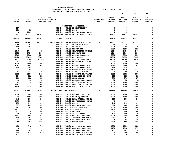**10 20 30 40 21-22 21-22 22-23 22-23 22-23 22-23 ADOPTED 19-20 20-21 ADOPTED BUDGETED REQUESTED INITIAL PROPOSED APPROVED ADOPTED ACTUAL ACTUAL BUDGET FTE FTE BUDGET BUDGET BUDGET BUDGET -------------------------------------------------------------------------------- ------------------------------------------------- COMMUNITY CORRECTIONS 587 0 0 021-044-362.12 REIMBURSEMENT 0 0 0 0**  $\mathbf 0$  **129 55 0 021-044-362.99 MISC 0 0 0 0**  $\Omega$  **0 1860 0 021-044-380.80 CO INT TRANSFER FR 0 0 0 0**  $\mathbf 0$  **220993 220993 227622 021-044-380.91 CO INT TRNSFR FR G 241279 241279 241279 0 221709 222908 227622 TOTAL REVENUE 241279 241279 241279 0 113868 119563 132721 2.0000 021-044-403.36 PROBATION OFFICER 2.0000 127272 127272 127272 0**  $\Omega$  **2045 203 0 021-044-479.00 OTHER EARNINGS 39 39 39 0**  $\mathbf 0$  **158 181 0 021-044-481.00 OVERTIME 3705 3705 3705 0**  $\Omega$  **0 0 0 021-044-484.00 BEEPER PAY 1950 1950 1950 0**  $\mathbf 0$  **1740 1740 4415 021-044-485.00 CERTIFICATION/EDUC 1484 1484 1484 0**  $\mathbf 0$  **1722 1754 2003 021-044-490.00 MEDICARE TAX 1964 1964 1964 0**  $\mathbf 0$  **7363 7502 8564 021-044-491.00 SOCIAL SECURITY 8398 8398 8398 0**  $\Omega$  **21628 23690 33802 021-044-492.00 RETIREMENT 34350 34350 34350 0**  $\Omega$  **34231 37568 41526 021-044-493.10 MEDICAL INSURANCE 44300 44300 44300 0**  $\mathbf 0$  **47 54 50 021-044-493.12 EMPLOYEE ASSISTANC 50 50 50 0**  $\mathbf 0$  **2400 2400 2400 021-044-493.15 VEBA 3000 3000 3000 0**  $\Omega$  **3083 2992 3052 021-044-493.20 DENTAL INSURANCE 2940 2940 2940 0**  $\Omega$  **310 308 310 021-044-493.25 VISION INSURANCE 316 316 316 0**  $\mathbf 0$  **707 762 1170 021-044-493.31 SHORT TERM DISABIL 1170 1170 1170 0**  $\mathbf 0$  **61 136 88 021-044-493.40 LIFE INSURANCE 88 88 88 0** 0  **3925 3588 3453 021-044-494.00 ACCIDENT INSURANCE 2885 2885 2885 0** 0 124 122 138 021-044-494.80 TIME LOSS RESERVE 135 135 135 135  $\Omega$  **119 122 138 021-044-495.00 UNEMPLOYMENT 271 271 271 0**  $\mathbf 0$  **46 43 52 021-044-496.00 WORKERS COMP ASSES 52 52 52 0**  $\mathbf 0$  **945 0 1000 021-044-499.00 FET/VACATION/SICK 1000 1000 1000 0**  $\mathbf 0$  **1723- 39 1000 021-044-499.98 COMP TIME LIABILIT 1000 1000 1000 0**  $\mathbf 0$  **2134 4116 2000 021-044-499.99 VACATION LIAB. ADJ 2000 2000 2000 0 194933 206883 237882 2.0000 TOTAL FOR PERSONNEL 2.0000 238369 238369 238369 0 1208 802 1500 021-044-510.01 CENTRAL SUPPLIES 1000 1000 1000 0**  $\mathbf 0$  **312 1599 1500 021-044-543.01 DEPT EQUIPMENT 1500 1500 1500 0**  $\Omega$  **442 200 500 021-044-583.02 DATA PROCESSING SU 500 500 500 0** 0  **1470 100 0 021-044-610.01 PROFESSIONAL SERVI 0 0 0 0**  $\mathbf 0$  **133 140 146 021-044-611.01 AUDIT 140 140 140 0**  $\mathbf 0$  **987 241 600 021-044-611.02 CONTRACT SERVICES 600 600 600 0**  $\Omega$  **749 305 1000 021-044-612.01 MISC TRAINING 1000 1000 1000 0**  $\Omega$  **1459 979 1100 021-044-620.01 TELEPHONE 1100 1100 1100 0**  $\mathbf 0$  **272 210 400 021-044-621.01 POSTAGE 400 400 400 0**  $\Omega$  **19 0 300 021-044-630.01 TRAVEL EXPENSE 300 300 300 0**  $\mathbf 0$  **3333 2689 2637 021-044-780.01 BUILDING RESERVE 2905 2905 2905 0**  $\Omega$  **190 194 212 021-044-780.02 INTERNAL PROPERTY 351 351 351 0**  $\Omega$  **991 768 785 021-044-780.04 TELECOMMUNICATIONS 786 786 786 0** 0  **2268 2394 2650 021-044-780.05 MOTOR POOL 2650 2650 2650 0 688 742 742 021-044-780.06 EQUIPMENT REPLACEM 1230 1230 1230 0**  $\mathbf 0$ 0 0 0 021-044-780.15 COMPUTER SERVICES 1798 1798 1798 1798

 **142 65 147 021-044-780.17 INTERNAL POSTAGE C 109 109 109 0** 

 **762 656 656 021-044-780.27 INTERNAL LIABILITY 880 880 880 0** 

 **132 131 0 021-044-780.44 CO INT PEL RESERVE 0 0 0 0** 

 $\mathbf 0$ 

 $\mathbf 0$ 

 $\mathbf 0$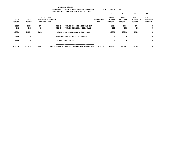|                            |                            |                            | ION FIDGAD IDAN DADING COND JO EVEJ                                   |                               | 10                                    | 20                                            | 30                                            | 40                                           |
|----------------------------|----------------------------|----------------------------|-----------------------------------------------------------------------|-------------------------------|---------------------------------------|-----------------------------------------------|-----------------------------------------------|----------------------------------------------|
| $19 - 20$<br><b>ACTUAL</b> | $20 - 21$<br><b>ACTUAL</b> | $21 - 22$<br><b>BUDGET</b> | $21 - 22$<br>ADOPTED BUDGETED<br>FTE                                  | <b>REQUESTED</b><br>FTE       | $22 - 23$<br>INITIAL<br><b>BUDGET</b> | $22 - 23$<br><b>PROPOSED</b><br><b>BUDGET</b> | $22 - 23$<br><b>APPROVED</b><br><b>BUDGET</b> | $22 - 23$<br><b>ADOPTED</b><br><b>BUDGET</b> |
| 1600<br>649                | 1680<br>161                | 1764<br>349                | 021-044-780.46 CO INT NETWORK CHA<br>021-044-780.54 TELECOMM PER CALL |                               | 1764<br>285                           | 1764<br>285                                   | 1764<br>285                                   | 0<br>0                                       |
| 17806                      | 14056                      | 16988                      | TOTAL FOR MATERIALS & SERVICES                                        |                               | 19298                                 | 19298                                         | 19298                                         | 0                                            |
| 6196                       | 0                          | 0                          | 021-044-800.80 DEPT EQUIPMENT                                         |                               | 0                                     | 0                                             | 0                                             | 0                                            |
| 6196                       | 0                          | 0                          | TOTAL FOR CAPITAL                                                     |                               | 0                                     | 0                                             | 0                                             | 0                                            |
| 218935                     | 220939                     | 254870                     | 2.0000 TOTAL EXPENSES                                                 | 2.0000<br>COMMUNITY CORRECTIO | 257667                                | 257667                                        | 257667                                        | 0                                            |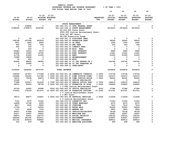|                            |                            |                                |                               | YAMHILL COUNTY               |                                                                                |                                |                                       |                                               |                                               |                                              |
|----------------------------|----------------------------|--------------------------------|-------------------------------|------------------------------|--------------------------------------------------------------------------------|--------------------------------|---------------------------------------|-----------------------------------------------|-----------------------------------------------|----------------------------------------------|
|                            |                            |                                |                               |                              | BUDGETARY REVENUE AND EXPENSE WORKSHEET<br>FOR FISCAL YEAR ENDING JUNE 30 2023 |                                | $8$ OF YEAR = 100 $8$                 |                                               |                                               |                                              |
|                            |                            |                                |                               |                              |                                                                                |                                | 10                                    | 20                                            | 30                                            | 40                                           |
| $19 - 20$<br><b>ACTUAL</b> | $20 - 21$<br><b>ACTUAL</b> | $21 - 22$<br><b>BUDGET FTE</b> | $21 - 22$<br>ADOPTED BUDGETED |                              |                                                                                | <b>REQUESTED</b><br><b>FTE</b> | $22 - 23$<br>INITIAL<br><b>BUDGET</b> | $22 - 23$<br><b>PROPOSED</b><br><b>BUDGET</b> | $22 - 23$<br><b>APPROVED</b><br><b>BUDGET</b> | $22 - 23$<br><b>ADOPTED</b><br><b>BUDGET</b> |
|                            |                            |                                |                               |                              |                                                                                |                                |                                       |                                               |                                               |                                              |
|                            |                            |                                |                               |                              | STATE ENHANCEMENT                                                              |                                |                                       |                                               |                                               |                                              |
| $\mathbf{0}$               | 234894                     | $\mathbf 0$                    |                               |                              | 021-045-331.15 CFDA FEDERAL GRANT                                              |                                | $\mathbf 0$                           | $\mathbf 0$                                   | 0                                             | 0                                            |
| 2788265                    | 2765873                    | 2536786                        |                               |                              | 021-045-334.13 STATE ENHANCEMENT                                               |                                | 2874203                               | 2874203                                       | 2874203                                       | $\mathbf 0$                                  |
|                            |                            |                                |                               |                              | \$2,218,629 State Grant;                                                       |                                |                                       |                                               |                                               |                                              |
|                            |                            |                                |                               |                              | \$500,839 Justice Reinvestment Grant;                                          |                                |                                       |                                               |                                               |                                              |
|                            |                            |                                |                               | \$146,497 M57 Grant;         |                                                                                |                                |                                       |                                               |                                               |                                              |
|                            |                            |                                |                               |                              | \$8,238 Transition Funds                                                       |                                |                                       |                                               |                                               |                                              |
| 0                          | 24                         | 0                              |                               |                              | 021-045-341.15 DISCOVERY FEES                                                  |                                | 0                                     | 0                                             | 0                                             | 0                                            |
| 199158                     | 231994                     | 200000                         |                               |                              | 021-045-342.05 PROBATION FEES                                                  |                                | 36000                                 | 36000                                         | 36000                                         | 0                                            |
| 3451                       | 1680                       | 2500                           |                               | 021-045-342.10 UA FEES       |                                                                                |                                | 1500                                  | 1500                                          | 1500                                          | 0                                            |
| 424                        | 250                        | 500                            |                               | 021-045-342.30 DNA FEES      |                                                                                |                                | 350                                   | 350                                           | 350                                           | 0                                            |
| 300                        | 100                        | $\mathbf 0$                    |                               | 021-045-342.33 COMPACT FEES  |                                                                                |                                | $\mathbf 0$                           | $\mathbf 0$                                   | $\mathbf 0$                                   | 0                                            |
| 0                          | 205                        | $\mathbf 0$                    |                               | 021-045-342.99 MISC. FEES    |                                                                                |                                | $\Omega$                              | $\mathbf 0$                                   | 0                                             | 0                                            |
| 25383                      | 12524                      | 9574                           |                               | 021-045-361.01 POOL INTEREST |                                                                                |                                | 9380                                  | 9380                                          | 9380                                          | 0                                            |
| 20668                      | 16385                      | 14760                          |                               | 021-045-361.03 BOND INTEREST |                                                                                |                                | 11641                                 | 11641                                         | 11641                                         | 0                                            |
| 21734                      | 21626                      | 21000                          |                               | 021-045-362.04 RENT          |                                                                                |                                | 21000                                 | 21000                                         | 21000                                         | 0                                            |
| 13288                      | 19838                      | 0                              |                               | 021-045-362.12 REIMBURSEMENT |                                                                                |                                | 0                                     | 0                                             | 0                                             | 0                                            |
| 74                         | 932                        | 0                              |                               | 021-045-362.99 MISC          |                                                                                |                                | 0                                     | 0                                             | 0                                             | 0                                            |
| 82280                      | 88830                      | 94580                          |                               |                              | 021-045-380.31 CO INT TRNSFR FR J                                              |                                | 102762                                | 102762                                        | 102762                                        | 0                                            |
| 0                          | 33490                      | 0                              |                               |                              | 021-045-380.80 CO INT TRANSFER FR                                              |                                | 0                                     | 0                                             | 0                                             | 0                                            |
| 4                          | 0                          | $\mathbf 0$                    |                               | 021-045-389.01 OVER/SHORT    |                                                                                |                                | $\mathbf 0$                           | $\mathbf 0$                                   | $\mathbf 0$                                   | 0                                            |
| 3155029                    | 3428645                    | 2879700                        |                               | <b>TOTAL REVENUE</b>         |                                                                                |                                | 3056836                               | 3056836                                       | 3056836                                       | 0                                            |
| 159599                     | 167567                     | 171448                         |                               |                              | 2.0000 021-045-401.38 COMMUNITY CORRECTI                                       | 2.0000                         | 175734                                | 175734                                        | 175734                                        | 0                                            |
| 100080                     | 106325                     | 111789                         |                               |                              | 1.0000 021-045-401.57 COMM JUSTICE DIREC                                       | 1.0000                         | 120373                                | 120373                                        | 120373                                        | 0                                            |
| 76072                      | 79538                      | 83875                          |                               |                              | 1.0000 021-045-401.58 COMM JUSTICE BUSIN                                       | 1.0000                         | 86391                                 | 86391                                         | 86391                                         | 0                                            |
| 15368                      | 0                          | 0                              |                               |                              | 021-045-402.02 OFFICE SPECIALIST                                               |                                | 0                                     | 0                                             | 0                                             | 0                                            |
| 77688                      | 100913                     | 121206                         |                               |                              | 2.7000 021-045-402.03 SENIOR OFFICE SPEC                                       | 2.7000                         | 128510                                | 128510                                        | 128510                                        | 0                                            |
| 58312                      | 85424                      | 98739                          |                               |                              | 2.5000 021-045-402.10 PROBATION OF AIDE                                        | 2.5000                         | 106865                                | 106865                                        | 106865                                        | 0                                            |
|                            |                            |                                |                               |                              | 1.0 FTE Justice Reinvestment Grant                                             |                                |                                       |                                               |                                               |                                              |
| 22769                      | 24925                      | 26588                          |                               |                              | .5000 021-045-402.20 OFFICE SPECIALIST                                         | .5000                          | 27386                                 | 27386                                         | 27386                                         | 0                                            |
| 712062                     | 774109                     | 811470                         |                               |                              | 10.4000 021-045-403.36 PROBATION OFFICER                                       | 10.4000                        | 813761                                | 813761                                        | 813761                                        | $\Omega$                                     |
|                            |                            |                                |                               |                              | 1.0 Justice Reinvestment Grant                                                 |                                |                                       |                                               |                                               |                                              |
|                            |                            |                                |                               | 1.0 M57 Grant                |                                                                                |                                |                                       |                                               |                                               |                                              |
| 78073                      | 94877                      | 104847                         |                               |                              | 2.0000 021-045-403.68 PRETRIAL SERVICES                                        | 2.0000                         | 113028                                | 113028                                        | 113028                                        | $\mathbf 0$                                  |
|                            |                            |                                |                               |                              | 2.0 Justice Reinvestment Grant                                                 |                                |                                       |                                               |                                               |                                              |
| 7152                       | 9375                       | 10350                          |                               | 021-045-475.00 LONGEVITY PAY |                                                                                |                                | 11050                                 | 11050                                         | 11050                                         | 0                                            |
| 16498                      | 10748                      | 2500                           |                               |                              | 021-045-479.00 OTHER EARNINGS                                                  |                                | 6375                                  | 6375                                          | 6375                                          | 0                                            |
| 8517                       | 3266                       | 9600                           |                               | 021-045-481.00 OVERTIME      |                                                                                |                                | 7410                                  | 7410                                          | 7410                                          | 0                                            |
| 17759                      | 0                          | 50000                          |                               | 021-045-482.00 EXTRA HELP    |                                                                                |                                | 50000                                 | 50000                                         | 50000                                         | 0                                            |
| 7147<br>54557              | 6938<br>57868              | 7100                           |                               | 021-045-484.00 BEEPER PAY    |                                                                                |                                | 3900<br>78128                         | 3900<br>78128                                 | 3900                                          | 0<br>0                                       |
| 20317                      | 21897                      | 68430<br>24503                 |                               | 021-045-490.00 MEDICARE TAX  | 021-045-485.00 CERTIFICATION/EDUC                                              |                                | 25287                                 | 25287                                         | 78128<br>25287                                | 0                                            |
| 86875                      | 93631                      | 104772                         |                               |                              | 021-045-491.00 SOCIAL SECURITY                                                 |                                | 108122                                | 108122                                        | 108122                                        | 0                                            |
| 328384                     | 351192                     | 402411                         |                               | 021-045-492.00 RETIREMENT    |                                                                                |                                | 418457                                | 418457                                        | 418457                                        | 0                                            |
| 351194                     | 406434                     | 458862                         |                               |                              | 021-045-493.10 MEDICAL INSURANCE                                               |                                | 489515                                | 489515                                        | 489515                                        | 0                                            |
| 514                        | 619                        | 699                            |                               |                              | 021-045-493.12 EMPLOYEE ASSISTANC                                              |                                | 699                                   | 699                                           | 699                                           | 0                                            |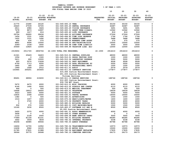|               |                         |                          |                                       |                  | 10                       | 20                       | 30                       | 40             |
|---------------|-------------------------|--------------------------|---------------------------------------|------------------|--------------------------|--------------------------|--------------------------|----------------|
|               |                         |                          |                                       |                  |                          |                          |                          |                |
|               |                         | $21 - 22$ $21 - 22$      |                                       |                  | $22 - 23$                | $22 - 23$                | $22 - 23$                | $22 - 23$      |
| $19 - 20$     | $20 - 21$               |                          | ADOPTED BUDGETED                      | <b>REQUESTED</b> | <b>INITIAL</b>           | <b>PROPOSED</b>          | <b>APPROVED</b>          | <b>ADOPTED</b> |
| <b>ACTUAL</b> | <b>ACTUAL</b>           | <b>BUDGET FTE</b>        |                                       | <b>FTE</b>       | <b>BUDGET</b>            | <b>BUDGET</b>            | <b>BUDGET</b>            | <b>BUDGET</b>  |
| 21770         | 23280                   | 24120                    | 021-045-493.15 VEBA                   |                  | 30150                    | 30150                    | 30150                    | 0              |
| 26420         | 27539                   | 33725                    | 021-045-493.20 DENTAL INSURANCE       |                  | 32487                    | 32487                    | 32487                    | 0              |
| 2811          | 2986                    | 3426                     | 021-045-493.25 VISION INSURANCE       |                  | 3491                     | 3491                     | 3491                     | 0              |
| 7678          | 8873                    | 12897                    | 021-045-493.31 SHORT TERM DISABIL     |                  | 12942                    | 12942                    | 12942                    | 0              |
| 689           | 1617                    | 816                      | 021-045-493.40 LIFE INSURANCE         |                  | 816                      | 816                      | 816                      | 0              |
| 29754         | 26900                   | 28636                    | 021-045-494.00 ACCIDENT INSURANCE     |                  | 27526                    | 27526                    | 27526                    | 0              |
| 1454          | 1531                    | 1690                     | 021-045-494.80 TIME LOSS RESERVE      |                  | 1744                     | 1744                     | 1744                     | 0              |
| 1422          | 1531                    | 1690                     | 021-045-495.00 UNEMPLOYMENT           |                  | 3488                     | 3488                     | 3488                     | 0              |
| 464           | 434                     | 575                      | 021-045-496.00 WORKERS COMP ASSES     |                  | 575                      | 575                      | 575                      | 0              |
| 9891          | 9594                    | 15000                    | 021-045-499.00 FET/VACATION/SICK      |                  | 15000                    | 15000                    | 15000                    | 0              |
| $2285 -$      | 1036-                   | 3000                     | 021-045-499.98 COMP TIME LIABILIT     |                  | 3000                     | 3000                     | 3000                     | 0              |
| 20649         | 12825                   | 12000                    | 021-045-499.99 VACATION LIAB. ADJ     |                  | 12000                    | 12000                    | 12000                    | 0              |
|               |                         |                          |                                       |                  |                          |                          |                          |                |
| 2319654       | 2511720                 | 2806764                  | 22.1000 TOTAL FOR PERSONNEL           | 22.1000          | 2914210                  | 2914210                  | 2914210                  | 0              |
| 21321         | 25429                   | 34403                    | 021-045-510.01 CENTRAL SUPPLIES       |                  | 48000                    | 48000                    | 48000                    | 0              |
| 1054          | 0                       | 1500                     | 021-045-512.01 DRUGS TESTING SUPP     |                  | 1000                     | 1000                     | 1000                     | 0              |
| 5411          | 690                     | 10000                    | 021-045-512.04 LABORATORY EXPENSE     |                  | 5000                     | 5000                     | 5000                     | 0              |
| 920           | 5570                    | 13228                    | 021-045-543.01 DEPT EQUIPMENT         |                  | 9528                     | 9528                     | 9528                     | 0              |
| 4759          | 1713                    | 6200                     | 021-045-583.02 DATA PROCESSING SU     |                  | 5500                     | 5500                     | 5500                     | 0              |
| 1865          | 365                     | 1200                     | 021-045-610.01 PROFESSIONAL SERVI     |                  | 1200                     | 1200                     | 1200                     | 0              |
| 1969          | 1928                    | 2012                     | 021-045-611.01 AUDIT                  |                  | 2079                     | 2079                     | 2079                     | 0              |
| 153945        | 205201                  | 203405                   | 021-045-611.02 CONTRACT SERVICES      |                  | 177877                   | 177877                   | 177877                   | 0              |
|               |                         |                          | \$15,444 Justice Reinvestment Grant;  |                  |                          |                          |                          |                |
|               |                         |                          | \$51,633 Justice Reinvestment Grant - |                  |                          |                          |                          |                |
|               |                         |                          | Victims Services                      |                  |                          |                          |                          |                |
| 89491         | 68904                   | 219200                   | 021-045-611.13 PAROLE SERVICES        |                  | 188746                   | 188746                   | 188746                   | 0              |
|               |                         |                          | \$12,600 Justice Reinvestment Grant;  |                  |                          |                          |                          |                |
|               |                         |                          | \$30,708 M57 Grant                    |                  |                          |                          |                          |                |
| 5472          | 6475                    | 6000                     | 021-045-612.01 MISC TRAINING          |                  | 6000                     | 6000                     | 6000                     | 0              |
| 4146          | 1490                    | 5000                     | 021-045-612.02 SCHOOLS AND CONFER     |                  | 6110                     | 6110                     | 6110                     | 0              |
| 466           | $\mathbf{o}$            | 500                      | 021-045-613.01 MEDICAL TREATMENT      |                  | 500                      | 500                      | 500                      | 0              |
| 16468         | 18912                   | 24400                    | 021-045-620.01 TELEPHONE              |                  | 18639                    | 18639                    | 18639                    | 0              |
| 3023          | 3055                    | 5000                     | 021-045-621.01 POSTAGE                |                  | 5000                     | 5000                     | 5000                     | 0              |
| 12835         | 2308                    | 12000                    | 021-045-630.01 TRAVEL EXPENSE         |                  | 14000                    | 14000                    | 14000                    | 0              |
| 1382          | $\mathbf{o}$            | 500                      | 021-045-640.01 ADVERTISING            |                  | 1000                     | 1000                     | 1000                     | 0              |
| 1016          | 1207                    | 1600                     | 021-045-670.02 HEAT/LIGHTS/WATER      |                  | 1600                     | 1600                     | 1600                     | 0              |
| $\mathbf{o}$  | 3720                    | 4000                     | 021-045-670.04 PROPERTY TAXES         |                  | 4000                     | 4000                     | 4000                     | 0              |
| 0             | $\overline{\mathbf{0}}$ | 5000                     | 021-045-680.01 BUILDING REPAIRS       |                  | 5000                     | 5000                     | 5000                     | 0              |
| 932           | 570                     | 1500                     | 021-045-683.01 COPY MACHINES/MAIN     |                  | 1500                     | 1500                     | 1500                     | 0              |
| 10160         | 3230                    | 8500                     | 021-045-683.07 SOFTWARE LIC AND M     |                  | 8500                     | 8500                     | 8500                     | $\mathbf 0$    |
|               |                         |                          | \$5,000 Justice Reinvestment Grant    |                  |                          |                          |                          |                |
| 2455          | 2375                    | 4000                     | 021-045-691.01 ASSOC MEMBERSHIPS      |                  | 4000                     | 4000                     | 4000                     | 0              |
| 3658          | $\overline{\mathbf{0}}$ | $\overline{\phantom{0}}$ | 021-045-699.01 OTHER EXPENSE          |                  | $\overline{\phantom{0}}$ | $\overline{\phantom{0}}$ | $\overline{\phantom{0}}$ | 0              |
| 1133          | 2128                    | 2000                     | 021-045-699.08 BANK SERVICE CHARG     |                  | 3000                     | 3000                     | 3000                     | 0              |
| 77689         | 81166                   | 81231                    | 021-045-780.01 BUILDING RESERVE       |                  | 84285                    | 84285                    | 84285                    | 0              |
| 3442          | 3509                    | 3839                     | 021-045-780.02 INTERNAL PROPERTY      |                  | 6338                     | 6338                     | 6338                     | 0              |
| 65258         | 64985                   | 69046                    | 021-045-780.03 ADMIN OVERHEAD         |                  | 80788                    | 80788                    | 80788                    | 0              |
| 16606         | 12755                   | 12952                    | 021-045-780.04 TELECOMMUNICATIONS     |                  | 12573                    | 12573                    | 12573                    | 0              |
| 12408         | 9582                    | 16125                    | 021-045-780.05 MOTOR POOL             |                  | 15000                    | 15000                    | 15000                    | 0              |
| 21785         | 37831                   | 21988                    | 021-045-780.06 EQUIPMENT REPLACEM     |                  | 17835                    | 17835                    | 17835                    | 0              |
| 36064         | 30775                   | 26068                    | 021-045-780.15 COMPUTER SERVICES      |                  | 26173                    | 26173                    | 26173                    | 0              |
|               |                         |                          |                                       |                  |                          |                          |                          |                |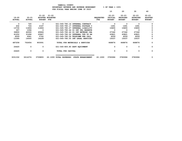|                        |                            |                            |                                             |                                   |                                | 10                                    | 20                                            | 30                                            | 40                                           |
|------------------------|----------------------------|----------------------------|---------------------------------------------|-----------------------------------|--------------------------------|---------------------------------------|-----------------------------------------------|-----------------------------------------------|----------------------------------------------|
| 19-20<br><b>ACTUAL</b> | $20 - 21$<br><b>ACTUAL</b> | $21 - 22$<br><b>BUDGET</b> | $21 - 22$<br>ADOPTED BUDGETED<br><b>FTE</b> |                                   | <b>REQUESTED</b><br><b>FTE</b> | $22 - 23$<br>INITIAL<br><b>BUDGET</b> | $22 - 23$<br><b>PROPOSED</b><br><b>BUDGET</b> | $22 - 23$<br><b>APPROVED</b><br><b>BUDGET</b> | $22 - 23$<br><b>ADOPTED</b><br><b>BUDGET</b> |
|                        |                            |                            |                                             |                                   |                                |                                       |                                               |                                               |                                              |
| 0                      | 720                        | $\Omega$                   |                                             | 021-045-780.16 INTERNAL CONTRACT  |                                | $^{\circ}$                            | $^{\circ}$                                    | $\Omega$                                      |                                              |
| 632                    | 724                        | 2167                       |                                             | 021-045-780.17 INTERNAL POSTAGE C |                                | 1491                                  | 1491                                          | 1491                                          |                                              |
| 13730                  | 11806                      | 11806                      |                                             | 021-045-780.27 INTERNAL LIABILITY |                                | 15855                                 | 15855                                         | 15855                                         |                                              |
| 307                    | 1094                       | $\Omega$                   |                                             | 021-045-780.44 CO INT PEL RESERVE |                                | $^{\circ}$                            | $\Omega$                                      | $\Omega$                                      | 0                                            |
| 36800                  | 42000                      | 45864                      |                                             | 021-045-780.46 CO INT NETWORK CHA |                                | 27342                                 | 27342                                         | 27342                                         | 0                                            |
| 41252                  | 31496                      | 20867                      |                                             | 021-045-780.52 INTERNAL TFR TO HH |                                | 43821                                 | 43821                                         | 43821                                         | 0                                            |
| 4009                   | 4941                       | 5762                       |                                             | 021-045-780.54 TELECOMM PER CALL  |                                | 4559                                  | 4559                                          | 4559                                          | 0                                            |
| 13395                  | 14000                      | 14228                      |                                             | 021-045-780.55 INT LEGAL SERVICES |                                | 15037                                 | 15037                                         | 15037                                         | 0                                            |
| 687258                 | 702654                     | 903091                     |                                             | TOTAL FOR MATERIALS & SERVICES    |                                | 868876                                | 868876                                        | 868876                                        | 0                                            |
| 24420                  | $\mathbf{o}$               | $\mathbf{0}$               |                                             | 021-045-800.80 DEPT EQUIPMENT     |                                | $\mathbf 0$                           | $\mathbf 0$                                   | 0                                             | 0                                            |
| 24420                  | 0                          | 0                          | TOTAL FOR CAPITAL                           |                                   |                                | 0                                     | 0                                             | 0                                             | 0                                            |
| 3031332                | 3214374                    | 3709855                    | 22.1000 TOTAL EXPENSES                      | STATE ENHANCEMENT                 | 22.1000                        | 3783086                               | 3783086                                       | 3783086                                       | 0                                            |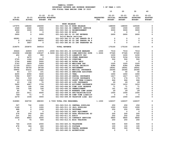| YAMHILL COUNTY                          |                       |
|-----------------------------------------|-----------------------|
| BUDGETARY REVENUE AND EXPENSE WORKSHEET | $8$ OF YEAR = 100 $8$ |
| FOR FISCAL YEAR ENDING JUNE 30 2023     |                       |

|               |               |                   | CALL IEAR ENDING OUNE JU ZUZJ                         |                  | 10                   | 20                           | 30                           | 40                          |
|---------------|---------------|-------------------|-------------------------------------------------------|------------------|----------------------|------------------------------|------------------------------|-----------------------------|
| $19 - 20$     | $20 - 21$     | $21 - 22$         | $21 - 22$<br><b>ADOPTED BUDGETED</b>                  | <b>REQUESTED</b> | $22 - 23$<br>INITIAL | $22 - 23$<br><b>PROPOSED</b> | $22 - 23$<br><b>APPROVED</b> | $22 - 23$<br><b>ADOPTED</b> |
| <b>ACTUAL</b> | <b>ACTUAL</b> | <b>BUDGET FTE</b> |                                                       | FTE              | <b>BUDGET</b>        | <b>BUDGET</b>                | <b>BUDGET</b>                | <b>BUDGET</b>               |
|               |               |                   | <b>WORK RELEASE</b>                                   |                  |                      |                              |                              |                             |
| 137975        | 148260        | 194000            | 021-063-342.03 WORK RELEASE                           |                  | 168000               | 168000                       | 125045                       | 0                           |
| 2569          | 2640          | 2500              | 021-063-342.36 COMMUNITY SERVICE                      |                  | 1500                 | 1500                         | 1500                         | 0                           |
| 6000          | 3000          | 3000              | 021-063-362.12 REIMBURSEMENT                          |                  | 3000                 | 3000                         | 3000                         | 0                           |
| 250           | 0             | 0                 | 021-063-362.99 MISC                                   |                  | 0                    | 0                            | 0                            | 0                           |
| 2600          | 0             | 2600              | 021-063-380.01 CO INT REVENUE<br>Solid Waste services |                  | 2600                 | 2600                         | 2600                         | 0                           |
| 69281         | 0             | 50546             | 021-063-380.03 CO INT TRNSFR FR F                     |                  | 0                    | 0                            | 0                            | 0                           |
| 0             | 93323         | 96870             | 021-063-380.60 CO INT TRNSFR FR P                     |                  | 0                    | 0                            | 0                            | 0                           |
| 0             | 3647          | 0                 | 021-063-380.80 CO INT TRANSFER FR                     |                  | 0                    | 0                            | 0                            | 0                           |
| 218675        | 250870        | 349516            | <b>TOTAL REVENUE</b>                                  |                  | 175100               | 175100                       | 132145                       | 0                           |
| 30624         | 22809         | 13576             | .2000 021-063-401.34 DIVISION MANAGER                 | .1000            | 7016                 | 7016                         | 7016                         | 0                           |
| 153008        | 158388        | 139187            | 2.5000 021-063-403.25 COMM SERVICES SUPE              | 1.0000           | 57345                | 57345                        | 57345                        | 0                           |
| 450           | 600           | 900               | 021-063-475.00 LONGEVITY PAY                          |                  | 1200                 | 1200                         | 1200                         | 0                           |
| 0             | 4470          | $\mathbf 0$       | 021-063-479.00 OTHER EARNINGS                         |                  | 3154                 | 3154                         | 3154                         | 0                           |
| 2725          | 1266          | 3000              | 021-063-481.00 OVERTIME                               |                  | 500                  | 500                          | 500                          | 0                           |
| 2704          | 4482          | 5000              | 021-063-482.00 EXTRA HELP                             |                  | $\mathbf 0$          | 0                            | $\mathbf 0$                  | 0                           |
| 2743          | 2809          | 2409              | 021-063-490.00 MEDICARE TAX                           |                  | 1025                 | 1025                         | 1025                         | 0                           |
| 11729         | 12011         | 10302             | 021-063-491.00 SOCIAL SECURITY                        |                  | 4384                 | 4384                         | 4384                         | 0                           |
| 35766         | 36754         | 36728             | 021-063-492.00 RETIREMENT                             |                  | 18541                | 18541                        | 18541                        | 0                           |
| 59905         | 63231         | 56060             | 021-063-493.10 MEDICAL INSURANCE                      |                  | 24365                | 24365                        | 24365                        | 0                           |
| 83            | 117           | 101               | 021-063-493.12 EMPLOYEE ASSISTANC                     |                  | 40                   | 40                           | 40                           | 0                           |
| 4200          | 4050          | 3240              | 021-063-493.15 VEBA                                   |                  | 1650                 | 1650                         | 1650                         | 0                           |
| 5394          | 5057          | 4120              | 021-063-493.20 DENTAL INSURANCE                       |                  | 1617                 | 1617                         | 1617                         | 0                           |
| 542           | 519           | 419               | 021-063-493.25 VISION INSURANCE                       |                  | 174                  | 174                          | 174                          | 0                           |
| 1110          | 1150          | 1580              | 021-063-493.31 SHORT TERM DISABIL                     |                  | 644                  | 644                          | 644                          | 0                           |
| 63            | 136           | 70                | 021-063-493.40 LIFE INSURANCE                         |                  | 29                   | 29                           | 29                           | 0                           |
| 5622          | 4447          | 3706              | 021-063-494.00 ACCIDENT INSURANCE                     |                  | 1612                 | 1612                         | 1612                         | 0                           |
| 194           | 195           | 166               | 021-063-494.80 TIME LOSS RESERVE                      |                  | 71                   | 71                           | 71                           | 0                           |
| 190           | 195           | 166               | 021-063-495.00 UNEMPLOYMENT                           |                  | 141                  | 141                          | 141                          | 0                           |
| 80            | 70            | 70                | 021-063-496.00 WORKERS COMP ASSES                     |                  | 29                   | 29                           | 29                           | 0                           |
| 333           | 3011          | 4500              | 021-063-499.00 FET/VACATION/SICK                      |                  | 1500                 | 1500                         | 1500                         | 0                           |
| $764 -$       | $71 -$        | 0                 | 021-063-499.98 COMP TIME LIABILIT                     |                  | 0                    | 0                            | 0                            | 0                           |
| 2279          | 1034          | 3000              | 021-063-499.99 VACATION LIAB. ADJ                     |                  | 1000                 | 1000                         | 1000                         | 0                           |
| 318980        | 326730        | 288300            | 2.7000 TOTAL FOR PERSONNEL                            | 1.1000           | 126037               | 126037                       | 126037                       | 0                           |
| 507           | 732           | 1000              | 021-063-510.01 CENTRAL SUPPLIES                       |                  | 250                  | 250                          | 250                          | 0                           |
| 1149          | 0             | 1000              | 021-063-511.10 JAIL SUPPLIES                          |                  | 1000                 | 1000                         | 1000                         | 0                           |
| 688           | 0             | 1000              | 021-063-516.02 UNIFORMS                               |                  | 250                  | 250                          | 250                          | 0                           |
| 60            | 0             | 0                 | 021-063-543.01 DEPT EQUIPMENT                         |                  | 0                    | 0                            | $\mathbf 0$                  | 0                           |
| 276           | 250           | 500               | 021-063-583.02 DATA PROCESSING SU                     |                  | 200                  | 200                          | 200                          | 0                           |
| 231           | 241           | 251               | 021-063-611.01 AUDIT                                  |                  | 252                  | 252                          | 252                          | 0                           |
| 3324          | 4843          | 6000              | 021-063-611.02 CONTRACT SERVICES                      |                  | 5800                 | 5800                         | 5800                         | 0                           |
| 0             | 75            | 500               | 021-063-612.01 MISC TRAINING                          |                  | 250                  | 250                          | 250                          | 0                           |
| 746           | 1535          | 2000              | 021-063-620.01 TELEPHONE                              |                  | 500                  | 500                          | 500                          | 0                           |
| 478           | 364           | 600               | 021-063-621.01 POSTAGE                                |                  | 100                  | 100                          | 100                          | 0                           |
| 12            | 0             | 750               | 021-063-630.01 TRAVEL EXPENSE                         |                  | 300                  | 300                          | 300                          | 0                           |
| 0             | 322           | 200               | 021-063-640.01 ADVERTISING                            |                  | $\mathbf 0$          | 0                            | 0                            | 0                           |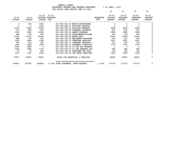|                        |                            |                                                   | FUR FISCAL IEAR ENDING JUNE JU ZUZJ |                         | 10                                    | 20                                            | 30                                            | 40                                           |
|------------------------|----------------------------|---------------------------------------------------|-------------------------------------|-------------------------|---------------------------------------|-----------------------------------------------|-----------------------------------------------|----------------------------------------------|
| 19-20<br><b>ACTUAL</b> | $20 - 21$<br><b>ACTUAL</b> | 21-22<br>ADOPTED BUDGETED<br>FTE<br><b>BUDGET</b> | $21 - 22$                           | <b>REQUESTED</b><br>FTE | $22 - 23$<br>INITIAL<br><b>BUDGET</b> | $22 - 23$<br><b>PROPOSED</b><br><b>BUDGET</b> | $22 - 23$<br><b>APPROVED</b><br><b>BUDGET</b> | $22 - 23$<br><b>ADOPTED</b><br><b>BUDGET</b> |
| 0                      | 355                        | 1000                                              | 021-063-670.02 HEAT/LIGHTS/WATER    |                         |                                       | 0                                             |                                               |                                              |
| $\Omega$               | 0                          | 1000                                              | 021-063-680.01 BUILDING REPAIRS     |                         |                                       | 0                                             | 0                                             | 0                                            |
| 11187                  | 8890                       | 11308                                             | 021-063-780.01 BUILDING RESERVE     |                         | 8028                                  | 8028                                          | 8028                                          |                                              |
| 375                    | 382                        | 418                                               | 021-063-780.02 INTERNAL PROPERTY    |                         | 691                                   | 691                                           | 691                                           |                                              |
| 9001                   | 8462                       | 10168                                             | 021-063-780.03 ADMIN OVERHEAD       |                         | 9903                                  | 9903                                          | 9903                                          |                                              |
| 986                    | 792                        | 785                                               | 021-063-780.04 TELECOMMUNICATIONS   |                         | 393                                   | 393                                           | 393                                           |                                              |
| 15196                  | 21110                      | 24000                                             | 021-063-780.05 MOTOR POOL           |                         | 14300                                 | 14300                                         | 14300                                         |                                              |
| 688                    | 742                        | 742                                               | 021-063-780.06 EQUIPMENT REPLACEM   |                         | 615                                   | 615                                           | 615                                           |                                              |
| 3543                   | 2884                       | 3708                                              | 021-063-780.15 COMPUTER SERVICES    |                         | 2547                                  | 2547                                          | 2547                                          |                                              |
| 100                    | 114                        | 330                                               | 021-063-780.17 INTERNAL POSTAGE C   |                         | 100                                   | 100                                           | 100                                           |                                              |
| 1495                   | 1286                       | 1286                                              | 021-063-780.27 INTERNAL LIABILITY   |                         | 1727                                  | 1727                                          | 1727                                          |                                              |
| 4183                   | 3990                       | 0                                                 | 021-063-780.44 CO INT PEL RESERVE   |                         | 0                                     | 0                                             | 0                                             | 0                                            |
| 1600                   | 1680                       | 1764                                              | 021-063-780.46 CO INT NETWORK CHA   |                         | 882                                   | 882                                           | 882                                           |                                              |
| 40                     | 36                         | 349                                               | 021-063-780.54 TELECOMM PER CALL    |                         | 142                                   | 142                                           | 142                                           |                                              |
| 1972                   | 1567                       | 2024                                              | 021-063-780.55 INT LEGAL SERVICES   |                         | 1463                                  | 1463                                          | 1463                                          | 0                                            |
|                        |                            |                                                   |                                     |                         |                                       |                                               |                                               |                                              |

| 57837  | 60652  | 72683  |                       | TOTAL FOR MATERIALS & SERVICES |       | 49693  | 49693  | 49693  |  |
|--------|--------|--------|-----------------------|--------------------------------|-------|--------|--------|--------|--|
|        |        |        |                       |                                |       |        |        |        |  |
| 376817 | 387382 | 360983 | 2.7000 TOTAL EXPENSES | <b>WORK RELEASE</b>            | .1000 | 175730 | 175730 | 175730 |  |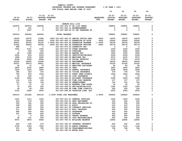|               |               |                   | FUR FISCAL IEAR ENDING OUNE 30 ZUZJ     |                  | 10             | 20              | 30              | 40             |
|---------------|---------------|-------------------|-----------------------------------------|------------------|----------------|-----------------|-----------------|----------------|
|               |               |                   |                                         |                  |                |                 |                 |                |
|               |               | $21 - 22$         | $21 - 22$                               |                  | $22 - 23$      | $22 - 23$       | $22 - 23$       | $22 - 23$      |
| $19 - 20$     | $20 - 21$     |                   | ADOPTED BUDGETED                        | <b>REQUESTED</b> | <b>INITIAL</b> | <b>PROPOSED</b> | <b>APPROVED</b> | <b>ADOPTED</b> |
| <b>ACTUAL</b> | <b>ACTUAL</b> | <b>BUDGET FTE</b> |                                         | FTE              | <b>BUDGET</b>  | <b>BUDGET</b>   | <b>BUDGET</b>   | <b>BUDGET</b>  |
|               |               |                   |                                         |                  |                |                 |                 |                |
|               |               |                   | SENATE BILL 1145                        |                  |                |                 |                 |                |
| 325976        | 325976        | 294594            | 021-067-334.67 SB 1145 GRANT            |                  | 338891         | 338891          | 338891          | 0              |
| 0             | 191           | 0                 | 021-067-362.12 REIMBURSEMENT            |                  | 0              | 0               | 0               | 0              |
| 0             | 2397          | 0                 | 021-067-380.80 CO INT TRANSFER FR       |                  | 0              | 0               | 0               | 0              |
|               |               |                   |                                         |                  |                |                 |                 |                |
| 325976        | 328564        | 294594            | <b>TOTAL REVENUE</b>                    |                  | 338891         | 338891          | 338891          | 0              |
|               |               |                   |                                         |                  |                |                 |                 |                |
| 18263         | 20070         | 13386             | .3000 021-067-402.03 SENIOR OFFICE SPEC | .3000            | 14479          | 14479           | 14479           | 0              |
| 12183         | 18362         | 20393             | .5000 021-067-402.10 PROBATION OF AIDE  | .5000            | 22065          | 22065           | 22065           | 0              |
| 45451         | 49763         | 55102             | 1.0000 021-067-403.34 PROBATION PROGRAM | 1.0000           | 59378          | 59378           | 59378           | 0              |
| 51542         | 40823         | 44359             | .6000 021-067-403.36 PROBATION OFFICER  | .6000            | 46179          | 46179           | 46179           | 0              |
| 898           | 0             | 0                 | 021-067-475.00 LONGEVITY PAY            |                  | 0              | 0               | 0               | $\mathbf 0$    |
| 1005          | 2331          | 1000              | 021-067-479.00 OTHER EARNINGS           |                  | 1093           | 1093            | 1093            | 0              |
| 7             | 406           | 500               | 021-067-481.00 OVERTIME                 |                  | 3402           | 3402            | 3402            | 0              |
| 90            | 1392          | 1650              | 021-067-484.00 BEEPER PAY               |                  | 1950           | 1950            | 1950            | 0              |
| 2505          | 816           | 2218              | 021-067-485.00 CERTIFICATION/EDUC       |                  | 2309           | 2309            | 2309            | $\mathbf 0$    |
| 1908          | 1933          | 2082              | 021-067-490.00 MEDICARE TAX             |                  | 2275           | 2275            | 2275            | 0              |
| 8158          | 8269          | 8904              | 021-067-491.00 SOCIAL SECURITY          |                  | 9725           | 9725            | 9725            | $\mathbf 0$    |
| 40534         | 24305         | 31408             | 021-067-492.00 RETIREMENT               |                  | 34418          | 34418           | 34418           | 0              |
| 40337         | 39373         | 49831             | 021-067-493.10 MEDICAL INSURANCE        |                  | 53160          | 53160           | 53160           | $\mathbf 0$    |
| 64            | 72            | 79                | 021-067-493.12 EMPLOYEE ASSISTANC       |                  | 80             | 80              | 80              | $\mathbf 0$    |
| 2830          | 2520          | 2880              | 021-067-493.15 VEBA                     |                  | 3600           | 3600            | 3600            | $\mathbf 0$    |
| 3635          | 3145          | 3662              | 021-067-493.20 DENTAL INSURANCE         |                  | 3528           | 3528            | 3528            | $\mathbf 0$    |
| 365           | 323           | 372               | 021-067-493.25 VISION INSURANCE         |                  | 379            | 379             | 379             | $\mathbf 0$    |
| 780           | 823           | 1404              | 021-067-493.31 SHORT TERM DISABIL       |                  | 1404           | 1404            | 1404            | $\mathbf 0$    |
| 64            | 140           | 73                | 021-067-493.40 LIFE INSURANCE           |                  | 73             | 73              | 73              | $\mathbf 0$    |
| 4124          | 3360          | 2780              | 021-067-494.00 ACCIDENT INSURANCE       |                  | 2592           | 2592            | 2592            | 0              |
| 134           | 134           | 144               | 021-067-494.80 TIME LOSS RESERVE        |                  | 157            | 157             | 157             | $\mathbf 0$    |
| 131           | 134           | 144               | 021-067-495.00 UNEMPLOYMENT             |                  | 314            | 314             | 314             | $\mathbf 0$    |
| 57            | -53           | 63                | 021-067-496.00 WORKERS COMP ASSES       |                  | 62             | 62              | 62              | $\mathbf 0$    |
| 75            | 203           | 500               | 021-067-499.00 FET/VACATION/SICK        |                  | 1000           | 1000            | 1000            | 0              |
| 28            | $32 -$        | 200               | 021-067-499.98 COMP TIME LIABILIT       |                  | 200            | 200             | 200             | 0              |
| 5142          | 2966          | 2000              | 021-067-499.99 VACATION LIAB. ADJ       |                  | 2000           | 2000            | 2000            | 0              |
|               |               |                   |                                         |                  |                |                 |                 |                |
| 240310        | 221684        | 245134            | 2.4000 TOTAL FOR PERSONNEL              | 2.4000           | 265822         | 265822          | 265822          | 0              |
| 1001          | 1313          | 1000              | 021-067-510.01 CENTRAL SUPPLIES         |                  | 1000           | 1000            | 1000            | $\mathbf 0$    |
| 433           | 279           | 500               | 021-067-543.01 DEPT EQUIPMENT           |                  | 500            | 500             | 500             | 0              |
| 350           | 325           | 500               | 021-067-583.02 DATA PROCESSING SU       |                  | 500            | 500             | 500             | 0              |
| 208           | 222           | 232               | 021-067-611.01 AUDIT                    |                  | 210            | 210             | 210             | $\mathbf 0$    |
| 144           | 305           | 250               | 021-067-611.02 CONTRACT SERVICES        |                  | 250            | 250             | 250             | 0              |
| 211           | 480           | 500               | 021-067-612.01 MISC TRAINING            |                  | 500            | 500             | 500             | 0              |
| 908           | 530           | 650               | 021-067-620.01 TELEPHONE                |                  | 650            | 650             | 650             | 0              |
| 397           | 334           | 400               | 021-067-621.01 POSTAGE                  |                  | 400            | 400             | 400             | 0              |
| 0             | 0             | 800               | 021-067-630.01 TRAVEL EXPENSE           |                  | 800            | 800             | 800             | 0              |
| 36            | 101           | 250               | 021-067-683.01 COPY MACHINES/MAIN       |                  | 250            | 250             | 250             | 0              |
| 9573          | 9035          | 8628              | 021-067-780.01 BUILDING RESERVE         |                  | 12845          | 12845           | 12845           | 0              |
|               |               |                   |                                         |                  |                |                 |                 |                |
| 246           | 250           | 274               | 021-067-780.02 INTERNAL PROPERTY        |                  | 452            | 452             | 452             | 0              |
| 5784          | 5766          | 7562              | 021-067-780.03 ADMIN OVERHEAD           |                  | 7144           | 7144            | 7144            | 0              |
| 974           | 768           | 785               | 021-067-780.04 TELECOMMUNICATIONS       |                  | 786            | 786             | 786             | 0              |
| 324           | 342           | 0                 | 021-067-780.05 MOTOR POOL               |                  | 0              | 0               | 0               | 0              |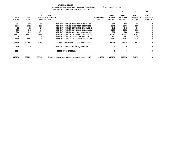|  | $8$ OF YEAR = 1008 |  |  |
|--|--------------------|--|--|
|  |                    |  |  |

|               |                |                |                 |                               |                                   |                  | 10            | 20              | 30              | 40             |
|---------------|----------------|----------------|-----------------|-------------------------------|-----------------------------------|------------------|---------------|-----------------|-----------------|----------------|
|               |                | $21 - 22$      | $21 - 22$       |                               |                                   |                  | $22 - 23$     | $22 - 23$       | $22 - 23$       | $22 - 23$      |
| 19-20         | $20 - 21$      | <b>ADOPTED</b> | <b>BUDGETED</b> |                               |                                   | <b>REQUESTED</b> | INITIAL       | <b>PROPOSED</b> | <b>APPROVED</b> | <b>ADOPTED</b> |
| <b>ACTUAL</b> | <b>ACTUAL</b>  | <b>BUDGET</b>  | FTE             |                               |                                   | <b>FTE</b>       | <b>BUDGET</b> | <b>BUDGET</b>   | <b>BUDGET</b>   | <b>BUDGET</b>  |
| 344           | 371            | 371            |                 |                               | 021-067-780.06 EQUIPMENT REPLACEM |                  | 615           | 615             | 615             | 0              |
| 2946          | 2653           | 2318           |                 |                               | 021-067-780.15 COMPUTER SERVICES  |                  | 2379          | 2379            | 2379            |                |
| 83            | 95             | 206            |                 |                               | 021-067-780.17 INTERNAL POSTAGE C |                  | 145           | 145             | 145             | 0              |
| 983           | 845            | 845            |                 |                               | 021-067-780.27 INTERNAL LIABILITY |                  | 1135          | 1135            | 1135            | $\Omega$       |
| 800           | 840            | 1764           |                 |                               | 021-067-780.46 CO INT NETWORK CHA |                  | 882           | 882             | 882             | 0              |
| 74255         | 74255          | 62602          |                 |                               | 021-067-780.52 INTERNAL TFR TO HH |                  | 43821         | 43821           | 43821           | 0              |
| 50            | $\overline{2}$ | 349            |                 |                               | 021-067-780.54 TELECOMM PER CALL  |                  | 285           | 285             | 285             | 0              |
| 1640          | 1441           | 1265           |                 |                               | 021-067-780.55 INT LEGAL SERVICES |                  | 1367          | 1367            | 1367            | 0              |
| 101690        | 100552         | 92051          |                 |                               | TOTAL FOR MATERIALS & SERVICES    |                  | 76916         | 76916           | 76916           | 0              |
| 6196          | 0              | 0              |                 | 021-067-800.80 DEPT EQUIPMENT |                                   |                  | 0             | 0               | 0               | 0              |
| 6196          | 0              | 0              |                 | TOTAL FOR CAPITAL             |                                   |                  | 0             | 0               | 0               | 0              |
|               |                |                |                 |                               |                                   |                  |               |                 |                 |                |
| 348196        | 322236         | 337185         |                 | 2.4000 TOTAL EXPENSES         | SENATE BILL 1145                  | 2.4000           | 342738        | 342738          | 342738          | 0              |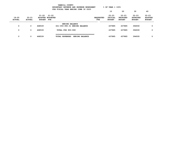|                        |                            |                                            | YAMHILL COUNTY        | BUDGETARY REVENUE AND EXPENSE WORKSHEET<br>FOR FISCAL YEAR ENDING JUNE 30 2023 |                          | $8$ OF YEAR = 100 $8$                 |                                               |                                               |                                              |
|------------------------|----------------------------|--------------------------------------------|-----------------------|--------------------------------------------------------------------------------|--------------------------|---------------------------------------|-----------------------------------------------|-----------------------------------------------|----------------------------------------------|
|                        |                            |                                            |                       |                                                                                |                          | 10                                    | 20                                            | 30                                            | 40                                           |
| 19-20<br><b>ACTUAL</b> | $20 - 21$<br><b>ACTUAL</b> | 21-22<br>ADOPTED BUDGETED<br><b>BUDGET</b> | 21-22<br>FTE          |                                                                                | <b>REQUESTED</b><br>FTE. | $22 - 23$<br>INITIAL<br><b>BUDGET</b> | $22 - 23$<br><b>PROPOSED</b><br><b>BUDGET</b> | $22 - 23$<br><b>APPROVED</b><br><b>BUDGET</b> | $22 - 23$<br><b>ADOPTED</b><br><b>BUDGET</b> |
|                        |                            |                                            | <b>ENDING BALANCE</b> |                                                                                |                          |                                       |                                               |                                               |                                              |
| 0                      | 0                          | 468539                                     |                       | 021-093-990.01 ENDING BALANCE                                                  |                          | 437885                                | 437885                                        | 394930                                        | 0                                            |
| 0                      | 0                          | 468539                                     | TOTAL FOR 900-999     |                                                                                |                          | 437885                                | 437885                                        | 394930                                        | $\Omega$                                     |
| 0                      | 0                          | 468539                                     | TOTAL EXPENSES        | <b>ENDING BALANCE</b>                                                          |                          | 437885                                | 437885                                        | 394930                                        | 0                                            |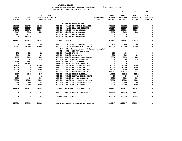| YAMHILL COUNTY                          |                       |
|-----------------------------------------|-----------------------|
| BUDGETARY REVENUE AND EXPENSE WORKSHEET | $8$ OF YEAR = $100\%$ |
| FOR FISCAL YEAR ENDING JUNE 30 2023     |                       |

|               |               |                                            |                                 |                                                                            |                  | 10                          | 20                           | 30                           | 40                          |
|---------------|---------------|--------------------------------------------|---------------------------------|----------------------------------------------------------------------------|------------------|-----------------------------|------------------------------|------------------------------|-----------------------------|
| $19 - 20$     | $20 - 21$     | $21 - 22$<br>$21 - 22$<br>ADOPTED BUDGETED |                                 |                                                                            | <b>REQUESTED</b> | $22 - 23$<br><b>INITIAL</b> | $22 - 23$<br><b>PROPOSED</b> | $22 - 23$<br><b>APPROVED</b> | $22 - 23$<br><b>ADOPTED</b> |
| <b>ACTUAL</b> | <b>ACTUAL</b> | <b>BUDGET FTE</b>                          |                                 |                                                                            | <b>FTE</b>       | <b>BUDGET</b>               | <b>BUDGET</b>                | <b>BUDGET</b>                | <b>BUDGET</b>               |
|               |               |                                            |                                 | ECONOMIC DEVELOPMENT                                                       |                  |                             |                              |                              |                             |
| 443785        | 288728        | 254525                                     |                                 | 026-034-301.01 BEGINNING BALANCE                                           |                  | 503822                      | 503822                       | 503822                       | 0                           |
| 201317        | 201317        | 201317                                     | 026-034-301.46 EDA BEG BALANCE  |                                                                            |                  | 201317                      | 201317                       | 201317                       | 0                           |
| 379655        | 517972        | 300000                                     | 026-034-335.11 VIDEO LOTTERY    |                                                                            |                  | 300000                      | 300000                       | 300000                       | 0                           |
| 6667          | 3512          | 2515                                       | 026-034-361.01 POOL INTEREST    |                                                                            |                  | 2630                        | 2630                         | 2630                         | 0                           |
| 5427          | 4755          | 3531                                       | 026-034-361.03 BOND INTEREST    |                                                                            |                  | 3378                        | 3378                         | 3378                         | 0                           |
| $\mathbf 0$   | 726130        | $\Omega$                                   | 026-034-362.12 REIMBURSEMENT    |                                                                            |                  | 0                           | 0                            | $\Omega$                     | $\Omega$                    |
| 1036851       | 1742414       | 761888                                     | <b>TOTAL REVENUE</b>            |                                                                            |                  | 1011147                     | 1011147                      | 1011147                      | 0                           |
| 0             | 7895          | 500                                        |                                 | 026-034-513.03 PUBLICATIONS & DUE                                          |                  | 500                         | 500                          | 500                          | 0                           |
| 186653        | 219458        | 196808                                     |                                 | 026-034-610.01 PROFESSIONAL SERVI                                          |                  | 200000                      | 200000                       | 400000                       | $\Omega$                    |
|               |               |                                            |                                 | \$40,000 - County share of Bypass Lobbyist<br>$$146,808$ - SEDCOR contract |                  |                             |                              |                              |                             |
| 172           | 339           | 224                                        | 026-034-611.01 AUDIT            |                                                                            |                  | 400                         | 400                          | 400                          | 0                           |
| 211           | 220           | 200                                        | 026-034-620.01 TELEPHONE        |                                                                            |                  | 200                         | 200                          | 200                          | $\Omega$                    |
| 1685          | 2030          | 2030                                       |                                 | 026-034-690.50 CHAMBER MEMBERSHIP                                          |                  | 2030                        | 2030                         | 2030                         | 0                           |
| $\mathbf 0$   | 949           | 8500                                       |                                 | 026-034-691.01 ASSOC MEMBERSHIPS                                           |                  | 8500                        | 8500                         | 8500                         | 0                           |
| 8786          | 8487          | $\mathbf 0$                                | 026-034-699.01 OTHER EXPENSE    |                                                                            |                  | $\mathbf 0$                 | $\mathbf 0$                  | $\mathbf 0$                  | 0                           |
| 0             | 627992        | $\mathbf 0$                                | 026-034-700.27 GRANTS AWARDED   |                                                                            |                  | $\mathbf 0$                 | 0                            | 0                            | 0                           |
| 149874        | 0             | 100000                                     | 026-034-720.48 STRAT INV GRANTS |                                                                            |                  | 50000                       | 50000                        | 50000                        | 0                           |
| 50000         | $\mathbf 0$   | 96000                                      |                                 | 026-034-720.49 STRAT INV SMALL GR                                          |                  | 50000                       | 50000                        | 50000                        | $\Omega$                    |
| 50000         | 0             | 50000                                      |                                 | 026-034-720.50 STRAT INV STARTUP                                           |                  | 25000                       | 25000                        | 25000                        | 0                           |
| 0             | 0             | 201317                                     | 026-034-740.02 REVOLVING LOAN   |                                                                            |                  | 201317                      | 201317                       | 201317                       | 0                           |
| 6487          | 4843          | 9679                                       | 026-034-780.03 ADMIN OVERHEAD   |                                                                            |                  | 19162                       | 19162                        | 19162                        | 0                           |
| 20            | 0             | 20                                         |                                 | 026-034-780.09 MANUAL CHECK CHARG                                          |                  | 20                          | 20                           | 20                           | 0                           |
| 2250          | 50            | 5000                                       | 026-034-780.18 CO INT EXPENSE   |                                                                            |                  | 5000                        | 5000                         | 5000                         | 0                           |
| 70000<br>668  | 70000<br>668  | 70000                                      |                                 | 026-034-780.31 INT VIDEO LTRY FAI<br>026-034-780.55 INT LEGAL SERVICES     |                  | 70000                       | 70000<br>688                 | 70000<br>688                 | 0<br>0                      |
| 20000         | 20000         | 668<br>20000                               | 026-034-780.81 CO INT PARKS     |                                                                            |                  | 688<br>20000                | 20000                        | 20000                        | 0                           |
|               |               |                                            |                                 |                                                                            |                  |                             |                              |                              |                             |
| 546806        | 962931        | 760946                                     |                                 | TOTAL FOR MATERIALS & SERVICES                                             |                  | 652817                      | 652817                       | 852817                       | 0                           |
| 0             | 0             | 942                                        | 026-034-990.01 ENDING BALANCE   |                                                                            |                  | 358330                      | 358330                       | 158330                       | 0                           |
| 0             | 0             | 942                                        | TOTAL FOR 900-999               |                                                                            |                  | 358330                      | 358330                       | 158330                       | 0                           |
| 546806        | 962931        | 761888                                     |                                 | TOTAL EXPENSES ECONOMIC DEVELOPMEN                                         |                  | 1011147                     | 1011147                      | 1011147                      | 0                           |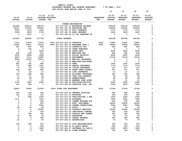|                      |                         |                          |                                      |                                   |                  | 10                      | 20                 | 30                      | 40             |
|----------------------|-------------------------|--------------------------|--------------------------------------|-----------------------------------|------------------|-------------------------|--------------------|-------------------------|----------------|
|                      |                         | $21 - 22$ $21 - 22$      |                                      |                                   |                  | 22-23                   | 22-23              | 22-23                   | $22 - 23$      |
| $19 - 20$            | 20-21                   |                          | ADOPTED BUDGETED                     |                                   | <b>REQUESTED</b> |                         | INITIAL PROPOSED   | <b>APPROVED</b>         | <b>ADOPTED</b> |
| <b>ACTUAL</b>        | <b>ACTUAL</b>           | <b>BUDGET FTE</b>        |                                      |                                   | <b>FTE</b>       | <b>BUDGET</b>           | <b>BUDGET</b>      | <b>BUDGET</b>           | <b>BUDGET</b>  |
|                      |                         |                          |                                      |                                   |                  |                         |                    |                         |                |
|                      |                         |                          |                                      | CORNER RESTORATION                |                  |                         |                    |                         |                |
| 231586               | 258113                  | 268759                   |                                      | 027-037-301.01 BEGINNING BALANCE  |                  | 293129                  | 293129             | 293129                  | 0              |
| 90017                | 119743                  | 100000                   | 027-037-341.06 RECORDING FEE         |                                   |                  | 100000                  | 100000             | 100000                  | 0              |
| 3299                 | 1570                    | 1244                     |                                      | 027-037-361.01 POOL INTEREST      |                  | 1176                    | 1176               | 1176                    | 0              |
| 2659<br>$\mathbf{0}$ | 2059                    | 1735                     | 027-037-361.03 BOND INTEREST         | 027-037-380.80 CO INT TRANSFER FR |                  | 1463<br>$^{\circ}$      | 1463<br>$^{\circ}$ | 1463<br>$\mathbf{0}$    | 0<br>0         |
|                      | 2073                    | $\overline{\phantom{0}}$ |                                      |                                   |                  |                         |                    |                         |                |
| 327561               | 383558                  | 371738                   | <b>TOTAL REVENUE</b>                 |                                   |                  | 395768                  | 395768             | 395768                  | $\mathbf 0$    |
| 3313                 | 10029                   | 27075                    | .3000 027-037-400.05 SURVEYOR        |                                   | .3000            | 27887                   | 27887              | 27887                   | 0              |
| 31955                | 33411                   | 35233                    | .5000 027-037-403.18 ENGINEER TECH 2 |                                   | .5000            | 36290                   | 36290              | 36290                   | 0              |
| 450                  | 600                     | 600                      | 027-037-475.00 LONGEVITY PAY         |                                   |                  | 600                     | 600                | 600                     | 0              |
| $\mathbf 0$          | 746                     | $\overline{\phantom{0}}$ |                                      | 027-037-479.00 OTHER EARNINGS     |                  | $\overline{\mathbf{0}}$ | $\mathbf 0$        | $\overline{\mathbf{0}}$ | 0              |
| $\mathbf{o}$         | $\overline{\mathbf{0}}$ | 5000                     | 027-037-482.00 EXTRA HELP            |                                   |                  | 5000                    | 5000               | 5000                    | 0              |
| 522                  | 678                     | 921                      |                                      | 027-037-490.00 MEDICARE TAX       |                  | 944                     | 944                | 944                     | 0              |
| 2232                 | 2899                    | 3938                     |                                      | 027-037-491.00 SOCIAL SECURITY    |                  | 4035                    | 4035               | 4035                    | 0              |
| 8627                 | 9111                    | 14683                    | 027-037-492.00 RETIREMENT            |                                   |                  | 15124                   | 15124              | 15124                   | 0              |
| 8558                 | 11255                   | 16611                    |                                      | 027-037-493.10 MEDICAL INSURANCE  |                  | $\mathbf 0$             | $\mathbf 0$        | $\mathbf 0$             | 0              |
| 14                   | 17                      | $\overline{\mathbf{0}}$  |                                      | 027-037-493.12 EMPLOYEE ASSISTANC |                  | $\mathbf 0$             | $\mathbf 0$        | 0                       | 0              |
| 600                  | 720                     | 960                      | 027-037-493.15 VEBA                  |                                   |                  | 1200                    | 1200               | 1200                    | 0              |
| 771                  | 898                     | 1221                     |                                      | 027-037-493.20 DENTAL INSURANCE   |                  | 1176                    | 1176               | 1176                    | 0              |
| 77                   | 92                      | 124                      |                                      | 027-037-493.25 VISION INSURANCE   |                  | 127                     | 127                | 127                     | 0              |
| 195                  | 267                     | 953                      |                                      | 027-037-493.31 SHORT TERM DISABIL |                  | 977                     | 977                | 977                     | 0              |
| 9                    | 23                      | 21                       |                                      | 027-037-493.40 LIFE INSURANCE     |                  | 21                      | 21                 | 21                      | 0              |
| 573                  | 608                     | 606                      |                                      | 027-037-494.00 ACCIDENT INSURANCE |                  | 650                     | 650                | 650                     | 0              |
| 37                   | 47                      | 64                       |                                      | 027-037-494.80 TIME LOSS RESERVE  |                  | 66                      | 66                 | 66                      | 0              |
| 36                   | 38                      | 64                       | 027-037-495.00 UNEMPLOYMENT          |                                   |                  | 66                      | 66                 | - 66                    | 0              |
| 11                   | 13                      | 21                       |                                      | 027-037-496.00 WORKERS COMP ASSES |                  | 21                      | 21                 | 21                      | 0              |
| 2702                 | 2208                    | 2000                     |                                      | 027-037-499.00 FET/VACATION/SICK  |                  | 2000                    | 2000               | 2000                    | 0              |
| 141                  | 926                     | $\overline{\phantom{0}}$ |                                      | 027-037-499.99 VACATION LIAB. ADJ |                  | 1000                    | 1000               | 1000                    | 0              |
| 60823                | 74586                   | 110095                   | .8000 TOTAL FOR PERSONNEL            |                                   | .8000            | 97184                   | 97184              | 97184                   | 0              |
| 192                  | 194                     | 240                      |                                      | 027-037-510.01 CENTRAL SUPPLIES   |                  | 250                     | 250                | 250                     | 0              |
| 124                  | 118                     | 150                      | 027-037-511.16 PRINTING              |                                   |                  | 200                     | 200                | 200                     | 0              |
| $\mathbf 0$          | 628                     | 1500                     |                                      | 027-037-513.03 PUBLICATIONS & DUE |                  | 1500                    | 1500               | 1500                    | 0              |
| 1111                 | $\overline{\mathbf{0}}$ | 1813                     | 027-037-513.06 SOFTWARE              |                                   |                  | 1850                    | 1850               | 1850                    | 0              |
| 0                    | $\mathbf 0$             | 200                      |                                      | 027-037-515.10 CORNER RESTORE SUP |                  | 200                     | 200                | 200                     | 0              |
| 0                    | $\mathbf 0$             | 200                      |                                      | 027-037-543.01 DEPT. EQUIPMENT    |                  | 50200                   | 50200              | 50200                   | 0              |
| 0                    | $\mathbf 0$             | 5000                     |                                      | 027-037-610.28 CORNER CORRECTIONS |                  | 5000                    | 5000               | 5000                    | 0              |
| 46                   | 44                      | 46                       | 027-037-611.01 AUDIT                 |                                   |                  | 56                      | 56                 | 56                      | 0              |
| 0                    | 0                       | 45000                    |                                      | 027-037-611.02 CONTRACT SERVICES  |                  | 45000                   | 45000              | 45000                   | 0              |
| $\mathbf 0$          | 8                       | 300                      |                                      | 027-037-611.03 JANITORIAL CONTRAC |                  | 300                     | 300                | 300                     | 0              |
| $\mathbf 0$          | 395                     | 500                      |                                      | 027-037-612.02 SCHOOLS AND CONFER |                  | 500                     | 500                | 500                     | 0              |
| 23                   | 46                      | 50                       | 027-037-620.01 TELEPHONE             |                                   |                  | 50                      | 50                 | 50                      | 0              |
| 0                    | 0                       | 400                      |                                      | 027-037-630.01 TRAVEL EXPENSE     |                  | 400                     | 400                | 400                     | 0              |
| 10                   | 7                       | 50                       | 027-037-640.01 ADVERTISING           |                                   |                  | 70                      | 70                 | 70                      | 0              |
| 190                  | 198                     | 200                      |                                      | 027-037-683.01 COPY MACHINES/MAIN |                  | 200                     | 200                | 200                     | 0              |
| 0                    | 0                       | 200                      |                                      | 027-037-683.02 DP EQUIP MAINT     |                  | 200                     | 200                | 200                     | 0              |
| 0                    | 0                       | 3625                     |                                      | 027-037-683.07 SOFTWARE LIC AND M |                  | 3650                    | 3650               | 3650                    | 0              |
| 0                    | 0                       | 100                      | 027-037-699.01 OTHER EXPENSE         |                                   |                  | 100                     | 100                | 100                     | 0              |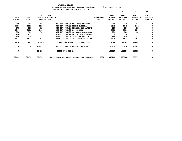|                        |                            |                                      |                         |                                   |                         | 10                                    | 20                                            | 30                                            | 40                                           |
|------------------------|----------------------------|--------------------------------------|-------------------------|-----------------------------------|-------------------------|---------------------------------------|-----------------------------------------------|-----------------------------------------------|----------------------------------------------|
| 19-20<br><b>ACTUAL</b> | $20 - 21$<br><b>ACTUAL</b> | $21 - 22$ $21 - 22$<br><b>BUDGET</b> | ADOPTED BUDGETED<br>FTE |                                   | <b>REQUESTED</b><br>FTE | $22 - 23$<br>INITIAL<br><b>BUDGET</b> | $22 - 23$<br><b>PROPOSED</b><br><b>BUDGET</b> | $22 - 23$<br><b>APPROVED</b><br><b>BUDGET</b> | $22 - 23$<br><b>ADOPTED</b><br><b>BUDGET</b> |
| 719                    | 719                        | 732                                  |                         | 027-037-780.01 BUILDING RESERVE   |                         | 748                                   | 748                                           | 748                                           | <sup>0</sup>                                 |
| 1466                   | 1113                       | 1230                                 |                         | 027-037-780.03 ADMIN OVERHEAD     |                         | 1642                                  | 1642                                          | 1642                                          | 0                                            |
| 378                    | 331                        | 529                                  |                         | 027-037-780.04 TELECOMMUNICATIONS |                         | 550                                   | 550                                           | 550                                           | 0                                            |
| 1944                   | 2052                       | 2685                                 |                         | 027-037-780.05 MOTOR POOL         |                         | 2500                                  | 2500                                          | 2500                                          | 0                                            |
| 850                    | 731                        | 731                                  |                         | 027-037-780.27 INTERNAL LIABILITY |                         | 981                                   | 981                                           | 981                                           | 0                                            |
| $216 -$                | 495-                       | $\mathbf 0$                          |                         | 027-037-780.44 CO INT PEL RESERVE |                         | $\Omega$                              | $\Omega$                                      | $\mathbf 0$                                   | 0                                            |
| 118                    | 128                        | 257                                  |                         | 027-037-780.54 TELECOMM PER CALL  |                         | 228                                   | 228                                           | 228                                           | $\Omega$                                     |
| 1671                   | 1671                       | 1671                                 |                         | 027-037-780.55 INT LEGAL SERVICES |                         | 1679                                  | 1679                                          | 1679                                          | 0                                            |
| 8626                   | 7888                       | 67409                                |                         | TOTAL FOR MATERIALS & SERVICES    |                         | 118054                                | 118054                                        | 118054                                        | 0                                            |
| 0                      | 0                          | 194234                               |                         | 027-037-990.01 ENDING BALANCE     |                         | 180530                                | 180530                                        | 180530                                        | $^{\circ}$                                   |
| 0                      | $\mathbf 0$                | 194234                               | TOTAL FOR 900-999       |                                   |                         | 180530                                | 180530                                        | 180530                                        | $\Omega$                                     |
| 69449                  | 82474                      | 371738                               | .8000 TOTAL EXPENSES    | CORNER RESTORATION                | .8000                   | 395768                                | 395768                                        | 395768                                        | 0                                            |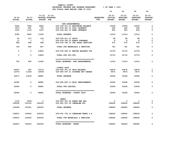| YAMHILL COUNTY                          |                       |
|-----------------------------------------|-----------------------|
| BUDGETARY REVENUE AND EXPENSE WORKSHEET | $8$ OF YEAR = $100\%$ |
| FOR FISCAL YEAR ENDING JUNE 30 2023     |                       |

|                            |                            |                                                    | FOR FISCAL YEAR ENDING JUNE 30 2023               |                         |                                              |                                           |                                               |                                              |
|----------------------------|----------------------------|----------------------------------------------------|---------------------------------------------------|-------------------------|----------------------------------------------|-------------------------------------------|-----------------------------------------------|----------------------------------------------|
|                            |                            |                                                    |                                                   |                         | 10                                           | 20                                        | 30                                            | 40                                           |
| $19 - 20$<br><b>ACTUAL</b> | $20 - 21$<br><b>ACTUAL</b> | $21 - 22$<br>ADOPTED BUDGETED<br><b>BUDGET FTE</b> | $21 - 22$                                         | <b>REQUESTED</b><br>FTE | $22 - 23$<br><b>INITIAL</b><br><b>BUDGET</b> | 22-23<br><b>PROPOSED</b><br><b>BUDGET</b> | $22 - 23$<br><b>APPROVED</b><br><b>BUDGET</b> | $22 - 23$<br><b>ADOPTED</b><br><b>BUDGET</b> |
|                            |                            |                                                    | NON DEPARTMENTAL                                  |                         |                                              |                                           |                                               |                                              |
| 5022                       | 7666                       | 9940                                               | 029-039-301.01 BEGINNING BALANCE                  |                         | 10064                                        | 10064                                     | 10064                                         | 0                                            |
| 1870                       | 861                        | 705                                                | 029-039-361.01 POOL INTEREST                      |                         | 645                                          | 645                                       | 645                                           | 0                                            |
| 1503                       | 1133                       | 1007                                               | 029-039-361.03 BOND INTEREST                      |                         | 805                                          | 805                                       | 805                                           | 0                                            |
| 8395                       | 9660                       | 11652                                              | <b>TOTAL REVENUE</b>                              |                         | 11514                                        | 11514                                     | 11514                                         | 0                                            |
| 50                         | 127                        | 132                                                | 029-039-611.01 AUDIT                              |                         | 98                                           | 98                                        | 98                                            | 0                                            |
| 11                         | $7\phantom{.0}$            | $\overline{7}$                                     | 029-039-780.03 ADMIN OVERHEAD                     |                         | 8                                            | 8                                         | 8                                             | 0                                            |
| 668                        | 668                        | 668                                                | 029-039-780.55 INT LEGAL SERVICES                 |                         | 675                                          | 675                                       | 675                                           | 0                                            |
| 729                        | 802                        | 807                                                | TOTAL FOR MATERIALS & SERVICES                    |                         | 781                                          | 781                                       | 781                                           | 0                                            |
| 0                          | $^{\circ}$                 | 10845                                              | 029-039-990.01 ENDING BALANCE SYS                 |                         | 10733                                        | 10733                                     | 10733                                         | 0                                            |
| $\mathbf 0$                | $\mathbf{0}$               | 10845                                              | TOTAL FOR 900-999                                 |                         | 10733                                        | 10733                                     | 10733                                         | 0                                            |
| 729                        | 802                        | 11652                                              | TOTAL EXPENSES NON DEPARTMENTAL                   |                         | 11514                                        | 11514                                     | 11514                                         | $\mathbf 0$                                  |
| 20297                      | 591                        | 14373                                              | <b>COUNTY FAIR</b><br>029-080-301.25 FAIR BALANCE |                         | 23874                                        | 23874                                     | 23874                                         | 0                                            |
| 12376                      | 11244                      | 14508                                              | 029-080-347.01 SYSTEMS DEV CHARGE                 |                         | 9672                                         | 9672                                      | 9672                                          | 0                                            |
|                            |                            |                                                    |                                                   |                         |                                              |                                           |                                               |                                              |
| 32673                      | 11835                      | 28881                                              | <b>TOTAL REVENUE</b>                              |                         | 33546                                        | 33546                                     | 33546                                         | 0                                            |
| 32082                      | $\mathbf 0$                | 28881                                              | 029-080-830.10 FAIR IMPROVEMENTS                  |                         | 33546                                        | 33546                                     | 33546                                         | 0                                            |
| 32082                      | $^{\circ}$                 | 28881                                              | TOTAL FOR CAPITAL                                 |                         | 33546                                        | 33546                                     | 33546                                         | $\mathbf 0$                                  |
| 32082                      | $\mathbf 0$                | 28881                                              | TOTAL EXPENSES COUNTY FAIR                        |                         | 33546                                        | 33546                                     | 33546                                         | 0                                            |
|                            |                            |                                                    | PARKS                                             |                         |                                              |                                           |                                               |                                              |
| 1100                       | 5502-                      | $\overline{\phantom{0}}$                           | 029-081-301.26 PARKS BEG BAL                      |                         | 0                                            | $\mathbf 0$                               | 0                                             | 0                                            |
| 158208                     | 163163                     | 202202                                             | 029-081-347.02 CHEHALEM SDC                       |                         | 168640                                       | 168640                                    | 168640                                        | 0                                            |
| 159308                     | 157661                     | 202202                                             | <b>TOTAL REVENUE</b>                              |                         | 168640                                       | 168640                                    | 168640                                        | 0                                            |
| 164810                     | 154554                     | 202202                                             | 029-081-720.16 CHEHALEM PARKS & R                 |                         | 168640                                       | 168640                                    | 168640                                        | 0                                            |
| 164810                     | 154554                     | 202202                                             | TOTAL FOR MATERIALS & SERVICES                    |                         | 168640                                       | 168640                                    | 168640                                        | 0                                            |
| 164810                     | 154554                     | 202202                                             | TOTAL EXPENSES PARKS                              |                         | 168640                                       | 168640                                    | 168640                                        | 0                                            |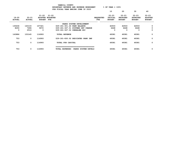|                        |                            |                            | YAMHILL COUNTY<br>BUDGETARY REVENUE AND EXPENSE WORKSHEET<br>FOR FISCAL YEAR ENDING JUNE 30 2023 |                         | $8$ OF YEAR = 100 $8$                 |                                               |                                        |                                              |
|------------------------|----------------------------|----------------------------|--------------------------------------------------------------------------------------------------|-------------------------|---------------------------------------|-----------------------------------------------|----------------------------------------|----------------------------------------------|
|                        |                            |                            |                                                                                                  |                         | 10                                    | 20                                            | 30                                     | 40                                           |
| 19-20<br><b>ACTUAL</b> | $20 - 21$<br><b>ACTUAL</b> | $21 - 22$<br><b>BUDGET</b> | 21-22<br>ADOPTED BUDGETED<br>FTE                                                                 | <b>REQUESTED</b><br>FTE | $22 - 23$<br>INITIAL<br><b>BUDGET</b> | $22 - 23$<br><b>PROPOSED</b><br><b>BUDGET</b> | $22 - 23$<br>APPROVED<br><b>BUDGET</b> | $22 - 23$<br><b>ADOPTED</b><br><b>BUDGET</b> |
|                        |                            |                            | PARKS SYSTEM DEVELOPMENT                                                                         |                         |                                       |                                               |                                        |                                              |
| 135636                 | 143133                     | 107321                     | 029-181-301.26 PARK BALANCE                                                                      |                         | 42933                                 | 42933                                         | 42933                                  | 0                                            |
| 8250                   | 7496                       | 9672                       | 029-181-347.01 SYSTEMS DEV CHARGE                                                                |                         | 6448                                  | 6448                                          | 6448                                   | 0                                            |
| 0                      | 2516                       | $\Omega$                   | 029-181-347.02 CHEHALEM SDC                                                                      |                         | 0                                     | 0                                             | 0                                      | $\mathbf 0$                                  |
| 143886                 | 153145                     | 116993                     | <b>TOTAL REVENUE</b>                                                                             |                         | 49381                                 | 49381                                         | 49381                                  | 0                                            |
| 753                    | $\mathbf{o}$               | 116993                     | 029-181-830.02 DEDICATED PARK IMP                                                                |                         | 49381                                 | 49381                                         | 49381                                  | 0                                            |
| 753                    | 0                          | 116993                     | TOTAL FOR CAPITAL                                                                                |                         | 49381                                 | 49381                                         | 49381                                  | 0                                            |
| 753                    | 0                          | 116993                     | TOTAL EXPENSES                                                                                   | PARKS SYSTEM DEVELO     | 49381                                 | 49381                                         | 49381                                  | 0                                            |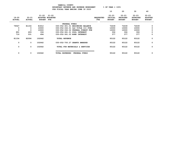**YAMHILL COUNTY BUDGETARY REVENUE AND EXPENSE WORKSHEET % OF YEAR = 100% FOR FISCAL YEAR ENDING JUNE 30 2023 10 20 30 40 21-22 21-22 22-23 22-23 22-23 22-23 19-20 20-21 ADOPTED BUDGETED REQUESTED INITIAL PROPOSED APPROVED ADOPTED ACTUAL ACTUAL BUDGET FTE FTE BUDGET BUDGET BUDGET BUDGET -------------------------------------------------------------------------------- ------------------------------------------------- FEDERAL FUNDS 79547 81154 81812 030-052-301.01 BEGINNING BALANCE 72439 72439 72439 0**  $\mathbf{o}$  **0 0 10000 030-052-332.01 O&C TITLE III FUND 10000 10000 10000 0**  $\mathbf{o}$  **0 0 10000 030-052-332.02 FEDERAL FOREST FUN 10000 10000 10000 0**  $\mathbf 0$  **891 409 336 030-052-361.01 POOL INTEREST 306 306 306 0**  $\mathbf{o}$  **716 531 494 030-052-361.03 BOND INTEREST 377 377 377 0 81154 82094 102642 TOTAL REVENUE 93122 93122 93122 0 0 0 102642 030-052-700.27 GRANTS AWARDED 93122 93122 93122 0 0 0 102642 TOTAL FOR MATERIALS & SERVICES 93122 93122 93122 0 =================================== 0 0 102642 TOTAL EXPENSES FEDERAL FUNDS 93122 93122 93122 0**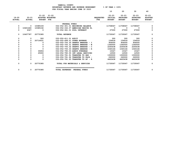|                            |                         |                   |                                         |                                   |                                | 10                                    | 20                                     | 30                                            | 40                                           |
|----------------------------|-------------------------|-------------------|-----------------------------------------|-----------------------------------|--------------------------------|---------------------------------------|----------------------------------------|-----------------------------------------------|----------------------------------------------|
| $19 - 20$<br><b>ACTUAL</b> | 20-21<br><b>ACTUAL</b>  | <b>BUDGET FTE</b> | $21 - 22$ $21 - 22$<br>ADOPTED BUDGETED |                                   | <b>REQUESTED</b><br><b>FTE</b> | $22 - 23$<br>INITIAL<br><b>BUDGET</b> | $22 - 23$<br>PROPOSED<br><b>BUDGET</b> | $22 - 23$<br><b>APPROVED</b><br><b>BUDGET</b> | $22 - 23$<br><b>ADOPTED</b><br><b>BUDGET</b> |
|                            |                         |                   | FEDERAL FUNDS                           |                                   |                                |                                       |                                        |                                               |                                              |
| $\mathbf{o}$               | $\overline{\mathbf{0}}$ | 10385193          |                                         | 032-052-301.01 BEGINNING BALANCE  |                                | 11708067                              | 11708067                               | 11708067                                      | 0                                            |
| $\mathbf{0}$               | 10401460                | 10385192          |                                         | 032-052-332.07 AMERICAN RESCUE PL |                                | $\sim$ 0                              | 0                                      | $^{\circ}$                                    | 0                                            |
| 0                          | 6327                    | $\overline{0}$    |                                         | 032-052-361.01 POOL INTEREST      |                                | 27000                                 | 27000                                  | 27000                                         | 0                                            |
| 0                          | 10407787                | 20770385          | <b>TOTAL REVENUE</b>                    |                                   |                                | 11735067                              | 11735067                               | 11735067                                      | 0                                            |
| 0                          | 0                       | 300               | 032-052-611.01 AUDIT                    |                                   |                                | 300                                   | 300                                    | 300                                           | 0                                            |
| 0                          | $^{\circ}$              | 20714431          |                                         | 032-052-699.01 OTHER EXPENSE      |                                | 154918                                | 154918                                 | 154918                                        | 0                                            |
| 0                          | 0                       |                   |                                         | 032-052-700.30 GRANTS AWARDED - I |                                | 906000                                | 906000                                 | 906000                                        | 0                                            |
| O                          |                         |                   |                                         | 032-052-700.31 GRANTS AWARDED - W |                                | 1360000                               | 1360000                                | 1360000                                       | 0                                            |
| 0                          |                         | $\mathbf 0$       |                                         | 032-052-700.32 GRANTS AWARDED - C |                                | 2265438                               | 2265438                                | 2265438                                       |                                              |
| $\Omega$                   |                         | $\Omega$          |                                         | 032-052-700.33 GRANTS AWARDED - R |                                | 1040146                               | 1040146                                | 1040146                                       | $\Omega$                                     |
| 0                          | $\Omega$                | 30654             |                                         | 032-052-780.03 ADMIN OVERHEAD     |                                | 15327                                 | 15327                                  | 15327                                         | 0                                            |
| 0                          | 0                       | 25000             |                                         | 032-052-780.55 INT LEGAL SERVICES |                                | 12500                                 | 12500                                  | 12500                                         | 0                                            |
| 0                          |                         |                   |                                         | 032-052-781.91 TRANSFER TO HHS -  |                                | 1300000                               | 1300000                                | 1300000                                       | 0                                            |
| 0                          | 0                       |                   |                                         | 032-052-781.92 TRANSFER TO FAIR - |                                | 260000                                | 260000                                 | 260000                                        |                                              |
| $\Omega$                   |                         | $\Omega$          |                                         | 032-052-781.93 TRANSFER TO GF - R |                                | 4420438                               | 4420438                                | 4420438                                       | 0                                            |
| 0                          | $^{\circ}$              | 20770385          |                                         | TOTAL FOR MATERIALS & SERVICES    |                                | 11735067                              | 11735067                               | 11735067                                      | 0                                            |
| 0                          |                         | 0 20770385        | TOTAL EXPENSES                          | <b>FEDERAL FUNDS</b>              |                                |                                       | 11735067 11735067 11735067             |                                               | 0                                            |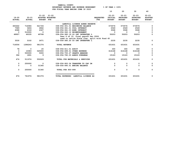|                         |                            |                                                              |                                               |                                | 10                                           | 20                                            | 30                                            | 40                                           |
|-------------------------|----------------------------|--------------------------------------------------------------|-----------------------------------------------|--------------------------------|----------------------------------------------|-----------------------------------------------|-----------------------------------------------|----------------------------------------------|
| 19-20<br><b>ACTUAL</b>  | $20 - 21$<br><b>ACTUAL</b> | $21 - 22$ $21 - 22$<br>ADOPTED BUDGETED<br><b>BUDGET FTE</b> |                                               | <b>REOUESTED</b><br><b>FTE</b> | $22 - 23$<br><b>INITIAL</b><br><b>BUDGET</b> | $22 - 23$<br><b>PROPOSED</b><br><b>BUDGET</b> | $22 - 23$<br><b>APPROVED</b><br><b>BUDGET</b> | $22 - 23$<br><b>ADOPTED</b><br><b>BUDGET</b> |
|                         |                            |                                                              | LANDFILL LICENSE AGREE RESERVE                |                                |                                              |                                               |                                               |                                              |
| 650442                  | 716084                     | 521726                                                       | 038-056-301.01 BEGINNING BALANCE              |                                | 573576                                       | 573576                                        | 573576                                        | 0                                            |
| 7589                    | 3404                       | 2862                                                         | 038-056-361.01 POOL INTEREST                  |                                | 2549                                         | 2549                                          | 2549                                          | 0                                            |
| 6088                    | 4318                       | 4347                                                         | 038-056-361.03 BOND INTEREST                  |                                | 3068                                         | 3068                                          | 3068                                          | 0                                            |
| $\overline{\mathbf{0}}$ | 510000                     | $\overline{\phantom{0}}$                                     | 038-056-362.12 REIMBURSEMENT                  |                                | $\overline{\phantom{0}}$                     | $\overline{\phantom{0}}$                      | - 0                                           | 0                                            |
| 48907                   | 49335                      | 49768                                                        | 038-056-380.19 CO INT INTERFUND L             |                                | 50203                                        | 50203                                         | 50203                                         | 0                                            |
|                         |                            |                                                              | Year 6 of 10, final payoff Dec 2026           |                                |                                              |                                               |                                               |                                              |
|                         |                            |                                                              | used to retire State loan, split with Fund 45 |                                |                                              |                                               |                                               |                                              |
| 3530                    | 3102                       | 2671                                                         | 038-056-380.20 CO INT INTERFUND L             |                                | 2235                                         | 2235                                          | 2235                                          | 0                                            |
|                         |                            |                                                              |                                               |                                |                                              |                                               |                                               |                                              |
| 716556                  | 1286243                    | 581374                                                       | <b>TOTAL REVENUE</b>                          |                                | 631631                                       | 631631                                        | 631631                                        | 0                                            |
|                         |                            |                                                              |                                               |                                |                                              |                                               |                                               |                                              |
| 78                      | $\overline{\phantom{0}}$   | 20                                                           | 038-056-611.01 AUDIT                          |                                | 300                                          | 300                                           | 300                                           | 0                                            |
| $\mathbf 0$             | 10083                      | 545000                                                       | 038-056-699.01 OTHER EXPENSE                  |                                | 616168                                       | 616168                                        | 616168                                        | 0                                            |
| $\Omega$                | 500000                     | 5000                                                         | 038-056-700.27 GRANTS AWARDED                 |                                | $\mathbf 0$                                  | $^{\circ}$                                    | $\Omega$                                      | $\mathbf 0$                                  |
| 396                     | 1891                       | - 9                                                          | 038-056-780.03 ADMIN OVERHEAD                 |                                | 15163                                        | 15163                                         | 15163                                         | $\mathbf 0$                                  |
| 474                     | 511974                     | 550029                                                       | TOTAL FOR MATERIALS & SERVICES                |                                | 631631                                       | 631631                                        | 631631                                        | $\mathbf 0$                                  |
| 0                       | 250000                     | $\overline{\phantom{0}}$                                     | 038-056-900.04 TRANSFER TO CAP IM             |                                | $\mathbf 0$                                  | 0                                             | 0                                             | 0                                            |
| $\mathbf 0$             | 0                          | 31345                                                        | 038-056-990.01 ENDING BALANCE                 |                                | $\mathbf 0$                                  | $\mathbf{0}$                                  | $\Omega$                                      | $\mathbf 0$                                  |
| $\mathbf{o}$            | 250000                     | 31345                                                        | TOTAL FOR 900-999                             |                                | $\mathbf 0$                                  | $\mathbf 0$                                   | $\mathbf 0$                                   | 0                                            |
| 474                     | 761974                     | 581374                                                       | TOTAL EXPENSES LANDFILL LICENSE AG            |                                | 631631                                       | 631631                                        | 631631                                        | 0                                            |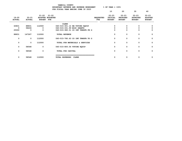|                            |                            |                            | FOR FISCALL IEAR ENDING JONE JO ZOZJ |                                |                                       |                                               |                                               |                                              |
|----------------------------|----------------------------|----------------------------|--------------------------------------|--------------------------------|---------------------------------------|-----------------------------------------------|-----------------------------------------------|----------------------------------------------|
|                            |                            |                            |                                      |                                | 10                                    | 20                                            | 30                                            | 40                                           |
| $19 - 20$<br><b>ACTUAL</b> | $20 - 21$<br><b>ACTUAL</b> | $21 - 22$<br><b>BUDGET</b> | $21 - 22$<br>ADOPTED BUDGETED<br>FTE | <b>REQUESTED</b><br><b>FTE</b> | $22 - 23$<br>INITIAL<br><b>BUDGET</b> | $22 - 23$<br><b>PROPOSED</b><br><b>BUDGET</b> | $22 - 23$<br><b>APPROVED</b><br><b>BUDGET</b> | $22 - 23$<br><b>ADOPTED</b><br><b>BUDGET</b> |
|                            |                            |                            | <b>CLERK</b>                         |                                |                                       |                                               |                                               |                                              |
| 63831                      | 88831                      | 112000                     | 040-015-301.12 BB VOTING EQUIP       |                                | 0                                     | 0                                             | 0                                             | 0                                            |
| 0                          | 58436                      | 0                          | 040-015-331.99 MISC GRANTS           |                                | 0                                     | 0                                             | 0                                             | 0                                            |
| 25000                      | 0                          | 0                          | 040-015-380.01 CO INT TRNSFR FR G    |                                | 0                                     | 0                                             | 0                                             | 0                                            |
| 88831                      | 147267                     | 112000                     | <b>TOTAL REVENUE</b>                 |                                | 0                                     | 0                                             | 0                                             | 0                                            |
| 0                          | 0                          | 112000                     | 040-015-780.63 CO INT TRNSFR TO G    |                                | 0                                     | 0                                             | 0                                             | 0                                            |
| 0                          | 0                          | 112000                     | TOTAL FOR MATERIALS & SERVICES       |                                | 0                                     | 0                                             | 0                                             | 0                                            |
| 0                          | 58548                      | $\mathbf 0$                | 040-015-800.04 VOTING EQUIP          |                                | 0                                     | 0                                             | 0                                             | 0                                            |
| 0                          | 58548                      | $\mathbf 0$                | TOTAL FOR CAPITAL                    |                                | 0                                     | 0                                             | 0                                             | 0                                            |
| 0                          | 58548                      | 112000                     | <b>CLERK</b><br>TOTAL EXPENSES       |                                | 0                                     | 0                                             | 0                                             | 0                                            |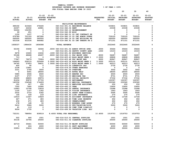|                         |                                  |                          |                                     | FUR FISCAN IEAR ENDING UUNE 30 ZUZJ     |                  |                          |                          |                          |                |
|-------------------------|----------------------------------|--------------------------|-------------------------------------|-----------------------------------------|------------------|--------------------------|--------------------------|--------------------------|----------------|
|                         |                                  |                          |                                     |                                         |                  | 10                       | 20                       | 30                       | 40             |
|                         |                                  | $21 - 22$                | $21 - 22$                           |                                         |                  | $22 - 23$                | $22 - 23$                | $22 - 23$                | $22 - 23$      |
| $19 - 20$               | $20 - 21$                        |                          | ADOPTED BUDGETED                    |                                         | <b>REQUESTED</b> | <b>INITIAL</b>           | PROPOSED                 | <b>APPROVED</b>          | <b>ADOPTED</b> |
| <b>ACTUAL</b>           | <b>ACTUAL</b>                    | <b>BUDGET FTE</b>        |                                     |                                         | FTE              | <b>BUDGET</b>            | <b>BUDGET</b>            | <b>BUDGET</b>            | <b>BUDGET</b>  |
|                         |                                  |                          |                                     |                                         |                  |                          |                          |                          |                |
|                         |                                  |                          |                                     | FACILITIES MAINTENANCE                  |                  |                          |                          |                          |                |
| 389192                  | 410426                           | 376445                   |                                     | 040-016-301.01 BEGINNING BALANCE        |                  | 533831                   | 533831                   | 533831                   | 0              |
| 22307                   | 22432                            | 22881                    | 040-016-362.04 RENT                 |                                         |                  | 23338                    | 23338                    | 23338                    | $\mathbf 0$    |
| 52264                   | 152355                           | $\overline{\mathbf{0}}$  |                                     | 040-016-362.12 REIMBURSEMENT            |                  | $\Omega$                 | $\mathbf{0}$             | $\overline{\mathbf{0}}$  | $\mathbf 0$    |
| 99                      | 251                              | $\mathbf 0$              | 040-016-362.99 MISC                 |                                         |                  | $\mathbf{0}$             | $\mathbf 0$              | $\mathbf 0$              | 0              |
| 1150                    | 1237                             | $\overline{\mathbf{0}}$  |                                     | 040-016-380.01 CO INT CONTRACT SE       |                  | $\mathbf{0}$             | $^{\circ}$               | $\Omega$                 | 0              |
| 676789                  | 701193                           | 697280                   |                                     | 040-016-380.10 CO INT ADMIN OVERH       |                  | 729125                   | 729125                   | 729125                   | $\mathbf 0$    |
| 265000                  | 265000                           | 265000                   |                                     | 040-016-380.14 CO INT BUILDING RE       |                  | 265000                   | 265000                   | 265000                   | 0              |
| 431536                  | 431536                           | 444482                   |                                     | 040-016-380.91 CO INT TRNSFR FR G       |                  | 471151                   | 471151                   | 471151                   | 0              |
|                         |                                  |                          |                                     |                                         |                  |                          |                          |                          |                |
| 1838337                 | 1984430                          | 1806088                  | <b>TOTAL REVENUE</b>                |                                         |                  | 2022445                  | 2022445                  | 2022445                  | $\mathbf 0$    |
|                         |                                  |                          |                                     |                                         |                  |                          |                          |                          |                |
| 52192                   | 33608<br>$\overline{\mathbf{0}}$ | 32666                    |                                     | .6000 040-016-401.02 ADMIN OFFICE SPEC  | .6000            | 35644                    | 35644                    | 35644                    | 0              |
| $\overline{\mathbf{0}}$ |                                  | $\overline{\phantom{0}}$ |                                     | 040-016-401.54 DEPUTY COUNTY ADMI       | .1000            | 10103                    | 10103                    | 10103                    | 0              |
| 9478                    | 10265<br>48668                   | 10632<br>49497           |                                     | .1000 040-016-401.62 BUSINESS SERVICES  |                  | $\mathbf 0$              | $\mathbf 0$              | $\overline{\mathbf{0}}$  | 0<br>0         |
| 55188<br>713            | $\overline{\mathbf{0}}$          | $\overline{\phantom{0}}$ | .8000 040-016-402.11 FAC MAINT SPEC | 040-016-403.43 BLDG MAINT WRKR 1        | .8000<br>2.0000  | 56287<br>69828           | 56287<br>69828           | 56287<br>69828           | 0              |
| 77947                   | 76279                            | 75924                    | .9000 040-016-403.48 FAC MAINT MGR  |                                         | .9000            | 82847                    | 82847                    | 82847                    | 0              |
| 164693                  | 209133                           | 220408                   |                                     | 5.0000 040-016-403.56 BLDG MAINT WRKR 2 | 5.0000           | 205131                   | 205131                   | 205131                   | 0              |
| 54745                   | 57653                            | 56831                    |                                     | 1.0000 040-016-403.57 BLDG MAINT WRKR 3 | 1.0000           | 62013                    | 62013                    | 62013                    | $\mathbf 0$    |
| 600                     | 90                               | $\overline{\phantom{0}}$ |                                     | 040-016-475.00 LONGEVITY PAY            |                  | 2730                     | 2730                     | 2730                     | 0              |
| 2108                    | 13661                            | $\overline{\mathbf{0}}$  |                                     | 040-016-479.00 OTHER EARNINGS           |                  | $\overline{\phantom{a}}$ | $\overline{\phantom{0}}$ | $\overline{\phantom{0}}$ | 0              |
| 3331                    | 2799                             | 3000                     |                                     | 040-016-481.00 OVERTIME                 |                  | 3002                     | 3002                     | 3002                     | $\mathbf 0$    |
| $\mathbf{o}$            | 6091                             | 28000                    |                                     | 040-016-482.00 EXTRA HELP               |                  | 28000                    | 28000                    | 28000                    | 0              |
| 5980                    | 6596                             | 6500                     |                                     | 040-016-484.00 BEEPER PAY               |                  | 6500                     | 6500                     | 6500                     | 0              |
| 6197                    | 6737                             | 7010                     |                                     | 040-016-490.00 MEDICARE TAX             |                  | 8731                     | 8731                     | 8731                     | 0              |
| 26290                   | 28805                            | 29974                    |                                     | 040-016-491.00 SOCIAL SECURITY          |                  | 37332                    | 37332                    | 37332                    | $\mathbf 0$    |
| 81634                   | 90872                            | 97793                    |                                     | 040-016-492.00 RETIREMENT               |                  | 122397                   | 122397                   | 122397                   | $\mathbf 0$    |
| 140336                  | 154548                           | 174409                   |                                     | 040-016-493.10 MEDICAL INSURANCE        |                  | 230360                   | 230360                   | 230360                   | 0              |
| 191                     | 227                              | 250                      |                                     | 040-016-493.12 EMPLOYEE ASSISTANC       |                  | 250                      | 250                      | 250                      | 0              |
| 7320                    | 7460                             | 10080                    | 040-016-493.15 VEBA                 |                                         |                  | 15600                    | 15600                    | 15600                    | $\mathbf 0$    |
| 10943                   | 10708                            | 12818                    |                                     | 040-016-493.20 DENTAL INSURANCE         |                  | 15288                    | 15288                    | 15288                    | $\mathbf 0$    |
| 1100                    | 1107                             | 1302                     |                                     | 040-016-493.25 VISION INSURANCE         |                  | 1643                     | 1643                     | 1643                     | $\mathbf 0$    |
| 2532                    | 2733                             | 5362                     |                                     | 040-016-493.31 SHORT TERM DISABIL       |                  | 5595                     | 5595                     | 5595                     | 0              |
| 146                     | 339                              | 218                      |                                     | 040-016-493.40 LIFE INSURANCE           |                  | 270                      | 270                      | 270                      | 0              |
| 12919                   | 11647                            | 10829                    |                                     | 040-016-494.00 ACCIDENT INSURANCE       |                  | 13728                    | 13728                    | 13728                    | $\mathbf 0$    |
| 447                     | 471                              | 483                      |                                     | 040-016-494.80 TIME LOSS RESERVE        |                  | 602                      | 602                      | 602                      | 0              |
| 436                     | 471                              | 483                      |                                     | 040-016-495.00 UNEMPLOYMENT             |                  | 602                      | 602                      | 602                      | 0              |
| 178                     | 168                              | 50                       |                                     | 040-016-496.00 WORKERS COMP ASSES       |                  | 270                      | 270                      | 270                      | $\mathbf 0$    |
| 5412                    | 5964                             | 5000                     |                                     | 040-016-499.00 FET/VACATION/SICK        |                  | 5000                     | 5000                     | 5000                     | $\mathbf 0$    |
| 41                      | 119                              | $\overline{\mathbf{0}}$  |                                     | 040-016-499.98 COMP TIME LIABILIT       |                  | $\overline{\phantom{0}}$ | $\mathbf 0$              | $\mathbf 0$              | 0              |
| 9054                    | 1735                             | $\overline{\mathbf{0}}$  |                                     | 040-016-499.99 VACATION LIAB. ADJ       |                  | $\mathbf 0$              | $\mathbf 0$              | $\overline{\phantom{0}}$ | 0              |
|                         |                                  |                          |                                     |                                         |                  |                          |                          |                          |                |
| 732151                  | 788954                           | 839519                   | 8.4000 TOTAL FOR PERSONNEL          |                                         | 10.4000          | 1019753                  | 1019753                  | 1019753                  | 0              |
| 502                     | 666                              | 1501                     |                                     | 040-016-510.01 CENTRAL SUPPLIES         |                  | 1501                     | 1501                     | 1501                     | 0              |
| 30136                   | 33794                            | 25000                    |                                     | 040-016-511.02 CLEANING SUPPLIES        |                  | 25000                    | 25000                    | 25000                    | 0              |
| 42719                   | 35661                            | 50000                    |                                     | 040-016-511.09 MAINT SUPPLIES           |                  | 50000                    | 50000                    | 50000                    | 0              |
| 0                       | 224                              | 4000                     |                                     | 040-016-543.01 DEPT EQUIPMENT           |                  | 4000                     | 4000                     | 4000                     | 0              |
| 33953                   | 33616                            | 35000                    |                                     | 040-016-601.03 CONTRACTOR SERVICE       |                  | 35000                    | 35000                    | 35000                    | 0              |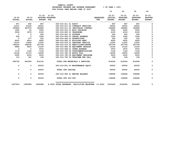|                         |                            |                   |                                         |                              |                                                   |                                | 10                                           | 20                                     | 30                                            | 40                                           |
|-------------------------|----------------------------|-------------------|-----------------------------------------|------------------------------|---------------------------------------------------|--------------------------------|----------------------------------------------|----------------------------------------|-----------------------------------------------|----------------------------------------------|
| 19-20<br><b>ACTUAL</b>  | $20 - 21$<br><b>ACTUAL</b> | <b>BUDGET FTE</b> | $21 - 22$ $21 - 22$<br>ADOPTED BUDGETED |                              |                                                   | <b>REQUESTED</b><br><b>FTE</b> | $22 - 23$<br><b>INITIAL</b><br><b>BUDGET</b> | $22 - 23$<br>PROPOSED<br><b>BUDGET</b> | $22 - 23$<br><b>APPROVED</b><br><b>BUDGET</b> | $22 - 23$<br><b>ADOPTED</b><br><b>BUDGET</b> |
| 871                     | 900                        | 897               |                                         | 040-016-611.01 AUDIT         |                                                   |                                | 897                                          | 897                                    | 897                                           | 0                                            |
| 12531                   | 27435                      | 35000             |                                         |                              | 040-016-611.02 CONTRACT SERVICES                  |                                | 35000                                        | 35000                                  | 35000                                         | 0                                            |
| 330826                  | 487675                     | 349985            |                                         |                              | 040-016-611.03 JANITORIAL CONTRAC                 |                                | 349985                                       | 349985                                 | 349985                                        | 0                                            |
| 1594                    | 50                         | 5000              |                                         |                              | 040-016-612.01 MISC TRAINING                      |                                | 5000                                         | 5000                                   | 5000                                          | 0                                            |
| 3554                    | 3679                       | 4100              |                                         | 040-016-620.01 TELEPHONE     |                                                   |                                | 4100                                         | 4100                                   | 4100                                          | 0                                            |
| $\overline{\mathbf{0}}$ | $\overline{\phantom{a}}$   | 200               |                                         | 040-016-621.01 POSTAGE       |                                                   |                                | 200                                          | 200                                    | 200                                           | $\mathbf 0$                                  |
| 294                     | $\overline{\mathbf{0}}$    | 1000              |                                         |                              | 040-016-630.01 TRAVEL EXPENSE                     |                                | 1000                                         | 1000                                   | 1000                                          | 0                                            |
| $\Omega$                | 377                        | 350               |                                         | 040-016-640.01 ADVERTISING   |                                                   |                                | 350                                          | 350                                    | 350                                           | $\mathbf 0$                                  |
| 8910                    | 8910                       | 9000              |                                         |                              | 040-016-652.01 BUILDING RENT                      |                                | 9000                                         | 9000                                   | 9000                                          | $\mathbf 0$                                  |
| 15167                   | 13568                      | 11500             |                                         |                              | 040-016-670.01 SANITARY SERVICE                   |                                | 11500                                        | 11500                                  | 11500                                         | 0                                            |
| 194232                  | 189236                     | 247704            |                                         |                              | 040-016-670.02 HEAT/LIGHTS/WATER                  |                                | 247704                                       | 247704                                 | 247704                                        | 0                                            |
| 4984                    | 9630                       | 13125             |                                         |                              | 040-016-680.02 EQUIPMENT REPAIRS                  |                                | 13125                                        | 13125                                  | 13125                                         | 0                                            |
| $\overline{\mathbf{0}}$ | $\overline{\mathbf{0}}$    | 2975              |                                         | 040-016-699.01 OTHER EXPENSE |                                                   |                                | 2975                                         | 2975                                   | 2975                                          | 0                                            |
| 1179                    | 1164                       | 1164              |                                         |                              | 040-016-780.04 TELECOMMUNICATIONS                 |                                | 1164                                         | 1164                                   | 1164                                          | 0                                            |
| 12158                   | 12715                      | 14000             |                                         | 040-016-780.05 MOTOR POOL    |                                                   |                                | 14000                                        | 14000                                  | 14000                                         | 0                                            |
| 2045                    | 2533                       | 2435              |                                         |                              | 040-016-780.06 EQUIPMENT REPLACEM                 |                                | 2435                                         | 2435                                   | 2435                                          | 0                                            |
| 110                     | 121                        | 194               |                                         |                              | 040-016-780.54 TELECOMM PER CALL                  |                                | 108                                          | 108                                    | 108                                           | 0                                            |
| 695765                  | 861954                     | 814130            |                                         |                              | TOTAL FOR MATERIALS & SERVICES                    |                                | 814044                                       | 814044                                 | 814044                                        | 0                                            |
| 0                       | $\mathbf 0$                | 60000             |                                         |                              | 040-016-801.03 MAINTENANCE EOUIP                  |                                | 60000                                        | 60000                                  | 60000                                         | 0                                            |
| 0                       | $\mathbf{0}$               | 60000             |                                         | TOTAL FOR CAPITAL            |                                                   |                                | 60000                                        | 60000                                  | 60000                                         | $\mathbf{o}$                                 |
| 0                       | $\mathbf 0$                | 92439             |                                         |                              | 040-016-990.01 ENDING BALANCE                     |                                | 128648                                       | 128648                                 | 128648                                        | 0                                            |
| 0                       | $\mathbf 0$                | 92439             |                                         | <b>TOTAL FOR 900-999</b>     |                                                   |                                | 128648                                       | 128648                                 | 128648                                        | $\mathbf 0$                                  |
| 1427916                 | 1650908                    | 1806088           |                                         |                              | 8.4000 TOTAL EXPENSES FACILITIES MAINTENA 10.4000 |                                | 2022445                                      | 2022445                                | 2022445                                       | 0                                            |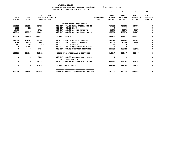| YAMHILL COUNTY                          |                       |  |  |  |  |  |  |
|-----------------------------------------|-----------------------|--|--|--|--|--|--|
| BUDGETARY REVENUE AND EXPENSE WORKSHEET | $8$ OF YEAR = $100\%$ |  |  |  |  |  |  |
| FOR FISCAL YEAR ENDING JUNE 30 2023     |                       |  |  |  |  |  |  |

|                            |                            |                                |                               |                                                       |                                | 10                                           | 20                                            | 30                                            | 40                                           |
|----------------------------|----------------------------|--------------------------------|-------------------------------|-------------------------------------------------------|--------------------------------|----------------------------------------------|-----------------------------------------------|-----------------------------------------------|----------------------------------------------|
| $19 - 20$<br><b>ACTUAL</b> | $20 - 21$<br><b>ACTUAL</b> | $21 - 22$<br><b>BUDGET FTE</b> | $21 - 22$<br>ADOPTED BUDGETED |                                                       | <b>REOUESTED</b><br><b>FTE</b> | $22 - 23$<br><b>INITIAL</b><br><b>BUDGET</b> | $22 - 23$<br><b>PROPOSED</b><br><b>BUDGET</b> | $22 - 23$<br><b>APPROVED</b><br><b>BUDGET</b> | $22 - 23$<br><b>ADOPTED</b><br><b>BUDGET</b> |
|                            |                            |                                |                               | INFORMATION TECHNOLOGY                                |                                |                                              |                                               |                                               |                                              |
| 452693                     | 613156                     | 757319                         |                               | 040-017-301.60 DATA PROCESSING BE                     |                                | 967083                                       | 967083                                        | 967083                                        | 0                                            |
| 1355                       | 155                        | $\mathbf 0$                    |                               | 040-017-362.99 MISC                                   |                                | $\mathbf 0$                                  | $\Omega$                                      | 0                                             | 0                                            |
| 15485                      | $\Omega$                   | 17324                          |                               | 040-017-380.01 CO INT REVENUE                         |                                | 21271                                        | 21271                                         | 21271                                         | $\mathbf 0$                                  |
| 396841                     | 499547                     | 416147                         |                               | 040-017-380.21 CO INT COMPUTER RE                     |                                | 460878                                       | 460878                                        | 460878                                        | 0                                            |
| 866374                     | 1112858                    | 1190790                        |                               | <b>TOTAL REVENUE</b>                                  |                                | 1449232                                      | 1449232                                       | 1449232                                       | $\mathbf 0$                                  |
| 247010                     | 248163                     | 242900                         |                               | 040-017-543.01 DEPT EQUIPMENT                         |                                | 231485                                       | 231485                                        | 231485                                        | $\mathbf 0$                                  |
| 6055                       | 18176                      | 75000                          |                               | 040-017-543.02 MDT EQUIPMENT                          |                                | 39000                                        | 39000                                         | 39000                                         | 0                                            |
| 153                        | 162                        | 169                            |                               | 040-017-611.01 AUDIT                                  |                                | 210                                          | 210                                           | 210                                           | 0                                            |
| 0                          | 47563                      | - 0                            |                               | 040-017-780.06 EQUIPMENT REPLACEM                     |                                | 0                                            | $\Omega$                                      | $\Omega$                                      | $\mathbf 0$                                  |
| 0                          | 0                          | 47563                          |                               | 040-017-780.15 COMPUTER SERVICES                      |                                | 239752                                       | 239752                                        | 239752                                        | 0                                            |
| 253218                     | 314064                     | 365632                         |                               | TOTAL FOR MATERIALS & SERVICES                        |                                | 510447                                       | 510447                                        | 510447                                        | 0                                            |
| 0                          | 0                          | 32000                          |                               | 040-017-990.03 RESERVE FOR FUTURE<br>MDT replacements |                                | 0                                            | 0                                             | 0                                             | 0                                            |
| 0                          | 0                          | 793158                         |                               | 040-017-990.29 RESERVE FOR FUTURE                     |                                | 938785                                       | 938785                                        | 938785                                        | 0                                            |
| 0                          | 0                          | 825158                         |                               | TOTAL FOR 900-999                                     |                                | 938785                                       | 938785                                        | 938785                                        | 0                                            |
| 253218                     | 314064                     | 1190790                        |                               | TOTAL EXPENSES<br><b>INFORMATION TECHNOL</b>          |                                | 1449232                                      | 1449232                                       | 1449232                                       | 0                                            |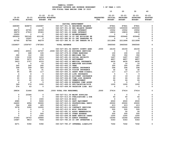|                         |                         |                          |                                        |                                   |                                | 10             | 20                               | 30                           | 40             |
|-------------------------|-------------------------|--------------------------|----------------------------------------|-----------------------------------|--------------------------------|----------------|----------------------------------|------------------------------|----------------|
|                         |                         |                          |                                        |                                   |                                | $22 - 23$      |                                  |                              | $22 - 23$      |
| $19 - 20$               | $20 - 21$               | $21 - 22$                | $21 - 22$<br>ADOPTED BUDGETED          |                                   |                                | <b>INITIAL</b> | $22 - 23$                        | $22 - 23$<br><b>APPROVED</b> | <b>ADOPTED</b> |
| <b>ACTUAL</b>           | <b>ACTUAL</b>           | <b>BUDGET</b>            | FTE                                    |                                   | <b>REQUESTED</b><br><b>FTE</b> | <b>BUDGET</b>  | <b>PROPOSED</b><br><b>BUDGET</b> | <b>BUDGET</b>                | <b>BUDGET</b>  |
|                         |                         |                          |                                        |                                   |                                |                |                                  |                              |                |
|                         |                         |                          |                                        | CAPITAL IMPROVEMENT               |                                |                |                                  |                              |                |
| 648089                  | 828879                  | 1026087                  |                                        | 040-027-301.01 BEGINNING BALANCE  |                                | 87841          | 87841                            | 87841                        | 0              |
| $\mathbf 0$             | $\overline{\mathbf{0}}$ | $\mathbf 0$              |                                        | 040-027-301.02 BEG BALANCE RESERV |                                | 1000000        | 1000000                          | 1000000                      | 0              |
| 48674                   | 20765                   | 18359                    |                                        | 040-027-361.01 POOL INTEREST      |                                | 15552          | 15552                            | 15552                        | 0              |
| 38679                   | 27915                   | 25363                    |                                        | 040-027-361.03 BOND INTEREST      |                                | 19833          | 19833                            | 19833                        | 0              |
| 10000                   | $\overline{\mathbf{0}}$ | $\mathbf 0$              |                                        | 040-027-362.12 REIMBURSEMENT      |                                | $\mathbf{0}$   | $\mathbf 0$                      | 0                            | 0              |
| 695629                  | 583145                  | 631195                   |                                        | 040-027-380.14 CO INT BUILDING RE |                                | 630440         | 630440                           | 630440                       | 0              |
| $^{\circ}$              | 15297                   | $\Omega$                 |                                        | 040-027-380.80 CO INT TRANSFER FR |                                | $\mathbf 0$    | $\Omega$                         | $\Omega$                     | 0              |
| 83766                   | 83766                   | 86279                    |                                        | 040-027-380.91 CO INT TRNSFR FR G |                                | 2211894        | 2211894                          | 2211894                      | 0              |
| 1524837                 | 1559767                 | 1787283                  | <b>TOTAL REVENUE</b>                   |                                   |                                | 3965560        | 3965560                          | 3965560                      | $\mathbf 0$    |
| 0                       | 0                       | $\mathbf 0$              |                                        | 040-027-401.54 DEPUTY COUNTY ADMI | .2000                          | 24150          | 24150                            | 24150                        | 0              |
| 18956                   | 20531                   | 22747                    | .2000 040-027-401.62 BUSINESS SERVICES |                                   |                                | $\mathbf{o}$   | 0                                | $\mathbf{o}$                 | 0              |
| $\Omega$                | 448                     | 100                      |                                        | 040-027-479.00 OTHER EARNINGS     |                                | 100            | 100                              | 100                          | 0              |
| 280                     | 312                     | 330                      | 040-027-490.00 MEDICARE TAX            |                                   |                                | 350            | 350                              | 350                          | $\mathbf 0$    |
| 1196                    | 1332                    | 1410                     |                                        | 040-027-491.00 SOCIAL SECURITY    |                                | 1497           | 1497                             | 1497                         | 0              |
| 3281                    | 3673                    | 4574                     | 040-027-492.00 RETIREMENT              |                                   |                                | 4857           | 4857                             | 4857                         | 0              |
| 3423                    | 3757                    | 4153                     |                                        | 040-027-493.10 MEDICAL INSURANCE  |                                | 4430           | 4430                             | 4430                         | 0              |
| 5                       | 5                       | 10                       |                                        | 040-027-493.12 EMPLOYEE ASSISTANC |                                | 10             | 10                               | 10                           | 0              |
| 240                     | 240                     | 240                      | 040-027-493.15 VEBA                    |                                   |                                | 300            | 300                              | 300                          | 0              |
| 308                     | 299                     | 305                      |                                        | 040-027-493.20 DENTAL INSURANCE   |                                | 294            | 294                              | 294                          | 0              |
| 31                      | 31                      | 31                       |                                        | 040-027-493.25 VISION INSURANCE   |                                | 32             | -32                              | 32                           | 0              |
| 95                      | 99                      | 117                      |                                        | 040-027-493.31 SHORT TERM DISABIL |                                | 117            | 117                              | 117                          | 0              |
| $\overline{\mathbf{4}}$ | 8                       | $-5$                     |                                        | 040-027-493.40 LIFE INSURANCE     |                                | $-5$           | 5                                | 5                            | 0              |
| 29                      | 24                      | 23                       |                                        | 040-027-494.00 ACCIDENT INSURANCE |                                | 19             | 19                               | 19                           | 0              |
| 20                      | 22                      | 23                       |                                        | 040-027-494.80 TIME LOSS RESERVE  |                                | 24             | 24                               | 24                           | 0              |
| 19                      | 22                      | 23                       | 040-027-495.00 UNEMPLOYMENT            |                                   |                                | 24             | 24                               | 24                           | 0              |
| 4                       | $\overline{4}$          | 5                        |                                        | 040-027-496.00 WORKERS COMP ASSES |                                | 5              | 5                                | 5                            | 0              |
| 369                     | 576                     | 1200                     |                                        | 040-027-499.00 FET/VACATION/SICK  |                                | 1200           | 1200                             | 1200                         | 0              |
| 574                     | 63                      | $\mathbf 0$              |                                        | 040-027-499.99 VACATION LIAB. ADJ |                                | 0              | 0                                | 0                            | $\Omega$       |
| 28834                   | 31446                   | 35296                    | .2000 TOTAL FOR PERSONNEL              |                                   | .2000                          | 37414          | 37414                            | 37414                        | 0              |
| 0                       | 23346                   | 0                        |                                        | 040-027-511.09 MAINT SUPPLIES     |                                | $\mathbf 0$    | $\mathbf 0$                      | $\Omega$                     | $\mathbf 0$    |
| $\Omega$                | $\Omega$                | $\Omega$                 |                                        | 040-027-513.03 PUBLICATIONS & DUE |                                | 50             | 50                               | 50                           | 0              |
| 0                       | 0                       | 1500                     | 040-027-515.99 MISC                    |                                   |                                | 0              | $\mathbf 0$                      | 0                            | $\mathbf 0$    |
| 4985                    | 0                       | 5000                     |                                        | 040-027-543.01 DEPT EQUIPMENT     |                                | 6500           | 6500                             | 6500                         | 0              |
| 24600                   | 4956                    | 30000                    |                                        | 040-027-610.01 PROFESSIONAL SERVI |                                | 25000          | 25000                            | 25000                        | $\mathbf 0$    |
| 564                     | 408                     | 425                      | 040-027-611.01 AUDIT                   |                                   |                                | 413            | 413                              | 413                          | $\Omega$       |
| 3078                    | 3350                    | 12000                    |                                        | 040-027-611.02 CONTRACT SERVICES  |                                | 15000          | 15000                            | 15000                        | 0              |
| $\mathbf 0$             | $\Omega$                | $\overline{\phantom{0}}$ |                                        | 040-027-612.01 MISC TRAINING      |                                | 500            | 500                              | 500                          | 0              |
| $\mathbf 0$             | $\mathbf 0$             | $\mathbf 0$              |                                        | 040-027-691.01 ASSOC MEMBERSHIPS  |                                | 50             | 50                               | 50                           | 0              |
| 0                       | 0                       | 500                      |                                        | 040-027-699.01 OTHER EXPENSE      |                                | 500            | 500                              | 500                          | 0              |
| 0                       | 0                       | 1000                     |                                        | 040-027-699.08 BANK SERVICE CHARG |                                | 1000           | 1000                             | 1000                         | 0              |
| 37293                   | 18703                   | 29966                    |                                        | 040-027-780.03 ADMIN OVERHEAD     |                                | 16344          | 16344                            | 16344                        | 0              |
| 15687                   | 9813                    | 7934                     |                                        | 040-027-780.20 CO INT INTERFUND L |                                | 5343           | 5343                             | 5343                         | $\Omega$       |
| 6271                    | 5392                    | 5392                     |                                        | 040-027-780.27 INTERNAL LIABILITY |                                | 7242           | 7242                             | 7242                         | 0              |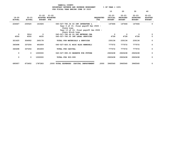|                            |                        |                                  |                                         | YAMHILL COUNTY                 | BUDGETARY REVENUE AND EXPENSE WORKSHEET<br>FOR FISCAL YEAR ENDING JUNE 30 2023                                       |                         | $8$ OF YEAR = $100\%$                 |                                               |                                               |                                              |
|----------------------------|------------------------|----------------------------------|-----------------------------------------|--------------------------------|----------------------------------------------------------------------------------------------------------------------|-------------------------|---------------------------------------|-----------------------------------------------|-----------------------------------------------|----------------------------------------------|
|                            |                        |                                  |                                         |                                |                                                                                                                      |                         | 10                                    | 20                                            | 30                                            | 40                                           |
| $19 - 20$<br><b>ACTUAL</b> | 20-21<br><b>ACTUAL</b> | <b>BUDGET FTE</b>                | $21 - 22$ $21 - 22$<br>ADOPTED BUDGETED |                                |                                                                                                                      | <b>REQUESTED</b><br>FTE | $22 - 23$<br>INITIAL<br><b>BUDGET</b> | $22 - 23$<br><b>PROPOSED</b><br><b>BUDGET</b> | $22 - 23$<br><b>APPROVED</b><br><b>BUDGET</b> | $22 - 23$<br><b>ADOPTED</b><br><b>BUDGET</b> |
| 224647                     | 230520                 | 161826                           |                                         | State Loan<br>Stern Block Loan | 040-027-780.34 CO INT INTERFUND L<br>Year 6 of 10, final payoff Dec 2026 -<br>Year 13 of 16, final payoff Jan 2026 - |                         | 147466                                | 147466                                        | 147466                                        | $\Omega$                                     |
| 0<br>4500                  | 3914<br>4500           | $\overline{\phantom{0}}$<br>4635 |                                         |                                | 040-027-780.46 CO INT NETWORK CHA<br>040-027-780.55 INT LEGAL SERVICES                                               |                         | $\Omega$<br>4728                      | 0<br>4728                                     | 0<br>4728                                     | 0<br>$\mathbf 0$                             |
| 321625                     | 304902                 | 260178                           |                                         |                                | TOTAL FOR MATERIALS & SERVICES                                                                                       |                         | 230136                                | 230136                                        | 230136                                        | 0                                            |
| 345498                     | 337254                 | 491809                           |                                         |                                | 040-027-820.01 MISC BLDG REMODELI                                                                                    |                         | 777572                                | 777572                                        | 777572                                        | 0                                            |
| 345498                     | 337254                 | 491809                           |                                         | TOTAL FOR CAPITAL              |                                                                                                                      |                         | 777572                                | 777572                                        | 777572                                        | 0                                            |
| 0                          | $\Omega$               | 1000000                          |                                         |                                | 040-027-990.03 RESERVE FOR FUTURE                                                                                    |                         | 2920438                               | 2920438                                       | 2920438                                       | 0                                            |
| $\Omega$                   | $\mathbf{0}$           | 1000000                          |                                         | TOTAL FOR 900-999              |                                                                                                                      |                         | 2920438                               | 2920438                                       | 2920438                                       | 0                                            |
| 695957                     | 673602                 | 1787283                          |                                         |                                | .2000 TOTAL EXPENSES CAPITAL IMPROVEMENT                                                                             | .2000                   | 3965560                               | 3965560                                       | 3965560                                       | 0                                            |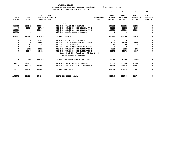| YAMHILL COUNTY                          |                       |  |  |  |  |  |  |
|-----------------------------------------|-----------------------|--|--|--|--|--|--|
| BUDGETARY REVENUE AND EXPENSE WORKSHEET | $8$ OF YEAR = 100 $8$ |  |  |  |  |  |  |
| FOR FISCAL YEAR ENDING JUNE 30 2023     |                       |  |  |  |  |  |  |

|                            |                            |                                                |                                                                |                                | 10                                           | 20                                            | 30                                            | 40                                           |
|----------------------------|----------------------------|------------------------------------------------|----------------------------------------------------------------|--------------------------------|----------------------------------------------|-----------------------------------------------|-----------------------------------------------|----------------------------------------------|
| $19 - 20$<br><b>ACTUAL</b> | $20 - 21$<br><b>ACTUAL</b> | $21 - 22$<br>ADOPTED BUDGETED<br><b>BUDGET</b> | $21 - 22$<br><b>FTE</b>                                        | <b>REOUESTED</b><br><b>FTE</b> | $22 - 23$<br><b>INITIAL</b><br><b>BUDGET</b> | $22 - 23$<br><b>PROPOSED</b><br><b>BUDGET</b> | $22 - 23$<br><b>APPROVED</b><br><b>BUDGET</b> | $22 - 23$<br><b>ADOPTED</b><br><b>BUDGET</b> |
|                            |                            |                                                | <b>JAIL</b>                                                    |                                |                                              |                                               |                                               |                                              |
| 561713                     | 667942                     | 118509                                         | 040-041-301.01 BEG BALANCE                                     |                                | 209859                                       | 209859                                        | 209859                                        | 0                                            |
| $\Omega$                   | 56020                      | 55796                                          | 040-041-380.63 CO INT TRNSFR FR C                              |                                | 56881                                        | 56881                                         | 56881                                         | $\Omega$                                     |
| 800000                     | 0                          | 100000                                         | 040-041-380.91 CO INT TRNSFR FR G                              |                                | 100000                                       | 100000                                        | 100000                                        | 0                                            |
| 500000                     | 0                          | 0                                              | 040-041-391.04 LOAN PROCEEDS                                   |                                | 0                                            | 0                                             | 0                                             | 0                                            |
| 1861713                    | 723962                     | 274305                                         | <b>TOTAL REVENUE</b>                                           |                                | 366740                                       | 366740                                        | 366740                                        | $\mathbf 0$                                  |
| 0                          | 0                          | 53481                                          | 040-041-511.10 JAIL SUPPLIES                                   |                                | 0                                            | $\mathbf{0}$                                  | $\Omega$                                      | 0                                            |
| 0                          | $\Omega$                   | 15000                                          | 040-041-610.01 PROFESSIONAL SERVI                              |                                | 15000                                        | 15000                                         | 15000                                         | 0                                            |
| 0                          | 764                        | 50                                             | 040-041-611.01 AUDIT                                           |                                | 50                                           | 50                                            | 50                                            | 0                                            |
| $\mathbf 0$                | 2283                       | $\Omega$                                       | 040-041-780.06 EQUIPMENT REPLACEM                              |                                | $\Omega$                                     | $^{\circ}$                                    | 0                                             | 0                                            |
| 0                          | 5625                       | 10122                                          | 040-041-780.20 CO INT INTERFUND L                              |                                | 9095                                         | 9095                                          | 9095                                          | $\Omega$                                     |
| 0                          | 50148                      | 45652                                          | 040-041-780.34 CO INT INTERFUND L                              |                                | 46679                                        | 46679                                         | 46679                                         | 0                                            |
|                            |                            |                                                | Year 3 of 10, final payoff Jan 2030 -<br>Jail Security Cameras |                                |                                              |                                               |                                               |                                              |
| $\Omega$                   | 58820                      | 124305                                         | TOTAL FOR MATERIALS & SERVICES                                 |                                | 70824                                        | 70824                                         | 70824                                         | 0                                            |
| 1193771                    | 165529                     | $\Omega$                                       | 040-041-800.80 DEPT EQUIPMENT                                  |                                | 100000                                       | 100000                                        | 100000                                        | 0                                            |
| 0                          | 389775                     | 150000                                         | 040-041-820.01 MISC BLDG REMODELI                              |                                | 195916                                       | 195916                                        | 195916                                        | 0                                            |
| 1193771                    | 555304                     | 150000                                         | TOTAL FOR CAPITAL                                              |                                | 295916                                       | 295916                                        | 295916                                        | 0                                            |
| 1193771                    | 614124                     | 274305                                         | TOTAL EXPENSES<br><b>JAIL</b>                                  |                                | 366740                                       | 366740                                        | 366740                                        | 0                                            |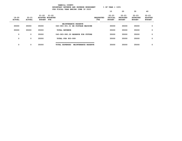| YAMHILL COUNTY<br>$8$ OF YEAR = 100 $8$<br>BUDGETARY REVENUE AND EXPENSE WORKSHEET<br>FOR FISCAL YEAR ENDING JUNE 30 2023 |                            |                            |                                      |                                   |                         |                                       |                                               |                                               |                                              |  |  |
|---------------------------------------------------------------------------------------------------------------------------|----------------------------|----------------------------|--------------------------------------|-----------------------------------|-------------------------|---------------------------------------|-----------------------------------------------|-----------------------------------------------|----------------------------------------------|--|--|
|                                                                                                                           |                            |                            |                                      |                                   |                         | 10                                    | 20                                            | 30                                            | 40                                           |  |  |
| $19 - 20$<br><b>ACTUAL</b>                                                                                                | $20 - 21$<br><b>ACTUAL</b> | $21 - 22$<br><b>BUDGET</b> | $21 - 22$<br>ADOPTED BUDGETED<br>FTE |                                   | <b>REQUESTED</b><br>FTE | $22 - 23$<br>INITIAL<br><b>BUDGET</b> | $22 - 23$<br><b>PROPOSED</b><br><b>BUDGET</b> | $22 - 23$<br><b>APPROVED</b><br><b>BUDGET</b> | $22 - 23$<br><b>ADOPTED</b><br><b>BUDGET</b> |  |  |
|                                                                                                                           |                            |                            |                                      | MAINTENANCE RESERVE               |                         |                                       |                                               |                                               |                                              |  |  |
| 35000                                                                                                                     | 35000                      | 35000                      |                                      | 040-083-301.01 BB POSTAGE MACHINE |                         | 35000                                 | 35000                                         | 35000                                         | 0                                            |  |  |
| 35000                                                                                                                     | 35000                      | 35000                      | <b>TOTAL REVENUE</b>                 |                                   |                         | 35000                                 | 35000                                         | 35000                                         | 0                                            |  |  |
| 0                                                                                                                         | 0                          | 35000                      |                                      | 040-083-990.29 RESERVE FOR FUTURE |                         | 35000                                 | 35000                                         | 35000                                         | 0                                            |  |  |
| 0                                                                                                                         | 0                          | 35000                      | TOTAL FOR 900-999                    |                                   |                         | 35000                                 | 35000                                         | 35000                                         | 0                                            |  |  |
| 0                                                                                                                         | 0                          | 35000                      | TOTAL EXPENSES                       | MAINTENANCE RESERVE               |                         | 35000                                 | 35000                                         | 35000                                         | 0                                            |  |  |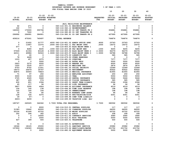|               |                          |                          |           |                                                                      |                  | 10                       | 20                       | 30                       | 40             |
|---------------|--------------------------|--------------------------|-----------|----------------------------------------------------------------------|------------------|--------------------------|--------------------------|--------------------------|----------------|
|               |                          | $21 - 22$                | $21 - 22$ |                                                                      |                  | 22-23                    | $22 - 23$                | $22 - 23$                | $22 - 23$      |
| $19 - 20$     | $20 - 21$                | ADOPTED BUDGETED         |           |                                                                      | <b>REQUESTED</b> | INITIAL                  | <b>PROPOSED</b>          | <b>APPROVED</b>          | <b>ADOPTED</b> |
| <b>ACTUAL</b> | <b>ACTUAL</b>            | <b>BUDGET FTE</b>        |           |                                                                      | <b>FTE</b>       | <b>BUDGET</b>            | <b>BUDGET</b>            | <b>BUDGET</b>            | <b>BUDGET</b>  |
|               |                          |                          |           |                                                                      |                  |                          |                          |                          |                |
|               |                          |                          |           | <b>JAIL FACILITIES MAINTENANCE</b>                                   |                  |                          |                          |                          |                |
| 62            | 271                      | $\mathbf 0$              |           | 040-116-301.01 BEGINNING BALANCE                                     |                  | 0                        | 0                        | 0                        | 0              |
| 162           | 777                      | $\mathbf{0}$             |           | 040-116-362.12 REIMBURSEMENT                                         |                  | 0                        | 0                        | 0                        | 0              |
| 162000        | 170000                   | 355796                   |           | 040-116-380.63 CO INT TRNSFR FR C                                    |                  | 356881                   | 356881                   | 356881                   | 0              |
| 0             | 7222                     | $\overline{\phantom{0}}$ |           | 040-116-380.80 CO INT TRANSFER FR                                    |                  | 0                        | 0                        | 0                        | 0              |
| 296992        | 296991                   | 384901                   |           | 040-116-380.91 CO INT TRNSFR FR G                                    |                  | 407995                   | 407995                   | 407995                   | 0              |
| 459216        | 475261                   | 740697                   |           | <b>TOTAL REVENUE</b>                                                 |                  | 764876                   | 764876                   | 764876                   | 0              |
| $\mathbf{o}$  | 21622                    | 21777                    |           | .4000 040-116-401.02 ADMIN OFFICE SPEC                               | .4000            | 23763                    | 23763                    | 23763                    | 0              |
| $\mathbf{o}$  | 11847                    | 12375                    |           | .2000 040-116-402.11 FAC MAINT SPEC                                  | .2000            | 14072                    | 14072                    | 14072                    | 0              |
| 677           | $\overline{\phantom{0}}$ | $\overline{\phantom{a}}$ |           | 040-116-403.43 BLDG MAINT WRKR 1                                     |                  | $^{\circ}$               | $\overline{\phantom{0}}$ | $\overline{\phantom{a}}$ | 0              |
| $\mathbf 0$   | 8280                     | 8435                     |           | .1000  040-116-403.48  FAC MAINT MGR                                 | .1000            | 9205                     | 9205                     | 9205                     | 0              |
| 57509         | 41304                    | 83128                    |           | 2.0000 040-116-403.56 BLDG MAINT WRKR 2                              | 2.0000           | 94379                    | 94379                    | 94379                    | 0              |
| 46311         | 49986                    | 52043                    |           | 1.0000 040-116-403.57 BLDG MAINT WRKR 3                              | 1.0000           | 56788                    | 56788                    | 56788                    | 0              |
| $\mathbf{o}$  | 60                       | $\overline{\phantom{0}}$ |           | 040-116-475.00 LONGEVITY PAY                                         |                  | 585                      | 585                      | 585                      | 0              |
| 78            | 4428                     | $\overline{\mathbf{0}}$  |           | 040-116-479.00 OTHER EARNINGS                                        |                  | $\overline{\phantom{0}}$ | $\overline{\phantom{0}}$ | $\overline{\phantom{0}}$ | 0              |
| 1033          | 457                      | 6375                     |           | 040-116-481.00 OVERTIME                                              |                  | 7377                     | 7377                     | 7377                     | 0              |
| $\mathbf{o}$  | $\overline{\phantom{0}}$ | 5000                     |           | 040-116-482.00 EXTRA HELP                                            |                  | 5000                     | 5000                     | 5000                     | 0              |
| 2923          | 2272                     | 6000                     |           | 040-116-484.00 BEEPER PAY                                            |                  | 6000                     | 6000                     | 6000                     | 0              |
| 1520          | 2035                     | 2577                     |           | 040-116-490.00 MEDICARE TAX                                          |                  | 2874                     | 2874                     | 2874                     | 0              |
| 6703          | 8702                     | 11021                    |           | 040-116-491.00 SOCIAL SECURITY                                       |                  | 12289                    | 12289                    | 12289                    | 0              |
| 18573         | 24679                    | 35747                    |           | 040-116-492.00 RETIREMENT                                            |                  | 40422                    | 40422                    | 40422                    | 0              |
| 42875         | 50593                    | 76823                    |           | 040-116-493.10 MEDICAL INSURANCE                                     |                  | 81955                    | 81955                    | 81955                    | 0              |
| 71            | 97                       | 250                      |           | 040-116-493.12 EMPLOYEE ASSISTANC                                    |                  | 250                      | 250                      | 250                      | 0              |
| 3000          | 3160                     | 4440                     |           | 040-116-493.15 VEBA                                                  |                  | 5550                     | 5550                     | 5550                     | 0              |
| 3725          | 4045                     | 5646                     |           | 040-116-493.20 DENTAL INSURANCE                                      |                  | 5646                     | 5646                     | 5646                     | 0<br>0         |
| 387<br>630    | 405<br>851               | 574<br>2394              |           | 040-116-493.25 VISION INSURANCE<br>040-116-493.31 SHORT TERM DISABIL |                  | 585<br>2394              | 585<br>2394              | 585<br>2394              | 0              |
| 45            | 117                      | 96                       |           | 040-116-493.40 LIFE INSURANCE                                        |                  | 96                       | 96                       | 96                       | 0              |
| 3857          | 3295                     | 4924                     |           | 040-116-494.00 ACCIDENT INSURANCE                                    |                  | 4519                     | 4519                     | 4519                     | 0              |
| 106           | 140                      | 138                      |           | 040-116-494.80 TIME LOSS RESERVE                                     |                  | 198                      | 198                      | 198                      | 0              |
| 105           | 140                      | 144                      |           | 040-116-495.00 UNEMPLOYMENT                                          |                  | 198                      | 198                      | 198                      | 0              |
| 55            | 54                       | 80                       |           | 040-116-496.00 WORKERS COMP ASSES                                    |                  | 96                       | 96                       | 96                       | 0              |
| 128           | 334                      | 6375                     |           | 040-116-499.00 FET/VACATION/SICK                                     |                  | 6351                     | 6351                     | 6351                     | 0              |
| 39            | 87-                      | $\overline{\mathbf{0}}$  |           | 040-116-499.98 COMP TIME LIABILIT                                    |                  | $\mathbf 0$              | $\mathbf 0$              | $\overline{\mathbf{0}}$  | 0              |
| 4603-         | 6209                     | 0                        |           | 040-116-499.99 VACATION LIAB. ADJ                                    |                  | 0                        | 0                        | 0                        | 0              |
| 185747        | 245025                   | 346362                   |           | 3.7000 TOTAL FOR PERSONNEL                                           | 3.7000           | 380592                   | 380592                   | 380592                   | 0              |
| $\mathbf 0$   | $\overline{\phantom{0}}$ | 8000                     |           | 040-116-510.01 CENTRAL SUPPLIES                                      |                  | 117                      | 117                      | 117                      | 0              |
| 31383         | 19642                    | 60000                    |           | 040-116-511.02 CLEANING SUPPLIES                                     |                  | 64000                    | 64000                    | 64000                    | 0              |
| 50154         | 41266                    | 63722                    |           | 040-116-511.09 MAINT SUPPLIES                                        |                  | 63722                    | 63722                    | 63722                    | 0              |
| 352           | 294                      | 362                      |           | 040-116-611.01 AUDIT                                                 |                  | 308                      | 308                      | 308                      | 0              |
| 0             | 0                        | 14000                    |           | 040-116-611.02 CONTRACT SERVICES                                     |                  | 3580                     | 3580                     | 3580                     | 0              |
| 0             | 0                        | 2000                     |           | 040-116-612.01 MISC TRAINING                                         |                  | 5000                     | 5000                     | 5000                     | 0              |
| 427           | 399                      | 500                      |           | 040-116-620.01 TELEPHONE                                             |                  | 500                      | 500                      | 500                      | 0              |
| 54            | 0                        | $\mathbf 0$              |           | 040-116-640.01 ADVERTISING                                           |                  | 0                        | 0                        | $\mathbf 0$              | 0              |
| 18346         | 18125                    | 25000                    |           | 040-116-670.01 SANITARY SERVICE                                      |                  | 25982                    | 25982                    | 25982                    | 0              |
| 157959        | 136320                   | 206682                   |           | 040-116-670.02 HEAT/LIGHTS/WATER                                     |                  | 201752                   | 201752                   | 201752                   | 0              |
| 0             | 0                        | 2000                     |           | 040-116-680.02 EQUIPMENT REPAIRS                                     |                  | 5000                     | 5000                     | 5000                     | 0              |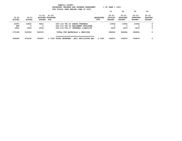|                            |                            |                            |                                      | YAMHILL COUNTY<br>BUDGETARY REVENUE AND EXPENSE WORKSHEET<br>FOR FISCAL YEAR ENDING JUNE 30 2023 |                         | $8$ OF YEAR = 100 $8$                 |                                               |                                               |                                              |
|----------------------------|----------------------------|----------------------------|--------------------------------------|--------------------------------------------------------------------------------------------------|-------------------------|---------------------------------------|-----------------------------------------------|-----------------------------------------------|----------------------------------------------|
|                            |                            |                            |                                      |                                                                                                  |                         | 10                                    | 20                                            | 30                                            | 40                                           |
| $19 - 20$<br><b>ACTUAL</b> | $20 - 21$<br><b>ACTUAL</b> | $21 - 22$<br><b>BUDGET</b> | $21 - 22$<br>ADOPTED BUDGETED<br>FTE |                                                                                                  | <b>REQUESTED</b><br>FTE | $22 - 23$<br>INITIAL<br><b>BUDGET</b> | $22 - 23$<br><b>PROPOSED</b><br><b>BUDGET</b> | $22 - 23$<br><b>APPROVED</b><br><b>BUDGET</b> | $22 - 23$<br><b>ADOPTED</b><br><b>BUDGET</b> |
| 10875                      | 10802                      | 9523                       |                                      | 040-116-780.03 ADMIN OVERHEAD                                                                    |                         | 10904                                 | 10904                                         | 10904                                         | 0                                            |
| 688                        | 0                          | 0                          |                                      | 040-116-780.06 EQUIPMENT REPLACEM                                                                |                         | 0                                     | 0                                             | 0                                             | 0                                            |
| 2961                       | 2545                       | 2546                       |                                      | 040-116-780.27 INTERNAL LIABILITY                                                                |                         | 3419                                  | 3419                                          | 3419                                          | 0                                            |
| 273199                     | 229393                     | 394335                     |                                      | TOTAL FOR MATERIALS & SERVICES                                                                   |                         | 384284                                | 384284                                        | 384284                                        | 0                                            |
| 458946                     | 474418                     | 740697                     | 3.7000                               | <b>TOTAL EXPENSES</b><br><b>JAIL FACILITIES MAI</b>                                              | 3.7000                  | 764876                                | 764876                                        | 764876                                        | 0                                            |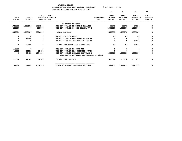| YAMHILL COUNTY                          |                       |
|-----------------------------------------|-----------------------|
| BUDGETARY REVENUE AND EXPENSE WORKSHEET | $8$ OF YEAR = 100 $8$ |
| FOR FISCAL YEAR ENDING JUNE 30 2023     |                       |

|                            |                            |                            |                                                                              |                                | 10                                    | 20                                            | 30                                            | 40                                           |
|----------------------------|----------------------------|----------------------------|------------------------------------------------------------------------------|--------------------------------|---------------------------------------|-----------------------------------------------|-----------------------------------------------|----------------------------------------------|
| $19 - 20$<br><b>ACTUAL</b> | $20 - 21$<br><b>ACTUAL</b> | $21 - 22$<br><b>BUDGET</b> | $21 - 22$<br>ADOPTED BUDGETED<br><b>FTE</b>                                  | <b>REQUESTED</b><br><b>FTE</b> | $22 - 23$<br>INITIAL<br><b>BUDGET</b> | $22 - 23$<br><b>PROPOSED</b><br><b>BUDGET</b> | $22 - 23$<br><b>APPROVED</b><br><b>BUDGET</b> | $22 - 23$<br><b>ADOPTED</b><br><b>BUDGET</b> |
|                            |                            |                            | SOFTWARE RESERVE                                                             |                                |                                       |                                               |                                               |                                              |
| 1740889                    | 1863986                    | 1756149                    | 040-117-301.01 BEGINNING BALANCE                                             |                                | 55873                                 | 55873                                         | 87324                                         | 0                                            |
| 250000                     | 0                          | 250000                     | 040-117-390.01 CO INT TRNSFR FR G                                            |                                | 1500000                               | 1500000                                       | 1500000                                       | 0                                            |
| 1990889                    | 1863986                    | 2006149                    | <b>TOTAL REVENUE</b>                                                         |                                | 1555873                               | 1555873                                       | 1587324                                       | 0                                            |
| 0                          | 0                          | $\Omega$                   | 040-117-611.01 AUDIT                                                         |                                | 63                                    | 63                                            | 63                                            | 0                                            |
| 0                          | 22000                      | 0                          | 040-117-780.06 EQUIPMENT REPLACEM                                            |                                | $\Omega$                              | 0                                             | $\Omega$                                      | $\mathbf 0$                                  |
| 0                          | 0                          | $\mathbf 0$                | 040-117-780.52 INTERNAL TRF TO HH                                            |                                | 0                                     | 0                                             | 31451                                         | 0                                            |
| 0                          | 22000                      | 0                          | TOTAL FOR MATERIALS & SERVICES                                               |                                | 63                                    | 63                                            | 31514                                         | 0                                            |
| 116881                     | 0                          | $\Omega$                   | 040-117-800.06 DP SOFTWARE                                                   |                                | $\Omega$                              | 0                                             | 0                                             | 0                                            |
| 10023                      | 11115                      | 31451                      | 040-117-800.07 HHS SOFTWARE PURCH                                            |                                | 0                                     | $\Omega$                                      |                                               | 0                                            |
| 0                          | 63431                      | 1974698                    | 040-117-800.10 FINANCE SOFTWARE P<br>Finance/HR software replacement project |                                | 1555810                               | 1555810                                       | 1555810                                       | 0                                            |
| 126904                     | 74546                      | 2006149                    | TOTAL FOR CAPITAL                                                            |                                | 1555810                               | 1555810                                       | 1555810                                       | 0                                            |
| 126904                     | 96546                      | 2006149                    | TOTAL EXPENSES<br><b>SOFTWARE RESERVE</b>                                    |                                | 1555873                               | 1555873                                       | 1587324                                       | 0                                            |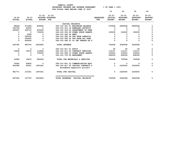|               |                      |                   |                                         |                          |                                   |                  | 10                          | 20                           | 30                           | 40                          |
|---------------|----------------------|-------------------|-----------------------------------------|--------------------------|-----------------------------------|------------------|-----------------------------|------------------------------|------------------------------|-----------------------------|
| $19 - 20$     | $20 - 21$            |                   | $21 - 22$ $21 - 22$<br>ADOPTED BUDGETED |                          |                                   | <b>REOUESTED</b> | $22 - 23$<br><b>INITIAL</b> | $22 - 23$<br><b>PROPOSED</b> | $22 - 23$<br><b>APPROVED</b> | $22 - 23$<br><b>ADOPTED</b> |
| <b>ACTUAL</b> | <b>ACTUAL</b>        | <b>BUDGET FTE</b> |                                         |                          |                                   | <b>FTE</b>       | <b>BUDGET</b>               | <b>BUDGET</b>                | <b>BUDGET</b>                | <b>BUDGET</b>               |
|               |                      |                   |                                         |                          |                                   |                  |                             |                              |                              |                             |
|               |                      |                   |                                         | CAPITAL PROJECTS         |                                   |                  |                             |                              |                              |                             |
| 98666-        | 571280-              | 829925            |                                         |                          | 040-161-301.01 BEGINNING BALANCE  |                  | 570548                      | 2890548                      | 2890548                      | $\Omega$                    |
| 233749        | 90000                | $\mathbf 0$       |                                         |                          | 040-161-331.16 HOMELAND SECURITY  |                  | 0                           | 0                            | 0                            | 0                           |
| 290697        | 356715               | 874000            |                                         |                          | 040-161-334.02 DEPARTMENT OF TRAN |                  | <sup>0</sup>                | 0                            | 0                            | $\Omega$                    |
|               | 0<br>0               | 750000            |                                         |                          | 040-161-334.99 OTHER STATE GRANTS |                  | 150000                      | 150000                       | 150000                       |                             |
|               | 8308<br>0            | 0                 |                                         | 040-161-362.04 RENT      |                                   |                  | 0                           | 0                            | 0                            | $\Omega$                    |
|               | 250000<br>0          | 0                 |                                         |                          | 040-161-380.38 TFR FROM LANDFILL  |                  | 0                           |                              |                              | 0                           |
|               | 250000<br>0          | $\mathbf 0$       |                                         |                          | 040-161-380.52 TFR FROM O&C FUND  |                  |                             |                              | 0                            | $\Omega$                    |
|               | 600000<br>$\Omega$   | $\Omega$          |                                         |                          | 040-161-380.91 CO INT TRNSFR FR G |                  |                             | $\Omega$                     |                              | $\Omega$                    |
| 425780        | 983743               | 2453925           |                                         | <b>TOTAL REVENUE</b>     |                                   |                  | 720548                      | 3040548                      | 3040548                      | $\mathbf 0$                 |
|               | $\mathbf 0$<br>0     | $^{\circ}$        |                                         | 040-161-611.01 AUDIT     |                                   |                  | 65                          | 65                           | 65                           | 0                           |
| 15289         | 16674                | 116664            |                                         |                          | 040-161-611.02 CONTRACT SERVICES  |                  | 112127                      | 112127                       | 112127                       | 0                           |
|               | 0<br>$\Omega$        | 750000            |                                         |                          | 040-161-699.13 OTHER STATE GRANTS |                  | 150000                      | 150000                       | 150000                       | 0                           |
|               | $\Omega$<br>$\Omega$ | $\Omega$          |                                         | 040-161-720.90 REPAYMENT |                                   |                  | 458356                      | 458356                       | 458356                       | 0                           |
| 15289         | 16674                | 866664            |                                         |                          | TOTAL FOR MATERIALS & SERVICES    |                  | 720548                      | 720548                       | 720548                       | $\mathbf 0$                 |
| 79382         | 90800                | $^{\circ}$        |                                         |                          | 040-161-801.23 COMMUNICATION EQUI |                  | 0                           | 0                            | O                            | 0                           |
| 902389        | 40251                | 1587261           |                                         |                          | 040-161-811.02 CAPITAL CONTRACT S |                  | $\mathbf 0$                 | 2320000                      | 2320000                      | 0                           |
|               |                      |                   |                                         |                          | Broadband expansion project       |                  |                             |                              |                              |                             |
| 981771        | 131051               | 1587261           |                                         | TOTAL FOR CAPITAL        |                                   |                  | 0                           | 2320000                      | 2320000                      | 0                           |
| 997060        | 147725               | 2453925           |                                         |                          | TOTAL EXPENSES CAPITAL PROJECTS   |                  | 720548                      | 3040548                      | 3040548                      | 0                           |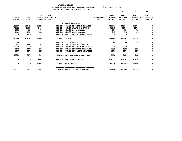|                            |                        |                                          |                                   |                                | 10                                           | 20                                            | 30                                            | 40                                           |
|----------------------------|------------------------|------------------------------------------|-----------------------------------|--------------------------------|----------------------------------------------|-----------------------------------------------|-----------------------------------------------|----------------------------------------------|
| $19 - 20$<br><b>ACTUAL</b> | 20-21<br><b>ACTUAL</b> | $21 - 22$ $21 - 22$<br><b>BUDGET FTE</b> | ADOPTED BUDGETED                  | <b>REQUESTED</b><br><b>FTE</b> | $22 - 23$<br><b>INITIAL</b><br><b>BUDGET</b> | $22 - 23$<br><b>PROPOSED</b><br><b>BUDGET</b> | $22 - 23$<br><b>APPROVED</b><br><b>BUDGET</b> | $22 - 23$<br><b>ADOPTED</b><br><b>BUDGET</b> |
|                            |                        |                                          | <b>BICYCLE FOOTPATH</b>           |                                |                                              |                                               |                                               |                                              |
| 140570                     | 167495                 | 243298                                   | 041-030-301.01 BEGINNING BALANCE  |                                | 343746                                       | 343746                                        | 343746                                        | 0                                            |
| 76499                      | 84084                  | 84604                                    | 041-030-335.07 STATE HWY FUNDS    |                                | 91740                                        | 91740                                         | 91740                                         | 0                                            |
| 1858                       | 980                    | 701                                      | 041-030-361.01 POOL INTEREST      |                                | 734                                          | 734                                           | 734                                           | 0                                            |
| 1469                       | 1330                   | 1038                                     | 041-030-361.03 BOND INTEREST      |                                | 945                                          | 945                                           | 945                                           | $\mathbf 0$                                  |
| 0                          | 2858                   | $\sim$ 0                                 | 041-030-380.80 CO INT TRANSFER FR |                                | $\mathbf{0}$                                 | $\mathbf{0}$                                  | - 0                                           | $\mathbf 0$                                  |
| 220396                     | 256747                 | 329641                                   | <b>TOTAL REVENUE</b>              |                                | 437165                                       | 437165                                        | 437165                                        | 0                                            |
| 68                         | 34                     | 35                                       | 041-030-611.01 AUDIT              |                                | 50                                           | 50                                            | 50                                            | $\mathbf 0$                                  |
| 491                        | 1664                   | 936                                      | 041-030-780.03 ADMIN OVERHEAD     |                                | 77                                           | 77                                            | 77                                            | 0                                            |
| 50000                      | $\Omega$               | $\overline{\mathbf{0}}$                  | 041-030-780.16 CO INT TRNSFR TO P |                                | $^{\circ}$                                   | $^{\circ}$                                    | $\Omega$                                      | 0                                            |
| 1172                       | 1008                   | 1008                                     | 041-030-780.27 INTERNAL LIABILITY |                                | 1353                                         | 1353                                          | 1353                                          | $\Omega$                                     |
| 1170                       | 1170                   | 1170                                     | 041-030-780.55 INT LEGAL SERVICES |                                | 1176                                         | 1176                                          | 1176                                          | $\mathbf 0$                                  |
| 52901                      | 3876                   | 3149                                     | TOTAL FOR MATERIALS & SERVICES    |                                | 2656                                         | 2656                                          | 2656                                          | 0                                            |
| 0                          | $\Omega$               | 326492                                   | 041-030-950.01 CONTINGENCY        |                                | 434509                                       | 434509                                        | 434509                                        | $\mathbf 0$                                  |
| 0                          | $\mathbf 0$            | 326492                                   | TOTAL FOR 900-999                 |                                | 434509                                       | 434509                                        | 434509                                        | $\mathbf 0$                                  |
|                            |                        |                                          |                                   |                                |                                              |                                               |                                               |                                              |
| 52901                      | 3876                   | 329641                                   | TOTAL EXPENSES BICYCLE FOOTPATH   |                                | 437165                                       | 437165                                        | 437165                                        | 0                                            |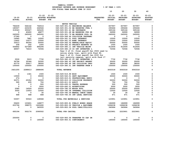|               |               |               |                  | YAMHILL COUNTY                          |                  |                       |                 |                 |                |
|---------------|---------------|---------------|------------------|-----------------------------------------|------------------|-----------------------|-----------------|-----------------|----------------|
|               |               |               |                  | BUDGETARY REVENUE AND EXPENSE WORKSHEET |                  | $8$ OF YEAR = 100 $8$ |                 |                 |                |
|               |               |               |                  | FOR FISCAL YEAR ENDING JUNE 30 2023     |                  |                       |                 |                 |                |
|               |               |               |                  |                                         |                  | 10                    | 20              | 30              | 40             |
|               |               |               |                  |                                         |                  |                       |                 |                 |                |
|               |               | $21 - 22$     | 21-22            |                                         |                  | $22 - 23$             | $22 - 23$       | $22 - 23$       | $22 - 23$      |
| $19 - 20$     | $20 - 21$     |               | ADOPTED BUDGETED |                                         | <b>REOUESTED</b> | <b>INITIAL</b>        | <b>PROPOSED</b> | <b>APPROVED</b> | <b>ADOPTED</b> |
| <b>ACTUAL</b> | <b>ACTUAL</b> | <b>BUDGET</b> | FTE              |                                         | FTE              | <b>BUDGET</b>         | <b>BUDGET</b>   | <b>BUDGET</b>   | <b>BUDGET</b>  |

|              |              |             | MOTOR VEHICLE                               |             |             |             |                     |
|--------------|--------------|-------------|---------------------------------------------|-------------|-------------|-------------|---------------------|
| 784439       | 564142       | 764516      | 045-029-301.01 BEGINNING BALANCE            | 837957      | 837957      | 837957      | 0                   |
| 185507       | 220235       | 246546      | 045-029-301.02 BB RESERVED FUEL I           | 290466      | 290466      | 290466      | 0                   |
| 319343       | 355027       | 365435      | 045-029-301.41 BB INSURANCE                 | 365164      | 365164      | 365164      | 0                   |
| $^{\circ}$   | 40600        | 48877       | 045-029-301.68 BB RESERVED FOR GR           | 36999       | 36999       | 36999       | $\mathsf{o}$        |
| 245000       | 245000       | 245000      | 045-029-301.79 BB RESERVE POOL CA           | 245000      | 245000      | 245000      | 0                   |
| 27340        | $\mathbf 0$  | 0           | 045-029-346.44 COLLISION INSURANC           | 0           | $\mathbf 0$ | $\Omega$    | $\mathbf{o}$        |
| 16940        | 7881         | 10500       | 045-029-361.01 POOL INTEREST                | 10500       | 10500       | 10500       | 0                   |
| 13602        | 10577        | 10500       | 045-029-361.03 BOND INTEREST                | 10500       | 10500       | 10500       | $\mathbf 0$         |
| 33013        | 46354        | 50000       | 045-029-362.02 RENTAL/SALE EQUIP/           | 50000       | 50000       | 50000       | $\pmb{0}$           |
| 208          | 202          | 1000        | 045-029-362.43 PROJECT RESERVE US           | 1000        | 1000        | 1000        | 0                   |
| 564862       | 527289       | 895296      | 045-029-380.11 INT VEHICLE MAINT            | 912406      | 912406      | 912406      | $\mathsf{o}\xspace$ |
| 48907        | 74410        | 72594       | 045-029-380.19 CO INT INTERFUND L           | 72594       | 72594       | 72594       | $\Omega$            |
|              |              |             | Year 6 of 10, final payoff Dec 2026 used to |             |             |             |                     |
|              |              |             | retire state loan, split with Fund 38;      |             |             |             |                     |
|              |              |             | Year 3 of 10, final payoff Jan 2030 for     |             |             |             |                     |
|              |              |             | jail secuirty cameras, split with Fund 17   |             |             |             |                     |
| 3530         | 5915         | 7732        | 045-029-380.20 CO INT INTERFUND L           | 7732        | 7732        | 7732        | 0                   |
| 34794        | 35364        | 32500       | 045-029-380.43 INT PROJECT RESERV           | 35000       | 35000       | 35000       | 0                   |
| 43770        | 55617        | 38000       | 045-029-380.44 INT COLLISION INSU           | 38000       | 38000       | 38000       | 0                   |
| 100000       | 100000       | 100000      | 045-029-380.51 INT TRANFER FROM P           | 150000      | 150000      | 150000      | $\mathbf 0$         |
|              |              |             |                                             |             |             |             |                     |
| 2421255      | 2288613      | 2888496     | <b>TOTAL REVENUE</b>                        | 3063318     | 3063318     | 3063318     | $\mathbf 0$         |
|              |              |             |                                             |             |             |             |                     |
| $\mathbf 0$  | 1361         | 1500        | 045-029-515.99 MISC                         | 1500        | 1500        | 1500        | $\mathsf{o}\xspace$ |
| 13509        | 0            | 35000       | 045-029-543.01 DEPT EQUIPMENT               | 30000       | 30000       | 30000       | $\mathsf{o}$        |
| 274          | 0            | $\mathbf 0$ | 045-029-610.01 PROFESSIONAL SERVI           | $\mathbf 0$ | $\mathbf 0$ | $\mathbf 0$ | 0                   |
| 32371        | 25352        | 50000       | 045-029-610.10 COLLISION PROPERTY           | 50000       | 50000       | 50000       | $\mathbf{o}$        |
| 595          | 635          | 750         | 045-029-611.01 AUDIT                        | 750         | 750         | 750         | $\pmb{\mathsf{o}}$  |
| $\mathbf 0$  | $\mathbf{o}$ | 500         | 045-029-630.01 TRAVEL EXPENSE               | 500         | 500         | 500         | $\mathsf{o}\xspace$ |
| $\mathbf 0$  | $\mathbf{o}$ | 3000        | 045-029-640.01 ADVERTISING                  | 3000        | 3000        | 3000        | $\pmb{0}$           |
| 2585         | 14524        | 25000       | 045-029-780.05 MOTOR POOL                   | 25000       | 25000       | 25000       | 0                   |
| 3055         | 13003        | 12500       | 045-029-780.08 INTERNAL COLLISION           | 12500       | 12500       | 12500       | 0                   |
| $\mathbf 0$  | $\mathbf 0$  | 30          | 045-029-780.09 MANUAL CHECK CHARG           | 30          | 30          | 30          | 0                   |
| 668          | 668          | 668         | 045-029-780.55 INT LEGAL SERVICES           | 671         | 671         | 671         | $\mathbf 0$         |
| 53057        | 55543        | 128948      | TOTAL FOR MATERIALS & SERVICES              | 123951      | 123951      | 123951      | $\mathbf 0$         |
|              |              |             |                                             |             |             |             |                     |
| 59400        | 103601       | 148877      | 045-029-800.81 PUBLIC WORKS GRADE           | 186999      | 186999      | 186999      | $\mathsf{o}\xspace$ |
| 633794       | 398575       | 1600690     | 045-029-802.02 VEHICLE & EQUIPMEN           | 1696238     | 1696238     | 1696238     | $\mathsf{o}\xspace$ |
| $\mathbf{o}$ | $\mathbf{o}$ | 340935      | 045-029-802.04 POOL CARS/COLLISIO           | 340664      | 340664      | 340664      | 0                   |
| 693194       | 502176       | 2090502     | TOTAL FOR CAPITAL                           | 2223901     | 2223901     | 2223901     | $\mathbf 0$         |
|              |              |             |                                             |             |             |             |                     |
| 250000       | 0            | 0           | 045-029-900.04 TRANSFER TO CAP IM           | 0           | 0           | 0           | 0                   |
| $\mathbf 0$  | $\mathbf 0$  | 145000      | 045-029-950.01 CONTINGENCY                  | 145000      | 145000      | 145000      | $\mathbf 0$         |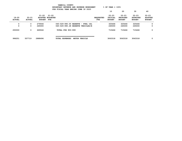|                            | YAMHILL COUNTY<br>$8$ OF YEAR = 100 $8$<br>BUDGETARY REVENUE AND EXPENSE WORKSHEET<br>FOR FISCAL YEAR ENDING JUNE 30 2023 |                                                |                                                                             |                         |                                       |                                               |                                               |                                              |  |  |
|----------------------------|---------------------------------------------------------------------------------------------------------------------------|------------------------------------------------|-----------------------------------------------------------------------------|-------------------------|---------------------------------------|-----------------------------------------------|-----------------------------------------------|----------------------------------------------|--|--|
|                            |                                                                                                                           |                                                |                                                                             |                         | 10                                    | 20                                            | 30                                            | 40                                           |  |  |
| $19 - 20$<br><b>ACTUAL</b> | $20 - 21$<br><b>ACTUAL</b>                                                                                                | $21 - 22$<br>ADOPTED BUDGETED<br><b>BUDGET</b> | $21 - 22$<br>FTE                                                            | <b>REQUESTED</b><br>FTE | $22 - 23$<br>INITIAL<br><b>BUDGET</b> | $22 - 23$<br><b>PROPOSED</b><br><b>BUDGET</b> | $22 - 23$<br><b>APPROVED</b><br><b>BUDGET</b> | $22 - 23$<br><b>ADOPTED</b><br><b>BUDGET</b> |  |  |
| 0<br>0                     | 0<br>0                                                                                                                    | 279046<br>245000                               | 045-029-990.05 RESERVE - FUEL ISL<br>045-029-990.28 RESERVE VEHICLES/E      |                         | 325466<br>245000                      | 325466<br>245000                              | 325466<br>245000                              | 0<br>0                                       |  |  |
| 250000                     | 0                                                                                                                         | 669046                                         | TOTAL FOR 900-999                                                           |                         | 715466                                | 715466                                        | 715466                                        | 0                                            |  |  |
| 996251                     | 557719                                                                                                                    | 2888496                                        | .--------------------------------<br><b>TOTAL EXPENSES</b><br>MOTOR VEHICLE |                         | 3063318                               | 3063318                                       | 3063318                                       | 0                                            |  |  |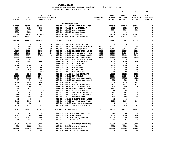| YAMHILL COUNTY                          |                       |
|-----------------------------------------|-----------------------|
| BUDGETARY REVENUE AND EXPENSE WORKSHEET | $8$ OF YEAR = $100\%$ |
| FOR FISCAL YEAR ENDING JUNE 30 2023     |                       |

|                 |                          |                          |                                                        |                                         |                                | 10                              | 20              | 30              | 40               |
|-----------------|--------------------------|--------------------------|--------------------------------------------------------|-----------------------------------------|--------------------------------|---------------------------------|-----------------|-----------------|------------------|
|                 |                          |                          |                                                        |                                         |                                |                                 |                 |                 |                  |
|                 |                          |                          | $21 - 22$ $21 - 22$                                    |                                         |                                | $22 - 23$                       | $22 - 23$       | $22 - 23$       | $22 - 23$        |
| $19 - 20$       | $20 - 21$                |                          | ADOPTED BUDGETED                                       |                                         | <b>REQUESTED</b><br><b>FTE</b> | <b>INITIAL</b><br><b>BUDGET</b> | <b>PROPOSED</b> | <b>APPROVED</b> | <b>ADOPTED</b>   |
| <b>ACTUAL</b>   | <b>ACTUAL</b>            | <b>BUDGET FTE</b>        |                                                        |                                         |                                |                                 | <b>BUDGET</b>   | <b>BUDGET</b>   | <b>BUDGET</b>    |
|                 |                          |                          |                                                        | COMMUNICATIONS                          |                                |                                 |                 |                 |                  |
| 811793          | 764009                   | 634350                   |                                                        | 048-014-301.01 BEGINNING BALANCE        |                                | 621643                          | 621643          | 621643          | 0                |
| 7576            | 3684                     | 2857                     |                                                        | 048-014-361.01 POOL INTEREST            |                                | 2759                            | 2759            | 2759            | $\mathbf 0$      |
| 6120            | 4777                     | 4555                     |                                                        | 048-014-361.03 BOND INTEREST            |                                | 3394                            | 3394            | 3394            | 0                |
| 9986            | 7891                     | $\mathbf 0$              |                                                        | 048-014-362.12 REIMBURSEMENT            |                                | 0                               | $\mathbf 0$     | 0               | 0                |
| 158510          | 122102                   | 107465                   | 048-014-362.30 TELEPHONE                               |                                         |                                | 109658                          | 109658          | 109658          | 0                |
| 432081          | 416212                   | 376930                   |                                                        | 048-014-380.01 CO INT REVENUE           |                                | 369733                          | 369733          | 369733          | 0                |
| 1426066         | 1318675                  | 1126157                  | <b>TOTAL REVENUE</b>                                   |                                         |                                | 1107187                         | 1107187         | 1107187         | 0                |
| 0               | 0                        | 27074                    | .3000 048-014-403.24 SR NETWORK ADMIN                  |                                         |                                | 0                               | $\mathbf 0$     | 0               | 0                |
| 0               | 27486                    | 31048                    |                                                        | .3000 048-014-403.50 SR SYSTEM ADMINIST | .3000                          | 33021                           | 33021           | 33021           | 0                |
| 30721           | 32356                    | 34120                    | .3000 048-014-403.53 INFO SYST MGR                     |                                         | .3000                          | 35144                           | 35144           | 35144           | 0                |
| 17200           | 17296                    | 19857                    |                                                        | .3000 048-014-403.62 DESKTOP SUPPORT SP | .6000                          | 22190                           | 22190           | 22190           | $\Omega$         |
| 18241           | 20018                    | 22424                    |                                                        | .3000 048-014-403.63 SR DESKTOP SUPPORT | .3000                          | 24010                           | 24010           | 24010           | 0                |
| 23533           | 25374                    | 27592                    |                                                        | .4000 048-014-403.64 OFFICE COORDINATOR | .4000                          | 28419                           | 28419           | 28419           | 0                |
| 18899           | 22293                    | $\mathbf{0}$             |                                                        | 048-014-403.67 NETWORK ADMINISTRA       | .3000                          | 28903                           | 28903           | 28903           | 0                |
| 25762           | 585                      | $\mathbf 0$              |                                                        | 048-014-403.69 SYSTEM ADMINISTRAT       |                                | 0                               | $\mathbf 0$     | $\mathbf{0}$    | 0                |
| 940             | 4553                     | 8000                     |                                                        | 048-014-479.00 OTHER EARNINGS           |                                | 8000                            | 8000            | 8000            | 0                |
| $\mathbf{0}$    | $\overline{\phantom{a}}$ | $\mathbf 0$              |                                                        | 048-014-480.00 EXTRA HOURS              |                                | $\mathbf 0$                     | $\mathbf{0}$    | $\mathbf 0$     | 0<br>$\mathbf 0$ |
| 1246            | 1260                     | 1200                     | 048-014-481.00 OVERTIME                                |                                         |                                | 1200                            | 1200            | 1200            | 0                |
| 296<br>2551     | 6230<br>2530             | 7000<br>3000             | 048-014-482.00 EXTRA HELP<br>048-014-484.00 BEEPER PAY |                                         |                                | 7000<br>3000                    | 7000<br>3000    | 7000<br>3000    | $\Omega$         |
| 2027            | 2325                     | 2629                     |                                                        | 048-014-490.00 MEDICARE TAX             |                                | 2768                            | 2768            | 2768            | 0                |
| 8666            | 9941                     | 11241                    |                                                        | 048-014-491.00 SOCIAL SECURITY          |                                | 11835                           | 11835           | 11835           | $\mathbf 0$      |
| 23028           | 27191                    | 32601                    | 048-014-492.00 RETIREMENT                              |                                         |                                | 34526                           | 34526           | 34526           | 0                |
| 31490           | 36115                    | 39450                    |                                                        | 048-014-493.10 MEDICAL INSURANCE        |                                | 42085                           | 42085           | 42085           | 0                |
| 57              | 56                       | 100                      |                                                        | 048-014-493.12 EMPLOYEE ASSISTANC       |                                | 200                             | 200             | 200             | 0                |
| 1910            | 1890                     | 2280                     | 048-014-493.15 VEBA                                    |                                         |                                | 2850                            | 2850            | 2850            | 0                |
| 1991            | 1908                     | 2899                     |                                                        | 048-014-493.20 DENTAL INSURANCE         |                                | 2793                            | 2793            | 2793            | 0                |
| 246             | 240                      | 295                      |                                                        | 048-014-493.25 VISION INSURANCE         |                                | 300                             | 300             | 300             | 0                |
| 730             | 831                      | 1112                     |                                                        | 048-014-493.31 SHORT TERM DISABIL       |                                | 1112                            | 1112            | 1112            | 0                |
| 32              | 79                       | 49                       |                                                        | 048-014-493.40 LIFE INSURANCE           |                                | 49                              | - 49            | 49              | 0                |
| 280             | 183                      | 181                      |                                                        | 048-014-494.00 ACCIDENT INSURANCE       |                                | 153                             | 153             | 153             | 0                |
| 149             | 163                      | 181                      |                                                        | 048-014-494.80 TIME LOSS RESERVE        |                                | 191                             | 191             | 191             | 0                |
| 142             | 163                      | 181                      |                                                        | 048-014-495.00 UNEMPLOYMENT             |                                | 191                             | 191             | 191             | 0                |
| 41              | 41                       | - 49                     |                                                        | 048-014-496.00 WORKERS COMP ASSES       |                                | 49                              | 49              | - 49            | 0                |
| 2441            | 3041                     | 3000                     |                                                        | 048-014-499.00 FET/VACATION/SICK        |                                | 2600                            | 2600            | 2600            | 0                |
| 12 <sup>7</sup> | $12-$                    | $\overline{\phantom{0}}$ |                                                        | 048-014-499.98 COMP TIME LIABILIT       |                                | 0                               | $\mathbf 0$     | $\overline{0}$  | 0                |
| 1894            | 1919                     | 250                      |                                                        | 048-014-499.99 VACATION LIAB. ADJ       |                                | 250                             | 250             | 250             | 0                |
| 214525          | 246057                   | 277813                   | 1.9000 TOTAL FOR PERSONNEL                             |                                         | 2.2000                         | 292839                          | 292839          | 292839          | 0                |
| 0               | 97                       | 250                      |                                                        | 048-014-510.01 CENTRAL SUPPLIES         |                                | 250                             | 250             | 250             | 0                |
| 11231           | 255                      | 8000                     | 048-014-513.06 SOFTWARE                                |                                         |                                | 8000                            | 8000            | 8000            | 0                |
| 115804          | 58031                    | 30000                    |                                                        | 048-014-543.01 DEPT EQUIPMENT           |                                | 30000                           | 30000           | 30000           | 0                |
| 256             | 421                      | 350                      | 048-014-611.01 AUDIT                                   |                                         |                                | 364                             | 364             | 364             | 0                |
| 61232           | 10418                    | 30000                    |                                                        | 048-014-611.02 CONTRACT SERVICES        |                                | 30000                           | 30000           | 30000           | 0                |
| 800             | 1805                     | 5000                     |                                                        | 048-014-612.01 MISC TRAINING            |                                | 5000                            | 5000            | 5000            | 0                |
| 140262          | 162841                   | 165000                   | 048-014-620.01 TELEPHONE                               |                                         |                                | 150000                          | 150000          | 150000          | 0                |
| 90              | 0                        | 3000                     |                                                        | 048-014-630.01 TRAVEL EXPENSE           |                                | 3000                            | 3000            | 3000            | 0                |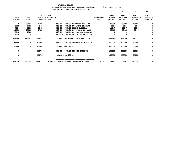|                            |                            |                            |                                      |                                   |                                | 10                                           | 20                                            | 30                                            | 40                                           |
|----------------------------|----------------------------|----------------------------|--------------------------------------|-----------------------------------|--------------------------------|----------------------------------------------|-----------------------------------------------|-----------------------------------------------|----------------------------------------------|
| $19 - 20$<br><b>ACTUAL</b> | $20 - 21$<br><b>ACTUAL</b> | $21 - 22$<br><b>BUDGET</b> | $21 - 22$<br>ADOPTED BUDGETED<br>FTE |                                   | <b>REQUESTED</b><br><b>FTE</b> | $22 - 23$<br><b>INITIAL</b><br><b>BUDGET</b> | $22 - 23$<br><b>PROPOSED</b><br><b>BUDGET</b> | $22 - 23$<br><b>APPROVED</b><br><b>BUDGET</b> | $22 - 23$<br><b>ADOPTED</b><br><b>BUDGET</b> |
| $\mathbf{o}$               | 50519                      | 44720                      |                                      | 048-014-683.07 SOFTWARE LIC AND M |                                | 100000                                       | 100000                                        | 100000                                        | O                                            |
| 3428                       | 4651                       | 3496                       |                                      | 048-014-780.01 BUILDING RESERVE   |                                | 3564                                         | 3564                                          | 3564                                          | 0                                            |
| 7124                       | 6213                       | 12418                      | 048-014-780.03 ADMIN OVERHEAD        |                                   |                                | 11147                                        | 11147                                         | 11147                                         |                                              |
| 14809                      | 17325                      | 17324                      |                                      | 048-014-780.06 EQUIPMENT REPLACEM |                                | 22465                                        | 22465                                         | 22465                                         | 0                                            |
| 2748                       | 1525                       | 0                          |                                      | 048-014-780.44 CO INT PEL RESERVE |                                | 0                                            | 0                                             | 0                                             | 0                                            |
| 1600                       | 0                          | 0                          |                                      | 048-014-780.46 CO INT NETWORK CHA |                                | 0                                            | 0                                             | 0                                             | 0                                            |
| 359384                     | 314101                     | 319558                     |                                      | TOTAL FOR MATERIALS & SERVICES    |                                | 363790                                       | 363790                                        | 363790                                        | 0                                            |
| 88149                      | 0                          | 100000                     |                                      | 048-014-801.23 COMMUNICATION EOUI |                                | 200000                                       | 200000                                        | 200000                                        | 0                                            |
| 88149                      | $\Omega$                   | 100000                     | TOTAL FOR CAPITAL                    |                                   |                                | 200000                                       | 200000                                        | 200000                                        | $\mathbf 0$                                  |
| 0                          | 0                          | 428786                     | 048-014-990.01 ENDING BALANCE        |                                   |                                | 250558                                       | 250558                                        | 250558                                        | 0                                            |
| 0                          | $\mathbf{0}$               | 428786                     | TOTAL FOR 900-999                    |                                   |                                | 250558                                       | 250558                                        | 250558                                        | 0                                            |
| 662058                     | 560158                     | 1126157                    | 1.9000 TOTAL EXPENSES                | COMMUNICATIONS                    | 2.2000                         | 1107187                                      | 1107187                                       | 1107187                                       | 0                                            |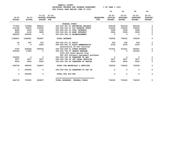| YAMHILL COUNTY                          |                       |
|-----------------------------------------|-----------------------|
| BUDGETARY REVENUE AND EXPENSE WORKSHEET | $8$ OF YEAR = $100\%$ |
| FOR FISCAL YEAR ENDING JUNE 30 2023     |                       |

|               |                          |                        |                                      |                  | 10             | 20              | 30              | 40             |
|---------------|--------------------------|------------------------|--------------------------------------|------------------|----------------|-----------------|-----------------|----------------|
|               |                          |                        |                                      |                  |                |                 |                 |                |
|               |                          | $21 - 22$<br>$21 - 22$ |                                      |                  | $22 - 23$      | $22 - 23$       | $22 - 23$       | $22 - 23$      |
| $19 - 20$     | $20 - 21$                | ADOPTED BUDGETED       |                                      | <b>REQUESTED</b> | <b>INITIAL</b> | <b>PROPOSED</b> | <b>APPROVED</b> | <b>ADOPTED</b> |
| <b>ACTUAL</b> | <b>ACTUAL</b>            | <b>BUDGET FTE</b>      |                                      | <b>FTE</b>       | <b>BUDGET</b>  | <b>BUDGET</b>   | <b>BUDGET</b>   | <b>BUDGET</b>  |
|               |                          |                        | FEDERAL FUNDS                        |                  |                |                 |                 |                |
| 777303        | 723689                   | 496212                 | 050-052-301.01 BEGINNING BALANCE     |                  | 629158         | 629158          | 629158          | 0              |
| 103748        | 85875                    | 100000                 | 050-052-332.01 O&C RESERVE FUNDS     |                  | 100000         | 100000          | 100000          | 0              |
| 8284          | 3255                     | 3125                   | 050-052-361.01 POOL INTEREST         |                  | 2438           | 2438            | 2438            | 0              |
| 6592          | 4132                     | 3490                   | 050-052-361.03 BOND INTEREST         |                  | 2936           | 2936            | 2936            | 0              |
| 292500        | 450000                   | $\Omega$               | 050-052-362.12 REIMBURSEMENT         |                  | 0              | <sup>0</sup>    | $\Omega$        | $\mathbf 0$    |
| 1188427       | 1266951                  | 602827                 | <b>TOTAL REVENUE</b>                 |                  | 734532         | 734532          | 734532          | 0              |
| 20            | 297                      | 310                    | 050-052-611.01 AUDIT                 |                  | 504            | 504             | 504             | 0              |
| $\mathbf 0$   | $^{\circ}$               | 4000                   | 050-052-691.01 ASSOC MEMBERSHIPS     |                  | 4100           | 4100            | 4100            | $\mathbf 0$    |
|               |                          |                        | Association of O&C Counties          |                  |                |                 |                 |                |
| 3742          | 454096                   | 590040                 | 050-052-699.01 OTHER EXPENSE         |                  | 721451         | 721451          | 540051          | $\mathbf 0$    |
| 302500        | 17680                    | $\Omega$               | 050-052-700.27 GRANTS AWARDED        |                  | $\mathbf 0$    | $\mathbf{0}$    | 181400          | 0              |
|               |                          |                        | \$100,000 Parks Master Plan          |                  |                |                 |                 |                |
|               |                          |                        | \$81,400 Surveyor equipment purchase |                  |                |                 |                 |                |
| 150000        | $\overline{\phantom{0}}$ | $\Omega$               | 050-052-780.52 TRANSFER TO HHS       |                  | $\mathbf{0}$   | $^{\circ}$      | $^{\circ}$      | 0              |
| 3977          | 3977                     | 3977                   | 050-052-780.55 INT LEGAL SERVICES    |                  | 3977           | 3977            | 3977            | 0              |
| 4500          | 4500                     | 4500                   | 050-052-780.66 TRANSFER TO HABITA    |                  | 4500           | 4500            | 4500            | 0              |
| 464739        | 480550                   | 602827                 | TOTAL FOR MATERIALS & SERVICES       |                  | 734532         | 734532          | 734532          | 0              |
| $\Omega$      | 250000                   | $\mathbf 0$            | 050-052-900.04 TRANSFER TO CAP IM    |                  | 0              | $\mathbf{0}$    | 0               | $\mathbf 0$    |
| $\Omega$      | 250000                   | $\Omega$               | TOTAL FOR 900-999                    |                  | $\mathbf 0$    | $\mathbf{0}$    | $\Omega$        | 0              |
| 464739        | 730550                   | 602827                 |                                      |                  | 734532         | 734532          | 734532          |                |
|               |                          |                        | TOTAL EXPENSES FEDERAL FUNDS         |                  |                |                 |                 | 0              |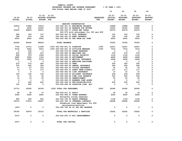**10 20 30 40** 

 **21-22 21-22 22-23 22-23 22-23 22-23 19-20 20-21 ADOPTED BUDGETED REQUESTED INITIAL PROPOSED APPROVED ADOPTED ACTUAL ACTUAL BUDGET FTE FTE BUDGET BUDGET BUDGET BUDGET -------------------------------------------------------------------------------- ------------------------------------------------- HABITAT CONSERVATION 23919 17688 14616 052-062-301.01 BEGINNING BALANCE 16988 16988 16988 0**  $\mathbf 0$  **0 9000 10000 052-062-301.02 RESERVE FOR BUTTER 10000 10000 10000 0**  $\mathbf 0$  **53550 58859 39251 052-062-335.07 STATE HWY FUNDS 43579 43579 43579 0 \$43,579 with adjustment for CPI per HCP 389 163 147 052-062-361.01 POOL INTEREST 122 122 122 0**  $\mathbf 0$  **308 233 140 052-062-361.03 BOND INTEREST 165 165 165 0**  $\mathbf 0$  **4500 4500 4500 052-062-380.52 TFR FROM O&C FUND 4500 4500 4500 0 82666 90443 68654 TOTAL REVENUE 75354 75354 75354 0 7744 10712 11296 .1000 052-062-401.01 DIRECTOR .1000 12251 12251 12251 0**  $\mathbf 0$  **6125 4562 6427 .1000 052-062-401.34 DIVISION MANAGER .1000 7016 7016 7016 0** 0  **0 236 0 052-062-479.00 OTHER EARNINGS 0 0 0 0**  $\mathbf 0$  **201 229 257 052-062-490.00 MEDICARE TAX 279 279 279 0**  $\mathbf 0$  **858 979 1099 052-062-491.00 SOCIAL SECURITY 1195 1195 1195 0**  $\mathbf 0$  **2885 3586 1324 052-062-492.00 RETIREMENT 4658 4658 4658 0**  $\Omega$  **3001 3283 4153 052-062-493.10 MEDICAL INSURANCE 4428 4428 4428 0**  $\mathbf 0$  **5 5 5 052-062-493.12 EMPLOYEE ASSISTANC 5 5 5 0**  $\mathbf 0$  **210 210 240 052-062-493.15 VEBA 300 300 300 0**  $\mathbf 0$  **270 262 305 052-062-493.20 DENTAL INSURANCE 294 294 294 0**  $\mathbf 0$  **27 27 310 052-062-493.25 VISION INSURANCE 32 32 32 0** 0  **73 77 117 052-062-493.31 SHORT TERM DISABIL 117 117 117 0** 0 10 6 5 052-062-493.40 LIFE INSURANCE 10 10 10 10<br>124 152 156 052-062-494.00 ACCIDENT INSURANCE 439 439 439 439 0  **124 152 156 052-062-494.00 ACCIDENT INSURANCE 439 439 439 0** 0  **14 16 20 052-062-494.80 TIME LOSS RESERVE 543 543 543 0**  $\Omega$  **14 16 20 052-062-495.00 UNEMPLOYMENT 20 20 20 0**  $\mathbf 0$  **4 3 5 052-062-496.00 WORKERS COMP ASSES 5 5 5 0**  $\mathbf 0$  **0 264 600 052-062-499.00 FET/VACATION/SICK 500 500 500 0**  $\mathbf 0$  **154 465 0 052-062-499.99 VACATION LIAB. ADJ 0 0 0 0 21712 25090 26339 .2000 TOTAL FOR PERSONNEL .2000 32092 32092 32092 0 28 36 37 052-062-611.01 AUDIT 35 35 35 0**  $\mathbf 0$  **5000 5000 5000 052-062-699.01 OTHER EXPENSE 6000 6000 6000 0 Butterfly survey expenses 995 690 991 052-062-780.03 ADMIN OVERHEAD 1159 1159 1159 0**  $\mathbf 0$  **25070 27253 26287 052-062-780.16 INTERNAL CONTRACT 26068 26068 26068 0 Reimburse road department for HCP maintenance/services 1901- 0 0 052-062-780.44 CO INT PEL RESERVE 0 0 0 0 29192 32979 32315 TOTAL FOR MATERIALS & SERVICES 33262 33262 33262 0 5073 0 0 052-062-830.10 HCP IMPROVEMENTS 0 0 0 0 5073 0 0 TOTAL FOR CAPITAL 0 0 0 0**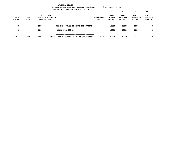|                            |                            |                                                       | BUDGETARY REVENUE AND EXPENSE WORKSHEET | $8$ OF YEAR = $100\%$             |                         |                                       |                                               |                                               |                                              |
|----------------------------|----------------------------|-------------------------------------------------------|-----------------------------------------|-----------------------------------|-------------------------|---------------------------------------|-----------------------------------------------|-----------------------------------------------|----------------------------------------------|
|                            |                            |                                                       |                                         |                                   |                         | 10                                    | 20                                            | 30                                            | 40                                           |
| $19 - 20$<br><b>ACTUAL</b> | $20 - 21$<br><b>ACTUAL</b> | $21 - 22$<br>ADOPTED BUDGETED<br><b>BUDGET</b><br>FTE | $21 - 22$                               |                                   | <b>REQUESTED</b><br>FTE | $22 - 23$<br>INITIAL<br><b>BUDGET</b> | $22 - 23$<br><b>PROPOSED</b><br><b>BUDGET</b> | $22 - 23$<br><b>APPROVED</b><br><b>BUDGET</b> | $22 - 23$<br><b>ADOPTED</b><br><b>BUDGET</b> |
| 0                          | 0                          | 10000                                                 |                                         | 052-062-990.03 RESERVE FOR FUTURE |                         | 10000                                 | 10000                                         | 10000                                         | 0                                            |
| 0                          | 0                          | 10000                                                 | TOTAL FOR 900-999                       |                                   |                         | 10000                                 | 10000                                         | 10000                                         | 0                                            |
| 55977                      | 58069                      | 68654                                                 | .2000 TOTAL EXPENSES                    | HABITAT CONSERVATIO               | .2000                   | 75354                                 | 75354                                         | 75354                                         | 0                                            |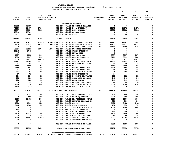| YAMHILL COUNTY                          |                       |
|-----------------------------------------|-----------------------|
| BUDGETARY REVENUE AND EXPENSE WORKSHEET | $8$ OF YEAR = $100\%$ |
| FOR FISCAL YEAR ENDING JUNE 30 2023     |                       |

|                            |                            |                            | FOR FISCAL YEAR ENDING JUNE 30 2023          |                                |                                              |                                           |                                               |                                              |
|----------------------------|----------------------------|----------------------------|----------------------------------------------|--------------------------------|----------------------------------------------|-------------------------------------------|-----------------------------------------------|----------------------------------------------|
|                            |                            |                            |                                              |                                | 10                                           | 20                                        | 30                                            | 40                                           |
| $19 - 20$<br><b>ACTUAL</b> | $20 - 21$<br><b>ACTUAL</b> | 21-22<br><b>BUDGET FTE</b> | $21 - 22$<br>ADOPTED BUDGETED                | <b>REQUESTED</b><br><b>FTE</b> | $22 - 23$<br><b>INITIAL</b><br><b>BUDGET</b> | 22-23<br><b>PROPOSED</b><br><b>BUDGET</b> | $22 - 23$<br><b>APPROVED</b><br><b>BUDGET</b> | $22 - 23$<br><b>ADOPTED</b><br><b>BUDGET</b> |
|                            |                            |                            |                                              |                                |                                              |                                           |                                               |                                              |
|                            |                            |                            | <b>INSURANCE RESERVE</b>                     |                                |                                              |                                           |                                               |                                              |
| 89325                      | 70687                      | $\overline{\phantom{0}}$   | 080-038-301.01 BEGINNING BALANCE             |                                | 0                                            | $\mathbf 0$                               | 0                                             | 0                                            |
| 74100                      | 32407                      | 27949                      | 080-038-361.01 POOL INTEREST                 |                                | 24272                                        | 24272                                     | 24272                                         | 0                                            |
| 59037                      | 40934                      | 39913                      | 080-038-361.03 BOND INTEREST                 |                                | 29082                                        | 29082                                     | 29082                                         | $\mathbf 0$                                  |
| 48046                      | 15709                      | $\overline{\mathbf{0}}$    | 080-038-362.12 REIMBURSEMENT                 |                                | $\overline{\mathbf{0}}$                      | $\overline{\phantom{0}}$                  | $\overline{\phantom{0}}$                      | 0                                            |
| 8757                       | 8460                       | $\overline{\phantom{0}}$   | 080-038-362.99 MISC                          |                                | 500                                          | 500                                       | 500                                           | 0                                            |
| 279265                     | 168197                     | 67862                      | <b>TOTAL REVENUE</b>                         |                                | 53854                                        | 53854                                     | 53854                                         | $\mathbf 0$                                  |
| 52965                      | 60514                      | 63489                      | 1.0000 080-038-401.32 MANAGEMENT ANALYST     | 1.0000                         | 68182                                        | 68182                                     | 71056                                         | 0                                            |
| 16370                      | 40072                      | 45123                      | .5000 080-038-401.43 PERSONNEL OFFICER/      | .5000                          | 48171                                        | 48171                                     | 48171                                         | 0                                            |
| $\overline{\mathbf{0}}$    | $\overline{\phantom{0}}$   | $\overline{\phantom{0}}$   | 080-038-401.54 DEPUTY COUNTY ADMI            | .2000                          | 24150                                        | 24150                                     | 24150                                         | 0                                            |
| 18956                      | 20531                      |                            | 22747 .2000 080-038-401.62 BUSINESS SERVICES |                                | $\mathbf 0$                                  | $\mathbf 0$                               | $\mathbf{o}$                                  | 0                                            |
| 29848                      | 2741                       | $\overline{\mathbf{0}}$    | 080-038-479.00 OTHER EARNINGS                |                                | $\mathbf 0$                                  | $\mathbf 0$                               | $\mathbf{o}$                                  | 0                                            |
| 47                         | $\overline{\phantom{0}}$   | $\overline{\phantom{0}}$   | 080-038-482.00 EXTRA HELP                    |                                | $\mathbf 0$                                  | $\mathbf{0}$                              | 0                                             | 0                                            |
| 1727                       | 1835                       | 1905                       | 080-038-490.00 MEDICARE TAX                  |                                | 2037                                         | 2037                                      | 2079                                          | 0                                            |
| 7386                       | 7847                       | 8144                       | 080-038-491.00 SOCIAL SECURITY               |                                | 8711                                         | 8711                                      | 8889                                          | 0                                            |
| 19552                      | 21031                      | 26416                      | 080-038-492.00 RETIREMENT                    |                                | 28255                                        | 28255                                     | 28833                                         | 0                                            |
| 23962                      | 31146                      | 35297                      | 080-038-493.10 MEDICAL INSURANCE             |                                | 37655                                        | 37655                                     | 37655                                         | 0                                            |
| 33                         | 44                         | 50                         | 080-038-493.12 EMPLOYEE ASSISTANC            |                                | 50                                           | 50                                        | 50                                            | 0                                            |
| 1680                       | 1990                       | 2040                       | 080-038-493.15 VEBA                          |                                | 2550                                         | 2550                                      | 2550                                          | 0                                            |
| 2158                       | 2481                       | 2594                       | 080-038-493.20 DENTAL INSURANCE              |                                | 2499                                         | 2499                                      | 2499                                          | 0                                            |
| 217                        | 253                        | 264                        | 080-038-493.25 VISION INSURANCE              |                                | 269                                          | 269                                       | 269                                           | 0                                            |
| 513                        | 706                        | 995                        | 080-038-493.31 SHORT TERM DISABIL            |                                | 995                                          | 995                                       | 995                                           | 0                                            |
| 27                         | 72                         | 44                         | 080-038-493.40 LIFE INSURANCE                |                                | 44                                           | 44                                        | 44                                            | 0                                            |
| 136                        | 134                        | 131                        | 080-038-494.00 ACCIDENT INSURANCE            |                                | 112                                          | 112                                       | 115                                           | 0                                            |
| 122                        | 128                        | 131                        | 080-038-494.80 TIME LOSS RESERVE             |                                | 141                                          | 141                                       | 143                                           | 0                                            |
| 120                        | 128                        | 131                        | 080-038-495.00 UNEMPLOYMENT                  |                                | 141                                          | 141                                       | 143                                           | 0                                            |
| 30                         | 33                         | 44                         | 080-038-496.00 WORKERS COMP ASSES            |                                | 44                                           | 44                                        | 44                                            | 0                                            |
| 1916                       | 3734                       | 2200                       | 080-038-499.00 FET/VACATION/SICK             |                                | 2500                                         | 2500                                      | 2500                                          | 0                                            |
| 1958                       | $133-$                     | $\overline{\phantom{0}}$   | 080-038-499.99 VACATION LIAB. ADJ            |                                | $\mathbf 0$                                  | $\mathbf 0$                               | $\overline{\phantom{0}}$                      | 0                                            |
| 179723                     | 195287                     | 211745                     | 1.7000 TOTAL FOR PERSONNEL                   | 1.7000                         | 226506                                       | 226506                                    | 230185                                        | 0                                            |
| 224                        | 1341                       | 500                        | 080-038-513.03 PUBLICATIONS & DUE            |                                | 400                                          | 400                                       | 400                                           | 0                                            |
| $\mathbf 0$                | 2692                       | 2500                       | 080-038-543.01 DEPT EQUIPMENT                |                                | 2500                                         | 2500                                      | 2500                                          | 0                                            |
| 5200                       | 40405                      | 5000                       | 080-038-610.01 PROFESSIONAL SERVI            |                                | 6000                                         | 6000                                      | 6000                                          | 0                                            |
| 727                        | $\overline{\mathbf{0}}$    | 800                        | 080-038-610.09 BENEFIT PROGRAM EX            |                                | 800                                          | 800                                       | 800                                           | 0                                            |
| 1200                       | 1510                       | 1580                       | 080-038-611.01 AUDIT                         |                                | 2422                                         | 2422                                      | 2422                                          | 0                                            |
| 2442                       | 1308                       | 500                        | 080-038-612.01 MISC TRAINING                 |                                | 750                                          | 750                                       | 750                                           | 0                                            |
| $\mathbf 0$                | $\mathbf 0$                | $\overline{\mathbf{0}}$    | 080-038-612.05 TRAINING & DEVELOP            |                                | 4000                                         | 4000                                      | 4000                                          | 0                                            |
| 262                        | $\mathbf 0$                | $\mathbf 0$                | 080-038-630.01 TRAVEL EXPENSE                |                                | $\mathbf 0$                                  | $\mathbf 0$                               | 0                                             | 0                                            |
| $^{\circ}$                 | $\mathbf 0$                | $\mathbf 0$                | 080-038-691.01 ASSOC MEMBERSHIPS             |                                | 250                                          | 250                                       | 250                                           | $\Omega$                                     |
| 7175                       | 12175                      | 2500                       | 080-038-699.01 OTHER EXPENSE                 |                                | 2500                                         | 2500                                      | 2500                                          | 0                                            |
| 0                          | 0                          | 250                        | 080-038-699.08 BANK SERVICE CHARG            |                                | 250                                          | 250                                       | 250                                           | 0                                            |
| 11319                      | 11904                      | 12969                      | 080-038-780.03 ADMIN OVERHEAD                |                                | 18792                                        | 18792                                     | 18792                                         | 0                                            |
| 306                        | 0                          | 0                          | 080-038-780.05 INTERNAL MOTOR POO            |                                | 0                                            | $\mathbf 0$                               | 0                                             | 0                                            |
| 0                          | 0                          | 0                          | 080-038-780.06 EQUIPMENT REPLACEM            |                                | 1088                                         | 1088                                      | 1088                                          | 0                                            |
| 28855                      | 71335                      | 26599                      | TOTAL FOR MATERIALS & SERVICES               |                                | 39752                                        | 39752                                     | 39752                                         | 0                                            |
| 208578                     | 266622                     | 238344                     | 1.7000 TOTAL EXPENSES INSURANCE RESERVE      | 1.7000                         | 266258                                       | 266258                                    | 269937                                        | 0                                            |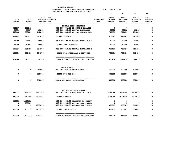|                            |                            |                                             |                                    |                         | 10                                           | 20                                            | 30                                            | 40                                           |
|----------------------------|----------------------------|---------------------------------------------|------------------------------------|-------------------------|----------------------------------------------|-----------------------------------------------|-----------------------------------------------|----------------------------------------------|
| $19 - 20$<br><b>ACTUAL</b> | $20 - 21$<br><b>ACTUAL</b> | $21 - 22$<br>ADOPTED BUDGETED<br>BUDGET FTE | $21 - 22$                          | <b>REQUESTED</b><br>FTE | $22 - 23$<br><b>INITIAL</b><br><b>BUDGET</b> | $22 - 23$<br><b>PROPOSED</b><br><b>BUDGET</b> | $22 - 23$<br><b>APPROVED</b><br><b>BUDGET</b> | $22 - 23$<br><b>ADOPTED</b><br><b>BUDGET</b> |
|                            |                            |                                             | DENTAL SELF INSURANCE              |                         |                                              |                                               |                                               |                                              |
| 364967                     | 548363                     | $\mathbf 0$                                 | 080-088-301.01 BEGINNING BALANCE   |                         | 0                                            | $\mathbf 0$                                   | 0                                             | 0                                            |
| 64356                      | 67587                      | 69202                                       | 080-088-346.48 DENTAL INSURANCE    |                         | 69202                                        | 69202                                         | 69202                                         | 0                                            |
| 603662                     | 609081                     | 742296                                      | 080-088-380.40 CO INT DENTAL INSU  |                         | 747659                                       | 747659                                        | 754083                                        | 0                                            |
| 1032985                    | 1225031                    | 811498                                      | <b>TOTAL REVENUE</b>               |                         | 816861                                       | 816861                                        | 823285                                        | 0                                            |
| 51786                      | 59501                      | 36000                                       | 080-088-493.21 DENTAL INSURANCE A  |                         | 50000                                        | 50000                                         | 50000                                         | 0                                            |
| 51786                      | 59501                      | 36000                                       | TOTAL FOR PERSONNEL                |                         | 50000                                        | 50000                                         | 50000                                         | 0                                            |
| 432836                     | 581458                     | 934176                                      | 080-088-610.13 DENTAL INSURANCE C  |                         | 762436                                       | 762436                                        | 762436                                        | 0                                            |
| 432836                     | 581458                     | 934176                                      | TOTAL FOR MATERIALS & SERVICES     |                         | 762436                                       | 762436                                        | 762436                                        | 0                                            |
| 484622                     | 640959                     | 970176                                      | TOTAL EXPENSES DENTAL SELF INSURAN |                         | 812436                                       | 812436                                        | 812436                                        | 0                                            |
|                            |                            |                                             | CONTINGENCY                        |                         |                                              |                                               |                                               |                                              |
| 0                          | 0                          | 250000                                      | 080-092-950.01 CONTINGENCY         |                         | 500000                                       | 500000                                        | 500000                                        | 0                                            |
| 0                          | 0                          | 250000                                      | TOTAL FOR 900-999                  |                         | 500000                                       | 500000                                        | 500000                                        | 0                                            |
| 0                          | 0                          | 250000                                      | TOTAL EXPENSES CONTINGENCY         |                         | 500000                                       | 500000                                        | 500000                                        | 0                                            |
|                            |                            |                                             | UNAPPROPRIATED BALANCE             |                         |                                              |                                               |                                               |                                              |
| 843222                     | 343222                     | 2632764                                     | 080-094-301.01 BEGINNING BALANCE   |                         | 2624045                                      | 2624045                                       | 2624045                                       | 0                                            |
| 843222                     | 343222                     | 2632764                                     | <b>TOTAL REVENUE</b>               |                         | 2624045                                      | 2624045                                       | 2624045                                       | 0                                            |
| 500000                     | 1192152                    | 0                                           | 080-094-900.00 TRANSFER TO GENERA  |                         | 0                                            | 0                                             | 0                                             | 0                                            |
| 0                          | 508581                     | 0                                           | 080-094-900.57 CO INT RISK TRANSF  |                         | 0                                            | 0                                             | 0                                             | 0                                            |
| 0                          | 0                          | 1233216                                     | 080-094-990.03 RESERVE FOR FUTURE  |                         | 358909                                       | 358909                                        | 364864                                        | $\mathbf 0$                                  |
| 500000                     | 1700733                    | 1233216                                     | TOTAL FOR 900-999                  |                         | 358909                                       | 358909                                        | 364864                                        | 0                                            |
| 500000                     | 1700733                    | 1233216                                     | TOTAL EXPENSES UNAPPROPRIATED BALA |                         | 358909                                       | 358909                                        | 364864                                        | $\mathbf 0$                                  |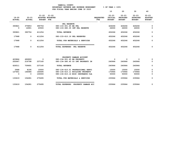|                            |                            |                                       | YAMHILL COUNTY<br>BUDGETARY REVENUE AND EXPENSE WORKSHEET 46 OF YEAR = 100% |                                |                                 |                                  |                                  |                                 |
|----------------------------|----------------------------|---------------------------------------|-----------------------------------------------------------------------------|--------------------------------|---------------------------------|----------------------------------|----------------------------------|---------------------------------|
|                            |                            |                                       | FOR FISCAL YEAR ENDING JUNE 30 2023                                         |                                | 10                              | 20                               | 30                               | 40                              |
|                            |                            | $21 - 22$ $21 - 22$                   |                                                                             |                                | $22 - 23$                       | $22 - 23$                        | $22 - 23$                        | $22 - 23$                       |
| $19 - 20$<br><b>ACTUAL</b> | $20 - 21$<br><b>ACTUAL</b> | ADOPTED BUDGETED<br><b>BUDGET FTE</b> |                                                                             | <b>REQUESTED</b><br><b>FTE</b> | <b>INITIAL</b><br><b>BUDGET</b> | <b>PROPOSED</b><br><b>BUDGET</b> | <b>APPROVED</b><br><b>BUDGET</b> | <b>ADOPTED</b><br><b>BUDGET</b> |
|                            |                            |                                       | ______________________________________                                      |                                |                                 |                                  |                                  |                                 |
|                            |                            |                                       | PEL RESERVE                                                                 |                                |                                 |                                  |                                  |                                 |
| 393821                     | 375853                     | 390754                                | 080-133-301.65 BB PEL                                                       |                                | 426266                          | 426266                           | 426266                           | 0                               |
| $\Omega$                   | 14901                      | 20500                                 | 080-133-380.35 INT PEL RESERVE                                              |                                | 26000                           | 26000                            | 26000                            | $\Omega$                        |
| 393821                     | 390754                     | 411254                                | <b>TOTAL REVENUE</b>                                                        |                                | 452266                          | 452266                           | 452266                           | $\mathbf 0$                     |
| 17968                      | $^{\circ}$                 | 411254                                | 080-133-610.19 PEL RESERVES                                                 |                                | 452266                          | 452266                           | 452266                           | $\mathbf 0$                     |
| 17968                      | $\mathbf 0$                | 411254                                | TOTAL FOR MATERIALS & SERVICES                                              |                                | 452266                          | 452266                           | 452266                           | $\mathbf 0$                     |
| 17968                      | $^{\circ}$                 | 411254                                | ------------------------------------<br>TOTAL EXPENSES PEL RESERVE          |                                | 452266                          | 452266                           | 452266                           | 0                               |
|                            |                            |                                       | PROPERTY DAMAGE ACCOUNT                                                     |                                |                                 |                                  |                                  |                                 |
| 423864                     | 492893                     | $\overline{\phantom{a}}$ 0            | 080-134-301.45 BB PROPERTY                                                  |                                | 0                               | $\overline{\mathbf{0}}$          | 0                                | 0                               |
| 202647                     | 216798                     | 237160                                | 080-134-380.45 CO INT PROPERTY IN                                           |                                | 240964                          | 240964                           | 240964                           | $\Omega$                        |
| 626511                     | 709691                     | 237160                                | <b>TOTAL REVENUE</b>                                                        |                                | 240964                          | 240964                           | 240964                           | $\mathbf 0$                     |
| 5968                       | 8195                       | 15000                                 | 080-134-610.01 PROFESSIONAL SERVI                                           |                                | 15000                           | 15000                            | 15000                            | $\mathbf 0$                     |
| 127651                     | 146086                     | 160695                                | 080-134-610.11 BUILDING PROPERTY                                            |                                | 170964                          | 170964                           | 170964                           | 0                               |
| $\Omega$                   | 0                          | 100000                                | 080-134-610.14 MISC INSURANCE CLA                                           |                                | 50000                           | 50000                            | 50000                            | 0                               |
| 133619                     | 154281                     | 275695                                | TOTAL FOR MATERIALS & SERVICES                                              |                                | 235964                          | 235964                           | 235964                           | 0                               |
| 133619                     | 154281                     | 275695                                | TOTAL EXPENSES PROPERTY DAMAGE ACC                                          |                                | 235964                          | 235964                           | 235964                           | 0                               |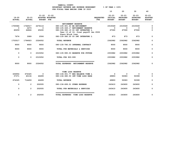|                            |                            |                                |                               |                                                                                               |                          | 10                                    | 20                                            | 30                                            | 40                                           |
|----------------------------|----------------------------|--------------------------------|-------------------------------|-----------------------------------------------------------------------------------------------|--------------------------|---------------------------------------|-----------------------------------------------|-----------------------------------------------|----------------------------------------------|
| $19 - 20$<br><b>ACTUAL</b> | $20 - 21$<br><b>ACTUAL</b> | $21 - 22$<br><b>BUDGET FTE</b> | $21 - 22$<br>ADOPTED BUDGETED | -------------------------------                                                               | <b>REQUESTED</b><br>FTE. | $22 - 23$<br>INITIAL<br><b>BUDGET</b> | $22 - 23$<br><b>PROPOSED</b><br><b>BUDGET</b> | $22 - 23$<br><b>APPROVED</b><br><b>BUDGET</b> | $22 - 23$<br><b>ADOPTED</b><br><b>BUDGET</b> |
|                            |                            |                                |                               | RETIREMENT RESERVE                                                                            |                          |                                       |                                               |                                               |                                              |
| 1705584                    | 1744517                    | 2276116                        |                               | 080-135-301.40 BB RETIREMENT                                                                  |                          | 2315049                               | 2315049                                       | 2315049                                       | 0                                            |
| $\Omega$                   | 2473                       | $\mathbf{0}$                   |                               | 080-135-349.17 RETIREMENT RESERVE                                                             |                          | 0                                     | $\mathbf 0$                                   | $\mathbf 0$                                   | 0                                            |
| 40259                      | 44844                      | 45430                          |                               | 080-135-380.19 CO INT INTERFUND L<br>Year 13 of 16, final payoff Jan 2026<br>Stern Block loan |                          | 47060                                 | 47060                                         | 47060                                         | 0                                            |
| 7674                       | 3089                       | 2506                           |                               | 080-135-380.20 CO INT INTERFUND L                                                             |                          | 873                                   | 873                                           | 873                                           | 0                                            |
| 1753517                    | 1794923                    | 2324052                        |                               | <b>TOTAL REVENUE</b>                                                                          |                          | 2362982                               | 2362982                                       | 2362982                                       | 0                                            |
| 9000                       | 9000                       | 9000                           |                               | 080-135-780.03 INTERNAL CONTRACT                                                              |                          | 9000                                  | 9000                                          | 9000                                          | $\mathbf 0$                                  |
| 9000                       | 9000                       | 9000                           |                               | TOTAL FOR MATERIALS & SERVICES                                                                |                          | 9000                                  | 9000                                          | 9000                                          | 0                                            |
| 0                          | $\mathbf 0$                | 2315052                        |                               | 080-135-990.03 RESERVE FOR FUTURE                                                             |                          | 2353982                               | 2353982                                       | 2353982                                       | 0                                            |
| $\mathbf 0$                | $\mathbf{0}$               | 2315052                        |                               | TOTAL FOR 900-999                                                                             |                          | 2353982                               | 2353982                                       | 2353982                                       | 0                                            |
| 9000                       | 9000                       | 2324052                        |                               | --------------------------------<br>TOTAL EXPENSES RETIREMENT RESERVE                         |                          | 2362982                               | 2362982                                       | 2362982                                       | $\mathbf 0$                                  |
|                            |                            |                                |                               | TIME LOSS RESERVE                                                                             |                          |                                       |                                               |                                               |                                              |
| 636954                     | 674325                     | 0                              |                               | 080-136-301.77 BEG BALANCE TIME L                                                             |                          | 0                                     | 0                                             | 0                                             | 0                                            |
| 37371                      | 40134                      | 46499                          |                               | 080-136-380.50 INT TIME LOSS RESE                                                             |                          | 49893                                 | 50083                                         | 50399                                         | 0                                            |
| 674325                     | 714459                     | 46499                          |                               | <b>TOTAL REVENUE</b>                                                                          |                          | 49893                                 | 50083                                         | 50399                                         | 0                                            |
| 0                          | $\overline{2}$             | 202935                         |                               | 080-136-699.01 OTHER EXPENSE                                                                  |                          | 243410                                | 243600                                        | 243600                                        | 0                                            |
| 0                          | $\overline{2}$             | 202935                         |                               | TOTAL FOR MATERIALS & SERVICES                                                                |                          | 243410                                | 243600                                        | 243600                                        | 0                                            |
| $\mathbf 0$                | $\overline{2}$             | 202935                         |                               | ------------------------------<br>TOTAL EXPENSES TIME LOSS RESERVE                            |                          | 243410                                | 243600                                        | 243600                                        | 0                                            |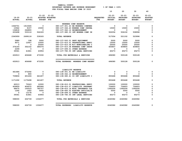| <b>COUNTY</b><br>УАМНТТ.І.                                               |                         |
|--------------------------------------------------------------------------|-------------------------|
| <b>EXPENSE</b><br>AND<br><b>REVENUE</b><br>WORKSHEET<br><b>BUDGETARY</b> | .00%<br>OF.<br>$VFAR =$ |
| 2023 היאחדה באמדרואית<br>TSCAL YEAR<br>חיד                               |                         |

|                         |                              |                                                      | FOR FISCAL YEAR ENDING JUNE 30 2023 |                                    |                                 |                          |                                                  |                                    |                                              |
|-------------------------|------------------------------|------------------------------------------------------|-------------------------------------|------------------------------------|---------------------------------|--------------------------|--------------------------------------------------|------------------------------------|----------------------------------------------|
|                         |                              |                                                      |                                     |                                    |                                 | 10                       | 20                                               | 30                                 | 40                                           |
| <b>ACTUAL</b>           | 19-20 20-21<br><b>ACTUAL</b> | 21-22 21-22<br>ADOPTED BUDGETED<br><b>BUDGET FTE</b> |                                     |                                    | REQUESTED INITIAL<br><b>FTE</b> | <b>BUDGET</b>            | $22 - 23$ $22 - 23$<br>PROPOSED<br><b>BUDGET</b> | 22-23<br>APPROVED<br><b>BUDGET</b> | $22 - 23$<br><b>ADOPTED</b><br><b>BUDGET</b> |
|                         |                              |                                                      |                                     | WORKERS COMP RESERVE               |                                 |                          |                                                  |                                    |                                              |
| 1566701                 | 1913045                      | $\overline{\mathbf{0}}$                              |                                     | 080-137-301.43 BB WORKERS COMPENS  |                                 | 0                        | $\mathbf 0$                                      | 0                                  | 0                                            |
| 10942                   | 8157                         | 15000                                                |                                     | 080-137-346.43 WORKER COMP INSURA  |                                 | 15000                    | 15000                                            | 15000                              | 0                                            |
| 134818                  | 244800                       | $\overline{\mathbf{0}}$                              | 080-137-362.12 REIMBURSEMENT        |                                    |                                 | $^{\circ}$               | $\mathbf{0}$                                     | $\Omega$                           | 0                                            |
| 633498                  | 533116                       | 524183                                               |                                     | 080-137-380.33 INT WORKER COMP IN  |                                 | 502054                   | 506102                                           | 508996                             | 0                                            |
| 2345959                 | 2699118                      | 539183                                               | <b>TOTAL REVENUE</b>                |                                    |                                 | 517054                   | 521102                                           | 523996                             | 0                                            |
| 5989                    | 198                          | 5000                                                 | 080-137-543.01 DEPT EQUIPMENT       |                                    |                                 | 5000                     | 5000                                             | 5000                               | 0                                            |
| 9071                    | 12457                        | 10000                                                |                                     | 080-137-610.01 PROFESSIONAL SERVI  |                                 | 15000                    | 15000                                            | 15000                              | 0                                            |
| $\overline{\mathbf{0}}$ | $\overline{\mathbf{0}}$      | 25000                                                |                                     | 080-137-610.06 W/C NONDISABLING C  |                                 | 25000                    | 25000                                            | 25000                              | 0                                            |
| 376193                  | 352152                       | 389376                                               |                                     | 080-137-610.08 WORKERS COMP INSUR  |                                 | 405807                   | 409855                                           | 409855                             | 0                                            |
| 2299                    | $\overline{\mathbf{0}}$      | $\overline{\phantom{0}}$                             | 080-137-699.01 OTHER EXPENSE        |                                    |                                 | $\overline{\phantom{0}}$ | $\overline{\phantom{0}}$                         | $\overline{\phantom{0}}$           | 0                                            |
| 39361                   | 41861                        | 43954                                                |                                     | 080-137-780.55 INT LEGAL SERVICES  |                                 | 45273                    | 45273                                            | 45273                              | 0                                            |
| 432913                  | 406668                       | 473330                                               |                                     | TOTAL FOR MATERIALS & SERVICES     |                                 | 496080                   | 500128                                           | 500128                             | 0                                            |
| 432913                  | 406668                       | 473330                                               |                                     | TOTAL EXPENSES WORKERS COMP RESERV |                                 | 496080                   | 500128                                           | 500128                             | $\mathbf 0$                                  |
|                         |                              |                                                      | LIABILITY RESERVE                   |                                    |                                 |                          |                                                  |                                    |                                              |
| 461486                  | 573292                       | $\overline{\mathbf{0}}$                              | 080-138-301.41 BB LIABILITY         |                                    |                                 | $^{\circ}$               | $\mathbf{0}$                                     | $\Omega$                           | 0                                            |
| $\mathbf 0$             | 800                          | $\mathbf{0}$                                         | 080-138-362.12 REIMBURSEMENT        |                                    |                                 | $\mathbf{0}$             | $\mathbf 0$                                      | $\Omega$                           | 0                                            |
| 709806                  | 601406                       | 641407                                               |                                     | 080-138-380.41 CO INT LIABILITY I  |                                 | 850468                   | 850468                                           | 850468                             | 0                                            |
| 1171292                 | 1175498                      | 641407                                               | <b>TOTAL REVENUE</b>                |                                    |                                 | 850468                   | 850468                                           | 850468                             | $\mathbf 0$                                  |
| 62013                   | 70243                        | 12000                                                |                                     | 080-138-610.01 PROFESSIONAL SERVI  |                                 | 100000                   | 100000                                           | 100000                             | 0                                            |
| 426859                  | 404972                       | 485966                                               |                                     | 080-138-610.07 LIABILITY INSURANC  |                                 | 724603                   | 724603                                           | 724603                             | 0                                            |
| 68475                   | 100533                       | 785757                                               |                                     | 080-138-610.14 MISC INSURANCE CLA  |                                 | 1365206                  | 1365206                                          | 1365206                            | 0                                            |
| 1292                    | 1952                         | 5000                                                 |                                     | 080-138-660.02 ELECTED OFFICIAL/E  |                                 | 5000                     | 5000                                             | 5000                               | 0                                            |
| $\mathbf 0$             | 13178                        | $\overline{\phantom{0}}$                             | 080-138-699.01 OTHER EXPENSE        |                                    |                                 | $\mathbf 0$              | $^{\circ}$                                       | $\mathbf{o}$                       | 0                                            |
| 39361                   | 41861                        | 43954                                                |                                     | 080-138-780.55 INT LEGAL SERVICES  |                                 | 45273                    | 45273                                            | 45273                              | $\mathbf 0$                                  |
| 598000                  | 632739                       | 1332677                                              |                                     | TOTAL FOR MATERIALS & SERVICES     |                                 | 2240082                  | 2240082                                          | 2240082                            | $\mathbf 0$                                  |
| 598000                  | 632739                       | 1332677                                              |                                     | TOTAL EXPENSES LIABILITY RESERVE   |                                 | 2240082                  | 2240082                                          | 2240082                            | 0                                            |
|                         |                              |                                                      |                                     |                                    |                                 |                          |                                                  |                                    |                                              |